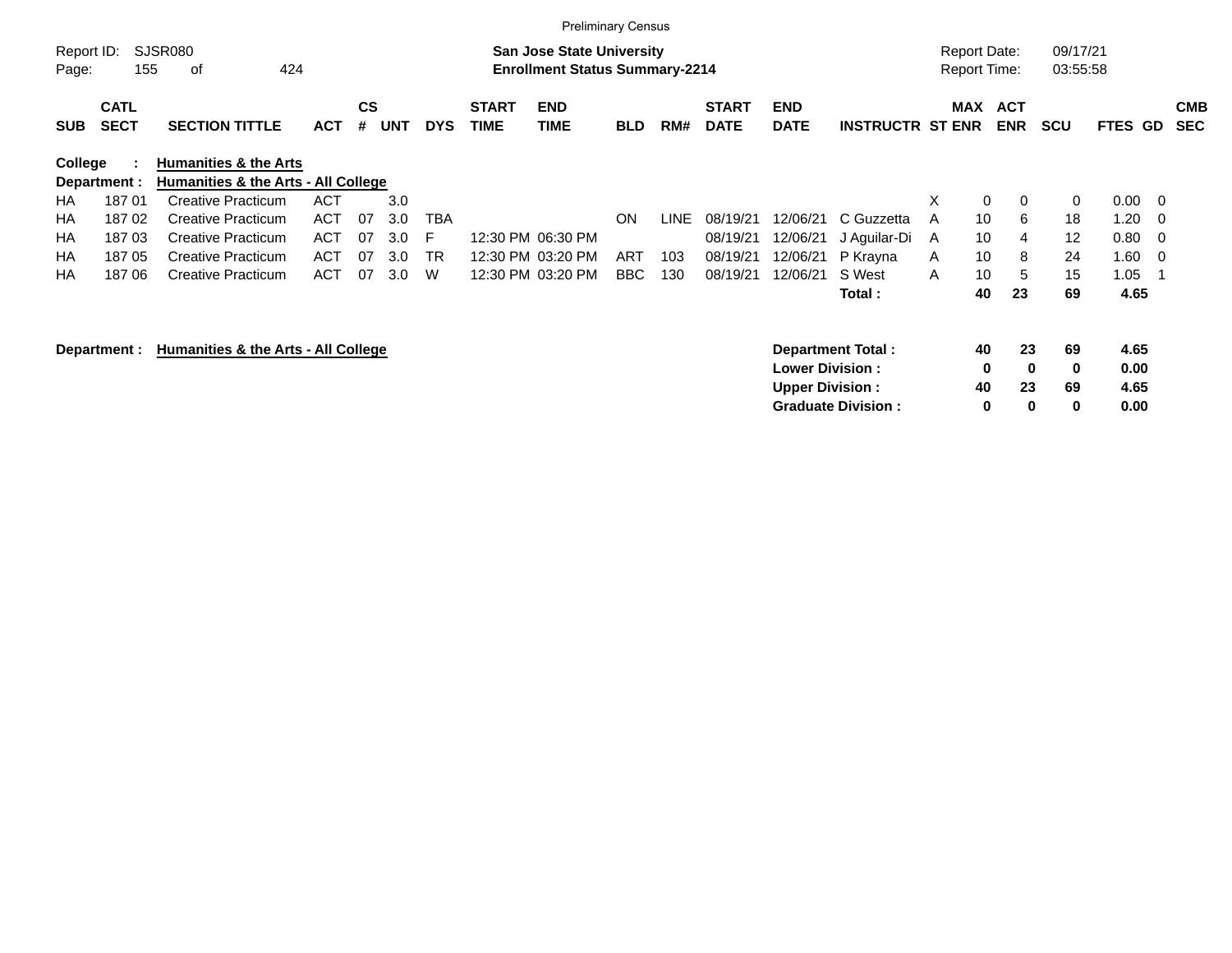|                     |                            |                                                                         |            |                |            |            |                             |                                                                           | <b>Preliminary Census</b> |             |                             |                           |                          |   |                                            |                          |                      |                |                          |                          |
|---------------------|----------------------------|-------------------------------------------------------------------------|------------|----------------|------------|------------|-----------------------------|---------------------------------------------------------------------------|---------------------------|-------------|-----------------------------|---------------------------|--------------------------|---|--------------------------------------------|--------------------------|----------------------|----------------|--------------------------|--------------------------|
| Report ID:<br>Page: | 155                        | SJSR080<br>424<br>оf                                                    |            |                |            |            |                             | <b>San Jose State University</b><br><b>Enrollment Status Summary-2214</b> |                           |             |                             |                           |                          |   | <b>Report Date:</b><br><b>Report Time:</b> |                          | 09/17/21<br>03:55:58 |                |                          |                          |
| <b>SUB</b>          | <b>CATL</b><br><b>SECT</b> | <b>SECTION TITTLE</b>                                                   | <b>ACT</b> | <b>CS</b><br># | <b>UNT</b> | <b>DYS</b> | <b>START</b><br><b>TIME</b> | <b>END</b><br><b>TIME</b>                                                 | <b>BLD</b>                | RM#         | <b>START</b><br><b>DATE</b> | <b>END</b><br><b>DATE</b> | <b>INSTRUCTR ST ENR</b>  |   | <b>MAX</b>                                 | <b>ACT</b><br><b>ENR</b> | <b>SCU</b>           | <b>FTES GD</b> |                          | <b>CMB</b><br><b>SEC</b> |
| College             | Department :               | <b>Humanities &amp; the Arts</b><br>Humanities & the Arts - All College |            |                |            |            |                             |                                                                           |                           |             |                             |                           |                          |   |                                            |                          |                      |                |                          |                          |
| HA                  | 18701                      | <b>Creative Practicum</b>                                               | <b>ACT</b> |                | 3.0        |            |                             |                                                                           |                           |             |                             |                           |                          | X | 0                                          | $\mathbf 0$              | 0                    | 0.00           | $\overline{\phantom{0}}$ |                          |
| HA                  | 18702                      | <b>Creative Practicum</b>                                               | <b>ACT</b> | 07             | 3.0        | <b>TBA</b> |                             |                                                                           | <b>ON</b>                 | <b>LINE</b> | 08/19/21                    | 12/06/21                  | C Guzzetta               | A | 10                                         | 6                        | 18                   | 1.20           | - 0                      |                          |
| НA                  | 18703                      | <b>Creative Practicum</b>                                               | ACT        | 07             | 3.0        | F          |                             | 12:30 PM 06:30 PM                                                         |                           |             | 08/19/21                    | 12/06/21                  | J Aguilar-Di             | A | 10                                         | 4                        | 12                   | 0.80           | - 0                      |                          |
| HA                  | 18705                      | <b>Creative Practicum</b>                                               | <b>ACT</b> | 07             | 3.0        | <b>TR</b>  |                             | 12:30 PM 03:20 PM                                                         | ART                       | 103         | 08/19/21                    | 12/06/21                  | P Krayna                 | A | 10                                         | 8                        | 24                   | 1.60           | - 0                      |                          |
| <b>HA</b>           | 18706                      | <b>Creative Practicum</b>                                               | <b>ACT</b> | 07             | 3.0        | W          |                             | 12:30 PM 03:20 PM                                                         | <b>BBC</b>                | 130         | 08/19/21                    | 12/06/21                  | S West                   | A | 10                                         | 5                        | 15                   | 1.05           |                          |                          |
|                     |                            |                                                                         |            |                |            |            |                             |                                                                           |                           |             |                             |                           | Total:                   |   | 40                                         | 23                       | 69                   | 4.65           |                          |                          |
|                     | Department :               | Humanities & the Arts - All College                                     |            |                |            |            |                             |                                                                           |                           |             |                             |                           | <b>Department Total:</b> |   | 40                                         | 23                       | 69                   | 4.65           |                          |                          |
|                     |                            |                                                                         |            |                |            |            |                             |                                                                           |                           |             |                             | <b>Lower Division:</b>    |                          |   | 0                                          | 0                        | 0                    | 0.00           |                          |                          |
|                     |                            |                                                                         |            |                |            |            |                             |                                                                           |                           |             |                             | <b>Upper Division:</b>    |                          |   | 40                                         | 23                       | 69                   | 4.65           |                          |                          |

**Graduate Division : 0 0 0 0.00**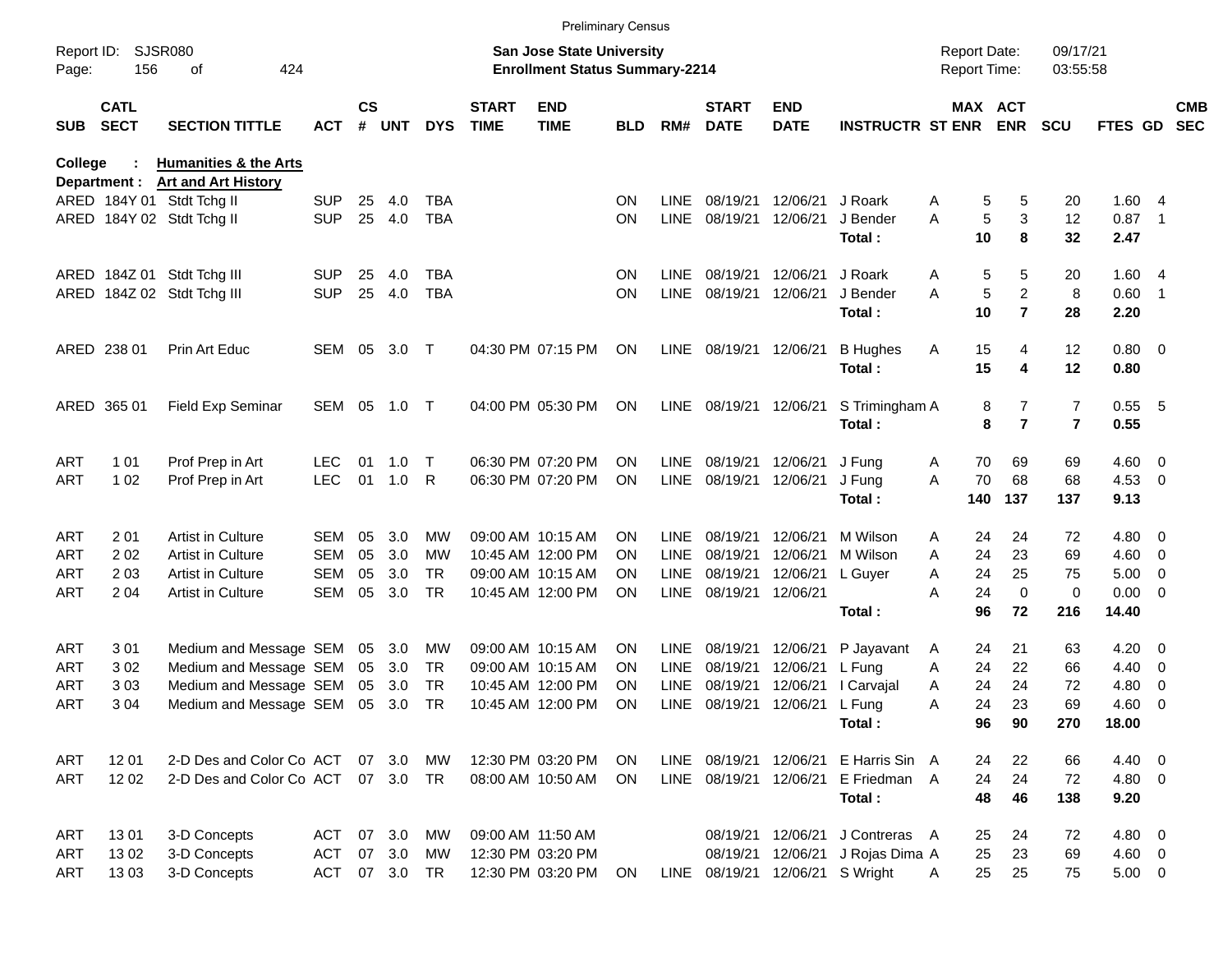|                     |                            |                                                         |            |                    |            |            |                             | <b>Preliminary Census</b>                                                 |            |             |                             |                                 |                         |                                            |         |                         |                      |             |                          |                          |
|---------------------|----------------------------|---------------------------------------------------------|------------|--------------------|------------|------------|-----------------------------|---------------------------------------------------------------------------|------------|-------------|-----------------------------|---------------------------------|-------------------------|--------------------------------------------|---------|-------------------------|----------------------|-------------|--------------------------|--------------------------|
| Report ID:<br>Page: | 156                        | <b>SJSR080</b><br>424<br>оf                             |            |                    |            |            |                             | <b>San Jose State University</b><br><b>Enrollment Status Summary-2214</b> |            |             |                             |                                 |                         | <b>Report Date:</b><br><b>Report Time:</b> |         |                         | 09/17/21<br>03:55:58 |             |                          |                          |
| SUB                 | <b>CATL</b><br><b>SECT</b> | <b>SECTION TITTLE</b>                                   | <b>ACT</b> | $\mathsf{cs}$<br># | <b>UNT</b> | <b>DYS</b> | <b>START</b><br><b>TIME</b> | <b>END</b><br><b>TIME</b>                                                 | <b>BLD</b> | RM#         | <b>START</b><br><b>DATE</b> | <b>END</b><br><b>DATE</b>       | <b>INSTRUCTR ST ENR</b> |                                            | MAX ACT | <b>ENR</b>              | <b>SCU</b>           | FTES GD     |                          | <b>CMB</b><br><b>SEC</b> |
| College             |                            | <b>Humanities &amp; the Arts</b>                        |            |                    |            |            |                             |                                                                           |            |             |                             |                                 |                         |                                            |         |                         |                      |             |                          |                          |
|                     | Department :               | <b>Art and Art History</b><br>ARED 184Y 01 Stdt Tchg II | <b>SUP</b> | 25                 | 4.0        | <b>TBA</b> |                             |                                                                           | ΟN         | LINE        | 08/19/21                    | 12/06/21                        | J Roark                 | A                                          | 5       | 5                       | 20                   | 1.604       |                          |                          |
|                     |                            | ARED 184Y 02 Stdt Tchg II                               | <b>SUP</b> | 25                 | 4.0        | <b>TBA</b> |                             |                                                                           | ON         | <b>LINE</b> | 08/19/21                    | 12/06/21                        | J Bender                | A                                          | 5       | 3                       | 12                   | 0.87        | $\overline{\phantom{0}}$ |                          |
|                     |                            |                                                         |            |                    |            |            |                             |                                                                           |            |             |                             |                                 | Total:                  |                                            | 10      | 8                       | 32                   | 2.47        |                          |                          |
|                     |                            | ARED 184Z 01 Stdt Tchg III                              | <b>SUP</b> | 25                 | 4.0        | TBA        |                             |                                                                           | ΟN         | LINE        | 08/19/21                    | 12/06/21                        | J Roark                 | Α                                          | 5       | 5                       | 20                   | 1.604       |                          |                          |
|                     |                            | ARED 184Z 02 Stdt Tchg III                              | <b>SUP</b> | 25                 | 4.0        | <b>TBA</b> |                             |                                                                           | ON         | <b>LINE</b> | 08/19/21                    | 12/06/21                        | J Bender                | A                                          | 5       | $\overline{2}$          | 8                    | 0.60        | $\overline{\phantom{1}}$ |                          |
|                     |                            |                                                         |            |                    |            |            |                             |                                                                           |            |             |                             |                                 | Total:                  |                                            | 10      | $\overline{7}$          | 28                   | 2.20        |                          |                          |
|                     | ARED 238 01                | Prin Art Educ                                           | SEM        | 05                 | 3.0        | $\top$     |                             | 04:30 PM 07:15 PM                                                         | ΟN         | LINE        | 08/19/21 12/06/21           |                                 | <b>B</b> Hughes         | Α                                          | 15      | 4                       | 12                   | $0.80 \ 0$  |                          |                          |
|                     |                            |                                                         |            |                    |            |            |                             |                                                                           |            |             |                             |                                 | Total:                  |                                            | 15      | 4                       | 12                   | 0.80        |                          |                          |
|                     | ARED 365 01                | Field Exp Seminar                                       | SEM        | 05                 | 1.0        | $\top$     |                             | 04:00 PM 05:30 PM                                                         | ΟN         | LINE        | 08/19/21 12/06/21           |                                 | S Trimingham A          |                                            | 8       | 7                       | $\boldsymbol{7}$     | $0.55 - 5$  |                          |                          |
|                     |                            |                                                         |            |                    |            |            |                             |                                                                           |            |             |                             |                                 | Total:                  |                                            | 8       | $\overline{\mathbf{r}}$ | $\overline{7}$       | 0.55        |                          |                          |
| ART                 | 1 0 1                      | Prof Prep in Art                                        | LEC.       | 01                 | 1.0        | $\top$     |                             | 06:30 PM 07:20 PM                                                         | ΟN         | LINE        | 08/19/21                    | 12/06/21                        | J Fung                  | Α                                          | 70      | 69                      | 69                   | $4.60 \ 0$  |                          |                          |
| ART                 | 1 0 2                      | Prof Prep in Art                                        | <b>LEC</b> | 01                 | 1.0        | R          |                             | 06:30 PM 07:20 PM                                                         | ΟN         | <b>LINE</b> | 08/19/21                    | 12/06/21                        | J Fung                  | A                                          | 70      | 68                      | 68                   | $4.53$ 0    |                          |                          |
|                     |                            |                                                         |            |                    |            |            |                             |                                                                           |            |             |                             |                                 | Total:                  |                                            | 140     | 137                     | 137                  | 9.13        |                          |                          |
| ART                 | 201                        | Artist in Culture                                       | <b>SEM</b> | 05                 | 3.0        | MW         |                             | 09:00 AM 10:15 AM                                                         | ΟN         | LINE        | 08/19/21                    | 12/06/21                        | M Wilson                | A                                          | 24      | 24                      | 72                   | $4.80\ 0$   |                          |                          |
| ART                 | 202                        | Artist in Culture                                       | <b>SEM</b> | 05                 | 3.0        | MW         |                             | 10:45 AM 12:00 PM                                                         | ΟN         | <b>LINE</b> | 08/19/21                    | 12/06/21                        | M Wilson                | A                                          | 24      | 23                      | 69                   | $4.60 \ 0$  |                          |                          |
| ART                 | 203                        | Artist in Culture                                       | <b>SEM</b> | 05                 | 3.0        | <b>TR</b>  |                             | 09:00 AM 10:15 AM                                                         | ON         | <b>LINE</b> | 08/19/21                    | 12/06/21                        | L Guyer                 | Α                                          | 24      | 25                      | 75                   | 5.00        | $\overline{\phantom{0}}$ |                          |
| ART                 | 204                        | <b>Artist in Culture</b>                                | <b>SEM</b> | 05                 | 3.0        | <b>TR</b>  |                             | 10:45 AM 12:00 PM                                                         | ΟN         | <b>LINE</b> | 08/19/21                    | 12/06/21                        |                         | Α                                          | 24      | $\mathbf 0$             | $\pmb{0}$            | $0.00 \t 0$ |                          |                          |
|                     |                            |                                                         |            |                    |            |            |                             |                                                                           |            |             |                             |                                 | Total:                  |                                            | 96      | 72                      | 216                  | 14.40       |                          |                          |
| ART                 | 301                        | Medium and Message SEM                                  |            | 05                 | 3.0        | MW         |                             | 09:00 AM 10:15 AM                                                         | ON         | <b>LINE</b> | 08/19/21                    | 12/06/21                        | P Jayavant              | A                                          | 24      | 21                      | 63                   | 4.20        | $\overline{\phantom{0}}$ |                          |
| ART                 | 302                        | Medium and Message SEM                                  |            | 05                 | 3.0        | <b>TR</b>  |                             | 09:00 AM 10:15 AM                                                         | ON         | <b>LINE</b> | 08/19/21                    | 12/06/21                        | L Fung                  | Α                                          | 24      | 22                      | 66                   | 4.40        | $\overline{\phantom{0}}$ |                          |
| ART                 | 303                        | Medium and Message SEM                                  |            | 05                 | 3.0        | <b>TR</b>  |                             | 10:45 AM 12:00 PM                                                         | ΟN         | <b>LINE</b> | 08/19/21                    | 12/06/21                        | I Carvajal              | Α                                          | 24      | 24                      | 72                   | 4.80        | $\overline{\phantom{0}}$ |                          |
| ART                 | 304                        | Medium and Message SEM                                  |            | 05                 | 3.0        | <b>TR</b>  |                             | 10:45 AM 12:00 PM                                                         | ΟN         | <b>LINE</b> | 08/19/21                    | 12/06/21                        | L Fung                  | Α                                          | 24      | 23                      | 69                   | 4.60        | $\overline{\mathbf{0}}$  |                          |
|                     |                            |                                                         |            |                    |            |            |                             |                                                                           |            |             |                             |                                 | Total:                  |                                            | 96      | 90                      | 270                  | 18.00       |                          |                          |
| ART                 | 12 01                      | 2-D Des and Color Co ACT                                |            |                    | 07 3.0     | MW         |                             | 12:30 PM 03:20 PM                                                         | <b>ON</b>  |             | LINE 08/19/21               |                                 | 12/06/21 E Harris Sin A |                                            | 24      | 22                      | 66                   | 4.40 0      |                          |                          |
| ART                 | 12 02                      | 2-D Des and Color Co ACT                                |            |                    | 07 3.0     | <b>TR</b>  |                             | 08:00 AM 10:50 AM                                                         | <b>ON</b>  |             | LINE 08/19/21               | 12/06/21                        | E Friedman A            |                                            | 24      | 24                      | 72                   | 4.80 0      |                          |                          |
|                     |                            |                                                         |            |                    |            |            |                             |                                                                           |            |             |                             |                                 | Total:                  |                                            | 48      | 46                      | 138                  | 9.20        |                          |                          |
| ART                 | 1301                       | 3-D Concepts                                            | <b>ACT</b> | 07                 | 3.0        | MW         |                             | 09:00 AM 11:50 AM                                                         |            |             | 08/19/21                    | 12/06/21                        | J Contreras A           |                                            | 25      | 24                      | 72                   | 4.80 0      |                          |                          |
| ART                 | 1302                       | 3-D Concepts                                            | <b>ACT</b> | 07                 | 3.0        | MW         |                             | 12:30 PM 03:20 PM                                                         |            |             | 08/19/21                    | 12/06/21                        | J Rojas Dima A          |                                            | 25      | 23                      | 69                   | 4.60 0      |                          |                          |
| ART                 | 1303                       | 3-D Concepts                                            | <b>ACT</b> |                    | 07 3.0     | TR         |                             | 12:30 PM 03:20 PM                                                         | ON         |             |                             | LINE 08/19/21 12/06/21 S Wright |                         | Α                                          | 25      | 25                      | 75                   | $5.00 \t 0$ |                          |                          |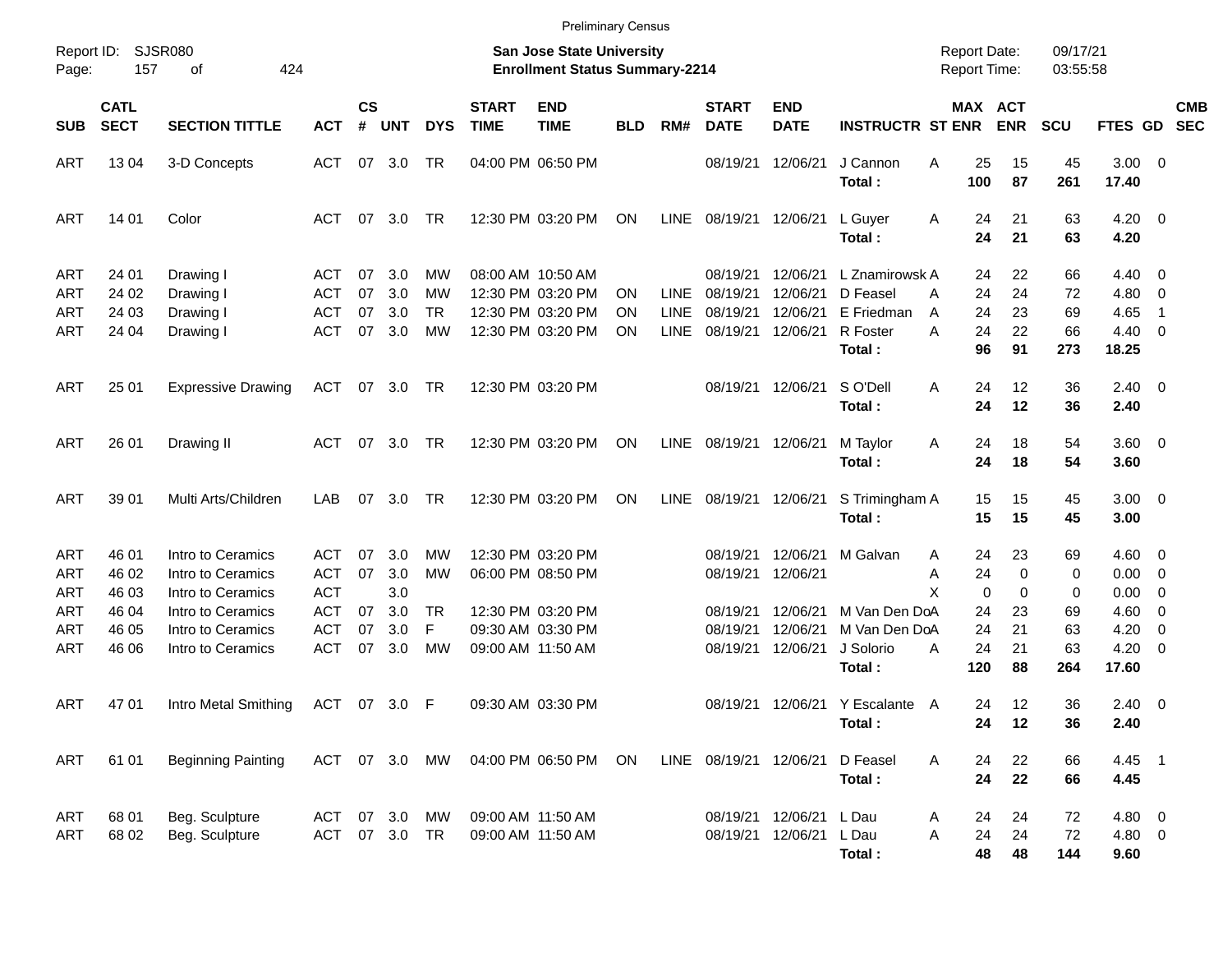|                          |                            |                                                             |                                        |                    |                         |                              |                             | <b>Preliminary Census</b>                                                 |            |                     |                                  |                                  |                                             |                                            |                                         |                      |                            |                                                                                |                          |
|--------------------------|----------------------------|-------------------------------------------------------------|----------------------------------------|--------------------|-------------------------|------------------------------|-----------------------------|---------------------------------------------------------------------------|------------|---------------------|----------------------------------|----------------------------------|---------------------------------------------|--------------------------------------------|-----------------------------------------|----------------------|----------------------------|--------------------------------------------------------------------------------|--------------------------|
| Report ID:<br>Page:      | <b>SJSR080</b><br>157      | 424<br>оf                                                   |                                        |                    |                         |                              |                             | <b>San Jose State University</b><br><b>Enrollment Status Summary-2214</b> |            |                     |                                  |                                  |                                             | <b>Report Date:</b><br><b>Report Time:</b> |                                         | 09/17/21<br>03:55:58 |                            |                                                                                |                          |
| <b>SUB</b>               | <b>CATL</b><br><b>SECT</b> | <b>SECTION TITTLE</b>                                       | <b>ACT</b>                             | $\mathsf{cs}$<br># | <b>UNT</b>              | <b>DYS</b>                   | <b>START</b><br><b>TIME</b> | <b>END</b><br><b>TIME</b>                                                 | <b>BLD</b> | RM#                 | <b>START</b><br><b>DATE</b>      | <b>END</b><br><b>DATE</b>        | <b>INSTRUCTR ST ENR</b>                     |                                            | MAX ACT<br><b>ENR</b>                   | <b>SCU</b>           | FTES GD                    |                                                                                | <b>CMB</b><br><b>SEC</b> |
| ART                      | 13 04                      | 3-D Concepts                                                | ACT                                    | 07                 | 3.0                     | TR                           |                             | 04:00 PM 06:50 PM                                                         |            |                     | 08/19/21                         | 12/06/21                         | J Cannon<br>Total:                          | Α<br>100                                   | 25<br>15<br>87                          | 45<br>261            | $3.00 \ 0$<br>17.40        |                                                                                |                          |
| ART                      | 14 01                      | Color                                                       | ACT                                    | 07                 | 3.0                     | TR                           |                             | 12:30 PM 03:20 PM                                                         | ON         | LINE                | 08/19/21                         | 12/06/21                         | L Guyer<br>Total:                           | A                                          | 21<br>24<br>24<br>21                    | 63<br>63             | $4.20 \ 0$<br>4.20         |                                                                                |                          |
| ART<br>ART<br>ART        | 24 01<br>24 02<br>24 03    | Drawing I<br>Drawing I                                      | ACT<br><b>ACT</b><br><b>ACT</b>        | 07<br>07<br>07     | 3.0<br>3.0<br>3.0       | MW<br><b>MW</b><br><b>TR</b> |                             | 08:00 AM 10:50 AM<br>12:30 PM 03:20 PM<br>12:30 PM 03:20 PM               | ΟN<br>ON   | LINE<br><b>LINE</b> | 08/19/21<br>08/19/21<br>08/19/21 | 12/06/21<br>12/06/21<br>12/06/21 | L Znamirowsk A<br>D Feasel<br>E Friedman    | A                                          | 22<br>24<br>24<br>24<br>24<br>23        | 66<br>72<br>69       | 4.40<br>4.80<br>4.65       | $\overline{\phantom{0}}$<br>$\overline{\mathbf{0}}$<br>$\overline{1}$          |                          |
| ART                      | 24 04                      | Drawing I<br>Drawing I                                      | <b>ACT</b>                             | 07                 | 3.0                     | <b>MW</b>                    |                             | 12:30 PM 03:20 PM                                                         | ON         | <b>LINE</b>         | 08/19/21                         | 12/06/21                         | R Foster<br>Total:                          | A<br>A                                     | 24<br>22<br>96<br>91                    | 66<br>273            | 4.40<br>18.25              | $\overline{\phantom{0}}$                                                       |                          |
| ART                      | 25 01                      | <b>Expressive Drawing</b>                                   | ACT                                    | 07                 | 3.0                     | TR                           |                             | 12:30 PM 03:20 PM                                                         |            |                     | 08/19/21                         | 12/06/21                         | S O'Dell<br>Total:                          | A                                          | 24<br>12<br>24<br>12                    | 36<br>36             | $2.40 \ 0$<br>2.40         |                                                                                |                          |
| ART                      | 26 01                      | Drawing II                                                  | ACT                                    | 07                 | 3.0                     | <b>TR</b>                    |                             | 12:30 PM 03:20 PM                                                         | <b>ON</b>  | LINE                | 08/19/21                         | 12/06/21                         | M Taylor<br>Total:                          | Α                                          | 18<br>24<br>24<br>18                    | 54<br>54             | 3.60 0<br>3.60             |                                                                                |                          |
| ART                      | 39 01                      | Multi Arts/Children                                         | LAB                                    | 07                 | 3.0                     | <b>TR</b>                    |                             | 12:30 PM 03:20 PM                                                         | ON         | LINE                | 08/19/21                         | 12/06/21                         | S Trimingham A<br>Total:                    |                                            | 15<br>15<br>15<br>15                    | 45<br>45             | $3.00 \ 0$<br>3.00         |                                                                                |                          |
| ART<br>ART<br>ART        | 46 01<br>46 02<br>46 03    | Intro to Ceramics<br>Intro to Ceramics<br>Intro to Ceramics | ACT<br><b>ACT</b><br><b>ACT</b>        | 07<br>07           | 3.0<br>3.0<br>3.0       | MW<br><b>MW</b>              |                             | 12:30 PM 03:20 PM<br>06:00 PM 08:50 PM                                    |            |                     | 08/19/21<br>08/19/21             | 12/06/21<br>12/06/21             | M Galvan                                    | A<br>Α<br>X                                | 23<br>24<br>24<br>$\mathbf 0$<br>0<br>0 | 69<br>0<br>0         | $4.60 \ 0$<br>0.00<br>0.00 | $\overline{\mathbf{0}}$<br>$\overline{\mathbf{0}}$                             |                          |
| ART<br><b>ART</b><br>ART | 46 04<br>46 05<br>46 06    | Intro to Ceramics<br>Intro to Ceramics<br>Intro to Ceramics | <b>ACT</b><br><b>ACT</b><br><b>ACT</b> | 07<br>07<br>07     | 3.0<br>3.0<br>3.0       | <b>TR</b><br>F<br><b>MW</b>  | 09:00 AM 11:50 AM           | 12:30 PM 03:20 PM<br>09:30 AM 03:30 PM                                    |            |                     | 08/19/21<br>08/19/21<br>08/19/21 | 12/06/21<br>12/06/21<br>12/06/21 | M Van Den DoA<br>M Van Den DoA<br>J Solorio | A                                          | 24<br>23<br>24<br>21<br>24<br>21        | 69<br>63<br>63       | 4.60<br>4.20<br>4.20       | $\overline{\mathbf{0}}$<br>$\overline{\mathbf{0}}$<br>$\overline{\phantom{0}}$ |                          |
| ART                      | 47 01                      | Intro Metal Smithing                                        | ACT                                    |                    | 07 3.0                  | F                            |                             | 09:30 AM 03:30 PM                                                         |            |                     |                                  |                                  | Total:<br>08/19/21 12/06/21 Y Escalante A   | 120                                        | 88<br>12<br>24                          | 264<br>36            | 17.60<br>$2.40 \ 0$        |                                                                                |                          |
| <b>ART</b>               | 61 01                      | <b>Beginning Painting</b>                                   |                                        |                    | ACT 07 3.0              | MW                           |                             | 04:00 PM 06:50 PM                                                         | ON         |                     | LINE 08/19/21 12/06/21           |                                  | Total:<br>D Feasel<br>Total:                | Α                                          | 24<br>12<br>22<br>24<br>24<br>22        | 36<br>66<br>66       | 2.40<br>4.45 1<br>4.45     |                                                                                |                          |
| ART<br>ART               | 68 01<br>68 02             | Beg. Sculpture<br>Beg. Sculpture                            | ACT                                    |                    | 07 3.0<br>ACT 07 3.0 TR | MW                           |                             | 09:00 AM 11:50 AM<br>09:00 AM 11:50 AM                                    |            |                     | 08/19/21<br>08/19/21             | 12/06/21<br>12/06/21             | L Dau<br>L Dau<br>Total:                    | Α<br>Α                                     | 24<br>24<br>24<br>24<br>48<br>48        | 72<br>72<br>144      | 4.80 0<br>4.80 0<br>9.60   |                                                                                |                          |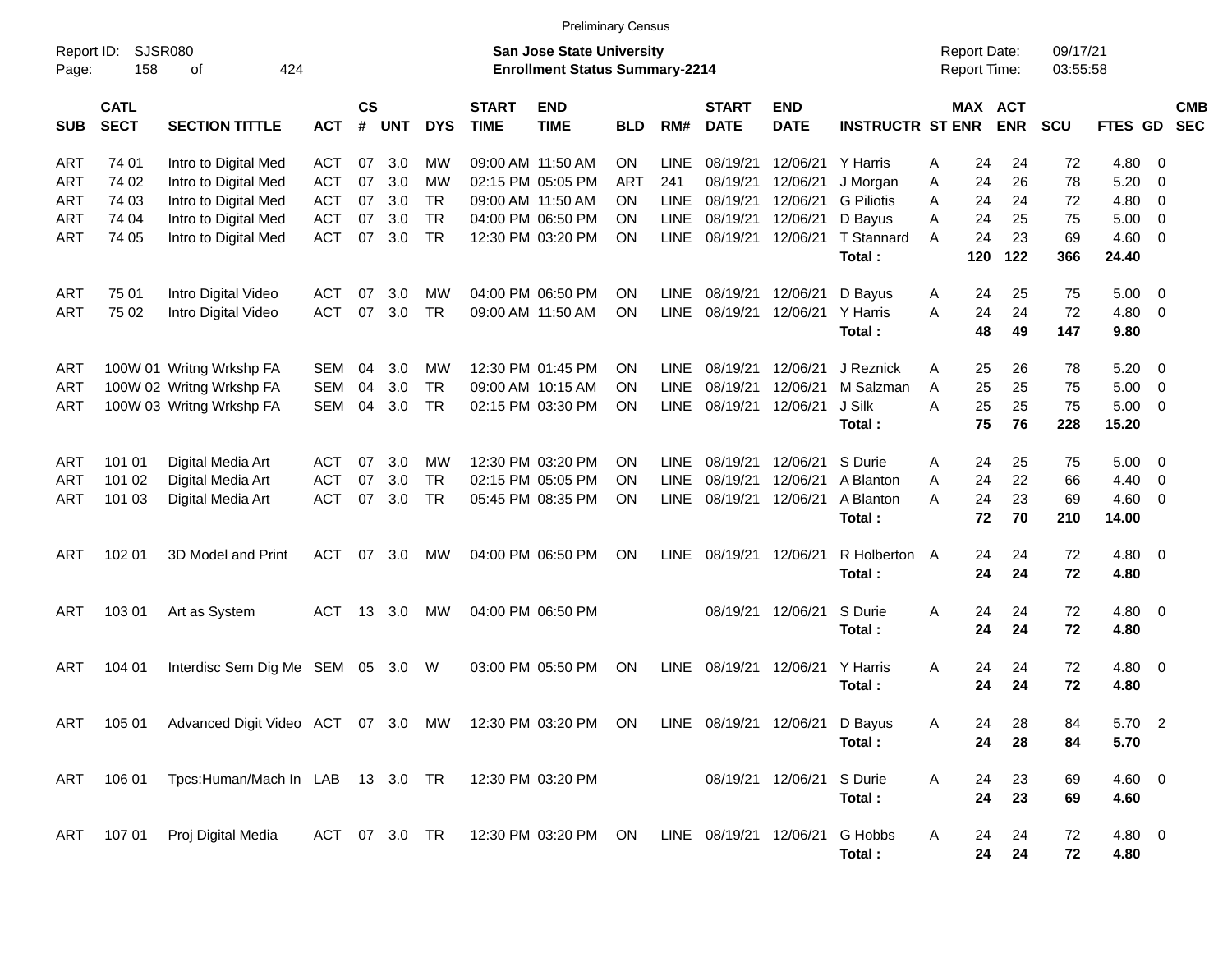|                     |                            |                                                                                                   |            |                    |            |            |                             |                                                                           | <b>Preliminary Census</b> |             |                             |                           |                         |   |                                     |            |                      |             |                         |            |
|---------------------|----------------------------|---------------------------------------------------------------------------------------------------|------------|--------------------|------------|------------|-----------------------------|---------------------------------------------------------------------------|---------------------------|-------------|-----------------------------|---------------------------|-------------------------|---|-------------------------------------|------------|----------------------|-------------|-------------------------|------------|
| Report ID:<br>Page: | SJSR080<br>158             | 424<br>оf                                                                                         |            |                    |            |            |                             | <b>San Jose State University</b><br><b>Enrollment Status Summary-2214</b> |                           |             |                             |                           |                         |   | <b>Report Date:</b><br>Report Time: |            | 09/17/21<br>03:55:58 |             |                         |            |
| <b>SUB</b>          | <b>CATL</b><br><b>SECT</b> | <b>SECTION TITTLE</b>                                                                             | <b>ACT</b> | $\mathsf{cs}$<br># | <b>UNT</b> | <b>DYS</b> | <b>START</b><br><b>TIME</b> | <b>END</b><br><b>TIME</b>                                                 | <b>BLD</b>                | RM#         | <b>START</b><br><b>DATE</b> | <b>END</b><br><b>DATE</b> | <b>INSTRUCTR ST ENR</b> |   | MAX ACT                             | <b>ENR</b> | SCU                  | FTES GD SEC |                         | <b>CMB</b> |
| <b>ART</b>          | 74 01                      | Intro to Digital Med                                                                              | ACT        | 07                 | 3.0        | МW         |                             | 09:00 AM 11:50 AM                                                         | ON                        | <b>LINE</b> | 08/19/21                    | 12/06/21                  | Y Harris                | A | 24                                  | 24         | 72                   | 4.80        | - 0                     |            |
| ART                 | 74 02                      | Intro to Digital Med                                                                              | <b>ACT</b> | 07                 | 3.0        | MW         |                             | 02:15 PM 05:05 PM                                                         | ART                       | 241         | 08/19/21                    | 12/06/21                  | J Morgan                | Α | 24                                  | 26         | 78                   | 5.20        | 0                       |            |
| ART                 | 74 03                      | Intro to Digital Med                                                                              | <b>ACT</b> | 07                 | 3.0        | <b>TR</b>  |                             | 09:00 AM 11:50 AM                                                         | <b>ON</b>                 | LINE        | 08/19/21                    | 12/06/21                  | <b>G</b> Piliotis       | Α | 24                                  | 24         | 72                   | 4.80        | 0                       |            |
| ART                 | 74 04                      | Intro to Digital Med                                                                              | <b>ACT</b> | 07                 | 3.0        | <b>TR</b>  |                             | 04:00 PM 06:50 PM                                                         | <b>ON</b>                 | LINE        | 08/19/21                    | 12/06/21                  | D Bayus                 | A | 24                                  | 25         | 75                   | 5.00        | 0                       |            |
| ART                 | 74 05                      | Intro to Digital Med                                                                              | <b>ACT</b> | 07                 | 3.0        | <b>TR</b>  |                             | 12:30 PM 03:20 PM                                                         | ON                        | <b>LINE</b> | 08/19/21                    | 12/06/21                  | <b>T</b> Stannard       | A | 24                                  | 23         | 69                   | 4.60        | 0                       |            |
|                     |                            |                                                                                                   |            |                    |            |            |                             |                                                                           |                           |             |                             |                           | Total:                  |   | 120                                 | 122        | 366                  | 24.40       |                         |            |
| ART                 | 75 01                      | Intro Digital Video                                                                               | <b>ACT</b> | 07                 | 3.0        | MW         |                             | 04:00 PM 06:50 PM                                                         | <b>ON</b>                 | <b>LINE</b> | 08/19/21                    | 12/06/21                  | D Bayus                 | A | 24                                  | 25         | 75                   | 5.00        | $\overline{0}$          |            |
| ART                 | 75 02                      | Intro Digital Video                                                                               | <b>ACT</b> | 07                 | 3.0        | <b>TR</b>  |                             | 09:00 AM 11:50 AM                                                         | <b>ON</b>                 | LINE        | 08/19/21                    | 12/06/21                  | Y Harris                | A | 24                                  | 24         | 72                   | 4.80        | 0                       |            |
|                     |                            |                                                                                                   |            |                    |            |            |                             |                                                                           |                           |             |                             |                           | Total:                  |   | 48                                  | 49         | 147                  | 9.80        |                         |            |
| ART                 |                            | 100W 01 Writng Wrkshp FA                                                                          | <b>SEM</b> | 04                 | 3.0        | <b>MW</b>  |                             | 12:30 PM 01:45 PM                                                         | <b>ON</b>                 | <b>LINE</b> | 08/19/21                    | 12/06/21                  | J Reznick               | A | 25                                  | 26         | 78                   | 5.20        | $\overline{0}$          |            |
| ART                 |                            | 100W 02 Writng Wrkshp FA                                                                          | <b>SEM</b> | 04                 | 3.0        | <b>TR</b>  |                             | 09:00 AM 10:15 AM                                                         | <b>ON</b>                 | LINE        | 08/19/21                    | 12/06/21                  | M Salzman               | A | 25                                  | 25         | 75                   | 5.00        | 0                       |            |
| ART                 |                            | 100W 03 Writng Wrkshp FA                                                                          | <b>SEM</b> | 04                 | 3.0        | <b>TR</b>  |                             | 02:15 PM 03:30 PM                                                         | <b>ON</b>                 | <b>LINE</b> | 08/19/21                    | 12/06/21                  | J Silk                  | A | 25                                  | 25         | 75                   | 5.00        | 0                       |            |
|                     |                            |                                                                                                   |            |                    |            |            |                             |                                                                           |                           |             |                             |                           | Total:                  |   | 75                                  | 76         | 228                  | 15.20       |                         |            |
| ART                 | 101 01                     | Digital Media Art                                                                                 | ACT        | 07                 | 3.0        | <b>MW</b>  |                             | 12:30 PM 03:20 PM                                                         | <b>ON</b>                 | <b>LINE</b> | 08/19/21                    | 12/06/21                  | S Durie                 | A | 24                                  | 25         | 75                   | 5.00        | $\overline{0}$          |            |
| ART                 | 101 02                     | Digital Media Art                                                                                 | <b>ACT</b> | 07                 | 3.0        | <b>TR</b>  |                             | 02:15 PM 05:05 PM                                                         | <b>ON</b>                 | LINE        | 08/19/21                    | 12/06/21                  | A Blanton               | A | 24                                  | 22         | 66                   | 4.40        | 0                       |            |
| ART                 | 101 03                     | Digital Media Art                                                                                 | <b>ACT</b> | 07                 | 3.0        | <b>TR</b>  |                             | 05:45 PM 08:35 PM                                                         | ON                        | <b>LINE</b> | 08/19/21                    | 12/06/21                  | A Blanton               | A | 24                                  | 23         | 69                   | 4.60        | 0                       |            |
|                     |                            |                                                                                                   |            |                    |            |            |                             |                                                                           |                           |             |                             |                           | Total:                  |   | 72                                  | 70         | 210                  | 14.00       |                         |            |
| ART                 | 102 01                     | 3D Model and Print                                                                                | <b>ACT</b> | 07                 | 3.0        | МW         |                             | 04:00 PM 06:50 PM                                                         | <b>ON</b>                 | <b>LINE</b> | 08/19/21                    | 12/06/21                  | R Holberton             | A | 24                                  | 24         | 72                   | 4.80        | $\overline{\mathbf{0}}$ |            |
|                     |                            |                                                                                                   |            |                    |            |            |                             |                                                                           |                           |             |                             |                           | Total:                  |   | 24                                  | 24         | 72                   | 4.80        |                         |            |
| ART                 | 103 01                     | Art as System                                                                                     | ACT        | 13                 | 3.0        | MW         |                             | 04:00 PM 06:50 PM                                                         |                           |             | 08/19/21                    | 12/06/21                  | S Durie                 | A | 24                                  | 24         | 72                   | 4.80        | $\overline{\mathbf{0}}$ |            |
|                     |                            |                                                                                                   |            |                    |            |            |                             |                                                                           |                           |             |                             |                           | Total:                  |   | 24                                  | 24         | 72                   | 4.80        |                         |            |
| ART                 | 104 01                     | Interdisc Sem Dig Me SEM                                                                          |            |                    | 05 3.0     | W          |                             | 03:00 PM 05:50 PM                                                         | ON                        | <b>LINE</b> | 08/19/21                    | 12/06/21                  | Y Harris                | Α | 24                                  | 24         | 72                   | 4.80        | $\overline{\mathbf{0}}$ |            |
|                     |                            |                                                                                                   |            |                    |            |            |                             |                                                                           |                           |             |                             |                           | Total:                  |   | 24                                  | 24         | 72                   | 4.80        |                         |            |
|                     |                            | ART 105 01 Advanced Digit Video ACT 07 3.0 MW 12:30 PM 03:20 PM ON LINE 08/19/21 12/06/21 D Bayus |            |                    |            |            |                             |                                                                           |                           |             |                             |                           |                         | Α | 24                                  | 28         | 84                   | 5.70 2      |                         |            |
|                     |                            |                                                                                                   |            |                    |            |            |                             |                                                                           |                           |             |                             |                           | Total:                  |   | 24                                  | 28         | 84                   | 5.70        |                         |            |
| ART                 |                            | 106 01 Tpcs: Human/Mach In LAB 13 3.0 TR 12:30 PM 03:20 PM                                        |            |                    |            |            |                             |                                                                           |                           |             |                             | 08/19/21 12/06/21         | S Durie                 | A | 24                                  | 23         | 69                   | 4.60 0      |                         |            |
|                     |                            |                                                                                                   |            |                    |            |            |                             |                                                                           |                           |             |                             |                           | Total:                  |   | 24                                  | 23         | 69                   | 4.60        |                         |            |
| ART                 | 107 01                     | Proj Digital Media                                                                                |            |                    |            |            |                             | ACT 07 3.0 TR 12:30 PM 03:20 PM ON LINE 08/19/21 12/06/21                 |                           |             |                             |                           | G Hobbs                 | A | 24                                  | 24         | 72                   | 4.80 0      |                         |            |
|                     |                            |                                                                                                   |            |                    |            |            |                             |                                                                           |                           |             |                             |                           | Total:                  |   | 24                                  | 24         | 72                   | 4.80        |                         |            |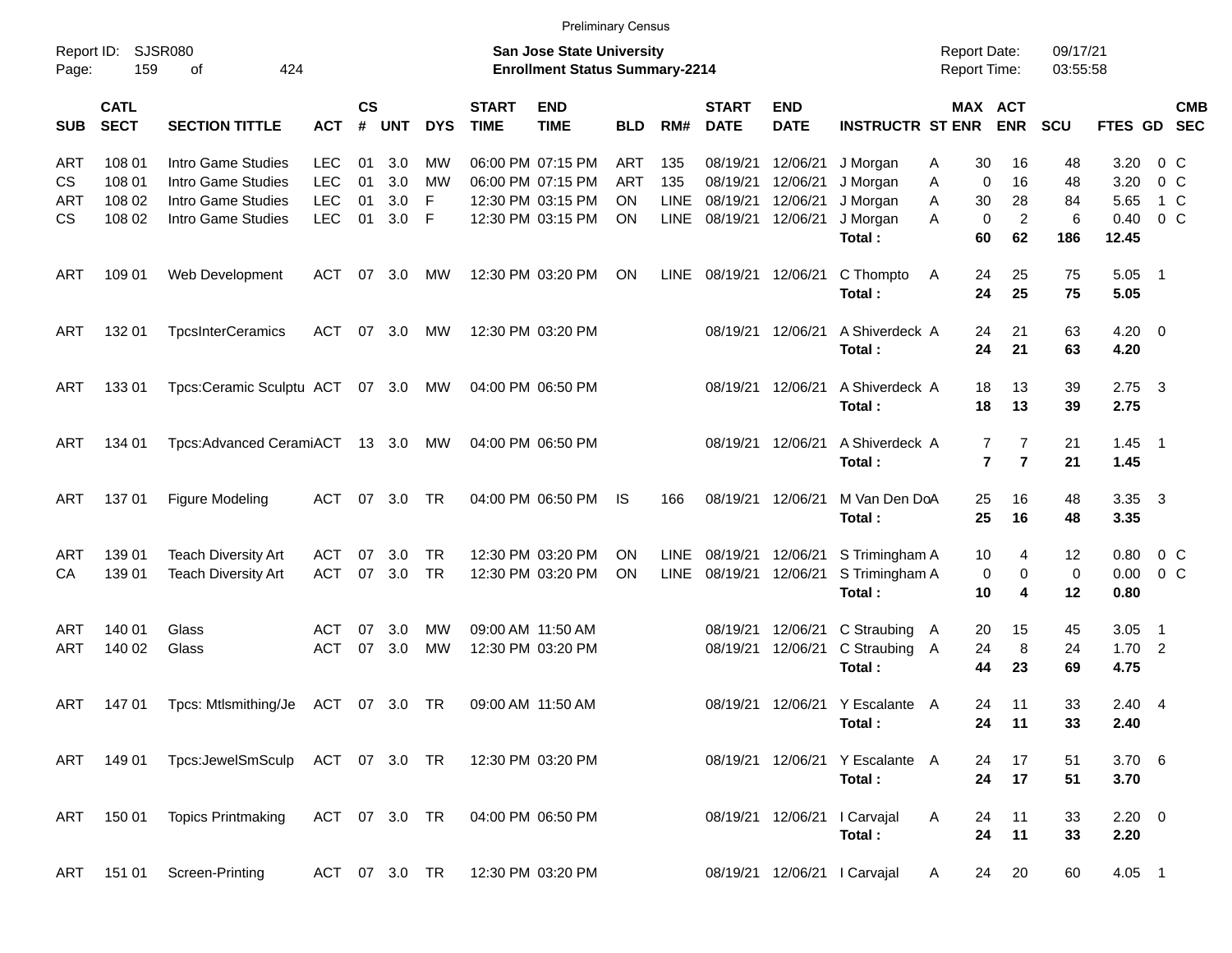|                     |                            |                                                   |               |                    |            |            |                             | <b>Preliminary Census</b>                                          |            |             |                             |                           |                                           |                                            |                                            |                      |                        |                          |            |
|---------------------|----------------------------|---------------------------------------------------|---------------|--------------------|------------|------------|-----------------------------|--------------------------------------------------------------------|------------|-------------|-----------------------------|---------------------------|-------------------------------------------|--------------------------------------------|--------------------------------------------|----------------------|------------------------|--------------------------|------------|
| Report ID:<br>Page: | 159                        | <b>SJSR080</b><br>424<br>οf                       |               |                    |            |            |                             | San Jose State University<br><b>Enrollment Status Summary-2214</b> |            |             |                             |                           |                                           | <b>Report Date:</b><br><b>Report Time:</b> |                                            | 09/17/21<br>03:55:58 |                        |                          |            |
| <b>SUB</b>          | <b>CATL</b><br><b>SECT</b> | <b>SECTION TITTLE</b>                             | <b>ACT</b>    | $\mathsf{cs}$<br># | <b>UNT</b> | <b>DYS</b> | <b>START</b><br><b>TIME</b> | <b>END</b><br><b>TIME</b>                                          | <b>BLD</b> | RM#         | <b>START</b><br><b>DATE</b> | <b>END</b><br><b>DATE</b> | <b>INSTRUCTR ST ENR</b>                   |                                            | MAX ACT<br><b>ENR</b>                      | <b>SCU</b>           | FTES GD SEC            |                          | <b>CMB</b> |
| ART                 | 108 01                     | Intro Game Studies                                | <b>LEC</b>    | 01                 | 3.0        | МW         |                             | 06:00 PM 07:15 PM                                                  | <b>ART</b> | 135         | 08/19/21                    | 12/06/21                  | J Morgan                                  | Α                                          | 30<br>16                                   | 48                   | 3.20                   | 0 C                      |            |
| CS.                 | 108 01                     | Intro Game Studies                                | <b>LEC</b>    | 01                 | 3.0        | МW         |                             | 06:00 PM 07:15 PM                                                  | <b>ART</b> | 135         | 08/19/21                    | 12/06/21                  | J Morgan                                  | Α                                          | $\mathbf 0$<br>16                          | 48                   | 3.20                   | 0 <sup>o</sup>           |            |
| ART                 | 108 02                     | Intro Game Studies                                | <b>LEC</b>    | 01                 | 3.0        | F          |                             | 12:30 PM 03:15 PM                                                  | <b>ON</b>  | LINE        | 08/19/21                    | 12/06/21                  | J Morgan                                  | Α                                          | 30<br>28                                   | 84                   | 5.65                   | 1 C                      |            |
| CS.                 | 108 02                     | Intro Game Studies                                | LEC           | 01                 | 3.0        | F          |                             | 12:30 PM 03:15 PM                                                  | ON         | LINE        | 08/19/21                    | 12/06/21                  | J Morgan<br>Total:                        | A                                          | $\overline{2}$<br>$\mathbf 0$<br>60<br>62  | 6<br>186             | 0.40<br>12.45          | 0 <sup>o</sup>           |            |
| ART                 | 109 01                     | Web Development                                   | <b>ACT</b>    | 07                 | 3.0        | MW         |                             | 12:30 PM 03:20 PM                                                  | ON         | LINE        | 08/19/21 12/06/21           |                           | C Thompto<br>Total:                       | A                                          | 25<br>24<br>24<br>25                       | 75<br>75             | 5.05<br>5.05           | $\overline{\phantom{1}}$ |            |
| ART                 | 132 01                     | <b>TpcsInterCeramics</b>                          | <b>ACT</b>    | 07                 | 3.0        | MW         |                             | 12:30 PM 03:20 PM                                                  |            |             |                             | 08/19/21 12/06/21         | A Shiverdeck A<br>Total:                  |                                            | 24<br>21<br>24<br>21                       | 63<br>63             | $4.20 \ 0$<br>4.20     |                          |            |
| ART                 | 133 01                     | Tpcs:Ceramic Sculptu ACT                          |               |                    | 07 3.0     | МW         |                             | 04:00 PM 06:50 PM                                                  |            |             |                             | 08/19/21 12/06/21         | A Shiverdeck A<br>Total:                  |                                            | 13<br>18<br>18<br>13                       | 39<br>39             | $2.75 \quad 3$<br>2.75 |                          |            |
| ART                 | 134 01                     | Tpcs:Advanced CeramiACT 13 3.0                    |               |                    |            | МW         |                             | 04:00 PM 06:50 PM                                                  |            |             | 08/19/21 12/06/21           |                           | A Shiverdeck A<br>Total:                  |                                            | 7<br>7<br>$\overline{7}$<br>$\overline{7}$ | 21<br>21             | $1.45$ 1<br>1.45       |                          |            |
| ART                 | 137 01                     | Figure Modeling                                   | ACT           | 07                 | 3.0        | TR         |                             | 04:00 PM 06:50 PM                                                  | IS.        | 166         | 08/19/21 12/06/21           |                           | M Van Den DoA<br>Total:                   |                                            | 25<br>16<br>25<br>16                       | 48<br>48             | 3.35 3<br>3.35         |                          |            |
| ART                 | 139 01                     | <b>Teach Diversity Art</b>                        | <b>ACT</b>    | 07                 | 3.0        | <b>TR</b>  |                             | 12:30 PM 03:20 PM                                                  | <b>ON</b>  | LINE        | 08/19/21 12/06/21           |                           | S Trimingham A                            |                                            | 10<br>4                                    | 12                   | 0.80                   | $0\,C$                   |            |
| CA                  | 139 01                     | <b>Teach Diversity Art</b>                        | <b>ACT</b>    | 07                 | 3.0        | <b>TR</b>  |                             | 12:30 PM 03:20 PM                                                  | ON         | <b>LINE</b> | 08/19/21                    | 12/06/21                  | S Trimingham A                            |                                            | 0<br>0                                     | 0                    | 0.00                   | 0 <sup>o</sup>           |            |
|                     |                            |                                                   |               |                    |            |            |                             |                                                                    |            |             |                             |                           | Total:                                    |                                            | 10<br>4                                    | 12                   | 0.80                   |                          |            |
| ART                 | 140 01                     | Glass                                             | ACT           | 07                 | 3.0        | МW         |                             | 09:00 AM 11:50 AM                                                  |            |             | 08/19/21                    | 12/06/21                  | C Straubing A                             |                                            | 20<br>15                                   | 45                   | 3.05                   | $\overline{\phantom{1}}$ |            |
| ART                 | 140 02                     | Glass                                             | <b>ACT</b>    | 07                 | 3.0        | <b>MW</b>  |                             | 12:30 PM 03:20 PM                                                  |            |             | 08/19/21                    | 12/06/21                  | C Straubing A<br>Total:                   | 24<br>44                                   | 8<br>23                                    | 24<br>69             | $1.70$ 2<br>4.75       |                          |            |
|                     |                            |                                                   |               |                    |            |            |                             |                                                                    |            |             |                             |                           |                                           |                                            |                                            |                      |                        |                          |            |
| ART                 | 14701                      | Tpcs: Mtlsmithing/Je                              | ACT           |                    | 07 3.0 TR  |            |                             | 09:00 AM 11:50 AM                                                  |            |             |                             |                           | 08/19/21 12/06/21 Y Escalante A<br>Total: |                                            | 24<br>11<br>24 11                          | 33<br>33             | $2.40 \quad 4$<br>2.40 |                          |            |
|                     | ART 149 01                 | Tpcs:JewelSmSculp ACT 07 3.0 TR 12:30 PM 03:20 PM |               |                    |            |            |                             |                                                                    |            |             |                             | 08/19/21 12/06/21         | Y Escalante A<br>Total:                   |                                            | 17<br>24<br>24<br>17                       | 51<br>51             | 3.706<br>3.70          |                          |            |
| ART                 | 150 01                     | <b>Topics Printmaking</b>                         | ACT 07 3.0 TR |                    |            |            |                             | 04:00 PM 06:50 PM                                                  |            |             |                             | 08/19/21 12/06/21         | I Carvajal<br>Total:                      | Α                                          | 24<br>11<br>24<br>11                       | 33<br>33             | $2.20 \t 0$<br>2.20    |                          |            |
| ART                 | 151 01                     | Screen-Printing                                   | ACT 07 3.0 TR |                    |            |            |                             | 12:30 PM 03:20 PM                                                  |            |             |                             |                           | 08/19/21 12/06/21   Carvajal              | A                                          | 20<br>24                                   | 60                   | $4.05$ 1               |                          |            |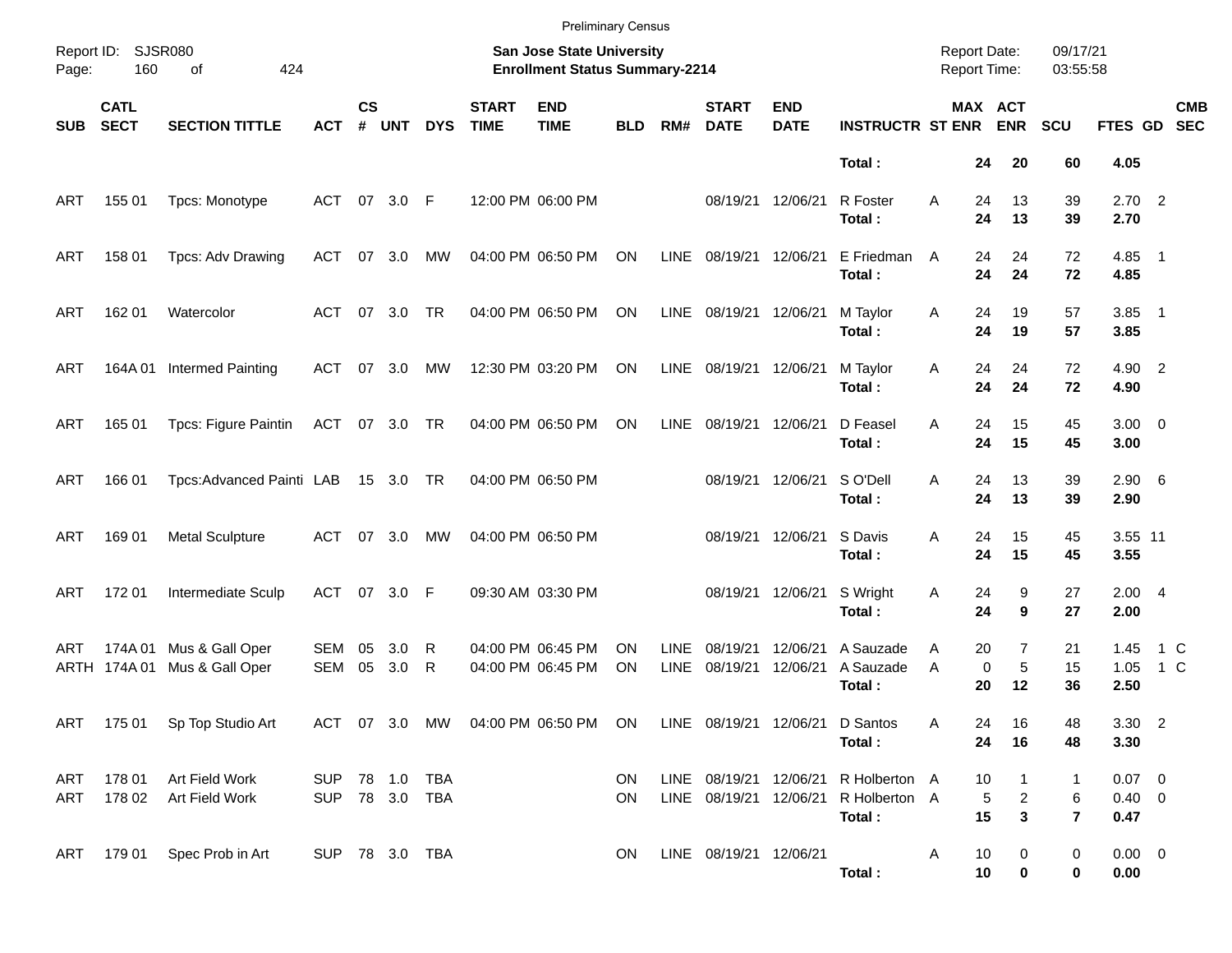|            |                            |                                                        |                                  |                    |            |            |                             | <b>Preliminary Census</b>                                                 |            |                            |                                                  |                           |                                          |                                            |                                                      |                          |                                |            |                          |
|------------|----------------------------|--------------------------------------------------------|----------------------------------|--------------------|------------|------------|-----------------------------|---------------------------------------------------------------------------|------------|----------------------------|--------------------------------------------------|---------------------------|------------------------------------------|--------------------------------------------|------------------------------------------------------|--------------------------|--------------------------------|------------|--------------------------|
| Page:      | Report ID: SJSR080<br>160  | 424<br>of                                              |                                  |                    |            |            |                             | <b>San Jose State University</b><br><b>Enrollment Status Summary-2214</b> |            |                            |                                                  |                           |                                          | <b>Report Date:</b><br><b>Report Time:</b> |                                                      | 09/17/21<br>03:55:58     |                                |            |                          |
| <b>SUB</b> | <b>CATL</b><br><b>SECT</b> | <b>SECTION TITTLE</b>                                  | <b>ACT</b>                       | $\mathsf{cs}$<br># | <b>UNT</b> | <b>DYS</b> | <b>START</b><br><b>TIME</b> | <b>END</b><br><b>TIME</b>                                                 | <b>BLD</b> | RM#                        | <b>START</b><br><b>DATE</b>                      | <b>END</b><br><b>DATE</b> | <b>INSTRUCTR ST ENR</b>                  |                                            | MAX ACT<br><b>ENR</b>                                | <b>SCU</b>               | FTES GD                        |            | <b>CMB</b><br><b>SEC</b> |
|            |                            |                                                        |                                  |                    |            |            |                             |                                                                           |            |                            |                                                  |                           | Total:                                   |                                            | 24<br>20                                             | 60                       | 4.05                           |            |                          |
| ART        | 155 01                     | Tpcs: Monotype                                         | ACT 07 3.0 F                     |                    |            |            |                             | 12:00 PM 06:00 PM                                                         |            |                            | 08/19/21                                         | 12/06/21                  | R Foster<br>Total:                       | A                                          | 13<br>24<br>24<br>13                                 | 39<br>39                 | $2.70$ 2<br>2.70               |            |                          |
| ART        | 158 01                     | Tpcs: Adv Drawing                                      | ACT                              |                    | 07 3.0     | МW         |                             | 04:00 PM 06:50 PM                                                         | ON         | LINE                       | 08/19/21                                         | 12/06/21                  | E Friedman<br>Total:                     | A                                          | 24<br>24<br>24<br>24                                 | 72<br>72                 | $4.85$ 1<br>4.85               |            |                          |
| ART        | 162 01                     | Watercolor                                             | ACT                              |                    | 07 3.0     | <b>TR</b>  |                             | 04:00 PM 06:50 PM                                                         | ON         | LINE                       | 08/19/21                                         | 12/06/21                  | M Taylor<br>Total:                       | Α                                          | 19<br>24<br>24<br>19                                 | 57<br>57                 | $3.85$ 1<br>3.85               |            |                          |
| ART        | 164A 01                    | <b>Intermed Painting</b>                               | ACT                              |                    | 07 3.0     | МW         |                             | 12:30 PM 03:20 PM                                                         | ON         | LINE                       | 08/19/21                                         | 12/06/21                  | M Taylor<br>Total:                       | Α                                          | 24<br>24<br>24<br>24                                 | 72<br>72                 | 4.90 2<br>4.90                 |            |                          |
| ART        | 165 01                     | Tpcs: Figure Paintin                                   | ACT 07 3.0 TR                    |                    |            |            |                             | 04:00 PM 06:50 PM                                                         | ON         | <b>LINE</b>                | 08/19/21                                         | 12/06/21                  | D Feasel<br>Total:                       | A                                          | 24<br>15<br>24<br>15                                 | 45<br>45                 | $3.00 \ 0$<br>3.00             |            |                          |
| ART        | 166 01                     | Tpcs:Advanced Painti LAB                               |                                  |                    | 15 3.0 TR  |            |                             | 04:00 PM 06:50 PM                                                         |            |                            | 08/19/21                                         | 12/06/21                  | S O'Dell<br>Total:                       | A                                          | 24<br>13<br>24<br>13                                 | 39<br>39                 | $2.90\quad 6$<br>2.90          |            |                          |
| ART        | 169 01                     | <b>Metal Sculpture</b>                                 | ACT                              |                    | 07 3.0     | МW         |                             | 04:00 PM 06:50 PM                                                         |            |                            | 08/19/21                                         | 12/06/21                  | S Davis<br>Total:                        | Α                                          | 24<br>15<br>24<br>15                                 | 45<br>45                 | 3.55 11<br>3.55                |            |                          |
| ART        | 172 01                     | Intermediate Sculp                                     | ACT 07 3.0 F                     |                    |            |            |                             | 09:30 AM 03:30 PM                                                         |            |                            | 08/19/21                                         | 12/06/21                  | S Wright<br>Total:                       | Α                                          | 9<br>24<br>24<br>9                                   | 27<br>27                 | 2.004<br>2.00                  |            |                          |
| ART        | 174A 01<br>ARTH 174A 01    | Mus & Gall Oper<br>Mus & Gall Oper                     | <b>SEM</b><br>SEM                | 05<br>05           | 3.0<br>3.0 | R<br>R     |                             | 04:00 PM 06:45 PM<br>04:00 PM 06:45 PM                                    | ΟN<br>ON   | <b>LINE</b><br><b>LINE</b> | 08/19/21<br>08/19/21                             | 12/06/21<br>12/06/21      | A Sauzade<br>A Sauzade<br>Total:         | A<br>A                                     | $\overline{7}$<br>20<br>5<br>0<br>20<br>12           | 21<br>15<br>36           | 1.45<br>1.05<br>2.50           | 1 C<br>1 C |                          |
|            |                            | ART 175 01 Sp Top Studio Art                           |                                  |                    |            |            |                             | ACT 07 3.0 MW 04:00 PM 06:50 PM ON LINE 08/19/21 12/06/21 D Santos        |            |                            |                                                  |                           | Total:                                   | A                                          | 24<br>16<br>24<br>16                                 | 48<br>48                 | $3.30$ 2<br>3.30               |            |                          |
|            |                            | ART 178 01 Art Field Work<br>ART 178 02 Art Field Work | SUP 78 1.0 TBA<br>SUP 78 3.0 TBA |                    |            |            |                             |                                                                           | ON.<br>ON  |                            | LINE 08/19/21 12/06/21<br>LINE 08/19/21 12/06/21 |                           | R Holberton A<br>R Holberton A<br>Total: |                                            | 10<br>$\mathbf{1}$<br>5<br>$\overline{a}$<br>15<br>3 | 1<br>6<br>$\overline{7}$ | $0.07$ 0<br>$0.40 \ 0$<br>0.47 |            |                          |
|            |                            | ART 179 01 Spec Prob in Art                            | SUP 78 3.0 TBA                   |                    |            |            |                             |                                                                           | ON.        |                            | LINE 08/19/21 12/06/21                           |                           | Total:                                   | A                                          | 10<br>0<br>10<br>0                                   | 0<br>0                   | $0.00 \t 0$<br>0.00            |            |                          |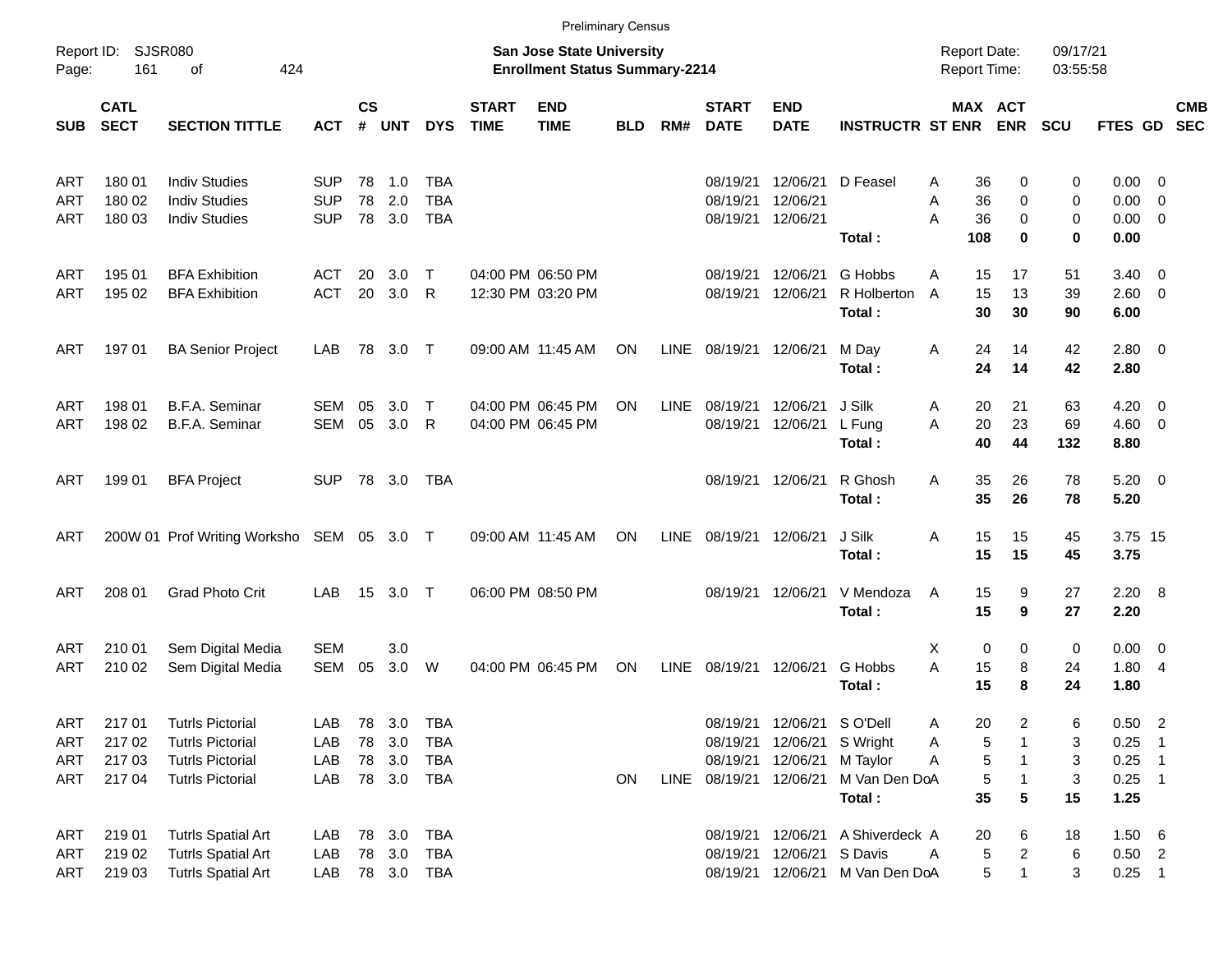|            |                            |                                           |            |                |            |            |                             |                                                                           | <b>Preliminary Census</b> |             |                             |                           |                         |                                            |                         |                      |                     |                          |            |
|------------|----------------------------|-------------------------------------------|------------|----------------|------------|------------|-----------------------------|---------------------------------------------------------------------------|---------------------------|-------------|-----------------------------|---------------------------|-------------------------|--------------------------------------------|-------------------------|----------------------|---------------------|--------------------------|------------|
| Page:      | Report ID: SJSR080<br>161  | 424<br>of                                 |            |                |            |            |                             | <b>San Jose State University</b><br><b>Enrollment Status Summary-2214</b> |                           |             |                             |                           |                         | <b>Report Date:</b><br><b>Report Time:</b> |                         | 09/17/21<br>03:55:58 |                     |                          |            |
| <b>SUB</b> | <b>CATL</b><br><b>SECT</b> | <b>SECTION TITTLE</b>                     | <b>ACT</b> | <b>CS</b><br># | <b>UNT</b> | <b>DYS</b> | <b>START</b><br><b>TIME</b> | <b>END</b><br><b>TIME</b>                                                 | <b>BLD</b>                | RM#         | <b>START</b><br><b>DATE</b> | <b>END</b><br><b>DATE</b> | <b>INSTRUCTR ST ENR</b> | MAX ACT                                    | <b>ENR</b>              | <b>SCU</b>           | FTES GD SEC         |                          | <b>CMB</b> |
| ART        | 180 01                     | <b>Indiv Studies</b>                      | <b>SUP</b> | 78             | $-1.0$     | <b>TBA</b> |                             |                                                                           |                           |             | 08/19/21                    | 12/06/21                  | D Feasel                | 36<br>A                                    | 0                       | 0                    | 0.00                | $\overline{\phantom{0}}$ |            |
| ART        | 180 02                     | <b>Indiv Studies</b>                      | <b>SUP</b> | 78             | 2.0        | <b>TBA</b> |                             |                                                                           |                           |             | 08/19/21                    | 12/06/21                  |                         | 36<br>Α                                    | 0                       | 0                    | 0.00                | - 0                      |            |
| ART        | 180 03                     | <b>Indiv Studies</b>                      | <b>SUP</b> |                | 78 3.0     | <b>TBA</b> |                             |                                                                           |                           |             |                             | 08/19/21 12/06/21         | Total:                  | 36<br>A<br>108                             | $\mathbf 0$<br>$\bf{0}$ | 0<br>$\mathbf 0$     | 0.00<br>0.00        | $\overline{\mathbf{0}}$  |            |
| ART        | 195 01                     | <b>BFA Exhibition</b>                     | ACT        | 20             | 3.0        | Т          |                             | 04:00 PM 06:50 PM                                                         |                           |             | 08/19/21                    | 12/06/21                  | G Hobbs                 | A<br>15                                    | 17                      | 51                   | 3.40                | $\overline{\phantom{0}}$ |            |
| ART        | 195 02                     | <b>BFA Exhibition</b>                     | <b>ACT</b> | 20             | 3.0        | R          |                             | 12:30 PM 03:20 PM                                                         |                           |             | 08/19/21                    | 12/06/21                  | R Holberton<br>Total:   | 15<br>$\overline{A}$<br>30                 | 13<br>30                | 39<br>90             | $2.60 \t 0$<br>6.00 |                          |            |
| ART        | 197 01                     | <b>BA Senior Project</b>                  | LAB        |                | 78 3.0 T   |            |                             | 09:00 AM 11:45 AM                                                         | ON                        | LINE        | 08/19/21 12/06/21           |                           | M Day<br>Total:         | Α<br>24<br>24                              | 14<br>14                | 42<br>42             | 2.80 0<br>2.80      |                          |            |
| ART        | 198 01                     | B.F.A. Seminar                            | <b>SEM</b> | 05             | 3.0        | Т          |                             | 04:00 PM 06:45 PM                                                         | ON                        | <b>LINE</b> | 08/19/21                    | 12/06/21                  | J Silk                  | 20<br>A                                    | 21                      | 63                   | 4.20                | $\overline{\phantom{0}}$ |            |
| ART        | 198 02                     | B.F.A. Seminar                            | SEM        | 05             | 3.0        | R          |                             | 04:00 PM 06:45 PM                                                         |                           |             | 08/19/21                    | 12/06/21                  | L Fung                  | 20<br>A                                    | 23                      | 69                   | $4.60$ 0            |                          |            |
|            |                            |                                           |            |                |            |            |                             |                                                                           |                           |             |                             |                           | Total:                  | 40                                         | 44                      | 132                  | 8.80                |                          |            |
| ART        | 199 01                     | <b>BFA Project</b>                        | <b>SUP</b> |                | 78 3.0     | TBA        |                             |                                                                           |                           |             |                             | 08/19/21 12/06/21         | R Ghosh                 | 35<br>A                                    | 26                      | 78                   | $5.20 \ 0$          |                          |            |
|            |                            |                                           |            |                |            |            |                             |                                                                           |                           |             |                             |                           | Total:                  | 35                                         | 26                      | 78                   | 5.20                |                          |            |
| ART        |                            | 200W 01 Prof Writing Worksho SEM 05 3.0 T |            |                |            |            |                             | 09:00 AM 11:45 AM                                                         | ON                        | <b>LINE</b> | 08/19/21 12/06/21           |                           | J Silk                  | 15<br>Α                                    | 15                      | 45                   | 3.75 15             |                          |            |
|            |                            |                                           |            |                |            |            |                             |                                                                           |                           |             |                             |                           | Total:                  | 15                                         | 15                      | 45                   | 3.75                |                          |            |
| <b>ART</b> | 208 01                     | <b>Grad Photo Crit</b>                    | LAB        |                | 15 3.0 T   |            |                             | 06:00 PM 08:50 PM                                                         |                           |             |                             | 08/19/21 12/06/21         | V Mendoza               | 15<br>Α                                    | 9                       | 27                   | $2.20\ 8$           |                          |            |
|            |                            |                                           |            |                |            |            |                             |                                                                           |                           |             |                             |                           | Total:                  | 15                                         | 9                       | 27                   | 2.20                |                          |            |
| ART        | 210 01                     | Sem Digital Media                         | <b>SEM</b> |                | 3.0        |            |                             |                                                                           |                           |             |                             |                           |                         | X<br>0                                     | 0                       | 0                    | $0.00 \t 0$         |                          |            |
| ART        | 210 02                     | Sem Digital Media                         | SEM        | 05             | 3.0        | W          |                             | 04:00 PM 06:45 PM                                                         | ON                        | LINE        | 08/19/21 12/06/21           |                           | G Hobbs                 | 15<br>A                                    | 8                       | 24                   | 1.80                | - 4                      |            |
|            |                            |                                           |            |                |            |            |                             |                                                                           |                           |             |                             |                           | Total:                  | 15                                         | 8                       | 24                   | 1.80                |                          |            |
| <b>ART</b> | 21701                      | <b>Tutrls Pictorial</b>                   | LAB        |                | 78 3.0     | TBA        |                             |                                                                           |                           |             |                             | 08/19/21 12/06/21         | S O'Dell                | 20<br>A                                    | 2                       | 6                    | 0.50                | $\overline{\phantom{a}}$ |            |
| ART        | 217 02                     | <b>Tutrls Pictorial</b>                   | LAB        |                | 78 3.0     | <b>TBA</b> |                             |                                                                           |                           |             |                             | 08/19/21 12/06/21         | S Wright                | 5<br>A                                     |                         | 3                    | 0.25                | - 1                      |            |
| ART        | 217 03                     | <b>Tutrls Pictorial</b>                   | LAB        |                | 78 3.0     | TBA        |                             |                                                                           |                           |             |                             | 08/19/21 12/06/21         | M Taylor                | 5<br>A                                     |                         | 3                    | 0.25                | $\overline{\phantom{1}}$ |            |
| ART        | 217 04                     | <b>Tutrls Pictorial</b>                   | LAB        |                | 78 3.0 TBA |            |                             |                                                                           | ON                        | LINE        | 08/19/21 12/06/21           |                           | M Van Den DoA           | 5                                          |                         | 3                    | $0.25$ 1            |                          |            |
|            |                            |                                           |            |                |            |            |                             |                                                                           |                           |             |                             |                           | Total:                  | 35                                         | 5                       | 15                   | 1.25                |                          |            |
| ART        | 219 01                     | <b>Tutrls Spatial Art</b>                 | LAB        |                | 78 3.0     | TBA        |                             |                                                                           |                           |             |                             | 08/19/21 12/06/21         | A Shiverdeck A          | 20                                         | 6                       | 18                   | 1.50 6              |                          |            |
| <b>ART</b> | 219 02                     | <b>Tutrls Spatial Art</b>                 | LAB        |                | 78 3.0     | TBA        |                             |                                                                           |                           |             |                             | 08/19/21 12/06/21         | S Davis                 | 5<br>Α                                     | 2                       | 6                    | $0.50$ 2            |                          |            |
| ART        | 21903                      | <b>Tutrls Spatial Art</b>                 | LAB        |                |            | 78 3.0 TBA |                             |                                                                           |                           |             |                             | 08/19/21 12/06/21         | M Van Den DoA           | 5                                          | $\mathbf{1}$            | 3                    | $0.25$ 1            |                          |            |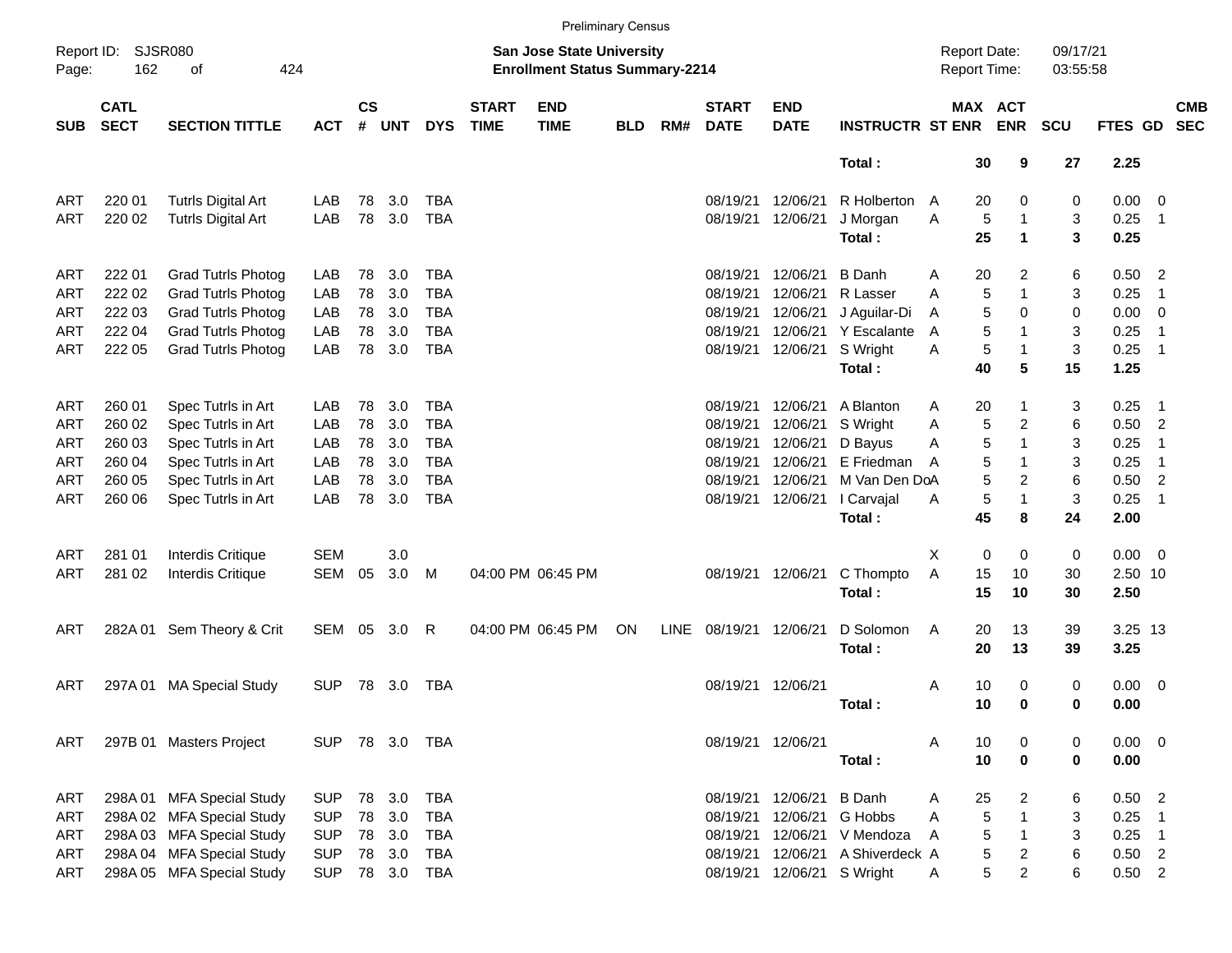|                     |                            |                           |            |                |            |            |                             |                                                                           | <b>Preliminary Census</b> |      |                             |                            |                         |   |                                     |                         |                      |                |                            |                          |
|---------------------|----------------------------|---------------------------|------------|----------------|------------|------------|-----------------------------|---------------------------------------------------------------------------|---------------------------|------|-----------------------------|----------------------------|-------------------------|---|-------------------------------------|-------------------------|----------------------|----------------|----------------------------|--------------------------|
| Report ID:<br>Page: | <b>SJSR080</b><br>162      | 424<br>οf                 |            |                |            |            |                             | <b>San Jose State University</b><br><b>Enrollment Status Summary-2214</b> |                           |      |                             |                            |                         |   | <b>Report Date:</b><br>Report Time: |                         | 09/17/21<br>03:55:58 |                |                            |                          |
| <b>SUB</b>          | <b>CATL</b><br><b>SECT</b> | <b>SECTION TITTLE</b>     | <b>ACT</b> | <b>CS</b><br># | <b>UNT</b> | <b>DYS</b> | <b>START</b><br><b>TIME</b> | <b>END</b><br><b>TIME</b>                                                 | <b>BLD</b>                | RM#  | <b>START</b><br><b>DATE</b> | <b>END</b><br><b>DATE</b>  | <b>INSTRUCTR ST ENR</b> |   |                                     | MAX ACT<br><b>ENR</b>   | <b>SCU</b>           | <b>FTES GD</b> |                            | <b>CMB</b><br><b>SEC</b> |
|                     |                            |                           |            |                |            |            |                             |                                                                           |                           |      |                             |                            | Total:                  |   | 30                                  | 9                       | 27                   | 2.25           |                            |                          |
| ART                 | 220 01                     | <b>Tutrls Digital Art</b> | LAB        | 78             | 3.0        | <b>TBA</b> |                             |                                                                           |                           |      | 08/19/21                    | 12/06/21                   | R Holberton A           |   | 20                                  | 0                       | 0                    | 0.00           | $\overline{\mathbf{0}}$    |                          |
| ART                 | 220 02                     | <b>Tutrls Digital Art</b> | LAB        | 78             | 3.0        | <b>TBA</b> |                             |                                                                           |                           |      | 08/19/21                    | 12/06/21                   | J Morgan                | Α | $\sqrt{5}$                          | 1                       | 3                    | 0.25           | -1                         |                          |
|                     |                            |                           |            |                |            |            |                             |                                                                           |                           |      |                             |                            | Total:                  |   | 25                                  | $\mathbf 1$             | 3                    | 0.25           |                            |                          |
| ART                 | 222 01                     | <b>Grad Tutrls Photog</b> | LAB        | 78             | 3.0        | <b>TBA</b> |                             |                                                                           |                           |      | 08/19/21                    | 12/06/21                   | <b>B</b> Danh           | A | 20                                  | 2                       | 6                    | 0.50           | $\overline{2}$             |                          |
| ART                 | 222 02                     | <b>Grad Tutrls Photog</b> | LAB        | 78             | 3.0        | <b>TBA</b> |                             |                                                                           |                           |      | 08/19/21                    | 12/06/21                   | R Lasser                | A | $\sqrt{5}$                          | 1                       | 3                    | 0.25           | $\overline{1}$             |                          |
| ART                 | 222 03                     | <b>Grad Tutrls Photog</b> | LAB        | 78             | 3.0        | <b>TBA</b> |                             |                                                                           |                           |      | 08/19/21                    | 12/06/21                   | J Aguilar-Di            | A | 5                                   | 0                       | 0                    | 0.00           | $\overline{\mathbf{0}}$    |                          |
| ART                 | 222 04                     | <b>Grad Tutrls Photog</b> | LAB        | 78             | 3.0        | <b>TBA</b> |                             |                                                                           |                           |      | 08/19/21                    | 12/06/21                   | Y Escalante             | A | 5                                   | 1                       | 3                    | 0.25           | $\overline{1}$             |                          |
| ART                 | 222 05                     | <b>Grad Tutrls Photog</b> | LAB        | 78             | 3.0        | <b>TBA</b> |                             |                                                                           |                           |      | 08/19/21                    | 12/06/21                   | S Wright                | A | 5                                   | 1                       | 3                    | 0.25           | $\overline{\phantom{1}}$   |                          |
|                     |                            |                           |            |                |            |            |                             |                                                                           |                           |      |                             |                            | Total:                  |   | 40                                  | 5                       | 15                   | 1.25           |                            |                          |
| ART                 | 260 01                     | Spec Tutrls in Art        | LAB        | 78             | 3.0        | <b>TBA</b> |                             |                                                                           |                           |      | 08/19/21                    | 12/06/21                   | A Blanton               | Α | 20                                  | 1                       | 3                    | 0.25           | - 1                        |                          |
| ART                 | 260 02                     | Spec Tutrls in Art        | LAB        | 78             | 3.0        | <b>TBA</b> |                             |                                                                           |                           |      | 08/19/21                    | 12/06/21                   | S Wright                | A | 5                                   | $\overline{c}$          | 6                    | 0.50           | $\overline{2}$             |                          |
| ART                 | 260 03                     | Spec Tutrls in Art        | LAB        | 78             | 3.0        | <b>TBA</b> |                             |                                                                           |                           |      | 08/19/21                    | 12/06/21                   | D Bayus                 | A | 5                                   | 1                       | 3                    | 0.25           | $\overline{1}$             |                          |
| ART                 | 260 04                     | Spec Tutrls in Art        | LAB        | 78             | 3.0        | <b>TBA</b> |                             |                                                                           |                           |      | 08/19/21                    | 12/06/21                   | E Friedman              | A | 5                                   | 1                       | 3                    | 0.25           | $\overline{1}$             |                          |
| ART                 | 260 05                     | Spec Tutrls in Art        | LAB        | 78             | 3.0        | <b>TBA</b> |                             |                                                                           |                           |      | 08/19/21                    | 12/06/21                   | M Van Den DoA           |   | 5                                   | $\overline{c}$          | 6                    | 0.50           | $\overline{2}$             |                          |
| ART                 | 260 06                     | Spec Tutrls in Art        | LAB        | 78             | 3.0        | <b>TBA</b> |                             |                                                                           |                           |      | 08/19/21                    | 12/06/21                   | I Carvajal              | Α | 5                                   | 1                       | 3                    | 0.25           | $\overline{1}$             |                          |
|                     |                            |                           |            |                |            |            |                             |                                                                           |                           |      |                             |                            | Total:                  |   | 45                                  | 8                       | 24                   | 2.00           |                            |                          |
| ART                 | 281 01                     | <b>Interdis Critique</b>  | <b>SEM</b> |                | 3.0        |            |                             |                                                                           |                           |      |                             |                            |                         | X | 0                                   | 0                       | 0                    | 0.00           | $\overline{\phantom{0}}$   |                          |
| ART                 | 281 02                     | <b>Interdis Critique</b>  | <b>SEM</b> | 05             | 3.0        | M          |                             | 04:00 PM 06:45 PM                                                         |                           |      | 08/19/21                    | 12/06/21                   | C Thompto               | Α | 15                                  | 10                      | 30                   | 2.50 10        |                            |                          |
|                     |                            |                           |            |                |            |            |                             |                                                                           |                           |      |                             |                            | Total:                  |   | 15                                  | 10                      | 30                   | 2.50           |                            |                          |
| ART                 |                            | 282A 01 Sem Theory & Crit | SEM 05     |                | 3.0        | R          |                             | 04:00 PM 06:45 PM                                                         | ON                        | LINE | 08/19/21 12/06/21           |                            | D Solomon               | A | 20                                  | 13                      | 39                   | 3.25 13        |                            |                          |
|                     |                            |                           |            |                |            |            |                             |                                                                           |                           |      |                             |                            | Total:                  |   | 20                                  | 13                      | 39                   | 3.25           |                            |                          |
| ART                 | 297A01                     | <b>MA Special Study</b>   | <b>SUP</b> | 78             | 3.0        | <b>TBA</b> |                             |                                                                           |                           |      | 08/19/21                    | 12/06/21                   |                         | Α | 10                                  | 0                       | 0                    | 0.00           | $\overline{\phantom{0}}$   |                          |
|                     |                            |                           |            |                |            |            |                             |                                                                           |                           |      |                             |                            | Total:                  |   | 10                                  | 0                       | 0                    | 0.00           |                            |                          |
| ART                 |                            | 297B 01 Masters Project   | <b>SUP</b> |                | 78 3.0     | TBA        |                             |                                                                           |                           |      |                             | 08/19/21 12/06/21          |                         | A | 10                                  | 0                       | 0                    | 0.00           | $\overline{\phantom{0}}$   |                          |
|                     |                            |                           |            |                |            |            |                             |                                                                           |                           |      |                             |                            | Total:                  |   | 10                                  | 0                       | 0                    | 0.00           |                            |                          |
| ART                 |                            | 298A 01 MFA Special Study | <b>SUP</b> | 78             | 3.0        | <b>TBA</b> |                             |                                                                           |                           |      | 08/19/21                    | 12/06/21                   | <b>B</b> Danh           | Α | 25                                  | 2                       | 6                    | 0.50           | $\overline{\phantom{0}}$   |                          |
| ART                 |                            | 298A 02 MFA Special Study | <b>SUP</b> | 78             | 3.0        | <b>TBA</b> |                             |                                                                           |                           |      | 08/19/21                    | 12/06/21                   | G Hobbs                 | Α | 5                                   | 1                       | 3                    | 0.25           | -1                         |                          |
| <b>ART</b>          |                            | 298A 03 MFA Special Study | <b>SUP</b> | 78             | 3.0        | <b>TBA</b> |                             |                                                                           |                           |      | 08/19/21                    | 12/06/21                   | V Mendoza               | Α | 5                                   | $\mathbf{1}$            | 3                    | 0.25           | $\overline{\phantom{0}}$ 1 |                          |
| ART                 |                            | 298A 04 MFA Special Study | <b>SUP</b> | 78             | 3.0        | <b>TBA</b> |                             |                                                                           |                           |      | 08/19/21                    | 12/06/21                   | A Shiverdeck A          |   | 5                                   | $\overline{\mathbf{c}}$ | $\,6$                | $0.50$ 2       |                            |                          |
| ART                 |                            | 298A 05 MFA Special Study | <b>SUP</b> |                | 78 3.0     | <b>TBA</b> |                             |                                                                           |                           |      |                             | 08/19/21 12/06/21 S Wright |                         | Α | 5                                   | $\overline{c}$          | 6                    | $0.50$ 2       |                            |                          |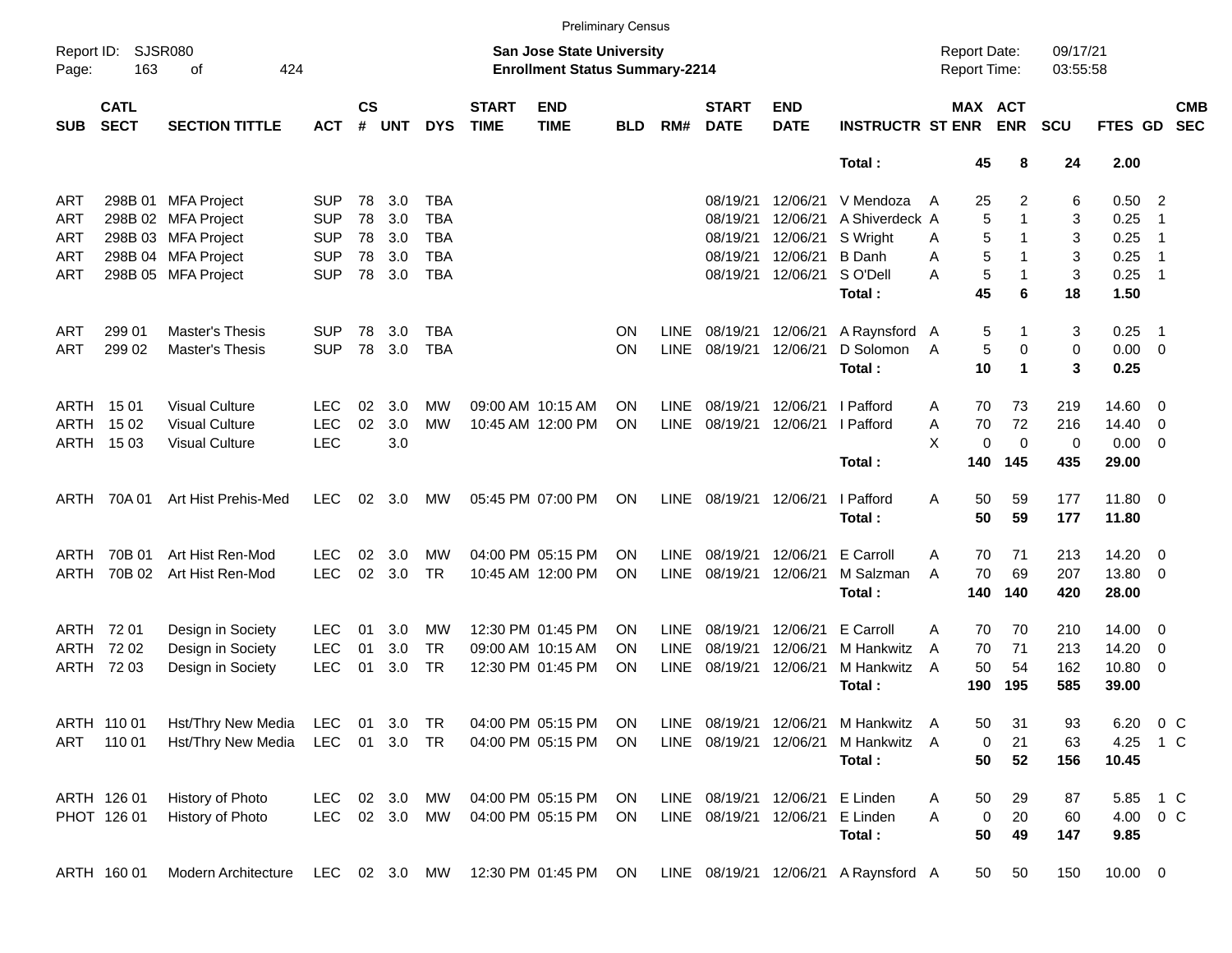|                     |                            |                             |               |                |            |            |                             | <b>Preliminary Census</b>                                                 |            |             |                             |                           |                                      |                     |             |                       |                      |                |                |                          |
|---------------------|----------------------------|-----------------------------|---------------|----------------|------------|------------|-----------------------------|---------------------------------------------------------------------------|------------|-------------|-----------------------------|---------------------------|--------------------------------------|---------------------|-------------|-----------------------|----------------------|----------------|----------------|--------------------------|
| Report ID:<br>Page: | 163                        | <b>SJSR080</b><br>424<br>οf |               |                |            |            |                             | <b>San Jose State University</b><br><b>Enrollment Status Summary-2214</b> |            |             |                             |                           |                                      | <b>Report Date:</b> |             | <b>Report Time:</b>   | 09/17/21<br>03:55:58 |                |                |                          |
| <b>SUB</b>          | <b>CATL</b><br><b>SECT</b> | <b>SECTION TITTLE</b>       | <b>ACT</b>    | <b>CS</b><br># | <b>UNT</b> | <b>DYS</b> | <b>START</b><br><b>TIME</b> | <b>END</b><br><b>TIME</b>                                                 | <b>BLD</b> | RM#         | <b>START</b><br><b>DATE</b> | <b>END</b><br><b>DATE</b> | <b>INSTRUCTR ST ENR</b>              |                     |             | MAX ACT<br><b>ENR</b> | <b>SCU</b>           | <b>FTES GD</b> |                | <b>CMB</b><br><b>SEC</b> |
|                     |                            |                             |               |                |            |            |                             |                                                                           |            |             |                             |                           | Total:                               |                     | 45          | 8                     | 24                   | 2.00           |                |                          |
| ART                 |                            | 298B 01 MFA Project         | <b>SUP</b>    | 78             | 3.0        | <b>TBA</b> |                             |                                                                           |            |             | 08/19/21                    | 12/06/21                  | V Mendoza                            | A                   | 25          | 2                     | 6                    | 0.50           | $\overline{2}$ |                          |
| ART                 |                            | 298B 02 MFA Project         | <b>SUP</b>    | 78             | 3.0        | <b>TBA</b> |                             |                                                                           |            |             | 08/19/21                    | 12/06/21                  | A Shiverdeck A                       |                     | 5           | -1                    | 3                    | 0.25           | $\overline{1}$ |                          |
| ART                 |                            | 298B 03 MFA Project         | <b>SUP</b>    | 78             | 3.0        | <b>TBA</b> |                             |                                                                           |            |             | 08/19/21                    | 12/06/21                  | S Wright                             | A                   | 5           | -1                    | 3                    | 0.25           | $\overline{1}$ |                          |
| ART                 |                            | 298B 04 MFA Project         | <b>SUP</b>    | 78             | 3.0        | <b>TBA</b> |                             |                                                                           |            |             | 08/19/21                    | 12/06/21                  | <b>B</b> Danh                        | Α                   | 5           | -1                    | 3                    | 0.25           | $\overline{1}$ |                          |
| ART                 |                            | 298B 05 MFA Project         | <b>SUP</b>    | 78             | 3.0        | <b>TBA</b> |                             |                                                                           |            |             |                             | 08/19/21 12/06/21         | S O'Dell                             | A                   | $\mathbf 5$ | $\mathbf 1$           | 3                    | 0.25           | $\overline{1}$ |                          |
|                     |                            |                             |               |                |            |            |                             |                                                                           |            |             |                             |                           | Total:                               |                     | 45          | 6                     | 18                   | 1.50           |                |                          |
| ART                 | 299 01                     | Master's Thesis             | <b>SUP</b>    | 78             | 3.0        | TBA        |                             |                                                                           | <b>ON</b>  | LINE        | 08/19/21 12/06/21           |                           | A Raynsford A                        |                     | 5           | -1                    | 3                    | 0.25           | $\overline{1}$ |                          |
| ART                 | 299 02                     | <b>Master's Thesis</b>      | <b>SUP</b>    | 78             | 3.0        | <b>TBA</b> |                             |                                                                           | ON         | <b>LINE</b> | 08/19/21                    | 12/06/21                  | D Solomon                            | A                   | 5           | 0                     | $\mathbf 0$          | 0.00           | $\overline{0}$ |                          |
|                     |                            |                             |               |                |            |            |                             |                                                                           |            |             |                             |                           | Total:                               |                     | 10          | $\mathbf 1$           | 3                    | 0.25           |                |                          |
| ARTH                | 15 01                      | <b>Visual Culture</b>       | <b>LEC</b>    | 02             | 3.0        | МW         |                             | 09:00 AM 10:15 AM                                                         | <b>ON</b>  | <b>LINE</b> | 08/19/21                    | 12/06/21                  | I Pafford                            | A                   | 70          | 73                    | 219                  | 14.60          | 0              |                          |
| ARTH                | 15 02                      | <b>Visual Culture</b>       | <b>LEC</b>    | 02             | 3.0        | MW         |                             | 10:45 AM 12:00 PM                                                         | ON         | <b>LINE</b> | 08/19/21                    | 12/06/21                  | I Pafford                            | A                   | 70          | 72                    | 216                  | 14.40          | 0              |                          |
|                     | ARTH 1503                  | <b>Visual Culture</b>       | <b>LEC</b>    |                | 3.0        |            |                             |                                                                           |            |             |                             |                           |                                      | X                   | 0           | 0                     | 0                    | 0.00           | 0              |                          |
|                     |                            |                             |               |                |            |            |                             |                                                                           |            |             |                             |                           | Total :                              |                     | 140         | 145                   | 435                  | 29.00          |                |                          |
| ARTH                | 70A 01                     | Art Hist Prehis-Med         | <b>LEC</b>    | 02             | 3.0        | MW         |                             | 05:45 PM 07:00 PM                                                         | <b>ON</b>  | LINE        | 08/19/21 12/06/21           |                           | I Pafford                            | A                   | 50          | 59                    | 177                  | 11.80          | - 0            |                          |
|                     |                            |                             |               |                |            |            |                             |                                                                           |            |             |                             |                           | Total:                               |                     | 50          | 59                    | 177                  | 11.80          |                |                          |
|                     |                            |                             |               |                |            |            |                             |                                                                           |            |             |                             |                           |                                      |                     |             |                       |                      |                |                |                          |
| ARTH                | 70B 01                     | Art Hist Ren-Mod            | <b>LEC</b>    | 02             | 3.0        | MW         |                             | 04:00 PM 05:15 PM                                                         | <b>ON</b>  | <b>LINE</b> | 08/19/21                    | 12/06/21                  | E Carroll                            | A                   | 70          | 71                    | 213                  | 14.20          | 0              |                          |
| ARTH                | 70B 02                     | Art Hist Ren-Mod            | <b>LEC</b>    | 02             | 3.0        | <b>TR</b>  |                             | 10:45 AM 12:00 PM                                                         | <b>ON</b>  | <b>LINE</b> | 08/19/21                    | 12/06/21                  | M Salzman                            | A                   | 70          | 69                    | 207                  | 13.80          | 0              |                          |
|                     |                            |                             |               |                |            |            |                             |                                                                           |            |             |                             |                           | Total:                               |                     | 140         | 140                   | 420                  | 28.00          |                |                          |
| ARTH                | 72 01                      | Design in Society           | LEC.          | 01             | 3.0        | MW         |                             | 12:30 PM 01:45 PM                                                         | <b>ON</b>  | <b>LINE</b> | 08/19/21                    | 12/06/21                  | E Carroll                            | Α                   | 70          | 70                    | 210                  | 14.00          | $\overline{0}$ |                          |
| ARTH                | 72 02                      | Design in Society           | <b>LEC</b>    | 01             | 3.0        | <b>TR</b>  |                             | 09:00 AM 10:15 AM                                                         | <b>ON</b>  | <b>LINE</b> | 08/19/21                    | 12/06/21                  | M Hankwitz                           | A                   | 70          | 71                    | 213                  | 14.20          | 0              |                          |
| ARTH                | 72 03                      | Design in Society           | <b>LEC</b>    | 01             | 3.0        | <b>TR</b>  |                             | 12:30 PM 01:45 PM                                                         | <b>ON</b>  | LINE        | 08/19/21                    | 12/06/21                  | M Hankwitz                           | A                   | 50          | 54                    | 162                  | 10.80          | 0              |                          |
|                     |                            |                             |               |                |            |            |                             |                                                                           |            |             |                             |                           | Total:                               |                     | 190         | 195                   | 585                  | 39.00          |                |                          |
|                     | ARTH 110 01                | Hst/Thry New Media          | LEC           | 01             | 3.0        | TR         |                             | 04:00 PM 05:15 PM                                                         | <b>ON</b>  |             | LINE 08/19/21 12/06/21      |                           | M Hankwitz A                         |                     | 50          | 31                    | 93                   | 6.20           | 0 <sup>o</sup> |                          |
| ART                 | 110 01                     | Hst/Thry New Media          | LEC           |                | 01 3.0     | <b>TR</b>  |                             | 04:00 PM 05:15 PM                                                         | ON         |             | LINE 08/19/21 12/06/21      |                           | M Hankwitz A                         |                     | 0           | 21                    | 63                   | 4.25           | 1 C            |                          |
|                     |                            |                             |               |                |            |            |                             |                                                                           |            |             |                             |                           | Total:                               |                     | 50          | 52                    | 156                  | 10.45          |                |                          |
|                     | ARTH 126 01                | History of Photo            | <b>LEC</b>    |                | 02 3.0     | MW         |                             | 04:00 PM 05:15 PM                                                         | ON         |             | LINE 08/19/21 12/06/21      |                           | E Linden                             | A                   | 50          | 29                    | 87                   | 5.85           | 1 C            |                          |
|                     | PHOT 126 01                | History of Photo            | LEC           |                | 02 3.0     | MW         |                             | 04:00 PM 05:15 PM                                                         | ON         |             | LINE 08/19/21 12/06/21      |                           | E Linden                             | Α                   | 0           | 20                    | 60                   | 4.00 0 C       |                |                          |
|                     |                            |                             |               |                |            |            |                             |                                                                           |            |             |                             |                           | Total:                               |                     | 50          | 49                    | 147                  | 9.85           |                |                          |
|                     | ARTH 160 01                | Modern Architecture         | LEC 02 3.0 MW |                |            |            |                             | 12:30 PM 01:45 PM                                                         | ON         |             |                             |                           | LINE 08/19/21 12/06/21 A Raynsford A |                     | 50          | 50                    | 150                  | $10.00 \t 0$   |                |                          |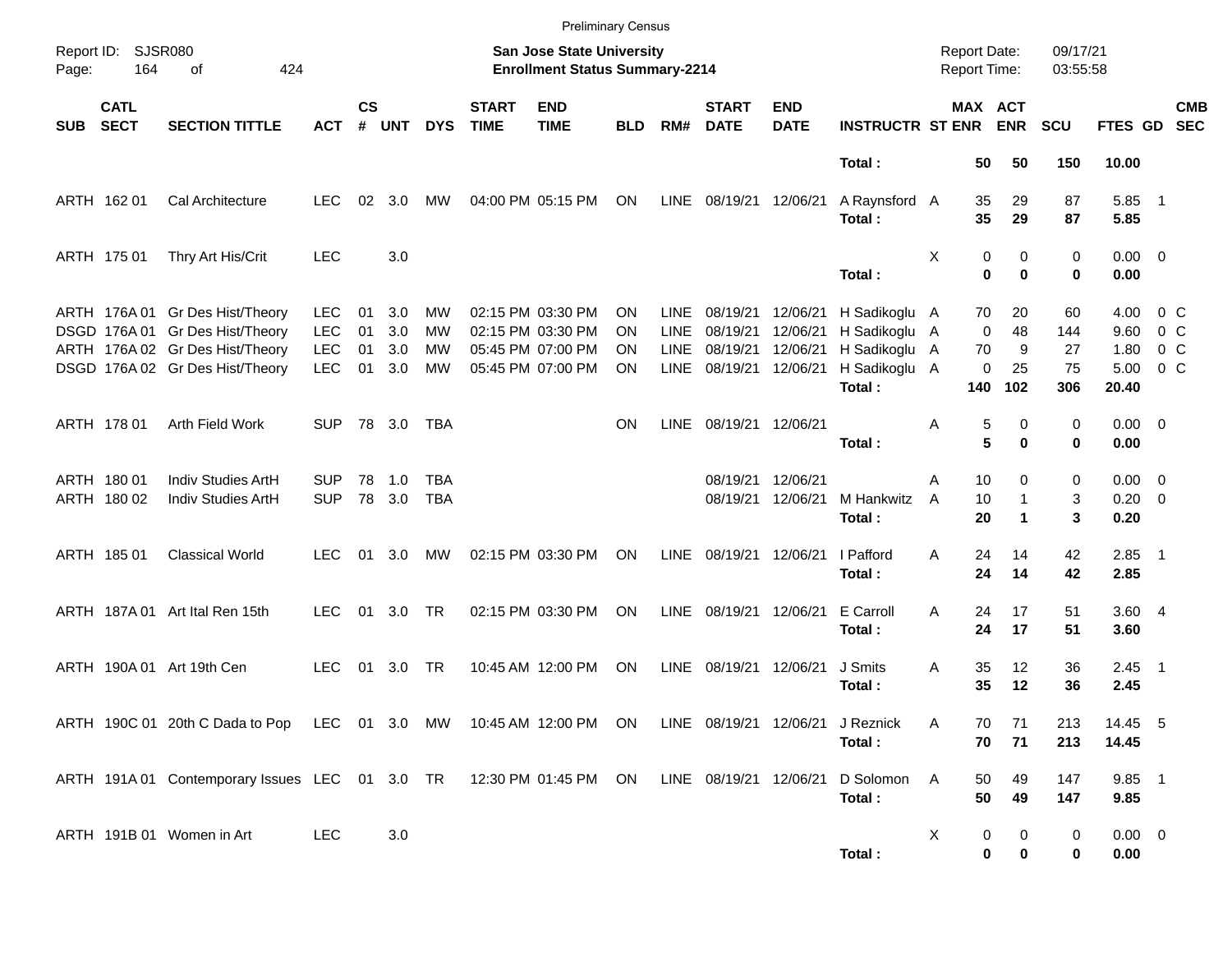|            |                            |                                                                                                                                          |                                                      |                      |                          |                      |                             | <b>Preliminary Census</b>                                                        |                       |                                                   |                                              |                                              |                                                                          |        |                                     |                            |                              |                                       |                                         |                          |
|------------|----------------------------|------------------------------------------------------------------------------------------------------------------------------------------|------------------------------------------------------|----------------------|--------------------------|----------------------|-----------------------------|----------------------------------------------------------------------------------|-----------------------|---------------------------------------------------|----------------------------------------------|----------------------------------------------|--------------------------------------------------------------------------|--------|-------------------------------------|----------------------------|------------------------------|---------------------------------------|-----------------------------------------|--------------------------|
| Page:      | Report ID: SJSR080<br>164  | of<br>424                                                                                                                                |                                                      |                      |                          |                      |                             | <b>San Jose State University</b><br><b>Enrollment Status Summary-2214</b>        |                       |                                                   |                                              |                                              |                                                                          |        | <b>Report Date:</b><br>Report Time: |                            | 09/17/21<br>03:55:58         |                                       |                                         |                          |
| <b>SUB</b> | <b>CATL</b><br><b>SECT</b> | <b>SECTION TITTLE</b>                                                                                                                    | <b>ACT</b>                                           | $\mathsf{cs}$<br>#   | <b>UNT</b>               | <b>DYS</b>           | <b>START</b><br><b>TIME</b> | <b>END</b><br><b>TIME</b>                                                        | <b>BLD</b>            | RM#                                               | <b>START</b><br><b>DATE</b>                  | <b>END</b><br><b>DATE</b>                    | <b>INSTRUCTR ST ENR</b>                                                  |        |                                     | MAX ACT<br><b>ENR</b>      | <b>SCU</b>                   | FTES GD                               |                                         | <b>CMB</b><br><b>SEC</b> |
|            |                            |                                                                                                                                          |                                                      |                      |                          |                      |                             |                                                                                  |                       |                                                   |                                              |                                              | Total:                                                                   |        | 50                                  | 50                         | 150                          | 10.00                                 |                                         |                          |
|            | ARTH 162 01                | Cal Architecture                                                                                                                         | <b>LEC</b>                                           | 02                   | 3.0                      | МW                   |                             | 04:00 PM 05:15 PM                                                                | ON                    | LINE                                              | 08/19/21 12/06/21                            |                                              | A Raynsford A<br>Total:                                                  |        | 35<br>35                            | 29<br>29                   | 87<br>87                     | 5.85 1<br>5.85                        |                                         |                          |
|            | ARTH 175 01                | Thry Art His/Crit                                                                                                                        | <b>LEC</b>                                           |                      | 3.0                      |                      |                             |                                                                                  |                       |                                                   |                                              |                                              | Total:                                                                   | Χ      | 0<br>$\bf{0}$                       | 0<br>$\bf{0}$              | 0<br>0                       | $0.00 \t 0$<br>0.00                   |                                         |                          |
|            |                            | ARTH 176A 01 Gr Des Hist/Theory<br>DSGD 176A 01 Gr Des Hist/Theory<br>ARTH 176A 02 Gr Des Hist/Theory<br>DSGD 176A 02 Gr Des Hist/Theory | <b>LEC</b><br><b>LEC</b><br><b>LEC</b><br><b>LEC</b> | 01<br>01<br>01<br>01 | 3.0<br>3.0<br>3.0<br>3.0 | MW<br>MW<br>MW<br>MW |                             | 02:15 PM 03:30 PM<br>02:15 PM 03:30 PM<br>05:45 PM 07:00 PM<br>05:45 PM 07:00 PM | ON<br>ON.<br>ΟN<br>ΟN | <b>LINE</b><br><b>LINE</b><br><b>LINE</b><br>LINE | 08/19/21<br>08/19/21<br>08/19/21<br>08/19/21 | 12/06/21<br>12/06/21<br>12/06/21<br>12/06/21 | H Sadikoglu A<br>H Sadikoglu A<br>H Sadikoglu<br>H Sadikoglu A<br>Total: | A      | 70<br>$\mathbf 0$<br>70<br>0<br>140 | 20<br>48<br>9<br>25<br>102 | 60<br>144<br>27<br>75<br>306 | 4.00<br>9.60<br>1.80<br>5.00<br>20.40 | 0 C<br>0 C<br>$0\,$ C<br>0 <sup>o</sup> |                          |
|            | ARTH 178 01                | Arth Field Work                                                                                                                          | SUP.                                                 |                      | 78 3.0                   | TBA                  |                             |                                                                                  | ΟN                    | LINE                                              | 08/19/21 12/06/21                            |                                              | Total:                                                                   | Α      | 5<br>5                              | 0<br>$\bf{0}$              | 0<br>0                       | $0.00 \t 0$<br>0.00                   |                                         |                          |
|            | ARTH 180 01<br>ARTH 180 02 | Indiv Studies ArtH<br>Indiv Studies ArtH                                                                                                 | <b>SUP</b><br><b>SUP</b>                             | 78                   | 1.0<br>78 3.0            | TBA<br><b>TBA</b>    |                             |                                                                                  |                       |                                                   | 08/19/21<br>08/19/21                         | 12/06/21<br>12/06/21                         | M Hankwitz<br>Total:                                                     | A<br>A | 10<br>10<br>20                      | 0<br>1<br>1                | 0<br>3<br>3                  | $0.00 \t 0$<br>$0.20 \ 0$<br>0.20     |                                         |                          |
|            | ARTH 185 01                | <b>Classical World</b>                                                                                                                   | <b>LEC</b>                                           | 01                   | 3.0                      | МW                   |                             | 02:15 PM 03:30 PM                                                                | ON                    | LINE                                              | 08/19/21 12/06/21                            |                                              | I Pafford<br>Total:                                                      | A      | 24<br>24                            | 14<br>14                   | 42<br>42                     | $2.85$ 1<br>2.85                      |                                         |                          |
|            |                            | ARTH 187A 01 Art Ital Ren 15th                                                                                                           | <b>LEC</b>                                           | 01                   | 3.0                      | TR                   |                             | 02:15 PM 03:30 PM                                                                | ON                    | LINE                                              | 08/19/21                                     | 12/06/21                                     | E Carroll<br>Total:                                                      | A      | 24<br>24                            | 17<br>17                   | 51<br>51                     | 3.604<br>3.60                         |                                         |                          |
|            |                            | ARTH 190A 01 Art 19th Cen                                                                                                                | <b>LEC</b>                                           | 01                   | 3.0                      | TR                   |                             | 10:45 AM 12:00 PM                                                                | ON                    | LINE                                              | 08/19/21                                     | 12/06/21                                     | J Smits<br>Total:                                                        | Α      | 35<br>35                            | 12<br>12                   | 36<br>36                     | $2.45$ 1<br>2.45                      |                                         |                          |
|            |                            | ARTH 190C 01 20th C Dada to Pop LEC 01 3.0 MW 10:45 AM 12:00 PM ON LINE 08/19/21 12/06/21 J Reznick                                      |                                                      |                      |                          |                      |                             |                                                                                  |                       |                                                   |                                              |                                              | Total:                                                                   | Α      | 70<br>70                            | 71<br>71                   | 213<br>213                   | 14.45 5<br>14.45                      |                                         |                          |
|            |                            | ARTH 191A 01 Contemporary Issues LEC 01 3.0 TR 12:30 PM 01:45 PM ON LINE 08/19/21 12/06/21                                               |                                                      |                      |                          |                      |                             |                                                                                  |                       |                                                   |                                              |                                              | D Solomon<br>Total:                                                      | A      | 50<br>50                            | 49<br>49                   | 147<br>147                   | 9.85 1<br>9.85                        |                                         |                          |
|            |                            | ARTH 191B 01 Women in Art                                                                                                                | <b>LEC</b>                                           |                      | 3.0                      |                      |                             |                                                                                  |                       |                                                   |                                              |                                              | Total:                                                                   | X      | 0<br>0                              | 0<br>0                     | 0<br>0                       | $0.00 \t 0$<br>0.00                   |                                         |                          |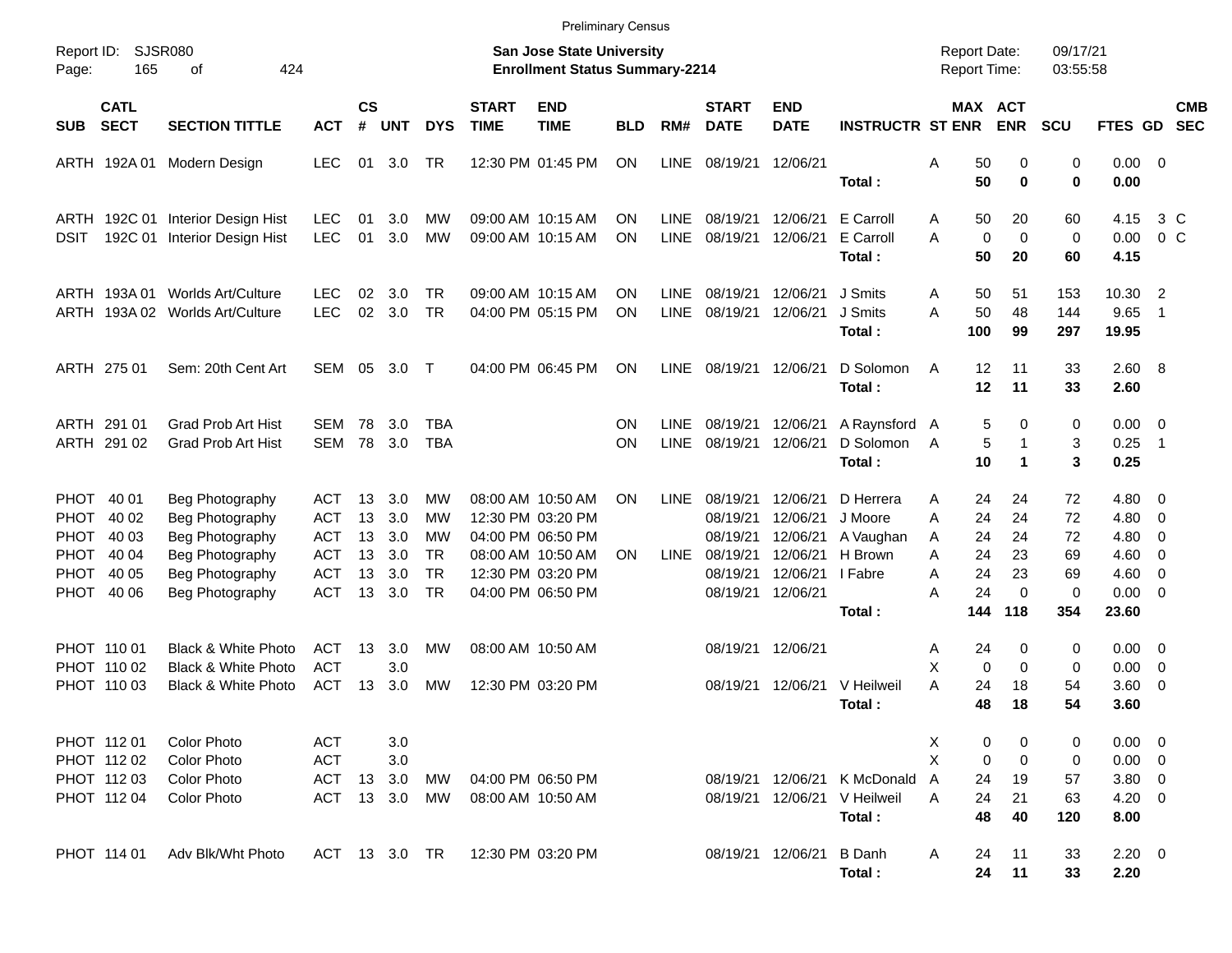|                                                                       |                                                                                         |                                               |                      |                                |                                    |                             | <b>Preliminary Census</b>                                                 |            |                     |                                              |                                              |                                            |                                            |                                        |                         |                                                       |                                                             |                          |
|-----------------------------------------------------------------------|-----------------------------------------------------------------------------------------|-----------------------------------------------|----------------------|--------------------------------|------------------------------------|-----------------------------|---------------------------------------------------------------------------|------------|---------------------|----------------------------------------------|----------------------------------------------|--------------------------------------------|--------------------------------------------|----------------------------------------|-------------------------|-------------------------------------------------------|-------------------------------------------------------------|--------------------------|
| Report ID:<br>165<br>Page:                                            | SJSR080<br>424<br>οf                                                                    |                                               |                      |                                |                                    |                             | <b>San Jose State University</b><br><b>Enrollment Status Summary-2214</b> |            |                     |                                              |                                              |                                            | <b>Report Date:</b><br><b>Report Time:</b> |                                        | 09/17/21<br>03:55:58    |                                                       |                                                             |                          |
| <b>CATL</b><br><b>SECT</b><br><b>SUB</b>                              | <b>SECTION TITTLE</b>                                                                   | <b>ACT</b>                                    | <b>CS</b><br>#       | <b>UNT</b>                     | <b>DYS</b>                         | <b>START</b><br><b>TIME</b> | <b>END</b><br><b>TIME</b>                                                 | <b>BLD</b> | RM#                 | <b>START</b><br><b>DATE</b>                  | <b>END</b><br><b>DATE</b>                    | <b>INSTRUCTR ST ENR</b>                    |                                            | MAX ACT<br><b>ENR</b>                  | <b>SCU</b>              | FTES GD                                               |                                                             | <b>CMB</b><br><b>SEC</b> |
| ARTH 192A 01                                                          | Modern Design                                                                           | LEC                                           |                      | 01 3.0                         | TR                                 |                             | 12:30 PM 01:45 PM                                                         | ΟN         | LINE                | 08/19/21                                     | 12/06/21                                     | Total:                                     | 50<br>Α<br>50                              | 0<br>0                                 | 0<br>0                  | $0.00 \t 0$<br>0.00                                   |                                                             |                          |
| <b>DSIT</b>                                                           | ARTH 192C 01 Interior Design Hist<br>192C 01 Interior Design Hist                       | <b>LEC</b><br><b>LEC</b>                      | 01<br>01             | 3.0<br>3.0                     | МW<br>MW                           |                             | 09:00 AM 10:15 AM<br>09:00 AM 10:15 AM                                    | ΟN<br>ON   | <b>LINE</b><br>LINE | 08/19/21<br>08/19/21                         | 12/06/21<br>12/06/21                         | E Carroll<br>E Carroll<br>Total:           | 50<br>A<br>A<br>50                         | 20<br>$\mathbf 0$<br>$\mathbf 0$<br>20 | 60<br>$\mathbf 0$<br>60 | 4.15<br>0.00<br>4.15                                  | 0 <sup>o</sup>                                              | 3 C                      |
| ARTH 193A 01                                                          | Worlds Art/Culture<br>ARTH 193A 02 Worlds Art/Culture                                   | <b>LEC</b><br><b>LEC</b>                      | 02<br>02             | 3.0<br>3.0                     | TR<br><b>TR</b>                    |                             | 09:00 AM 10:15 AM<br>04:00 PM 05:15 PM                                    | ON<br>ON   | <b>LINE</b><br>LINE | 08/19/21<br>08/19/21                         | 12/06/21<br>12/06/21                         | J Smits<br>J Smits<br>Total:               | 50<br>A<br>50<br>A<br>100                  | 51<br>48<br>99                         | 153<br>144<br>297       | 10.30<br>9.65<br>19.95                                | $\overline{2}$<br>$\overline{1}$                            |                          |
| ARTH 275 01                                                           | Sem: 20th Cent Art                                                                      | SEM 05 3.0                                    |                      |                                | $\top$                             |                             | 04:00 PM 06:45 PM                                                         | ΟN         | <b>LINE</b>         | 08/19/21                                     | 12/06/21                                     | D Solomon<br>Total:                        | 12<br>A<br>12                              | 11<br>11                               | 33<br>33                | 2.60 8<br>2.60                                        |                                                             |                          |
| ARTH 291 01<br>ARTH 291 02                                            | <b>Grad Prob Art Hist</b><br><b>Grad Prob Art Hist</b>                                  | SEM<br>SEM                                    | 78<br>78             | 3.0<br>3.0                     | <b>TBA</b><br><b>TBA</b>           |                             |                                                                           | ΟN<br>ON   | <b>LINE</b><br>LINE | 08/19/21<br>08/19/21                         | 12/06/21<br>12/06/21                         | A Raynsford A<br>D Solomon<br>Total:       | A<br>10                                    | 5<br>0<br>5<br>1<br>1                  | 0<br>3<br>3             | $0.00 \t 0$<br>0.25<br>0.25                           | $\overline{1}$                                              |                          |
| PHOT 40 01<br>40 02<br>PHOT.<br>40 03                                 | Beg Photography<br>Beg Photography                                                      | ACT<br><b>ACT</b>                             | 13<br>13             | 3.0<br>3.0                     | <b>MW</b><br>МW                    |                             | 08:00 AM 10:50 AM<br>12:30 PM 03:20 PM<br>04:00 PM 06:50 PM               | ON         | <b>LINE</b>         | 08/19/21<br>08/19/21                         | 12/06/21<br>12/06/21                         | D Herrera<br>J Moore                       | 24<br>Α<br>24<br>A                         | 24<br>24                               | 72<br>72                | $4.80\ 0$<br>4.80                                     | $\overline{\phantom{0}}$                                    |                          |
| <b>PHOT</b><br>PHOT<br>40 04<br><b>PHOT</b><br>40 05<br>PHOT<br>40 06 | Beg Photography<br>Beg Photography<br>Beg Photography<br>Beg Photography                | ACT<br><b>ACT</b><br><b>ACT</b><br><b>ACT</b> | 13<br>13<br>13<br>13 | 3.0<br>3.0<br>3.0<br>3.0       | МW<br><b>TR</b><br><b>TR</b><br>TR |                             | 08:00 AM 10:50 AM<br>12:30 PM 03:20 PM<br>04:00 PM 06:50 PM               | ON         | <b>LINE</b>         | 08/19/21<br>08/19/21<br>08/19/21<br>08/19/21 | 12/06/21<br>12/06/21<br>12/06/21<br>12/06/21 | A Vaughan<br>H Brown<br>I Fabre            | 24<br>A<br>Α<br>24<br>24<br>Α<br>24<br>Α   | 24<br>23<br>23<br>0                    | 72<br>69<br>69<br>0     | 4.80<br>4.60<br>4.60<br>$0.00 \t 0$                   | - 0<br>$\overline{\phantom{0}}$<br>$\overline{\phantom{0}}$ |                          |
|                                                                       |                                                                                         |                                               |                      |                                |                                    |                             |                                                                           |            |                     |                                              |                                              | Total:                                     | 144                                        | 118                                    | 354                     | 23.60                                                 |                                                             |                          |
| PHOT 110 01<br>PHOT 110 02<br>PHOT 11003                              | <b>Black &amp; White Photo</b><br><b>Black &amp; White Photo</b><br>Black & White Photo | ACT<br><b>ACT</b><br><b>ACT</b>               | 13<br>13             | 3.0<br>3.0<br>3.0              | МW<br>МW                           |                             | 08:00 AM 10:50 AM<br>12:30 PM 03:20 PM                                    |            |                     | 08/19/21<br>08/19/21                         | 12/06/21<br>12/06/21                         | V Heilweil<br>Total :                      | 24<br>Α<br>Χ<br>A<br>24<br>48              | 0<br>0<br>0<br>18<br>18                | 0<br>0<br>54<br>54      | $0.00 \quad 0$<br>0.00<br>3.60<br>3.60                | $\overline{\phantom{0}}$<br>$\overline{\phantom{0}}$        |                          |
| PHOT 11201<br>PHOT 112 02<br>PHOT 112 03<br>PHOT 112 04               | <b>Color Photo</b><br><b>Color Photo</b><br>Color Photo<br><b>Color Photo</b>           | <b>ACT</b><br><b>ACT</b><br>ACT<br>ACT        |                      | 3.0<br>3.0<br>13 3.0<br>13 3.0 | МW<br>МW                           |                             | 04:00 PM 06:50 PM<br>08:00 AM 10:50 AM                                    |            |                     |                                              | 08/19/21 12/06/21                            | 08/19/21 12/06/21 K McDonald<br>V Heilweil | Х<br>Χ<br>A<br>24<br>24<br>Α               | 0<br>0<br>0<br>0<br>19<br>21           | 0<br>0<br>57<br>63      | $0.00 \t 0$<br>$0.00 \t 0$<br>$3.80\ 0$<br>$4.20 \ 0$ |                                                             |                          |
| PHOT 114 01                                                           | Adv Blk/Wht Photo                                                                       | ACT 13 3.0 TR                                 |                      |                                |                                    |                             | 12:30 PM 03:20 PM                                                         |            |                     |                                              | 08/19/21 12/06/21                            | Total:<br><b>B</b> Danh<br>Total:          | 48<br>24<br>A<br>24                        | 40<br>11<br>11                         | 120<br>33<br>33         | 8.00<br>$2.20 \t 0$<br>2.20                           |                                                             |                          |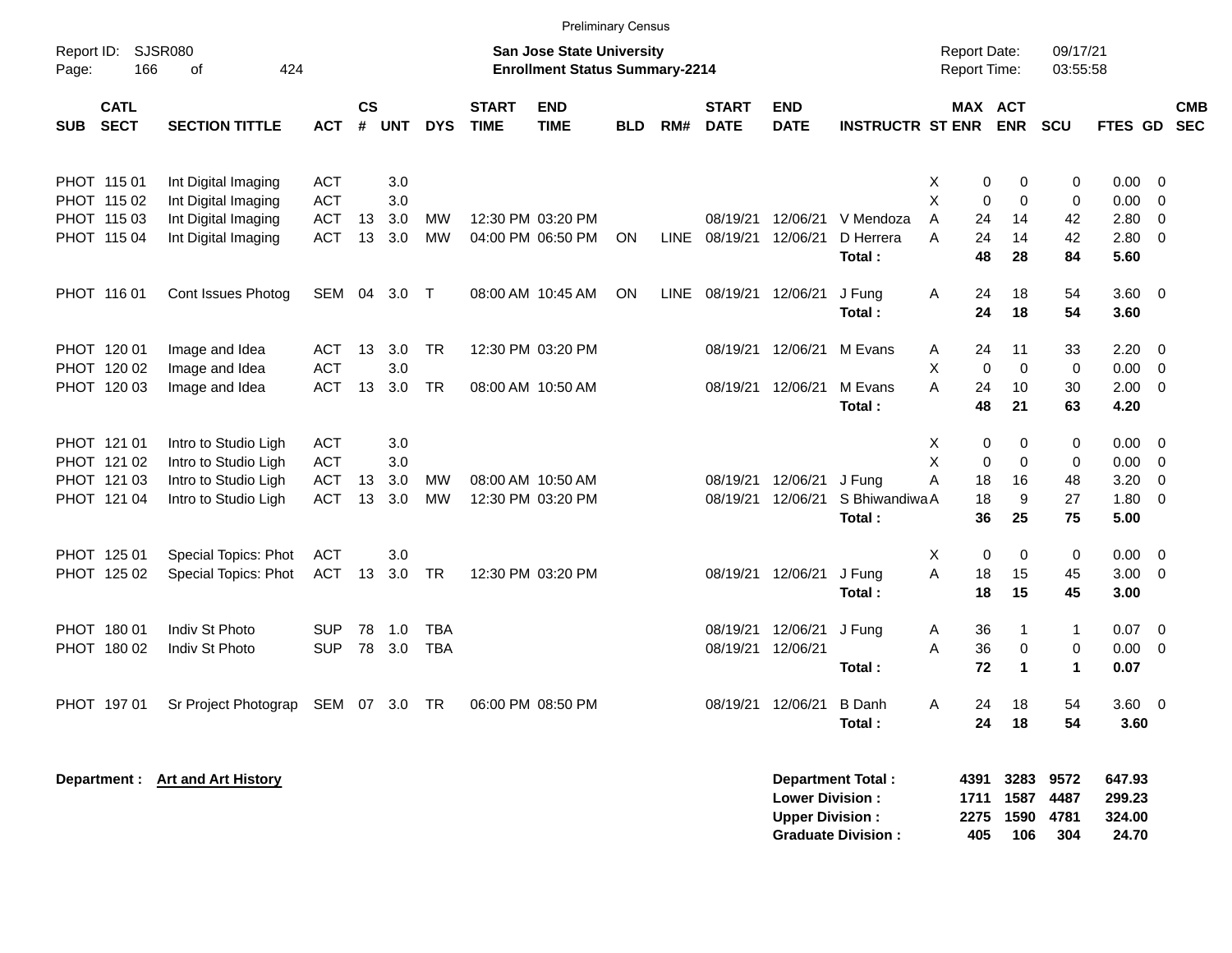|                     |                            |                                 |            |                    |            |            |                             |                                                                           | <b>Preliminary Census</b> |             |                             |                                                  |                         |   |                                     |                      |                      |                            |                          |                          |
|---------------------|----------------------------|---------------------------------|------------|--------------------|------------|------------|-----------------------------|---------------------------------------------------------------------------|---------------------------|-------------|-----------------------------|--------------------------------------------------|-------------------------|---|-------------------------------------|----------------------|----------------------|----------------------------|--------------------------|--------------------------|
| Report ID:<br>Page: | 166                        | SJSR080<br>424<br>0f            |            |                    |            |            |                             | <b>San Jose State University</b><br><b>Enrollment Status Summary-2214</b> |                           |             |                             |                                                  |                         |   | <b>Report Date:</b><br>Report Time: |                      | 09/17/21<br>03:55:58 |                            |                          |                          |
| <b>SUB</b>          | <b>CATL</b><br><b>SECT</b> | <b>SECTION TITTLE</b>           | <b>ACT</b> | $\mathsf{cs}$<br># | <b>UNT</b> | <b>DYS</b> | <b>START</b><br><b>TIME</b> | <b>END</b><br><b>TIME</b>                                                 | <b>BLD</b>                | RM#         | <b>START</b><br><b>DATE</b> | <b>END</b><br><b>DATE</b>                        | <b>INSTRUCTR ST ENR</b> |   | MAX ACT                             | <b>ENR</b>           | <b>SCU</b>           | <b>FTES GD</b>             |                          | <b>CMB</b><br><b>SEC</b> |
| PHOT 115 01         |                            | Int Digital Imaging             | ACT        |                    | 3.0        |            |                             |                                                                           |                           |             |                             |                                                  |                         | Χ | $\pmb{0}$                           | $\mathbf 0$          | 0                    | 0.00                       | $\overline{0}$           |                          |
|                     | PHOT 115 02                | Int Digital Imaging             | <b>ACT</b> |                    | 3.0        |            |                             |                                                                           |                           |             |                             |                                                  |                         | X | $\mathbf 0$                         | $\mathbf 0$          | 0                    | 0.00                       | $\overline{0}$           |                          |
|                     | PHOT 115 03                | Int Digital Imaging             | ACT        | 13                 | 3.0        | <b>MW</b>  |                             | 12:30 PM 03:20 PM                                                         |                           |             | 08/19/21                    | 12/06/21                                         | V Mendoza               | A | 24                                  | 14                   | 42                   | 2.80                       | $\mathbf 0$              |                          |
|                     | PHOT 115 04                | Int Digital Imaging             | ACT        | 13                 | 3.0        | <b>MW</b>  |                             | 04:00 PM 06:50 PM                                                         | <b>ON</b>                 | LINE        | 08/19/21                    | 12/06/21                                         | D Herrera               | A | 24                                  | 14                   | 42                   | 2.80                       | $\mathbf 0$              |                          |
|                     |                            |                                 |            |                    |            |            |                             |                                                                           |                           |             |                             |                                                  | Total:                  |   | 48                                  | 28                   | 84                   | 5.60                       |                          |                          |
| PHOT 116 01         |                            | Cont Issues Photog              | SEM 04     |                    | 3.0        | $\top$     |                             | 08:00 AM 10:45 AM                                                         | <b>ON</b>                 | <b>LINE</b> |                             | 08/19/21 12/06/21                                | J Fung                  | A | 24                                  | 18                   | 54                   | 3.60                       | $\overline{0}$           |                          |
|                     |                            |                                 |            |                    |            |            |                             |                                                                           |                           |             |                             |                                                  | Total:                  |   | 24                                  | 18                   | 54                   | 3.60                       |                          |                          |
|                     | PHOT 120 01                | Image and Idea                  | ACT        | 13                 | 3.0        | <b>TR</b>  |                             | 12:30 PM 03:20 PM                                                         |                           |             | 08/19/21                    | 12/06/21                                         | M Evans                 | Α | 24                                  | 11                   | 33                   | 2.20                       | $\overline{0}$           |                          |
|                     | PHOT 120 02                | Image and Idea                  | <b>ACT</b> |                    | 3.0        |            |                             |                                                                           |                           |             |                             |                                                  |                         | X | $\mathbf 0$                         | $\mathbf 0$          | 0                    | 0.00                       | 0                        |                          |
|                     | PHOT 120 03                | Image and Idea                  | ACT        | 13                 | 3.0        | <b>TR</b>  |                             | 08:00 AM 10:50 AM                                                         |                           |             | 08/19/21                    | 12/06/21                                         | M Evans                 | A | 24                                  | 10                   | 30                   | 2.00                       | $\overline{0}$           |                          |
|                     |                            |                                 |            |                    |            |            |                             |                                                                           |                           |             |                             |                                                  | Total:                  |   | 48                                  | 21                   | 63                   | 4.20                       |                          |                          |
|                     | PHOT 121 01                | Intro to Studio Ligh            | ACT        |                    | 3.0        |            |                             |                                                                           |                           |             |                             |                                                  |                         | X | 0                                   | $\mathbf 0$          | 0                    | 0.00                       | 0                        |                          |
|                     | PHOT 121 02                | Intro to Studio Ligh            | <b>ACT</b> |                    | 3.0        |            |                             |                                                                           |                           |             |                             |                                                  |                         | X | $\mathbf 0$                         | $\Omega$             | $\mathbf 0$          | 0.00                       | $\overline{0}$           |                          |
|                     | PHOT 121 03                | Intro to Studio Ligh            | <b>ACT</b> | 13                 | 3.0        | <b>MW</b>  |                             | 08:00 AM 10:50 AM                                                         |                           |             | 08/19/21                    | 12/06/21                                         | J Fung                  | Α | 18                                  | 16                   | 48                   | 3.20                       | 0                        |                          |
|                     | PHOT 121 04                | Intro to Studio Ligh            | ACT        | 13                 | 3.0        | MW         |                             | 12:30 PM 03:20 PM                                                         |                           |             |                             | 08/19/21 12/06/21                                | S Bhiwandiwa A          |   | 18                                  | $\boldsymbol{9}$     | 27                   | 1.80                       | $\mathbf 0$              |                          |
|                     |                            |                                 |            |                    |            |            |                             |                                                                           |                           |             |                             |                                                  | Total:                  |   | 36                                  | 25                   | 75                   | 5.00                       |                          |                          |
|                     | PHOT 125 01                | Special Topics: Phot            | <b>ACT</b> |                    | 3.0        |            |                             |                                                                           |                           |             |                             |                                                  |                         | X | $\pmb{0}$                           | $\mathbf 0$          | 0                    | 0.00                       | $\overline{0}$           |                          |
|                     | PHOT 125 02                | Special Topics: Phot            | <b>ACT</b> | 13                 | 3.0        | <b>TR</b>  |                             | 12:30 PM 03:20 PM                                                         |                           |             | 08/19/21                    | 12/06/21                                         | J Fung                  | A | 18                                  | 15                   | 45                   | 3.00                       | 0                        |                          |
|                     |                            |                                 |            |                    |            |            |                             |                                                                           |                           |             |                             |                                                  | Total:                  |   | 18                                  | 15                   | 45                   | 3.00                       |                          |                          |
|                     | PHOT 180 01                | Indiv St Photo                  | <b>SUP</b> | 78                 | 1.0        | <b>TBA</b> |                             |                                                                           |                           |             | 08/19/21                    | 12/06/21                                         | J Fung                  | A | 36                                  | 1                    | $\mathbf{1}$         | 0.07                       | $\overline{0}$           |                          |
|                     | PHOT 180 02                | Indiv St Photo                  | <b>SUP</b> | 78                 | 3.0        | <b>TBA</b> |                             |                                                                           |                           |             | 08/19/21                    | 12/06/21                                         |                         | A | 36                                  | $\mathbf 0$          | $\mathbf 0$          | 0.00                       | 0                        |                          |
|                     |                            |                                 |            |                    |            |            |                             |                                                                           |                           |             |                             |                                                  | Total:                  |   | 72                                  | 1                    | $\mathbf 1$          | 0.07                       |                          |                          |
|                     | PHOT 197 01                | Sr Project Photograp            | SEM 07     |                    | 3.0        | TR         |                             | 06:00 PM 08:50 PM                                                         |                           |             |                             | 08/19/21 12/06/21                                | <b>B</b> Danh           | Α | 24                                  | 18                   | 54                   | 3.60                       | $\overline{\phantom{0}}$ |                          |
|                     |                            |                                 |            |                    |            |            |                             |                                                                           |                           |             |                             |                                                  | Total:                  |   | 24                                  | 18                   | 54                   | 3.60                       |                          |                          |
|                     |                            | Department: Art and Art History |            |                    |            |            |                             |                                                                           |                           |             |                             | <b>Lower Division:</b><br><b>Upper Division:</b> | Department Total:       |   | 4391<br>1711<br>2275                | 3283<br>1587<br>1590 | 9572<br>4487<br>4781 | 647.93<br>299.23<br>324.00 |                          |                          |

**Graduate Division : 405 106 304 24.70**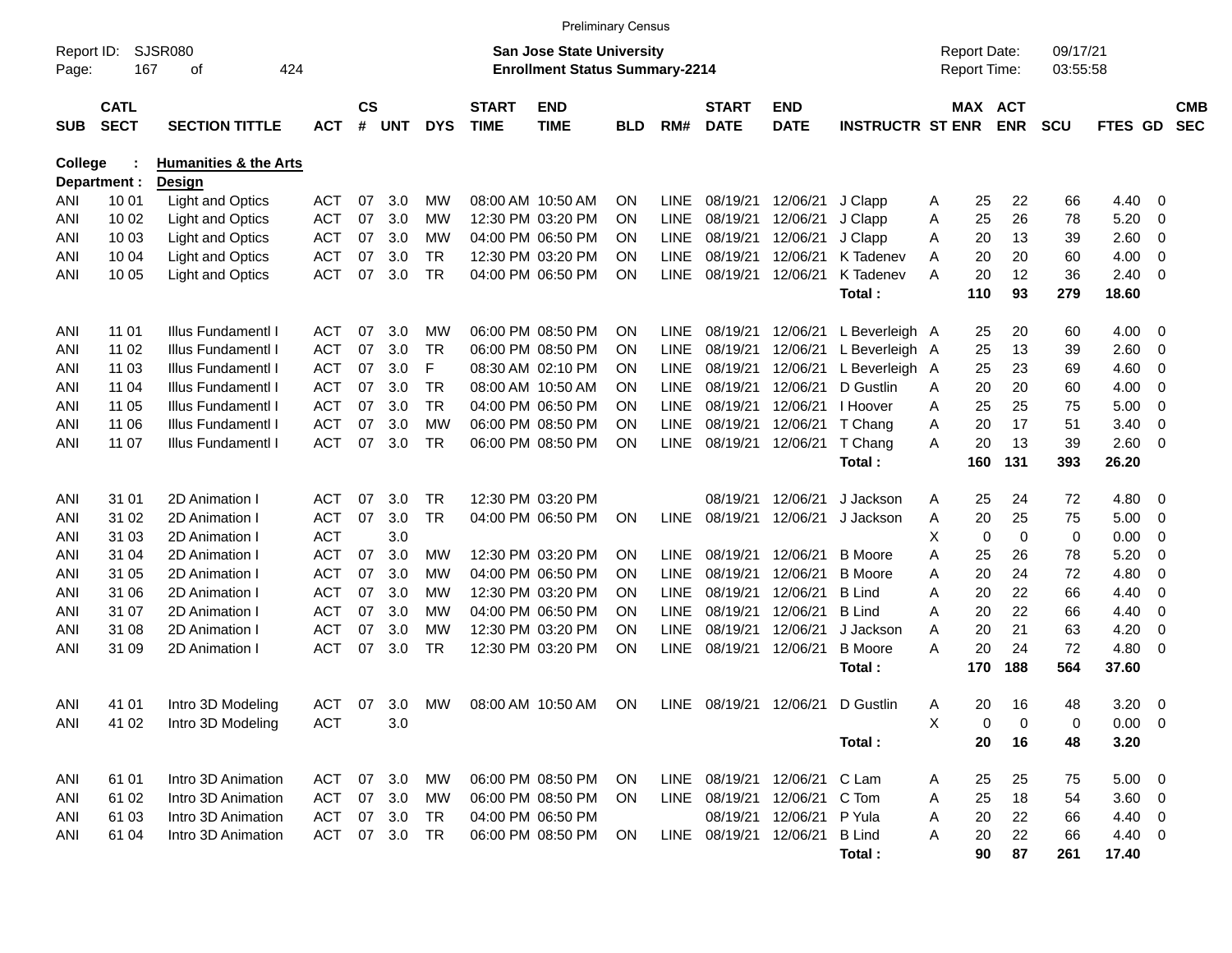|                     |                            |                                  |            |                    |            |            |                             | <b>Preliminary Census</b>                                                 |            |             |                             |                           |                         |   |                                            |            |                      |                |                         |                          |
|---------------------|----------------------------|----------------------------------|------------|--------------------|------------|------------|-----------------------------|---------------------------------------------------------------------------|------------|-------------|-----------------------------|---------------------------|-------------------------|---|--------------------------------------------|------------|----------------------|----------------|-------------------------|--------------------------|
| Report ID:<br>Page: | 167                        | SJSR080<br>424<br>οf             |            |                    |            |            |                             | <b>San Jose State University</b><br><b>Enrollment Status Summary-2214</b> |            |             |                             |                           |                         |   | <b>Report Date:</b><br><b>Report Time:</b> |            | 09/17/21<br>03:55:58 |                |                         |                          |
| <b>SUB</b>          | <b>CATL</b><br><b>SECT</b> | <b>SECTION TITTLE</b>            | <b>ACT</b> | $\mathsf{cs}$<br># | <b>UNT</b> | <b>DYS</b> | <b>START</b><br><b>TIME</b> | <b>END</b><br><b>TIME</b>                                                 | <b>BLD</b> | RM#         | <b>START</b><br><b>DATE</b> | <b>END</b><br><b>DATE</b> | <b>INSTRUCTR ST ENR</b> |   | MAX ACT                                    | <b>ENR</b> | <b>SCU</b>           | FTES GD        |                         | <b>CMB</b><br><b>SEC</b> |
| <b>College</b>      |                            | <b>Humanities &amp; the Arts</b> |            |                    |            |            |                             |                                                                           |            |             |                             |                           |                         |   |                                            |            |                      |                |                         |                          |
|                     | Department :               | Design                           |            |                    |            |            |                             |                                                                           |            |             |                             |                           |                         |   |                                            |            |                      |                |                         |                          |
| ANI                 | 10 01                      | Light and Optics                 | <b>ACT</b> | 07                 | 3.0        | МW         |                             | 08:00 AM 10:50 AM                                                         | <b>ON</b>  | <b>LINE</b> | 08/19/21                    | 12/06/21                  | J Clapp                 | A | 25                                         | 22         | 66                   | 4.40           | - 0                     |                          |
| ANI                 | 10 02                      | Light and Optics                 | <b>ACT</b> | 07                 | 3.0        | МW         |                             | 12:30 PM 03:20 PM                                                         | ON         | <b>LINE</b> | 08/19/21                    | 12/06/21                  | J Clapp                 | Α | 25                                         | 26         | 78                   | 5.20           | 0                       |                          |
| ANI                 | 10 03                      | Light and Optics                 | <b>ACT</b> | 07                 | 3.0        | MW         |                             | 04:00 PM 06:50 PM                                                         | <b>ON</b>  | <b>LINE</b> | 08/19/21                    | 12/06/21                  | J Clapp                 | Α | 20                                         | 13         | 39                   | 2.60           | 0                       |                          |
| ANI                 | 10 04                      | <b>Light and Optics</b>          | <b>ACT</b> | 07                 | 3.0        | <b>TR</b>  |                             | 12:30 PM 03:20 PM                                                         | <b>ON</b>  | <b>LINE</b> | 08/19/21                    | 12/06/21                  | K Tadenev               | A | 20                                         | 20         | 60                   | 4.00           | $\mathbf 0$             |                          |
| ANI                 | 10 05                      | Light and Optics                 | <b>ACT</b> | 07                 | 3.0        | <b>TR</b>  |                             | 04:00 PM 06:50 PM                                                         | ON         | <b>LINE</b> | 08/19/21                    | 12/06/21                  | K Tadenev               | A | 20                                         | 12         | 36                   | 2.40           | - 0                     |                          |
|                     |                            |                                  |            |                    |            |            |                             |                                                                           |            |             |                             |                           | Total:                  |   | 110                                        | 93         | 279                  | 18.60          |                         |                          |
| ANI                 | 11 01                      | Illus Fundamentl I               | <b>ACT</b> | 07                 | 3.0        | МW         |                             | 06:00 PM 08:50 PM                                                         | <b>ON</b>  | <b>LINE</b> | 08/19/21                    | 12/06/21                  | L Beverleigh A          |   | 25                                         | 20         | 60                   | 4.00           | - 0                     |                          |
| ANI                 | 11 02                      | Illus Fundamentl I               | <b>ACT</b> | 07                 | 3.0        | <b>TR</b>  |                             | 06:00 PM 08:50 PM                                                         | ON         | <b>LINE</b> | 08/19/21                    | 12/06/21                  | L Beverleigh A          |   | 25                                         | 13         | 39                   | 2.60           | 0                       |                          |
| ANI                 | 11 03                      | Illus Fundamentl I               | <b>ACT</b> | 07                 | 3.0        | F          |                             | 08:30 AM 02:10 PM                                                         | ON         | <b>LINE</b> | 08/19/21                    | 12/06/21                  | L Beverleigh A          |   | 25                                         | 23         | 69                   | 4.60           | 0                       |                          |
| ANI                 | 11 04                      | Illus Fundamentl I               | <b>ACT</b> | 07                 | 3.0        | <b>TR</b>  |                             | 08:00 AM 10:50 AM                                                         | <b>ON</b>  | <b>LINE</b> | 08/19/21                    | 12/06/21                  | D Gustlin               | A | 20                                         | 20         | 60                   | 4.00           | 0                       |                          |
| ANI                 | 11 05                      | Illus Fundamentl I               | <b>ACT</b> | 07                 | 3.0        | <b>TR</b>  |                             | 04:00 PM 06:50 PM                                                         | ON         | <b>LINE</b> | 08/19/21                    | 12/06/21                  | I Hoover                | A | 25                                         | 25         | 75                   | 5.00           | 0                       |                          |
| ANI                 | 11 06                      | Illus Fundamentl I               | <b>ACT</b> | 07                 | 3.0        | <b>MW</b>  |                             | 06:00 PM 08:50 PM                                                         | <b>ON</b>  | <b>LINE</b> | 08/19/21                    | 12/06/21                  | T Chang                 | A | 20                                         | 17         | 51                   | 3.40           | 0                       |                          |
| ANI                 | 11 07                      | Illus Fundamentl I               | <b>ACT</b> | 07                 | 3.0        | <b>TR</b>  |                             | 06:00 PM 08:50 PM                                                         | ON         | <b>LINE</b> | 08/19/21                    | 12/06/21                  | T Chang                 | A | 20                                         | 13         | 39                   | 2.60           | $\overline{0}$          |                          |
|                     |                            |                                  |            |                    |            |            |                             |                                                                           |            |             |                             |                           | Total:                  |   | 160                                        | 131        | 393                  | 26.20          |                         |                          |
|                     |                            |                                  |            |                    |            |            |                             |                                                                           |            |             |                             |                           |                         |   |                                            |            |                      |                |                         |                          |
| ANI                 | 31 01                      | 2D Animation I                   | <b>ACT</b> | 07                 | 3.0        | <b>TR</b>  |                             | 12:30 PM 03:20 PM                                                         |            |             | 08/19/21                    | 12/06/21                  | J Jackson               | A | 25                                         | 24         | 72                   | 4.80           | - 0                     |                          |
| ANI                 | 31 02                      | 2D Animation I                   | <b>ACT</b> | 07                 | 3.0        | <b>TR</b>  |                             | 04:00 PM 06:50 PM                                                         | ON         | <b>LINE</b> | 08/19/21                    | 12/06/21                  | J Jackson               | Α | 20                                         | 25         | 75                   | 5.00           | 0                       |                          |
| ANI                 | 31 03                      | 2D Animation I                   | <b>ACT</b> |                    | 3.0        |            |                             |                                                                           |            |             |                             |                           |                         | X | 0                                          | 0          | 0                    | 0.00           | 0                       |                          |
| ANI                 | 31 04                      | 2D Animation I                   | <b>ACT</b> | 07                 | 3.0        | MW         |                             | 12:30 PM 03:20 PM                                                         | <b>ON</b>  | <b>LINE</b> | 08/19/21                    | 12/06/21                  | <b>B</b> Moore          | A | 25                                         | 26         | 78                   | 5.20           | $\mathbf 0$             |                          |
| ANI                 | 31 05                      | 2D Animation I                   | <b>ACT</b> | 07                 | 3.0        | МW         |                             | 04:00 PM 06:50 PM                                                         | ON         | <b>LINE</b> | 08/19/21                    | 12/06/21                  | <b>B</b> Moore          | A | 20                                         | 24         | 72                   | 4.80           | $\mathbf 0$             |                          |
| ANI                 | 31 06                      | 2D Animation I                   | <b>ACT</b> | 07                 | 3.0        | МW         |                             | 12:30 PM 03:20 PM                                                         | ON         | <b>LINE</b> | 08/19/21                    | 12/06/21                  | <b>B</b> Lind           | A | 20                                         | 22         | 66                   | 4.40           | $\mathbf 0$             |                          |
| ANI                 | 31 07                      | 2D Animation I                   | <b>ACT</b> | 07                 | 3.0        | МW         |                             | 04:00 PM 06:50 PM                                                         | ON         | <b>LINE</b> | 08/19/21                    | 12/06/21                  | <b>B</b> Lind           | A | 20                                         | 22         | 66                   | 4.40           | $\mathbf 0$             |                          |
| ANI                 | 31 08                      | 2D Animation I                   | <b>ACT</b> | 07                 | 3.0        | <b>MW</b>  |                             | 12:30 PM 03:20 PM                                                         | <b>ON</b>  | <b>LINE</b> | 08/19/21                    | 12/06/21                  | J Jackson               | A | 20                                         | 21         | 63                   | 4.20           | 0                       |                          |
| ANI                 | 31 09                      | 2D Animation I                   | <b>ACT</b> | 07                 | 3.0        | <b>TR</b>  |                             | 12:30 PM 03:20 PM                                                         | ON         | <b>LINE</b> | 08/19/21                    | 12/06/21                  | <b>B</b> Moore          | A | 20                                         | 24         | 72                   | 4.80           | - 0                     |                          |
|                     |                            |                                  |            |                    |            |            |                             |                                                                           |            |             |                             |                           | Total:                  |   | 170                                        | 188        | 564                  | 37.60          |                         |                          |
| ANI                 | 41 01                      | Intro 3D Modeling                | <b>ACT</b> | 07                 | 3.0        | MW         |                             | 08:00 AM 10:50 AM                                                         | <b>ON</b>  | LINE        | 08/19/21                    | 12/06/21                  | D Gustlin               | A | 20                                         | 16         | 48                   | 3.20           | 0                       |                          |
| ANI                 | 41 02                      | Intro 3D Modeling                | <b>ACT</b> |                    | 3.0        |            |                             |                                                                           |            |             |                             |                           |                         | X | 0                                          | 0          | 0                    | $0.00 \t 0$    |                         |                          |
|                     |                            |                                  |            |                    |            |            |                             |                                                                           |            |             |                             |                           | Total:                  |   | 20                                         | 16         | 48                   | 3.20           |                         |                          |
|                     |                            |                                  |            |                    |            |            |                             |                                                                           |            |             |                             |                           |                         |   |                                            |            |                      |                |                         |                          |
| ANI                 | 61 01                      | Intro 3D Animation               | <b>ACT</b> | 07                 | 3.0        | MW         |                             | 06:00 PM 08:50 PM                                                         | <b>ON</b>  |             | LINE 08/19/21 12/06/21      |                           | C Lam                   | A | 25                                         | 25         | 75                   | 5.00           | $\overline{\mathbf{0}}$ |                          |
| ANI                 | 61 02                      | Intro 3D Animation               | <b>ACT</b> |                    | 07 3.0     | MW         |                             | 06:00 PM 08:50 PM                                                         | <b>ON</b>  |             | LINE 08/19/21               | 12/06/21                  | C Tom                   | Α | 25                                         | 18         | 54                   | $3.60 \quad 0$ |                         |                          |
| ANI                 | 61 03                      | Intro 3D Animation               | <b>ACT</b> |                    | 07 3.0     | TR         |                             | 04:00 PM 06:50 PM                                                         |            |             | 08/19/21                    | 12/06/21                  | P Yula                  | Α | 20                                         | 22         | 66                   | 4.40 0         |                         |                          |
| ANI                 | 61 04                      | Intro 3D Animation               | ACT        |                    | 07 3.0     | TR         |                             | 06:00 PM 08:50 PM                                                         | ON         |             | LINE 08/19/21 12/06/21      |                           | <b>B</b> Lind           | Α | 20                                         | 22         | 66                   | 4.40 0         |                         |                          |
|                     |                            |                                  |            |                    |            |            |                             |                                                                           |            |             |                             |                           | Total:                  |   | 90                                         | 87         | 261                  | 17.40          |                         |                          |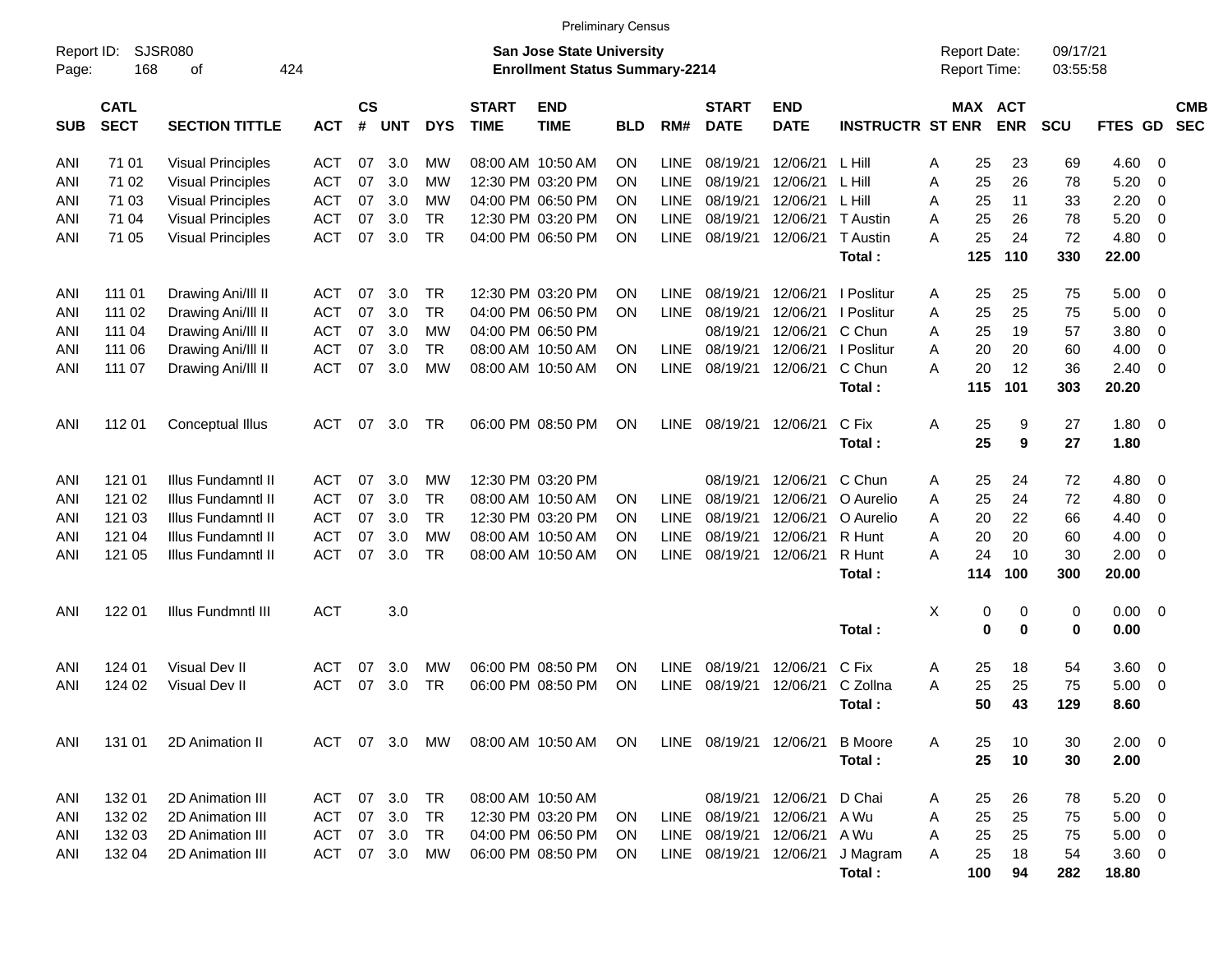|                     |                            |                             |            |                    |            |            |                             | <b>Preliminary Census</b>                                                 |            |             |                             |                           |                         |   |                                     |            |                      |                 |                          |                          |
|---------------------|----------------------------|-----------------------------|------------|--------------------|------------|------------|-----------------------------|---------------------------------------------------------------------------|------------|-------------|-----------------------------|---------------------------|-------------------------|---|-------------------------------------|------------|----------------------|-----------------|--------------------------|--------------------------|
| Report ID:<br>Page: | 168                        | <b>SJSR080</b><br>424<br>οf |            |                    |            |            |                             | <b>San Jose State University</b><br><b>Enrollment Status Summary-2214</b> |            |             |                             |                           |                         |   | <b>Report Date:</b><br>Report Time: |            | 09/17/21<br>03:55:58 |                 |                          |                          |
| <b>SUB</b>          | <b>CATL</b><br><b>SECT</b> | <b>SECTION TITTLE</b>       | <b>ACT</b> | $\mathsf{cs}$<br># | <b>UNT</b> | <b>DYS</b> | <b>START</b><br><b>TIME</b> | <b>END</b><br><b>TIME</b>                                                 | <b>BLD</b> | RM#         | <b>START</b><br><b>DATE</b> | <b>END</b><br><b>DATE</b> | <b>INSTRUCTR ST ENR</b> |   | MAX ACT                             | <b>ENR</b> | <b>SCU</b>           | FTES GD         |                          | <b>CMB</b><br><b>SEC</b> |
| ANI                 | 71 01                      | <b>Visual Principles</b>    | <b>ACT</b> | 07                 | 3.0        | МW         |                             | 08:00 AM 10:50 AM                                                         | <b>ON</b>  | <b>LINE</b> | 08/19/21                    | 12/06/21                  | L Hill                  | A | 25                                  | 23         | 69                   | 4.60            | - 0                      |                          |
| ANI                 | 71 02                      | <b>Visual Principles</b>    | <b>ACT</b> | 07                 | 3.0        | МW         |                             | 12:30 PM 03:20 PM                                                         | ON         | <b>LINE</b> | 08/19/21                    | 12/06/21                  | L Hill                  | A | 25                                  | 26         | 78                   | 5.20            | $\mathbf 0$              |                          |
| ANI                 | 71 03                      | <b>Visual Principles</b>    | <b>ACT</b> | 07                 | 3.0        | МW         |                             | 04:00 PM 06:50 PM                                                         | <b>ON</b>  | <b>LINE</b> | 08/19/21                    | 12/06/21                  | L Hill                  | A | 25                                  | 11         | 33                   | 2.20            | $\overline{0}$           |                          |
| ANI                 | 71 04                      | <b>Visual Principles</b>    | <b>ACT</b> | 07                 | 3.0        | <b>TR</b>  |                             | 12:30 PM 03:20 PM                                                         | <b>ON</b>  | <b>LINE</b> | 08/19/21                    | 12/06/21                  | <b>T</b> Austin         | A | 25                                  | 26         | 78                   | 5.20            | $\overline{0}$           |                          |
| ANI                 | 71 05                      | <b>Visual Principles</b>    | <b>ACT</b> | 07                 | 3.0        | <b>TR</b>  |                             | 04:00 PM 06:50 PM                                                         | <b>ON</b>  | <b>LINE</b> | 08/19/21                    | 12/06/21                  | T Austin                | A | 25                                  | 24         | 72                   | 4.80            | $\overline{0}$           |                          |
|                     |                            |                             |            |                    |            |            |                             |                                                                           |            |             |                             |                           | Total:                  |   | 125                                 | 110        | 330                  | 22.00           |                          |                          |
| ANI                 | 111 01                     | Drawing Ani/III II          | <b>ACT</b> | 07                 | 3.0        | <b>TR</b>  |                             | 12:30 PM 03:20 PM                                                         | <b>ON</b>  | <b>LINE</b> | 08/19/21                    | 12/06/21                  | I Poslitur              | A | 25                                  | 25         | 75                   | 5.00            | - 0                      |                          |
| ANI                 | 111 02                     | Drawing Ani/III II          | <b>ACT</b> | 07                 | 3.0        | <b>TR</b>  |                             | 04:00 PM 06:50 PM                                                         | <b>ON</b>  | <b>LINE</b> | 08/19/21                    | 12/06/21                  | I Poslitur              | A | 25                                  | 25         | 75                   | 5.00            | $\overline{0}$           |                          |
| ANI                 | 111 04                     | Drawing Ani/III II          | <b>ACT</b> | 07                 | 3.0        | МW         |                             | 04:00 PM 06:50 PM                                                         |            |             | 08/19/21                    | 12/06/21                  | C Chun                  | A | 25                                  | 19         | 57                   | 3.80            | $\overline{0}$           |                          |
| ANI                 | 111 06                     | Drawing Ani/III II          | <b>ACT</b> | 07                 | 3.0        | <b>TR</b>  |                             | 08:00 AM 10:50 AM                                                         | <b>ON</b>  | <b>LINE</b> | 08/19/21                    | 12/06/21                  | I Poslitur              | A | 20                                  | 20         | 60                   | 4.00            | $\overline{0}$           |                          |
| ANI                 | 111 07                     | Drawing Ani/III II          | <b>ACT</b> | 07                 | 3.0        | МW         |                             | 08:00 AM 10:50 AM                                                         | ON         | <b>LINE</b> | 08/19/21                    | 12/06/21                  | C Chun                  | A | 20                                  | 12         | 36                   | 2.40            | $\overline{0}$           |                          |
|                     |                            |                             |            |                    |            |            |                             |                                                                           |            |             |                             |                           | Total:                  |   | 115                                 | 101        | 303                  | 20.20           |                          |                          |
| ANI                 | 11201                      | Conceptual Illus            | <b>ACT</b> | 07                 | 3.0        | <b>TR</b>  |                             | 06:00 PM 08:50 PM                                                         | <b>ON</b>  | <b>LINE</b> | 08/19/21                    | 12/06/21                  | C Fix<br>Total:         | A | 25<br>25                            | 9<br>9     | 27<br>27             | 1.80<br>1.80    | $\overline{\mathbf{0}}$  |                          |
| ANI                 | 121 01                     | Illus Fundamntl II          | <b>ACT</b> | 07                 | 3.0        | МW         |                             | 12:30 PM 03:20 PM                                                         |            |             | 08/19/21                    | 12/06/21                  | C Chun                  | A | 25                                  | 24         | 72                   | 4.80            | - 0                      |                          |
| ANI                 | 121 02                     | Illus Fundamntl II          | <b>ACT</b> | 07                 | 3.0        | <b>TR</b>  |                             | 08:00 AM 10:50 AM                                                         | <b>ON</b>  | LINE.       | 08/19/21                    | 12/06/21                  | O Aurelio               | A | 25                                  | 24         | 72                   | 4.80            | $\overline{0}$           |                          |
| ANI                 | 121 03                     | Illus Fundamntl II          | <b>ACT</b> | 07                 | 3.0        | <b>TR</b>  |                             | 12:30 PM 03:20 PM                                                         | <b>ON</b>  | <b>LINE</b> | 08/19/21                    | 12/06/21                  | O Aurelio               | A | 20                                  | 22         | 66                   | 4.40            | $\overline{0}$           |                          |
| ANI                 | 121 04                     | Illus Fundamntl II          | <b>ACT</b> | 07                 | 3.0        | МW         |                             | 08:00 AM 10:50 AM                                                         | <b>ON</b>  | <b>LINE</b> | 08/19/21                    | 12/06/21                  | R Hunt                  | A | 20                                  | 20         | 60                   | 4.00            | $\overline{0}$           |                          |
| ANI                 | 121 05                     | Illus Fundamntl II          | <b>ACT</b> | 07                 | 3.0        | <b>TR</b>  |                             | 08:00 AM 10:50 AM                                                         | ON         | <b>LINE</b> | 08/19/21                    | 12/06/21                  | R Hunt                  | A | 24                                  | 10         | 30                   | 2.00            | $\overline{0}$           |                          |
|                     |                            |                             |            |                    |            |            |                             |                                                                           |            |             |                             |                           | Total:                  |   | 114                                 | 100        | 300                  | 20.00           |                          |                          |
| ANI                 | 122 01                     | Illus Fundmntl III          | <b>ACT</b> |                    | 3.0        |            |                             |                                                                           |            |             |                             |                           |                         | X | 0                                   | 0          | 0                    | 0.00            | - 0                      |                          |
|                     |                            |                             |            |                    |            |            |                             |                                                                           |            |             |                             |                           | Total:                  |   | 0                                   | $\bf{0}$   | $\mathbf 0$          | 0.00            |                          |                          |
| ANI                 | 124 01                     | Visual Dev II               | <b>ACT</b> | 07                 | 3.0        | МW         |                             | 06:00 PM 08:50 PM                                                         | <b>ON</b>  | <b>LINE</b> | 08/19/21                    | 12/06/21                  | C Fix                   | A | 25                                  | 18         | 54                   | 3.60            | 0                        |                          |
| ANI                 | 124 02                     | Visual Dev II               | <b>ACT</b> | 07                 | 3.0        | <b>TR</b>  |                             | 06:00 PM 08:50 PM                                                         | ON         | <b>LINE</b> | 08/19/21                    | 12/06/21                  | C Zollna                | A | 25                                  | 25         | 75                   | 5.00            | $\overline{0}$           |                          |
|                     |                            |                             |            |                    |            |            |                             |                                                                           |            |             |                             |                           | Total:                  |   | 50                                  | 43         | 129                  | 8.60            |                          |                          |
| ANI                 | 131 01                     | 2D Animation II             | ACT        | 07                 | 3.0        | MW         |                             | 08:00 AM 10:50 AM                                                         | <b>ON</b>  |             | LINE 08/19/21 12/06/21      |                           | <b>B</b> Moore          | A | 25                                  | 10         | 30                   | $2.00 \t 0$     |                          |                          |
|                     |                            |                             |            |                    |            |            |                             |                                                                           |            |             |                             |                           | Total:                  |   | 25                                  | 10         | 30                   | 2.00            |                          |                          |
| ANI                 | 132 01                     | 2D Animation III            | <b>ACT</b> | 07                 | 3.0        | <b>TR</b>  |                             | 08:00 AM 10:50 AM                                                         |            |             |                             | 08/19/21 12/06/21         | D Chai                  | A | 25                                  | 26         | 78                   | 5.20            | $\overline{\phantom{0}}$ |                          |
| ANI                 | 132 02                     | 2D Animation III            | <b>ACT</b> | 07                 | 3.0        | <b>TR</b>  |                             | 12:30 PM 03:20 PM                                                         | <b>ON</b>  |             | LINE 08/19/21               | 12/06/21                  | A Wu                    | A | 25                                  | 25         | 75                   | 5.00            | $\overline{\phantom{0}}$ |                          |
| ANI                 | 132 03                     | 2D Animation III            | <b>ACT</b> | 07                 | 3.0        | <b>TR</b>  |                             | 04:00 PM 06:50 PM                                                         | ON         |             | LINE 08/19/21 12/06/21      |                           | A Wu                    | Α | 25                                  | 25         | 75                   | $5.00 \t 0$     |                          |                          |
| ANI                 | 132 04                     | 2D Animation III            | <b>ACT</b> | 07                 | 3.0        | <b>MW</b>  |                             | 06:00 PM 08:50 PM                                                         | ON         | LINE        | 08/19/21 12/06/21           |                           | J Magram<br>Total:      | A | 25<br>100                           | 18<br>94   | 54<br>282            | 3.60 0<br>18.80 |                          |                          |
|                     |                            |                             |            |                    |            |            |                             |                                                                           |            |             |                             |                           |                         |   |                                     |            |                      |                 |                          |                          |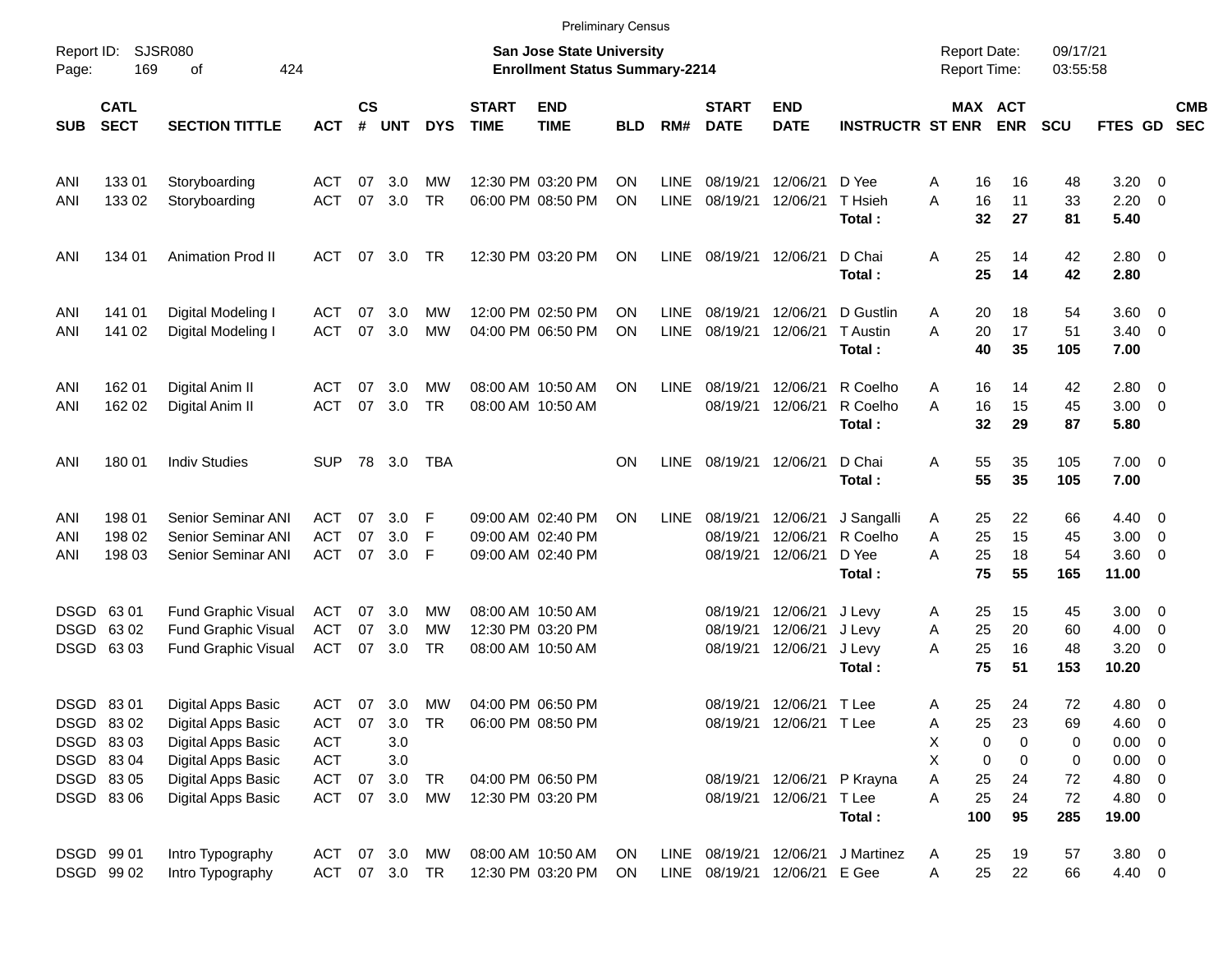|                     |                            |                             |            |                |            |            |                             |                                                                    | <b>Preliminary Census</b> |             |                             |                           |                         |                                     |                       |                      |                 |                          |                          |
|---------------------|----------------------------|-----------------------------|------------|----------------|------------|------------|-----------------------------|--------------------------------------------------------------------|---------------------------|-------------|-----------------------------|---------------------------|-------------------------|-------------------------------------|-----------------------|----------------------|-----------------|--------------------------|--------------------------|
| Report ID:<br>Page: | 169                        | <b>SJSR080</b><br>424<br>оf |            |                |            |            |                             | San Jose State University<br><b>Enrollment Status Summary-2214</b> |                           |             |                             |                           |                         | <b>Report Date:</b><br>Report Time: |                       | 09/17/21<br>03:55:58 |                 |                          |                          |
| <b>SUB</b>          | <b>CATL</b><br><b>SECT</b> | <b>SECTION TITTLE</b>       | <b>ACT</b> | <b>CS</b><br># | <b>UNT</b> | <b>DYS</b> | <b>START</b><br><b>TIME</b> | <b>END</b><br><b>TIME</b>                                          | BLD                       | RM#         | <b>START</b><br><b>DATE</b> | <b>END</b><br><b>DATE</b> | <b>INSTRUCTR ST ENR</b> |                                     | MAX ACT<br><b>ENR</b> | <b>SCU</b>           | FTES GD         |                          | <b>CMB</b><br><b>SEC</b> |
| ANI                 | 13301                      | Storyboarding               | ACT        | 07             | 3.0        | МW         |                             | 12:30 PM 03:20 PM                                                  | ΟN                        | LINE        | 08/19/21                    | 12/06/21                  | D Yee                   | 16<br>A                             | 16                    | 48                   | 3.20            | - 0                      |                          |
| ANI                 | 133 02                     | Storyboarding               | <b>ACT</b> | 07             | 3.0        | <b>TR</b>  |                             | 06:00 PM 08:50 PM                                                  | ΟN                        | <b>LINE</b> | 08/19/21                    | 12/06/21                  | T Hsieh<br>Total:       | 16<br>A<br>32                       | 11<br>27              | 33<br>81             | 2.20<br>5.40    | - 0                      |                          |
| ANI                 | 134 01                     | <b>Animation Prod II</b>    | ACT        | 07             | 3.0        | <b>TR</b>  |                             | 12:30 PM 03:20 PM                                                  | <b>ON</b>                 | <b>LINE</b> | 08/19/21 12/06/21           |                           | D Chai                  | 25<br>Α                             | 14                    | 42                   | 2.80 0          |                          |                          |
|                     |                            |                             |            |                |            |            |                             |                                                                    |                           |             |                             |                           | Total:                  | 25                                  | 14                    | 42                   | 2.80            |                          |                          |
| ANI                 | 141 01                     | Digital Modeling I          | ACT        | 07             | 3.0        | МW         |                             | 12:00 PM 02:50 PM                                                  | ΟN                        | LINE        | 08/19/21                    | 12/06/21                  | D Gustlin               | 20<br>A                             | 18                    | 54                   | 3.60            | $\overline{\mathbf{0}}$  |                          |
| ANI                 | 141 02                     | Digital Modeling I          | <b>ACT</b> | 07             | 3.0        | MW         |                             | 04:00 PM 06:50 PM                                                  | ΟN                        | <b>LINE</b> | 08/19/21                    | 12/06/21                  | T Austin<br>Total:      | 20<br>А<br>40                       | 17<br>35              | 51<br>105            | 3.40<br>7.00    | $\overline{\phantom{0}}$ |                          |
| ANI                 | 162 01                     | Digital Anim II             | ACT        | 07             | 3.0        | МW         |                             | 08:00 AM 10:50 AM                                                  | <b>ON</b>                 | <b>LINE</b> | 08/19/21                    | 12/06/21                  | R Coelho                | 16<br>A                             | 14                    | 42                   | 2.80            | - 0                      |                          |
| ANI                 | 162 02                     | Digital Anim II             | <b>ACT</b> | 07             | 3.0        | <b>TR</b>  |                             | 08:00 AM 10:50 AM                                                  |                           |             | 08/19/21                    | 12/06/21                  | R Coelho<br>Total:      | 16<br>A<br>32                       | 15<br>29              | 45<br>87             | 3.00<br>5.80    | $\overline{\mathbf{0}}$  |                          |
| ANI                 | 180 01                     | <b>Indiv Studies</b>        | <b>SUP</b> |                | 78 3.0     | TBA        |                             |                                                                    | <b>ON</b>                 | <b>LINE</b> | 08/19/21 12/06/21           |                           | D Chai                  | 55<br>Α                             | 35                    | 105                  | $7.00 \t 0$     |                          |                          |
|                     |                            |                             |            |                |            |            |                             |                                                                    |                           |             |                             |                           | Total:                  | 55                                  | 35                    | 105                  | 7.00            |                          |                          |
| ANI                 | 198 01                     | <b>Senior Seminar ANI</b>   | ACT        | 07             | 3.0        | F          |                             | 09:00 AM 02:40 PM                                                  | ON                        | <b>LINE</b> | 08/19/21                    | 12/06/21                  | J Sangalli              | 25<br>A                             | 22                    | 66                   | 4.40            | - 0                      |                          |
| ANI                 | 198 02                     | Senior Seminar ANI          | <b>ACT</b> | 07             | 3.0        | F          |                             | 09:00 AM 02:40 PM                                                  |                           |             | 08/19/21                    | 12/06/21                  | R Coelho                | 25<br>A                             | 15                    | 45                   | 3.00            | $\overline{\mathbf{0}}$  |                          |
| ANI                 | 198 03                     | Senior Seminar ANI          | <b>ACT</b> | 07             | 3.0        | F          |                             | 09:00 AM 02:40 PM                                                  |                           |             |                             | 08/19/21 12/06/21         | D Yee<br>Total:         | A<br>25<br>75                       | 18<br>55              | 54<br>165            | 3.60<br>11.00   | $\overline{\phantom{0}}$ |                          |
|                     | DSGD 63 01                 | <b>Fund Graphic Visual</b>  | <b>ACT</b> | 07             | 3.0        | MW         |                             | 08:00 AM 10:50 AM                                                  |                           |             | 08/19/21                    | 12/06/21                  | J Levy                  | 25<br>A                             | 15                    | 45                   | 3.00            | $\overline{\phantom{0}}$ |                          |
|                     | DSGD 6302                  | Fund Graphic Visual         | <b>ACT</b> | 07             | 3.0        | MW         |                             | 12:30 PM 03:20 PM                                                  |                           |             | 08/19/21                    | 12/06/21                  | J Levy                  | 25<br>A                             | 20                    | 60                   | 4.00            | - 0                      |                          |
|                     | DSGD 63 03                 | <b>Fund Graphic Visual</b>  | <b>ACT</b> | 07             | 3.0        | TR         |                             | 08:00 AM 10:50 AM                                                  |                           |             | 08/19/21                    | 12/06/21                  | J Levy                  | 25<br>A                             | 16                    | 48                   | 3.20            | $\overline{\mathbf{0}}$  |                          |
|                     |                            |                             |            |                |            |            |                             |                                                                    |                           |             |                             |                           | Total:                  | 75                                  | 51                    | 153                  | 10.20           |                          |                          |
|                     | DSGD 8301                  | Digital Apps Basic          | <b>ACT</b> | 07             | 3.0        | MW         |                             | 04:00 PM 06:50 PM                                                  |                           |             |                             | 08/19/21 12/06/21         | T Lee                   | 25<br>Α                             | 24                    | 72                   | $4.80$ 0        |                          |                          |
|                     | DSGD 8302                  | Digital Apps Basic          | <b>ACT</b> | 07             | 3.0        | <b>TR</b>  |                             | 06:00 PM 08:50 PM                                                  |                           |             |                             | 08/19/21 12/06/21 T Lee   |                         | 25<br>A                             | 23                    | 69                   | 4.60            | $\overline{\phantom{0}}$ |                          |
|                     | DSGD 8303                  | Digital Apps Basic          | <b>ACT</b> |                | 3.0        |            |                             |                                                                    |                           |             |                             |                           |                         | Χ                                   | 0<br>0                | 0                    | 0.00            | $\overline{\phantom{0}}$ |                          |
|                     | DSGD 8304                  | Digital Apps Basic          | <b>ACT</b> |                | 3.0        |            |                             |                                                                    |                           |             |                             |                           |                         | X<br>0                              | 0                     | 0                    | 0.00            | $\overline{\phantom{0}}$ |                          |
|                     | DSGD 8305                  | Digital Apps Basic          | <b>ACT</b> | 07             | 3.0        | <b>TR</b>  |                             | 04:00 PM 06:50 PM                                                  |                           |             |                             | 08/19/21 12/06/21         | P Krayna                | 25<br>Α                             | 24                    | 72                   | 4.80            | $\overline{\phantom{0}}$ |                          |
|                     | DSGD 8306                  | Digital Apps Basic          | <b>ACT</b> | 07             | 3.0        | MW         |                             | 12:30 PM 03:20 PM                                                  |                           |             |                             | 08/19/21 12/06/21         | T Lee<br>Total:         | 25<br>A<br>100                      | 24<br>95              | 72<br>285            | 4.80 0<br>19.00 |                          |                          |
|                     | DSGD 99 01                 | Intro Typography            | ACT        |                | 07 3.0     | МW         |                             | 08:00 AM 10:50 AM                                                  | ON                        |             | LINE 08/19/21 12/06/21      |                           | J Martinez              | 25<br>A                             | 19                    | 57                   | $3.80\ 0$       |                          |                          |
|                     | DSGD 99 02                 | Intro Typography            | ACT        |                | 07 3.0 TR  |            |                             | 12:30 PM 03:20 PM                                                  | ON                        |             | LINE 08/19/21 12/06/21      |                           | E Gee                   | 25<br>A                             | 22                    | 66                   | 4.40 0          |                          |                          |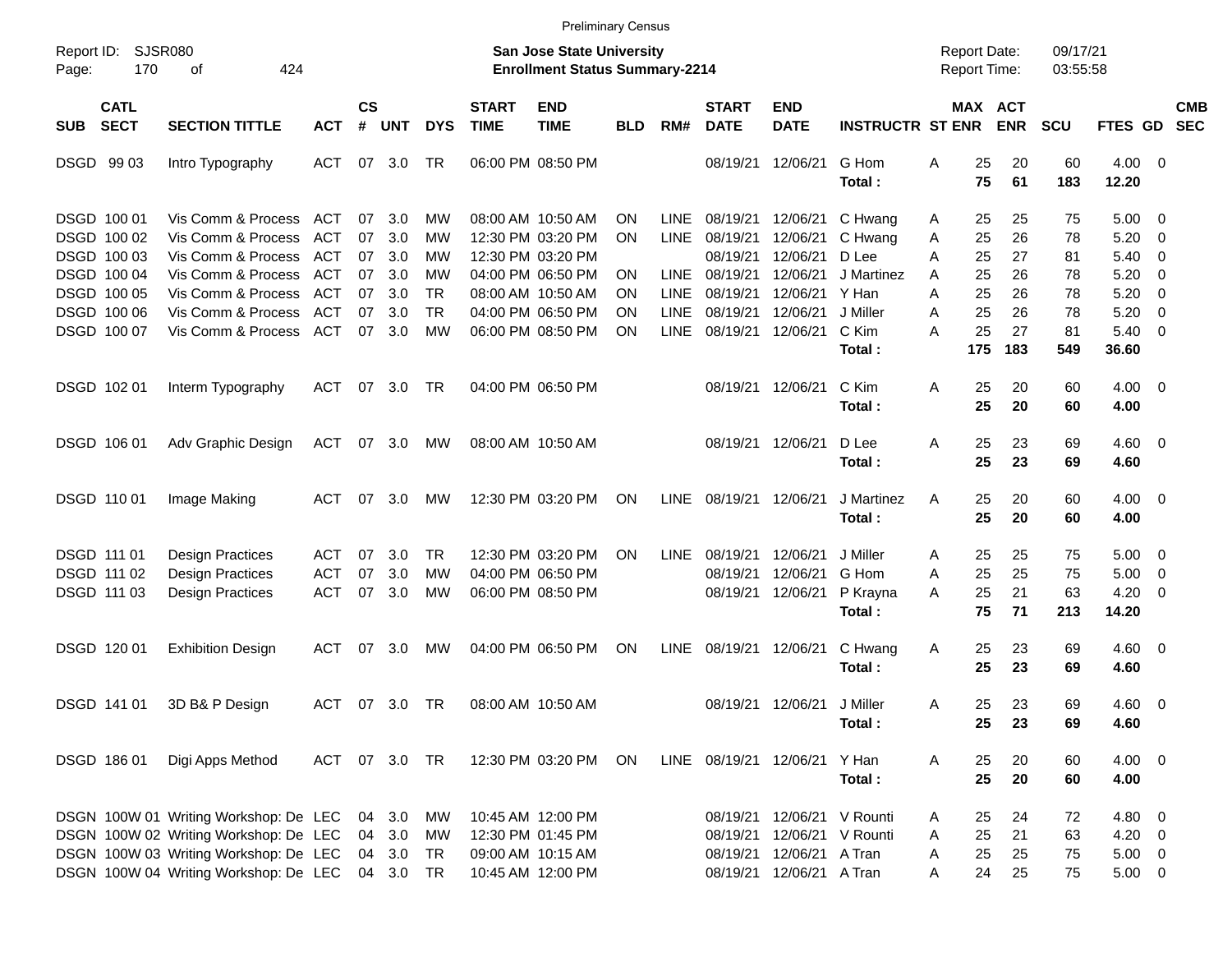|                     |                                           |                                                                                                                         |                                        |                |                            |                        |                                                                    |                                                             | Preliminary Census     |                            |                                  |                                           |                                     |             |                 |                      |                 |                                     |                                                    |                          |
|---------------------|-------------------------------------------|-------------------------------------------------------------------------------------------------------------------------|----------------------------------------|----------------|----------------------------|------------------------|--------------------------------------------------------------------|-------------------------------------------------------------|------------------------|----------------------------|----------------------------------|-------------------------------------------|-------------------------------------|-------------|-----------------|----------------------|-----------------|-------------------------------------|----------------------------------------------------|--------------------------|
| Report ID:<br>Page: | SJSR080<br>170                            |                                                                                                                         |                                        |                |                            |                        | San Jose State University<br><b>Enrollment Status Summary-2214</b> |                                                             |                        |                            |                                  |                                           | <b>Report Date:</b><br>Report Time: |             |                 | 09/17/21<br>03:55:58 |                 |                                     |                                                    |                          |
| <b>SUB</b>          | <b>CATL</b><br><b>SECT</b>                | <b>SECTION TITTLE</b>                                                                                                   | <b>ACT</b>                             | <b>CS</b><br># | <b>UNT</b>                 | <b>DYS</b>             | <b>START</b><br><b>TIME</b>                                        | <b>END</b><br><b>TIME</b>                                   | BLD                    | RM#                        | <b>START</b><br><b>DATE</b>      | <b>END</b><br><b>DATE</b>                 | <b>INSTRUCTR ST ENR</b>             |             | MAX ACT         | <b>ENR</b>           | <b>SCU</b>      | <b>FTES GD</b>                      |                                                    | <b>CMB</b><br><b>SEC</b> |
|                     | DSGD 99 03                                | Intro Typography                                                                                                        | ACT                                    | 07             | 3.0                        | TR                     |                                                                    | 06:00 PM 08:50 PM                                           |                        |                            | 08/19/21                         | 12/06/21                                  | G Hom<br>Total:                     | Α           | 25<br>75        | 20<br>61             | 60<br>183       | 4.00<br>12.20                       | - 0                                                |                          |
|                     | DSGD 100 01<br>DSGD 100 02                | Vis Comm & Process<br>Vis Comm & Process                                                                                | ACT<br><b>ACT</b>                      | 07<br>07       | 3.0<br>3.0                 | <b>MW</b><br>МW        |                                                                    | 08:00 AM 10:50 AM<br>12:30 PM 03:20 PM                      | ON<br><b>ON</b>        | <b>LINE</b><br><b>LINE</b> | 08/19/21<br>08/19/21             | 12/06/21<br>12/06/21                      | C Hwang<br>C Hwang                  | A<br>Α      | 25<br>25        | 25<br>26             | 75<br>78        | 5.00<br>5.20                        | $\overline{\mathbf{0}}$<br>$\overline{\mathbf{0}}$ |                          |
|                     | DSGD 100 03<br>DSGD 100 04<br>DSGD 100 05 | Vis Comm & Process<br>Vis Comm & Process<br>Vis Comm & Process                                                          | <b>ACT</b><br><b>ACT</b><br><b>ACT</b> | 07<br>07<br>07 | 3.0<br>3.0<br>3.0          | МW<br>МW<br>TR         |                                                                    | 12:30 PM 03:20 PM<br>04:00 PM 06:50 PM<br>08:00 AM 10:50 AM | <b>ON</b><br><b>ON</b> | <b>LINE</b><br>LINE        | 08/19/21<br>08/19/21<br>08/19/21 | 12/06/21<br>12/06/21<br>12/06/21          | D Lee<br>J Martinez<br>Y Han        | Α<br>Α<br>Α | 25<br>25<br>25  | 27<br>26<br>26       | 81<br>78<br>78  | 5.40<br>5.20<br>5.20                | 0<br>0<br>0                                        |                          |
|                     | DSGD 100 06<br>DSGD 100 07                | Vis Comm & Process<br>Vis Comm & Process                                                                                | <b>ACT</b><br>ACT                      | 07<br>07       | 3.0<br>3.0                 | <b>TR</b><br><b>MW</b> |                                                                    | 04:00 PM 06:50 PM<br>06:00 PM 08:50 PM                      | <b>ON</b><br><b>ON</b> | <b>LINE</b><br><b>LINE</b> | 08/19/21<br>08/19/21             | 12/06/21<br>12/06/21                      | J Miller<br>C Kim<br>Total:         | Α<br>А      | 25<br>25<br>175 | 26<br>27<br>183      | 78<br>81<br>549 | 5.20<br>5.40<br>36.60               | 0<br>0                                             |                          |
|                     | DSGD 102 01                               | Interm Typography                                                                                                       | <b>ACT</b>                             | 07             | 3.0                        | TR                     |                                                                    | 04:00 PM 06:50 PM                                           |                        |                            | 08/19/21 12/06/21                |                                           | C Kim<br>Total:                     | Α           | 25<br>25        | 20<br>20             | 60<br>60        | 4.00<br>4.00                        | $\overline{\mathbf{0}}$                            |                          |
|                     | DSGD 106 01                               | Adv Graphic Design                                                                                                      | <b>ACT</b>                             | 07             | 3.0                        | <b>MW</b>              |                                                                    | 08:00 AM 10:50 AM                                           |                        |                            | 08/19/21 12/06/21                |                                           | D Lee<br>Total:                     | A           | 25<br>25        | 23<br>23             | 69<br>69        | 4.60<br>4.60                        | $\overline{\mathbf{0}}$                            |                          |
|                     | DSGD 110 01                               | Image Making                                                                                                            | ACT                                    | 07             | 3.0                        | MW                     |                                                                    | 12:30 PM 03:20 PM                                           | ON                     | LINE                       | 08/19/21                         | 12/06/21                                  | J Martinez<br>Total:                | A           | 25<br>25        | 20<br>20             | 60<br>60        | 4.00<br>4.00                        | $\overline{\phantom{0}}$                           |                          |
|                     | DSGD 111 01<br>DSGD 111 02<br>DSGD 111 03 | <b>Design Practices</b><br><b>Design Practices</b><br><b>Design Practices</b>                                           | ACT<br><b>ACT</b><br><b>ACT</b>        | 07<br>07<br>07 | 3.0<br>3.0<br>3.0          | TR<br>МW<br>МW         |                                                                    | 12:30 PM 03:20 PM<br>04:00 PM 06:50 PM<br>06:00 PM 08:50 PM | ON                     | <b>LINE</b>                | 08/19/21<br>08/19/21<br>08/19/21 | 12/06/21<br>12/06/21<br>12/06/21          | J Miller<br>G Hom<br>P Krayna       | A<br>Α<br>Α | 25<br>25<br>25  | 25<br>25<br>21       | 75<br>75<br>63  | 5.00<br>5.00<br>4.20                | $\overline{\mathbf{0}}$<br>$\mathbf 0$<br>0        |                          |
|                     |                                           |                                                                                                                         |                                        |                |                            |                        |                                                                    |                                                             |                        |                            |                                  |                                           | Total:                              |             | 75              | 71                   | 213             | 14.20                               |                                                    |                          |
|                     | DSGD 120 01                               | <b>Exhibition Design</b>                                                                                                | ACT                                    | 07             | 3.0                        | <b>MW</b>              |                                                                    | 04:00 PM 06:50 PM                                           | ON                     | <b>LINE</b>                | 08/19/21                         | 12/06/21                                  | C Hwang<br>Total:                   | A           | 25<br>25        | 23<br>23             | 69<br>69        | 4.60<br>4.60                        | $\overline{\mathbf{0}}$                            |                          |
|                     | DSGD 141 01                               | 3D B& P Design                                                                                                          | ACT                                    | 07             | 3.0                        | TR                     |                                                                    | 08:00 AM 10:50 AM                                           |                        |                            |                                  | 08/19/21 12/06/21                         | J Miller<br>Total:                  | A           | 25<br>$25\,$    | 23<br>23             | 69<br>69        | 4.60<br>4.60                        | $\overline{\mathbf{0}}$                            |                          |
|                     | DSGD 186 01                               | Digi Apps Method                                                                                                        | ACT                                    |                | 07 3.0 TR                  |                        |                                                                    | 12:30 PM 03:20 PM                                           | ON.                    |                            | LINE 08/19/21 12/06/21           |                                           | Y Han<br>Total:                     | A           | 25<br>25        | 20<br>20             | 60<br>60        | $4.00 \ 0$<br>4.00                  |                                                    |                          |
|                     |                                           | DSGN 100W 01 Writing Workshop: De LEC<br>DSGN 100W 02 Writing Workshop: De LEC<br>DSGN 100W 03 Writing Workshop: De LEC |                                        |                | 04 3.0<br>04 3.0<br>04 3.0 | МW<br>MW<br><b>TR</b>  |                                                                    | 10:45 AM 12:00 PM<br>12:30 PM 01:45 PM<br>09:00 AM 10:15 AM |                        |                            | 08/19/21<br>08/19/21             | 08/19/21 12/06/21<br>12/06/21<br>12/06/21 | V Rounti<br>V Rounti<br>A Tran      | A<br>Α<br>Α | 25<br>25<br>25  | 24<br>21<br>25       | 72<br>63<br>75  | 4.80 0<br>$4.20 \ 0$<br>$5.00 \t 0$ |                                                    |                          |
|                     |                                           | DSGN 100W 04 Writing Workshop: De LEC                                                                                   |                                        |                | 04 3.0                     | TR                     |                                                                    | 10:45 AM 12:00 PM                                           |                        |                            |                                  | 08/19/21 12/06/21                         | A Tran                              | A           | 24              | 25                   | 75              | $5.00 \t 0$                         |                                                    |                          |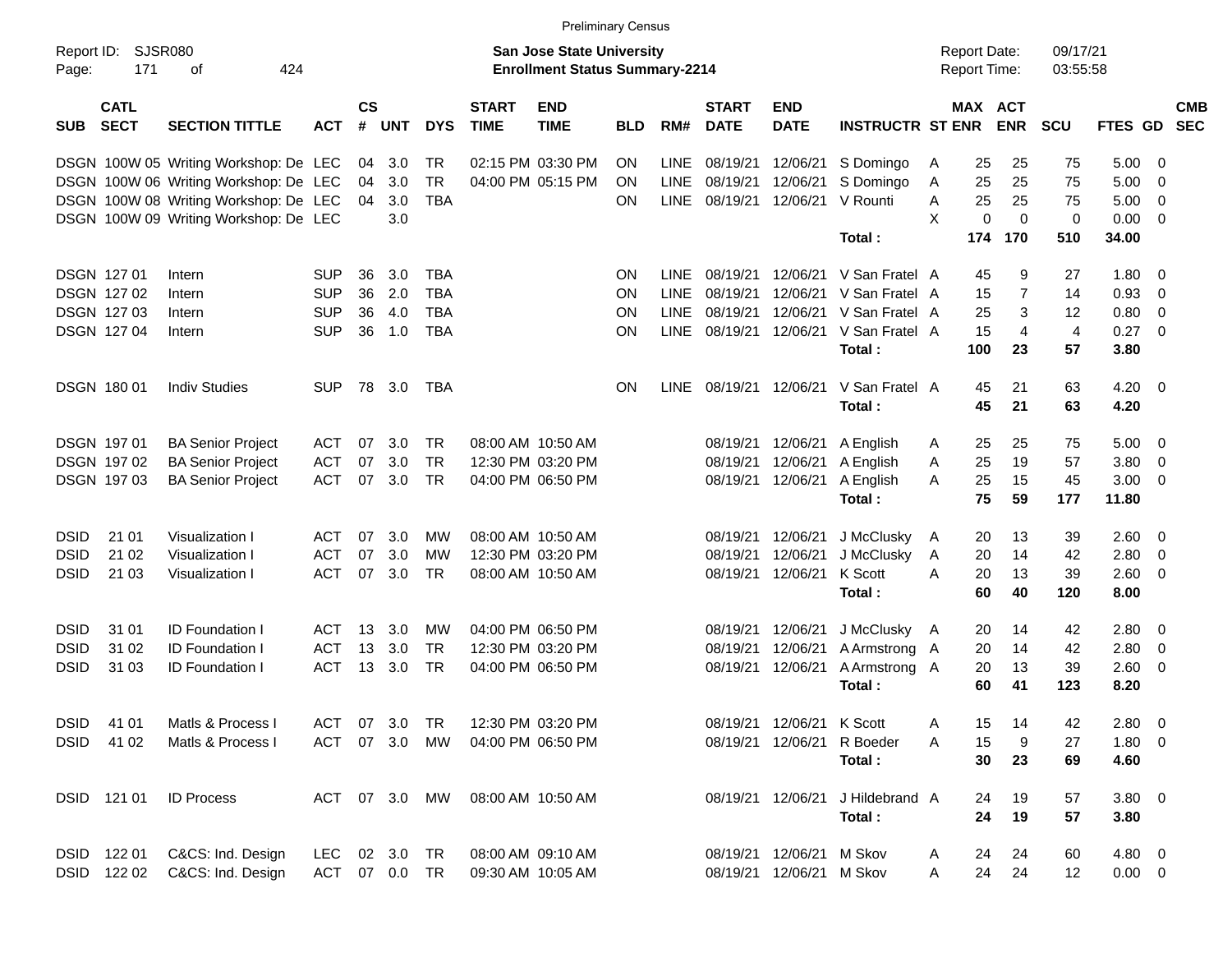|                     |                            |                                       |               |                    |            |            |                                                                           | <b>Preliminary Census</b> |            |             |                             |                           |                                            |              |             |                       |                |             |                         |            |
|---------------------|----------------------------|---------------------------------------|---------------|--------------------|------------|------------|---------------------------------------------------------------------------|---------------------------|------------|-------------|-----------------------------|---------------------------|--------------------------------------------|--------------|-------------|-----------------------|----------------|-------------|-------------------------|------------|
| Report ID:<br>Page: | SJSR080<br>171             | 424                                   |               |                    |            |            | <b>San Jose State University</b><br><b>Enrollment Status Summary-2214</b> |                           |            |             |                             |                           | <b>Report Date:</b><br><b>Report Time:</b> |              |             | 09/17/21<br>03:55:58  |                |             |                         |            |
| <b>SUB</b>          | <b>CATL</b><br><b>SECT</b> | <b>SECTION TITTLE</b>                 | <b>ACT</b>    | $\mathsf{cs}$<br># | <b>UNT</b> | <b>DYS</b> | <b>START</b><br><b>TIME</b>                                               | <b>END</b><br><b>TIME</b> | <b>BLD</b> | RM#         | <b>START</b><br><b>DATE</b> | <b>END</b><br><b>DATE</b> | <b>INSTRUCTR ST ENR</b>                    |              |             | MAX ACT<br><b>ENR</b> | <b>SCU</b>     | FTES GD SEC |                         | <b>CMB</b> |
|                     |                            | DSGN 100W 05 Writing Workshop: De LEC |               | 04                 | 3.0        | TR         |                                                                           | 02:15 PM 03:30 PM         | <b>ON</b>  | <b>LINE</b> | 08/19/21                    | 12/06/21                  | S Domingo                                  | A            | 25          | 25                    | 75             | 5.00        | - 0                     |            |
|                     |                            | DSGN 100W 06 Writing Workshop: De LEC |               | 04                 | 3.0        | <b>TR</b>  |                                                                           | 04:00 PM 05:15 PM         | ON         | <b>LINE</b> | 08/19/21                    | 12/06/21                  | S Domingo                                  | A            | 25          | 25                    | 75             | 5.00        | - 0                     |            |
|                     |                            | DSGN 100W 08 Writing Workshop: De LEC |               | 04                 | 3.0        | <b>TBA</b> |                                                                           |                           | <b>ON</b>  |             | LINE 08/19/21               | 12/06/21                  | V Rounti                                   | Α            | 25          | 25                    | 75             | 5.00        | $\overline{0}$          |            |
|                     |                            | DSGN 100W 09 Writing Workshop: De LEC |               |                    | 3.0        |            |                                                                           |                           |            |             |                             |                           |                                            | X            | $\mathbf 0$ | $\mathbf 0$           | $\mathbf 0$    | 0.00        | $\overline{0}$          |            |
|                     |                            |                                       |               |                    |            |            |                                                                           |                           |            |             |                             |                           | Total:                                     |              | 174         | 170                   | 510            | 34.00       |                         |            |
| <b>DSGN 12701</b>   |                            | Intern                                | <b>SUP</b>    | 36                 | 3.0        | <b>TBA</b> |                                                                           |                           | <b>ON</b>  | LINE.       | 08/19/21                    | 12/06/21                  | V San Fratel A                             |              | 45          | 9                     | 27             | 1.80        | 0                       |            |
|                     | DSGN 127 02                | Intern                                | <b>SUP</b>    | 36                 | 2.0        | <b>TBA</b> |                                                                           |                           | ON         | LINE        | 08/19/21                    | 12/06/21                  | V San Fratel A                             |              | 15          | 7                     | 14             | 0.93        | $\mathbf{0}$            |            |
|                     | DSGN 127 03                | Intern                                | <b>SUP</b>    | 36                 | 4.0        | <b>TBA</b> |                                                                           |                           | ON         | <b>LINE</b> | 08/19/21                    | 12/06/21                  | V San Fratel A                             |              | 25          | 3                     | 12             | 0.80        | 0                       |            |
|                     | DSGN 127 04                | Intern                                | <b>SUP</b>    | 36                 | 1.0        | <b>TBA</b> |                                                                           |                           | <b>ON</b>  |             | LINE 08/19/21               | 12/06/21                  | V San Fratel A                             |              | 15          | $\overline{4}$        | $\overline{4}$ | 0.27        | $\overline{0}$          |            |
|                     |                            |                                       |               |                    |            |            |                                                                           |                           |            |             |                             |                           | Total:                                     |              | 100         | 23                    | 57             | 3.80        |                         |            |
| <b>DSGN 18001</b>   |                            | <b>Indiv Studies</b>                  | <b>SUP</b>    | 78                 | 3.0        | TBA        |                                                                           |                           | <b>ON</b>  |             | LINE 08/19/21               | 12/06/21                  | V San Fratel A                             |              | 45          | 21                    | 63             | $4.20 \ 0$  |                         |            |
|                     |                            |                                       |               |                    |            |            |                                                                           |                           |            |             |                             |                           | Total:                                     |              | 45          | 21                    | 63             | 4.20        |                         |            |
| <b>DSGN 19701</b>   |                            | <b>BA Senior Project</b>              | <b>ACT</b>    | 07                 | 3.0        | TR         | 08:00 AM 10:50 AM                                                         |                           |            |             | 08/19/21                    | 12/06/21                  | A English                                  | A            | 25          | 25                    | 75             | 5.00        | $\overline{\mathbf{0}}$ |            |
|                     | <b>DSGN 19702</b>          | <b>BA Senior Project</b>              | <b>ACT</b>    | 07                 | 3.0        | <b>TR</b>  |                                                                           | 12:30 PM 03:20 PM         |            |             | 08/19/21                    | 12/06/21                  | A English                                  | A            | 25          | 19                    | 57             | 3.80        | $\overline{0}$          |            |
|                     | DSGN 197 03                | <b>BA Senior Project</b>              | <b>ACT</b>    | 07                 | 3.0        | <b>TR</b>  |                                                                           | 04:00 PM 06:50 PM         |            |             | 08/19/21                    | 12/06/21                  | A English                                  | A            | 25          | 15                    | 45             | 3.00        | $\overline{0}$          |            |
|                     |                            |                                       |               |                    |            |            |                                                                           |                           |            |             |                             |                           | Total:                                     |              | 75          | 59                    | 177            | 11.80       |                         |            |
| <b>DSID</b>         | 21 01                      | Visualization I                       | <b>ACT</b>    | 07                 | 3.0        | МW         | 08:00 AM 10:50 AM                                                         |                           |            |             | 08/19/21                    | 12/06/21                  | J McClusky                                 | $\mathsf{A}$ | 20          | 13                    | 39             | 2.60        | $\overline{\mathbf{0}}$ |            |
| <b>DSID</b>         | 21 02                      | Visualization I                       | <b>ACT</b>    | 07                 | 3.0        | MW         |                                                                           | 12:30 PM 03:20 PM         |            |             | 08/19/21                    | 12/06/21                  | J McClusky                                 | A            | 20          | 14                    | 42             | 2.80        | $\overline{0}$          |            |
| <b>DSID</b>         | 21 03                      | Visualization I                       | <b>ACT</b>    | 07                 | 3.0        | <b>TR</b>  | 08:00 AM 10:50 AM                                                         |                           |            |             | 08/19/21                    | 12/06/21                  | K Scott                                    | A            | 20          | 13                    | 39             | 2.60        | - 0                     |            |
|                     |                            |                                       |               |                    |            |            |                                                                           |                           |            |             |                             |                           | Total:                                     |              | 60          | 40                    | 120            | 8.00        |                         |            |
| <b>DSID</b>         | 31 01                      | <b>ID Foundation I</b>                | <b>ACT</b>    | 13                 | 3.0        | МW         |                                                                           | 04:00 PM 06:50 PM         |            |             | 08/19/21                    | 12/06/21                  | J McClusky A                               |              | 20          | 14                    | 42             | 2.80        | - 0                     |            |
| <b>DSID</b>         | 31 02                      | <b>ID Foundation I</b>                | <b>ACT</b>    | 13                 | 3.0        | TR         |                                                                           | 12:30 PM 03:20 PM         |            |             | 08/19/21                    | 12/06/21                  | A Armstrong A                              |              | 20          | 14                    | 42             | 2.80        | $\overline{0}$          |            |
| <b>DSID</b>         | 31 03                      | <b>ID Foundation I</b>                | <b>ACT</b>    | 13                 | 3.0        | <b>TR</b>  |                                                                           | 04:00 PM 06:50 PM         |            |             | 08/19/21                    | 12/06/21                  | A Armstrong A                              |              | 20          | 13                    | 39             | 2.60        | $\overline{\mathbf{0}}$ |            |
|                     |                            |                                       |               |                    |            |            |                                                                           |                           |            |             |                             |                           | Total:                                     |              | 60          | 41                    | 123            | 8.20        |                         |            |
|                     |                            | DSID 41 01 Matls & Process I          |               |                    |            |            | ACT 07 3.0 TR 12:30 PM 03:20 PM                                           |                           |            |             |                             | 08/19/21 12/06/21 K Scott |                                            | A            |             | 15 14                 | 42             | 2.80 0      |                         |            |
| DSID 41 02          |                            | Matls & Process I                     | ACT 07 3.0 MW |                    |            |            |                                                                           | 04:00 PM 06:50 PM         |            |             |                             |                           | 08/19/21 12/06/21 R Boeder                 | A            | 15          | 9                     | 27             | $1.80 \t 0$ |                         |            |
|                     |                            |                                       |               |                    |            |            |                                                                           |                           |            |             |                             |                           | Total:                                     |              | 30          | 23                    | 69             | 4.60        |                         |            |
|                     | DSID 121 01                | <b>ID Process</b>                     | ACT 07 3.0 MW |                    |            |            | 08:00 AM 10:50 AM                                                         |                           |            |             |                             | 08/19/21 12/06/21         | J Hildebrand A                             |              | 24          | 19                    | 57             | $3.80\ 0$   |                         |            |
|                     |                            |                                       |               |                    |            |            |                                                                           |                           |            |             |                             |                           | Total:                                     |              | 24          | 19                    | 57             | 3.80        |                         |            |
|                     | DSID 122 01                | C&CS: Ind. Design                     | LEC 02 3.0 TR |                    |            |            | 08:00 AM 09:10 AM                                                         |                           |            |             |                             | 08/19/21 12/06/21 M Skov  |                                            | A            | 24          | 24                    | 60             | $4.80\ 0$   |                         |            |
|                     | DSID 122 02                | C&CS: Ind. Design                     | ACT 07 0.0 TR |                    |            |            | 09:30 AM 10:05 AM                                                         |                           |            |             |                             | 08/19/21 12/06/21 M Skov  |                                            | A            | 24          | 24                    | 12             | $0.00 \t 0$ |                         |            |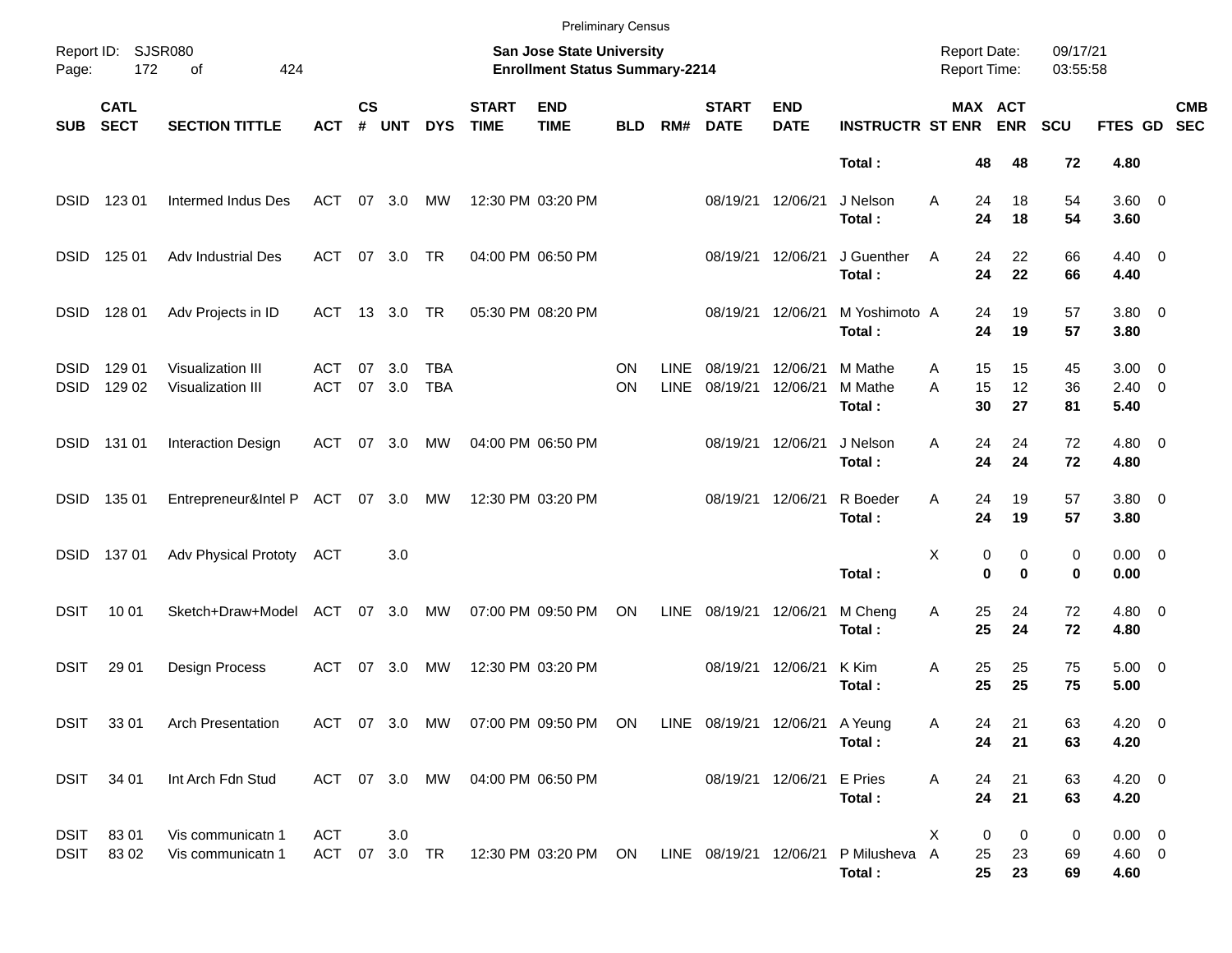|                            |                            |                                        |                             |                    |            |                   |                             |                                                                    | <b>Preliminary Census</b> |                            |                             |                           |                              |                                     |                         |                      |                                          |                          |
|----------------------------|----------------------------|----------------------------------------|-----------------------------|--------------------|------------|-------------------|-----------------------------|--------------------------------------------------------------------|---------------------------|----------------------------|-----------------------------|---------------------------|------------------------------|-------------------------------------|-------------------------|----------------------|------------------------------------------|--------------------------|
| Page:                      | Report ID: SJSR080<br>172  | 424<br>оf                              |                             |                    |            |                   |                             | San Jose State University<br><b>Enrollment Status Summary-2214</b> |                           |                            |                             |                           |                              | <b>Report Date:</b><br>Report Time: |                         | 09/17/21<br>03:55:58 |                                          |                          |
| <b>SUB</b>                 | <b>CATL</b><br><b>SECT</b> | <b>SECTION TITTLE</b>                  | <b>ACT</b>                  | $\mathsf{cs}$<br># | <b>UNT</b> | <b>DYS</b>        | <b>START</b><br><b>TIME</b> | <b>END</b><br><b>TIME</b>                                          | <b>BLD</b>                | RM#                        | <b>START</b><br><b>DATE</b> | <b>END</b><br><b>DATE</b> | <b>INSTRUCTR ST ENR</b>      |                                     | MAX ACT<br><b>ENR</b>   | <b>SCU</b>           | FTES GD                                  | <b>CMB</b><br><b>SEC</b> |
|                            |                            |                                        |                             |                    |            |                   |                             |                                                                    |                           |                            |                             |                           | Total:                       | 48                                  | 48                      | 72                   | 4.80                                     |                          |
| <b>DSID</b>                | 123 01                     | Intermed Indus Des                     | <b>ACT</b>                  | 07                 | 3.0        | МW                |                             | 12:30 PM 03:20 PM                                                  |                           |                            | 08/19/21 12/06/21           |                           | J Nelson<br>Total:           | A<br>24<br>24                       | 18<br>18                | 54<br>54             | 3.60 0<br>3.60                           |                          |
| <b>DSID</b>                | 125 01                     | Adv Industrial Des                     | <b>ACT</b>                  | 07                 | 3.0        | TR                |                             | 04:00 PM 06:50 PM                                                  |                           |                            | 08/19/21 12/06/21           |                           | J Guenther<br>Total:         | A<br>24<br>24                       | 22<br>22                | 66<br>66             | $4.40 \quad 0$<br>4.40                   |                          |
| <b>DSID</b>                | 128 01                     | Adv Projects in ID                     | ACT                         |                    | 13 3.0     | TR                |                             | 05:30 PM 08:20 PM                                                  |                           |                            | 08/19/21                    | 12/06/21                  | M Yoshimoto A<br>Total:      | 24<br>24                            | 19<br>19                | 57<br>57             | $3.80\ 0$<br>3.80                        |                          |
| <b>DSID</b><br><b>DSID</b> | 129 01<br>129 02           | Visualization III<br>Visualization III | ACT<br><b>ACT</b>           | 07<br>07           | 3.0<br>3.0 | TBA<br><b>TBA</b> |                             |                                                                    | ON<br>ΟN                  | <b>LINE</b><br><b>LINE</b> | 08/19/21<br>08/19/21        | 12/06/21<br>12/06/21      | M Mathe<br>M Mathe<br>Total: | 15<br>Α<br>15<br>A<br>30            | 15<br>12<br>27          | 45<br>36<br>81       | $3.00 \quad 0$<br>$2.40 \quad 0$<br>5.40 |                          |
| <b>DSID</b>                | 131 01                     | <b>Interaction Design</b>              | ACT                         | 07                 | 3.0        | МW                |                             | 04:00 PM 06:50 PM                                                  |                           |                            | 08/19/21                    | 12/06/21                  | J Nelson<br>Total:           | 24<br>Α<br>24                       | 24<br>24                | 72<br>72             | $4.80\ 0$<br>4.80                        |                          |
| <b>DSID</b>                | 135 01                     | Entrepreneur&Intel P ACT               |                             |                    | 07 3.0     | MW                |                             | 12:30 PM 03:20 PM                                                  |                           |                            |                             | 08/19/21 12/06/21         | R Boeder<br>Total:           | Α<br>24<br>24                       | 19<br>19                | 57<br>57             | $3.80\ 0$<br>3.80                        |                          |
| <b>DSID</b>                | 13701                      | <b>Adv Physical Prototy</b>            | ACT                         |                    | 3.0        |                   |                             |                                                                    |                           |                            |                             |                           | Total:                       | Χ                                   | 0<br>0<br>0<br>$\bf{0}$ | 0<br>0               | $0.00 \t 0$<br>0.00                      |                          |
| DSIT                       | 10 01                      | Sketch+Draw+Model                      | <b>ACT</b>                  | 07                 | 3.0        | МW                |                             | 07:00 PM 09:50 PM                                                  | ON                        | <b>LINE</b>                | 08/19/21                    | 12/06/21                  | M Cheng<br>Total:            | Α<br>25<br>25                       | 24<br>24                | 72<br>72             | $4.80\ 0$<br>4.80                        |                          |
| <b>DSIT</b>                | 29 01                      | Design Process                         | ACT                         | 07                 | 3.0        | МW                |                             | 12:30 PM 03:20 PM                                                  |                           |                            |                             | 08/19/21 12/06/21         | K Kim<br>Total:              | Α<br>25<br>25                       | 25<br>25                | 75<br>75             | $5.00 \t 0$<br>5.00                      |                          |
|                            | DSIT 3301                  | <b>Arch Presentation</b>               |                             |                    |            |                   |                             | ACT 07 3.0 MW 07:00 PM 09:50 PM ON LINE 08/19/21 12/06/21 A Yeung  |                           |                            |                             |                           | Total:                       | Α<br>24<br>24                       | 21<br>21                | 63<br>63             | $4.20 \ 0$<br>4.20                       |                          |
|                            | DSIT 34 01                 | Int Arch Fdn Stud                      |                             |                    |            | ACT 07 3.0 MW     | 04:00 PM 06:50 PM           |                                                                    |                           |                            |                             | 08/19/21 12/06/21 E Pries | Total:                       | Α<br>24<br>24                       | 21<br>21                | 63<br>63             | $4.20 \ 0$<br>4.20                       |                          |
| DSIT<br>DSIT               | 8301<br>8302               | Vis communicatn 1<br>Vis communicatn 1 | <b>ACT</b><br>ACT 07 3.0 TR |                    | 3.0        |                   |                             | 12:30 PM 03:20 PM ON LINE 08/19/21 12/06/21                        |                           |                            |                             |                           | P Milusheva<br>Total:        | Χ<br>25<br>A<br>25                  | 0<br>0<br>23<br>23      | 0<br>69<br>69        | $0.00 \t 0$<br>4.60 0<br>4.60            |                          |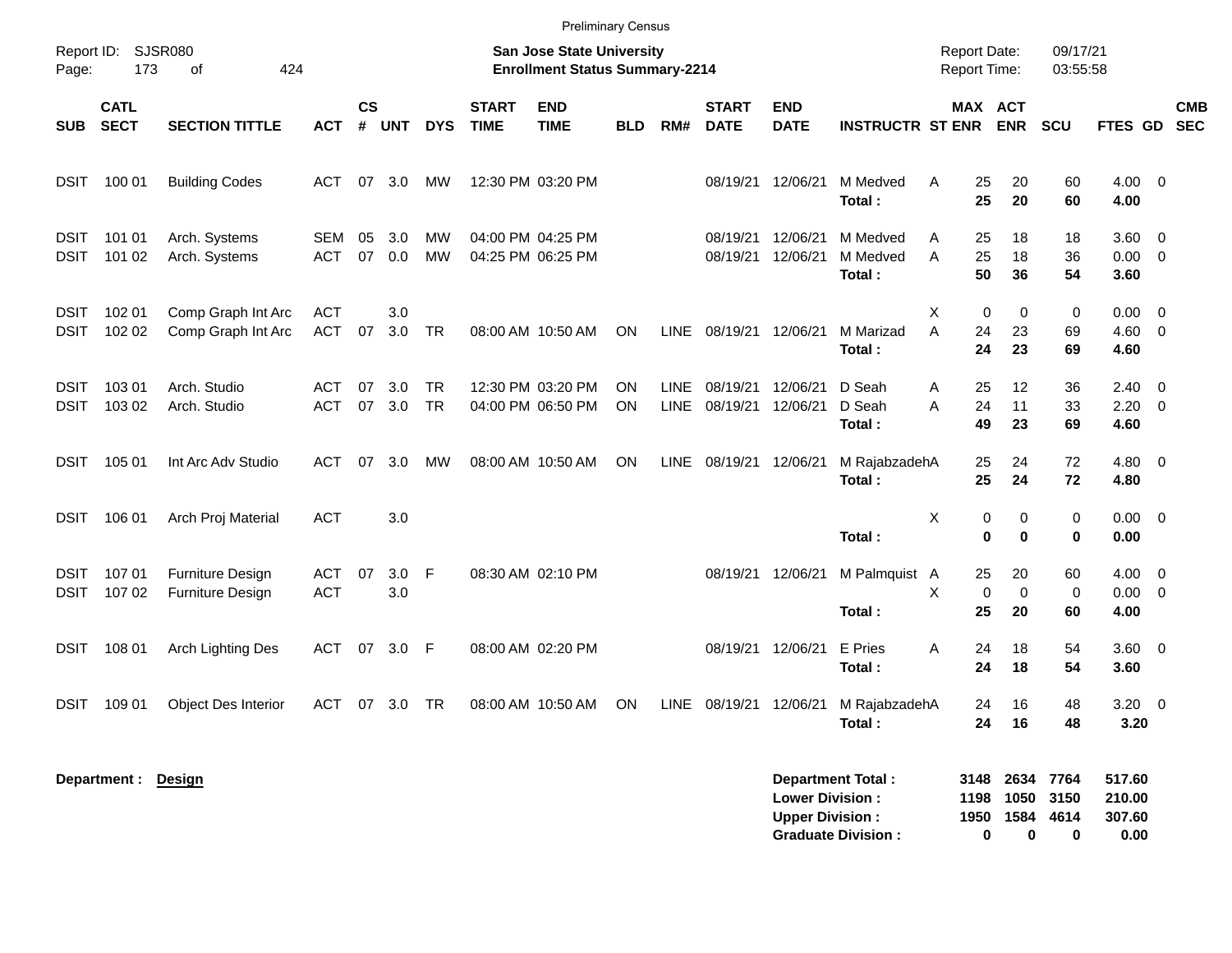|                            |                            |                                                    |                          |                             |            |                        |                                                                           | <b>Preliminary Census</b>              |            |                            |                             |                                                  |                                                       |        |                   |                                |                           |                                    |                          |                          |
|----------------------------|----------------------------|----------------------------------------------------|--------------------------|-----------------------------|------------|------------------------|---------------------------------------------------------------------------|----------------------------------------|------------|----------------------------|-----------------------------|--------------------------------------------------|-------------------------------------------------------|--------|-------------------|--------------------------------|---------------------------|------------------------------------|--------------------------|--------------------------|
| Report ID:<br>Page:        | 173                        | <b>SJSR080</b><br>424<br>of                        |                          |                             |            |                        | <b>San Jose State University</b><br><b>Enrollment Status Summary-2214</b> |                                        |            |                            |                             |                                                  | <b>Report Date:</b><br>Report Time:                   |        |                   | 09/17/21<br>03:55:58           |                           |                                    |                          |                          |
| <b>SUB</b>                 | <b>CATL</b><br><b>SECT</b> | <b>SECTION TITTLE</b>                              | <b>ACT</b>               | $\mathsf{cs}$<br>$\pmb{\#}$ | <b>UNT</b> | <b>DYS</b>             | <b>START</b><br><b>TIME</b>                                               | <b>END</b><br><b>TIME</b>              | <b>BLD</b> | RM#                        | <b>START</b><br><b>DATE</b> | <b>END</b><br><b>DATE</b>                        | <b>INSTRUCTR ST ENR</b>                               |        |                   | MAX ACT<br><b>ENR</b>          | SCU                       | FTES GD                            |                          | <b>CMB</b><br><b>SEC</b> |
| <b>DSIT</b>                | 100 01                     | <b>Building Codes</b>                              | ACT                      | 07                          | 3.0        | МW                     |                                                                           | 12:30 PM 03:20 PM                      |            |                            | 08/19/21                    | 12/06/21                                         | M Medved<br>Total:                                    | Α      | 25<br>25          | 20<br>20                       | 60<br>60                  | $4.00 \ 0$<br>4.00                 |                          |                          |
| <b>DSIT</b><br><b>DSIT</b> | 101 01<br>101 02           | Arch. Systems<br>Arch. Systems                     | <b>SEM</b><br><b>ACT</b> | 05<br>07                    | 3.0<br>0.0 | МW<br><b>MW</b>        |                                                                           | 04:00 PM 04:25 PM<br>04:25 PM 06:25 PM |            |                            | 08/19/21<br>08/19/21        | 12/06/21<br>12/06/21                             | M Medved<br>M Medved<br>Total:                        | Α<br>A | 25<br>25<br>50    | 18<br>18<br>36                 | 18<br>36<br>54            | $3.60 \ 0$<br>$0.00 \t 0$<br>3.60  |                          |                          |
| <b>DSIT</b><br><b>DSIT</b> | 102 01<br>102 02           | Comp Graph Int Arc<br>Comp Graph Int Arc           | <b>ACT</b><br><b>ACT</b> | 07                          | 3.0<br>3.0 | TR                     |                                                                           | 08:00 AM 10:50 AM                      | ON         | LINE                       | 08/19/21                    | 12/06/21                                         | M Marizad<br>Total:                                   | Χ<br>A | 0<br>24<br>24     | 0<br>23<br>23                  | 0<br>69<br>69             | $0.00 \t 0$<br>$4.60$ 0<br>4.60    |                          |                          |
| <b>DSIT</b><br>DSIT        | 103 01<br>103 02           | Arch. Studio<br>Arch. Studio                       | <b>ACT</b><br><b>ACT</b> | -07<br>07                   | 3.0<br>3.0 | <b>TR</b><br><b>TR</b> |                                                                           | 12:30 PM 03:20 PM<br>04:00 PM 06:50 PM | ΟN<br>ON   | <b>LINE</b><br><b>LINE</b> | 08/19/21<br>08/19/21        | 12/06/21<br>12/06/21                             | D Seah<br>D Seah<br>Total:                            | Α<br>A | 25<br>24<br>49    | 12<br>11<br>23                 | 36<br>33<br>69            | $2.40 \ 0$<br>2.20<br>4.60         | $\overline{\phantom{0}}$ |                          |
| DSIT                       | 105 01                     | Int Arc Adv Studio                                 | <b>ACT</b>               | 07                          | 3.0        | MW                     |                                                                           | 08:00 AM 10:50 AM                      | ON         | <b>LINE</b>                | 08/19/21                    | 12/06/21                                         | M RajabzadehA<br>Total:                               |        | 25<br>25          | 24<br>24                       | 72<br>72                  | $4.80\ 0$<br>4.80                  |                          |                          |
| <b>DSIT</b>                | 106 01                     | Arch Proj Material                                 | <b>ACT</b>               |                             | 3.0        |                        |                                                                           |                                        |            |                            |                             |                                                  | Total:                                                | Χ      | 0<br>0            | 0<br>$\mathbf 0$               | 0<br>0                    | $0.00 \t 0$<br>0.00                |                          |                          |
| <b>DSIT</b><br><b>DSIT</b> | 107 01<br>107 02           | <b>Furniture Design</b><br><b>Furniture Design</b> | <b>ACT</b><br><b>ACT</b> | 07                          | 3.0<br>3.0 | F                      |                                                                           | 08:30 AM 02:10 PM                      |            |                            | 08/19/21                    | 12/06/21                                         | M Palmquist A<br>Total:                               | X      | 25<br>0<br>25     | 20<br>0<br>20                  | 60<br>0<br>60             | $4.00 \ 0$<br>$0.00 \t 0$<br>4.00  |                          |                          |
| <b>DSIT</b>                | 108 01                     | Arch Lighting Des                                  | ACT                      | 07                          | 3.0        | - F                    |                                                                           | 08:00 AM 02:20 PM                      |            |                            | 08/19/21                    | 12/06/21                                         | E Pries<br>Total:                                     | Α      | 24<br>24          | 18<br>18                       | 54<br>54                  | 3.60 0<br>3.60                     |                          |                          |
| DSIT                       | 109 01                     | <b>Object Des Interior</b>                         | ACT                      |                             | 07 3.0     | <b>TR</b>              |                                                                           | 08:00 AM 10:50 AM                      | ON         | LINE                       |                             |                                                  | 08/19/21 12/06/21 M RajabzadehA<br>Total:             |        | 24<br>24          | 16<br>16                       | 48<br>48                  | $3.20 \ 0$<br>3.20                 |                          |                          |
|                            | Department: Design         |                                                    |                          |                             |            |                        |                                                                           |                                        |            |                            |                             | <b>Lower Division:</b><br><b>Upper Division:</b> | <b>Department Total:</b><br><b>Graduate Division:</b> |        | 1198<br>1950<br>0 | 3148 2634<br>1050<br>1584<br>0 | 7764<br>3150<br>4614<br>0 | 517.60<br>210.00<br>307.60<br>0.00 |                          |                          |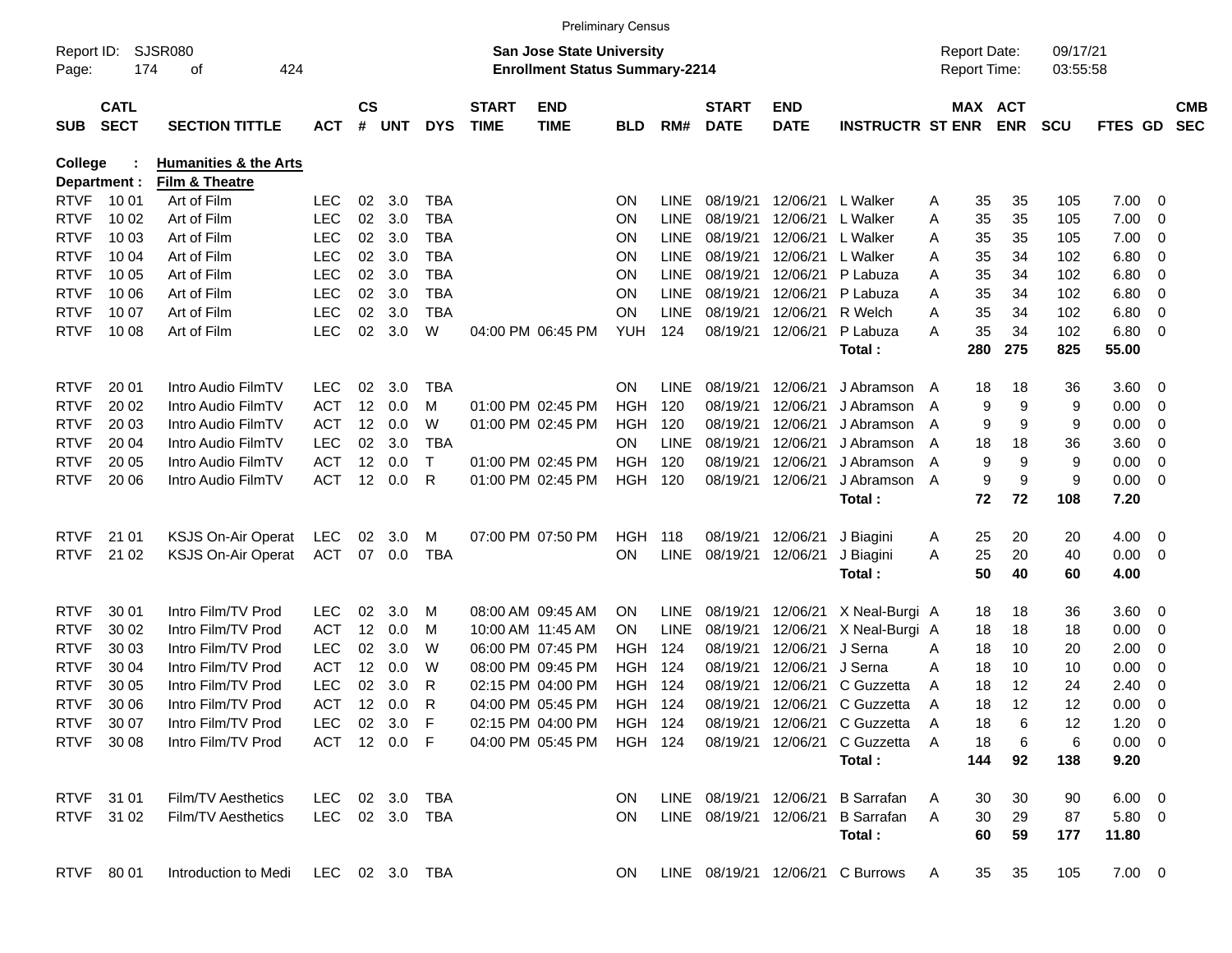|                     |                            |                                     |                |                |            |              |                             |                                                                           | <b>Preliminary Census</b> |             |                             |                           |                                   |   |                                     |            |                      |                |                         |                          |
|---------------------|----------------------------|-------------------------------------|----------------|----------------|------------|--------------|-----------------------------|---------------------------------------------------------------------------|---------------------------|-------------|-----------------------------|---------------------------|-----------------------------------|---|-------------------------------------|------------|----------------------|----------------|-------------------------|--------------------------|
| Report ID:<br>Page: | 174                        | SJSR080<br>424<br>οf                |                |                |            |              |                             | <b>San Jose State University</b><br><b>Enrollment Status Summary-2214</b> |                           |             |                             |                           |                                   |   | <b>Report Date:</b><br>Report Time: |            | 09/17/21<br>03:55:58 |                |                         |                          |
| <b>SUB</b>          | <b>CATL</b><br><b>SECT</b> | <b>SECTION TITTLE</b>               | <b>ACT</b>     | <b>CS</b><br># | <b>UNT</b> | <b>DYS</b>   | <b>START</b><br><b>TIME</b> | <b>END</b><br><b>TIME</b>                                                 | <b>BLD</b>                | RM#         | <b>START</b><br><b>DATE</b> | <b>END</b><br><b>DATE</b> | <b>INSTRUCTR ST ENR</b>           |   | MAX ACT                             | <b>ENR</b> | <b>SCU</b>           | FTES GD        |                         | <b>CMB</b><br><b>SEC</b> |
| <b>College</b>      |                            | <b>Humanities &amp; the Arts</b>    |                |                |            |              |                             |                                                                           |                           |             |                             |                           |                                   |   |                                     |            |                      |                |                         |                          |
|                     | Department :               | Film & Theatre                      |                |                |            |              |                             |                                                                           |                           |             |                             |                           |                                   |   |                                     |            |                      |                |                         |                          |
| <b>RTVF</b>         | 10 01                      | Art of Film                         | <b>LEC</b>     | 02             | 3.0        | <b>TBA</b>   |                             |                                                                           | <b>ON</b>                 | <b>LINE</b> | 08/19/21                    | 12/06/21                  | L Walker                          | A | 35                                  | 35         | 105                  | 7.00           | $\overline{\mathbf{0}}$ |                          |
| <b>RTVF</b>         | 10 02                      | Art of Film                         | <b>LEC</b>     | 02             | 3.0        | <b>TBA</b>   |                             |                                                                           | <b>ON</b>                 | <b>LINE</b> | 08/19/21                    | 12/06/21                  | L Walker                          | A | 35                                  | 35         | 105                  | 7.00           | 0                       |                          |
| <b>RTVF</b>         | 10 03                      | Art of Film                         | <b>LEC</b>     | 02             | 3.0        | <b>TBA</b>   |                             |                                                                           | <b>ON</b>                 | <b>LINE</b> | 08/19/21                    | 12/06/21                  | L Walker                          | A | 35                                  | 35         | 105                  | 7.00           | 0                       |                          |
| <b>RTVF</b>         | 10 04                      | Art of Film                         | <b>LEC</b>     | 02             | 3.0        | <b>TBA</b>   |                             |                                                                           | <b>ON</b>                 | <b>LINE</b> | 08/19/21                    | 12/06/21                  | L Walker                          | A | 35                                  | 34         | 102                  | 6.80           | 0                       |                          |
| <b>RTVF</b>         | 10 05                      | Art of Film                         | <b>LEC</b>     | 02             | 3.0        | <b>TBA</b>   |                             |                                                                           | <b>ON</b>                 | <b>LINE</b> | 08/19/21                    | 12/06/21                  | P Labuza                          | A | 35                                  | 34         | 102                  | 6.80           | 0                       |                          |
| <b>RTVF</b>         | 10 06                      | Art of Film                         | <b>LEC</b>     | 02             | 3.0        | <b>TBA</b>   |                             |                                                                           | <b>ON</b>                 | <b>LINE</b> | 08/19/21                    | 12/06/21                  | P Labuza                          | A | 35                                  | 34         | 102                  | 6.80           | 0                       |                          |
| <b>RTVF</b>         | 10 07                      | Art of Film                         | <b>LEC</b>     | 02             | 3.0        | <b>TBA</b>   |                             |                                                                           | <b>ON</b>                 | <b>LINE</b> | 08/19/21                    | 12/06/21                  | R Welch                           | A | 35                                  | 34         | 102                  | 6.80           | 0                       |                          |
| <b>RTVF</b>         | 10 08                      | Art of Film                         | <b>LEC</b>     | 02             | 3.0        | W            |                             | 04:00 PM 06:45 PM                                                         | <b>YUH</b>                | 124         | 08/19/21                    | 12/06/21                  | P Labuza<br>Total:                | A | 35<br>280                           | 34<br>275  | 102<br>825           | 6.80<br>55.00  | $\overline{\mathbf{0}}$ |                          |
|                     |                            |                                     |                |                |            |              |                             |                                                                           |                           |             |                             |                           |                                   |   |                                     |            |                      |                |                         |                          |
| <b>RTVF</b>         | 20 01                      | Intro Audio FilmTV                  | <b>LEC</b>     | 02             | 3.0        | TBA          |                             |                                                                           | <b>ON</b>                 | <b>LINE</b> | 08/19/21                    | 12/06/21                  | J Abramson A                      |   | 18                                  | 18         | 36                   | 3.60           | $\overline{\mathbf{0}}$ |                          |
| <b>RTVF</b>         | 20 02                      | Intro Audio FilmTV                  | <b>ACT</b>     | 12             | 0.0        | м            |                             | 01:00 PM 02:45 PM                                                         | HGH                       | 120         | 08/19/21                    | 12/06/21                  | J Abramson                        | A | 9                                   | 9          | 9                    | 0.00           | $\overline{0}$          |                          |
| <b>RTVF</b>         | 20 03                      | Intro Audio FilmTV                  | <b>ACT</b>     | 12             | 0.0        | W            |                             | 01:00 PM 02:45 PM                                                         | <b>HGH</b>                | 120         | 08/19/21                    | 12/06/21                  | J Abramson                        | A | 9                                   | 9          | 9                    | 0.00           | 0                       |                          |
| <b>RTVF</b>         | 20 04                      | Intro Audio FilmTV                  | <b>LEC</b>     | 02             | 3.0        | <b>TBA</b>   |                             |                                                                           | <b>ON</b>                 | LINE        | 08/19/21                    | 12/06/21                  | J Abramson                        | A | 18                                  | 18         | 36                   | 3.60           | 0                       |                          |
| <b>RTVF</b>         | 20 05                      | Intro Audio FilmTV                  | <b>ACT</b>     | 12             | 0.0        | $\mathsf{T}$ |                             | 01:00 PM 02:45 PM                                                         | HGH                       | 120         | 08/19/21                    | 12/06/21                  | J Abramson                        | A | 9                                   | 9          | 9                    | 0.00           | 0                       |                          |
| <b>RTVF</b>         | 20 06                      | Intro Audio FilmTV                  | <b>ACT</b>     | 12             | 0.0        | R            |                             | 01:00 PM 02:45 PM                                                         | <b>HGH</b>                | 120         | 08/19/21                    | 12/06/21                  | J Abramson A                      |   | 9                                   | 9          | 9                    | 0.00           | $\overline{\mathbf{0}}$ |                          |
|                     |                            |                                     |                |                |            |              |                             |                                                                           |                           |             |                             |                           | Total:                            |   | 72                                  | 72         | 108                  | 7.20           |                         |                          |
| <b>RTVF</b>         | 21 01                      | <b>KSJS On-Air Operat</b>           | LEC            | 02             | 3.0        | M            |                             | 07:00 PM 07:50 PM                                                         | HGH                       | 118         | 08/19/21                    | 12/06/21                  | J Biagini                         | A | 25                                  | 20         | 20                   | 4.00           | $\overline{\mathbf{0}}$ |                          |
| <b>RTVF</b>         | 21 02                      | <b>KSJS On-Air Operat</b>           | <b>ACT</b>     | 07             | 0.0        | <b>TBA</b>   |                             |                                                                           | ON                        | <b>LINE</b> | 08/19/21                    | 12/06/21                  | J Biagini                         | A | 25                                  | 20         | 40                   | 0.00           | $\overline{\mathbf{0}}$ |                          |
|                     |                            |                                     |                |                |            |              |                             |                                                                           |                           |             |                             |                           | Total:                            |   | 50                                  | 40         | 60                   | 4.00           |                         |                          |
| <b>RTVF</b>         | 30 01                      | Intro Film/TV Prod                  | <b>LEC</b>     | 02             | 3.0        | M            |                             | 08:00 AM 09:45 AM                                                         | <b>ON</b>                 | <b>LINE</b> | 08/19/21                    | 12/06/21                  | X Neal-Burgi A                    |   | 18                                  | 18         | 36                   | 3.60           | $\overline{0}$          |                          |
| <b>RTVF</b>         | 30 02                      | Intro Film/TV Prod                  | <b>ACT</b>     | 12             | 0.0        | M            |                             | 10:00 AM 11:45 AM                                                         | ON                        | <b>LINE</b> | 08/19/21                    | 12/06/21                  | X Neal-Burgi A                    |   | 18                                  | 18         | 18                   | 0.00           | 0                       |                          |
| <b>RTVF</b>         | 30 03                      | Intro Film/TV Prod                  | <b>LEC</b>     | 02             | 3.0        | W            |                             | 06:00 PM 07:45 PM                                                         | HGH                       | 124         | 08/19/21                    | 12/06/21                  | J Serna                           | A | 18                                  | 10         | 20                   | 2.00           | 0                       |                          |
| <b>RTVF</b>         | 30 04                      | Intro Film/TV Prod                  | <b>ACT</b>     | 12             | 0.0        | W            |                             | 08:00 PM 09:45 PM                                                         | HGH                       | 124         | 08/19/21                    | 12/06/21                  | J Serna                           | A | 18                                  | 10         | 10                   | 0.00           | 0                       |                          |
| <b>RTVF</b>         | 30 05                      | Intro Film/TV Prod                  | <b>LEC</b>     | 02             | 3.0        | R            |                             | 02:15 PM 04:00 PM                                                         | HGH                       | 124         | 08/19/21                    | 12/06/21                  | C Guzzetta                        | A | 18                                  | 12         | 24                   | 2.40           | 0                       |                          |
| <b>RTVF</b>         | 30 06                      | Intro Film/TV Prod                  | <b>ACT</b>     | 12             | 0.0        | R            |                             | 04:00 PM 05:45 PM                                                         | <b>HGH</b>                | 124         | 08/19/21                    | 12/06/21                  | C Guzzetta                        | A | 18                                  | 12         | 12                   | 0.00           | 0                       |                          |
|                     | RTVF 3007                  | Intro Film/TV Prod                  | LEC 02 3.0 F   |                |            |              |                             | 02:15 PM 04:00 PM HGH 124                                                 |                           |             |                             |                           | 08/19/21 12/06/21 C Guzzetta      |   | 18                                  | 6          | 12                   | $1.20 \t 0$    |                         |                          |
|                     | RTVF 30 08                 | Intro Film/TV Prod                  | ACT 12 0.0 F   |                |            |              |                             | 04:00 PM 05:45 PM                                                         | HGH 124                   |             |                             |                           | 08/19/21 12/06/21 C Guzzetta A    |   | 18                                  | 6          | 6                    | $0.00 \t 0$    |                         |                          |
|                     |                            |                                     |                |                |            |              |                             |                                                                           |                           |             |                             |                           | Total:                            |   | 144                                 | 92         | 138                  | 9.20           |                         |                          |
|                     | RTVF 31 01                 | Film/TV Aesthetics                  | LEC 02 3.0     |                |            | TBA          |                             |                                                                           | ON.                       |             | LINE 08/19/21 12/06/21      |                           | <b>B</b> Sarrafan                 | A | 30                                  | 30         | 90                   | $6.00 \quad 0$ |                         |                          |
|                     | RTVF 31 02                 | Film/TV Aesthetics                  | LEC 02 3.0 TBA |                |            |              |                             |                                                                           | ON.                       |             |                             |                           | LINE 08/19/21 12/06/21 B Sarrafan | A | 30                                  | 29         | 87                   | $5.80\quad 0$  |                         |                          |
|                     |                            |                                     |                |                |            |              |                             |                                                                           |                           |             |                             |                           | Total:                            |   | 60                                  | 59         | 177                  | 11.80          |                         |                          |
|                     | RTVF 8001                  | Introduction to Medi LEC 02 3.0 TBA |                |                |            |              |                             |                                                                           | ON.                       |             |                             |                           | LINE 08/19/21 12/06/21 C Burrows  | A | 35                                  | 35         | 105                  | $7.00 \t 0$    |                         |                          |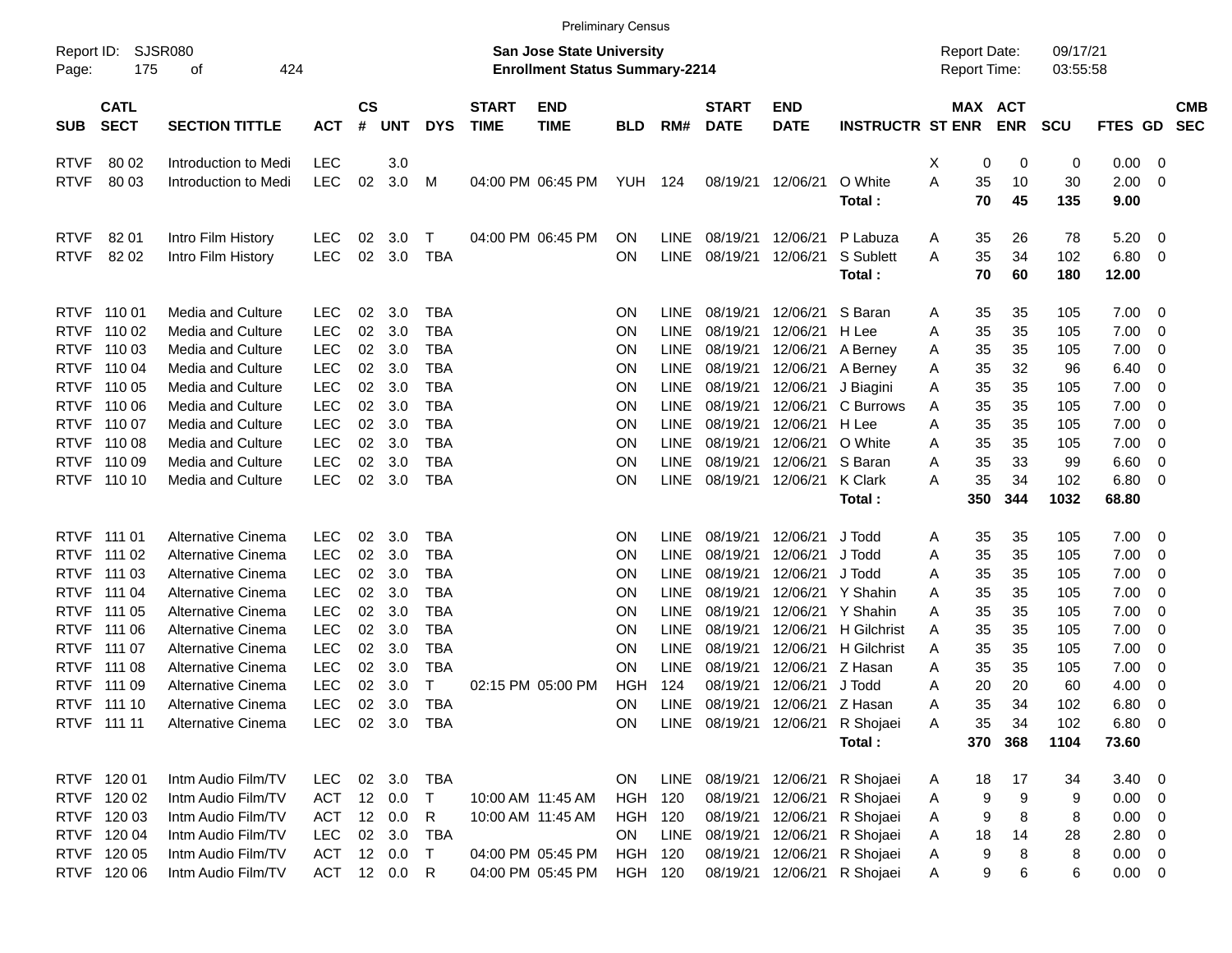|                     |                            |                          |            |                    |            |            |                             |                                                                    | <b>Preliminary Census</b> |             |                             |                           |                                  |   |                                     |            |                      |               |                         |                          |
|---------------------|----------------------------|--------------------------|------------|--------------------|------------|------------|-----------------------------|--------------------------------------------------------------------|---------------------------|-------------|-----------------------------|---------------------------|----------------------------------|---|-------------------------------------|------------|----------------------|---------------|-------------------------|--------------------------|
| Report ID:<br>Page: | 175                        | SJSR080<br>424<br>οf     |            |                    |            |            |                             | San Jose State University<br><b>Enrollment Status Summary-2214</b> |                           |             |                             |                           |                                  |   | <b>Report Date:</b><br>Report Time: |            | 09/17/21<br>03:55:58 |               |                         |                          |
| <b>SUB</b>          | <b>CATL</b><br><b>SECT</b> | <b>SECTION TITTLE</b>    | <b>ACT</b> | $\mathsf{cs}$<br># | <b>UNT</b> | <b>DYS</b> | <b>START</b><br><b>TIME</b> | <b>END</b><br><b>TIME</b>                                          | <b>BLD</b>                | RM#         | <b>START</b><br><b>DATE</b> | <b>END</b><br><b>DATE</b> | <b>INSTRUCTR ST ENR</b>          |   | MAX ACT                             | <b>ENR</b> | <b>SCU</b>           | FTES GD       |                         | <b>CMB</b><br><b>SEC</b> |
| <b>RTVF</b>         | 80 02                      | Introduction to Medi     | <b>LEC</b> |                    | 3.0        |            |                             |                                                                    |                           |             |                             |                           |                                  | X | 0                                   | 0          | 0                    | 0.00          | $\overline{\mathbf{0}}$ |                          |
| <b>RTVF</b>         | 80 03                      | Introduction to Medi     | <b>LEC</b> | 02                 | 3.0        | М          |                             | 04:00 PM 06:45 PM                                                  | YUH                       | -124        | 08/19/21                    | 12/06/21                  | O White<br>Total:                | Α | 35<br>70                            | 10<br>45   | 30<br>135            | 2.00<br>9.00  | $\overline{0}$          |                          |
| <b>RTVF</b>         | 82 01                      | Intro Film History       | LEC        | 02                 | 3.0        | Τ          |                             | 04:00 PM 06:45 PM                                                  | <b>ON</b>                 | <b>LINE</b> | 08/19/21                    | 12/06/21                  | P Labuza                         | A | 35                                  | 26         | 78                   | 5.20          | $\overline{\mathbf{0}}$ |                          |
| <b>RTVF</b>         | 82 02                      | Intro Film History       | <b>LEC</b> | 02                 | 3.0        | <b>TBA</b> |                             |                                                                    | <b>ON</b>                 | <b>LINE</b> | 08/19/21                    | 12/06/21                  | S Sublett<br>Total:              | A | 35<br>70                            | 34<br>60   | 102<br>180           | 6.80<br>12.00 | $\overline{\mathbf{0}}$ |                          |
| <b>RTVF</b>         | 110 01                     | <b>Media and Culture</b> | <b>LEC</b> | 02                 | 3.0        | <b>TBA</b> |                             |                                                                    | <b>ON</b>                 | <b>LINE</b> | 08/19/21                    | 12/06/21                  | S Baran                          | Α | 35                                  | 35         | 105                  | 7.00          | $\overline{\mathbf{0}}$ |                          |
| <b>RTVF</b>         | 110 02                     | Media and Culture        | <b>LEC</b> | 02                 | 3.0        | <b>TBA</b> |                             |                                                                    | <b>ON</b>                 | LINE        | 08/19/21                    | 12/06/21                  | H Lee                            | A | 35                                  | 35         | 105                  | 7.00          | $\mathbf 0$             |                          |
| <b>RTVF</b>         | 110 03                     | Media and Culture        | <b>LEC</b> | 02                 | 3.0        | <b>TBA</b> |                             |                                                                    | ON                        | LINE        | 08/19/21                    | 12/06/21                  | A Berney                         | Α | 35                                  | 35         | 105                  | 7.00          | $\mathbf 0$             |                          |
| <b>RTVF</b>         | 110 04                     | Media and Culture        | <b>LEC</b> | 02                 | 3.0        | <b>TBA</b> |                             |                                                                    | ON                        | <b>LINE</b> | 08/19/21                    | 12/06/21                  | A Berney                         | Α | 35                                  | 32         | 96                   | 6.40          | 0                       |                          |
| <b>RTVF</b>         | 110 05                     | Media and Culture        | <b>LEC</b> | 02                 | 3.0        | <b>TBA</b> |                             |                                                                    | ON                        | <b>LINE</b> | 08/19/21                    | 12/06/21                  | J Biagini                        | Α | 35                                  | 35         | 105                  | 7.00          | $\mathbf 0$             |                          |
| <b>RTVF</b>         | 110 06                     | Media and Culture        | <b>LEC</b> | 02                 | 3.0        | <b>TBA</b> |                             |                                                                    | ON                        | LINE        | 08/19/21                    | 12/06/21                  | C Burrows                        | Α | 35                                  | 35         | 105                  | 7.00          | $\mathbf 0$             |                          |
| <b>RTVF</b>         | 110 07                     | Media and Culture        | <b>LEC</b> | 02                 | 3.0        | <b>TBA</b> |                             |                                                                    | ON                        | LINE        | 08/19/21                    | 12/06/21                  | H Lee                            | A | 35                                  | 35         | 105                  | 7.00          | $\mathbf 0$             |                          |
| <b>RTVF</b>         | 110 08                     | Media and Culture        | <b>LEC</b> | 02                 | 3.0        | <b>TBA</b> |                             |                                                                    | ON                        | LINE        | 08/19/21                    | 12/06/21                  | O White                          | A | 35                                  | 35         | 105                  | 7.00          | $\mathbf 0$             |                          |
| <b>RTVF</b>         | 110 09                     | Media and Culture        | LEC        | 02                 | 3.0        | <b>TBA</b> |                             |                                                                    | ON                        | LINE        | 08/19/21                    | 12/06/21                  | S Baran                          | Α | 35                                  | 33         | 99                   | 6.60          | $\mathbf 0$             |                          |
| <b>RTVF</b>         | 110 10                     | Media and Culture        | <b>LEC</b> | 02                 | 3.0        | <b>TBA</b> |                             |                                                                    | ON                        | <b>LINE</b> | 08/19/21                    | 12/06/21                  | <b>K</b> Clark                   | A | 35                                  | 34<br>344  | 102                  | 6.80          | $\overline{\mathbf{0}}$ |                          |
|                     |                            |                          |            |                    |            |            |                             |                                                                    |                           |             |                             |                           | Total:                           |   | 350                                 |            | 1032                 | 68.80         |                         |                          |
| <b>RTVF</b>         | 111 01                     | Alternative Cinema       | <b>LEC</b> | 02                 | 3.0        | <b>TBA</b> |                             |                                                                    | ON                        | <b>LINE</b> | 08/19/21                    | 12/06/21                  | J Todd                           | Α | 35                                  | 35         | 105                  | 7.00          | $\overline{\mathbf{0}}$ |                          |
| <b>RTVF</b>         | 111 02                     | Alternative Cinema       | <b>LEC</b> | 02                 | 3.0        | <b>TBA</b> |                             |                                                                    | ON                        | LINE        | 08/19/21                    | 12/06/21                  | J Todd                           | A | 35                                  | 35         | 105                  | 7.00          | $\mathbf 0$             |                          |
| <b>RTVF</b>         | 111 03                     | Alternative Cinema       | <b>LEC</b> | 02                 | 3.0        | <b>TBA</b> |                             |                                                                    | ON                        | LINE        | 08/19/21                    | 12/06/21                  | J Todd                           | Α | 35                                  | 35         | 105                  | 7.00          | $\mathbf 0$             |                          |
| <b>RTVF</b>         | 111 04                     | Alternative Cinema       | <b>LEC</b> | 02                 | 3.0        | <b>TBA</b> |                             |                                                                    | ON                        | LINE        | 08/19/21                    | 12/06/21                  | Y Shahin                         | A | 35                                  | 35         | 105                  | 7.00          | $\mathbf 0$             |                          |
| <b>RTVF</b>         | 111 05                     | Alternative Cinema       | <b>LEC</b> | 02                 | 3.0        | <b>TBA</b> |                             |                                                                    | ON                        | LINE        | 08/19/21                    | 12/06/21                  | Y Shahin                         | Α | 35                                  | 35         | 105                  | 7.00          | $\mathbf 0$             |                          |
| <b>RTVF</b>         | 111 06                     | Alternative Cinema       | <b>LEC</b> | 02                 | 3.0        | <b>TBA</b> |                             |                                                                    | ON                        | LINE        | 08/19/21                    | 12/06/21                  | <b>H</b> Gilchrist               | A | 35                                  | 35         | 105                  | 7.00          | $\mathbf 0$             |                          |
| <b>RTVF</b>         | 111 07                     | Alternative Cinema       | <b>LEC</b> | 02                 | 3.0        | <b>TBA</b> |                             |                                                                    | ON                        | LINE        | 08/19/21                    | 12/06/21                  | <b>H</b> Gilchrist               | A | 35                                  | 35         | 105                  | 7.00          | $\mathbf 0$             |                          |
| <b>RTVF</b>         | 111 08                     | Alternative Cinema       | <b>LEC</b> | 02                 | 3.0        | <b>TBA</b> |                             |                                                                    | ON                        | LINE        | 08/19/21                    | 12/06/21                  | Z Hasan                          | A | 35                                  | 35         | 105                  | 7.00          | 0                       |                          |
| <b>RTVF</b>         | 111 09                     | Alternative Cinema       | <b>LEC</b> | 02                 | 3.0        | т          |                             | 02:15 PM 05:00 PM                                                  | <b>HGH</b>                | 124         | 08/19/21                    | 12/06/21                  | J Todd                           | Α | 20                                  | 20         | 60                   | 4.00          | $\mathbf 0$             |                          |
| <b>RTVF</b>         | 111 10                     | Alternative Cinema       | <b>LEC</b> | 02                 | 3.0        | <b>TBA</b> |                             |                                                                    | <b>ON</b>                 | <b>LINE</b> | 08/19/21                    | 12/06/21                  | Z Hasan                          | A | 35                                  | 34         | 102                  | 6.80          | $\overline{0}$          |                          |
|                     | RTVF 111 11                | Alternative Cinema       | LEC        |                    | 02 3.0 TBA |            |                             |                                                                    | ON                        |             |                             |                           | LINE 08/19/21 12/06/21 R Shojaei | Α | 35                                  | 34         | 102                  | $6.80\quad 0$ |                         |                          |
|                     |                            |                          |            |                    |            |            |                             |                                                                    |                           |             |                             |                           | Total:                           |   | 370                                 | 368        | 1104                 | 73.60         |                         |                          |
|                     | RTVF 120 01                | Intm Audio Film/TV       | <b>LEC</b> |                    | 02 3.0     | TBA        |                             |                                                                    | ON                        | LINE        |                             |                           | 08/19/21 12/06/21 R Shojaei      | A | 18                                  | 17         | 34                   | $3.40 \ 0$    |                         |                          |
|                     | RTVF 120 02                | Intm Audio Film/TV       | ACT        |                    | 12 0.0     | Τ          |                             | 10:00 AM 11:45 AM                                                  | HGH 120                   |             | 08/19/21                    | 12/06/21                  | R Shojaei                        | Α | 9                                   | 9          | 9                    | $0.00 \t 0$   |                         |                          |
|                     | RTVF 120 03                | Intm Audio Film/TV       | <b>ACT</b> |                    | 12 0.0     | R          |                             | 10:00 AM 11:45 AM                                                  | HGH 120                   |             | 08/19/21                    | 12/06/21                  | R Shojaei                        | A | 9                                   | 8          | 8                    | $0.00 \t 0$   |                         |                          |
|                     | RTVF 120 04                | Intm Audio Film/TV       | <b>LEC</b> |                    | 02 3.0     | TBA        |                             |                                                                    | ON                        | LINE        | 08/19/21 12/06/21           |                           | R Shojaei                        | Α | 18                                  | 14         | 28                   | 2.80 0        |                         |                          |
|                     | RTVF 120 05                | Intm Audio Film/TV       | ACT        |                    | 12 0.0     | $\top$     |                             | 04:00 PM 05:45 PM                                                  | HGH 120                   |             | 08/19/21                    | 12/06/21                  | R Shojaei                        | A | 9                                   | 8          | 8                    | $0.00 \t 0$   |                         |                          |
|                     | RTVF 120 06                | Intm Audio Film/TV       |            |                    | ACT 12 0.0 | R          |                             | 04:00 PM 05:45 PM                                                  | HGH 120                   |             |                             |                           | 08/19/21 12/06/21 R Shojaei      | Α | 9                                   | 6          | 6                    | $0.00 \t 0$   |                         |                          |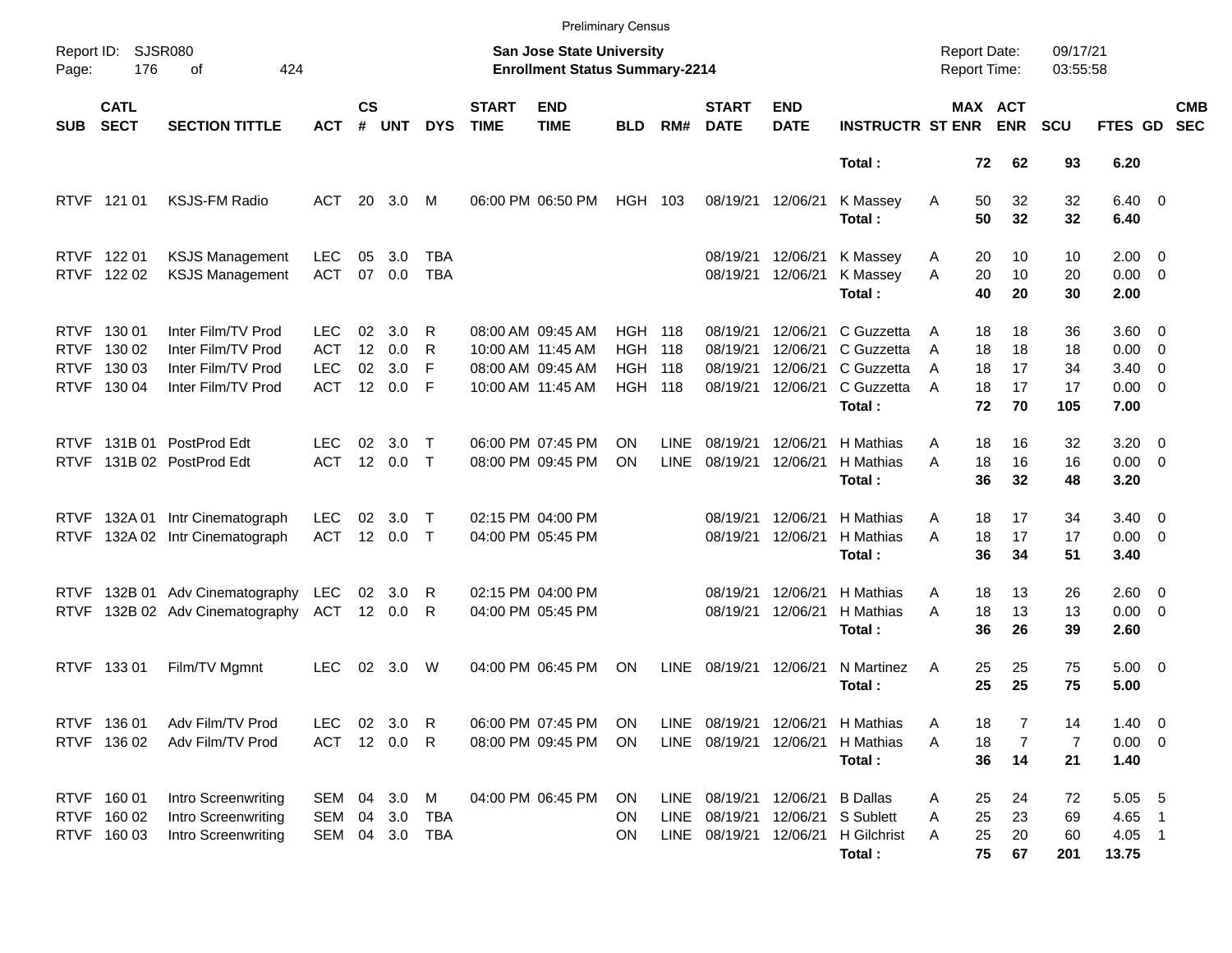|                                                          |                                           |                                                                                      |                                                |                      |                          |                   |                             |                                                                                  | <b>Preliminary Census</b>                                    |                            |                                              |                                              |                                                                                       |                  |                            |                                     |                             |                                               |                                                      |                          |
|----------------------------------------------------------|-------------------------------------------|--------------------------------------------------------------------------------------|------------------------------------------------|----------------------|--------------------------|-------------------|-----------------------------|----------------------------------------------------------------------------------|--------------------------------------------------------------|----------------------------|----------------------------------------------|----------------------------------------------|---------------------------------------------------------------------------------------|------------------|----------------------------|-------------------------------------|-----------------------------|-----------------------------------------------|------------------------------------------------------|--------------------------|
| Report ID:<br>Page:                                      | 176                                       | <b>SJSR080</b><br>424<br>оf                                                          |                                                |                      |                          |                   |                             | <b>San Jose State University</b><br><b>Enrollment Status Summary-2214</b>        |                                                              |                            |                                              |                                              |                                                                                       |                  |                            | <b>Report Date:</b><br>Report Time: | 09/17/21<br>03:55:58        |                                               |                                                      |                          |
| <b>SUB</b>                                               | <b>CATL</b><br><b>SECT</b>                | <b>SECTION TITTLE</b>                                                                | <b>ACT</b>                                     | $\mathsf{cs}$<br>#   | <b>UNT</b>               | <b>DYS</b>        | <b>START</b><br><b>TIME</b> | <b>END</b><br><b>TIME</b>                                                        | <b>BLD</b>                                                   | RM#                        | <b>START</b><br><b>DATE</b>                  | <b>END</b><br><b>DATE</b>                    | <b>INSTRUCTR ST ENR</b>                                                               |                  |                            | MAX ACT<br><b>ENR</b>               | <b>SCU</b>                  | FTES GD                                       |                                                      | <b>CMB</b><br><b>SEC</b> |
|                                                          |                                           |                                                                                      |                                                |                      |                          |                   |                             |                                                                                  |                                                              |                            |                                              |                                              | Total:                                                                                |                  | 72                         | 62                                  | 93                          | 6.20                                          |                                                      |                          |
| <b>RTVF</b>                                              | 121 01                                    | <b>KSJS-FM Radio</b>                                                                 | ACT                                            | 20                   | 3.0                      | M                 |                             | 06:00 PM 06:50 PM                                                                | HGH 103                                                      |                            |                                              | 08/19/21 12/06/21                            | K Massey<br>Total:                                                                    | A                | 50<br>50                   | 32<br>32                            | 32<br>32                    | $6.40 \quad 0$<br>6.40                        |                                                      |                          |
| <b>RTVF</b>                                              | 122 01<br>RTVF 122 02                     | <b>KSJS Management</b><br><b>KSJS Management</b>                                     | <b>LEC</b><br><b>ACT</b>                       | 05<br>07             | 3.0<br>0.0               | TBA<br><b>TBA</b> |                             |                                                                                  |                                                              |                            | 08/19/21<br>08/19/21                         | 12/06/21<br>12/06/21                         | K Massey<br>K Massey<br>Total:                                                        | A<br>A           | 20<br>20<br>40             | 10<br>10<br>20                      | 10<br>20<br>30              | $2.00 \t 0$<br>$0.00 \t 0$<br>2.00            |                                                      |                          |
| <b>RTVF</b><br><b>RTVF</b><br><b>RTVF</b><br><b>RTVF</b> | 130 01<br>130 02<br>130 03<br>130 04      | Inter Film/TV Prod<br>Inter Film/TV Prod<br>Inter Film/TV Prod<br>Inter Film/TV Prod | LEC.<br><b>ACT</b><br><b>LEC</b><br><b>ACT</b> | 02<br>12<br>02<br>12 | 3.0<br>0.0<br>3.0<br>0.0 | R<br>R<br>F<br>F  |                             | 08:00 AM 09:45 AM<br>10:00 AM 11:45 AM<br>08:00 AM 09:45 AM<br>10:00 AM 11:45 AM | <b>HGH 118</b><br><b>HGH</b><br><b>HGH</b><br><b>HGH 118</b> | - 118<br>- 118             | 08/19/21<br>08/19/21<br>08/19/21<br>08/19/21 | 12/06/21<br>12/06/21<br>12/06/21<br>12/06/21 | C Guzzetta<br>C Guzzetta<br>C Guzzetta<br>C Guzzetta<br>Total:                        | A<br>A<br>A<br>A | 18<br>18<br>18<br>18<br>72 | 18<br>18<br>17<br>17<br>70          | 36<br>18<br>34<br>17<br>105 | 3.60 0<br>0.00<br>3.40<br>$0.00 \t 0$<br>7.00 | $\overline{\phantom{0}}$<br>$\overline{\phantom{0}}$ |                          |
| <b>RTVF</b><br><b>RTVF</b>                               | 131B 01                                   | PostProd Edt<br>131B 02 PostProd Edt                                                 | LEC<br><b>ACT</b>                              | 02                   | 3.0<br>12 0.0            | Т<br>$\top$       |                             | 06:00 PM 07:45 PM<br>08:00 PM 09:45 PM                                           | OΝ<br>ΟN                                                     | <b>LINE</b><br><b>LINE</b> | 08/19/21<br>08/19/21                         | 12/06/21<br>12/06/21                         | H Mathias<br>H Mathias<br>Total:                                                      | Α<br>A           | 18<br>18<br>36             | 16<br>16<br>32                      | 32<br>16<br>48              | $3.20 \ 0$<br>$0.00 \t 0$<br>3.20             |                                                      |                          |
| <b>RTVF</b><br><b>RTVF</b>                               |                                           | 132A 01 Intr Cinematograph<br>132A 02 Intr Cinematograph                             | <b>LEC</b><br><b>ACT</b>                       | 02                   | 3.0<br>12 0.0            | Т<br>$\top$       |                             | 02:15 PM 04:00 PM<br>04:00 PM 05:45 PM                                           |                                                              |                            | 08/19/21<br>08/19/21                         | 12/06/21<br>12/06/21                         | H Mathias<br>H Mathias<br>Total:                                                      | A<br>A           | 18<br>18<br>36             | 17<br>17<br>34                      | 34<br>17<br>51              | $3.40 \ 0$<br>$0.00 \t 0$<br>3.40             |                                                      |                          |
| <b>RTVF</b><br><b>RTVF</b>                               |                                           | 132B 01 Adv Cinematography<br>132B 02 Adv Cinematography                             | LEC<br>ACT                                     | 02                   | 3.0<br>12 0.0            | R<br>R            |                             | 02:15 PM 04:00 PM<br>04:00 PM 05:45 PM                                           |                                                              |                            | 08/19/21<br>08/19/21                         | 12/06/21<br>12/06/21                         | H Mathias<br>H Mathias<br>Total:                                                      | Α<br>A           | 18<br>18<br>36             | 13<br>13<br>26                      | 26<br>13<br>39              | $2.60 \t 0$<br>$0.00 \t 0$<br>2.60            |                                                      |                          |
| <b>RTVF</b>                                              | 13301                                     | Film/TV Mgmnt                                                                        | <b>LEC</b>                                     | 02                   | 3.0                      | W                 |                             | 04:00 PM 06:45 PM                                                                | ON                                                           | LINE                       | 08/19/21                                     | 12/06/21                                     | N Martinez<br>Total:                                                                  | Α                | 25<br>25                   | 25<br>25                            | 75<br>75                    | $5.00 \t 0$<br>5.00                           |                                                      |                          |
|                                                          | RTVF 136 01<br>RTVF 136 02                | Adv Film/TV Prod<br>Adv Film/TV Prod                                                 | LEC<br>ACT                                     |                      | 02 3.0<br>12 0.0         | R<br>R            |                             | 06:00 PM 07:45 PM<br>08:00 PM 09:45 PM                                           | ON<br>ON                                                     |                            | LINE 08/19/21 12/06/21                       |                                              | LINE 08/19/21 12/06/21 H Mathias<br>H Mathias<br>Total:                               | Α<br>A           | 18<br>18<br>36             | 7<br>14                             | 14<br>7<br>21               | $1.40 \ 0$<br>$0.00 \t 0$<br>1.40             |                                                      |                          |
|                                                          | RTVF 160 01<br>RTVF 160 02<br>RTVF 160 03 | Intro Screenwriting<br>Intro Screenwriting<br>Intro Screenwriting                    | SEM 04 3.0<br>SEM<br>SEM                       |                      | 04 3.0<br>04 3.0         | M<br>TBA<br>TBA   |                             | 04:00 PM 06:45 PM                                                                | ON.<br><b>ON</b><br>ON                                       |                            | LINE 08/19/21 12/06/21<br>LINE 08/19/21      |                                              | <b>B</b> Dallas<br>12/06/21 S Sublett<br>LINE 08/19/21 12/06/21 H Gilchrist<br>Total: | Α<br>Α<br>Α      | 25<br>25<br>25<br>75       | 24<br>23<br>20<br>67                | 72<br>69<br>60<br>201       | 5.05 5<br>4.65 1<br>$4.05$ 1<br>13.75         |                                                      |                          |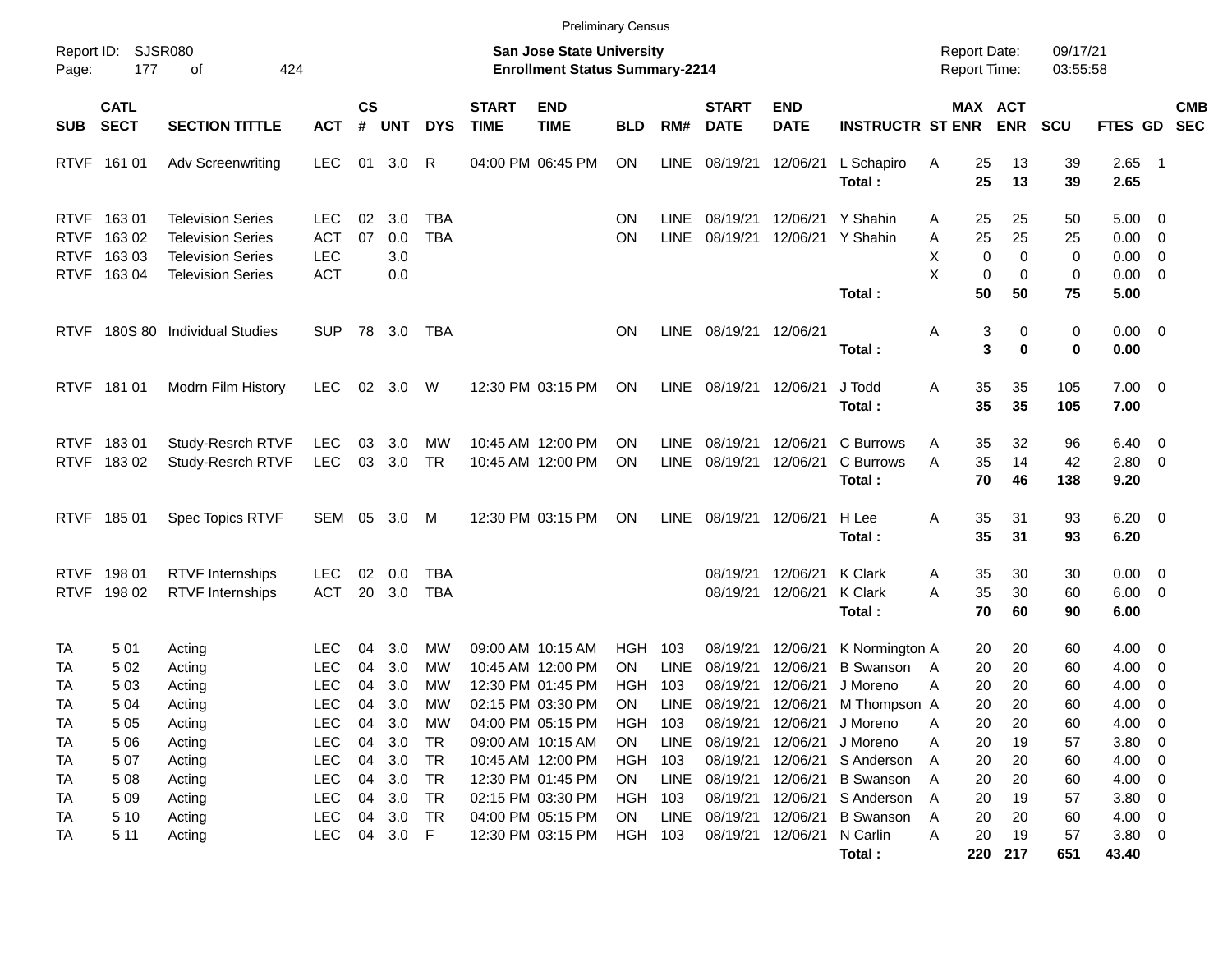|                                                          |                                   |                                                                                                              |                                                      |                      |                             |                                          |                             | <b>Preliminary Census</b>                                                        |                                          |                            |                                              |                                           |                                                                                        |                     |                                                         |                                                  |                                                             |                                                     |                          |
|----------------------------------------------------------|-----------------------------------|--------------------------------------------------------------------------------------------------------------|------------------------------------------------------|----------------------|-----------------------------|------------------------------------------|-----------------------------|----------------------------------------------------------------------------------|------------------------------------------|----------------------------|----------------------------------------------|-------------------------------------------|----------------------------------------------------------------------------------------|---------------------|---------------------------------------------------------|--------------------------------------------------|-------------------------------------------------------------|-----------------------------------------------------|--------------------------|
| Report ID:<br>Page:                                      | 177                               | <b>SJSR080</b><br>424<br>οf                                                                                  |                                                      |                      |                             |                                          |                             | <b>San Jose State University</b><br><b>Enrollment Status Summary-2214</b>        |                                          |                            |                                              |                                           |                                                                                        | <b>Report Date:</b> | Report Time:                                            | 09/17/21<br>03:55:58                             |                                                             |                                                     |                          |
| <b>SUB</b>                                               | <b>CATL</b><br><b>SECT</b>        | <b>SECTION TITTLE</b>                                                                                        | <b>ACT</b>                                           | $\mathsf{cs}$<br>#   | <b>UNT</b>                  | <b>DYS</b>                               | <b>START</b><br><b>TIME</b> | <b>END</b><br><b>TIME</b>                                                        | <b>BLD</b>                               | RM#                        | <b>START</b><br><b>DATE</b>                  | <b>END</b><br><b>DATE</b>                 | <b>INSTRUCTR ST ENR</b>                                                                |                     | MAX ACT<br><b>ENR</b>                                   | <b>SCU</b>                                       | <b>FTES GD</b>                                              |                                                     | <b>CMB</b><br><b>SEC</b> |
| <b>RTVF</b>                                              | 161 01                            | <b>Adv Screenwriting</b>                                                                                     | <b>LEC</b>                                           | 01                   | 3.0                         | R                                        |                             | 04:00 PM 06:45 PM                                                                | <b>ON</b>                                | <b>LINE</b>                | 08/19/21                                     | 12/06/21                                  | L Schapiro<br>Total:                                                                   | Α                   | 25<br>13<br>25<br>13                                    | 39<br>39                                         | $2.65$ 1<br>2.65                                            |                                                     |                          |
| <b>RTVF</b><br><b>RTVF</b><br><b>RTVF</b><br><b>RTVF</b> | 16301<br>163 02<br>16303<br>16304 | <b>Television Series</b><br><b>Television Series</b><br><b>Television Series</b><br><b>Television Series</b> | <b>LEC</b><br><b>ACT</b><br><b>LEC</b><br><b>ACT</b> | 02<br>07             | 3.0<br>0.0<br>3.0<br>0.0    | <b>TBA</b><br><b>TBA</b>                 |                             |                                                                                  | ON<br>ΟN                                 | <b>LINE</b><br><b>LINE</b> | 08/19/21<br>08/19/21                         |                                           | 12/06/21 Y Shahin<br>12/06/21 Y Shahin                                                 | Α<br>Α<br>х<br>X    | 25<br>25<br>25<br>25<br>$\mathbf 0$<br>$\mathbf 0$      | 50<br>25<br>$\mathbf 0$<br>0<br>$\mathbf 0$<br>0 | $5.00 \t 0$<br>$0.00 \t 0$<br>$0.00 \t 0$<br>$0.00 \t 0$    |                                                     |                          |
| <b>RTVF</b>                                              |                                   | 180S 80 Individual Studies                                                                                   | SUP.                                                 |                      | 78 3.0                      | TBA                                      |                             |                                                                                  | ΟN                                       | LINE                       | 08/19/21 12/06/21                            |                                           | Total:<br>Total:                                                                       | Α                   | 50<br>50<br>3<br>3                                      | 75<br>0<br>0<br>$\bf{0}$<br>0                    | 5.00<br>$0.00 \t 0$<br>0.00                                 |                                                     |                          |
| <b>RTVF</b>                                              | 181 01                            | Modrn Film History                                                                                           | <b>LEC</b>                                           | 02                   | 3.0                         | W                                        |                             | 12:30 PM 03:15 PM                                                                | ON                                       | LINE                       | 08/19/21                                     | 12/06/21                                  | J Todd<br>Total:                                                                       | Α                   | 35<br>35<br>35<br>35                                    | 105<br>105                                       | $7.00 \t 0$<br>7.00                                         |                                                     |                          |
| <b>RTVF</b><br><b>RTVF</b>                               | 18301<br>18302                    | Study-Resrch RTVF<br>Study-Resrch RTVF                                                                       | <b>LEC</b><br><b>LEC</b>                             | 03                   | 3.0<br>03 3.0               | MW<br><b>TR</b>                          |                             | 10:45 AM 12:00 PM<br>10:45 AM 12:00 PM                                           | OΝ<br>ON                                 | <b>LINE</b><br><b>LINE</b> | 08/19/21<br>08/19/21                         | 12/06/21<br>12/06/21                      | C Burrows<br>C Burrows<br>Total:                                                       | Α<br>A              | 32<br>35<br>35<br>14<br>70<br>46                        | 96<br>42<br>138                                  | $6.40 \quad 0$<br>$2.80 \t 0$<br>9.20                       |                                                     |                          |
| <b>RTVF</b>                                              | 185 01                            | Spec Topics RTVF                                                                                             | SEM 05                                               |                      | 3.0                         | M                                        |                             | 12:30 PM 03:15 PM                                                                | ON                                       | <b>LINE</b>                | 08/19/21                                     | 12/06/21                                  | H Lee<br>Total:                                                                        | Α                   | 35<br>31<br>35<br>31                                    | 93<br>93                                         | $6.20 \quad 0$<br>6.20                                      |                                                     |                          |
| <b>RTVF</b><br><b>RTVF</b>                               | 198 01<br>198 02                  | <b>RTVF</b> Internships<br><b>RTVF</b> Internships                                                           | <b>LEC</b><br><b>ACT</b>                             | 02<br>20             | 0.0<br>3.0                  | TBA<br>TBA                               |                             |                                                                                  |                                          |                            | 08/19/21<br>08/19/21                         | 12/06/21<br>12/06/21                      | K Clark<br>K Clark<br>Total:                                                           | Α<br>A              | 35<br>30<br>35<br>30<br>70<br>60                        | 30<br>60<br>90                                   | $0.00 \t 0$<br>$6.00 \t 0$<br>6.00                          |                                                     |                          |
| TA<br>TA<br>TA                                           | 501<br>502<br>503                 | Acting<br>Acting<br>Acting                                                                                   | <b>LEC</b><br><b>LEC</b><br><b>LEC</b>               | 04<br>04<br>04       | 3.0<br>3.0<br>3.0           | МW<br>MW<br>MW                           |                             | 09:00 AM 10:15 AM<br>10:45 AM 12:00 PM<br>12:30 PM 01:45 PM                      | HGH<br>ΟN<br>HGH                         | 103<br><b>LINE</b><br>103  | 08/19/21<br>08/19/21<br>08/19/21             | 12/06/21<br>12/06/21<br>12/06/21          | K Normington A<br><b>B</b> Swanson<br>J Moreno                                         | $\mathsf{A}$<br>A   | 20<br>20<br>20<br>20<br>20<br>20                        | 60<br>60<br>60                                   | $4.00 \ 0$<br>4.00<br>4.00                                  | $\overline{\phantom{0}}$<br>$\overline{\mathbf{0}}$ |                          |
| TA<br><b>TA</b><br>TA<br>TA                              | 5 0 4<br>5 0 5<br>5 0 6<br>507    | Acting<br>Acting<br>Acting<br>Acting                                                                         | <b>LEC</b><br><b>LEC</b><br><b>LEC</b><br><b>LEC</b> | 04<br>04<br>04<br>04 | 3.0<br>3.0<br>3.0<br>3.0    | MW<br>MW<br>TR<br><b>TR</b>              |                             | 02:15 PM 03:30 PM<br>04:00 PM 05:15 PM<br>09:00 AM 10:15 AM<br>10:45 AM 12:00 PM | ON<br>HGH<br>ON<br><b>HGH</b>            | LINE<br>103<br>LINE<br>103 | 08/19/21<br>08/19/21<br>08/19/21             | 12/06/21                                  | 12/06/21 M Thompson A<br>08/19/21 12/06/21 J Moreno<br>J Moreno<br>12/06/21 S Anderson | Α<br>Α<br>A         | 20<br>20<br>20<br>20<br>19<br>20<br>20<br>20            | 60<br>60<br>57<br>60                             | 4.00<br>4.00<br>$3.80\ 0$<br>$4.00 \ 0$                     | $\overline{\phantom{0}}$<br>$\overline{\mathbf{0}}$ |                          |
| TA<br>TA<br>TA<br>TA                                     | 5 0 8<br>5 0 9<br>5 1 0<br>5 11   | Acting<br>Acting<br>Acting<br>Acting                                                                         | <b>LEC</b><br><b>LEC</b><br><b>LEC</b><br><b>LEC</b> | 04<br>04<br>04       | 3.0<br>3.0<br>3.0<br>04 3.0 | <b>TR</b><br><b>TR</b><br><b>TR</b><br>F |                             | 12:30 PM 01:45 PM<br>02:15 PM 03:30 PM<br>04:00 PM 05:15 PM<br>12:30 PM 03:15 PM | <b>ON</b><br>HGH<br><b>ON</b><br>HGH 103 | LINE<br>103<br>LINE        | 08/19/21<br>08/19/21<br>08/19/21<br>08/19/21 | 12/06/21<br>12/06/21<br>12/06/21 N Carlin | <b>B</b> Swanson<br>12/06/21 S Anderson<br><b>B</b> Swanson<br>Total:                  | A<br>A<br>A<br>Α    | 20<br>20<br>19<br>20<br>20<br>20<br>20<br>19<br>220 217 | 60<br>57<br>60<br>57<br>651                      | $4.00 \ 0$<br>$3.80\ 0$<br>$4.00 \ 0$<br>$3.80\ 0$<br>43.40 |                                                     |                          |
|                                                          |                                   |                                                                                                              |                                                      |                      |                             |                                          |                             |                                                                                  |                                          |                            |                                              |                                           |                                                                                        |                     |                                                         |                                                  |                                                             |                                                     |                          |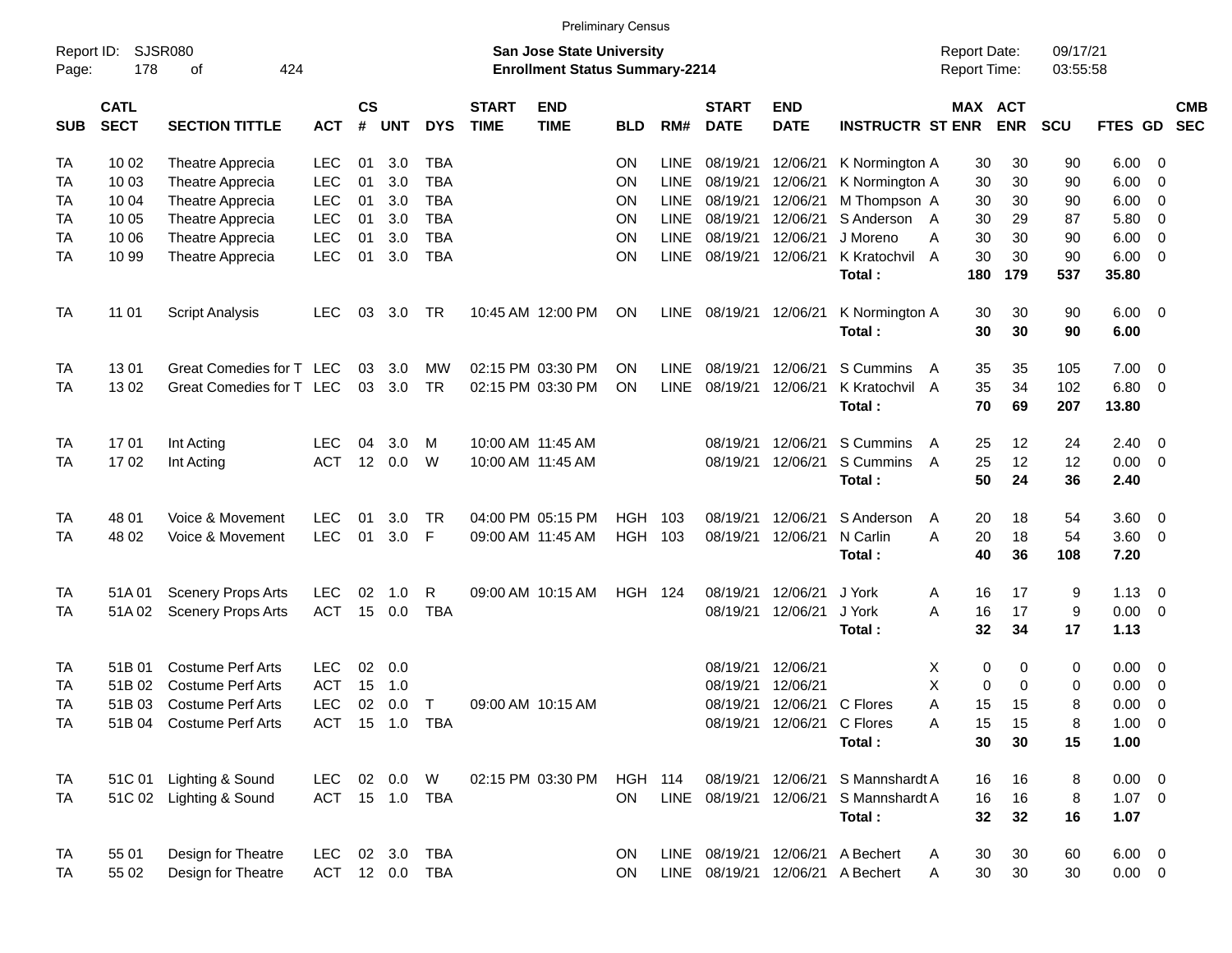|                     |                            |                           |                |                    |              |             |                             |                                                                           | <b>Preliminary Census</b> |             |                             |                            |                          |                                     |             |                      |                        |                         |                          |
|---------------------|----------------------------|---------------------------|----------------|--------------------|--------------|-------------|-----------------------------|---------------------------------------------------------------------------|---------------------------|-------------|-----------------------------|----------------------------|--------------------------|-------------------------------------|-------------|----------------------|------------------------|-------------------------|--------------------------|
| Report ID:<br>Page: | 178                        | SJSR080<br>424<br>of      |                |                    |              |             |                             | <b>San Jose State University</b><br><b>Enrollment Status Summary-2214</b> |                           |             |                             |                            |                          | <b>Report Date:</b><br>Report Time: |             | 09/17/21<br>03:55:58 |                        |                         |                          |
| <b>SUB</b>          | <b>CATL</b><br><b>SECT</b> | <b>SECTION TITTLE</b>     | <b>ACT</b>     | $\mathsf{cs}$<br># | <b>UNT</b>   | <b>DYS</b>  | <b>START</b><br><b>TIME</b> | <b>END</b><br><b>TIME</b>                                                 | <b>BLD</b>                | RM#         | <b>START</b><br><b>DATE</b> | <b>END</b><br><b>DATE</b>  | <b>INSTRUCTR ST ENR</b>  | MAX ACT                             | <b>ENR</b>  | <b>SCU</b>           | <b>FTES GD</b>         |                         | <b>CMB</b><br><b>SEC</b> |
| <b>TA</b>           | 10 02                      | Theatre Apprecia          | LEC            | 01                 | 3.0          | <b>TBA</b>  |                             |                                                                           | <b>ON</b>                 | <b>LINE</b> | 08/19/21                    | 12/06/21                   | K Normington A           | 30                                  | 30          | 90                   | 6.00                   | - 0                     |                          |
| TA                  | 10 03                      | Theatre Apprecia          | <b>LEC</b>     | 01                 | 3.0          | <b>TBA</b>  |                             |                                                                           | ON                        | <b>LINE</b> | 08/19/21                    | 12/06/21                   | K Normington A           | 30                                  | 30          | 90                   | 6.00                   | - 0                     |                          |
| TA                  | 10 04                      | Theatre Apprecia          | <b>LEC</b>     | 01                 | 3.0          | <b>TBA</b>  |                             |                                                                           | ON                        | <b>LINE</b> | 08/19/21                    | 12/06/21                   | M Thompson A             | 30                                  | 30          | 90                   | 6.00                   | 0                       |                          |
| <b>TA</b>           | 10 05                      | Theatre Apprecia          | <b>LEC</b>     | 01                 | 3.0          | <b>TBA</b>  |                             |                                                                           | ON                        | <b>LINE</b> | 08/19/21                    | 12/06/21                   | S Anderson A             | 30                                  | 29          | 87                   | 5.80                   | - 0                     |                          |
| <b>TA</b>           | 10 06                      | Theatre Apprecia          | <b>LEC</b>     | 01                 | 3.0          | <b>TBA</b>  |                             |                                                                           | ON                        | <b>LINE</b> | 08/19/21                    | 12/06/21                   | J Moreno                 | 30<br>Α                             | 30          | 90                   | 6.00                   | $\overline{0}$          |                          |
| <b>TA</b>           | 10 99                      | Theatre Apprecia          | <b>LEC</b>     | 01                 | 3.0          | <b>TBA</b>  |                             |                                                                           | ON                        | <b>LINE</b> | 08/19/21                    | 12/06/21                   | K Kratochvil             | 30<br>A                             | 30          | 90                   | 6.00                   | - 0                     |                          |
|                     |                            |                           |                |                    |              |             |                             |                                                                           |                           |             |                             |                            | Total:                   | 180                                 | 179         | 537                  | 35.80                  |                         |                          |
| TA                  | 11 01                      | <b>Script Analysis</b>    | LEC.           | 03                 | 3.0          | TR          |                             | 10:45 AM 12:00 PM                                                         | <b>ON</b>                 | LINE        | 08/19/21                    | 12/06/21                   | K Normington A<br>Total: | 30<br>30                            | 30<br>30    | 90<br>90             | $6.00 \quad 0$<br>6.00 |                         |                          |
| TA                  | 1301                       | Great Comedies for T LEC  |                | 03                 | 3.0          | MW          |                             | 02:15 PM 03:30 PM                                                         | <b>ON</b>                 | <b>LINE</b> | 08/19/21                    | 12/06/21                   | S Cummins                | 35<br>A                             | 35          | 105                  | 7.00                   | - 0                     |                          |
| <b>TA</b>           | 1302                       | Great Comedies for T LEC  |                | 03                 | 3.0          | <b>TR</b>   |                             | 02:15 PM 03:30 PM                                                         | <b>ON</b>                 | <b>LINE</b> | 08/19/21                    | 12/06/21                   | K Kratochvil A<br>Total: | 35<br>70                            | 34<br>69    | 102<br>207           | 6.80<br>13.80          | - 0                     |                          |
| TA                  | 17 01                      | Int Acting                | LEC.           | 04                 | 3.0          | M           |                             | 10:00 AM 11:45 AM                                                         |                           |             | 08/19/21                    | 12/06/21                   | S Cummins                | 25<br>A                             | 12          | 24                   | 2.40                   | $\overline{\mathbf{0}}$ |                          |
| <b>TA</b>           | 1702                       | Int Acting                | <b>ACT</b>     | 12                 | 0.0          | W           |                             | 10:00 AM 11:45 AM                                                         |                           |             | 08/19/21                    | 12/06/21                   | S Cummins<br>Total:      | 25<br>A<br>50                       | 12<br>24    | 12<br>36             | 0.00<br>2.40           | $\overline{\mathbf{0}}$ |                          |
| <b>TA</b>           | 48 01                      | Voice & Movement          | <b>LEC</b>     | 01                 | 3.0          | <b>TR</b>   |                             | 04:00 PM 05:15 PM                                                         | <b>HGH</b>                | 103         | 08/19/21                    | 12/06/21                   | S Anderson               | 20<br>A                             | 18          | 54                   | 3.60                   | $\overline{\mathbf{0}}$ |                          |
| TA                  | 48 02                      | Voice & Movement          | <b>LEC</b>     | 01                 | 3.0          | F           |                             | 09:00 AM 11:45 AM                                                         | HGH 103                   |             | 08/19/21                    | 12/06/21                   | N Carlin                 | A<br>20                             | 18          | 54                   | 3.60                   | $\overline{\mathbf{0}}$ |                          |
|                     |                            |                           |                |                    |              |             |                             |                                                                           |                           |             |                             |                            | Total:                   | 40                                  | 36          | 108                  | 7.20                   |                         |                          |
| <b>TA</b>           | 51A 01                     | <b>Scenery Props Arts</b> | <b>LEC</b>     | 02                 | 1.0          | R           |                             | 09:00 AM 10:15 AM                                                         | <b>HGH 124</b>            |             | 08/19/21                    | 12/06/21                   | J York                   | 16<br>A                             | 17          | 9                    | 1.13                   | $\overline{\mathbf{0}}$ |                          |
| TA                  | 51A02                      | <b>Scenery Props Arts</b> | <b>ACT</b>     | 15                 | 0.0          | <b>TBA</b>  |                             |                                                                           |                           |             | 08/19/21                    | 12/06/21                   | J York                   | A<br>16                             | 17          | 9                    | 0.00                   | $\overline{0}$          |                          |
|                     |                            |                           |                |                    |              |             |                             |                                                                           |                           |             |                             |                            | Total:                   | 32                                  | 34          | 17                   | 1.13                   |                         |                          |
| TA                  | 51B 01                     | <b>Costume Perf Arts</b>  | <b>LEC</b>     | 02                 | 0.0          |             |                             |                                                                           |                           |             | 08/19/21                    | 12/06/21                   |                          | 0<br>X                              | 0           | 0                    | 0.00                   | $\overline{0}$          |                          |
| TA                  | 51B 02                     | <b>Costume Perf Arts</b>  | <b>ACT</b>     | 15                 | 1.0          |             |                             |                                                                           |                           |             | 08/19/21                    | 12/06/21                   |                          | X<br>0                              | $\mathbf 0$ | 0                    | 0.00                   | $\overline{0}$          |                          |
| <b>TA</b>           | 51B 03                     | <b>Costume Perf Arts</b>  | <b>LEC</b>     | 02                 | 0.0          | $\mathsf T$ |                             | 09:00 AM 10:15 AM                                                         |                           |             |                             | 08/19/21 12/06/21 C Flores |                          | 15<br>Α                             | 15          | 8                    | 0.00                   | $\overline{0}$          |                          |
| <b>TA</b>           |                            | 51B 04 Costume Perf Arts  | ACT            |                    | 15  1.0  TBA |             |                             |                                                                           |                           |             |                             | 08/19/21 12/06/21 C Flores |                          | 15<br>Α                             | 15          | 8                    | 1.00                   | $\overline{\mathbf{0}}$ |                          |
|                     |                            |                           |                |                    |              |             |                             |                                                                           |                           |             |                             |                            | Total:                   | 30                                  | 30          | 15                   | 1.00                   |                         |                          |
| <b>TA</b>           |                            | 51C 01 Lighting & Sound   | LEC            |                    | 02 0.0       | W           |                             | 02:15 PM 03:30 PM                                                         | <b>HGH 114</b>            |             |                             | 08/19/21 12/06/21          | S Mannshardt A           | 16                                  | 16          | 8                    | $0.00 \t 0$            |                         |                          |
| TA                  |                            | 51C 02 Lighting & Sound   | ACT 15 1.0 TBA |                    |              |             |                             |                                                                           | ON                        |             | LINE 08/19/21               | 12/06/21                   | S Mannshardt A           | 16                                  | 16          | 8                    | $1.07 \t 0$            |                         |                          |
|                     |                            |                           |                |                    |              |             |                             |                                                                           |                           |             |                             |                            | Total:                   | 32                                  | 32          | 16                   | 1.07                   |                         |                          |
| TA                  | 55 01                      | Design for Theatre        | <b>LEC</b>     |                    | 02 3.0       | <b>TBA</b>  |                             |                                                                           | <b>ON</b>                 |             | LINE 08/19/21 12/06/21      |                            | A Bechert                | 30<br>A                             | 30          | 60                   | $6.00 \t 0$            |                         |                          |
| TA                  | 55 02                      | Design for Theatre        | <b>ACT</b>     |                    | 12 0.0       | TBA         |                             |                                                                           | ON                        |             | LINE 08/19/21 12/06/21      |                            | A Bechert                | 30<br>Α                             | 30          | 30                   | $0.00\quad$ $0$        |                         |                          |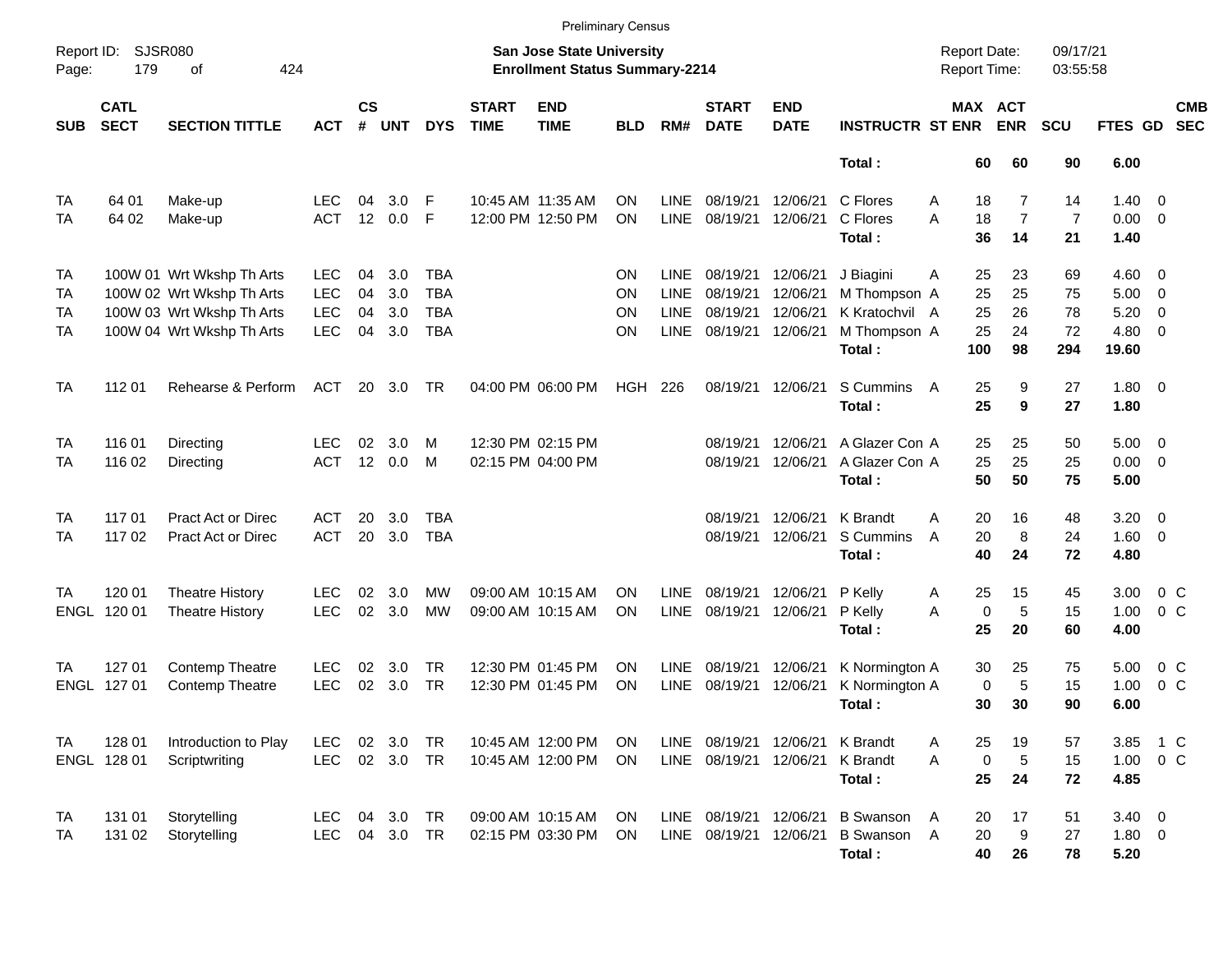|                                           |                            |                                                                                                                  |                                                      |                      |                          |                                                      |                             | <b>Preliminary Census</b>                                                 |                             |                                                   |                                                  |                                              |                                                                       |                                     |                                        |                             |                                       |                                                                             |                          |
|-------------------------------------------|----------------------------|------------------------------------------------------------------------------------------------------------------|------------------------------------------------------|----------------------|--------------------------|------------------------------------------------------|-----------------------------|---------------------------------------------------------------------------|-----------------------------|---------------------------------------------------|--------------------------------------------------|----------------------------------------------|-----------------------------------------------------------------------|-------------------------------------|----------------------------------------|-----------------------------|---------------------------------------|-----------------------------------------------------------------------------|--------------------------|
| Report ID:<br>Page:                       | <b>SJSR080</b><br>179      | 424<br>of                                                                                                        |                                                      |                      |                          |                                                      |                             | <b>San Jose State University</b><br><b>Enrollment Status Summary-2214</b> |                             |                                                   |                                                  |                                              |                                                                       | <b>Report Date:</b><br>Report Time: |                                        | 09/17/21<br>03:55:58        |                                       |                                                                             |                          |
| <b>SUB</b>                                | <b>CATL</b><br><b>SECT</b> | <b>SECTION TITTLE</b>                                                                                            | <b>ACT</b>                                           | <b>CS</b><br>#       | <b>UNT</b>               | <b>DYS</b>                                           | <b>START</b><br><b>TIME</b> | <b>END</b><br><b>TIME</b>                                                 | <b>BLD</b>                  | RM#                                               | <b>START</b><br><b>DATE</b>                      | <b>END</b><br><b>DATE</b>                    | <b>INSTRUCTR ST ENR</b>                                               | MAX ACT                             | <b>ENR</b>                             | <b>SCU</b>                  | <b>FTES GD</b>                        |                                                                             | <b>CMB</b><br><b>SEC</b> |
|                                           |                            |                                                                                                                  |                                                      |                      |                          |                                                      |                             |                                                                           |                             |                                                   |                                                  |                                              | Total:                                                                | 60                                  | 60                                     | 90                          | 6.00                                  |                                                                             |                          |
| <b>TA</b><br>TA                           | 64 01<br>64 02             | Make-up<br>Make-up                                                                                               | LEC.<br><b>ACT</b>                                   | 04<br>12             | 3.0<br>0.0               | F<br>F                                               |                             | 10:45 AM 11:35 AM<br>12:00 PM 12:50 PM                                    | <b>ON</b><br>ON             | <b>LINE</b><br><b>LINE</b>                        | 08/19/21<br>08/19/21                             | 12/06/21<br>12/06/21                         | C Flores<br>C Flores<br>Total:                                        | 18<br>A<br>A<br>18<br>36            | $\overline{7}$<br>$\overline{7}$<br>14 | 14<br>$\overline{7}$<br>21  | 1.40<br>0.00<br>1.40                  | $\overline{\mathbf{0}}$<br>$\overline{0}$                                   |                          |
| <b>TA</b><br><b>TA</b><br>TA<br><b>TA</b> |                            | 100W 01 Wrt Wkshp Th Arts<br>100W 02 Wrt Wkshp Th Arts<br>100W 03 Wrt Wkshp Th Arts<br>100W 04 Wrt Wkshp Th Arts | <b>LEC</b><br><b>LEC</b><br><b>LEC</b><br><b>LEC</b> | 04<br>04<br>04<br>04 | 3.0<br>3.0<br>3.0<br>3.0 | <b>TBA</b><br><b>TBA</b><br><b>TBA</b><br><b>TBA</b> |                             |                                                                           | <b>ON</b><br>ON<br>ON<br>ON | LINE<br><b>LINE</b><br><b>LINE</b><br><b>LINE</b> | 08/19/21<br>08/19/21<br>08/19/21<br>08/19/21     | 12/06/21<br>12/06/21<br>12/06/21<br>12/06/21 | J Biagini<br>M Thompson A<br>K Kratochvil A<br>M Thompson A<br>Total: | 25<br>A<br>25<br>25<br>25<br>100    | 23<br>25<br>26<br>24<br>98             | 69<br>75<br>78<br>72<br>294 | 4.60<br>5.00<br>5.20<br>4.80<br>19.60 | - 0<br>$\overline{\mathbf{0}}$<br>$\overline{0}$<br>$\overline{\mathbf{0}}$ |                          |
| <b>TA</b>                                 | 112 01                     | Rehearse & Perform                                                                                               | <b>ACT</b>                                           |                      | 20 3.0                   | <b>TR</b>                                            |                             | 04:00 PM 06:00 PM                                                         | <b>HGH 226</b>              |                                                   | 08/19/21 12/06/21                                |                                              | S Cummins<br>Total:                                                   | 25<br>A<br>25                       | 9<br>9                                 | 27<br>27                    | $1.80 \ 0$<br>1.80                    |                                                                             |                          |
| <b>TA</b><br><b>TA</b>                    | 116 01<br>116 02           | Directing<br>Directing                                                                                           | <b>LEC</b><br><b>ACT</b>                             | 02<br>12             | 3.0<br>0.0               | м<br>M                                               |                             | 12:30 PM 02:15 PM<br>02:15 PM 04:00 PM                                    |                             |                                                   | 08/19/21<br>08/19/21                             | 12/06/21<br>12/06/21                         | A Glazer Con A<br>A Glazer Con A<br>Total:                            | 25<br>25<br>50                      | 25<br>25<br>50                         | 50<br>25<br>75              | 5.00<br>0.00<br>5.00                  | $\overline{\mathbf{0}}$<br>$\overline{\phantom{0}}$                         |                          |
| <b>TA</b><br><b>TA</b>                    | 117 01<br>117 02           | <b>Pract Act or Direc</b><br>Pract Act or Direc                                                                  | <b>ACT</b><br><b>ACT</b>                             | 20<br>20             | 3.0<br>3.0               | <b>TBA</b><br><b>TBA</b>                             |                             |                                                                           |                             |                                                   | 08/19/21<br>08/19/21                             | 12/06/21<br>12/06/21                         | K Brandt<br>S Cummins<br>Total:                                       | 20<br>A<br>20<br>A<br>40            | 16<br>8<br>24                          | 48<br>24<br>72              | 3.20<br>1.60<br>4.80                  | $\overline{\mathbf{0}}$<br>$\overline{0}$                                   |                          |
| TA<br>ENGL                                | 120 01<br>120 01           | <b>Theatre History</b><br><b>Theatre History</b>                                                                 | <b>LEC</b><br>LEC                                    | 02<br>02             | 3.0<br>3.0               | MW<br><b>MW</b>                                      |                             | 09:00 AM 10:15 AM<br>09:00 AM 10:15 AM                                    | <b>ON</b><br>ON             | LINE<br><b>LINE</b>                               | 08/19/21<br>08/19/21                             | 12/06/21<br>12/06/21                         | P Kelly<br>P Kelly<br>Total:                                          | 25<br>A<br>$\mathbf 0$<br>A<br>25   | 15<br>5<br>20                          | 45<br>15<br>60              | 3.00<br>1.00<br>4.00                  | 0 <sup>o</sup><br>$0\,C$                                                    |                          |
| TA<br><b>ENGL</b>                         | 127 01<br>127 01           | Contemp Theatre<br><b>Contemp Theatre</b>                                                                        | <b>LEC</b><br>LEC                                    | 02<br>02             | 3.0<br>3.0               | <b>TR</b><br><b>TR</b>                               |                             | 12:30 PM 01:45 PM<br>12:30 PM 01:45 PM                                    | <b>ON</b><br>ON             | LINE<br><b>LINE</b>                               | 08/19/21<br>08/19/21                             | 12/06/21<br>12/06/21                         | K Normington A<br>K Normington A<br>Total:                            | 30<br>$\mathbf 0$<br>30             | 25<br>5<br>30                          | 75<br>15<br>90              | 5.00<br>1.00<br>6.00                  | $0\,$ C<br>0 <sup>o</sup>                                                   |                          |
| TA                                        | 128 01<br>ENGL 128 01      | Introduction to Play<br>Scriptwriting                                                                            | LEC.<br><b>LEC</b>                                   | 02                   | 3.0<br>02 3.0            | <b>TR</b><br><b>TR</b>                               |                             | 10:45 AM 12:00 PM<br>10:45 AM 12:00 PM                                    | ON<br><b>ON</b>             |                                                   | LINE 08/19/21 12/06/21<br>LINE 08/19/21 12/06/21 |                                              | K Brandt<br>K Brandt<br>Total:                                        | Α<br>25<br>A<br>0<br>25             | 19<br>5<br>24                          | 57<br>15<br>72              | 3.85<br>1.00<br>4.85                  | $1\,C$<br>$0\,$ C                                                           |                          |
| <b>TA</b><br><b>TA</b>                    | 131 01<br>131 02           | Storytelling<br>Storytelling                                                                                     | <b>LEC</b><br><b>LEC</b>                             | 04                   | 3.0<br>04 3.0            | <b>TR</b><br><b>TR</b>                               |                             | 09:00 AM 10:15 AM<br>02:15 PM 03:30 PM                                    | ON<br><b>ON</b>             |                                                   | LINE 08/19/21 12/06/21<br>LINE 08/19/21 12/06/21 |                                              | <b>B</b> Swanson<br>B Swanson A<br>Total:                             | A<br>20<br>20<br>40                 | 17<br>9<br>26                          | 51<br>27<br>78              | $3.40 \ 0$<br>1.80 0<br>5.20          |                                                                             |                          |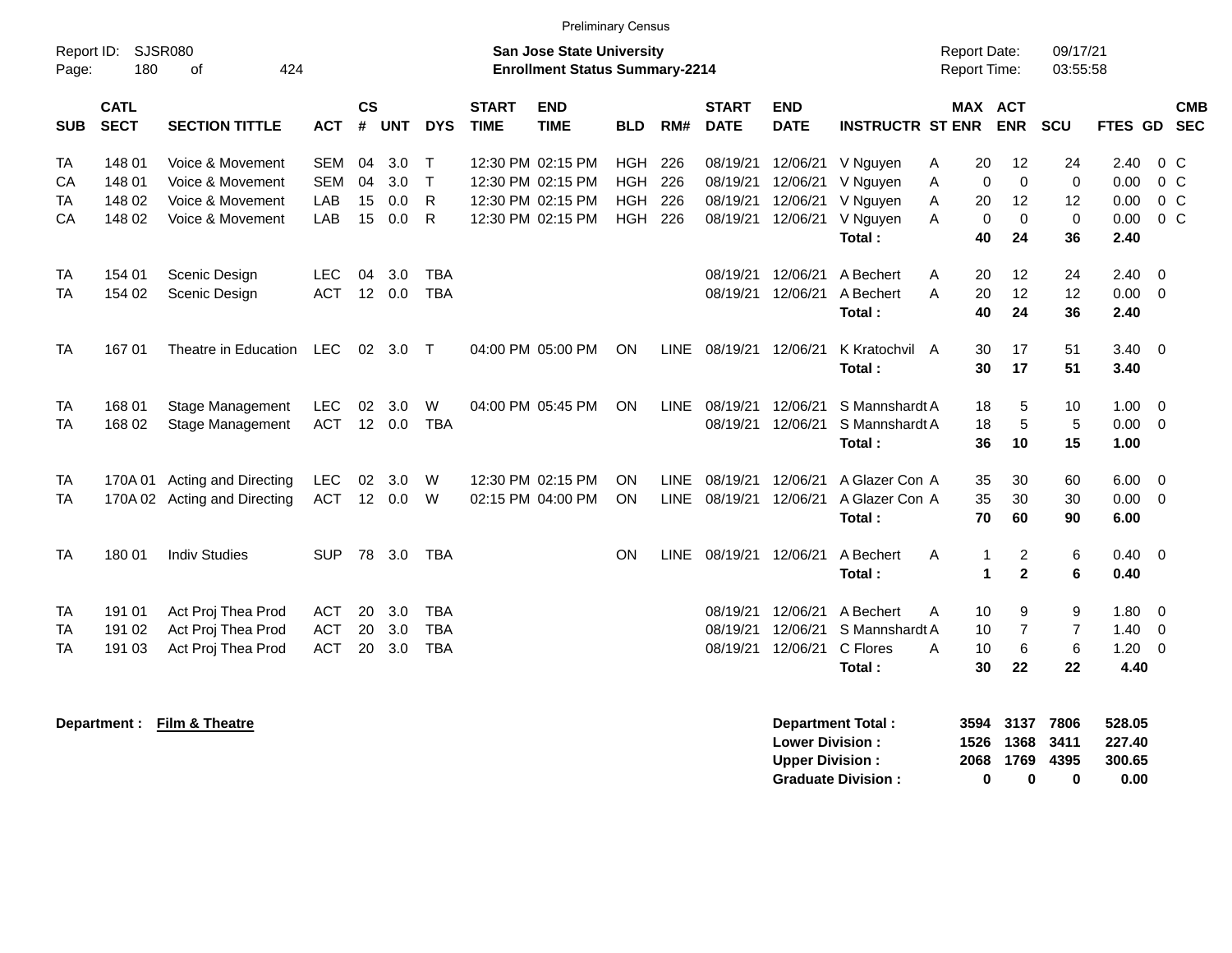|                      |                                      |                                                                              |                                        |                       |                          |                                        |                             |                                                                                  | <b>Preliminary Census</b>                            |                            |                                              |                                              |                                                        |                                                            |                                              |                                              |                                       |                                            |  |
|----------------------|--------------------------------------|------------------------------------------------------------------------------|----------------------------------------|-----------------------|--------------------------|----------------------------------------|-----------------------------|----------------------------------------------------------------------------------|------------------------------------------------------|----------------------------|----------------------------------------------|----------------------------------------------|--------------------------------------------------------|------------------------------------------------------------|----------------------------------------------|----------------------------------------------|---------------------------------------|--------------------------------------------|--|
| Report ID:<br>Page:  | 180                                  | SJSR080<br>424<br>0f                                                         |                                        |                       |                          |                                        |                             | <b>San Jose State University</b><br><b>Enrollment Status Summary-2214</b>        |                                                      |                            |                                              |                                              |                                                        | <b>Report Date:</b><br><b>Report Time:</b>                 |                                              | 09/17/21<br>03:55:58                         |                                       |                                            |  |
| <b>SUB</b>           | <b>CATL</b><br><b>SECT</b>           | <b>SECTION TITTLE</b>                                                        | <b>ACT</b>                             | <b>CS</b><br>#        | <b>UNT</b>               | <b>DYS</b>                             | <b>START</b><br><b>TIME</b> | <b>END</b><br><b>TIME</b>                                                        | <b>BLD</b>                                           | RM#                        | <b>START</b><br><b>DATE</b>                  | <b>END</b><br><b>DATE</b>                    | <b>INSTRUCTR ST ENR</b>                                |                                                            | <b>MAX ACT</b><br><b>ENR</b>                 | <b>SCU</b>                                   |                                       | <b>CMB</b><br>FTES GD SEC                  |  |
| ТA<br>CA<br>ТA<br>CA | 148 01<br>148 01<br>148 02<br>148 02 | Voice & Movement<br>Voice & Movement<br>Voice & Movement<br>Voice & Movement | SEM<br><b>SEM</b><br>LAB<br>LAB        | 04<br>04<br>15<br>15  | 3.0<br>3.0<br>0.0<br>0.0 | $\top$<br>$\top$<br>R<br>$\mathsf{R}$  |                             | 12:30 PM 02:15 PM<br>12:30 PM 02:15 PM<br>12:30 PM 02:15 PM<br>12:30 PM 02:15 PM | <b>HGH</b><br><b>HGH</b><br><b>HGH</b><br><b>HGH</b> | 226<br>226<br>226<br>226   | 08/19/21<br>08/19/21<br>08/19/21<br>08/19/21 | 12/06/21<br>12/06/21<br>12/06/21<br>12/06/21 | V Nguyen<br>V Nguyen<br>V Nguyen<br>V Nguyen<br>Total: | 20<br>A<br>$\Omega$<br>A<br>A<br>20<br>A<br>$\Omega$<br>40 | 12<br>$\mathbf 0$<br>12<br>$\mathbf 0$<br>24 | 24<br>$\mathbf 0$<br>12<br>$\Omega$<br>36    | 2.40<br>0.00<br>0.00<br>0.00<br>2.40  | $0\,$ C<br>$0\,C$<br>$0\,C$<br>$0\,C$      |  |
| TA<br>ТA             | 154 01<br>154 02                     | Scenic Design<br>Scenic Design                                               | <b>LEC</b><br><b>ACT</b>               | 04<br>12 <sup>7</sup> | 3.0<br>0.0               | <b>TBA</b><br><b>TBA</b>               |                             |                                                                                  |                                                      |                            | 08/19/21<br>08/19/21                         | 12/06/21<br>12/06/21                         | A Bechert<br>A Bechert<br>Total:                       | 20<br>Α<br>A<br>20<br>40                                   | 12<br>12<br>24                               | 24<br>12<br>36                               | 2.40<br>$0.00 \t 0$<br>2.40           | $\overline{\mathbf{0}}$                    |  |
| <b>TA</b>            | 167 01                               | Theatre in Education                                                         | <b>LEC</b>                             | 02 <sub>o</sub>       | 3.0                      | $\top$                                 |                             | 04:00 PM 05:00 PM                                                                | ON                                                   | <b>LINE</b>                | 08/19/21                                     | 12/06/21                                     | K Kratochvil A<br>Total:                               | 30<br>30                                                   | 17<br>17                                     | 51<br>51                                     | $3.40 \ 0$<br>3.40                    |                                            |  |
| TA<br>TA             | 168 01<br>168 02                     | Stage Management<br>Stage Management                                         | <b>LEC</b><br><b>ACT</b>               | 02                    | 3.0<br>12 0.0            | W<br><b>TBA</b>                        |                             | 04:00 PM 05:45 PM                                                                | ON                                                   | <b>LINE</b>                | 08/19/21<br>08/19/21                         | 12/06/21<br>12/06/21                         | S Mannshardt A<br>S Mannshardt A<br>Total:             | 18<br>18<br>36                                             | 5<br>5<br>10                                 | 10<br>5<br>15                                | $1.00 \t 0$<br>$0.00 \t 0$<br>1.00    |                                            |  |
| TA<br><b>TA</b>      | 170A 01                              | Acting and Directing<br>170A 02 Acting and Directing                         | <b>LEC</b><br><b>ACT</b>               | 02                    | 3.0<br>12 0.0            | W<br>W                                 |                             | 12:30 PM 02:15 PM<br>02:15 PM 04:00 PM                                           | <b>ON</b><br><b>ON</b>                               | <b>LINE</b><br><b>LINE</b> | 08/19/21<br>08/19/21                         | 12/06/21<br>12/06/21                         | A Glazer Con A<br>A Glazer Con A<br>Total:             | 35<br>35<br>70                                             | 30<br>30<br>60                               | 60<br>30<br>90                               | $6.00 \quad 0$<br>$0.00 \t 0$<br>6.00 |                                            |  |
| <b>TA</b>            | 180 01                               | <b>Indiv Studies</b>                                                         | <b>SUP</b>                             | 78                    | 3.0                      | <b>TBA</b>                             |                             |                                                                                  | ON                                                   | <b>LINE</b>                | 08/19/21                                     | 12/06/21                                     | A Bechert<br>Total:                                    | A<br>1<br>1                                                | $\overline{c}$<br>$\mathbf{2}$               | 6<br>6                                       | $0.40 \quad 0$<br>0.40                |                                            |  |
| TA<br>TA<br>TA       | 191 01<br>191 02<br>191 03           | Act Proj Thea Prod<br>Act Proj Thea Prod<br>Act Proj Thea Prod               | <b>ACT</b><br><b>ACT</b><br><b>ACT</b> | 20<br>20<br>20        | 3.0<br>3.0<br>3.0        | <b>TBA</b><br><b>TBA</b><br><b>TBA</b> |                             |                                                                                  |                                                      |                            | 08/19/21<br>08/19/21<br>08/19/21             | 12/06/21<br>12/06/21<br>12/06/21             | A Bechert<br>S Mannshardt A<br>C Flores<br>Total:      | 10<br>A<br>10<br>A<br>10<br>30                             | 9<br>$\overline{7}$<br>6<br>22               | 9<br>$\overline{7}$<br>$6\phantom{1}6$<br>22 | 1.80<br>$1.40 \ 0$<br>1.20<br>4.40    | $\overline{\phantom{0}}$<br>$\overline{0}$ |  |

**Department : Film & Theatre Department Total : 3594 3137 7806 528.05 Lower Division : 1526 1368 3411 227.40 Upper Division : Graduate Division : 0 0 0 0.00**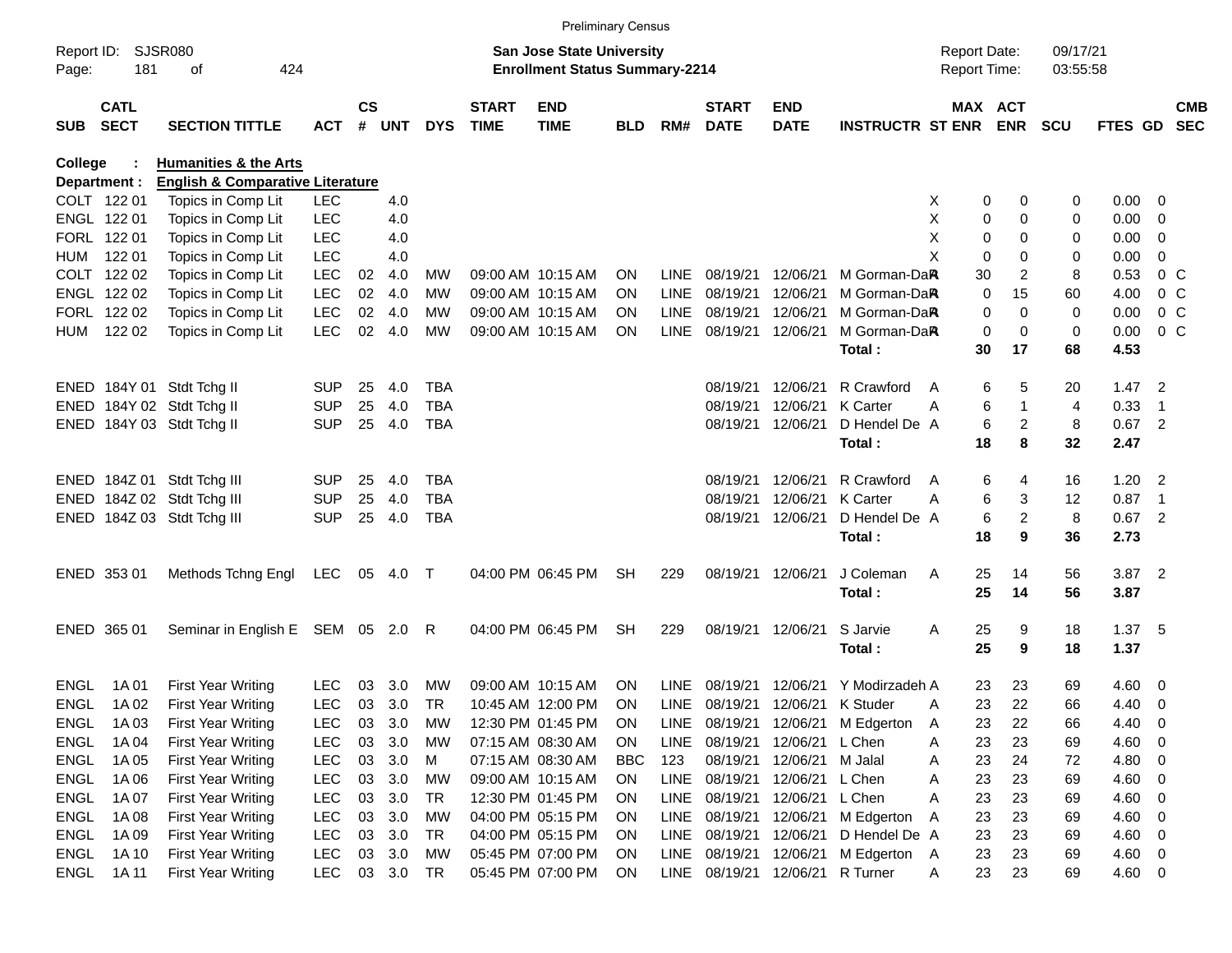|             |              |                                             |            |               |        |            |              | <b>Preliminary Census</b>                                                 |            |             |                        |                          |                              |                     |                         |            |          |                            |            |
|-------------|--------------|---------------------------------------------|------------|---------------|--------|------------|--------------|---------------------------------------------------------------------------|------------|-------------|------------------------|--------------------------|------------------------------|---------------------|-------------------------|------------|----------|----------------------------|------------|
| Report ID:  |              | <b>SJSR080</b>                              |            |               |        |            |              | <b>San Jose State University</b><br><b>Enrollment Status Summary-2214</b> |            |             |                        |                          |                              | <b>Report Date:</b> |                         | 09/17/21   |          |                            |            |
| Page:       | 181          | 424<br>оf                                   |            |               |        |            |              |                                                                           |            |             |                        |                          |                              | <b>Report Time:</b> |                         | 03:55:58   |          |                            |            |
|             | <b>CATL</b>  |                                             |            | $\mathsf{cs}$ |        |            | <b>START</b> | <b>END</b>                                                                |            |             | <b>START</b>           | <b>END</b>               |                              | MAX ACT             |                         |            |          |                            | <b>CMB</b> |
| <b>SUB</b>  | <b>SECT</b>  | <b>SECTION TITTLE</b>                       | <b>ACT</b> |               | # UNT  | <b>DYS</b> | <b>TIME</b>  | <b>TIME</b>                                                               | <b>BLD</b> | RM#         | <b>DATE</b>            | <b>DATE</b>              | <b>INSTRUCTR ST ENR</b>      |                     | <b>ENR</b>              | <b>SCU</b> | FTES GD  |                            | <b>SEC</b> |
| College     |              | <b>Humanities &amp; the Arts</b>            |            |               |        |            |              |                                                                           |            |             |                        |                          |                              |                     |                         |            |          |                            |            |
|             | Department : | <b>English &amp; Comparative Literature</b> |            |               |        |            |              |                                                                           |            |             |                        |                          |                              |                     |                         |            |          |                            |            |
|             | COLT 122 01  | Topics in Comp Lit                          | <b>LEC</b> |               | 4.0    |            |              |                                                                           |            |             |                        |                          |                              | 0<br>X              | 0                       | 0          | 0.00     | $\mathbf{0}$               |            |
|             | ENGL 122 01  | Topics in Comp Lit                          | <b>LEC</b> |               | 4.0    |            |              |                                                                           |            |             |                        |                          |                              | Х<br>0              | 0                       | 0          | 0.00     | 0                          |            |
|             | FORL 122 01  | Topics in Comp Lit                          | LEC        |               | 4.0    |            |              |                                                                           |            |             |                        |                          |                              | Х<br>0              | 0                       | 0          | 0.00     | 0                          |            |
| HUM         | 122 01       | Topics in Comp Lit                          | <b>LEC</b> |               | 4.0    |            |              |                                                                           |            |             |                        |                          |                              | X<br>0              | 0                       | 0          | 0.00     | 0                          |            |
|             | COLT 122 02  | Topics in Comp Lit                          | <b>LEC</b> | 02            | 4.0    | МW         |              | 09:00 AM 10:15 AM                                                         | <b>ON</b>  | LINE        | 08/19/21               | 12/06/21                 | M Gorman-Da <b>R</b>         | 30                  | 2                       | 8          | 0.53     | 0 <sup>o</sup>             |            |
|             | ENGL 122 02  | Topics in Comp Lit                          | <b>LEC</b> | 02            | 4.0    | MW         |              | 09:00 AM 10:15 AM                                                         | <b>ON</b>  | <b>LINE</b> | 08/19/21               | 12/06/21                 | M Gorman-DaR                 | 0                   | 15                      | 60         | 4.00     | 0 <sup>o</sup>             |            |
|             | FORL 122 02  | Topics in Comp Lit                          | <b>LEC</b> | 02            | 4.0    | МW         |              | 09:00 AM 10:15 AM                                                         | <b>ON</b>  | <b>LINE</b> | 08/19/21               | 12/06/21                 | M Gorman-DaR                 | 0                   | 0                       | 0          | 0.00     | 0 <sup>o</sup>             |            |
| HUM         | 122 02       | Topics in Comp Lit                          | <b>LEC</b> | 02            | 4.0    | MW         |              | 09:00 AM 10:15 AM                                                         | <b>ON</b>  | <b>LINE</b> | 08/19/21               | 12/06/21                 | M Gorman-DaR                 | 0                   | 0                       | 0          | 0.00     | 0 <sup>o</sup>             |            |
|             |              |                                             |            |               |        |            |              |                                                                           |            |             |                        |                          | Total:                       | 30                  | 17                      | 68         | 4.53     |                            |            |
|             |              | ENED 184Y 01 Stdt Tchg II                   | <b>SUP</b> | 25            | 4.0    | <b>TBA</b> |              |                                                                           |            |             | 08/19/21               | 12/06/21                 | R Crawford                   | 6<br>A              | 5                       | 20         | $1.47$ 2 |                            |            |
|             |              | ENED 184Y 02 Stdt Tchg II                   | <b>SUP</b> | 25            | 4.0    | <b>TBA</b> |              |                                                                           |            |             | 08/19/21               | 12/06/21                 | <b>K</b> Carter              | 6<br>Α              | 1                       | 4          | 0.33     | $\overline{1}$             |            |
|             |              | ENED 184Y 03 Stdt Tchg II                   | <b>SUP</b> | 25            | 4.0    | <b>TBA</b> |              |                                                                           |            |             | 08/19/21               | 12/06/21                 | D Hendel De A                | 6                   | 2                       | 8          | $0.67$ 2 |                            |            |
|             |              |                                             |            |               |        |            |              |                                                                           |            |             |                        |                          | Total:                       | 18                  | 8                       | 32         | 2.47     |                            |            |
|             |              | ENED 184Z 01 Stdt Tchg III                  | <b>SUP</b> | 25            | 4.0    | <b>TBA</b> |              |                                                                           |            |             | 08/19/21               | 12/06/21                 | R Crawford                   | 6<br>A              | 4                       | 16         | 1.20     | $\overline{\phantom{0}}^2$ |            |
|             |              | ENED 184Z 02 Stdt Tchg III                  | <b>SUP</b> | 25            | 4.0    | <b>TBA</b> |              |                                                                           |            |             | 08/19/21               | 12/06/21                 | <b>K</b> Carter              | 6<br>Α              | 3                       | 12         | 0.87     | $\overline{1}$             |            |
|             |              | ENED 184Z 03 Stdt Tchg III                  | <b>SUP</b> | 25            | 4.0    | <b>TBA</b> |              |                                                                           |            |             | 08/19/21               | 12/06/21                 | D Hendel De A                | 6                   | $\overline{\mathbf{c}}$ | 8          | $0.67$ 2 |                            |            |
|             |              |                                             |            |               |        |            |              |                                                                           |            |             |                        |                          | Total:                       | 18                  | 9                       | 36         | 2.73     |                            |            |
|             | ENED 353 01  | Methods Tchng Engl                          | LEC        | 05            | 4.0    | $\top$     |              | 04:00 PM 06:45 PM                                                         | <b>SH</b>  | 229         |                        | 08/19/21 12/06/21        | J Coleman                    | Α<br>25             | 14                      | 56         | 3.87 2   |                            |            |
|             |              |                                             |            |               |        |            |              |                                                                           |            |             |                        |                          | Total:                       | 25                  | 14                      | 56         | 3.87     |                            |            |
|             |              |                                             |            |               |        |            |              |                                                                           |            |             |                        |                          |                              |                     |                         |            |          |                            |            |
|             | ENED 365 01  | Seminar in English E SEM 05 2.0             |            |               |        | R          |              | 04:00 PM 06:45 PM                                                         | <b>SH</b>  | 229         |                        | 08/19/21 12/06/21        | S Jarvie                     | Α<br>25             | 9                       | 18         | 1.37 5   |                            |            |
|             |              |                                             |            |               |        |            |              |                                                                           |            |             |                        |                          | Total:                       | 25                  | 9                       | 18         | 1.37     |                            |            |
| <b>ENGL</b> | 1A 01        | First Year Writing                          | <b>LEC</b> | 03            | 3.0    | MW         |              | 09:00 AM 10:15 AM                                                         | <b>ON</b>  | LINE        | 08/19/21               | 12/06/21                 | Y Modirzadeh A               | 23                  | 23                      | 69         | 4.60     | $\overline{0}$             |            |
| ENGL        | 1A 02        | <b>First Year Writing</b>                   | LEC        | 03            | 3.0    | TR         |              | 10:45 AM 12:00 PM                                                         | <b>ON</b>  | <b>LINE</b> | 08/19/21               |                          | 12/06/21 K Studer            | 23<br>Α             | 22                      | 66         | 4.40     | $\overline{0}$             |            |
| ENGL        | 1A 03        | <b>First Year Writing</b>                   | <b>LEC</b> | 03            | 3.0    | MW         |              | 12:30 PM 01:45 PM                                                         | ON         | LINE        |                        |                          | 08/19/21 12/06/21 M Edgerton | 23<br>A             | 22                      | 66         | 4.40     | 0                          |            |
| ENGL        | 1A 04        | <b>First Year Writing</b>                   | <b>LEC</b> | 03            | 3.0    | МW         |              | 07:15 AM 08:30 AM                                                         | <b>ON</b>  | LINE        |                        | 08/19/21 12/06/21 L Chen |                              | 23<br>A             | 23                      | 69         | 4.60     | 0                          |            |
| ENGL        | 1A 05        | <b>First Year Writing</b>                   | LEC        | 03            | 3.0    | M          |              | 07:15 AM 08:30 AM                                                         | <b>BBC</b> | 123         | 08/19/21               | 12/06/21                 | M Jalal                      | 23<br>A             | 24                      | 72         | 4.80     | 0                          |            |
| ENGL        | 1A 06        | <b>First Year Writing</b>                   | <b>LEC</b> | 03            | 3.0    | MW         |              | 09:00 AM 10:15 AM                                                         | <b>ON</b>  | LINE        |                        | 08/19/21 12/06/21        | L Chen                       | 23<br>A             | 23                      | 69         | 4.60     | $\mathbf 0$                |            |
| ENGL        | 1A 07        | <b>First Year Writing</b>                   | <b>LEC</b> | 03            | 3.0    | TR         |              | 12:30 PM 01:45 PM                                                         | <b>ON</b>  | LINE        | 08/19/21               | 12/06/21                 | L Chen                       | Α<br>23             | 23                      | 69         | 4.60     | 0                          |            |
| ENGL        | 1A 08        | <b>First Year Writing</b>                   | <b>LEC</b> | 03            | 3.0    | MW         |              | 04:00 PM 05:15 PM                                                         | <b>ON</b>  | LINE        | 08/19/21               | 12/06/21                 | M Edgerton                   | Α<br>23             | 23                      | 69         | 4.60     | 0                          |            |
| ENGL        | 1A 09        | <b>First Year Writing</b>                   | <b>LEC</b> | 03            | 3.0    | TR         |              | 04:00 PM 05:15 PM                                                         | <b>ON</b>  | LINE        | 08/19/21 12/06/21      |                          | D Hendel De A                | 23                  | 23                      | 69         | 4.60     | 0                          |            |
| ENGL        | 1A 10        | <b>First Year Writing</b>                   | <b>LEC</b> | 03            | 3.0    | MW         |              | 05:45 PM 07:00 PM                                                         | <b>ON</b>  | LINE        |                        | 08/19/21 12/06/21        | M Edgerton A                 | 23                  | 23                      | 69         | 4.60 0   |                            |            |
| ENGL        | 1A 11        | <b>First Year Writing</b>                   | <b>LEC</b> |               | 03 3.0 | TR         |              | 05:45 PM 07:00 PM                                                         | ON         |             | LINE 08/19/21 12/06/21 |                          | R Turner                     | 23<br>A             | 23                      | 69         | 4.60 0   |                            |            |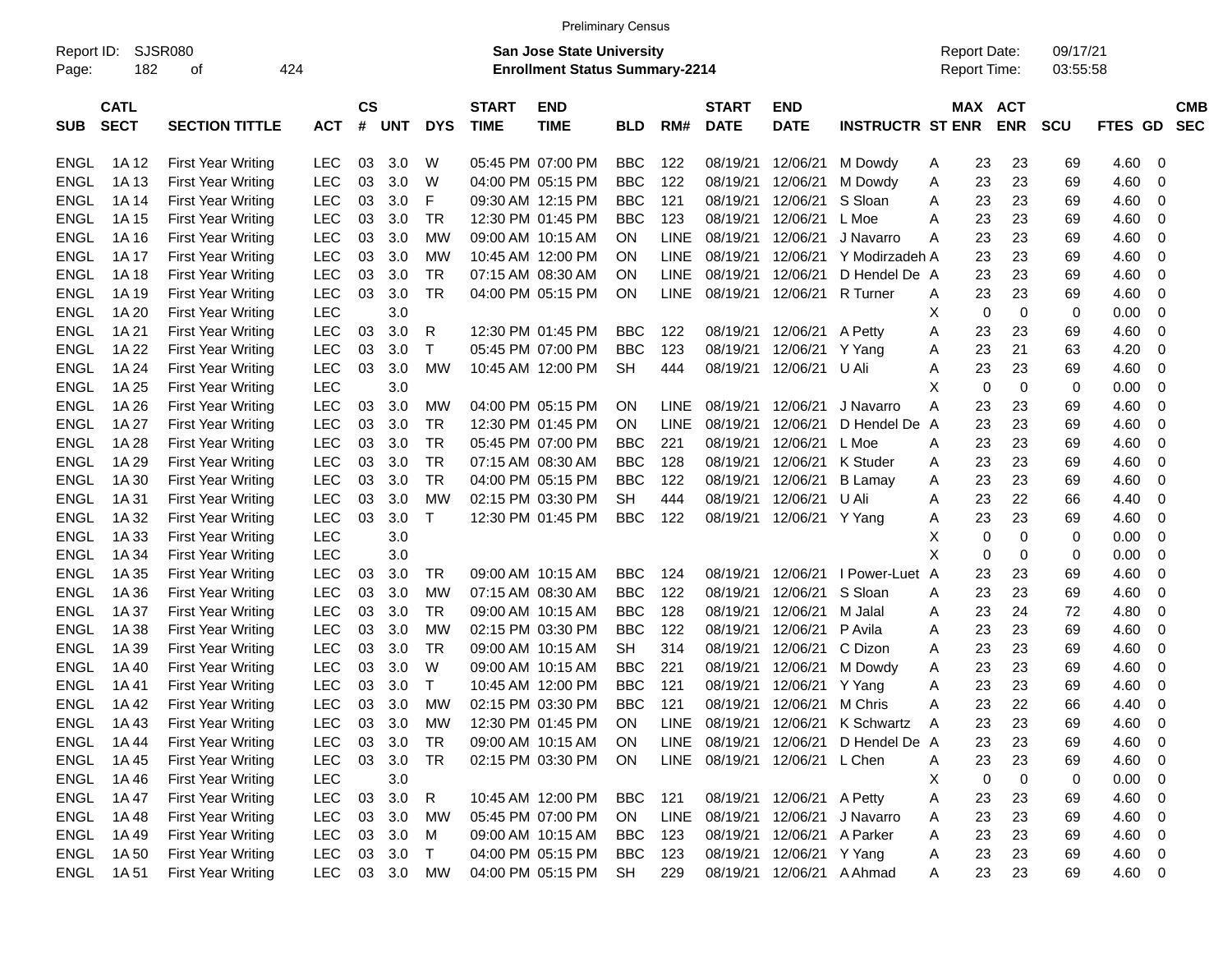|                     |                            |                           |            |                    |            |            |                             | <b>Preliminary Census</b>                                                 |            |             |                             |                               |                                   |                                     |             |            |                      |                   |                          |
|---------------------|----------------------------|---------------------------|------------|--------------------|------------|------------|-----------------------------|---------------------------------------------------------------------------|------------|-------------|-----------------------------|-------------------------------|-----------------------------------|-------------------------------------|-------------|------------|----------------------|-------------------|--------------------------|
| Report ID:<br>Page: | 182                        | <b>SJSR080</b><br>οf      | 424        |                    |            |            |                             | <b>San Jose State University</b><br><b>Enrollment Status Summary-2214</b> |            |             |                             |                               |                                   | <b>Report Date:</b><br>Report Time: |             |            | 09/17/21<br>03:55:58 |                   |                          |
| <b>SUB</b>          | <b>CATL</b><br><b>SECT</b> | <b>SECTION TITTLE</b>     | <b>ACT</b> | $\mathsf{cs}$<br># | <b>UNT</b> | <b>DYS</b> | <b>START</b><br><b>TIME</b> | <b>END</b><br><b>TIME</b>                                                 | <b>BLD</b> | RM#         | <b>START</b><br><b>DATE</b> | <b>END</b><br><b>DATE</b>     | <b>INSTRUCTR ST ENR</b>           |                                     | MAX ACT     | <b>ENR</b> | <b>SCU</b>           | <b>GD</b><br>FTES | <b>CMB</b><br><b>SEC</b> |
| <b>ENGL</b>         | 1A 12                      | <b>First Year Writing</b> | <b>LEC</b> | 03                 | 3.0        | W          |                             | 05:45 PM 07:00 PM                                                         | <b>BBC</b> | 122         | 08/19/21                    | 12/06/21                      | M Dowdy                           | A                                   | 23          | 23         | 69                   | 4.60              | 0                        |
| <b>ENGL</b>         | 1A 13                      | <b>First Year Writing</b> | <b>LEC</b> | 03                 | 3.0        | W          |                             | 04:00 PM 05:15 PM                                                         | <b>BBC</b> | 122         | 08/19/21                    | 12/06/21                      | M Dowdy                           | Α                                   | 23          | 23         | 69                   | 4.60              | 0                        |
| <b>ENGL</b>         | 1A 14                      | <b>First Year Writing</b> | <b>LEC</b> | 03                 | 3.0        | F          |                             | 09:30 AM 12:15 PM                                                         | <b>BBC</b> | 121         | 08/19/21                    | 12/06/21                      | S Sloan                           | A                                   | 23          | 23         | 69                   | 4.60              | 0                        |
| <b>ENGL</b>         | 1A 15                      | <b>First Year Writing</b> | <b>LEC</b> | 03                 | 3.0        | <b>TR</b>  |                             | 12:30 PM 01:45 PM                                                         | <b>BBC</b> | 123         | 08/19/21                    | 12/06/21                      | L Moe                             | Α                                   | 23          | 23         | 69                   | 4.60              | 0                        |
| <b>ENGL</b>         | 1A 16                      | <b>First Year Writing</b> | <b>LEC</b> | 03                 | 3.0        | МW         |                             | 09:00 AM 10:15 AM                                                         | ON.        | <b>LINE</b> | 08/19/21                    | 12/06/21                      | J Navarro                         | А                                   | 23          | 23         | 69                   | 4.60              | 0                        |
| <b>ENGL</b>         | 1A 17                      | <b>First Year Writing</b> | <b>LEC</b> | 03                 | 3.0        | МW         |                             | 10:45 AM 12:00 PM                                                         | ΟN         | <b>LINE</b> | 08/19/21                    | 12/06/21                      | Y Modirzadeh A                    |                                     | 23          | 23         | 69                   | 4.60              | 0                        |
| <b>ENGL</b>         | 1A 18                      | <b>First Year Writing</b> | <b>LEC</b> | 03                 | 3.0        | TR.        |                             | 07:15 AM 08:30 AM                                                         | ΟN         | <b>LINE</b> | 08/19/21                    | 12/06/21                      | D Hendel De A                     |                                     | 23          | 23         | 69                   | 4.60              | 0                        |
| <b>ENGL</b>         | 1A 19                      | <b>First Year Writing</b> | <b>LEC</b> | 03                 | 3.0        | <b>TR</b>  |                             | 04:00 PM 05:15 PM                                                         | ON         | <b>LINE</b> | 08/19/21                    | 12/06/21                      | R Turner                          | A                                   | 23          | 23         | 69                   | 4.60              | 0                        |
| <b>ENGL</b>         | 1A 20                      | <b>First Year Writing</b> | <b>LEC</b> |                    | 3.0        |            |                             |                                                                           |            |             |                             |                               |                                   | X                                   | $\mathbf 0$ | 0          | 0                    | 0.00              | 0                        |
| <b>ENGL</b>         | 1A 21                      | <b>First Year Writing</b> | <b>LEC</b> | 03                 | 3.0        | R          |                             | 12:30 PM 01:45 PM                                                         | <b>BBC</b> | 122         | 08/19/21                    | 12/06/21                      | A Petty                           | Α                                   | 23          | 23         | 69                   | 4.60              | 0                        |
| <b>ENGL</b>         | 1A 22                      | <b>First Year Writing</b> | <b>LEC</b> | 03                 | 3.0        | т          |                             | 05:45 PM 07:00 PM                                                         | <b>BBC</b> | 123         | 08/19/21                    | 12/06/21                      | Y Yang                            | Α                                   | 23          | 21         | 63                   | 4.20              | 0                        |
| <b>ENGL</b>         | 1A 24                      | <b>First Year Writing</b> | <b>LEC</b> | 03                 | 3.0        | МW         |                             | 10:45 AM 12:00 PM                                                         | <b>SH</b>  | 444         | 08/19/21                    | 12/06/21                      | U Ali                             | Α                                   | 23          | 23         | 69                   | 4.60              | 0                        |
| <b>ENGL</b>         | 1A 25                      | <b>First Year Writing</b> | <b>LEC</b> |                    | 3.0        |            |                             |                                                                           |            |             |                             |                               |                                   | х                                   | 0           | 0          | 0                    | 0.00              | 0                        |
| <b>ENGL</b>         | 1A 26                      | <b>First Year Writing</b> | <b>LEC</b> | 03                 | 3.0        | МW         |                             | 04:00 PM 05:15 PM                                                         | <b>ON</b>  | LINE.       | 08/19/21                    | 12/06/21                      | J Navarro                         | А                                   | 23          | 23         | 69                   | 4.60              | 0                        |
| <b>ENGL</b>         | 1A 27                      | <b>First Year Writing</b> | <b>LEC</b> | 03                 | 3.0        | <b>TR</b>  |                             | 12:30 PM 01:45 PM                                                         | ON.        | <b>LINE</b> | 08/19/21                    | 12/06/21                      | D Hendel De                       | A                                   | 23          | 23         | 69                   | 4.60              | 0                        |
| <b>ENGL</b>         | 1A 28                      | <b>First Year Writing</b> | <b>LEC</b> | 03                 | 3.0        | <b>TR</b>  |                             | 05:45 PM 07:00 PM                                                         | <b>BBC</b> | 221         | 08/19/21                    | 12/06/21                      | L Moe                             | Α                                   | 23          | 23         | 69                   | 4.60              | 0                        |
| <b>ENGL</b>         | 1A 29                      | <b>First Year Writing</b> | <b>LEC</b> | 03                 | 3.0        | <b>TR</b>  |                             | 07:15 AM 08:30 AM                                                         | <b>BBC</b> | 128         | 08/19/21                    | 12/06/21                      | K Studer                          | Α                                   | 23          | 23         | 69                   | 4.60              | 0                        |
| <b>ENGL</b>         | 1A 30                      | <b>First Year Writing</b> | <b>LEC</b> | 03                 | 3.0        | <b>TR</b>  |                             | 04:00 PM 05:15 PM                                                         | <b>BBC</b> | 122         | 08/19/21                    | 12/06/21                      | <b>B</b> Lamay                    | A                                   | 23          | 23         | 69                   | 4.60              | 0                        |
| <b>ENGL</b>         | 1A 31                      | <b>First Year Writing</b> | <b>LEC</b> | 03                 | 3.0        | МW         |                             | 02:15 PM 03:30 PM                                                         | <b>SH</b>  | 444         | 08/19/21                    | 12/06/21                      | U Ali                             | Α                                   | 23          | 22         | 66                   | 4.40              | 0                        |
| <b>ENGL</b>         | 1A 32                      | <b>First Year Writing</b> | <b>LEC</b> | 03                 | 3.0        | т          |                             | 12:30 PM 01:45 PM                                                         | <b>BBC</b> | 122         | 08/19/21                    | 12/06/21 Y Yang               |                                   | A                                   | 23          | 23         | 69                   | 4.60              | 0                        |
| <b>ENGL</b>         | 1A 33                      | <b>First Year Writing</b> | <b>LEC</b> |                    | 3.0        |            |                             |                                                                           |            |             |                             |                               |                                   | Х                                   | 0           | 0          | 0                    | 0.00              | 0                        |
| <b>ENGL</b>         | 1A 34                      | <b>First Year Writing</b> | <b>LEC</b> |                    | 3.0        |            |                             |                                                                           |            |             |                             |                               |                                   | X                                   | 0           | 0          | 0                    | 0.00              | 0                        |
| <b>ENGL</b>         | 1A 35                      | <b>First Year Writing</b> | <b>LEC</b> | 03                 | 3.0        | TR         |                             | 09:00 AM 10:15 AM                                                         | <b>BBC</b> | 124         | 08/19/21                    | 12/06/21                      | I Power-Luet A                    |                                     | 23          | 23         | 69                   | 4.60              | 0                        |
| <b>ENGL</b>         | 1A 36                      | <b>First Year Writing</b> | <b>LEC</b> | 03                 | 3.0        | МW         |                             | 07:15 AM 08:30 AM                                                         | <b>BBC</b> | 122         | 08/19/21                    | 12/06/21                      | S Sloan                           | Α                                   | 23          | 23         | 69                   | 4.60              | 0                        |
| <b>ENGL</b>         | 1A 37                      | <b>First Year Writing</b> | <b>LEC</b> | 03                 | 3.0        | <b>TR</b>  |                             | 09:00 AM 10:15 AM                                                         | <b>BBC</b> | 128         | 08/19/21                    | 12/06/21                      | M Jalal                           | A                                   | 23          | 24         | 72                   | 4.80              | 0                        |
| <b>ENGL</b>         | 1A 38                      | <b>First Year Writing</b> | <b>LEC</b> | 03                 | 3.0        | МW         |                             | 02:15 PM 03:30 PM                                                         | <b>BBC</b> | 122         | 08/19/21                    | 12/06/21                      | P Avila                           | A                                   | 23          | 23         | 69                   | 4.60              | 0                        |
| <b>ENGL</b>         | 1A 39                      | <b>First Year Writing</b> | <b>LEC</b> | 03                 | 3.0        | TR.        |                             | 09:00 AM 10:15 AM                                                         | <b>SH</b>  | 314         | 08/19/21                    | 12/06/21                      | C Dizon                           | A                                   | 23          | 23         | 69                   | 4.60              | 0                        |
| <b>ENGL</b>         | 1A 40                      | <b>First Year Writing</b> | <b>LEC</b> | 03                 | 3.0        | W          |                             | 09:00 AM 10:15 AM                                                         | <b>BBC</b> | 221         | 08/19/21                    | 12/06/21                      | M Dowdy                           | A                                   | 23          | 23         | 69                   | 4.60              | 0                        |
| <b>ENGL</b>         | 1A 41                      | <b>First Year Writing</b> | LEC        | 03                 | 3.0        | т          |                             | 10:45 AM 12:00 PM                                                         | <b>BBC</b> | 121         | 08/19/21                    | 12/06/21                      | Y Yang                            | A                                   | 23          | 23         | 69                   | 4.60              | 0                        |
| <b>ENGL</b>         | 1A 42                      | <b>First Year Writing</b> | <b>LEC</b> | 03                 | 3.0        | МW         |                             | 02:15 PM 03:30 PM                                                         | <b>BBC</b> | 121         | 08/19/21                    | 12/06/21                      | M Chris                           | Α                                   | 23          | 22         | 66                   | 4.40              | 0                        |
| ENGL                | 1A 43                      | <b>First Year Writing</b> | LEC        | 03                 | 3.0        | MW         |                             | 12:30 PM 01:45 PM                                                         | ON         |             |                             |                               | LINE 08/19/21 12/06/21 K Schwartz | - A                                 | 23          | 23         | 69                   | 4.60              | 0                        |
| <b>ENGL</b>         | 1A 44                      | <b>First Year Writing</b> | <b>LEC</b> | 03                 | 3.0        | <b>TR</b>  |                             | 09:00 AM 10:15 AM                                                         | <b>ON</b>  | LINE        | 08/19/21                    | 12/06/21                      | D Hendel De A                     |                                     | 23          | 23         | 69                   | 4.60              | 0                        |
| ENGL                | 1A 45                      | <b>First Year Writing</b> | <b>LEC</b> | 03                 | 3.0        | <b>TR</b>  |                             | 02:15 PM 03:30 PM                                                         | ON         |             |                             | LINE 08/19/21 12/06/21 L Chen |                                   | A                                   | 23          | 23         | 69                   | 4.60              | 0                        |
| ENGL                | 1A 46                      | First Year Writing        | <b>LEC</b> |                    | 3.0        |            |                             |                                                                           |            |             |                             |                               |                                   | Χ                                   | 0           | 0          | 0                    | 0.00              | 0                        |
| ENGL                | 1A 47                      | First Year Writing        | <b>LEC</b> | 03                 | 3.0        | R          |                             | 10:45 AM 12:00 PM                                                         | BBC        | 121         |                             | 08/19/21 12/06/21 A Petty     |                                   | Α                                   | 23          | 23         | 69                   | 4.60              | 0                        |
| ENGL                | 1A 48                      | First Year Writing        | <b>LEC</b> | 03                 | 3.0        | МW         |                             | 05:45 PM 07:00 PM                                                         | ON         | LINE        |                             | 08/19/21 12/06/21             | J Navarro                         | Α                                   | 23          | 23         | 69                   | 4.60              | 0                        |
| ENGL                | 1A 49                      | First Year Writing        | <b>LEC</b> | 03                 | 3.0        | M          |                             | 09:00 AM 10:15 AM                                                         | <b>BBC</b> | 123         | 08/19/21                    | 12/06/21 A Parker             |                                   | Α                                   | 23          | 23         | 69                   | 4.60              | 0                        |
| ENGL                | 1A 50                      | First Year Writing        | <b>LEC</b> |                    | 03 3.0     | $\top$     |                             | 04:00 PM 05:15 PM                                                         | BBC        | 123         | 08/19/21                    | 12/06/21 Y Yang               |                                   | A                                   | 23          | 23         | 69                   | 4.60              | $\overline{\mathbf{0}}$  |
| ENGL                | 1A 51                      | <b>First Year Writing</b> | <b>LEC</b> |                    | 03 3.0     | МW         |                             | 04:00 PM 05:15 PM                                                         | SH         | 229         |                             | 08/19/21 12/06/21 A Ahmad     |                                   | A                                   | 23          | 23         | 69                   | 4.60 0            |                          |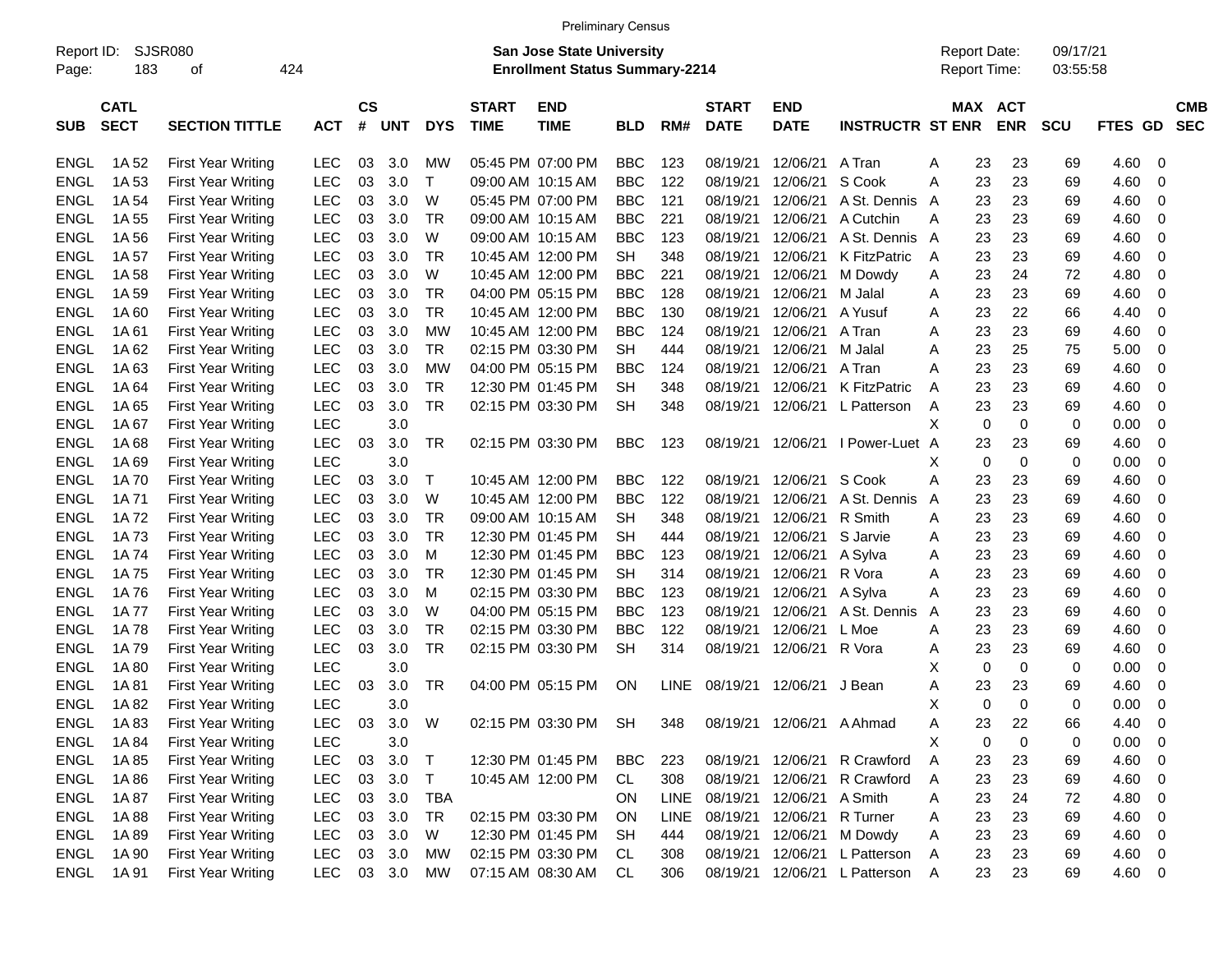|                     |                            |                             |            |                |            |              |                             | <b>Preliminary Census</b>                                                 |            |             |                             |                           |                              |                                     |            |                      |         |                          |
|---------------------|----------------------------|-----------------------------|------------|----------------|------------|--------------|-----------------------------|---------------------------------------------------------------------------|------------|-------------|-----------------------------|---------------------------|------------------------------|-------------------------------------|------------|----------------------|---------|--------------------------|
| Report ID:<br>Page: | 183                        | <b>SJSR080</b><br>424<br>οf |            |                |            |              |                             | <b>San Jose State University</b><br><b>Enrollment Status Summary-2214</b> |            |             |                             |                           |                              | <b>Report Date:</b><br>Report Time: |            | 09/17/21<br>03:55:58 |         |                          |
|                     |                            |                             |            |                |            |              |                             |                                                                           |            |             |                             |                           |                              |                                     |            |                      |         |                          |
| <b>SUB</b>          | <b>CATL</b><br><b>SECT</b> | <b>SECTION TITTLE</b>       | <b>ACT</b> | <b>CS</b><br># | <b>UNT</b> | <b>DYS</b>   | <b>START</b><br><b>TIME</b> | <b>END</b><br><b>TIME</b>                                                 | <b>BLD</b> | RM#         | <b>START</b><br><b>DATE</b> | <b>END</b><br><b>DATE</b> | <b>INSTRUCTR ST ENR</b>      | MAX ACT                             | <b>ENR</b> | <b>SCU</b>           | FTES GD | <b>CMB</b><br><b>SEC</b> |
| <b>ENGL</b>         | 1A 52                      | <b>First Year Writing</b>   | LEC        | 03             | 3.0        | МW           |                             | 05:45 PM 07:00 PM                                                         | <b>BBC</b> | 123         | 08/19/21                    | 12/06/21                  | A Tran                       | 23<br>Α                             | 23         | 69                   | 4.60    | 0                        |
| <b>ENGL</b>         | 1A 53                      | <b>First Year Writing</b>   | <b>LEC</b> | 03             | 3.0        | $\mathsf{T}$ |                             | 09:00 AM 10:15 AM                                                         | <b>BBC</b> | 122         | 08/19/21                    | 12/06/21                  | S Cook                       | 23<br>Α                             | 23         | 69                   | 4.60    | 0                        |
| <b>ENGL</b>         | 1A 54                      | <b>First Year Writing</b>   | <b>LEC</b> | 03             | 3.0        | W            |                             | 05:45 PM 07:00 PM                                                         | <b>BBC</b> | 121         | 08/19/21                    | 12/06/21                  | A St. Dennis                 | 23<br>A                             | 23         | 69                   | 4.60    | 0                        |
| <b>ENGL</b>         | 1A 55                      | <b>First Year Writing</b>   | <b>LEC</b> | 03             | 3.0        | <b>TR</b>    |                             | 09:00 AM 10:15 AM                                                         | <b>BBC</b> | 221         | 08/19/21                    | 12/06/21                  | A Cutchin                    | 23<br>Α                             | 23         | 69                   | 4.60    | 0                        |
| <b>ENGL</b>         | 1A 56                      | <b>First Year Writing</b>   | <b>LEC</b> | 03             | 3.0        | W            |                             | 09:00 AM 10:15 AM                                                         | <b>BBC</b> | 123         | 08/19/21                    | 12/06/21                  | A St. Dennis                 | 23<br>A                             | 23         | 69                   | 4.60    | 0                        |
| <b>ENGL</b>         | 1A 57                      | <b>First Year Writing</b>   | <b>LEC</b> | 03             | 3.0        | <b>TR</b>    |                             | 10:45 AM 12:00 PM                                                         | <b>SH</b>  | 348         | 08/19/21                    | 12/06/21                  | K FitzPatric                 | 23<br>A                             | 23         | 69                   | 4.60    | 0                        |
| <b>ENGL</b>         | 1A 58                      | <b>First Year Writing</b>   | <b>LEC</b> | 03             | 3.0        | W            |                             | 10:45 AM 12:00 PM                                                         | <b>BBC</b> | 221         | 08/19/21                    | 12/06/21                  | M Dowdy                      | 23<br>Α                             | 24         | 72                   | 4.80    | 0                        |
| <b>ENGL</b>         | 1A 59                      | <b>First Year Writing</b>   | <b>LEC</b> | 03             | 3.0        | <b>TR</b>    |                             | 04:00 PM 05:15 PM                                                         | <b>BBC</b> | 128         | 08/19/21                    | 12/06/21                  | M Jalal                      | 23<br>Α                             | 23         | 69                   | 4.60    | 0                        |
| <b>ENGL</b>         | 1A 60                      | <b>First Year Writing</b>   | <b>LEC</b> | 03             | 3.0        | <b>TR</b>    |                             | 10:45 AM 12:00 PM                                                         | <b>BBC</b> | 130         | 08/19/21                    | 12/06/21                  | A Yusuf                      | 23<br>Α                             | 22         | 66                   | 4.40    | 0                        |
| <b>ENGL</b>         | 1A 61                      | <b>First Year Writing</b>   | <b>LEC</b> | 03             | 3.0        | MW           |                             | 10:45 AM 12:00 PM                                                         | <b>BBC</b> | 124         | 08/19/21                    | 12/06/21                  | A Tran                       | 23<br>Α                             | 23         | 69                   | 4.60    | 0                        |
| <b>ENGL</b>         | 1A 62                      | <b>First Year Writing</b>   | <b>LEC</b> | 03             | 3.0        | <b>TR</b>    |                             | 02:15 PM 03:30 PM                                                         | SН         | 444         | 08/19/21                    | 12/06/21                  | M Jalal                      | 23<br>Α                             | 25         | 75                   | 5.00    | 0                        |
| <b>ENGL</b>         | 1A63                       | <b>First Year Writing</b>   | <b>LEC</b> | 03             | 3.0        | МW           |                             | 04:00 PM 05:15 PM                                                         | <b>BBC</b> | 124         | 08/19/21                    | 12/06/21                  | A Tran                       | 23<br>A                             | 23         | 69                   | 4.60    | 0                        |
| <b>ENGL</b>         | 1A 64                      | <b>First Year Writing</b>   | <b>LEC</b> | 03             | 3.0        | TR           |                             | 12:30 PM 01:45 PM                                                         | <b>SH</b>  | 348         | 08/19/21                    | 12/06/21                  | <b>K FitzPatric</b>          | 23<br>Α                             | 23         | 69                   | 4.60    | 0                        |
| <b>ENGL</b>         | 1A 65                      | <b>First Year Writing</b>   | <b>LEC</b> | 03             | 3.0        | <b>TR</b>    |                             | 02:15 PM 03:30 PM                                                         | <b>SH</b>  | 348         | 08/19/21                    | 12/06/21                  | L Patterson                  | 23<br>Α                             | 23         | 69                   | 4.60    | 0                        |
| <b>ENGL</b>         | 1A 67                      | <b>First Year Writing</b>   | <b>LEC</b> |                | 3.0        |              |                             |                                                                           |            |             |                             |                           |                              | Х<br>0                              | 0          | 0                    | 0.00    | 0                        |
| <b>ENGL</b>         | 1A 68                      | <b>First Year Writing</b>   | <b>LEC</b> | 03             | 3.0        | <b>TR</b>    |                             | 02:15 PM 03:30 PM                                                         | <b>BBC</b> | 123         | 08/19/21                    | 12/06/21                  | I Power-Luet A               | 23                                  | 23         | 69                   | 4.60    | 0                        |
| <b>ENGL</b>         | 1A 69                      | <b>First Year Writing</b>   | <b>LEC</b> |                | 3.0        |              |                             |                                                                           |            |             |                             |                           |                              | X<br>0                              | 0          | 0                    | 0.00    | 0                        |
| <b>ENGL</b>         | 1A 70                      | <b>First Year Writing</b>   | <b>LEC</b> | 03             | 3.0        | $\top$       |                             | 10:45 AM 12:00 PM                                                         | <b>BBC</b> | 122         | 08/19/21                    | 12/06/21                  | S Cook                       | Α<br>23                             | 23         | 69                   | 4.60    | 0                        |
| <b>ENGL</b>         | 1A 71                      | <b>First Year Writing</b>   | <b>LEC</b> | 03             | 3.0        | W            |                             | 10:45 AM 12:00 PM                                                         | <b>BBC</b> | 122         | 08/19/21                    | 12/06/21                  | A St. Dennis                 | 23<br>A                             | 23         | 69                   | 4.60    | 0                        |
| <b>ENGL</b>         | 1A 72                      | <b>First Year Writing</b>   | <b>LEC</b> | 03             | 3.0        | <b>TR</b>    |                             | 09:00 AM 10:15 AM                                                         | <b>SH</b>  | 348         | 08/19/21                    | 12/06/21                  | R Smith                      | 23<br>Α                             | 23         | 69                   | 4.60    | 0                        |
| <b>ENGL</b>         |                            |                             | <b>LEC</b> | 03             | 3.0        | <b>TR</b>    |                             | 12:30 PM 01:45 PM                                                         | <b>SH</b>  | 444         | 08/19/21                    | 12/06/21                  | S Jarvie                     | 23                                  | 23         | 69                   |         | 0                        |
| <b>ENGL</b>         | 1A 73                      | <b>First Year Writing</b>   | <b>LEC</b> | 03             | 3.0        | м            |                             | 12:30 PM 01:45 PM                                                         | <b>BBC</b> | 123         | 08/19/21                    | 12/06/21                  |                              | Α                                   |            | 69                   | 4.60    | 0                        |
|                     | 1A 74                      | <b>First Year Writing</b>   |            |                |            |              |                             |                                                                           |            |             |                             |                           | A Sylva                      | 23<br>Α                             | 23         |                      | 4.60    |                          |
| <b>ENGL</b>         | 1A 75                      | <b>First Year Writing</b>   | <b>LEC</b> | 03             | 3.0        | <b>TR</b>    |                             | 12:30 PM 01:45 PM                                                         | SH         | 314         | 08/19/21                    | 12/06/21                  | R Vora                       | 23<br>Α                             | 23         | 69                   | 4.60    | 0                        |
| <b>ENGL</b>         | 1A 76                      | <b>First Year Writing</b>   | <b>LEC</b> | 03             | 3.0        | м            |                             | 02:15 PM 03:30 PM                                                         | <b>BBC</b> | 123         | 08/19/21                    | 12/06/21                  | A Sylva                      | 23<br>Α                             | 23         | 69                   | 4.60    | 0                        |
| <b>ENGL</b>         | 1A 77                      | <b>First Year Writing</b>   | <b>LEC</b> | 03             | 3.0        | W            |                             | 04:00 PM 05:15 PM                                                         | <b>BBC</b> | 123         | 08/19/21                    | 12/06/21                  | A St. Dennis                 | 23<br>A                             | 23         | 69                   | 4.60    | 0                        |
| <b>ENGL</b>         | 1A 78                      | <b>First Year Writing</b>   | <b>LEC</b> | 03             | 3.0        | <b>TR</b>    |                             | 02:15 PM 03:30 PM                                                         | <b>BBC</b> | 122         | 08/19/21                    | 12/06/21                  | L Moe                        | 23<br>Α                             | 23         | 69                   | 4.60    | 0                        |
| <b>ENGL</b>         | 1A 79                      | <b>First Year Writing</b>   | <b>LEC</b> | 03             | 3.0        | <b>TR</b>    |                             | 02:15 PM 03:30 PM                                                         | <b>SH</b>  | 314         | 08/19/21                    | 12/06/21                  | R Vora                       | 23<br>A                             | 23         | 69                   | 4.60    | 0                        |
| <b>ENGL</b>         | 1A 80                      | <b>First Year Writing</b>   | <b>LEC</b> |                | 3.0        |              |                             |                                                                           |            |             |                             |                           |                              | X<br>0                              | 0          | 0                    | 0.00    | 0                        |
| <b>ENGL</b>         | 1A 81                      | <b>First Year Writing</b>   | <b>LEC</b> | 03             | 3.0        | <b>TR</b>    |                             | 04:00 PM 05:15 PM                                                         | ON         | <b>LINE</b> | 08/19/21                    | 12/06/21                  | J Bean                       | Α<br>23                             | 23         | 69                   | 4.60    | 0                        |
| <b>ENGL</b>         | 1A 82                      | <b>First Year Writing</b>   | LEC        |                | 3.0        |              |                             |                                                                           |            |             |                             |                           |                              | X<br>$\mathbf 0$                    | $\Omega$   | 0                    | 0.00    | 0                        |
| <b>ENGL</b>         | 1A 83                      | <b>First Year Writing</b>   | LEC        |                | 03 3.0     | W            |                             | 02:15 PM 03:30 PM                                                         | SH         | 348         |                             | 08/19/21 12/06/21 A Ahmad |                              | 23<br>A                             | 22         | 66                   | 4.40    | 0                        |
| <b>ENGL</b>         | 1A 84                      | First Year Writing          | <b>LEC</b> |                | 3.0        |              |                             |                                                                           |            |             |                             |                           |                              | Χ<br>0                              | 0          | 0                    | 0.00    | 0                        |
| ENGL                | 1A 85                      | First Year Writing          | <b>LEC</b> | 03             | 3.0        | $\top$       |                             | 12:30 PM 01:45 PM                                                         | BBC        | 223         |                             |                           | 08/19/21 12/06/21 R Crawford | Α<br>23                             | 23         | 69                   | 4.60    | 0                        |
| <b>ENGL</b>         | 1A 86                      | First Year Writing          | <b>LEC</b> | 03             | 3.0        | $\top$       |                             | 10:45 AM 12:00 PM                                                         | CL         | 308         | 08/19/21                    | 12/06/21                  | R Crawford                   | 23<br>A                             | 23         | 69                   | 4.60    | $\mathbf 0$              |
| <b>ENGL</b>         | 1A 87                      | First Year Writing          | <b>LEC</b> |                | 03 3.0     | TBA          |                             |                                                                           | ON         | LINE        | 08/19/21                    | 12/06/21                  | A Smith                      | 23<br>A                             | 24         | 72                   | 4.80    | $\mathbf 0$              |
| <b>ENGL</b>         | 1A 88                      | First Year Writing          | <b>LEC</b> |                | 03 3.0     | TR           |                             | 02:15 PM 03:30 PM                                                         | ON         | LINE        | 08/19/21                    | 12/06/21                  | R Turner                     | 23<br>Α                             | 23         | 69                   | 4.60    | $\overline{0}$           |
| <b>ENGL</b>         | 1A 89                      | First Year Writing          | <b>LEC</b> |                | 03 3.0     | W            |                             | 12:30 PM 01:45 PM                                                         | <b>SH</b>  | 444         | 08/19/21                    | 12/06/21                  | M Dowdy                      | 23<br>Α                             | 23         | 69                   | 4.60    | $\overline{0}$           |
| ENGL                | 1A 90                      | First Year Writing          | <b>LEC</b> |                | 03 3.0     | <b>MW</b>    |                             | 02:15 PM 03:30 PM                                                         | CL         | 308         | 08/19/21                    | 12/06/21                  | L Patterson                  | 23<br>A                             | 23         | 69                   | 4.60 0  |                          |
| <b>ENGL</b>         | 1A 91                      | First Year Writing          | <b>LEC</b> |                | 03 3.0     | MW           |                             | 07:15 AM 08:30 AM                                                         | CL         | 306         | 08/19/21                    |                           | 12/06/21 L Patterson         | 23<br>A                             | 23         | 69                   | 4.60 0  |                          |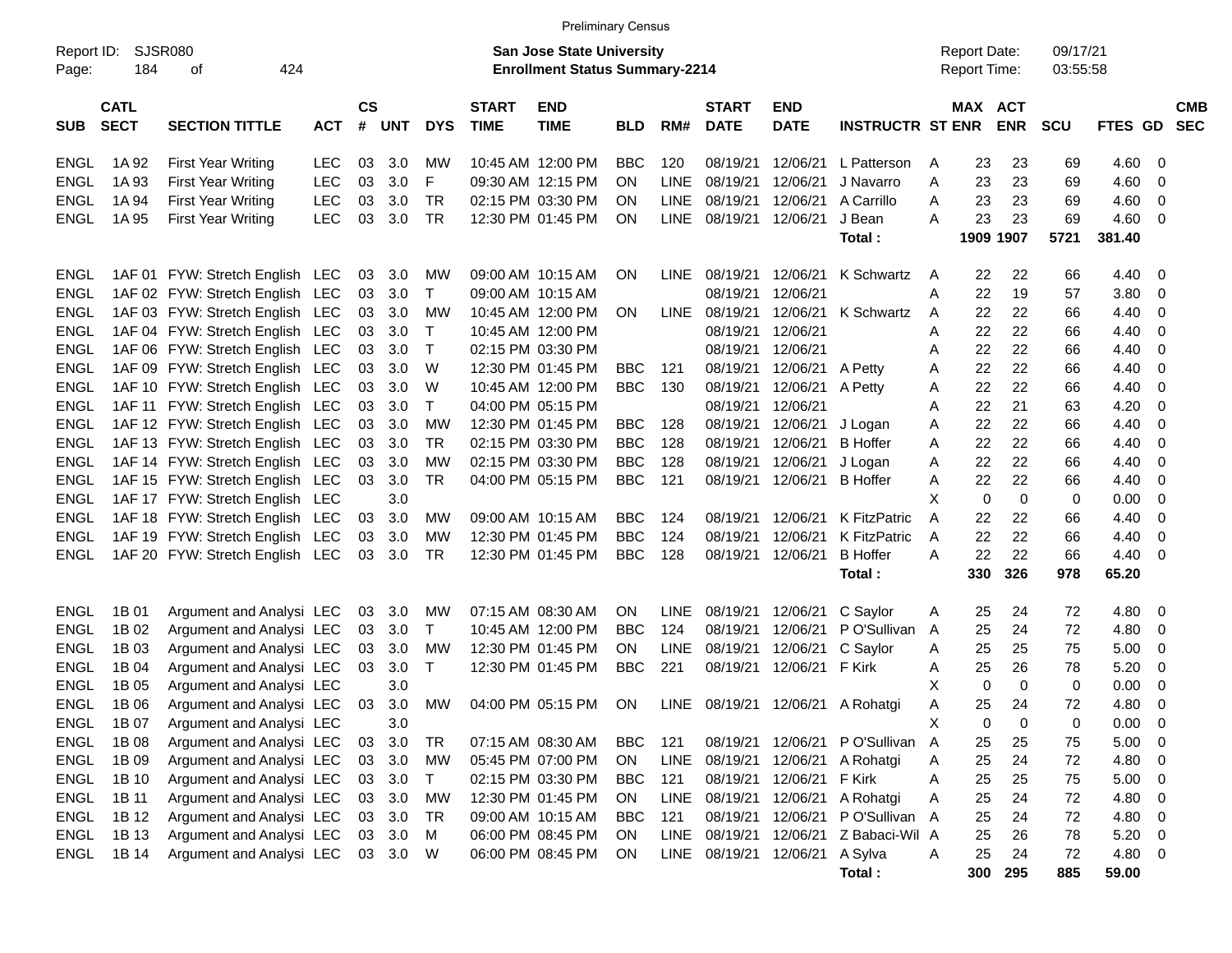|                     |                            |                                 |            |                    |            |            |                             | <b>Preliminary Census</b>                                                 |            |             |                             |                        |                         |   |                                            |             |                      |         |                          |  |
|---------------------|----------------------------|---------------------------------|------------|--------------------|------------|------------|-----------------------------|---------------------------------------------------------------------------|------------|-------------|-----------------------------|------------------------|-------------------------|---|--------------------------------------------|-------------|----------------------|---------|--------------------------|--|
| Report ID:<br>Page: | 184                        | <b>SJSR080</b><br>424<br>οf     |            |                    |            |            |                             | <b>San Jose State University</b><br><b>Enrollment Status Summary-2214</b> |            |             |                             |                        |                         |   | <b>Report Date:</b><br><b>Report Time:</b> |             | 09/17/21<br>03:55:58 |         |                          |  |
| <b>SUB</b>          | <b>CATL</b><br><b>SECT</b> | <b>SECTION TITTLE</b>           | <b>ACT</b> | $\mathsf{cs}$<br># | <b>UNT</b> | <b>DYS</b> | <b>START</b><br><b>TIME</b> | <b>END</b><br><b>TIME</b>                                                 | <b>BLD</b> | RM#         | <b>START</b><br><b>DATE</b> | END<br><b>DATE</b>     | <b>INSTRUCTR ST ENR</b> |   | MAX ACT                                    | <b>ENR</b>  | <b>SCU</b>           | FTES GD | <b>CMB</b><br><b>SEC</b> |  |
| <b>ENGL</b>         | 1A 92                      | <b>First Year Writing</b>       | <b>LEC</b> | 03                 | 3.0        | МW         |                             | 10:45 AM 12:00 PM                                                         | <b>BBC</b> | 120         | 08/19/21                    | 12/06/21               | L Patterson             | A | 23                                         | 23          | 69                   | 4.60    | 0                        |  |
| <b>ENGL</b>         | 1A 93                      | <b>First Year Writing</b>       | <b>LEC</b> | 03                 | 3.0        | F          |                             | 09:30 AM 12:15 PM                                                         | <b>ON</b>  | <b>LINE</b> | 08/19/21                    | 12/06/21               | J Navarro               | Α | 23                                         | 23          | 69                   | 4.60    | 0                        |  |
| <b>ENGL</b>         | 1A 94                      | <b>First Year Writing</b>       | <b>LEC</b> | 03                 | 3.0        | <b>TR</b>  |                             | 02:15 PM 03:30 PM                                                         | <b>ON</b>  | <b>LINE</b> | 08/19/21                    | 12/06/21               | A Carrillo              | Α | 23                                         | 23          | 69                   | 4.60    | 0                        |  |
| <b>ENGL</b>         | 1A 95                      | <b>First Year Writing</b>       | <b>LEC</b> | 03                 | 3.0        | <b>TR</b>  |                             | 12:30 PM 01:45 PM                                                         | ON         |             | LINE 08/19/21               | 12/06/21               | J Bean                  | Α | 23                                         | 23          | 69                   | 4.60    | 0                        |  |
|                     |                            |                                 |            |                    |            |            |                             |                                                                           |            |             |                             |                        | Total:                  |   |                                            | 1909 1907   | 5721                 | 381.40  |                          |  |
| <b>ENGL</b>         |                            | 1AF 01 FYW: Stretch English LEC |            | 03                 | 3.0        | <b>MW</b>  |                             | 09:00 AM 10:15 AM                                                         | <b>ON</b>  | <b>LINE</b> | 08/19/21                    | 12/06/21               | K Schwartz              | A | 22                                         | 22          | 66                   | 4.40    | 0                        |  |
| <b>ENGL</b>         |                            | 1AF 02 FYW: Stretch English LEC |            | 03                 | 3.0        | Т          |                             | 09:00 AM 10:15 AM                                                         |            |             | 08/19/21                    | 12/06/21               |                         | Α | 22                                         | 19          | 57                   | 3.80    | 0                        |  |
| <b>ENGL</b>         |                            | 1AF 03 FYW: Stretch English LEC |            | 03                 | 3.0        | <b>MW</b>  |                             | 10:45 AM 12:00 PM                                                         | <b>ON</b>  |             | LINE 08/19/21               | 12/06/21               | K Schwartz              | A | 22                                         | 22          | 66                   | 4.40    | 0                        |  |
| <b>ENGL</b>         |                            | 1AF 04 FYW: Stretch English LEC |            | 03                 | 3.0        | Т          |                             | 10:45 AM 12:00 PM                                                         |            |             | 08/19/21                    | 12/06/21               |                         | Α | 22                                         | 22          | 66                   | 4.40    | 0                        |  |
| <b>ENGL</b>         |                            | 1AF 06 FYW: Stretch English LEC |            | 03                 | 3.0        | Т          |                             | 02:15 PM 03:30 PM                                                         |            |             | 08/19/21                    | 12/06/21               |                         | Α | 22                                         | 22          | 66                   | 4.40    | 0                        |  |
| <b>ENGL</b>         |                            | 1AF 09 FYW: Stretch English LEC |            | 03                 | 3.0        | W          |                             | 12:30 PM 01:45 PM                                                         | <b>BBC</b> | 121         | 08/19/21                    | 12/06/21               | A Petty                 | Α | 22                                         | 22          | 66                   | 4.40    | 0                        |  |
| <b>ENGL</b>         |                            | 1AF 10 FYW: Stretch English LEC |            | 03                 | 3.0        | W          |                             | 10:45 AM 12:00 PM                                                         | <b>BBC</b> | 130         | 08/19/21                    | 12/06/21               | A Petty                 | Α | 22                                         | 22          | 66                   | 4.40    | 0                        |  |
| <b>ENGL</b>         |                            | 1AF 11 FYW: Stretch English LEC |            | 03                 | 3.0        | Т          |                             | 04:00 PM 05:15 PM                                                         |            |             | 08/19/21                    | 12/06/21               |                         | Α | 22                                         | 21          | 63                   | 4.20    | 0                        |  |
| <b>ENGL</b>         |                            | 1AF 12 FYW: Stretch English LEC |            | 03                 | 3.0        | <b>MW</b>  |                             | 12:30 PM 01:45 PM                                                         | <b>BBC</b> | 128         | 08/19/21                    | 12/06/21               | J Logan                 | Α | 22                                         | 22          | 66                   | 4.40    | 0                        |  |
| <b>ENGL</b>         |                            | 1AF 13 FYW: Stretch English LEC |            | 03                 | 3.0        | <b>TR</b>  |                             | 02:15 PM 03:30 PM                                                         | <b>BBC</b> | 128         | 08/19/21                    | 12/06/21               | <b>B</b> Hoffer         | Α | 22                                         | 22          | 66                   | 4.40    | 0                        |  |
| <b>ENGL</b>         |                            | 1AF 14 FYW: Stretch English LEC |            | 03                 | 3.0        | <b>MW</b>  |                             | 02:15 PM 03:30 PM                                                         | <b>BBC</b> | 128         | 08/19/21                    | 12/06/21               | J Logan                 | Α | 22                                         | 22          | 66                   | 4.40    | 0                        |  |
| <b>ENGL</b>         |                            | 1AF 15 FYW: Stretch English LEC |            | 03                 | 3.0        | <b>TR</b>  |                             | 04:00 PM 05:15 PM                                                         | <b>BBC</b> | 121         | 08/19/21                    | 12/06/21               | <b>B</b> Hoffer         | Α | 22                                         | 22          | 66                   | 4.40    | 0                        |  |
| <b>ENGL</b>         |                            | 1AF 17 FYW: Stretch English LEC |            |                    | 3.0        |            |                             |                                                                           |            |             |                             |                        |                         | X | 0                                          | $\mathbf 0$ | 0                    | 0.00    | 0                        |  |
| <b>ENGL</b>         |                            | 1AF 18 FYW: Stretch English LEC |            | 03                 | 3.0        | <b>MW</b>  |                             | 09:00 AM 10:15 AM                                                         | <b>BBC</b> | 124         | 08/19/21                    | 12/06/21               | <b>K FitzPatric</b>     | Α | 22                                         | 22          | 66                   | 4.40    | 0                        |  |
| <b>ENGL</b>         |                            | 1AF 19 FYW: Stretch English LEC |            | 03                 | 3.0        | MW         |                             | 12:30 PM 01:45 PM                                                         | <b>BBC</b> | 124         | 08/19/21                    | 12/06/21               | <b>K FitzPatric</b>     | A | 22                                         | 22          | 66                   | 4.40    | 0                        |  |
| <b>ENGL</b>         |                            | 1AF 20 FYW: Stretch English LEC |            | 03                 | 3.0        | TR         |                             | 12:30 PM 01:45 PM                                                         | <b>BBC</b> | 128         | 08/19/21                    | 12/06/21               | <b>B</b> Hoffer         | Α | 22                                         | 22          | 66                   | 4.40    | 0                        |  |
|                     |                            |                                 |            |                    |            |            |                             |                                                                           |            |             |                             |                        | Total:                  |   | 330                                        | 326         | 978                  | 65.20   |                          |  |
| <b>ENGL</b>         | 1B 01                      | Argument and Analysi LEC        |            | 03                 | 3.0        | MW         |                             | 07:15 AM 08:30 AM                                                         | ON         | <b>LINE</b> | 08/19/21                    | 12/06/21               | C Saylor                | A | 25                                         | 24          | 72                   | 4.80    | 0                        |  |
| <b>ENGL</b>         | 1B 02                      | Argument and Analysi LEC        |            | 03                 | 3.0        | т          |                             | 10:45 AM 12:00 PM                                                         | <b>BBC</b> | 124         | 08/19/21                    | 12/06/21               | P O'Sullivan            | A | 25                                         | 24          | 72                   | 4.80    | 0                        |  |
| <b>ENGL</b>         | 1B 03                      | Argument and Analysi LEC        |            | 03                 | 3.0        | MW         |                             | 12:30 PM 01:45 PM                                                         | ON         | <b>LINE</b> | 08/19/21                    | 12/06/21               | C Saylor                | A | 25                                         | 25          | 75                   | 5.00    | 0                        |  |
| <b>ENGL</b>         | 1B 04                      | Argument and Analysi LEC        |            | 03                 | 3.0        | Τ          |                             | 12:30 PM 01:45 PM                                                         | <b>BBC</b> | 221         | 08/19/21                    | 12/06/21               | F Kirk                  | A | 25                                         | 26          | 78                   | 5.20    | 0                        |  |
| <b>ENGL</b>         | 1B 05                      | Argument and Analysi LEC        |            |                    | 3.0        |            |                             |                                                                           |            |             |                             |                        |                         | X | 0                                          | $\mathbf 0$ | 0                    | 0.00    | 0                        |  |
| <b>ENGL</b>         | 1B 06                      | Argument and Analysi LEC        |            | 03                 | 3.0        | <b>MW</b>  |                             | 04:00 PM 05:15 PM                                                         | ON         |             |                             | LINE 08/19/21 12/06/21 | A Rohatgi               | Α | 25                                         | 24          | 72                   | 4.80    | 0                        |  |
| ENGL                | 1B 07                      | Argument and Analysi LEC        |            |                    | 3.0        |            |                             |                                                                           |            |             |                             |                        |                         | х | 0                                          | 0           | 0                    | 0.00    | 0                        |  |
| ENGL                | 1B 08                      | Argument and Analysi LEC        |            | 03                 | 3.0        | TR         |                             | 07:15 AM 08:30 AM                                                         | BBC        | 121         |                             | 08/19/21 12/06/21      | P O'Sullivan A          |   | 25                                         | 25          | 75                   | 5.00    | 0                        |  |
| ENGL                | 1B 09                      | Argument and Analysi LEC        |            | 03                 | 3.0        | MW         |                             | 05:45 PM 07:00 PM                                                         | ON         | LINE        | 08/19/21                    | 12/06/21               | A Rohatgi               | Α | 25                                         | 24          | 72                   | 4.80    | 0                        |  |
| ENGL                | 1B 10                      | Argument and Analysi LEC        |            |                    | 03 3.0     | Τ          |                             | 02:15 PM 03:30 PM                                                         | <b>BBC</b> | 121         | 08/19/21                    | 12/06/21               | F Kirk                  | A | 25                                         | 25          | 75                   | 5.00    | 0                        |  |
| ENGL                | 1B 11                      | Argument and Analysi LEC        |            |                    | 03 3.0     | <b>MW</b>  |                             | 12:30 PM 01:45 PM                                                         | ON         |             | LINE 08/19/21               | 12/06/21               | A Rohatgi               | Α | 25                                         | 24          | 72                   | 4.80    | 0                        |  |
| <b>ENGL</b>         | 1B 12                      | Argument and Analysi LEC        |            |                    | 03 3.0     | TR         |                             | 09:00 AM 10:15 AM                                                         | <b>BBC</b> | 121         | 08/19/21                    | 12/06/21               | P O'Sullivan A          |   | 25                                         | 24          | 72                   | 4.80    | 0                        |  |
| <b>ENGL</b>         | 1B 13                      | Argument and Analysi LEC        |            | 03                 | 3.0        | м          |                             | 06:00 PM 08:45 PM                                                         | ON         |             | LINE 08/19/21 12/06/21      |                        | Z Babaci-Wil A          |   | 25                                         | 26          | 78                   | 5.20    | 0                        |  |
| ENGL                | 1B 14                      | Argument and Analysi LEC        |            |                    | 03 3.0     | W          |                             | 06:00 PM 08:45 PM                                                         | ON.        |             | LINE 08/19/21 12/06/21      |                        | A Sylva                 | Α | 25                                         | 24          | 72                   | 4.80    | 0                        |  |
|                     |                            |                                 |            |                    |            |            |                             |                                                                           |            |             |                             |                        | Total:                  |   | 300                                        | 295         | 885                  | 59.00   |                          |  |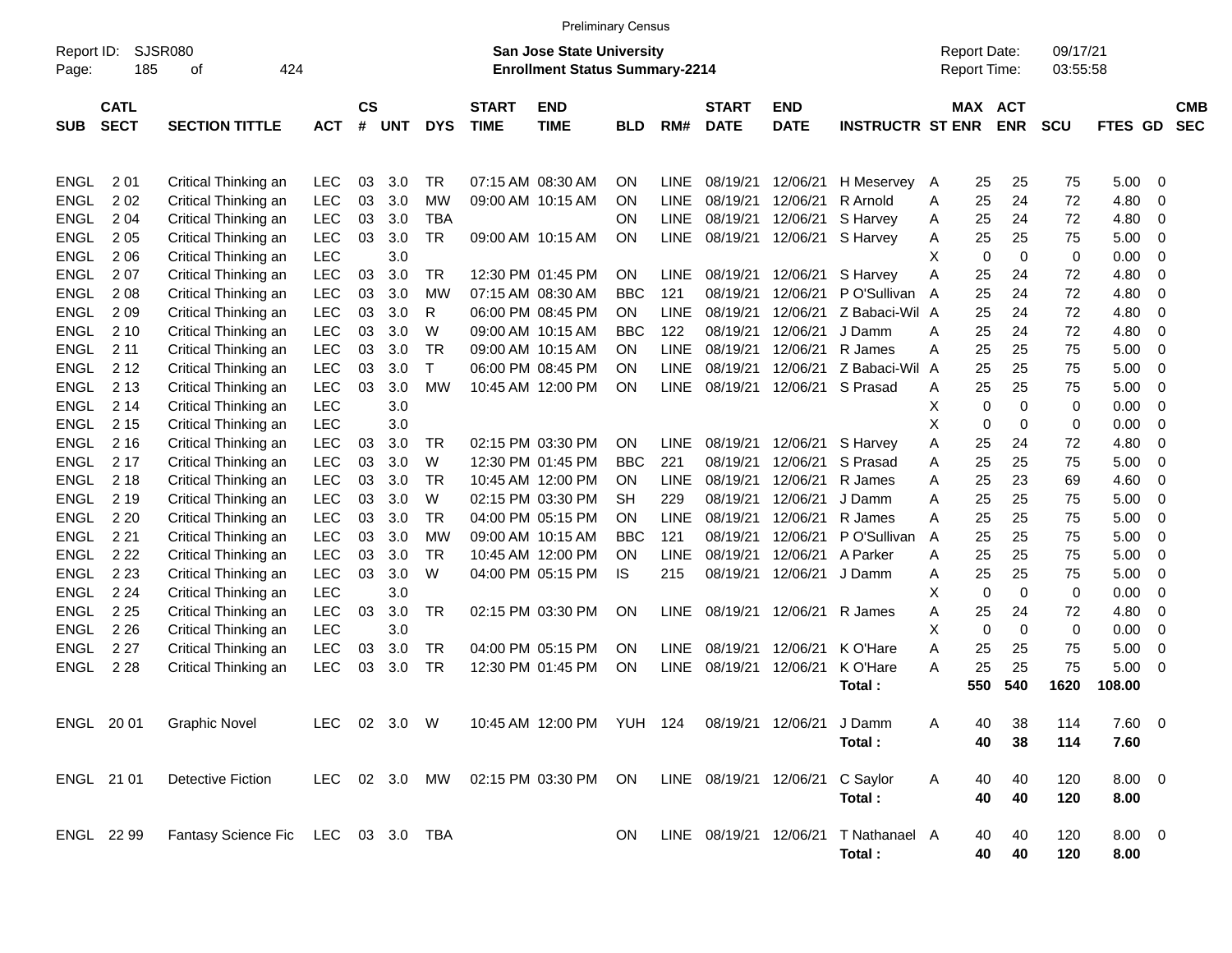| SJSR080<br>09/17/21<br>Report ID:<br><b>San Jose State University</b><br><b>Report Date:</b><br>185<br><b>Enrollment Status Summary-2214</b><br>Report Time:<br>424<br>03:55:58<br>Page:<br>οf<br>$\mathsf{cs}$<br><b>CATL</b><br><b>START</b><br><b>END</b><br><b>START</b><br>MAX ACT<br><b>END</b><br><b>SECT</b><br><b>SECTION TITTLE</b><br>#<br><b>DYS</b><br><b>TIME</b><br><b>TIME</b><br>RM#<br><b>DATE</b><br><b>DATE</b><br><b>INSTRUCTR ST ENR</b><br><b>ENR</b><br><b>SCU</b><br><b>FTES GD</b><br><b>SUB</b><br><b>ACT</b><br><b>UNT</b><br><b>BLD</b><br>201<br>5.00<br><b>ENGL</b><br>Critical Thinking an<br><b>LEC</b><br>03<br>3.0<br>TR<br>07:15 AM 08:30 AM<br><b>ON</b><br><b>LINE</b><br>08/19/21<br>12/06/21<br>H Meservey<br>25<br>25<br>75<br>- 0<br>A<br>202<br><b>LEC</b><br>03<br>3.0<br>12/06/21<br>4.80<br><b>ENGL</b><br>Critical Thinking an<br>МW<br>09:00 AM 10:15 AM<br><b>LINE</b><br>08/19/21<br>R Arnold<br>25<br>24<br>72<br>0<br><b>ON</b><br>A<br>2 0 4<br>LEC<br>03<br>3.0<br>12/06/21<br>4.80<br><b>ENGL</b><br>Critical Thinking an<br>TBA<br><b>ON</b><br><b>LINE</b><br>08/19/21<br>S Harvey<br>25<br>24<br>72<br>0<br>Α<br>2 0 5<br>LEC<br>03<br>3.0<br>08/19/21<br>5.00<br><b>ENGL</b><br>Critical Thinking an<br>TR<br>09:00 AM 10:15 AM<br>ON<br>LINE<br>12/06/21<br>S Harvey<br>25<br>25<br>75<br>0<br>Α<br><b>LEC</b><br>3.0<br>х<br>$\mathbf 0$<br>0<br>0.00<br><b>ENGL</b><br>206<br>Critical Thinking an<br>0<br>0<br>LEC<br>03<br>3.0<br>08/19/21<br>4.80<br><b>ENGL</b><br>207<br>Critical Thinking an<br>TR<br>12:30 PM 01:45 PM<br><b>ON</b><br><b>LINE</b><br>12/06/21<br>S Harvey<br>A<br>25<br>24<br>72<br>0<br>2 0 8<br>LEC<br>03<br>3.0<br>08/19/21<br>12/06/21<br>25<br>72<br>4.80<br><b>ENGL</b><br>Critical Thinking an<br>МW<br>07:15 AM 08:30 AM<br><b>BBC</b><br>121<br>P O'Sullivan<br>24<br>0<br>A<br>LEC<br>03<br>3.0<br>08/19/21<br>12/06/21<br>Z Babaci-Wil A<br>4.80<br><b>ENGL</b><br>209<br>Critical Thinking an<br>R<br>06:00 PM 08:45 PM<br>ON.<br>LINE<br>25<br>24<br>72<br>0<br>LEC<br>03<br>3.0<br>08/19/21<br>12/06/21<br>4.80<br><b>ENGL</b><br>210<br>Critical Thinking an<br>W<br>09:00 AM 10:15 AM<br>BBC<br>122<br>J Damm<br>25<br>24<br>72<br>0<br>A<br>2 1 1<br>LEC<br>03<br>3.0<br>12/06/21<br>75<br>5.00<br><b>ENGL</b><br>Critical Thinking an<br>TR<br>09:00 AM 10:15 AM<br><b>LINE</b><br>08/19/21<br>R James<br>25<br>25<br>0<br>ON.<br>A<br>2 1 2<br><b>LEC</b><br>03<br>3.0<br>12/06/21<br>Z Babaci-Wil<br>5.00<br><b>ENGL</b><br>Critical Thinking an<br>06:00 PM 08:45 PM<br><b>ON</b><br><b>LINE</b><br>08/19/21<br>25<br>25<br>75<br>0<br>Т<br>A<br>2 1 3<br><b>LEC</b><br>03<br>3.0<br>12/06/21<br>25<br>5.00<br>ENGL<br>Critical Thinking an<br>МW<br>10:45 AM 12:00 PM<br>ON<br>LINE<br>08/19/21<br>S Prasad<br>25<br>75<br>0<br>A<br>2 14<br><b>LEC</b><br>3.0<br>$\mathbf 0$<br>0<br>0<br>0.00<br><b>ENGL</b><br>Critical Thinking an<br>х<br>0<br>2 1 5<br><b>LEC</b><br>3.0<br>х<br>$\mathbf 0$<br>0<br>0.00<br><b>ENGL</b><br>Critical Thinking an<br>0<br>0<br>LEC<br>3.0<br>02:15 PM 03:30 PM<br><b>ENGL</b><br>2 1 6<br>Critical Thinking an<br>03<br>TR<br><b>ON</b><br><b>LINE</b><br>08/19/21<br>12/06/21<br>S Harvey<br>25<br>24<br>72<br>4.80<br>0<br>Α<br>LEC<br>03<br>3.0<br>08/19/21<br>12/06/21<br>25<br>75<br>5.00<br>ENGL<br>2 1 7<br>Critical Thinking an<br>W<br>12:30 PM 01:45 PM<br><b>BBC</b><br>221<br>S Prasad<br>25<br>0<br>A<br>2 1 8<br>LEC<br>03<br>3.0<br>12/06/21<br>23<br>4.60<br><b>ENGL</b><br>Critical Thinking an<br>TR<br>10:45 AM 12:00 PM<br><b>ON</b><br>LINE<br>08/19/21<br>R James<br>25<br>69<br>0<br>A<br><b>LEC</b><br>03<br>3.0<br>08/19/21<br>12/06/21<br>5.00<br><b>ENGL</b><br>2 1 9<br>Critical Thinking an<br>W<br>02:15 PM 03:30 PM<br>SH<br>229<br>J Damm<br>25<br>25<br>75<br>0<br>A |  |  | <b>Preliminary Census</b> |  |  |  |  |  |                          |
|--------------------------------------------------------------------------------------------------------------------------------------------------------------------------------------------------------------------------------------------------------------------------------------------------------------------------------------------------------------------------------------------------------------------------------------------------------------------------------------------------------------------------------------------------------------------------------------------------------------------------------------------------------------------------------------------------------------------------------------------------------------------------------------------------------------------------------------------------------------------------------------------------------------------------------------------------------------------------------------------------------------------------------------------------------------------------------------------------------------------------------------------------------------------------------------------------------------------------------------------------------------------------------------------------------------------------------------------------------------------------------------------------------------------------------------------------------------------------------------------------------------------------------------------------------------------------------------------------------------------------------------------------------------------------------------------------------------------------------------------------------------------------------------------------------------------------------------------------------------------------------------------------------------------------------------------------------------------------------------------------------------------------------------------------------------------------------------------------------------------------------------------------------------------------------------------------------------------------------------------------------------------------------------------------------------------------------------------------------------------------------------------------------------------------------------------------------------------------------------------------------------------------------------------------------------------------------------------------------------------------------------------------------------------------------------------------------------------------------------------------------------------------------------------------------------------------------------------------------------------------------------------------------------------------------------------------------------------------------------------------------------------------------------------------------------------------------------------------------------------------------------------------------------------------------------------------------------------------------------------------------------------------------------------------------------------------------------------------------------------------------------------------------------------------------------------------------------------------------------------------------------------------------------------------------------------------------------------------------------------------------------------------------------------------------------------------------------------------------------------------------------------------------------------------------------------------------------------------------|--|--|---------------------------|--|--|--|--|--|--------------------------|
|                                                                                                                                                                                                                                                                                                                                                                                                                                                                                                                                                                                                                                                                                                                                                                                                                                                                                                                                                                                                                                                                                                                                                                                                                                                                                                                                                                                                                                                                                                                                                                                                                                                                                                                                                                                                                                                                                                                                                                                                                                                                                                                                                                                                                                                                                                                                                                                                                                                                                                                                                                                                                                                                                                                                                                                                                                                                                                                                                                                                                                                                                                                                                                                                                                                                                                                                                                                                                                                                                                                                                                                                                                                                                                                                                                                                                                                        |  |  |                           |  |  |  |  |  |                          |
|                                                                                                                                                                                                                                                                                                                                                                                                                                                                                                                                                                                                                                                                                                                                                                                                                                                                                                                                                                                                                                                                                                                                                                                                                                                                                                                                                                                                                                                                                                                                                                                                                                                                                                                                                                                                                                                                                                                                                                                                                                                                                                                                                                                                                                                                                                                                                                                                                                                                                                                                                                                                                                                                                                                                                                                                                                                                                                                                                                                                                                                                                                                                                                                                                                                                                                                                                                                                                                                                                                                                                                                                                                                                                                                                                                                                                                                        |  |  |                           |  |  |  |  |  | <b>CMB</b><br><b>SEC</b> |
|                                                                                                                                                                                                                                                                                                                                                                                                                                                                                                                                                                                                                                                                                                                                                                                                                                                                                                                                                                                                                                                                                                                                                                                                                                                                                                                                                                                                                                                                                                                                                                                                                                                                                                                                                                                                                                                                                                                                                                                                                                                                                                                                                                                                                                                                                                                                                                                                                                                                                                                                                                                                                                                                                                                                                                                                                                                                                                                                                                                                                                                                                                                                                                                                                                                                                                                                                                                                                                                                                                                                                                                                                                                                                                                                                                                                                                                        |  |  |                           |  |  |  |  |  |                          |
|                                                                                                                                                                                                                                                                                                                                                                                                                                                                                                                                                                                                                                                                                                                                                                                                                                                                                                                                                                                                                                                                                                                                                                                                                                                                                                                                                                                                                                                                                                                                                                                                                                                                                                                                                                                                                                                                                                                                                                                                                                                                                                                                                                                                                                                                                                                                                                                                                                                                                                                                                                                                                                                                                                                                                                                                                                                                                                                                                                                                                                                                                                                                                                                                                                                                                                                                                                                                                                                                                                                                                                                                                                                                                                                                                                                                                                                        |  |  |                           |  |  |  |  |  |                          |
|                                                                                                                                                                                                                                                                                                                                                                                                                                                                                                                                                                                                                                                                                                                                                                                                                                                                                                                                                                                                                                                                                                                                                                                                                                                                                                                                                                                                                                                                                                                                                                                                                                                                                                                                                                                                                                                                                                                                                                                                                                                                                                                                                                                                                                                                                                                                                                                                                                                                                                                                                                                                                                                                                                                                                                                                                                                                                                                                                                                                                                                                                                                                                                                                                                                                                                                                                                                                                                                                                                                                                                                                                                                                                                                                                                                                                                                        |  |  |                           |  |  |  |  |  |                          |
|                                                                                                                                                                                                                                                                                                                                                                                                                                                                                                                                                                                                                                                                                                                                                                                                                                                                                                                                                                                                                                                                                                                                                                                                                                                                                                                                                                                                                                                                                                                                                                                                                                                                                                                                                                                                                                                                                                                                                                                                                                                                                                                                                                                                                                                                                                                                                                                                                                                                                                                                                                                                                                                                                                                                                                                                                                                                                                                                                                                                                                                                                                                                                                                                                                                                                                                                                                                                                                                                                                                                                                                                                                                                                                                                                                                                                                                        |  |  |                           |  |  |  |  |  |                          |
|                                                                                                                                                                                                                                                                                                                                                                                                                                                                                                                                                                                                                                                                                                                                                                                                                                                                                                                                                                                                                                                                                                                                                                                                                                                                                                                                                                                                                                                                                                                                                                                                                                                                                                                                                                                                                                                                                                                                                                                                                                                                                                                                                                                                                                                                                                                                                                                                                                                                                                                                                                                                                                                                                                                                                                                                                                                                                                                                                                                                                                                                                                                                                                                                                                                                                                                                                                                                                                                                                                                                                                                                                                                                                                                                                                                                                                                        |  |  |                           |  |  |  |  |  |                          |
|                                                                                                                                                                                                                                                                                                                                                                                                                                                                                                                                                                                                                                                                                                                                                                                                                                                                                                                                                                                                                                                                                                                                                                                                                                                                                                                                                                                                                                                                                                                                                                                                                                                                                                                                                                                                                                                                                                                                                                                                                                                                                                                                                                                                                                                                                                                                                                                                                                                                                                                                                                                                                                                                                                                                                                                                                                                                                                                                                                                                                                                                                                                                                                                                                                                                                                                                                                                                                                                                                                                                                                                                                                                                                                                                                                                                                                                        |  |  |                           |  |  |  |  |  |                          |
|                                                                                                                                                                                                                                                                                                                                                                                                                                                                                                                                                                                                                                                                                                                                                                                                                                                                                                                                                                                                                                                                                                                                                                                                                                                                                                                                                                                                                                                                                                                                                                                                                                                                                                                                                                                                                                                                                                                                                                                                                                                                                                                                                                                                                                                                                                                                                                                                                                                                                                                                                                                                                                                                                                                                                                                                                                                                                                                                                                                                                                                                                                                                                                                                                                                                                                                                                                                                                                                                                                                                                                                                                                                                                                                                                                                                                                                        |  |  |                           |  |  |  |  |  |                          |
|                                                                                                                                                                                                                                                                                                                                                                                                                                                                                                                                                                                                                                                                                                                                                                                                                                                                                                                                                                                                                                                                                                                                                                                                                                                                                                                                                                                                                                                                                                                                                                                                                                                                                                                                                                                                                                                                                                                                                                                                                                                                                                                                                                                                                                                                                                                                                                                                                                                                                                                                                                                                                                                                                                                                                                                                                                                                                                                                                                                                                                                                                                                                                                                                                                                                                                                                                                                                                                                                                                                                                                                                                                                                                                                                                                                                                                                        |  |  |                           |  |  |  |  |  |                          |
|                                                                                                                                                                                                                                                                                                                                                                                                                                                                                                                                                                                                                                                                                                                                                                                                                                                                                                                                                                                                                                                                                                                                                                                                                                                                                                                                                                                                                                                                                                                                                                                                                                                                                                                                                                                                                                                                                                                                                                                                                                                                                                                                                                                                                                                                                                                                                                                                                                                                                                                                                                                                                                                                                                                                                                                                                                                                                                                                                                                                                                                                                                                                                                                                                                                                                                                                                                                                                                                                                                                                                                                                                                                                                                                                                                                                                                                        |  |  |                           |  |  |  |  |  |                          |
|                                                                                                                                                                                                                                                                                                                                                                                                                                                                                                                                                                                                                                                                                                                                                                                                                                                                                                                                                                                                                                                                                                                                                                                                                                                                                                                                                                                                                                                                                                                                                                                                                                                                                                                                                                                                                                                                                                                                                                                                                                                                                                                                                                                                                                                                                                                                                                                                                                                                                                                                                                                                                                                                                                                                                                                                                                                                                                                                                                                                                                                                                                                                                                                                                                                                                                                                                                                                                                                                                                                                                                                                                                                                                                                                                                                                                                                        |  |  |                           |  |  |  |  |  |                          |
|                                                                                                                                                                                                                                                                                                                                                                                                                                                                                                                                                                                                                                                                                                                                                                                                                                                                                                                                                                                                                                                                                                                                                                                                                                                                                                                                                                                                                                                                                                                                                                                                                                                                                                                                                                                                                                                                                                                                                                                                                                                                                                                                                                                                                                                                                                                                                                                                                                                                                                                                                                                                                                                                                                                                                                                                                                                                                                                                                                                                                                                                                                                                                                                                                                                                                                                                                                                                                                                                                                                                                                                                                                                                                                                                                                                                                                                        |  |  |                           |  |  |  |  |  |                          |
|                                                                                                                                                                                                                                                                                                                                                                                                                                                                                                                                                                                                                                                                                                                                                                                                                                                                                                                                                                                                                                                                                                                                                                                                                                                                                                                                                                                                                                                                                                                                                                                                                                                                                                                                                                                                                                                                                                                                                                                                                                                                                                                                                                                                                                                                                                                                                                                                                                                                                                                                                                                                                                                                                                                                                                                                                                                                                                                                                                                                                                                                                                                                                                                                                                                                                                                                                                                                                                                                                                                                                                                                                                                                                                                                                                                                                                                        |  |  |                           |  |  |  |  |  |                          |
|                                                                                                                                                                                                                                                                                                                                                                                                                                                                                                                                                                                                                                                                                                                                                                                                                                                                                                                                                                                                                                                                                                                                                                                                                                                                                                                                                                                                                                                                                                                                                                                                                                                                                                                                                                                                                                                                                                                                                                                                                                                                                                                                                                                                                                                                                                                                                                                                                                                                                                                                                                                                                                                                                                                                                                                                                                                                                                                                                                                                                                                                                                                                                                                                                                                                                                                                                                                                                                                                                                                                                                                                                                                                                                                                                                                                                                                        |  |  |                           |  |  |  |  |  |                          |
|                                                                                                                                                                                                                                                                                                                                                                                                                                                                                                                                                                                                                                                                                                                                                                                                                                                                                                                                                                                                                                                                                                                                                                                                                                                                                                                                                                                                                                                                                                                                                                                                                                                                                                                                                                                                                                                                                                                                                                                                                                                                                                                                                                                                                                                                                                                                                                                                                                                                                                                                                                                                                                                                                                                                                                                                                                                                                                                                                                                                                                                                                                                                                                                                                                                                                                                                                                                                                                                                                                                                                                                                                                                                                                                                                                                                                                                        |  |  |                           |  |  |  |  |  |                          |
|                                                                                                                                                                                                                                                                                                                                                                                                                                                                                                                                                                                                                                                                                                                                                                                                                                                                                                                                                                                                                                                                                                                                                                                                                                                                                                                                                                                                                                                                                                                                                                                                                                                                                                                                                                                                                                                                                                                                                                                                                                                                                                                                                                                                                                                                                                                                                                                                                                                                                                                                                                                                                                                                                                                                                                                                                                                                                                                                                                                                                                                                                                                                                                                                                                                                                                                                                                                                                                                                                                                                                                                                                                                                                                                                                                                                                                                        |  |  |                           |  |  |  |  |  |                          |
|                                                                                                                                                                                                                                                                                                                                                                                                                                                                                                                                                                                                                                                                                                                                                                                                                                                                                                                                                                                                                                                                                                                                                                                                                                                                                                                                                                                                                                                                                                                                                                                                                                                                                                                                                                                                                                                                                                                                                                                                                                                                                                                                                                                                                                                                                                                                                                                                                                                                                                                                                                                                                                                                                                                                                                                                                                                                                                                                                                                                                                                                                                                                                                                                                                                                                                                                                                                                                                                                                                                                                                                                                                                                                                                                                                                                                                                        |  |  |                           |  |  |  |  |  |                          |
|                                                                                                                                                                                                                                                                                                                                                                                                                                                                                                                                                                                                                                                                                                                                                                                                                                                                                                                                                                                                                                                                                                                                                                                                                                                                                                                                                                                                                                                                                                                                                                                                                                                                                                                                                                                                                                                                                                                                                                                                                                                                                                                                                                                                                                                                                                                                                                                                                                                                                                                                                                                                                                                                                                                                                                                                                                                                                                                                                                                                                                                                                                                                                                                                                                                                                                                                                                                                                                                                                                                                                                                                                                                                                                                                                                                                                                                        |  |  |                           |  |  |  |  |  |                          |
|                                                                                                                                                                                                                                                                                                                                                                                                                                                                                                                                                                                                                                                                                                                                                                                                                                                                                                                                                                                                                                                                                                                                                                                                                                                                                                                                                                                                                                                                                                                                                                                                                                                                                                                                                                                                                                                                                                                                                                                                                                                                                                                                                                                                                                                                                                                                                                                                                                                                                                                                                                                                                                                                                                                                                                                                                                                                                                                                                                                                                                                                                                                                                                                                                                                                                                                                                                                                                                                                                                                                                                                                                                                                                                                                                                                                                                                        |  |  |                           |  |  |  |  |  |                          |
| LEC<br>3.0<br>08/19/21<br>12/06/21<br>5.00<br><b>ENGL</b><br>2 2 0<br>Critical Thinking an<br>03<br>TR<br>04:00 PM 05:15 PM<br>ON.<br>LINE<br>R James<br>25<br>25<br>75<br>0<br>A                                                                                                                                                                                                                                                                                                                                                                                                                                                                                                                                                                                                                                                                                                                                                                                                                                                                                                                                                                                                                                                                                                                                                                                                                                                                                                                                                                                                                                                                                                                                                                                                                                                                                                                                                                                                                                                                                                                                                                                                                                                                                                                                                                                                                                                                                                                                                                                                                                                                                                                                                                                                                                                                                                                                                                                                                                                                                                                                                                                                                                                                                                                                                                                                                                                                                                                                                                                                                                                                                                                                                                                                                                                                      |  |  |                           |  |  |  |  |  |                          |
| 2 2 1<br>LEC<br>03<br>3.0<br>08/19/21<br>12/06/21<br>P O'Sullivan<br>25<br>5.00<br><b>ENGL</b><br>Critical Thinking an<br>МW<br>09:00 AM 10:15 AM<br><b>BBC</b><br>121<br>25<br>75<br>0<br>A                                                                                                                                                                                                                                                                                                                                                                                                                                                                                                                                                                                                                                                                                                                                                                                                                                                                                                                                                                                                                                                                                                                                                                                                                                                                                                                                                                                                                                                                                                                                                                                                                                                                                                                                                                                                                                                                                                                                                                                                                                                                                                                                                                                                                                                                                                                                                                                                                                                                                                                                                                                                                                                                                                                                                                                                                                                                                                                                                                                                                                                                                                                                                                                                                                                                                                                                                                                                                                                                                                                                                                                                                                                           |  |  |                           |  |  |  |  |  |                          |
| <b>LEC</b><br>03<br>3.0<br>12/06/21<br>5.00<br>ENGL<br>2 2 2<br>Critical Thinking an<br>TR<br>10:45 AM 12:00 PM<br><b>ON</b><br>LINE<br>08/19/21<br>A Parker<br>25<br>25<br>75<br>0<br>A                                                                                                                                                                                                                                                                                                                                                                                                                                                                                                                                                                                                                                                                                                                                                                                                                                                                                                                                                                                                                                                                                                                                                                                                                                                                                                                                                                                                                                                                                                                                                                                                                                                                                                                                                                                                                                                                                                                                                                                                                                                                                                                                                                                                                                                                                                                                                                                                                                                                                                                                                                                                                                                                                                                                                                                                                                                                                                                                                                                                                                                                                                                                                                                                                                                                                                                                                                                                                                                                                                                                                                                                                                                               |  |  |                           |  |  |  |  |  |                          |
| 2 2 3<br>LEC<br>03<br>3.0<br>12/06/21<br>25<br>5.00<br>ENGL<br>Critical Thinking an<br>W<br>04:00 PM 05:15 PM<br>IS.<br>215<br>08/19/21<br>J Damm<br>25<br>75<br>0<br>Α                                                                                                                                                                                                                                                                                                                                                                                                                                                                                                                                                                                                                                                                                                                                                                                                                                                                                                                                                                                                                                                                                                                                                                                                                                                                                                                                                                                                                                                                                                                                                                                                                                                                                                                                                                                                                                                                                                                                                                                                                                                                                                                                                                                                                                                                                                                                                                                                                                                                                                                                                                                                                                                                                                                                                                                                                                                                                                                                                                                                                                                                                                                                                                                                                                                                                                                                                                                                                                                                                                                                                                                                                                                                                |  |  |                           |  |  |  |  |  |                          |
| 2 2 4<br><b>LEC</b><br>3.0<br>х<br>$\mathbf 0$<br>$\mathbf 0$<br>0<br>0.00<br>ENGL<br>Critical Thinking an<br>0                                                                                                                                                                                                                                                                                                                                                                                                                                                                                                                                                                                                                                                                                                                                                                                                                                                                                                                                                                                                                                                                                                                                                                                                                                                                                                                                                                                                                                                                                                                                                                                                                                                                                                                                                                                                                                                                                                                                                                                                                                                                                                                                                                                                                                                                                                                                                                                                                                                                                                                                                                                                                                                                                                                                                                                                                                                                                                                                                                                                                                                                                                                                                                                                                                                                                                                                                                                                                                                                                                                                                                                                                                                                                                                                        |  |  |                           |  |  |  |  |  |                          |
| <b>LEC</b><br>3.0<br>02:15 PM 03:30 PM<br>08/19/21<br>12/06/21<br>R James<br>4.80<br>ENGL<br>2 2 5<br>Critical Thinking an<br>03<br>TR<br>ON<br><b>LINE</b><br>Α<br>25<br>24<br>72<br>0<br><b>LEC</b><br>3.0<br>х<br>$\mathbf 0$<br>0<br>0.00<br>ENGL<br>2 2 6<br>0<br>0                                                                                                                                                                                                                                                                                                                                                                                                                                                                                                                                                                                                                                                                                                                                                                                                                                                                                                                                                                                                                                                                                                                                                                                                                                                                                                                                                                                                                                                                                                                                                                                                                                                                                                                                                                                                                                                                                                                                                                                                                                                                                                                                                                                                                                                                                                                                                                                                                                                                                                                                                                                                                                                                                                                                                                                                                                                                                                                                                                                                                                                                                                                                                                                                                                                                                                                                                                                                                                                                                                                                                                               |  |  |                           |  |  |  |  |  |                          |
| Critical Thinking an<br><b>LEC</b><br>3.0<br>04:00 PM 05:15 PM<br>08/19/21<br>12/06/21<br>25<br>25<br>5.00<br>ENGL<br>2 2 7<br>Critical Thinking an<br>03<br>TR<br><b>ON</b><br><b>LINE</b><br>K O'Hare<br>Α<br>75<br>0                                                                                                                                                                                                                                                                                                                                                                                                                                                                                                                                                                                                                                                                                                                                                                                                                                                                                                                                                                                                                                                                                                                                                                                                                                                                                                                                                                                                                                                                                                                                                                                                                                                                                                                                                                                                                                                                                                                                                                                                                                                                                                                                                                                                                                                                                                                                                                                                                                                                                                                                                                                                                                                                                                                                                                                                                                                                                                                                                                                                                                                                                                                                                                                                                                                                                                                                                                                                                                                                                                                                                                                                                                |  |  |                           |  |  |  |  |  |                          |
| 2 2 8<br>LEC<br>03<br>3.0<br>25<br>25<br>75<br>5.00<br>ENGL<br>Critical Thinking an<br>TR<br>12:30 PM 01:45 PM<br>ON<br>LINE<br>08/19/21<br>12/06/21<br>K O'Hare<br>Α<br>- 0                                                                                                                                                                                                                                                                                                                                                                                                                                                                                                                                                                                                                                                                                                                                                                                                                                                                                                                                                                                                                                                                                                                                                                                                                                                                                                                                                                                                                                                                                                                                                                                                                                                                                                                                                                                                                                                                                                                                                                                                                                                                                                                                                                                                                                                                                                                                                                                                                                                                                                                                                                                                                                                                                                                                                                                                                                                                                                                                                                                                                                                                                                                                                                                                                                                                                                                                                                                                                                                                                                                                                                                                                                                                           |  |  |                           |  |  |  |  |  |                          |
| 540<br>1620<br>550<br>108.00<br>Total:                                                                                                                                                                                                                                                                                                                                                                                                                                                                                                                                                                                                                                                                                                                                                                                                                                                                                                                                                                                                                                                                                                                                                                                                                                                                                                                                                                                                                                                                                                                                                                                                                                                                                                                                                                                                                                                                                                                                                                                                                                                                                                                                                                                                                                                                                                                                                                                                                                                                                                                                                                                                                                                                                                                                                                                                                                                                                                                                                                                                                                                                                                                                                                                                                                                                                                                                                                                                                                                                                                                                                                                                                                                                                                                                                                                                                 |  |  |                           |  |  |  |  |  |                          |
|                                                                                                                                                                                                                                                                                                                                                                                                                                                                                                                                                                                                                                                                                                                                                                                                                                                                                                                                                                                                                                                                                                                                                                                                                                                                                                                                                                                                                                                                                                                                                                                                                                                                                                                                                                                                                                                                                                                                                                                                                                                                                                                                                                                                                                                                                                                                                                                                                                                                                                                                                                                                                                                                                                                                                                                                                                                                                                                                                                                                                                                                                                                                                                                                                                                                                                                                                                                                                                                                                                                                                                                                                                                                                                                                                                                                                                                        |  |  |                           |  |  |  |  |  |                          |
| ENGL 2001<br><b>Graphic Novel</b><br>LEC 02 3.0 W<br>10:45 AM 12:00 PM YUH 124 08/19/21 12/06/21<br>J Damm<br>Α<br>40<br>38<br>114<br>7.60 0                                                                                                                                                                                                                                                                                                                                                                                                                                                                                                                                                                                                                                                                                                                                                                                                                                                                                                                                                                                                                                                                                                                                                                                                                                                                                                                                                                                                                                                                                                                                                                                                                                                                                                                                                                                                                                                                                                                                                                                                                                                                                                                                                                                                                                                                                                                                                                                                                                                                                                                                                                                                                                                                                                                                                                                                                                                                                                                                                                                                                                                                                                                                                                                                                                                                                                                                                                                                                                                                                                                                                                                                                                                                                                           |  |  |                           |  |  |  |  |  |                          |
| Total:<br>40<br>38<br>114<br>7.60                                                                                                                                                                                                                                                                                                                                                                                                                                                                                                                                                                                                                                                                                                                                                                                                                                                                                                                                                                                                                                                                                                                                                                                                                                                                                                                                                                                                                                                                                                                                                                                                                                                                                                                                                                                                                                                                                                                                                                                                                                                                                                                                                                                                                                                                                                                                                                                                                                                                                                                                                                                                                                                                                                                                                                                                                                                                                                                                                                                                                                                                                                                                                                                                                                                                                                                                                                                                                                                                                                                                                                                                                                                                                                                                                                                                                      |  |  |                           |  |  |  |  |  |                          |
|                                                                                                                                                                                                                                                                                                                                                                                                                                                                                                                                                                                                                                                                                                                                                                                                                                                                                                                                                                                                                                                                                                                                                                                                                                                                                                                                                                                                                                                                                                                                                                                                                                                                                                                                                                                                                                                                                                                                                                                                                                                                                                                                                                                                                                                                                                                                                                                                                                                                                                                                                                                                                                                                                                                                                                                                                                                                                                                                                                                                                                                                                                                                                                                                                                                                                                                                                                                                                                                                                                                                                                                                                                                                                                                                                                                                                                                        |  |  |                           |  |  |  |  |  |                          |
| $8.00 \t 0$<br>ENGL 21 01<br>LEC 02 3.0 MW<br>02:15 PM 03:30 PM ON<br>LINE 08/19/21 12/06/21 C Saylor<br>40<br>120<br>Detective Fiction<br>40<br>A                                                                                                                                                                                                                                                                                                                                                                                                                                                                                                                                                                                                                                                                                                                                                                                                                                                                                                                                                                                                                                                                                                                                                                                                                                                                                                                                                                                                                                                                                                                                                                                                                                                                                                                                                                                                                                                                                                                                                                                                                                                                                                                                                                                                                                                                                                                                                                                                                                                                                                                                                                                                                                                                                                                                                                                                                                                                                                                                                                                                                                                                                                                                                                                                                                                                                                                                                                                                                                                                                                                                                                                                                                                                                                     |  |  |                           |  |  |  |  |  |                          |
| 40<br>40<br>120<br>8.00<br>Total:                                                                                                                                                                                                                                                                                                                                                                                                                                                                                                                                                                                                                                                                                                                                                                                                                                                                                                                                                                                                                                                                                                                                                                                                                                                                                                                                                                                                                                                                                                                                                                                                                                                                                                                                                                                                                                                                                                                                                                                                                                                                                                                                                                                                                                                                                                                                                                                                                                                                                                                                                                                                                                                                                                                                                                                                                                                                                                                                                                                                                                                                                                                                                                                                                                                                                                                                                                                                                                                                                                                                                                                                                                                                                                                                                                                                                      |  |  |                           |  |  |  |  |  |                          |
|                                                                                                                                                                                                                                                                                                                                                                                                                                                                                                                                                                                                                                                                                                                                                                                                                                                                                                                                                                                                                                                                                                                                                                                                                                                                                                                                                                                                                                                                                                                                                                                                                                                                                                                                                                                                                                                                                                                                                                                                                                                                                                                                                                                                                                                                                                                                                                                                                                                                                                                                                                                                                                                                                                                                                                                                                                                                                                                                                                                                                                                                                                                                                                                                                                                                                                                                                                                                                                                                                                                                                                                                                                                                                                                                                                                                                                                        |  |  |                           |  |  |  |  |  |                          |
| $8.00 \t 0$<br>ENGL 22 99<br>Fantasy Science Fic LEC 03 3.0 TBA<br>LINE 08/19/21 12/06/21<br>T Nathanael A<br>120<br>40<br><b>ON</b><br>40                                                                                                                                                                                                                                                                                                                                                                                                                                                                                                                                                                                                                                                                                                                                                                                                                                                                                                                                                                                                                                                                                                                                                                                                                                                                                                                                                                                                                                                                                                                                                                                                                                                                                                                                                                                                                                                                                                                                                                                                                                                                                                                                                                                                                                                                                                                                                                                                                                                                                                                                                                                                                                                                                                                                                                                                                                                                                                                                                                                                                                                                                                                                                                                                                                                                                                                                                                                                                                                                                                                                                                                                                                                                                                             |  |  |                           |  |  |  |  |  |                          |
| Total:<br>40<br>40<br>120<br>8.00                                                                                                                                                                                                                                                                                                                                                                                                                                                                                                                                                                                                                                                                                                                                                                                                                                                                                                                                                                                                                                                                                                                                                                                                                                                                                                                                                                                                                                                                                                                                                                                                                                                                                                                                                                                                                                                                                                                                                                                                                                                                                                                                                                                                                                                                                                                                                                                                                                                                                                                                                                                                                                                                                                                                                                                                                                                                                                                                                                                                                                                                                                                                                                                                                                                                                                                                                                                                                                                                                                                                                                                                                                                                                                                                                                                                                      |  |  |                           |  |  |  |  |  |                          |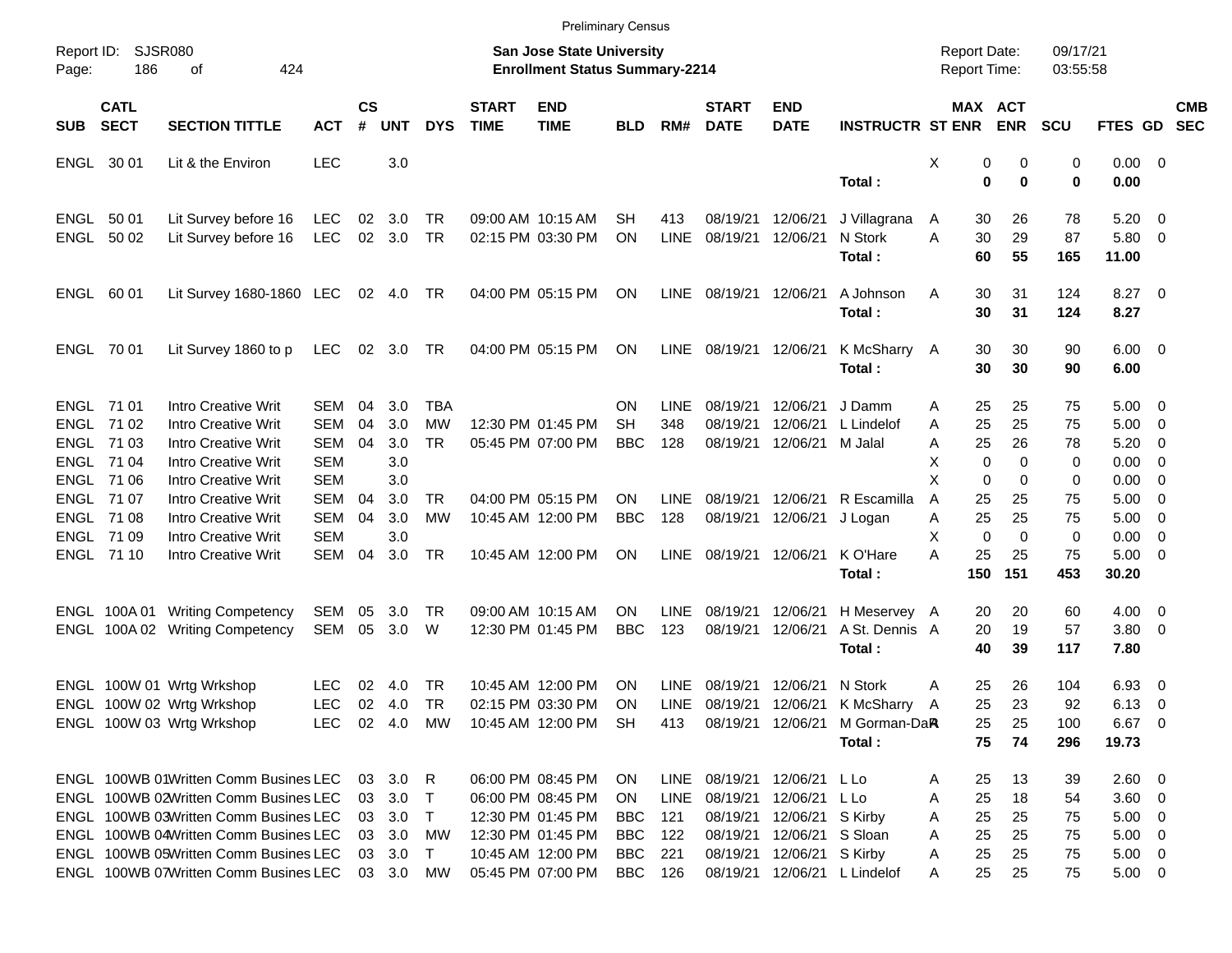|                     |                            |                                       |            |                    |             |            |                             | <b>Preliminary Census</b>                                                 |            |             |                             |                           |                         |                                            |                         |                      |                        |                         |                          |
|---------------------|----------------------------|---------------------------------------|------------|--------------------|-------------|------------|-----------------------------|---------------------------------------------------------------------------|------------|-------------|-----------------------------|---------------------------|-------------------------|--------------------------------------------|-------------------------|----------------------|------------------------|-------------------------|--------------------------|
| Report ID:<br>Page: | <b>SJSR080</b><br>186      | of<br>424                             |            |                    |             |            |                             | <b>San Jose State University</b><br><b>Enrollment Status Summary-2214</b> |            |             |                             |                           |                         | <b>Report Date:</b><br><b>Report Time:</b> |                         | 09/17/21<br>03:55:58 |                        |                         |                          |
| <b>SUB</b>          | <b>CATL</b><br><b>SECT</b> | <b>SECTION TITTLE</b>                 | <b>ACT</b> | $\mathsf{cs}$<br># | <b>UNT</b>  | <b>DYS</b> | <b>START</b><br><b>TIME</b> | <b>END</b><br><b>TIME</b>                                                 | <b>BLD</b> | RM#         | <b>START</b><br><b>DATE</b> | <b>END</b><br><b>DATE</b> | <b>INSTRUCTR ST ENR</b> |                                            | MAX ACT<br><b>ENR</b>   | <b>SCU</b>           | FTES GD                |                         | <b>CMB</b><br><b>SEC</b> |
|                     | ENGL 30 01                 | Lit & the Environ                     | <b>LEC</b> |                    | 3.0         |            |                             |                                                                           |            |             |                             |                           | Total:                  | X                                          | 0<br>0<br>0<br>$\bf{0}$ | 0<br>$\mathbf 0$     | $0.00 \t 0$<br>0.00    |                         |                          |
|                     | ENGL 50 01                 | Lit Survey before 16                  | LEC        | 02                 | 3.0         | TR         |                             | 09:00 AM 10:15 AM                                                         | SН         | 413         | 08/19/21                    | 12/06/21                  | J Villagrana            | A                                          | 26<br>30                | 78                   | 5.20                   | $\overline{0}$          |                          |
|                     | ENGL 50 02                 | Lit Survey before 16                  | LEC        |                    | 02 3.0      | <b>TR</b>  |                             | 02:15 PM 03:30 PM                                                         | <b>ON</b>  | <b>LINE</b> | 08/19/21 12/06/21           |                           | N Stork<br>Total:       | Α                                          | 30<br>29<br>60<br>55    | 87<br>165            | 5.80<br>11.00          | $\overline{\mathbf{0}}$ |                          |
|                     | ENGL 60 01                 | Lit Survey 1680-1860 LEC              |            |                    | 02 4.0      | TR         |                             | 04:00 PM 05:15 PM                                                         | ON         | LINE        | 08/19/21 12/06/21           |                           | A Johnson<br>Total:     | A                                          | 31<br>30<br>30<br>31    | 124<br>124           | $8.27$ 0<br>8.27       |                         |                          |
|                     | ENGL 70 01                 | Lit Survey 1860 to p                  | LEC        |                    | 02 3.0      | TR         |                             | 04:00 PM 05:15 PM                                                         | ON         | LINE        | 08/19/21 12/06/21           |                           | K McSharry A<br>Total:  |                                            | 30<br>30<br>30<br>30    | 90<br>90             | $6.00 \quad 0$<br>6.00 |                         |                          |
|                     | ENGL 71 01                 | Intro Creative Writ                   | SEM        | 04                 | 3.0         | <b>TBA</b> |                             |                                                                           | ON         | LINE        | 08/19/21                    | 12/06/21                  | J Damm                  | A                                          | 25<br>25                | 75                   | 5.00                   | $\overline{\mathbf{0}}$ |                          |
|                     | ENGL 7102                  | <b>Intro Creative Writ</b>            | <b>SEM</b> | 04                 | 3.0         | <b>MW</b>  |                             | 12:30 PM 01:45 PM                                                         | SН         | 348         | 08/19/21                    | 12/06/21                  | L Lindelof              | A                                          | 25<br>25                | 75                   | 5.00                   | 0                       |                          |
|                     | ENGL 71 03                 | <b>Intro Creative Writ</b>            | <b>SEM</b> | 04                 | 3.0         | <b>TR</b>  |                             | 05:45 PM 07:00 PM                                                         | <b>BBC</b> | 128         | 08/19/21 12/06/21           |                           | M Jalal                 | A                                          | 25<br>26                | 78                   | 5.20                   | 0                       |                          |
|                     | ENGL 7104                  | <b>Intro Creative Writ</b>            | <b>SEM</b> |                    | 3.0         |            |                             |                                                                           |            |             |                             |                           |                         | X                                          | $\Omega$<br>$\Omega$    | 0                    | 0.00                   | 0                       |                          |
|                     | ENGL 71 06                 | <b>Intro Creative Writ</b>            | <b>SEM</b> |                    | 3.0         |            |                             |                                                                           |            |             |                             |                           |                         | X                                          | $\Omega$<br>0           | 0                    | 0.00                   | 0                       |                          |
|                     | ENGL 7107                  | <b>Intro Creative Writ</b>            | <b>SEM</b> | 04                 | 3.0         | TR         |                             | 04:00 PM 05:15 PM                                                         | ΟN         | <b>LINE</b> | 08/19/21                    | 12/06/21                  | R Escamilla             | A                                          | 25<br>25                | 75                   | 5.00                   | $\overline{0}$          |                          |
|                     | ENGL 71 08                 | <b>Intro Creative Writ</b>            | <b>SEM</b> | 04                 | 3.0         | <b>MW</b>  |                             | 10:45 AM 12:00 PM                                                         | <b>BBC</b> | 128         | 08/19/21 12/06/21           |                           | J Logan                 | A                                          | 25<br>25                | 75                   | 5.00                   | 0                       |                          |
|                     | ENGL 71 09                 | <b>Intro Creative Writ</b>            | <b>SEM</b> |                    | 3.0         |            |                             |                                                                           |            |             |                             |                           |                         | X                                          | $\mathbf 0$<br>$\Omega$ | $\mathbf 0$          | 0.00                   | 0                       |                          |
|                     | ENGL 71 10                 | <b>Intro Creative Writ</b>            | <b>SEM</b> | 04                 | 3.0         | <b>TR</b>  |                             | 10:45 AM 12:00 PM                                                         | ON         | LINE        | 08/19/21 12/06/21           |                           | K O'Hare<br>Total:      | А<br>150                                   | 25<br>25<br>151         | 75<br>453            | 5.00<br>30.20          | - 0                     |                          |
|                     | ENGL 100A01                | <b>Writing Competency</b>             | SEM        | 05                 | 3.0         | TR         |                             | 09:00 AM 10:15 AM                                                         | ON         | <b>LINE</b> | 08/19/21                    | 12/06/21                  | H Meservey A            |                                            | 20<br>20                | 60                   | 4.00                   | $\overline{\mathbf{0}}$ |                          |
|                     |                            | ENGL 100A 02 Writing Competency       | SEM        | 05                 | 3.0         | W          |                             | 12:30 PM 01:45 PM                                                         | <b>BBC</b> | 123         | 08/19/21                    | 12/06/21                  | A St. Dennis A          |                                            | 20<br>19                | 57                   | $3.80\ 0$              |                         |                          |
|                     |                            |                                       |            |                    |             |            |                             |                                                                           |            |             |                             |                           | Total:                  |                                            | 40<br>39                | 117                  | 7.80                   |                         |                          |
|                     |                            | ENGL 100W 01 Wrtg Wrkshop             | <b>LEC</b> | 02                 | 4.0         | TR         |                             | 10:45 AM 12:00 PM                                                         | ON         | LINE        | 08/19/21                    | 12/06/21                  | N Stork                 | Α                                          | 25<br>26                | 104                  | 6.93                   | - 0                     |                          |
|                     |                            | ENGL 100W 02 Wrtg Wrkshop             | <b>LEC</b> |                    | 02 4.0      | TR         |                             | 02:15 PM 03:30 PM                                                         | ON         | LINE        | 08/19/21                    | 12/06/21                  | K McSharry              | A                                          | 25<br>23                | 92                   | 6.13                   | $\overline{0}$          |                          |
|                     |                            | ENGL 100W 03 Wrtg Wrkshop             | LEC.       |                    | 02  4.0  MW |            |                             | 10:45 AM 12:00 PM SH                                                      |            | 413         | 08/19/21 12/06/21           |                           | M Gorman-DaR            |                                            | 25<br>25                | 100                  | 6.67 0                 |                         |                          |
|                     |                            |                                       |            |                    |             |            |                             |                                                                           |            |             |                             |                           | Total:                  |                                            | 75<br>74                | 296                  | 19.73                  |                         |                          |
|                     |                            | ENGL 100WB 01Written Comm Busines LEC |            |                    | 03 3.0      | R          |                             | 06:00 PM 08:45 PM                                                         | <b>ON</b>  | LINE        | 08/19/21 12/06/21           |                           | L Lo                    | A                                          | 25<br>13                | 39                   | $2.60 \t 0$            |                         |                          |
|                     |                            | ENGL 100WB 02Written Comm Busines LEC |            |                    | 03 3.0      | $\top$     |                             | 06:00 PM 08:45 PM                                                         | ON         | <b>LINE</b> | 08/19/21 12/06/21           |                           | L Lo                    | A                                          | 18<br>25                | 54                   | $3.60 \ 0$             |                         |                          |
|                     |                            | ENGL 100WB 03Written Comm Busines LEC |            |                    | 03 3.0      | $\top$     |                             | 12:30 PM 01:45 PM                                                         | <b>BBC</b> | 121         |                             | 08/19/21 12/06/21         | S Kirby                 | Α                                          | 25<br>25                | 75                   | $5.00 \t 0$            |                         |                          |
|                     |                            | ENGL 100WB 04Written Comm Busines LEC |            |                    | 03 3.0      | MW         |                             | 12:30 PM 01:45 PM                                                         | <b>BBC</b> | 122         |                             | 08/19/21 12/06/21         | S Sloan                 | Α                                          | 25<br>25                | 75                   | 5.00                   | $\overline{\mathbf{0}}$ |                          |
|                     |                            | ENGL 100WB 05Written Comm Busines LEC |            |                    | 03 3.0      | $\top$     |                             | 10:45 AM 12:00 PM                                                         | <b>BBC</b> | 221         |                             | 08/19/21 12/06/21         | S Kirby                 | Α                                          | 25<br>25                | 75                   | $5.00 \t 0$            |                         |                          |
|                     |                            | ENGL 100WB 07Written Comm Busines LEC |            |                    | 03 3.0      | MW         |                             | 05:45 PM 07:00 PM                                                         | <b>BBC</b> | 126         |                             | 08/19/21 12/06/21         | L Lindelof              | A                                          | 25<br>25                | 75                   | $5.00 \t 0$            |                         |                          |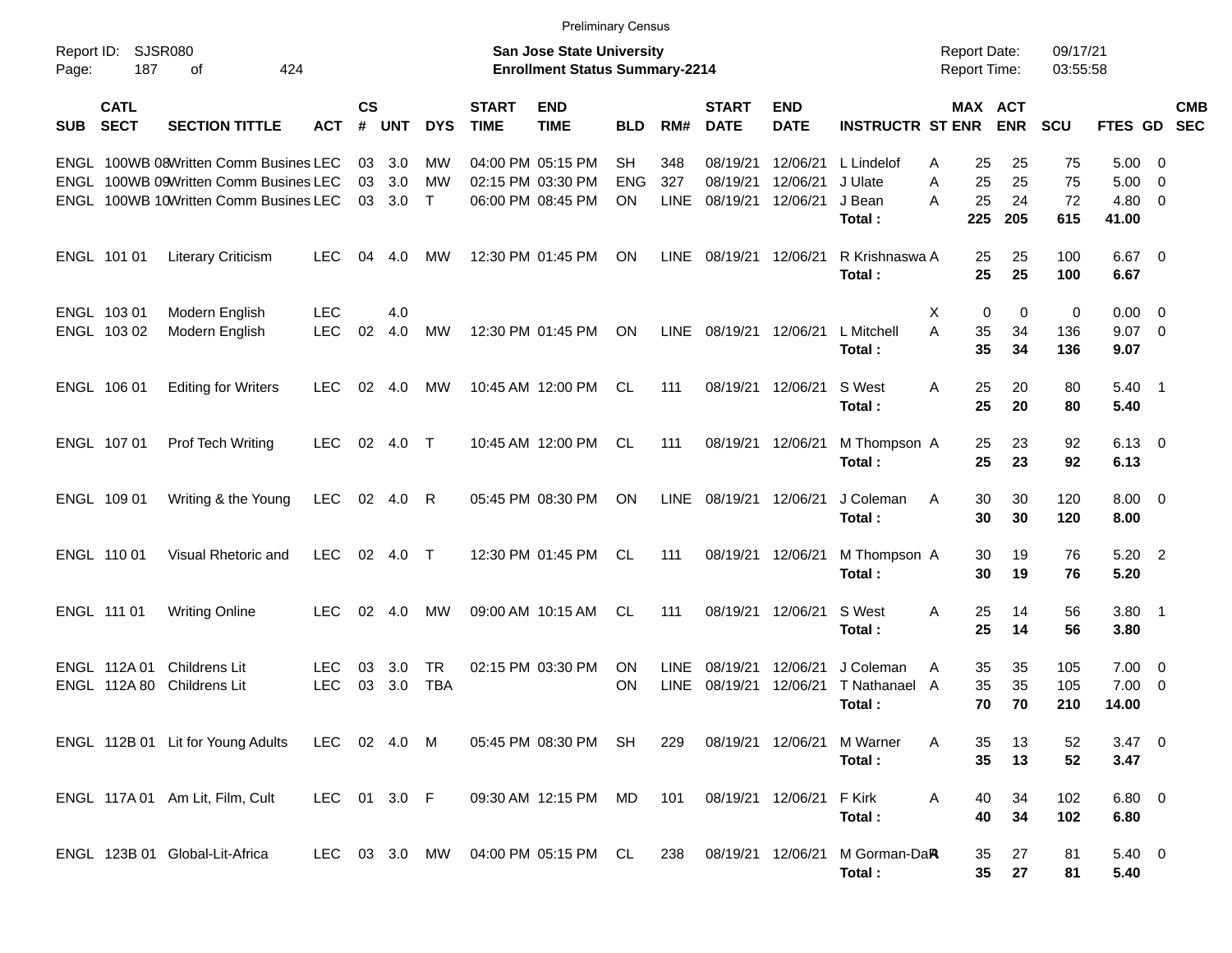|                     |                              |                                                                                                                    |                          |                    |                   |                           |                             | <b>Preliminary Census</b>                                                 |                                |                            |                                  |                                  |                                           |                                            |                       |                       |                               |                                |                          |
|---------------------|------------------------------|--------------------------------------------------------------------------------------------------------------------|--------------------------|--------------------|-------------------|---------------------------|-----------------------------|---------------------------------------------------------------------------|--------------------------------|----------------------------|----------------------------------|----------------------------------|-------------------------------------------|--------------------------------------------|-----------------------|-----------------------|-------------------------------|--------------------------------|--------------------------|
| Report ID:<br>Page: | 187                          | <b>SJSR080</b><br>424<br>οf                                                                                        |                          |                    |                   |                           |                             | <b>San Jose State University</b><br><b>Enrollment Status Summary-2214</b> |                                |                            |                                  |                                  |                                           | <b>Report Date:</b><br><b>Report Time:</b> |                       | 09/17/21<br>03:55:58  |                               |                                |                          |
| <b>SUB</b>          | <b>CATL</b><br><b>SECT</b>   | <b>SECTION TITTLE</b>                                                                                              | <b>ACT</b>               | $\mathsf{cs}$<br># | <b>UNT</b>        | <b>DYS</b>                | <b>START</b><br><b>TIME</b> | <b>END</b><br><b>TIME</b>                                                 | <b>BLD</b>                     | RM#                        | <b>START</b><br><b>DATE</b>      | <b>END</b><br><b>DATE</b>        | <b>INSTRUCTR ST ENR</b>                   |                                            | MAX ACT<br><b>ENR</b> | <b>SCU</b>            | FTES GD                       |                                | <b>CMB</b><br><b>SEC</b> |
| ENGL                |                              | ENGL 100WB 08Written Comm Busines LEC<br>100WB 09Written Comm Busines LEC<br>ENGL 100WB 10Written Comm Busines LEC |                          | 03<br>03<br>03     | 3.0<br>3.0<br>3.0 | МW<br><b>MW</b><br>$\top$ |                             | 04:00 PM 05:15 PM<br>02:15 PM 03:30 PM<br>06:00 PM 08:45 PM               | <b>SH</b><br><b>ENG</b><br>ON. | 348<br>327<br><b>LINE</b>  | 08/19/21<br>08/19/21<br>08/19/21 | 12/06/21<br>12/06/21<br>12/06/21 | L Lindelof<br>J Ulate<br>J Bean<br>Total: | 25<br>Α<br>25<br>A<br>25<br>A<br>225       | 25<br>25<br>24<br>205 | 75<br>75<br>72<br>615 | 5.00<br>5.00<br>4.80<br>41.00 | - 0<br>0<br>0                  |                          |
|                     | ENGL 101 01                  | <b>Literary Criticism</b>                                                                                          | <b>LEC</b>               | 04                 | 4.0               | МW                        |                             | 12:30 PM 01:45 PM                                                         | <b>ON</b>                      | <b>LINE</b>                | 08/19/21 12/06/21                |                                  | R Krishnaswa A<br>Total:                  | 25<br>25                                   | 25<br>25              | 100<br>100            | $6.67$ 0<br>6.67              |                                |                          |
|                     | ENGL 103 01<br>ENGL 103 02   | Modern English<br>Modern English                                                                                   | <b>LEC</b><br><b>LEC</b> | 02                 | 4.0<br>4.0        | <b>MW</b>                 |                             | 12:30 PM 01:45 PM                                                         | <b>ON</b>                      | <b>LINE</b>                | 08/19/21 12/06/21                |                                  | L Mitchell<br>Total:                      | Χ<br>A<br>35<br>35                         | 0<br>0<br>34<br>34    | 0<br>136<br>136       | 0.00<br>9.07<br>9.07          | - 0<br>$\overline{\mathbf{0}}$ |                          |
|                     | ENGL 106 01                  | <b>Editing for Writers</b>                                                                                         | <b>LEC</b>               | 02                 | 4.0               | МW                        |                             | 10:45 AM 12:00 PM                                                         | CL.                            | 111                        | 08/19/21 12/06/21                |                                  | S West<br>Total:                          | A<br>25<br>25                              | 20<br>20              | 80<br>80              | $5.40$ 1<br>5.40              |                                |                          |
|                     | ENGL 107 01                  | Prof Tech Writing                                                                                                  | <b>LEC</b>               | 02                 | 4.0               | $\top$                    |                             | 10:45 AM 12:00 PM                                                         | CL.                            | 111                        | 08/19/21 12/06/21                |                                  | M Thompson A<br>Total:                    | 25<br>25                                   | 23<br>23              | 92<br>92              | $6.13 \quad 0$<br>6.13        |                                |                          |
|                     | ENGL 109 01                  | Writing & the Young                                                                                                | <b>LEC</b>               | 02                 | 4.0               | R                         |                             | 05:45 PM 08:30 PM                                                         | <b>ON</b>                      | <b>LINE</b>                | 08/19/21 12/06/21                |                                  | J Coleman<br>Total:                       | 30<br>A<br>30                              | 30<br>30              | 120<br>120            | $8.00 \t 0$<br>8.00           |                                |                          |
|                     | ENGL 110 01                  | Visual Rhetoric and                                                                                                | <b>LEC</b>               | 02                 | 4.0               | $\top$                    |                             | 12:30 PM 01:45 PM                                                         | CL.                            | 111                        | 08/19/21 12/06/21                |                                  | M Thompson A<br>Total:                    | 30<br>30                                   | 19<br>19              | 76<br>76              | 5.20<br>5.20                  | $\overline{\phantom{0}}^2$     |                          |
|                     | ENGL 111 01                  | <b>Writing Online</b>                                                                                              | <b>LEC</b>               | 02                 | 4.0               | МW                        |                             | 09:00 AM 10:15 AM                                                         | <b>CL</b>                      | 111                        | 08/19/21 12/06/21                |                                  | S West<br>Total:                          | Α<br>25<br>25                              | 14<br>14              | 56<br>56              | $3.80$ 1<br>3.80              |                                |                          |
|                     | ENGL 112A 01<br>ENGL 112A 80 | Childrens Lit<br><b>Childrens Lit</b>                                                                              | <b>LEC</b><br><b>LEC</b> | 03<br>03           | 3.0<br>3.0        | TR<br><b>TBA</b>          |                             | 02:15 PM 03:30 PM                                                         | <b>ON</b><br>ON                | <b>LINE</b><br><b>LINE</b> | 08/19/21<br>08/19/21             | 12/06/21<br>12/06/21             | J Coleman<br>T Nathanael<br>Total:        | 35<br>A<br>35<br>A<br>70                   | 35<br>35<br>70        | 105<br>105<br>210     | 7.00<br>7.00<br>14.00         | $\overline{\mathbf{0}}$<br>0   |                          |
|                     |                              | ENGL 112B 01 Lit for Young Adults                                                                                  | LEC 02 4.0 M             |                    |                   |                           |                             | 05:45 PM 08:30 PM                                                         | SH                             | 229                        | 08/19/21 12/06/21                |                                  | M Warner<br>Total:                        | A<br>35<br>35                              | 13<br>13              | 52<br>52              | $3.47 \quad 0$<br>3.47        |                                |                          |
|                     |                              | ENGL 117A 01 Am Lit, Film, Cult                                                                                    | LEC 01 3.0 F             |                    |                   |                           |                             | 09:30 AM 12:15 PM                                                         | MD                             | 101                        | 08/19/21 12/06/21                |                                  | F Kirk<br>Total:                          | Α<br>40<br>40                              | 34<br>34              | 102<br>102            | 6.80 0<br>6.80                |                                |                          |
|                     |                              | ENGL 123B 01 Global-Lit-Africa                                                                                     | LEC.                     |                    | 03 3.0 MW         |                           |                             | 04:00 PM 05:15 PM CL                                                      |                                | 238                        | 08/19/21 12/06/21                |                                  | M Gorman-DaR<br>Total:                    | 35<br>35 <sub>5</sub>                      | 27<br>27              | 81<br>81              | $5.40 \ 0$<br>5.40            |                                |                          |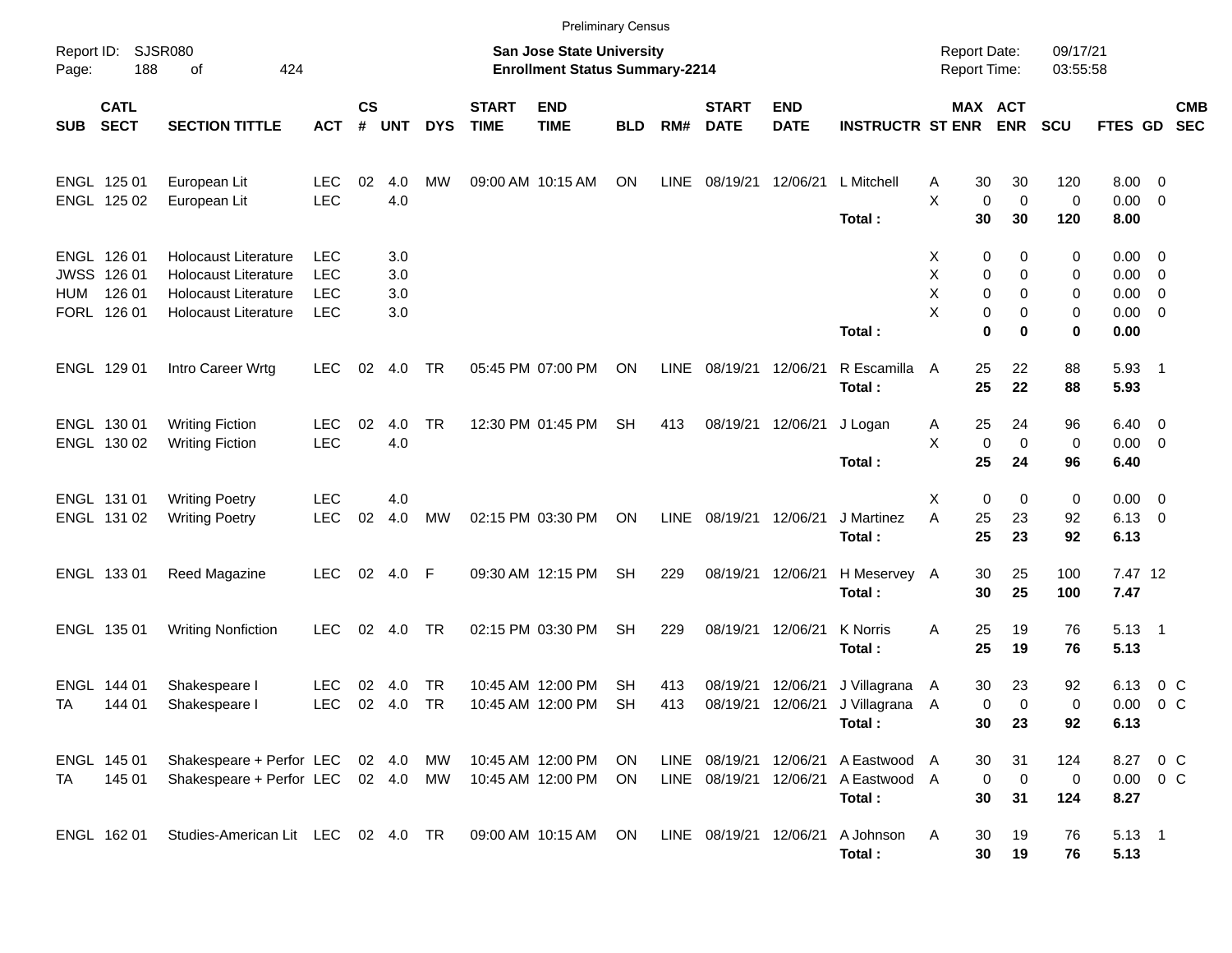|            |                                                     |                                                                                                                   |                                                      |                    |                          |                        |                             | <b>Preliminary Census</b>                                          |                 |             |                             |                           |                                                               |                                     |                                                                  |                       |                                                                  |                           |  |
|------------|-----------------------------------------------------|-------------------------------------------------------------------------------------------------------------------|------------------------------------------------------|--------------------|--------------------------|------------------------|-----------------------------|--------------------------------------------------------------------|-----------------|-------------|-----------------------------|---------------------------|---------------------------------------------------------------|-------------------------------------|------------------------------------------------------------------|-----------------------|------------------------------------------------------------------|---------------------------|--|
| Page:      | Report ID: SJSR080<br>188                           | 424<br>of                                                                                                         |                                                      |                    |                          |                        |                             | San Jose State University<br><b>Enrollment Status Summary-2214</b> |                 |             |                             |                           |                                                               | <b>Report Date:</b><br>Report Time: |                                                                  | 09/17/21<br>03:55:58  |                                                                  |                           |  |
| <b>SUB</b> | <b>CATL</b><br><b>SECT</b>                          | <b>SECTION TITTLE</b>                                                                                             | <b>ACT</b>                                           | $\mathsf{cs}$<br># | <b>UNT</b>               | <b>DYS</b>             | <b>START</b><br><b>TIME</b> | <b>END</b><br><b>TIME</b>                                          | <b>BLD</b>      | RM#         | <b>START</b><br><b>DATE</b> | <b>END</b><br><b>DATE</b> | <b>INSTRUCTR ST ENR</b>                                       |                                     | MAX ACT<br><b>ENR</b>                                            | <b>SCU</b>            | FTES GD                                                          | <b>CMB</b><br><b>SEC</b>  |  |
|            | ENGL 125 01<br>ENGL 125 02                          | European Lit<br>European Lit                                                                                      | <b>LEC</b><br><b>LEC</b>                             | 02                 | 4.0<br>4.0               | МW                     |                             | 09:00 AM 10:15 AM                                                  | ON              | <b>LINE</b> | 08/19/21                    | 12/06/21                  | L Mitchell<br>Total:                                          | 30<br>A<br>X<br>30                  | 30<br>$\mathbf 0$<br>$\mathbf 0$<br>30                           | 120<br>0<br>120       | $8.00 \t 0$<br>$0.00 \t 0$<br>8.00                               |                           |  |
| HUM        | ENGL 126 01<br>JWSS 126 01<br>126 01<br>FORL 126 01 | <b>Holocaust Literature</b><br><b>Holocaust Literature</b><br><b>Holocaust Literature</b><br>Holocaust Literature | <b>LEC</b><br><b>LEC</b><br><b>LEC</b><br><b>LEC</b> |                    | 3.0<br>3.0<br>3.0<br>3.0 |                        |                             |                                                                    |                 |             |                             |                           | Total:                                                        | X<br>X<br>X<br>X                    | 0<br>0<br>0<br>0<br>0<br>0<br>0<br>0<br>$\mathbf{0}$<br>$\bf{0}$ | 0<br>0<br>0<br>0<br>0 | $0.00 \t 0$<br>$0.00 \t 0$<br>$0.00 \t 0$<br>$0.00 \t 0$<br>0.00 |                           |  |
|            | ENGL 129 01                                         | Intro Career Wrtg                                                                                                 | <b>LEC</b>                                           | 02                 | 4.0                      | TR                     |                             | 05:45 PM 07:00 PM                                                  | ON              | <b>LINE</b> | 08/19/21                    | 12/06/21                  | R Escamilla<br>Total:                                         | 25<br>A<br>25                       | 22<br>22                                                         | 88<br>88              | $5.93$ 1<br>5.93                                                 |                           |  |
|            | ENGL 130 01<br>ENGL 130 02                          | <b>Writing Fiction</b><br><b>Writing Fiction</b>                                                                  | <b>LEC</b><br><b>LEC</b>                             | 02                 | 4.0<br>4.0               | <b>TR</b>              |                             | 12:30 PM 01:45 PM                                                  | <b>SH</b>       | 413         | 08/19/21                    | 12/06/21                  | J Logan<br>Total:                                             | 25<br>A<br>X<br>25                  | 24<br>$\mathbf 0$<br>$\mathbf 0$<br>24                           | 96<br>0<br>96         | $6.40 \quad 0$<br>$0.00 \t 0$<br>6.40                            |                           |  |
|            | ENGL 131 01<br>ENGL 131 02                          | <b>Writing Poetry</b><br><b>Writing Poetry</b>                                                                    | <b>LEC</b><br><b>LEC</b>                             | 02                 | 4.0<br>4.0               | MW                     |                             | 02:15 PM 03:30 PM                                                  | ON              | LINE        | 08/19/21                    | 12/06/21                  | J Martinez<br>Total:                                          | X<br>A<br>25<br>25                  | 0<br>0<br>23<br>23                                               | 0<br>92<br>92         | $0.00 \t 0$<br>$6.13 \quad 0$<br>6.13                            |                           |  |
|            | ENGL 133 01                                         | Reed Magazine                                                                                                     | <b>LEC</b>                                           |                    | 02 4.0 F                 |                        |                             | 09:30 AM 12:15 PM                                                  | <b>SH</b>       | 229         | 08/19/21                    | 12/06/21                  | H Meservey A<br>Total:                                        | 30<br>30                            | 25<br>25                                                         | 100<br>100            | 7.47 12<br>7.47                                                  |                           |  |
|            | ENGL 135 01                                         | <b>Writing Nonfiction</b>                                                                                         | <b>LEC</b>                                           | 02                 | 4.0                      | <b>TR</b>              |                             | 02:15 PM 03:30 PM                                                  | <b>SH</b>       | 229         | 08/19/21                    | 12/06/21                  | <b>K</b> Norris<br>Total:                                     | 25<br>A<br>25                       | 19<br>19                                                         | 76<br>76              | $5.13 \quad 1$<br>5.13                                           |                           |  |
| TA         | ENGL 144 01<br>144 01                               | Shakespeare I<br>Shakespeare I                                                                                    | LEC<br><b>LEC</b>                                    | 02<br>02           | 4.0<br>4.0               | <b>TR</b><br><b>TR</b> |                             | 10:45 AM 12:00 PM<br>10:45 AM 12:00 PM                             | SН<br><b>SH</b> | 413<br>413  | 08/19/21<br>08/19/21        | 12/06/21<br>12/06/21      | J Villagrana<br>J Villagrana A<br>Total:                      | 30<br>- A                           | 23<br>0<br>$\mathbf 0$<br>30 23                                  | 92<br>0<br>92         | 6.13<br>0.00<br>6.13                                             | $0\,$ C<br>0 <sup>o</sup> |  |
| TA         | ENGL 145 01<br>145 01                               | Shakespeare + Perfor LEC 02 4.0<br>Shakespeare + Perfor LEC 02 4.0 MW                                             |                                                      |                    |                          | MW                     |                             | 10:45 AM 12:00 PM<br>10:45 AM 12:00 PM                             | ON<br>ON        |             | LINE 08/19/21               | 12/06/21                  | LINE 08/19/21 12/06/21 A Eastwood A<br>A Eastwood A<br>Total: | 30<br>30                            | 31<br>$\overline{\mathbf{0}}$<br>$\mathbf 0$<br>31               | 124<br>0<br>124       | 8.27                                                             | 8.27 0 C<br>$0.00 \t 0 C$ |  |
|            | ENGL 162 01                                         | Studies-American Lit LEC 02 4.0 TR                                                                                |                                                      |                    |                          |                        |                             | 09:00 AM 10:15 AM ON                                               |                 |             | LINE 08/19/21 12/06/21      |                           | A Johnson<br>Total:                                           | 30<br>A<br>30                       | 19<br>19                                                         | 76<br>76              | $5.13 \quad 1$<br>5.13                                           |                           |  |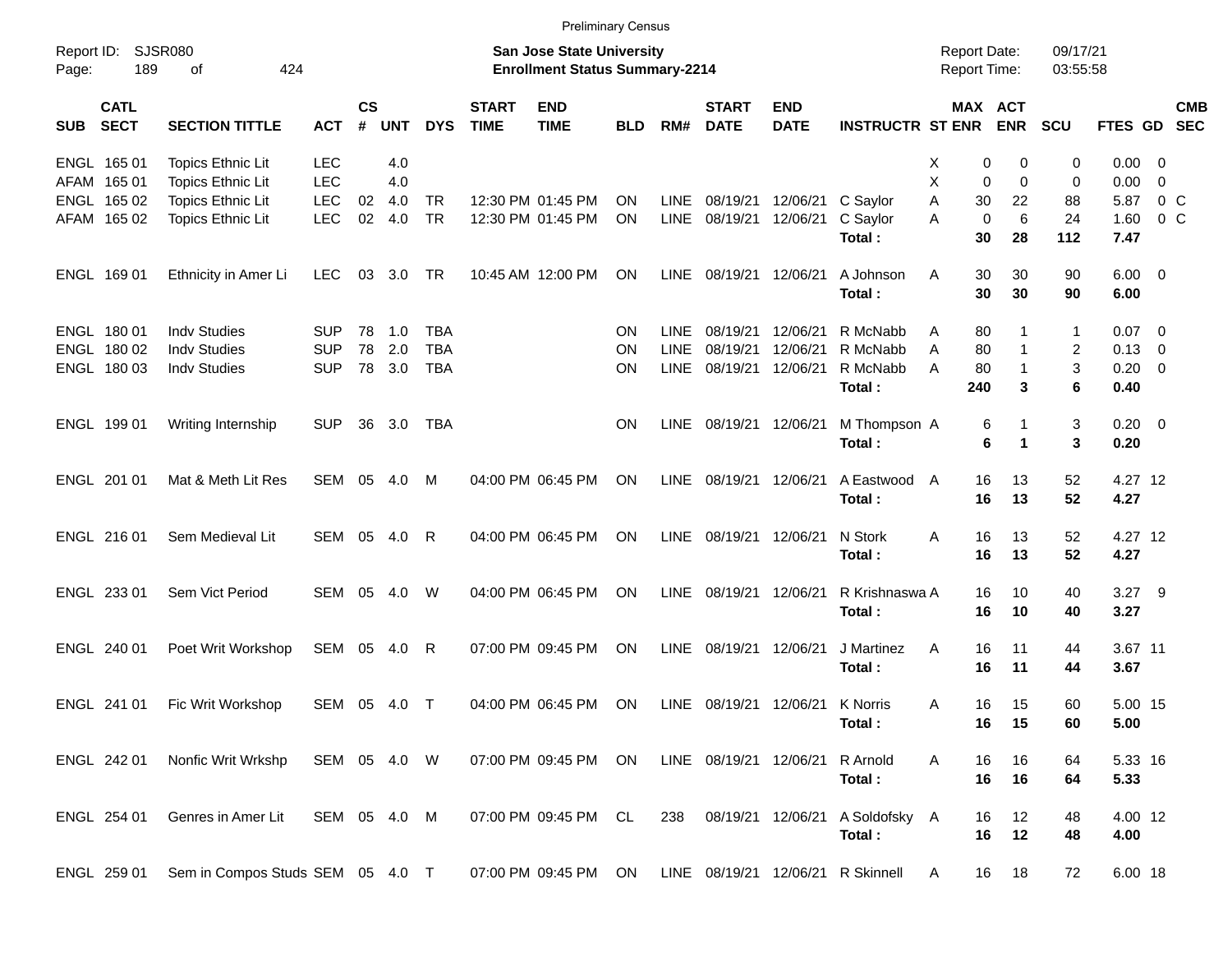|                     |                            |                                  |              |                    |            |            |                             |                                                                           | <b>Preliminary Census</b> |             |                             |                           |                                   |                                     |                       |                      |                        |                |            |
|---------------------|----------------------------|----------------------------------|--------------|--------------------|------------|------------|-----------------------------|---------------------------------------------------------------------------|---------------------------|-------------|-----------------------------|---------------------------|-----------------------------------|-------------------------------------|-----------------------|----------------------|------------------------|----------------|------------|
| Report ID:<br>Page: | 189                        | <b>SJSR080</b><br>424<br>of      |              |                    |            |            |                             | <b>San Jose State University</b><br><b>Enrollment Status Summary-2214</b> |                           |             |                             |                           |                                   | <b>Report Date:</b><br>Report Time: |                       | 09/17/21<br>03:55:58 |                        |                |            |
| <b>SUB</b>          | <b>CATL</b><br><b>SECT</b> | <b>SECTION TITTLE</b>            | <b>ACT</b>   | $\mathsf{cs}$<br># | <b>UNT</b> | <b>DYS</b> | <b>START</b><br><b>TIME</b> | <b>END</b><br><b>TIME</b>                                                 | <b>BLD</b>                | RM#         | <b>START</b><br><b>DATE</b> | <b>END</b><br><b>DATE</b> | <b>INSTRUCTR ST ENR</b>           |                                     | MAX ACT<br><b>ENR</b> | <b>SCU</b>           | FTES GD SEC            |                | <b>CMB</b> |
|                     | ENGL 165 01                | <b>Topics Ethnic Lit</b>         | <b>LEC</b>   |                    | 4.0        |            |                             |                                                                           |                           |             |                             |                           |                                   | 0<br>х                              | 0                     | 0                    | $0.00 \t 0$            |                |            |
|                     | AFAM 165 01                | <b>Topics Ethnic Lit</b>         | <b>LEC</b>   |                    | 4.0        |            |                             |                                                                           |                           |             |                             |                           |                                   | X<br>$\mathbf 0$                    | $\mathbf 0$           | 0                    | 0.00                   | $\overline{0}$ |            |
|                     | ENGL 165 02                | <b>Topics Ethnic Lit</b>         | <b>LEC</b>   | 02                 | 4.0        | <b>TR</b>  |                             | 12:30 PM 01:45 PM                                                         | ΟN                        | <b>LINE</b> | 08/19/21                    | 12/06/21                  | C Saylor                          | 30<br>Α                             | 22                    | 88                   | 5.87                   | $0\,$ C        |            |
|                     | AFAM 165 02                | <b>Topics Ethnic Lit</b>         | <b>LEC</b>   | 02                 | 4.0        | <b>TR</b>  |                             | 12:30 PM 01:45 PM                                                         | <b>ON</b>                 | <b>LINE</b> | 08/19/21                    | 12/06/21                  | C Saylor<br>Total:                | $\Omega$<br>A<br>30                 | 6<br>28               | 24<br>112            | 1.60<br>7.47           | 0 <sup>o</sup> |            |
|                     | ENGL 169 01                | Ethnicity in Amer Li             | <b>LEC</b>   | 03                 | 3.0        | TR         |                             | 10:45 AM 12:00 PM                                                         | ON                        | <b>LINE</b> | 08/19/21                    | 12/06/21                  | A Johnson<br>Total:               | 30<br>Α<br>30                       | 30<br>30              | 90<br>90             | $6.00 \quad 0$<br>6.00 |                |            |
|                     | ENGL 180 01                | <b>Indv Studies</b>              | <b>SUP</b>   | 78                 | 1.0        | TBA        |                             |                                                                           | ΟN                        | <b>LINE</b> | 08/19/21                    | 12/06/21                  | R McNabb                          | 80<br>Α                             |                       | 1                    | $0.07$ 0               |                |            |
|                     | ENGL 180 02                | <b>Indv Studies</b>              | <b>SUP</b>   | 78                 | 2.0        | <b>TBA</b> |                             |                                                                           | ΟN                        | <b>LINE</b> | 08/19/21                    | 12/06/21                  | R McNabb                          | 80<br>A                             | $\mathbf 1$           | 2                    | $0.13 \quad 0$         |                |            |
|                     | ENGL 180 03                | <b>Indv Studies</b>              | <b>SUP</b>   |                    | 78 3.0     | <b>TBA</b> |                             |                                                                           | ΟN                        | <b>LINE</b> | 08/19/21                    | 12/06/21                  | R McNabb                          | Α<br>80                             | $\mathbf 1$           | 3                    | $0.20 \ 0$             |                |            |
|                     |                            |                                  |              |                    |            |            |                             |                                                                           |                           |             |                             |                           | Total:                            | 240                                 | 3                     | 6                    | 0.40                   |                |            |
|                     | ENGL 199 01                | Writing Internship               | <b>SUP</b>   | 36                 | 3.0        | TBA        |                             |                                                                           | ΟN                        | <b>LINE</b> | 08/19/21                    | 12/06/21                  | M Thompson A<br>Total:            | 6<br>6                              |                       | 3<br>3               | $0.20 \ 0$<br>0.20     |                |            |
|                     | ENGL 201 01                | Mat & Meth Lit Res               | SEM          | 05                 | 4.0        | M          |                             | 04:00 PM 06:45 PM                                                         | ΟN                        | LINE        | 08/19/21                    | 12/06/21                  | A Eastwood<br>Total:              | 16<br>A<br>16                       | 13<br>13              | 52<br>52             | 4.27 12<br>4.27        |                |            |
|                     | ENGL 216 01                | Sem Medieval Lit                 | SEM          | 05                 | 4.0        | R          |                             | 04:00 PM 06:45 PM                                                         | ΟN                        | LINE        | 08/19/21                    | 12/06/21                  | N Stork<br>Total:                 | Α<br>16<br>16                       | 13<br>13              | 52<br>52             | 4.27 12<br>4.27        |                |            |
|                     | ENGL 233 01                | Sem Vict Period                  | SEM          | 05                 | 4.0        | W          |                             | 04:00 PM 06:45 PM                                                         | ΟN                        | <b>LINE</b> | 08/19/21                    | 12/06/21                  | R Krishnaswa A<br>Total:          | 16<br>16                            | 10<br>10              | 40<br>40             | 3.27 9<br>3.27         |                |            |
|                     | ENGL 240 01                | Poet Writ Workshop               | SEM          | 05                 | 4.0        | R          |                             | 07:00 PM 09:45 PM                                                         | ΟN                        | <b>LINE</b> | 08/19/21                    | 12/06/21                  | J Martinez<br>Total:              | Α<br>16<br>16                       | 11<br>11              | 44<br>44             | 3.67 11<br>3.67        |                |            |
|                     | ENGL 241 01                | Fic Writ Workshop                | SEM 05       |                    | - 4.0      | $\top$     |                             | 04:00 PM 06:45 PM                                                         | ON                        | LINE        | 08/19/21                    | 12/06/21 K Norris         | Total:                            | 16<br>Α<br>16                       | 15<br>$-15$           | 60<br>60             | 5.00 15<br>5.00        |                |            |
|                     | ENGL 242 01                | Nonfic Writ Wrkshp               | SEM 05 4.0 W |                    |            |            |                             | 07:00 PM 09:45 PM                                                         | ON                        |             | LINE 08/19/21 12/06/21      |                           | R Arnold<br>Total:                | 16<br>Α<br>16                       | 16<br>16              | 64<br>64             | 5.33 16<br>5.33        |                |            |
|                     | ENGL 254 01                | Genres in Amer Lit               | SEM 05 4.0 M |                    |            |            |                             | 07:00 PM 09:45 PM                                                         | CL.                       | 238         |                             | 08/19/21 12/06/21         | A Soldofsky A<br>Total:           | 16<br>16                            | 12<br>12              | 48<br>48             | 4.00 12<br>4.00        |                |            |
|                     | ENGL 259 01                | Sem in Compos Studs SEM 05 4.0 T |              |                    |            |            |                             | 07:00 PM 09:45 PM                                                         | ON                        |             |                             |                           | LINE 08/19/21 12/06/21 R Skinnell | 16<br>A                             | 18                    | 72                   | 6.00 18                |                |            |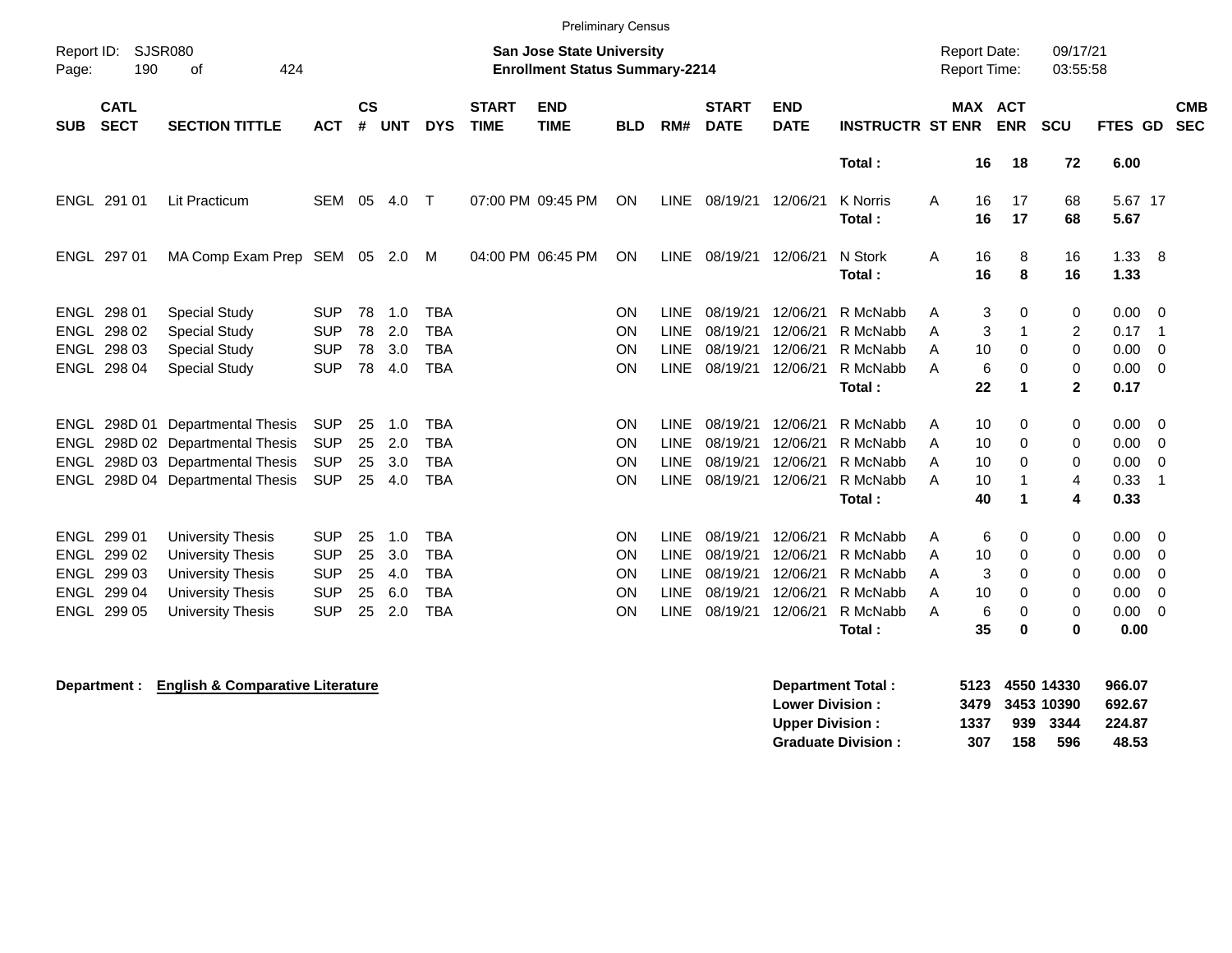|                     |                            |                             |            |                    |            |            |                             | <b>Preliminary Census</b>                                                 |            |             |                             |                           |                           |                                     |               |                         |                 |                          |
|---------------------|----------------------------|-----------------------------|------------|--------------------|------------|------------|-----------------------------|---------------------------------------------------------------------------|------------|-------------|-----------------------------|---------------------------|---------------------------|-------------------------------------|---------------|-------------------------|-----------------|--------------------------|
| Report ID:<br>Page: | SJSR080<br>190             | 424<br>οf                   |            |                    |            |            |                             | <b>San Jose State University</b><br><b>Enrollment Status Summary-2214</b> |            |             |                             |                           |                           | <b>Report Date:</b><br>Report Time: |               | 09/17/21<br>03:55:58    |                 |                          |
| <b>SUB</b>          | <b>CATL</b><br><b>SECT</b> | <b>SECTION TITTLE</b>       | <b>ACT</b> | $\mathsf{cs}$<br># | <b>UNT</b> | <b>DYS</b> | <b>START</b><br><b>TIME</b> | <b>END</b><br><b>TIME</b>                                                 | <b>BLD</b> | RM#         | <b>START</b><br><b>DATE</b> | <b>END</b><br><b>DATE</b> | <b>INSTRUCTR ST ENR</b>   | MAX ACT                             | <b>ENR</b>    | <b>SCU</b>              | <b>FTES GD</b>  | <b>CMB</b><br><b>SEC</b> |
|                     |                            |                             |            |                    |            |            |                             |                                                                           |            |             |                             |                           | Total:                    | 16                                  | 18            | 72                      | 6.00            |                          |
| ENGL                | 291 01                     | Lit Practicum               | <b>SEM</b> | 05                 | 4.0        | Т          |                             | 07:00 PM 09:45 PM                                                         | ON         | <b>LINE</b> | 08/19/21                    | 12/06/21                  | <b>K</b> Norris<br>Total: | A<br>16<br>16                       | 17<br>17      | 68<br>68                | 5.67 17<br>5.67 |                          |
| ENGL                | 297 01                     | MA Comp Exam Prep SEM       |            | 05                 | 2.0        | М          |                             | 04:00 PM 06:45 PM                                                         | ON         | <b>LINE</b> | 08/19/21                    | 12/06/21                  | N Stork<br>Total:         | 16<br>A<br>16                       | 8<br>8        | 16<br>16                | 1.33<br>1.33    | - 8                      |
| <b>ENGL</b>         | 298 01                     | <b>Special Study</b>        | <b>SUP</b> | 78                 | 1.0        | <b>TBA</b> |                             |                                                                           | <b>ON</b>  | LINE        | 08/19/21                    | 12/06/21                  | R McNabb                  | 3<br>A                              | 0             | 0                       | 0.00            | $\overline{\mathbf{0}}$  |
| <b>ENGL</b>         | 298 02                     | <b>Special Study</b>        | <b>SUP</b> | 78                 | 2.0        | <b>TBA</b> |                             |                                                                           | ON         | <b>LINE</b> | 08/19/21                    | 12/06/21                  | R McNabb                  | 3<br>A                              | 1             | $\overline{c}$          | 0.17            | -1                       |
| <b>ENGL</b>         | 298 03                     | <b>Special Study</b>        | <b>SUP</b> | 78                 | 3.0        | <b>TBA</b> |                             |                                                                           | <b>ON</b>  | <b>LINE</b> | 08/19/21                    | 12/06/21                  | R McNabb                  | 10<br>A                             | 0             | $\mathbf 0$             | 0.00            | - 0                      |
| ENGL                | 298 04                     | <b>Special Study</b>        | <b>SUP</b> | 78                 | 4.0        | <b>TBA</b> |                             |                                                                           | ON         | <b>LINE</b> | 08/19/21                    | 12/06/21                  | R McNabb                  | 6<br>A                              | 0             | 0                       | 0.00            | - 0                      |
|                     |                            |                             |            |                    |            |            |                             |                                                                           |            |             |                             |                           | Total:                    | 22                                  | 1             | $\mathbf{2}$            | 0.17            |                          |
| ENGL                | 298D 01                    | <b>Departmental Thesis</b>  | <b>SUP</b> | 25                 | 1.0        | <b>TBA</b> |                             |                                                                           | <b>ON</b>  | <b>LINE</b> | 08/19/21                    | 12/06/21                  | R McNabb                  | A<br>10                             | 0             | 0                       | 0.00            | - 0                      |
| ENGL                |                            | 298D 02 Departmental Thesis | <b>SUP</b> | 25                 | 2.0        | <b>TBA</b> |                             |                                                                           | ON         | <b>LINE</b> | 08/19/21                    | 12/06/21                  | R McNabb                  | 10<br>A                             | 0             | 0                       | 0.00            | - 0                      |
| ENGL                |                            | 298D 03 Departmental Thesis | <b>SUP</b> | 25                 | 3.0        | <b>TBA</b> |                             |                                                                           | ON         | <b>LINE</b> | 08/19/21                    | 12/06/21                  | R McNabb                  | A<br>10                             | 0             | 0                       | 0.00            | 0                        |
| ENGL                |                            | 298D 04 Departmental Thesis | <b>SUP</b> | 25                 | 4.0        | <b>TBA</b> |                             |                                                                           | ON         | <b>LINE</b> | 08/19/21                    | 12/06/21                  | R McNabb                  | A<br>10                             | -1            | 4                       | 0.33            | -1                       |
|                     |                            |                             |            |                    |            |            |                             |                                                                           |            |             |                             |                           | Total:                    | 40                                  | -1            | 4                       | 0.33            |                          |
| <b>ENGL</b>         | 299 01                     | <b>University Thesis</b>    | <b>SUP</b> | 25                 | 1.0        | <b>TBA</b> |                             |                                                                           | <b>ON</b>  | <b>LINE</b> | 08/19/21                    | 12/06/21                  | R McNabb                  | 6<br>A                              | 0             | 0                       | 0.00            | - 0                      |
| ENGL                | 299 02                     | <b>University Thesis</b>    | <b>SUP</b> | 25                 | 3.0        | <b>TBA</b> |                             |                                                                           | ON         | <b>LINE</b> | 08/19/21                    | 12/06/21                  | R McNabb                  | A<br>10                             | 0             | 0                       | 0.00            | - 0                      |
|                     | ENGL 299 03                | <b>University Thesis</b>    | <b>SUP</b> | 25                 | 4.0        | <b>TBA</b> |                             |                                                                           | ON         | <b>LINE</b> | 08/19/21                    | 12/06/21                  | R McNabb                  | 3<br>A                              | 0             | 0                       | 0.00            | 0                        |
|                     | ENGL 299 04                | <b>University Thesis</b>    | <b>SUP</b> | 25                 | 6.0        | <b>TBA</b> |                             |                                                                           | ON         | <b>LINE</b> | 08/19/21                    | 12/06/21                  | R McNabb                  | 10<br>А                             | $\Omega$      | 0                       | 0.00            | $\mathbf 0$              |
| ENGL                | 299 05                     | University Thesis           | <b>SUP</b> | 25                 | 2.0        | <b>TBA</b> |                             |                                                                           | ON         | <b>LINE</b> | 08/19/21                    | 12/06/21                  | R McNabb<br>Total:        | 6<br>A<br>35                        | 0<br>$\bf{0}$ | $\Omega$<br>$\mathbf 0$ | 0.00<br>0.00    | $\mathbf 0$              |
|                     |                            |                             |            |                    |            |            |                             |                                                                           |            |             |                             |                           |                           |                                     |               |                         |                 |                          |

**Department : English & Comparative Literature Comparative Literature Department Total : 5123 4550 14330 966.07 Lower Division : 3479 3453 10390 692.67 Upper Division : 1337 939 3344 Graduate Division : 307 158 596 48.53**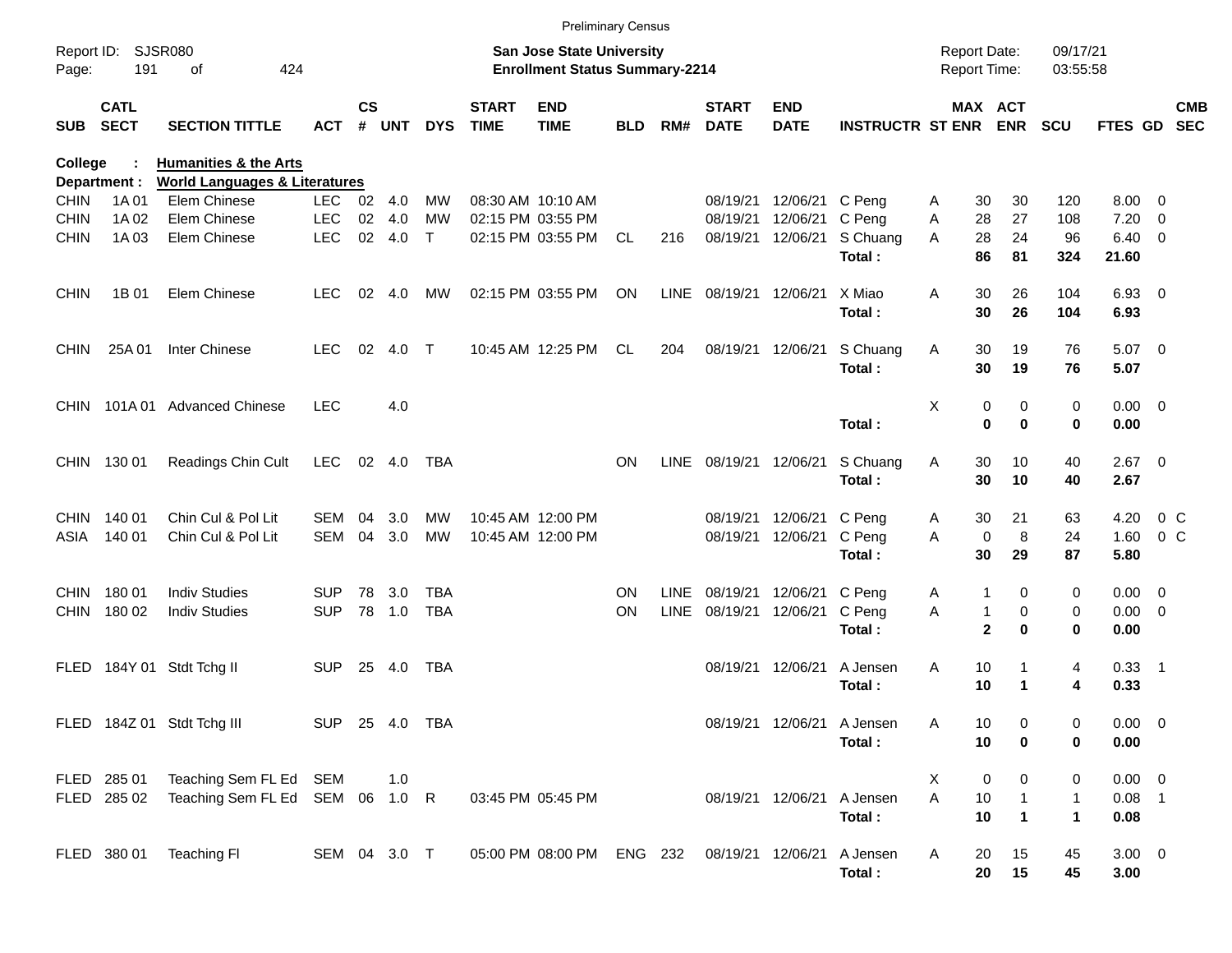|                     |                            |                                          |                |               |        |              |                             | <b>Preliminary Census</b>                                                 |            |             |                             |                           |                         |                                            |                           |                      |                    |                         |                          |
|---------------------|----------------------------|------------------------------------------|----------------|---------------|--------|--------------|-----------------------------|---------------------------------------------------------------------------|------------|-------------|-----------------------------|---------------------------|-------------------------|--------------------------------------------|---------------------------|----------------------|--------------------|-------------------------|--------------------------|
| Report ID:<br>Page: | 191                        | <b>SJSR080</b><br>424<br>of              |                |               |        |              |                             | <b>San Jose State University</b><br><b>Enrollment Status Summary-2214</b> |            |             |                             |                           |                         | <b>Report Date:</b><br><b>Report Time:</b> |                           | 09/17/21<br>03:55:58 |                    |                         |                          |
| <b>SUB</b>          | <b>CATL</b><br><b>SECT</b> | <b>SECTION TITTLE</b>                    | <b>ACT</b>     | $\mathsf{cs}$ | # UNT  | <b>DYS</b>   | <b>START</b><br><b>TIME</b> | <b>END</b><br><b>TIME</b>                                                 | <b>BLD</b> | RM#         | <b>START</b><br><b>DATE</b> | <b>END</b><br><b>DATE</b> | <b>INSTRUCTR ST ENR</b> |                                            | MAX ACT<br><b>ENR</b>     | <b>SCU</b>           | FTES GD            |                         | <b>CMB</b><br><b>SEC</b> |
| College             |                            | <b>Humanities &amp; the Arts</b>         |                |               |        |              |                             |                                                                           |            |             |                             |                           |                         |                                            |                           |                      |                    |                         |                          |
|                     | Department :               | <b>World Languages &amp; Literatures</b> |                |               |        |              |                             |                                                                           |            |             |                             |                           |                         |                                            |                           |                      |                    |                         |                          |
| <b>CHIN</b>         | 1A 01                      | Elem Chinese                             | LEC.           |               | 02 4.0 | MW           |                             | 08:30 AM 10:10 AM                                                         |            |             | 08/19/21                    | 12/06/21                  | C Peng                  | 30<br>A                                    | 30                        | 120                  | 8.00               | $\overline{0}$          |                          |
| <b>CHIN</b>         | 1A 02                      | Elem Chinese                             | <b>LEC</b>     | 02            | 4.0    | <b>MW</b>    |                             | 02:15 PM 03:55 PM                                                         |            |             | 08/19/21                    | 12/06/21                  | C Peng                  | 28<br>Α                                    | 27                        | 108                  | 7.20               | $\overline{0}$          |                          |
| <b>CHIN</b>         | 1A03                       | Elem Chinese                             | <b>LEC</b>     |               | 02 4.0 | $\mathsf{T}$ |                             | 02:15 PM 03:55 PM                                                         | CL         | 216         | 08/19/21                    | 12/06/21                  | S Chuang<br>Total:      | 28<br>A<br>86                              | 24<br>81                  | 96<br>324            | 6.40<br>21.60      | 0                       |                          |
| <b>CHIN</b>         | 1B 01                      | Elem Chinese                             | <b>LEC</b>     | 02            | 4.0    | МW           |                             | 02:15 PM 03:55 PM                                                         | <b>ON</b>  | LINE        | 08/19/21                    | 12/06/21                  | X Miao<br>Total:        | 30<br>A<br>30                              | 26<br>26                  | 104<br>104           | $6.93$ 0<br>6.93   |                         |                          |
| <b>CHIN</b>         | 25A 01                     | Inter Chinese                            | <b>LEC</b>     | 02            | 4.0    | $\top$       |                             | 10:45 AM 12:25 PM                                                         | CL         | 204         | 08/19/21                    | 12/06/21                  | S Chuang<br>Total:      | Α<br>30<br>30                              | 19<br>19                  | 76<br>76             | $5.07$ 0<br>5.07   |                         |                          |
| <b>CHIN</b>         |                            | 101A 01 Advanced Chinese                 | <b>LEC</b>     |               | 4.0    |              |                             |                                                                           |            |             |                             |                           |                         | Χ                                          | 0<br>0                    | $\mathbf 0$          | $0.00 \t 0$        |                         |                          |
|                     |                            |                                          |                |               |        |              |                             |                                                                           |            |             |                             |                           | Total:                  |                                            | $\mathbf 0$<br>$\bf{0}$   | 0                    | 0.00               |                         |                          |
| <b>CHIN</b>         | 130 01                     | Readings Chin Cult                       | <b>LEC</b>     |               | 02 4.0 | TBA          |                             |                                                                           | <b>ON</b>  | <b>LINE</b> | 08/19/21 12/06/21           |                           | S Chuang<br>Total:      | Α<br>30<br>30                              | 10<br>10                  | 40<br>40             | $2.67$ 0<br>2.67   |                         |                          |
| <b>CHIN</b>         | 140 01                     | Chin Cul & Pol Lit                       | SEM            | 04            | 3.0    | MW           |                             | 10:45 AM 12:00 PM                                                         |            |             | 08/19/21                    | 12/06/21                  | C Peng                  | 30<br>A                                    | 21                        | 63                   | 4.20               | $0\,C$                  |                          |
| ASIA                | 140 01                     | Chin Cul & Pol Lit                       | <b>SEM</b>     | 04            | 3.0    | <b>MW</b>    |                             | 10:45 AM 12:00 PM                                                         |            |             | 08/19/21                    | 12/06/21                  | C Peng                  | A                                          | 8<br>0                    | 24                   | 1.60               | 0 <sup>o</sup>          |                          |
|                     |                            |                                          |                |               |        |              |                             |                                                                           |            |             |                             |                           | Total:                  | 30                                         | 29                        | 87                   | 5.80               |                         |                          |
| <b>CHIN</b>         | 18001                      | <b>Indiv Studies</b>                     | <b>SUP</b>     | 78            | 3.0    | TBA          |                             |                                                                           | <b>ON</b>  | <b>LINE</b> | 08/19/21                    | 12/06/21                  | C Peng                  | 1<br>A                                     | 0                         | 0                    | 0.00               | $\overline{0}$          |                          |
| <b>CHIN</b>         | 180 02                     | <b>Indiv Studies</b>                     | <b>SUP</b>     |               | 78 1.0 | <b>TBA</b>   |                             |                                                                           | <b>ON</b>  | <b>LINE</b> | 08/19/21                    | 12/06/21                  | C Peng                  | Α                                          | 0<br>$\mathbf{1}$         | 0                    | 0.00               | $\overline{\mathbf{0}}$ |                          |
|                     |                            |                                          |                |               |        |              |                             |                                                                           |            |             |                             |                           | Total:                  |                                            | $\mathbf{2}$<br>$\bf{0}$  | 0                    | 0.00               |                         |                          |
| <b>FLED</b>         |                            | 184Y 01 Stdt Tchg II                     | <b>SUP</b>     | 25            | 4.0    | TBA          |                             |                                                                           |            |             | 08/19/21                    | 12/06/21                  | A Jensen<br>Total:      | Α<br>10<br>10                              | 1<br>$\blacktriangleleft$ | 4<br>4               | $0.33$ 1<br>0.33   |                         |                          |
|                     |                            | FLED 184Z 01 Stdt Tchg III               | SUP 25 4.0 TBA |               |        |              |                             |                                                                           |            |             |                             | 08/19/21 12/06/21         | A Jensen                | Α<br>10                                    | 0                         | 0                    | $0.00 \t 0$        |                         |                          |
|                     |                            |                                          |                |               |        |              |                             |                                                                           |            |             |                             |                           | Total:                  | 10                                         | 0                         | 0                    | 0.00               |                         |                          |
|                     | FLED 285 01                | Teaching Sem FL Ed SEM                   |                |               | 1.0    |              |                             |                                                                           |            |             |                             |                           |                         | X<br>0                                     | 0                         | 0                    | $0.00 \t 0$        |                         |                          |
|                     | FLED 285 02                | Teaching Sem FL Ed SEM 06 1.0 R          |                |               |        |              |                             | 03:45 PM 05:45 PM                                                         |            |             |                             | 08/19/21 12/06/21         | A Jensen                | A<br>$10$                                  | $\mathbf{1}$              | $\mathbf{1}$         | $0.08$ 1           |                         |                          |
|                     |                            |                                          |                |               |        |              |                             |                                                                           |            |             |                             |                           | Total:                  | 10                                         | $\mathbf{1}$              | $\mathbf{1}$         | 0.08               |                         |                          |
|                     | FLED 380 01                | Teaching FI                              | SEM 04 3.0 T   |               |        |              |                             | 05:00 PM 08:00 PM ENG 232                                                 |            |             | 08/19/21 12/06/21           |                           | A Jensen<br>Total:      | 20<br>A<br>20                              | 15<br>15                  | 45<br>45             | $3.00 \ 0$<br>3.00 |                         |                          |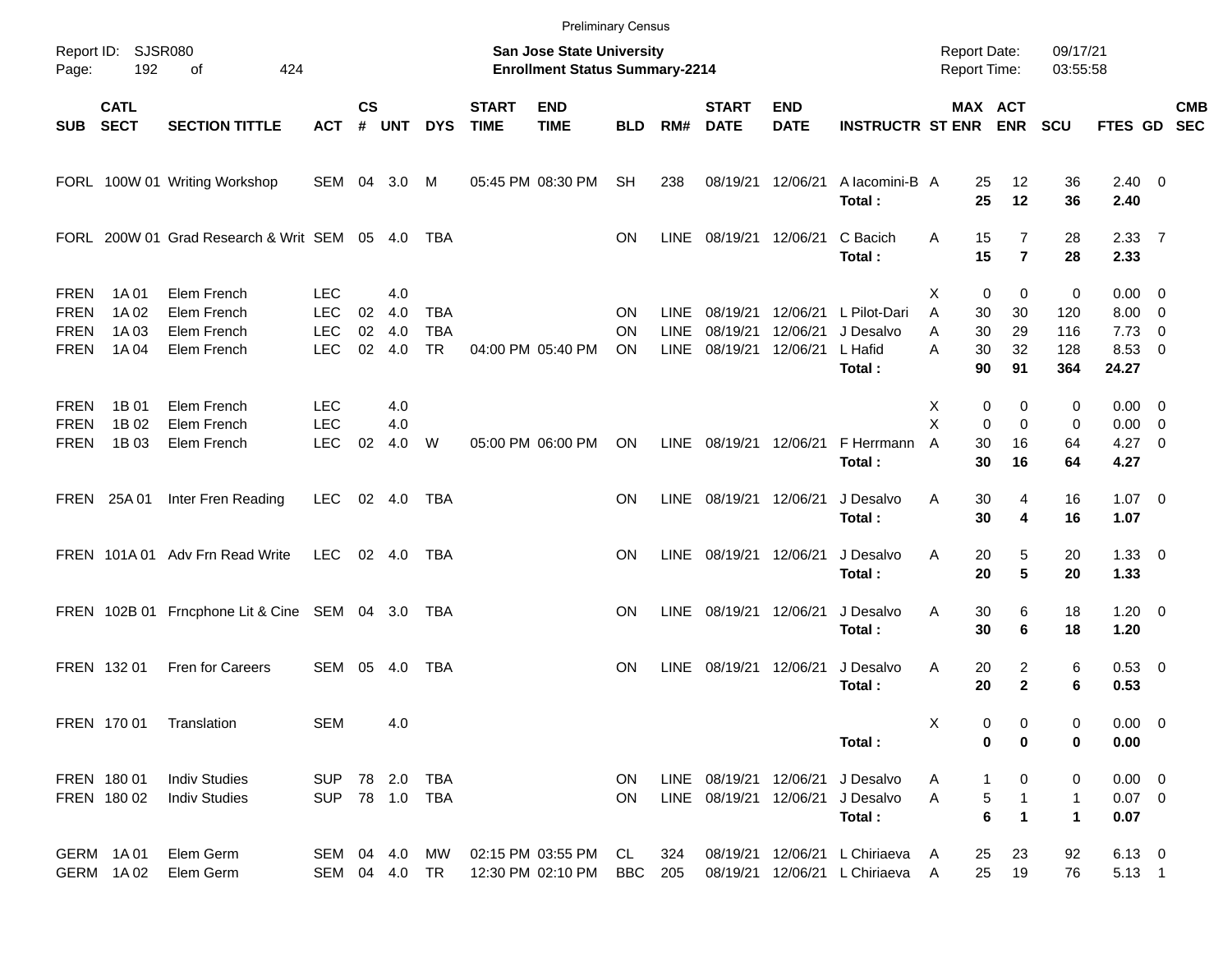|                                                          |                                  |                                                          |                                                      |                |                          |                                       |                             |                                                                    | <b>Preliminary Census</b> |                                           |                                  |                                  |                                                                |                                     |                                                                            |                               |                                                       |                          |            |
|----------------------------------------------------------|----------------------------------|----------------------------------------------------------|------------------------------------------------------|----------------|--------------------------|---------------------------------------|-----------------------------|--------------------------------------------------------------------|---------------------------|-------------------------------------------|----------------------------------|----------------------------------|----------------------------------------------------------------|-------------------------------------|----------------------------------------------------------------------------|-------------------------------|-------------------------------------------------------|--------------------------|------------|
| Page:                                                    | Report ID: SJSR080<br>192        | of<br>424                                                |                                                      |                |                          |                                       |                             | San Jose State University<br><b>Enrollment Status Summary-2214</b> |                           |                                           |                                  |                                  |                                                                | <b>Report Date:</b><br>Report Time: |                                                                            | 09/17/21<br>03:55:58          |                                                       |                          |            |
| SUB                                                      | <b>CATL</b><br><b>SECT</b>       | <b>SECTION TITTLE</b>                                    | <b>ACT</b>                                           | $\mathsf{cs}$  | # UNT                    | <b>DYS</b>                            | <b>START</b><br><b>TIME</b> | <b>END</b><br><b>TIME</b>                                          | <b>BLD</b>                | RM#                                       | <b>START</b><br><b>DATE</b>      | <b>END</b><br><b>DATE</b>        | <b>INSTRUCTR ST ENR ENR</b>                                    |                                     | MAX ACT                                                                    | <b>SCU</b>                    | FTES GD SEC                                           |                          | <b>CMB</b> |
|                                                          |                                  | FORL 100W 01 Writing Workshop                            | SEM 04 3.0                                           |                |                          | M                                     |                             | 05:45 PM 08:30 PM                                                  | <b>SH</b>                 | 238                                       |                                  | 08/19/21 12/06/21                | A lacomini-B A<br>Total:                                       |                                     | 25<br>12<br>25<br>12                                                       | 36<br>36                      | $2.40 \ 0$<br>2.40                                    |                          |            |
|                                                          |                                  | FORL 200W 01 Grad Research & Writ SEM 05 4.0             |                                                      |                |                          | TBA                                   |                             |                                                                    | <b>ON</b>                 | <b>LINE</b>                               | 08/19/21 12/06/21                |                                  | C Bacich<br>Total:                                             | A                                   | 15<br>$\overline{7}$<br>15<br>$\overline{7}$                               | 28<br>28                      | 2.3377<br>2.33                                        |                          |            |
| <b>FREN</b><br><b>FREN</b><br><b>FREN</b><br><b>FREN</b> | 1A 01<br>1A 02<br>1A 03<br>1A 04 | Elem French<br>Elem French<br>Elem French<br>Elem French | <b>LEC</b><br><b>LEC</b><br><b>LEC</b><br><b>LEC</b> | 02<br>02<br>02 | 4.0<br>4.0<br>4.0<br>4.0 | <b>TBA</b><br><b>TBA</b><br><b>TR</b> |                             | 04:00 PM 05:40 PM                                                  | ON<br>ON<br>ON.           | <b>LINE</b><br><b>LINE</b><br><b>LINE</b> | 08/19/21<br>08/19/21<br>08/19/21 | 12/06/21<br>12/06/21<br>12/06/21 | L Pilot-Dari<br>J Desalvo<br>L Hafid<br>Total:                 | X<br>A<br>A<br>A                    | $\mathbf 0$<br>$\mathbf 0$<br>30<br>30<br>30<br>29<br>30<br>32<br>90<br>91 | 0<br>120<br>116<br>128<br>364 | $0.00 \t 0$<br>$8.00 \t 0$<br>7.73<br>8.53 0<br>24.27 | $\overline{\phantom{0}}$ |            |
| <b>FREN</b><br><b>FREN</b><br>FREN                       | 1B 01<br>1B 02<br>1B 03          | Elem French<br>Elem French<br>Elem French                | <b>LEC</b><br><b>LEC</b><br><b>LEC</b>               | 02             | 4.0<br>4.0<br>4.0        | W                                     |                             | 05:00 PM 06:00 PM                                                  | ON                        | <b>LINE</b>                               | 08/19/21 12/06/21                |                                  | F Herrmann<br>Total:                                           | X<br>X<br>A                         | 0<br>0<br>$\Omega$<br>$\Omega$<br>30<br>16<br>30<br>16                     | 0<br>0<br>64<br>64            | $0.00 \t 0$<br>$0.00 \t 0$<br>$4.27$ 0<br>4.27        |                          |            |
|                                                          | FREN 25A 01                      | Inter Fren Reading                                       | <b>LEC</b>                                           |                | 02 4.0                   | TBA                                   |                             |                                                                    | ON                        | <b>LINE</b>                               | 08/19/21 12/06/21                |                                  | J Desalvo<br>Total:                                            | Α                                   | 30<br>4<br>30<br>4                                                         | 16<br>16                      | $1.07 \t 0$<br>1.07                                   |                          |            |
|                                                          |                                  | FREN 101A 01 Adv Frn Read Write                          | LEC                                                  |                | $02 \quad 4.0$           | TBA                                   |                             |                                                                    | ON                        | LINE                                      | 08/19/21 12/06/21                |                                  | J Desalvo<br>Total:                                            | Α                                   | 20<br>5<br>5<br>20                                                         | 20<br>20                      | $1.33 \ 0$<br>1.33                                    |                          |            |
|                                                          |                                  | FREN 102B 01 Frncphone Lit & Cine SEM 04 3.0             |                                                      |                |                          | TBA                                   |                             |                                                                    | ON                        | LINE                                      | 08/19/21 12/06/21                |                                  | J Desalvo<br>Total:                                            | A                                   | 30<br>6<br>30<br>6                                                         | 18<br>18                      | $1.20 \t 0$<br>1.20                                   |                          |            |
|                                                          | FREN 132 01                      | Fren for Careers                                         | SEM 05 4.0                                           |                |                          | TBA                                   |                             |                                                                    | ΟN                        | <b>LINE</b>                               |                                  | 08/19/21 12/06/21                | J Desalvo<br>Total:                                            | Α                                   | 2<br>20<br>$\mathbf{2}$<br>20                                              | 6<br>6                        | $0.53$ 0<br>0.53                                      |                          |            |
|                                                          | FREN 17001                       | Translation                                              | SEM                                                  |                | 4.0                      |                                       |                             |                                                                    |                           |                                           |                                  |                                  | Total:                                                         | х                                   | 0<br>0<br>0<br>$\bf{0}$                                                    | 0<br>0                        | $0.00 \t 0$<br>0.00                                   |                          |            |
|                                                          | FREN 180 01<br>FREN 180 02       | <b>Indiv Studies</b><br><b>Indiv Studies</b>             | SUP 78 2.0 TBA<br>SUP 78 1.0 TBA                     |                |                          |                                       |                             |                                                                    | <b>ON</b><br><b>ON</b>    |                                           | LINE 08/19/21 12/06/21           |                                  | LINE 08/19/21 12/06/21 J Desalvo<br>J Desalvo<br>Total:        | Α<br>A                              | 0<br>1<br>5<br>1<br>6<br>1                                                 | 0<br>1<br>$\mathbf{1}$        | $0.00 \t 0$<br>$0.07$ 0<br>0.07                       |                          |            |
|                                                          | GERM 1A01<br>GERM 1A02           | Elem Germ<br>Elem Germ                                   | SEM 04 4.0<br>SEM 04 4.0 TR                          |                |                          | MW                                    |                             | 02:15 PM 03:55 PM<br>12:30 PM 02:10 PM                             | CL.<br>BBC                | 324<br>205                                |                                  |                                  | 08/19/21 12/06/21 L Chiriaeva<br>08/19/21 12/06/21 L Chiriaeva | A<br>A                              | 25<br>23<br>25<br>19                                                       | 92<br>76                      | $6.13 \quad 0$<br>$5.13 \quad 1$                      |                          |            |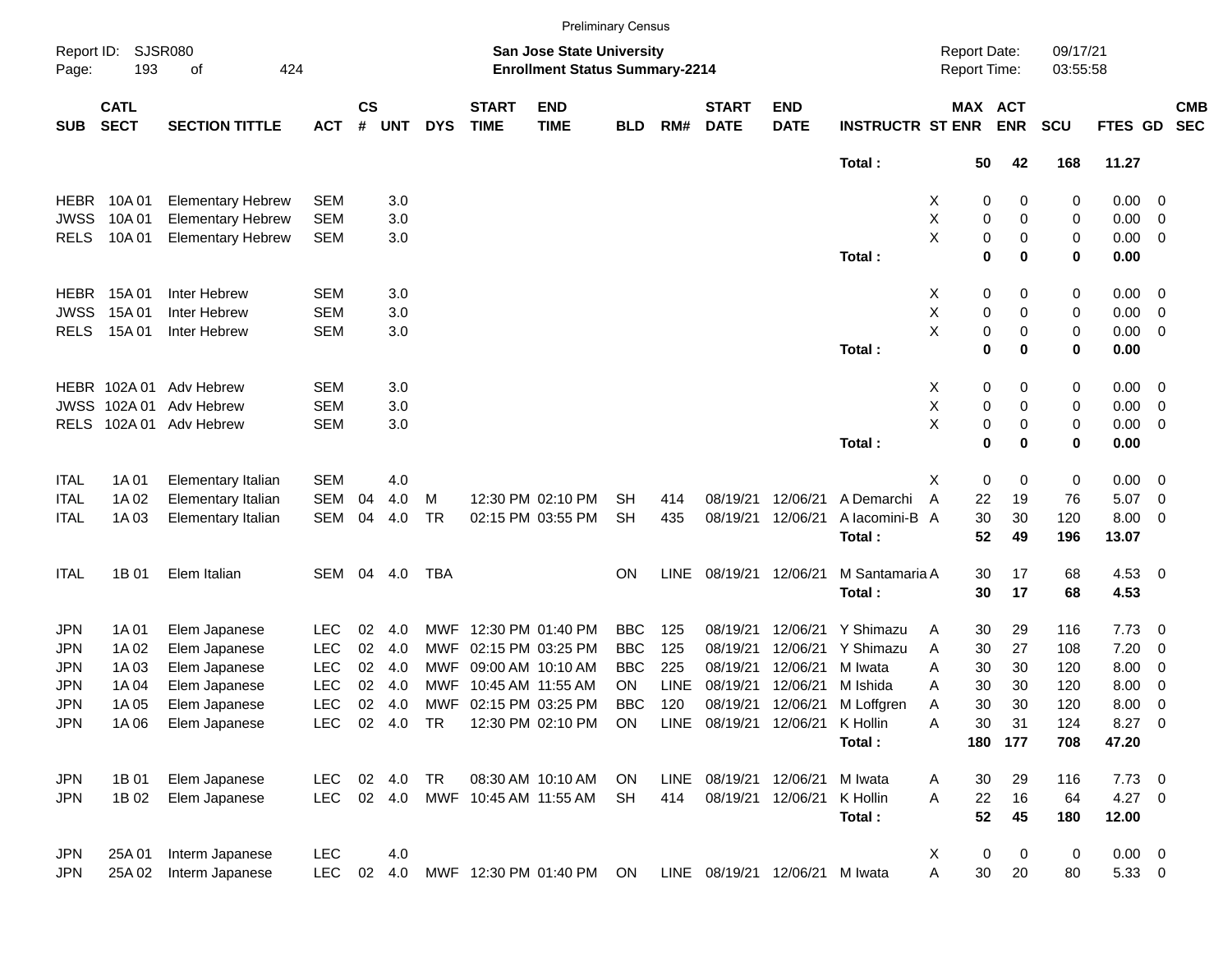|             |                            |                          |            |                |             |            |                             |                                                                           | <b>Preliminary Census</b> |             |                             |                                |                         |                                     |                       |                      |             |                          |                          |
|-------------|----------------------------|--------------------------|------------|----------------|-------------|------------|-----------------------------|---------------------------------------------------------------------------|---------------------------|-------------|-----------------------------|--------------------------------|-------------------------|-------------------------------------|-----------------------|----------------------|-------------|--------------------------|--------------------------|
| Page:       | Report ID: SJSR080<br>193  | 424<br>of                |            |                |             |            |                             | <b>San Jose State University</b><br><b>Enrollment Status Summary-2214</b> |                           |             |                             |                                |                         | <b>Report Date:</b><br>Report Time: |                       | 09/17/21<br>03:55:58 |             |                          |                          |
| <b>SUB</b>  | <b>CATL</b><br><b>SECT</b> | <b>SECTION TITTLE</b>    | <b>ACT</b> | <b>CS</b><br># | <b>UNT</b>  | <b>DYS</b> | <b>START</b><br><b>TIME</b> | <b>END</b><br><b>TIME</b>                                                 | <b>BLD</b>                | RM#         | <b>START</b><br><b>DATE</b> | <b>END</b><br><b>DATE</b>      | <b>INSTRUCTR ST ENR</b> |                                     | MAX ACT<br><b>ENR</b> | <b>SCU</b>           | FTES GD     |                          | <b>CMB</b><br><b>SEC</b> |
|             |                            |                          |            |                |             |            |                             |                                                                           |                           |             |                             |                                | Total:                  | 50                                  | 42                    | 168                  | 11.27       |                          |                          |
| <b>HEBR</b> | 10A 01                     | <b>Elementary Hebrew</b> | <b>SEM</b> |                | 3.0         |            |                             |                                                                           |                           |             |                             |                                |                         | X                                   | 0<br>0                | 0                    | 0.00        | $\overline{\mathbf{0}}$  |                          |
| <b>JWSS</b> | 10A 01                     | <b>Elementary Hebrew</b> | <b>SEM</b> |                | 3.0         |            |                             |                                                                           |                           |             |                             |                                |                         | Χ                                   | $\pmb{0}$<br>0        | 0                    | 0.00        | 0                        |                          |
| <b>RELS</b> | 10A 01                     | <b>Elementary Hebrew</b> | <b>SEM</b> |                | 3.0         |            |                             |                                                                           |                           |             |                             |                                |                         | X                                   | $\pmb{0}$<br>0        | 0                    | 0.00        | $\overline{\mathbf{0}}$  |                          |
|             |                            |                          |            |                |             |            |                             |                                                                           |                           |             |                             |                                | Total:                  |                                     | $\mathbf 0$<br>0      | 0                    | 0.00        |                          |                          |
| HEBR        | 15A 01                     | Inter Hebrew             | <b>SEM</b> |                | 3.0         |            |                             |                                                                           |                           |             |                             |                                |                         | X                                   | 0<br>0                | 0                    | 0.00        | $\overline{\mathbf{0}}$  |                          |
| <b>JWSS</b> | 15A 01                     | Inter Hebrew             | <b>SEM</b> |                | 3.0         |            |                             |                                                                           |                           |             |                             |                                |                         | X                                   | 0<br>0                | 0                    | 0.00        | 0                        |                          |
| <b>RELS</b> | 15A 01                     | Inter Hebrew             | <b>SEM</b> |                | 3.0         |            |                             |                                                                           |                           |             |                             |                                |                         | X                                   | $\pmb{0}$<br>0        | 0                    | 0.00        | $\overline{\mathbf{0}}$  |                          |
|             |                            |                          |            |                |             |            |                             |                                                                           |                           |             |                             |                                | Total:                  |                                     | $\mathbf 0$<br>0      | 0                    | 0.00        |                          |                          |
|             | HEBR 102A01                | Adv Hebrew               | <b>SEM</b> |                | 3.0         |            |                             |                                                                           |                           |             |                             |                                |                         | X                                   | 0<br>0                | 0                    | 0.00        | $\overline{\mathbf{0}}$  |                          |
| <b>JWSS</b> | 102A 01                    | Adv Hebrew               | <b>SEM</b> |                | 3.0         |            |                             |                                                                           |                           |             |                             |                                |                         | Χ                                   | $\pmb{0}$<br>0        | 0                    | 0.00        | 0                        |                          |
| <b>RELS</b> |                            | 102A 01 Adv Hebrew       | <b>SEM</b> |                | 3.0         |            |                             |                                                                           |                           |             |                             |                                |                         | X                                   | 0<br>0                | 0                    | 0.00        | $\overline{\mathbf{0}}$  |                          |
|             |                            |                          |            |                |             |            |                             |                                                                           |                           |             |                             |                                | Total:                  |                                     | $\mathbf 0$<br>0      | 0                    | 0.00        |                          |                          |
| <b>ITAL</b> | 1A 01                      | Elementary Italian       | <b>SEM</b> |                | 4.0         |            |                             |                                                                           |                           |             |                             |                                |                         | Х                                   | 0<br>0                | 0                    | 0.00        | $\overline{\phantom{0}}$ |                          |
| <b>ITAL</b> | 1A 02                      | Elementary Italian       | <b>SEM</b> | 04             | 4.0         | M          |                             | 12:30 PM 02:10 PM                                                         | SН                        | 414         | 08/19/21                    | 12/06/21                       | A Demarchi              | A<br>22                             | 19                    | 76                   | 5.07        | $\overline{\phantom{0}}$ |                          |
| <b>ITAL</b> | 1A 03                      | Elementary Italian       | SEM        | 04             | 4.0         | TR         |                             | 02:15 PM 03:55 PM                                                         | <b>SH</b>                 | 435         | 08/19/21                    | 12/06/21                       | A lacomini-B A          | 30                                  | 30                    | 120                  | 8.00        | 0                        |                          |
|             |                            |                          |            |                |             |            |                             |                                                                           |                           |             |                             |                                | Total:                  | 52                                  | 49                    | 196                  | 13.07       |                          |                          |
| <b>ITAL</b> | 1B 01                      | Elem Italian             | SEM        | 04             | 4.0         | TBA        |                             |                                                                           | <b>ON</b>                 | <b>LINE</b> | 08/19/21 12/06/21           |                                | M Santamaria A          | 30                                  | 17                    | 68                   | 4.53 0      |                          |                          |
|             |                            |                          |            |                |             |            |                             |                                                                           |                           |             |                             |                                | Total:                  | 30                                  | 17                    | 68                   | 4.53        |                          |                          |
| JPN         | 1A 01                      | Elem Japanese            | <b>LEC</b> | 02             | 4.0         | MWF        |                             | 12:30 PM 01:40 PM                                                         | <b>BBC</b>                | 125         | 08/19/21                    | 12/06/21                       | Y Shimazu               | 30<br>A                             | 29                    | 116                  | 7.73        | $\overline{\mathbf{0}}$  |                          |
| JPN         | 1A 02                      | Elem Japanese            | <b>LEC</b> | 02             | 4.0         | MWF        |                             | 02:15 PM 03:25 PM                                                         | <b>BBC</b>                | 125         | 08/19/21                    | 12/06/21                       | Y Shimazu               | 30<br>A                             | 27                    | 108                  | 7.20        | 0                        |                          |
| JPN         | 1A 03                      | Elem Japanese            | <b>LEC</b> | 02             | 4.0         | MWF        |                             | 09:00 AM 10:10 AM                                                         | <b>BBC</b>                | 225         | 08/19/21                    | 12/06/21                       | M Iwata                 | 30<br>Α                             | 30                    | 120                  | 8.00        | 0                        |                          |
| <b>JPN</b>  | 1A 04                      | Elem Japanese            | <b>LEC</b> | 02             | 4.0         | MWF        |                             | 10:45 AM 11:55 AM                                                         | ΟN                        | <b>LINE</b> | 08/19/21                    | 12/06/21                       | M Ishida                | 30<br>A                             | 30                    | 120                  | 8.00        | 0                        |                          |
| JPN         | 1A 05                      | Elem Japanese            | <b>LEC</b> | 02             | 4.0         | MWF        |                             | 02:15 PM 03:25 PM                                                         | BBC                       | 120         | 08/19/21                    | 12/06/21                       | M Loffgren              | 30<br>Α                             | 30                    | 120                  | 8.00        | 0                        |                          |
| JPN         | 1A 06                      | Elem Japanese            | LEC.       |                | 02  4.0  TR |            |                             | 12:30 PM 02:10 PM ON                                                      |                           |             | LINE 08/19/21 12/06/21      |                                | K Hollin                | Α<br>30                             | 31                    | 124                  | 8.27 0      |                          |                          |
|             |                            |                          |            |                |             |            |                             |                                                                           |                           |             |                             |                                | Total:                  |                                     | 180 177               | 708                  | 47.20       |                          |                          |
| JPN         | 1B 01                      | Elem Japanese            | LEC.       |                | 02 4.0      | TR         |                             | 08:30 AM 10:10 AM                                                         | ON                        |             | LINE 08/19/21 12/06/21      |                                | M Iwata                 | 30<br>A                             | 29                    | 116                  | $7.73$ 0    |                          |                          |
| JPN         | 1B 02                      | Elem Japanese            | LEC        |                | 02 4.0      |            |                             | MWF 10:45 AM 11:55 AM                                                     | <b>SH</b>                 | 414         |                             | 08/19/21 12/06/21              | K Hollin                | 22<br>A                             | 16                    | 64                   | $4.27$ 0    |                          |                          |
|             |                            |                          |            |                |             |            |                             |                                                                           |                           |             |                             |                                | Total:                  | 52                                  | 45                    | 180                  | 12.00       |                          |                          |
| JPN         | 25A 01                     | Interm Japanese          | <b>LEC</b> |                | 4.0         |            |                             |                                                                           |                           |             |                             |                                |                         | X                                   | 0<br>0                | 0                    | $0.00 \t 0$ |                          |                          |
| JPN         | 25A 02                     | Interm Japanese          | <b>LEC</b> |                | 02 4.0      |            |                             | MWF 12:30 PM 01:40 PM ON                                                  |                           |             |                             | LINE 08/19/21 12/06/21 M Iwata |                         | 30<br>Α                             | 20                    | 80                   | 5.33 0      |                          |                          |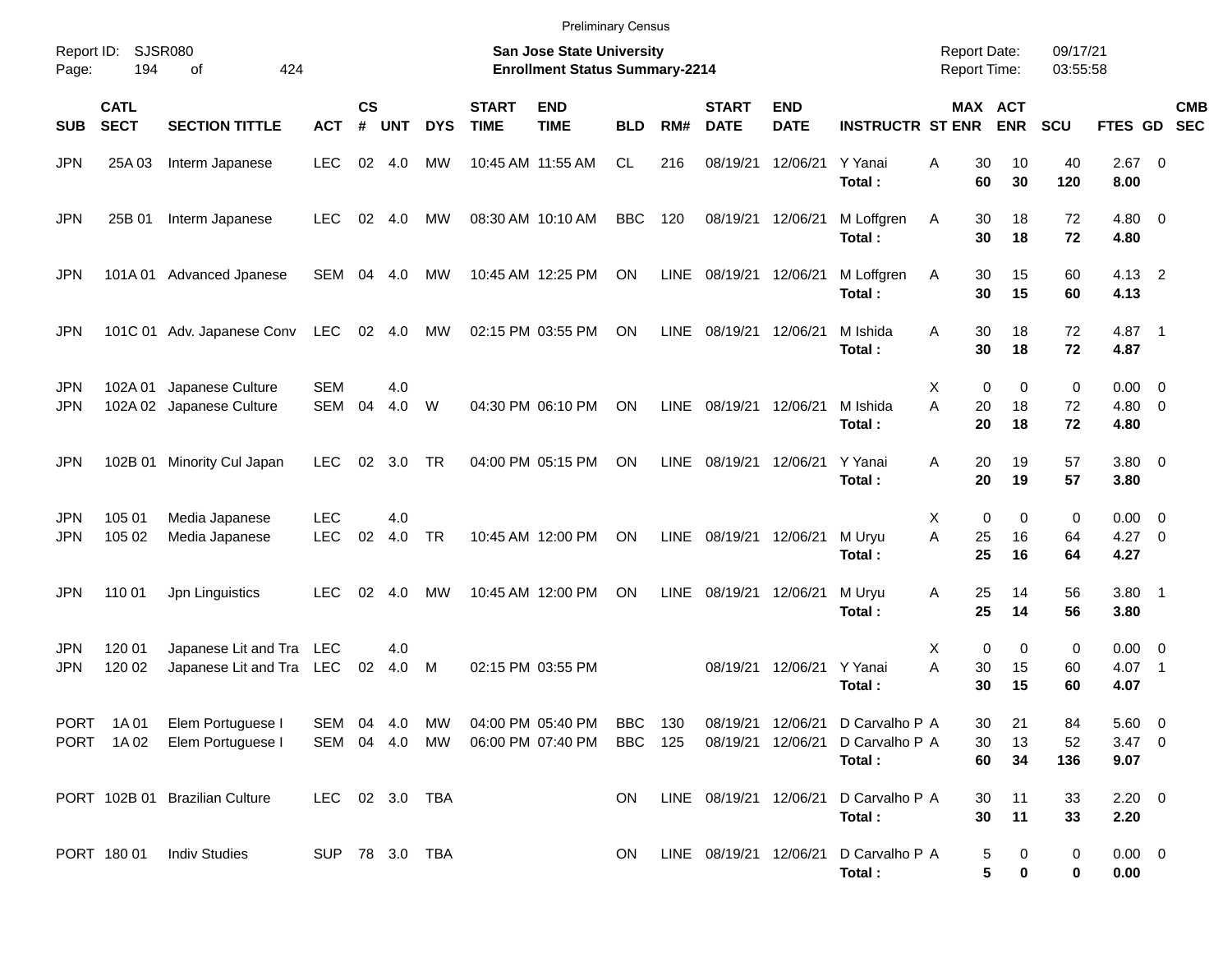|                          |                            |                                                  |                          |                    |            |            |                             | <b>Preliminary Census</b>                                          |                    |             |                                        |                           |                                            |                                            |                          |                      |                                    |                          |  |
|--------------------------|----------------------------|--------------------------------------------------|--------------------------|--------------------|------------|------------|-----------------------------|--------------------------------------------------------------------|--------------------|-------------|----------------------------------------|---------------------------|--------------------------------------------|--------------------------------------------|--------------------------|----------------------|------------------------------------|--------------------------|--|
| Report ID:<br>Page:      | 194                        | <b>SJSR080</b><br>424<br>of                      |                          |                    |            |            |                             | San Jose State University<br><b>Enrollment Status Summary-2214</b> |                    |             |                                        |                           |                                            | <b>Report Date:</b><br><b>Report Time:</b> |                          | 09/17/21<br>03:55:58 |                                    |                          |  |
| <b>SUB</b>               | <b>CATL</b><br><b>SECT</b> | <b>SECTION TITTLE</b>                            | <b>ACT</b>               | $\mathsf{cs}$<br># | <b>UNT</b> | <b>DYS</b> | <b>START</b><br><b>TIME</b> | <b>END</b><br><b>TIME</b>                                          | <b>BLD</b>         | RM#         | <b>START</b><br><b>DATE</b>            | <b>END</b><br><b>DATE</b> | <b>INSTRUCTR ST ENR ENR</b>                |                                            | <b>MAX ACT</b>           | SCU                  | FTES GD SEC                        | <b>CMB</b>               |  |
| <b>JPN</b>               | 25A 03                     | Interm Japanese                                  | <b>LEC</b>               | 02                 | 4.0        | <b>MW</b>  | 10:45 AM 11:55 AM           |                                                                    | CL                 | 216         | 08/19/21                               | 12/06/21                  | Y Yanai<br>Total:                          | A<br>30<br>60                              | 10<br>30                 | 40<br>120            | $2.67$ 0<br>8.00                   |                          |  |
| <b>JPN</b>               | 25B 01                     | Interm Japanese                                  | <b>LEC</b>               | 02                 | 4.0        | <b>MW</b>  |                             | 08:30 AM 10:10 AM                                                  | <b>BBC</b>         | 120         | 08/19/21 12/06/21                      |                           | M Loffgren<br>Total:                       | Α<br>30<br>30                              | 18<br>18                 | 72<br>72             | $4.80\ 0$<br>4.80                  |                          |  |
| <b>JPN</b>               | 101A 01                    | <b>Advanced Jpanese</b>                          | SEM                      | 04                 | 4.0        | MW         |                             | 10:45 AM 12:25 PM                                                  | ON                 | LINE        | 08/19/21 12/06/21                      |                           | M Loffgren<br>Total:                       | Α<br>30<br>30                              | 15<br>15                 | 60<br>60             | $4.13$ 2<br>4.13                   |                          |  |
| <b>JPN</b>               |                            | 101C 01 Adv. Japanese Conv                       | LEC                      |                    | 02 4.0     | MW         |                             | 02:15 PM 03:55 PM                                                  | ON                 | LINE        | 08/19/21 12/06/21                      |                           | M Ishida<br>Total:                         | A<br>30<br>30                              | 18<br>18                 | 72<br>72             | 4.87 1<br>4.87                     |                          |  |
| <b>JPN</b><br><b>JPN</b> | 102A 01                    | Japanese Culture<br>102A 02 Japanese Culture     | <b>SEM</b><br>SEM        | 04                 | 4.0<br>4.0 | W          |                             | 04:30 PM 06:10 PM                                                  | ON                 | LINE        | 08/19/21 12/06/21                      |                           | M Ishida<br>Total:                         | Χ<br>0<br>A<br>20<br>20                    | $\Omega$<br>18<br>18     | 0<br>72<br>72        | $0.00 \t 0$<br>$4.80\ 0$<br>4.80   |                          |  |
| <b>JPN</b>               |                            | 102B 01 Minority Cul Japan                       | <b>LEC</b>               | 02                 | 3.0        | TR         |                             | 04:00 PM 05:15 PM                                                  | ON                 | LINE        | 08/19/21 12/06/21                      |                           | Y Yanai<br>Total:                          | A<br>20<br>20                              | 19<br>19                 | 57<br>57             | $3.80\ 0$<br>3.80                  |                          |  |
| <b>JPN</b><br><b>JPN</b> | 105 01<br>105 02           | Media Japanese<br>Media Japanese                 | <b>LEC</b><br><b>LEC</b> | 02                 | 4.0<br>4.0 | TR         |                             | 10:45 AM 12:00 PM                                                  | ON                 | LINE        | 08/19/21 12/06/21                      |                           | M Uryu<br>Total:                           | Χ<br>0<br>A<br>25<br>25                    | $\mathbf 0$<br>16<br>16  | 0<br>64<br>64        | $0.00 \t 0$<br>$4.27 \t 0$<br>4.27 |                          |  |
| <b>JPN</b>               | 110 01                     | Jpn Linguistics                                  | <b>LEC</b>               | 02                 | 4.0        | MW         |                             | 10:45 AM 12:00 PM                                                  | ON                 | <b>LINE</b> | 08/19/21 12/06/21                      |                           | M Uryu<br>Total:                           | 25<br>Α<br>25                              | 14<br>14                 | 56<br>56             | $3.80$ 1<br>3.80                   |                          |  |
| <b>JPN</b><br><b>JPN</b> | 120 01<br>120 02           | Japanese Lit and Tra<br>Japanese Lit and Tra LEC | LEC                      | 02                 | 4.0<br>4.0 | M          |                             | 02:15 PM 03:55 PM                                                  |                    |             |                                        | 08/19/21 12/06/21         | Y Yanai<br>Total:                          | Χ<br>0<br>A<br>30<br>30                    | $\mathbf 0$<br>15<br>15  | 0<br>60<br>60        | $0.00 \t 0$<br>4.07<br>4.07        | $\overline{\phantom{1}}$ |  |
|                          | PORT 1A01<br>PORT 1A02     | Elem Portuguese I<br>Elem Portuguese I           | SEM 04 4.0<br>SEM 04 4.0 |                    |            | MW<br>MW   |                             | 04:00 PM 05:40 PM<br>06:00 PM 07:40 PM                             | BBC 130<br>BBC 125 |             | 08/19/21 12/06/21<br>08/19/21 12/06/21 |                           | D Carvalho P A<br>D Carvalho P A<br>Total: | 30<br>30<br>60                             | 21<br>13<br>34           | 84<br>52<br>136      | 5.60 0<br>$3.47 \ 0$<br>9.07       |                          |  |
|                          |                            | PORT 102B 01 Brazilian Culture                   | LEC 02 3.0 TBA           |                    |            |            |                             |                                                                    | <b>ON</b>          |             | LINE 08/19/21 12/06/21                 |                           | D Carvalho P A<br>Total:                   | 30<br>30                                   | 11<br>11                 | 33<br>33             | $2.20 \t 0$<br>2.20                |                          |  |
|                          | PORT 180 01                | <b>Indiv Studies</b>                             | SUP 78 3.0 TBA           |                    |            |            |                             |                                                                    | ON.                |             | LINE 08/19/21 12/06/21                 |                           | D Carvalho P A<br>Total:                   |                                            | 5<br>0<br>5<br>$\pmb{0}$ | 0<br>0               | $0.00 \t 0$<br>0.00                |                          |  |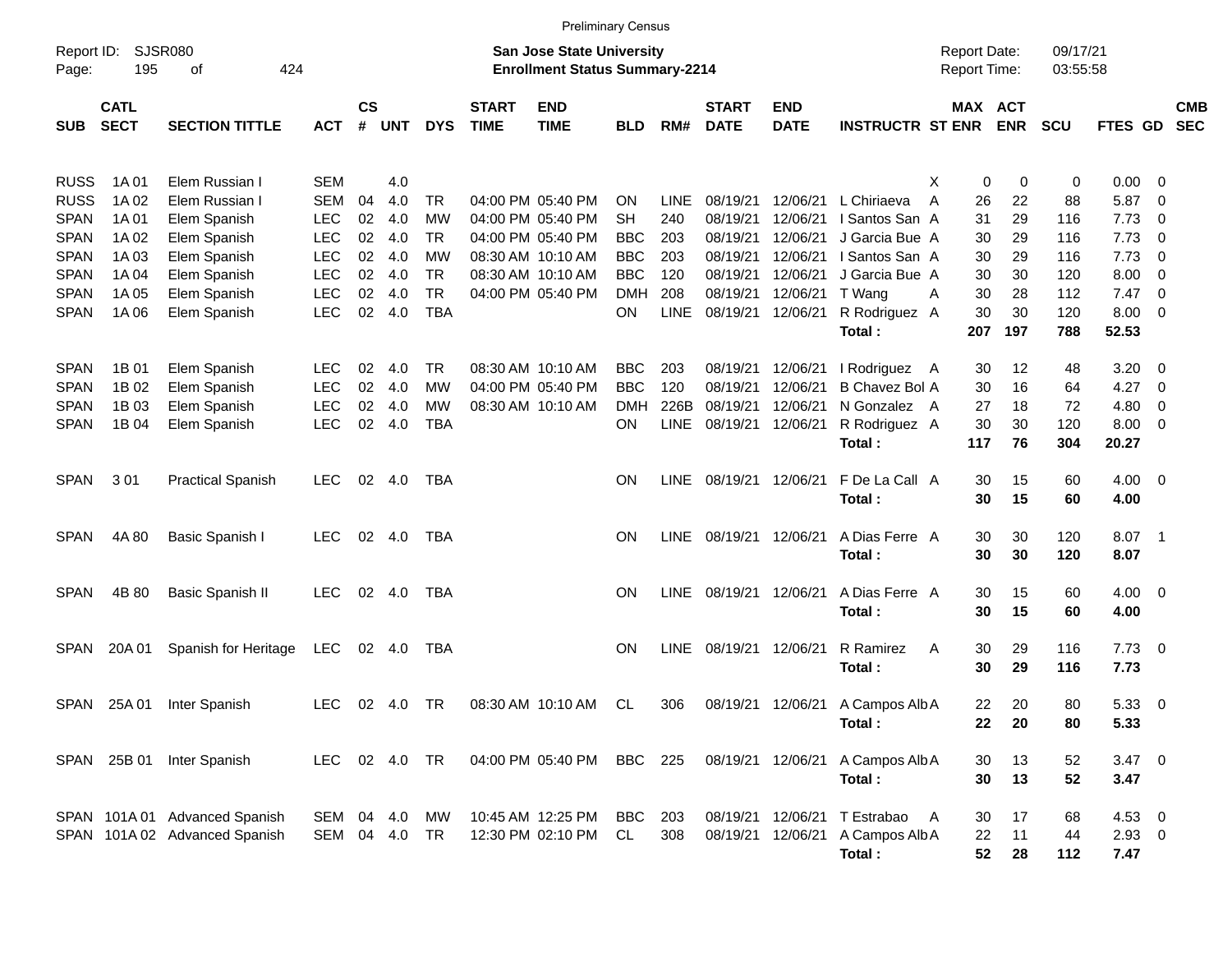|                     |                            |                               |               |                 |               |            |                             | <b>Preliminary Census</b>                                                 |            |             |                             |                           |                         |                                     |                       |                      |                |                          |                          |
|---------------------|----------------------------|-------------------------------|---------------|-----------------|---------------|------------|-----------------------------|---------------------------------------------------------------------------|------------|-------------|-----------------------------|---------------------------|-------------------------|-------------------------------------|-----------------------|----------------------|----------------|--------------------------|--------------------------|
| Report ID:<br>Page: | 195                        | SJSR080<br>of<br>424          |               |                 |               |            |                             | <b>San Jose State University</b><br><b>Enrollment Status Summary-2214</b> |            |             |                             |                           |                         | <b>Report Date:</b><br>Report Time: |                       | 09/17/21<br>03:55:58 |                |                          |                          |
| <b>SUB</b>          | <b>CATL</b><br><b>SECT</b> | <b>SECTION TITTLE</b>         | <b>ACT</b>    | <b>CS</b><br>#  | <b>UNT</b>    | <b>DYS</b> | <b>START</b><br><b>TIME</b> | <b>END</b><br><b>TIME</b>                                                 | <b>BLD</b> | RM#         | <b>START</b><br><b>DATE</b> | <b>END</b><br><b>DATE</b> | <b>INSTRUCTR ST ENR</b> |                                     | MAX ACT<br><b>ENR</b> | <b>SCU</b>           | FTES GD        |                          | <b>CMB</b><br><b>SEC</b> |
| <b>RUSS</b>         | 1A 01                      | Elem Russian I                | SEM           |                 | 4.0           |            |                             |                                                                           |            |             |                             |                           |                         | X<br>0                              | 0                     | 0                    | 0.00           | $\overline{\phantom{0}}$ |                          |
| <b>RUSS</b>         | 1A 02                      | Elem Russian I                | <b>SEM</b>    | 04              | 4.0           | TR         |                             | 04:00 PM 05:40 PM                                                         | <b>ON</b>  | <b>LINE</b> | 08/19/21                    | 12/06/21                  | L Chiriaeva             | 26<br>A                             | 22                    | 88                   | 5.87           | $\overline{\phantom{0}}$ |                          |
| <b>SPAN</b>         | 1A 01                      | Elem Spanish                  | <b>LEC</b>    | 02 <sub>2</sub> | 4.0           | <b>MW</b>  |                             | 04:00 PM 05:40 PM                                                         | <b>SH</b>  | 240         | 08/19/21                    | 12/06/21                  | I Santos San A          | 31                                  | 29                    | 116                  | 7.73           | $\overline{\mathbf{0}}$  |                          |
| <b>SPAN</b>         | 1A 02                      | Elem Spanish                  | <b>LEC</b>    |                 | 02 4.0        | TR         |                             | 04:00 PM 05:40 PM                                                         | <b>BBC</b> | 203         | 08/19/21                    | 12/06/21                  | J Garcia Bue A          | 30                                  | 29                    | 116                  | 7.73           | $\overline{\phantom{0}}$ |                          |
| <b>SPAN</b>         | 1A03                       | Elem Spanish                  | <b>LEC</b>    |                 | 02 4.0        | MW         |                             | 08:30 AM 10:10 AM                                                         | <b>BBC</b> | 203         | 08/19/21                    | 12/06/21                  | I Santos San A          | 30                                  | 29                    | 116                  | 7.73           | - 0                      |                          |
| <b>SPAN</b>         | 1A 04                      | Elem Spanish                  | <b>LEC</b>    | 02              | - 4.0         | <b>TR</b>  |                             | 08:30 AM 10:10 AM                                                         | <b>BBC</b> | 120         | 08/19/21                    | 12/06/21                  | J Garcia Bue A          | 30                                  | 30                    | 120                  | 8.00           | 0                        |                          |
| <b>SPAN</b>         | 1A 05                      | Elem Spanish                  | <b>LEC</b>    | 02              | - 4.0         | <b>TR</b>  |                             | 04:00 PM 05:40 PM                                                         | <b>DMH</b> | 208         | 08/19/21                    | 12/06/21                  | T Wang                  | 30<br>A                             | 28                    | 112                  | 7.47           | $\overline{\phantom{0}}$ |                          |
| <b>SPAN</b>         | 1A 06                      | Elem Spanish                  | <b>LEC</b>    |                 | 02 4.0        | <b>TBA</b> |                             |                                                                           | <b>ON</b>  | <b>LINE</b> | 08/19/21                    | 12/06/21                  | R Rodriguez A           | 30                                  | 30                    | 120                  | 8.00           | $\overline{\phantom{0}}$ |                          |
|                     |                            |                               |               |                 |               |            |                             |                                                                           |            |             |                             |                           | Total:                  | 207                                 | 197                   | 788                  | 52.53          |                          |                          |
| <b>SPAN</b>         | 1B 01                      | Elem Spanish                  | <b>LEC</b>    | 02              | -4.0          | TR         |                             | 08:30 AM 10:10 AM                                                         | <b>BBC</b> | 203         | 08/19/21                    | 12/06/21                  | I Rodriguez A           | 30                                  | $12 \,$               | 48                   | 3.20           | $\overline{\mathbf{0}}$  |                          |
| <b>SPAN</b>         | 1B 02                      | Elem Spanish                  | <b>LEC</b>    | 02              | -4.0          | <b>MW</b>  |                             | 04:00 PM 05:40 PM                                                         | <b>BBC</b> | 120         | 08/19/21                    | 12/06/21                  | <b>B Chavez Bol A</b>   | 30                                  | 16                    | 64                   | 4.27           | $\overline{\mathbf{0}}$  |                          |
| <b>SPAN</b>         | 1B 03                      | Elem Spanish                  | <b>LEC</b>    | 02              | 4.0           | МW         |                             | 08:30 AM 10:10 AM                                                         | <b>DMH</b> | 226B        | 08/19/21                    | 12/06/21                  | N Gonzalez A            | 27                                  | 18                    | 72                   | 4.80           | 0                        |                          |
| <b>SPAN</b>         | 1B 04                      | Elem Spanish                  | <b>LEC</b>    | 02              | 4.0           | <b>TBA</b> |                             |                                                                           | <b>ON</b>  | LINE        | 08/19/21                    | 12/06/21                  | R Rodriguez A           | 30                                  | 30                    | 120                  | 8.00           | $\overline{\phantom{0}}$ |                          |
|                     |                            |                               |               |                 |               |            |                             |                                                                           |            |             |                             |                           | Total:                  | 117                                 | 76                    | 304                  | 20.27          |                          |                          |
| <b>SPAN</b>         | 301                        | <b>Practical Spanish</b>      | <b>LEC</b>    |                 | 02 4.0        | <b>TBA</b> |                             |                                                                           | <b>ON</b>  | LINE        | 08/19/21 12/06/21           |                           | F De La Call A          | 30                                  | 15                    | 60                   | $4.00 \ 0$     |                          |                          |
|                     |                            |                               |               |                 |               |            |                             |                                                                           |            |             |                             |                           | Total:                  | 30                                  | 15                    | 60                   | 4.00           |                          |                          |
| <b>SPAN</b>         | 4A 80                      | Basic Spanish I               | <b>LEC</b>    |                 | 02 4.0        | TBA        |                             |                                                                           | <b>ON</b>  | LINE        | 08/19/21 12/06/21           |                           | A Dias Ferre A          | 30                                  | 30                    | 120                  | 8.07 1         |                          |                          |
|                     |                            |                               |               |                 |               |            |                             |                                                                           |            |             |                             |                           | Total:                  | 30                                  | 30                    | 120                  | 8.07           |                          |                          |
| <b>SPAN</b>         | 4B 80                      | <b>Basic Spanish II</b>       | <b>LEC</b>    |                 | 02 4.0        | TBA        |                             |                                                                           | <b>ON</b>  | <b>LINE</b> | 08/19/21 12/06/21           |                           | A Dias Ferre A          | 30                                  | 15                    | 60                   | $4.00 \ 0$     |                          |                          |
|                     |                            |                               |               |                 |               |            |                             |                                                                           |            |             |                             |                           | Total:                  | 30                                  | 15                    | 60                   | 4.00           |                          |                          |
| <b>SPAN</b>         | 20A 01                     | Spanish for Heritage          | LEC           |                 | 02 4.0        | TBA        |                             |                                                                           | <b>ON</b>  | <b>LINE</b> | 08/19/21 12/06/21           |                           | R Ramirez               | 30<br>A                             | 29                    | 116                  | $7.73 \quad 0$ |                          |                          |
|                     |                            |                               |               |                 |               |            |                             |                                                                           |            |             |                             |                           | Total:                  | 30                                  | 29                    | 116                  | 7.73           |                          |                          |
|                     | SPAN 25A 01                | Inter Spanish                 | LEC.          |                 | 02 4.0        | TR         |                             | 08:30 AM 10:10 AM                                                         | CL         | 306         |                             | 08/19/21 12/06/21         | A Campos Alb A          | 22                                  | 20                    | 80                   | 5.33 0         |                          |                          |
|                     |                            |                               |               |                 |               |            |                             |                                                                           |            |             |                             |                           | Total:                  | 22                                  | 20                    | 80                   | 5.33           |                          |                          |
|                     |                            |                               |               |                 |               |            |                             |                                                                           |            |             |                             |                           |                         |                                     |                       |                      |                |                          |                          |
|                     |                            | SPAN 25B 01 Inter Spanish     | LEC 02 4.0 TR |                 |               |            |                             | 04:00 PM 05:40 PM BBC 225                                                 |            |             |                             | 08/19/21 12/06/21         | A Campos Alb A          | 30                                  | 13                    | 52                   | $3.47 \ 0$     |                          |                          |
|                     |                            |                               |               |                 |               |            |                             |                                                                           |            |             |                             |                           | Total:                  | 30                                  | 13                    | 52                   | 3.47           |                          |                          |
|                     |                            | SPAN 101A 01 Advanced Spanish | SEM 04 4.0    |                 |               | МW         |                             | 10:45 AM 12:25 PM                                                         | BBC        | 203         |                             | 08/19/21 12/06/21         | T Estrabao              | 30<br>A                             | 17                    | 68                   | 4.53 0         |                          |                          |
|                     |                            | SPAN 101A 02 Advanced Spanish |               |                 | SEM 04 4.0 TR |            |                             | 12:30 PM 02:10 PM                                                         | CL         | 308         |                             | 08/19/21 12/06/21         | A Campos Alb A          | 22                                  | 11                    | 44                   | $2.93$ 0       |                          |                          |
|                     |                            |                               |               |                 |               |            |                             |                                                                           |            |             |                             |                           | Total:                  | 52                                  | 28                    | 112                  | 7.47           |                          |                          |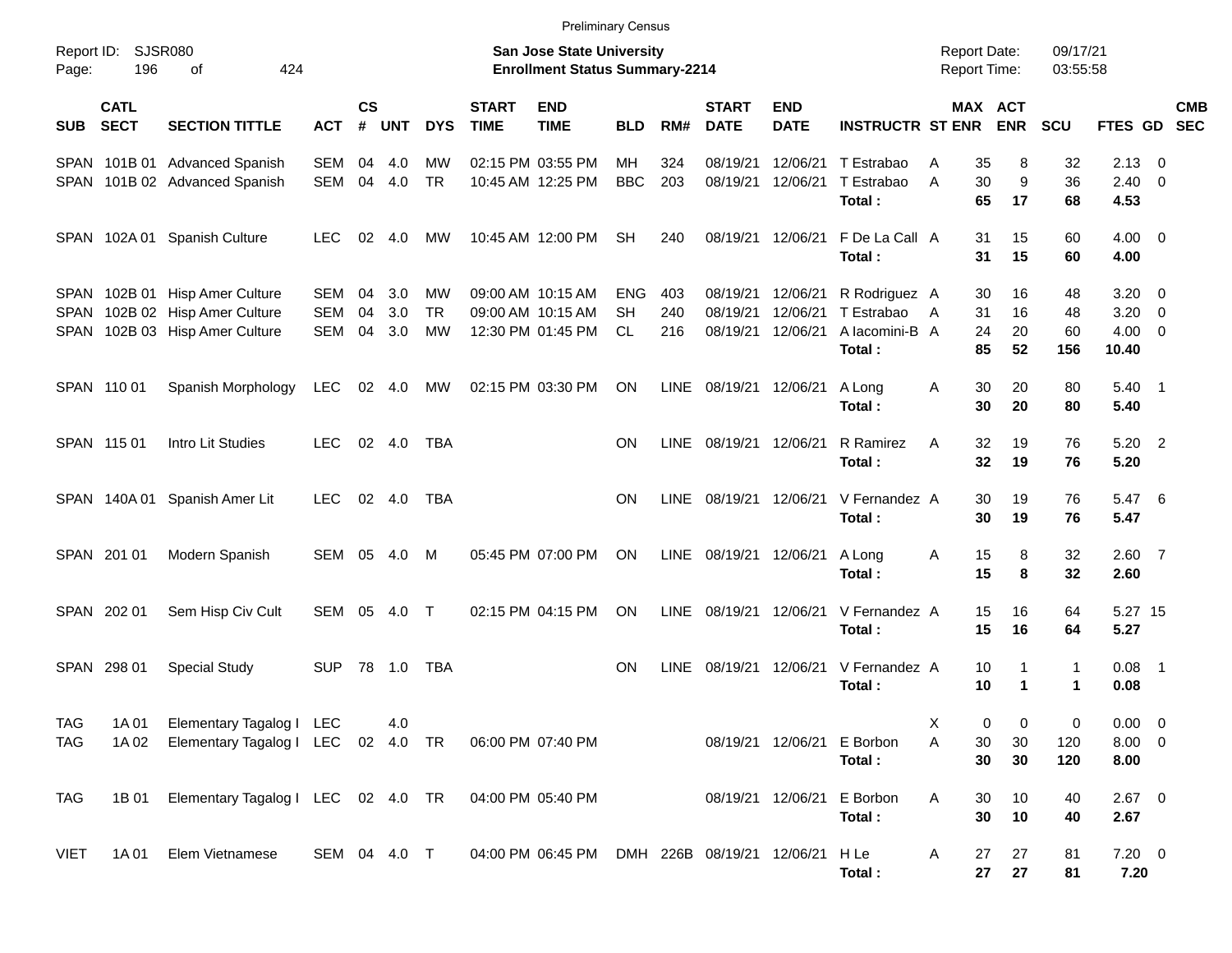|                     |                            |                                    |              |                    |            |            |                                                                    | <b>Preliminary Census</b> |            |             |                                 |                           |                                            |                    |                           |                   |                     |                           |
|---------------------|----------------------------|------------------------------------|--------------|--------------------|------------|------------|--------------------------------------------------------------------|---------------------------|------------|-------------|---------------------------------|---------------------------|--------------------------------------------|--------------------|---------------------------|-------------------|---------------------|---------------------------|
| Report ID:<br>Page: | <b>SJSR080</b><br>196      |                                    |              |                    |            |            | San Jose State University<br><b>Enrollment Status Summary-2214</b> |                           |            |             |                                 |                           | <b>Report Date:</b><br><b>Report Time:</b> |                    | 09/17/21<br>03:55:58      |                   |                     |                           |
| <b>SUB</b>          | <b>CATL</b><br><b>SECT</b> | <b>SECTION TITTLE</b>              | <b>ACT</b>   | $\mathsf{cs}$<br># | <b>UNT</b> | <b>DYS</b> | <b>START</b><br><b>TIME</b>                                        | <b>END</b><br><b>TIME</b> | <b>BLD</b> | RM#         | <b>START</b><br><b>DATE</b>     | <b>END</b><br><b>DATE</b> | <b>INSTRUCTR ST ENR</b>                    |                    | MAX ACT<br><b>ENR</b>     | <b>SCU</b>        |                     | <b>CMB</b><br>FTES GD SEC |
|                     |                            | SPAN 101B 01 Advanced Spanish      | SEM          | 04                 | 4.0        | МW         |                                                                    | 02:15 PM 03:55 PM         | <b>MH</b>  | 324         | 08/19/21                        | 12/06/21<br>12/06/21      | T Estrabao                                 | 35<br>Α<br>30<br>A | 8<br>9                    | 32<br>36          | 2.13                | $\overline{\phantom{0}}$  |
|                     |                            | SPAN 101B 02 Advanced Spanish      | SEM          | 04                 | 4.0        | <b>TR</b>  |                                                                    | 10:45 AM 12:25 PM         | <b>BBC</b> | 203         | 08/19/21                        |                           | T Estrabao<br>Total:                       | 65                 | 17                        | 68                | $2.40 \ 0$<br>4.53  |                           |
|                     |                            | SPAN 102A 01 Spanish Culture       | <b>LEC</b>   | 02                 | 4.0        | MW         |                                                                    | 10:45 AM 12:00 PM         | <b>SH</b>  | 240         | 08/19/21                        | 12/06/21                  | F De La Call A<br>Total:                   | 31<br>31           | 15<br>15                  | 60<br>60          | $4.00 \ 0$<br>4.00  |                           |
|                     |                            | SPAN 102B 01 Hisp Amer Culture     | SEM          | 04                 | 3.0        | МW         |                                                                    | 09:00 AM 10:15 AM         | ENG        | 403         | 08/19/21                        | 12/06/21                  | R Rodriguez A                              | 30                 | 16                        | 48                | $3.20 \ 0$          |                           |
| SPAN                |                            | 102B 02 Hisp Amer Culture          | <b>SEM</b>   | 04                 | 3.0        | <b>TR</b>  |                                                                    | 09:00 AM 10:15 AM         | <b>SH</b>  | 240         | 08/19/21                        | 12/06/21                  | T Estrabao                                 | 31<br>A            | 16                        | 48                | 3.20                | $\overline{\phantom{0}}$  |
|                     |                            | SPAN 102B 03 Hisp Amer Culture     | SEM          | 04                 | 3.0        | <b>MW</b>  |                                                                    | 12:30 PM 01:45 PM         | <b>CL</b>  | 216         | 08/19/21                        | 12/06/21                  | A lacomini-B A<br>Total:                   | 24<br>85           | 20<br>52                  | 60<br>156         | $4.00 \ 0$<br>10.40 |                           |
|                     | SPAN 110 01                | Spanish Morphology                 | <b>LEC</b>   |                    | 02 4.0     | MW         |                                                                    | 02:15 PM 03:30 PM         | ON         | <b>LINE</b> | 08/19/21 12/06/21               |                           | A Long<br>Total:                           | 30<br>Α<br>30      | 20<br>20                  | 80<br>80          | $5.40$ 1<br>5.40    |                           |
|                     | SPAN 115 01                | Intro Lit Studies                  | <b>LEC</b>   |                    | 02 4.0     | TBA        |                                                                    |                           | <b>ON</b>  | <b>LINE</b> | 08/19/21 12/06/21               |                           | R Ramirez<br>Total:                        | 32<br>A<br>32      | 19<br>19                  | 76<br>76          | $5.20$ 2<br>5.20    |                           |
|                     |                            | SPAN 140A 01 Spanish Amer Lit      | <b>LEC</b>   |                    | 02 4.0     | <b>TBA</b> |                                                                    |                           | <b>ON</b>  | <b>LINE</b> | 08/19/21 12/06/21               |                           | V Fernandez A<br>Total:                    | 30<br>30           | 19<br>19                  | 76<br>76          | 5.47 6<br>5.47      |                           |
|                     | SPAN 201 01                | Modern Spanish                     | SEM 05       |                    | 4.0        | M          |                                                                    | 05:45 PM 07:00 PM         | <b>ON</b>  | LINE        | 08/19/21 12/06/21               |                           | A Long<br>Total:                           | 15<br>Α<br>15      | 8<br>8                    | 32<br>32          | $2.60$ 7<br>2.60    |                           |
|                     | SPAN 202 01                | Sem Hisp Civ Cult                  | SEM 05       |                    | 4.0        | $\top$     |                                                                    | 02:15 PM 04:15 PM         | <b>ON</b>  | <b>LINE</b> | 08/19/21                        | 12/06/21                  | V Fernandez A<br>Total:                    | 15<br>15           | 16<br>16                  | 64<br>64          | 5.27 15<br>5.27     |                           |
|                     | SPAN 298 01                | <b>Special Study</b>               | <b>SUP</b>   |                    | 78 1.0     | TBA        |                                                                    |                           | <b>ON</b>  | <b>LINE</b> | 08/19/21                        | 12/06/21                  | V Fernandez A<br>Total:                    | 10<br>10           | 1<br>$\blacktriangleleft$ | $\mathbf{1}$<br>1 | $0.08$ 1<br>0.08    |                           |
| <b>TAG</b>          | 1A 01                      | Elementary Tagalog I LEC           |              |                    | 4.0        |            |                                                                    |                           |            |             |                                 |                           |                                            | х<br>0             | 0                         | 0                 | $0.00 \t 0$         |                           |
| <b>TAG</b>          | 1A 02                      | Elementary Tagalog I LEC 02 4.0 TR |              |                    |            |            |                                                                    | 06:00 PM 07:40 PM         |            |             |                                 |                           | 08/19/21 12/06/21 E Borbon                 | Α<br>30            | 30                        | 120               | $8.00 \t 0$         |                           |
|                     |                            |                                    |              |                    |            |            |                                                                    |                           |            |             |                                 |                           | Total:                                     | 30                 | 30                        | 120               | 8.00                |                           |
| TAG                 | 1B 01                      | Elementary Tagalog I LEC 02 4.0 TR |              |                    |            |            |                                                                    | 04:00 PM 05:40 PM         |            |             |                                 |                           | 08/19/21 12/06/21 E Borbon                 | Α<br>30            | 10                        | 40                | $2.67$ 0            |                           |
|                     |                            |                                    |              |                    |            |            |                                                                    |                           |            |             |                                 |                           | Total:                                     | 30                 | 10                        | 40                | 2.67                |                           |
| VIET                | 1A 01                      | Elem Vietnamese                    | SEM 04 4.0 T |                    |            |            |                                                                    | 04:00 PM 06:45 PM         |            |             | DMH 226B 08/19/21 12/06/21 H Le |                           | Total:                                     | 27<br>A<br>27      | 27<br>27                  | 81<br>81          | $7.20 \t 0$<br>7.20 |                           |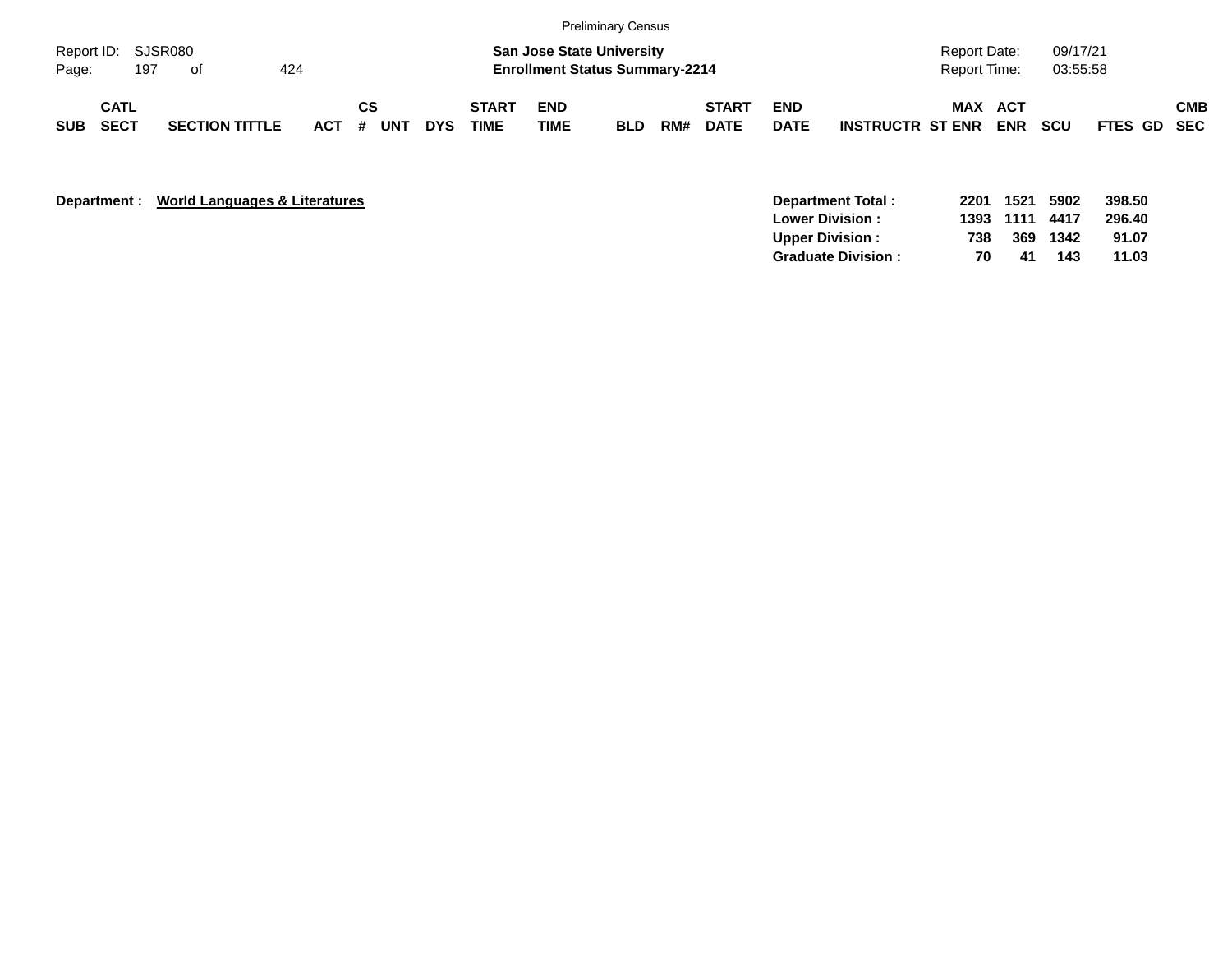|                             |                            |     |                       |     |         |           |     |            |                             |                    | <b>Preliminary Census</b>                                                 |     |                             |                           |                         |                                     |            |                      |             |            |
|-----------------------------|----------------------------|-----|-----------------------|-----|---------|-----------|-----|------------|-----------------------------|--------------------|---------------------------------------------------------------------------|-----|-----------------------------|---------------------------|-------------------------|-------------------------------------|------------|----------------------|-------------|------------|
| Report ID: SJSR080<br>Page: |                            | 197 | of                    | 424 |         |           |     |            |                             |                    | <b>San Jose State University</b><br><b>Enrollment Status Summary-2214</b> |     |                             |                           |                         | Report Date:<br><b>Report Time:</b> |            | 09/17/21<br>03:55:58 |             |            |
| SUB                         | <b>CATL</b><br><b>SECT</b> |     | <b>SECTION TITTLE</b> |     | $ACT$ # | <b>CS</b> | UNT | <b>DYS</b> | <b>START</b><br><b>TIME</b> | <b>END</b><br>TIME | <b>BLD</b>                                                                | RM# | <b>START</b><br><b>DATE</b> | <b>END</b><br><b>DATE</b> | <b>INSTRUCTR ST ENR</b> | <b>MAX ACT</b>                      | <b>ENR</b> | <b>SCU</b>           | FTES GD SEC | <b>CMB</b> |

| Department : | World Languages & Literatures | 2201<br>Department Total:       | 1521 | 5902 | 398.50 |
|--------------|-------------------------------|---------------------------------|------|------|--------|
|              |                               | 1393<br><b>Lower Division:</b>  | 1111 | 4417 | 296.40 |
|              |                               | <b>Upper Division:</b><br>738   | 369  | 1342 | 91.07  |
|              |                               | 70<br><b>Graduate Division:</b> | -41  | 143  | 11.03  |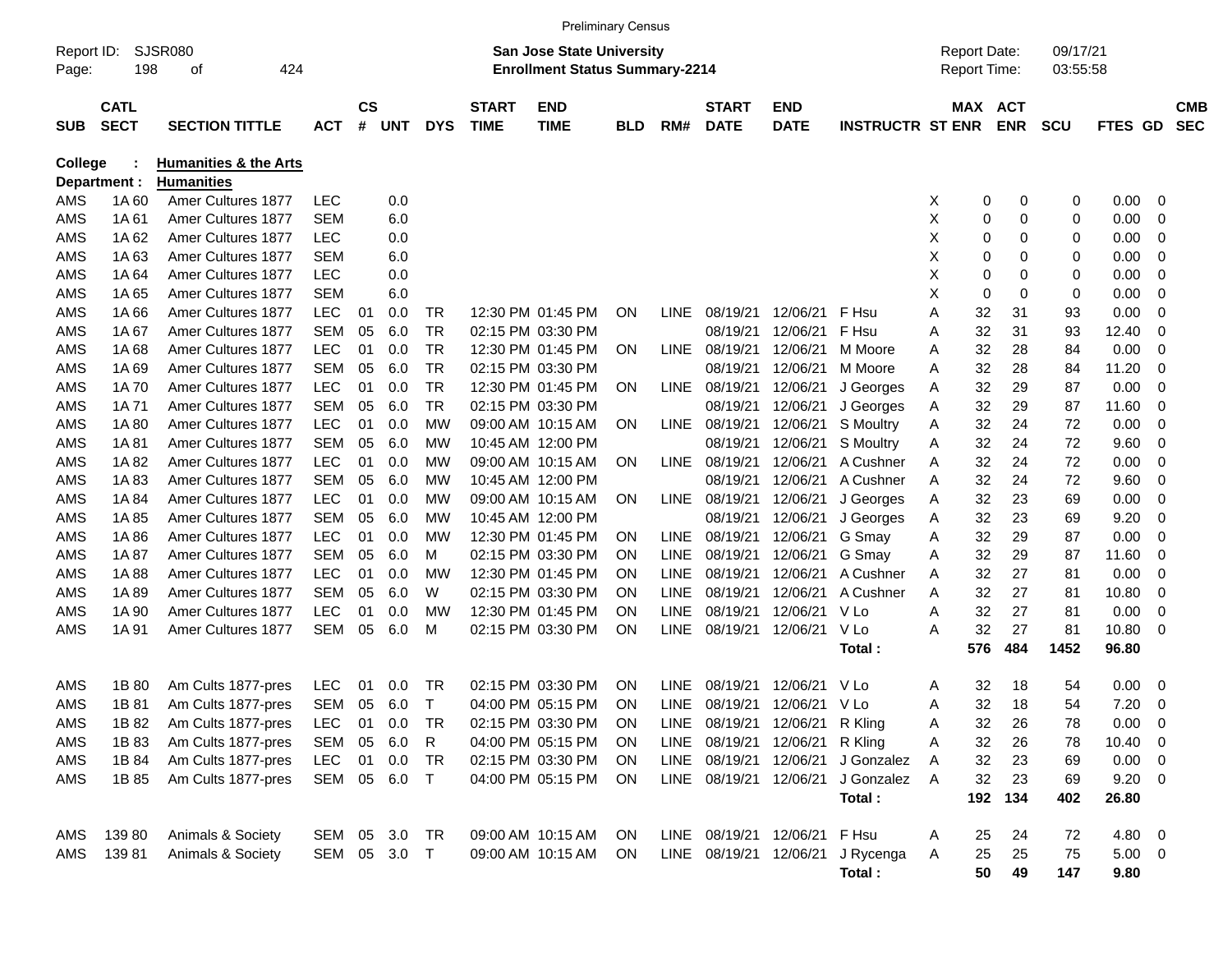|                |                            |                                  |            |           |              |            |                             | <b>Preliminary Census</b>              |            |             |                                |                           |                                  |                     |                       |     |            |             |                         |                          |
|----------------|----------------------------|----------------------------------|------------|-----------|--------------|------------|-----------------------------|----------------------------------------|------------|-------------|--------------------------------|---------------------------|----------------------------------|---------------------|-----------------------|-----|------------|-------------|-------------------------|--------------------------|
| Report ID:     |                            | SJSR080                          |            |           |              |            |                             | <b>San Jose State University</b>       |            |             |                                |                           |                                  | <b>Report Date:</b> |                       |     | 09/17/21   |             |                         |                          |
| Page:          | 198                        | 424<br>οf                        |            |           |              |            |                             | <b>Enrollment Status Summary-2214</b>  |            |             |                                |                           |                                  | <b>Report Time:</b> |                       |     | 03:55:58   |             |                         |                          |
|                |                            |                                  |            |           |              |            |                             |                                        |            |             |                                |                           |                                  |                     |                       |     |            |             |                         |                          |
| <b>SUB</b>     | <b>CATL</b><br><b>SECT</b> | <b>SECTION TITTLE</b>            | <b>ACT</b> | <b>CS</b> | # UNT        | <b>DYS</b> | <b>START</b><br><b>TIME</b> | <b>END</b><br><b>TIME</b>              | <b>BLD</b> | RM#         | <b>START</b><br><b>DATE</b>    | <b>END</b><br><b>DATE</b> | <b>INSTRUCTR ST ENR</b>          |                     | MAX ACT<br><b>ENR</b> |     | <b>SCU</b> | FTES GD     |                         | <b>CMB</b><br><b>SEC</b> |
|                |                            |                                  |            |           |              |            |                             |                                        |            |             |                                |                           |                                  |                     |                       |     |            |             |                         |                          |
| <b>College</b> |                            | <b>Humanities &amp; the Arts</b> |            |           |              |            |                             |                                        |            |             |                                |                           |                                  |                     |                       |     |            |             |                         |                          |
|                | Department :               | <b>Humanities</b>                |            |           |              |            |                             |                                        |            |             |                                |                           |                                  |                     |                       |     |            |             |                         |                          |
| AMS            | 1A60                       | <b>Amer Cultures 1877</b>        | <b>LEC</b> |           | 0.0          |            |                             |                                        |            |             |                                |                           |                                  | X                   | 0                     | 0   | 0          | 0.00        | 0                       |                          |
| AMS            | 1A61                       | Amer Cultures 1877               | <b>SEM</b> |           | 6.0          |            |                             |                                        |            |             |                                |                           |                                  | х                   | 0                     | 0   | 0          | 0.00        | 0                       |                          |
| AMS            | 1A62                       | Amer Cultures 1877               | <b>LEC</b> |           | 0.0          |            |                             |                                        |            |             |                                |                           |                                  | х                   | 0                     | 0   | 0          | 0.00        | 0                       |                          |
| AMS            | 1A63                       | Amer Cultures 1877               | <b>SEM</b> |           | 6.0          |            |                             |                                        |            |             |                                |                           |                                  | х                   | 0                     | 0   | 0          | 0.00        | 0                       |                          |
| AMS            | 1A64                       | Amer Cultures 1877               | <b>LEC</b> |           | 0.0          |            |                             |                                        |            |             |                                |                           |                                  | х                   | 0                     | 0   | 0          | 0.00        | 0                       |                          |
| AMS            | 1A 65                      | Amer Cultures 1877               | <b>SEM</b> |           | 6.0          |            |                             |                                        |            |             |                                |                           |                                  | х                   | 0                     | 0   | 0          | 0.00        | 0                       |                          |
| AMS            | 1A66                       | Amer Cultures 1877               | <b>LEC</b> | 01        | 0.0          | TR         |                             | 12:30 PM 01:45 PM                      | <b>ON</b>  | <b>LINE</b> | 08/19/21                       | 12/06/21                  | F Hsu                            | Α                   | 32                    | 31  | 93         | 0.00        | 0                       |                          |
| AMS            | 1A 67                      | Amer Cultures 1877               | <b>SEM</b> | 05        | 6.0          | TR         |                             | 02:15 PM 03:30 PM                      |            |             | 08/19/21                       | 12/06/21                  | F Hsu                            | Α                   | 32                    | 31  | 93         | 12.40       | 0                       |                          |
| AMS            | 1A68                       | Amer Cultures 1877               | <b>LEC</b> | 01        | 0.0          | <b>TR</b>  |                             | 12:30 PM 01:45 PM                      | ΟN         | <b>LINE</b> | 08/19/21                       | 12/06/21                  | M Moore                          | Α                   | 32                    | 28  | 84         | 0.00        | 0                       |                          |
| AMS            | 1A69                       | Amer Cultures 1877               | <b>SEM</b> | 05        | 6.0          | TR         |                             | 02:15 PM 03:30 PM                      |            |             | 08/19/21                       | 12/06/21                  | M Moore                          | A                   | 32                    | 28  | 84         | 11.20       | 0                       |                          |
| AMS            | 1A 70                      | Amer Cultures 1877               | <b>LEC</b> | 01        | 0.0          | TR         |                             | 12:30 PM 01:45 PM                      | ΟN         | <b>LINE</b> | 08/19/21                       | 12/06/21                  | J Georges                        | A                   | 32                    | 29  | 87         | 0.00        | 0                       |                          |
| AMS            | 1A 71                      | Amer Cultures 1877               | <b>SEM</b> | 05        | 6.0          | TR         |                             | 02:15 PM 03:30 PM                      |            |             | 08/19/21                       | 12/06/21                  | J Georges                        | A                   | 32                    | 29  | 87         | 11.60       | 0                       |                          |
| AMS            | 1A 80                      | Amer Cultures 1877               | <b>LEC</b> | 01        | 0.0          | МW         |                             | 09:00 AM 10:15 AM                      | ΟN         | <b>LINE</b> | 08/19/21                       | 12/06/21                  | S Moultry                        | A                   | 32                    | 24  | 72         | 0.00        | 0                       |                          |
| AMS            | 1A81                       | Amer Cultures 1877               | <b>SEM</b> | 05        | 6.0          | МW         |                             | 10:45 AM 12:00 PM                      |            |             | 08/19/21                       | 12/06/21                  | S Moultry                        | A                   | 32                    | 24  | 72         | 9.60        | 0                       |                          |
| AMS            | 1A82                       | Amer Cultures 1877               | <b>LEC</b> | 01        | 0.0          | МW         |                             | 09:00 AM 10:15 AM                      | ΟN         | <b>LINE</b> | 08/19/21                       | 12/06/21                  | A Cushner                        | A                   | 32                    | 24  | 72         | 0.00        | 0                       |                          |
| AMS            | 1A83                       | Amer Cultures 1877               | SEM        | 05        | 6.0          | МW         |                             | 10:45 AM 12:00 PM                      |            |             | 08/19/21                       | 12/06/21                  | A Cushner                        | A                   | 32                    | 24  | 72         | 9.60        | 0                       |                          |
| AMS            | 1A 84                      | Amer Cultures 1877               | <b>LEC</b> | 01        | 0.0          | МW         |                             | 09:00 AM 10:15 AM                      | ON         | <b>LINE</b> | 08/19/21                       | 12/06/21                  | J Georges                        | Α                   | 32                    | 23  | 69         | 0.00        | 0                       |                          |
| AMS            | 1A 85                      | Amer Cultures 1877               | SEM        | 05        | 6.0          | МW         |                             | 10:45 AM 12:00 PM                      |            |             | 08/19/21                       | 12/06/21                  | J Georges                        | A                   | 32                    | 23  | 69         | 9.20        | 0                       |                          |
| AMS            | 1A 86                      | Amer Cultures 1877               | <b>LEC</b> | 01        | 0.0          | МW         |                             | 12:30 PM 01:45 PM                      | 0N         | <b>LINE</b> | 08/19/21                       | 12/06/21                  | G Smay                           | Α                   | 32                    | 29  | 87         | 0.00        | 0                       |                          |
| AMS            | 1A 87                      | Amer Cultures 1877               | <b>SEM</b> | 05        | 6.0          | м          |                             | 02:15 PM 03:30 PM                      | ON         | <b>LINE</b> | 08/19/21                       | 12/06/21                  | G Smay                           | Α                   | 32                    | 29  | 87         | 11.60       | 0                       |                          |
| AMS            | 1A88                       | Amer Cultures 1877               | <b>LEC</b> | 01        | 0.0          | МW         |                             | 12:30 PM 01:45 PM                      | ΟN         | <b>LINE</b> | 08/19/21                       | 12/06/21                  | A Cushner                        | A                   | 32                    | 27  | 81         | 0.00        | 0                       |                          |
| AMS            | 1A89                       | Amer Cultures 1877               | <b>SEM</b> | 05        | 6.0          | W          |                             | 02:15 PM 03:30 PM                      | ΟN         | <b>LINE</b> | 08/19/21                       | 12/06/21                  | A Cushner                        | A                   | 32                    | 27  | 81         | 10.80       | 0                       |                          |
| AMS            | 1A 90                      | Amer Cultures 1877               | <b>LEC</b> | 01        | 0.0          | МW         |                             | 12:30 PM 01:45 PM                      | ΟN         | <b>LINE</b> | 08/19/21                       | 12/06/21                  | V Lo                             | Α                   | 32                    | 27  | 81         | 0.00        | 0                       |                          |
| AMS            | 1A 91                      | Amer Cultures 1877               | SEM        | 05        | 6.0          | м          |                             | 02:15 PM 03:30 PM                      | ON         | LINE        | 08/19/21                       | 12/06/21                  | V Lo                             | Α                   | 32                    | 27  | 81         | 10.80       | 0                       |                          |
|                |                            |                                  |            |           |              |            |                             |                                        |            |             |                                |                           | Total:                           | 576                 |                       | 484 | 1452       | 96.80       |                         |                          |
|                |                            |                                  |            |           |              |            |                             |                                        |            |             |                                |                           |                                  |                     |                       |     |            |             |                         |                          |
| AMS            | 1B 80                      | Am Cults 1877-pres               | <b>LEC</b> | 01        | 0.0          | TR         |                             | 02:15 PM 03:30 PM                      | ON         | <b>LINE</b> | 08/19/21                       | 12/06/21                  | V Lo                             | A                   | 32                    | 18  | 54         | 0.00        | $\overline{\mathbf{0}}$ |                          |
| AMS            | 1B 81                      | Am Cults 1877-pres               | SEM        | 05        | 6.0          | T          |                             | 04:00 PM 05:15 PM                      | 0N         | <b>LINE</b> | 08/19/21                       | 12/06/21                  | V Lo                             | A                   | 32                    | 18  | 54         | 7.20        | 0                       |                          |
| AMS            | 1B 82                      | Am Cults 1877-pres               | LEC        | 01        | 0.0          | TR         |                             | 02:15 PM 03:30 PM                      | ON         |             | LINE 08/19/21 12/06/21 R Kling |                           |                                  | Α                   | 32                    | 26  | 78         | 0.00        | $\overline{\mathbf{0}}$ |                          |
| AMS            | 1B 83                      | Am Cults 1877-pres               | SEM 05     |           | 6.0          | R          |                             | 04:00 PM 05:15 PM                      | <b>ON</b>  |             | LINE 08/19/21 12/06/21 R Kling |                           |                                  | A                   | 32                    | 26  | 78         | $10.40 \ 0$ |                         |                          |
| AMS            | 1B 84                      | Am Cults 1877-pres               | LEC        |           | 01 0.0       | TR         |                             | 02:15 PM 03:30 PM                      | ON.        |             | LINE 08/19/21 12/06/21         |                           | J Gonzalez                       | Α                   | 32                    | 23  | 69         | $0.00 \t 0$ |                         |                          |
| AMS            | 1B 85                      | Am Cults 1877-pres               | SEM 05 6.0 |           |              | $\top$     |                             | 04:00 PM 05:15 PM                      | ON.        |             | LINE 08/19/21 12/06/21         |                           | J Gonzalez                       | A                   | 32                    | 23  | 69         | $9.20 \ 0$  |                         |                          |
|                |                            |                                  |            |           |              |            |                             |                                        |            |             |                                |                           | Total:                           |                     | 192 134               |     | 402        | 26.80       |                         |                          |
|                | 13980                      |                                  |            |           |              |            |                             |                                        |            |             |                                |                           |                                  |                     |                       |     |            | 4.80 0      |                         |                          |
| AMS            | 13981                      | Animals & Society                | SEM 05 3.0 |           | SEM 05 3.0 T | TR         |                             | 09:00 AM 10:15 AM<br>09:00 AM 10:15 AM | ON.        |             | LINE 08/19/21 12/06/21 F Hsu   |                           |                                  | A                   | 25                    | 24  | 72<br>75   | $5.00 \t 0$ |                         |                          |
| AMS            |                            | Animals & Society                |            |           |              |            |                             |                                        | ON.        |             |                                |                           | LINE 08/19/21 12/06/21 J Rycenga | A                   | 25                    | 25  |            |             |                         |                          |
|                |                            |                                  |            |           |              |            |                             |                                        |            |             |                                |                           | Total:                           |                     | 50                    | 49  | 147        | 9.80        |                         |                          |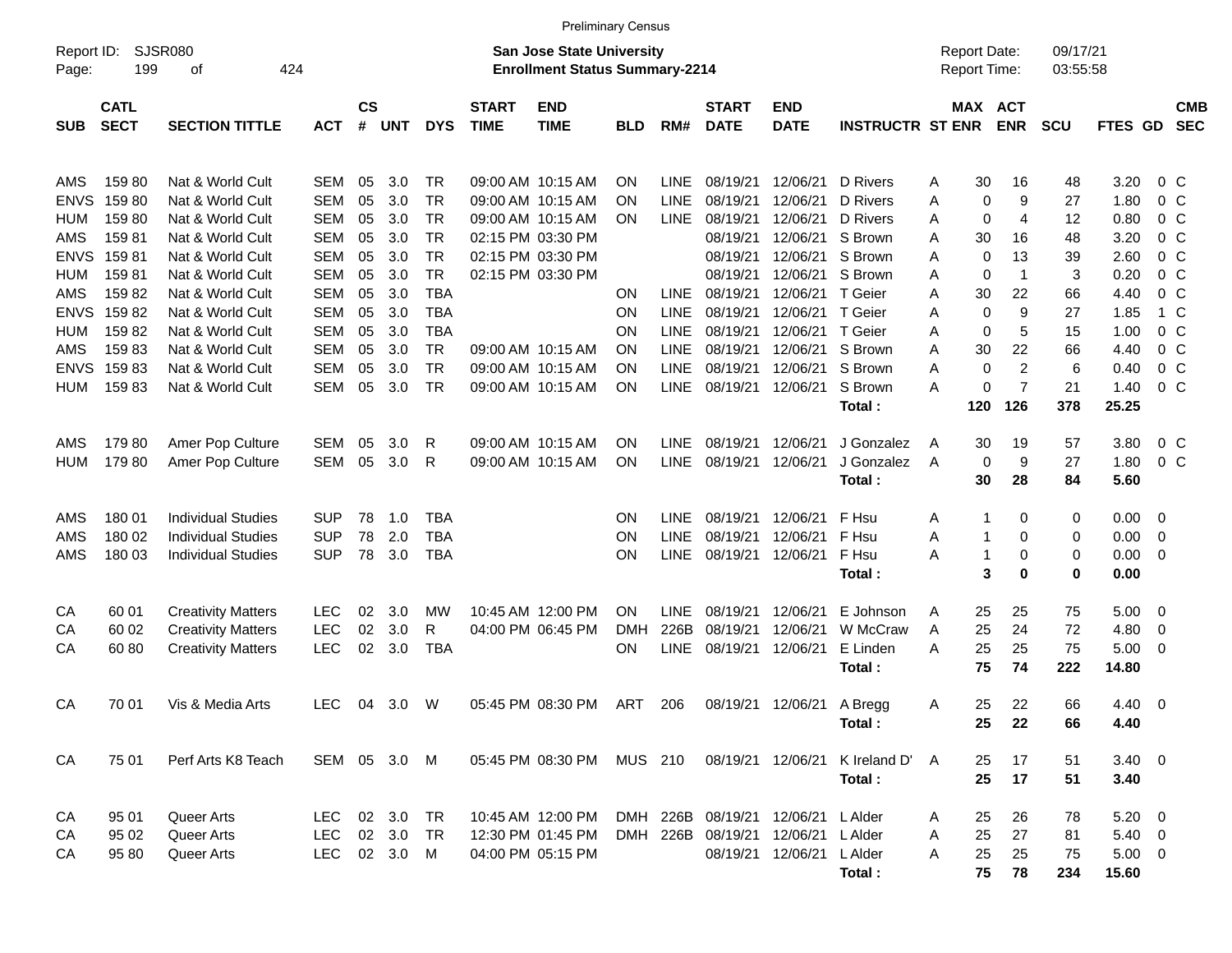|                                                |                                  |                                                                                     |                                                      |                      |                              |                                                    |                             | <b>Preliminary Census</b>                                                        |                        |                                                          |                                              |                                              |                                                    |                  |                                     |                                             |                            |                                                  |                                                                      |                          |
|------------------------------------------------|----------------------------------|-------------------------------------------------------------------------------------|------------------------------------------------------|----------------------|------------------------------|----------------------------------------------------|-----------------------------|----------------------------------------------------------------------------------|------------------------|----------------------------------------------------------|----------------------------------------------|----------------------------------------------|----------------------------------------------------|------------------|-------------------------------------|---------------------------------------------|----------------------------|--------------------------------------------------|----------------------------------------------------------------------|--------------------------|
| Report ID:<br>Page:                            | 199                              | SJSR080<br>424<br>οf                                                                |                                                      |                      |                              |                                                    |                             | <b>San Jose State University</b><br><b>Enrollment Status Summary-2214</b>        |                        |                                                          |                                              |                                              |                                                    |                  | <b>Report Date:</b><br>Report Time: |                                             | 09/17/21<br>03:55:58       |                                                  |                                                                      |                          |
| <b>SUB</b>                                     | <b>CATL</b><br><b>SECT</b>       | <b>SECTION TITTLE</b>                                                               | <b>ACT</b>                                           | $\mathsf{cs}$<br>#   | <b>UNT</b>                   | <b>DYS</b>                                         | <b>START</b><br><b>TIME</b> | <b>END</b><br><b>TIME</b>                                                        | <b>BLD</b>             | RM#                                                      | <b>START</b><br><b>DATE</b>                  | <b>END</b><br><b>DATE</b>                    | <b>INSTRUCTR ST ENR</b>                            |                  | MAX ACT                             | <b>ENR</b>                                  | <b>SCU</b>                 | FTES GD                                          |                                                                      | <b>CMB</b><br><b>SEC</b> |
| AMS<br><b>ENVS</b><br><b>HUM</b><br>AMS        | 15980<br>15980<br>15980<br>15981 | Nat & World Cult<br>Nat & World Cult<br>Nat & World Cult<br>Nat & World Cult        | <b>SEM</b><br><b>SEM</b><br><b>SEM</b><br><b>SEM</b> | 05<br>05<br>05<br>05 | 3.0<br>3.0<br>3.0<br>3.0     | TR<br><b>TR</b><br><b>TR</b><br><b>TR</b>          |                             | 09:00 AM 10:15 AM<br>09:00 AM 10:15 AM<br>09:00 AM 10:15 AM<br>02:15 PM 03:30 PM | ΟN<br>ΟN<br>ΟN         | <b>LINE</b><br><b>LINE</b><br>LINE                       | 08/19/21<br>08/19/21<br>08/19/21<br>08/19/21 | 12/06/21<br>12/06/21<br>12/06/21<br>12/06/21 | D Rivers<br><b>D</b> Rivers<br>D Rivers<br>S Brown | Α<br>A<br>Α<br>Α | 30<br>0<br>0<br>30                  | 16<br>9<br>4<br>16                          | 48<br>27<br>12<br>48       | 3.20<br>1.80<br>0.80<br>3.20                     | $0\,$ C<br>0 <sup>o</sup><br>0 <sup>o</sup><br>0 <sup>o</sup>        |                          |
| <b>ENVS</b><br>HUM<br>AMS<br><b>ENVS</b>       | 15981<br>15981<br>15982<br>15982 | Nat & World Cult<br>Nat & World Cult<br>Nat & World Cult<br>Nat & World Cult        | <b>SEM</b><br><b>SEM</b><br><b>SEM</b><br><b>SEM</b> | 05<br>05<br>05<br>05 | 3.0<br>3.0<br>3.0<br>3.0     | <b>TR</b><br><b>TR</b><br><b>TBA</b><br><b>TBA</b> |                             | 02:15 PM 03:30 PM<br>02:15 PM 03:30 PM                                           | ΟN<br>ON               | <b>LINE</b><br><b>LINE</b>                               | 08/19/21<br>08/19/21<br>08/19/21<br>08/19/21 | 12/06/21<br>12/06/21<br>12/06/21<br>12/06/21 | S Brown<br>S Brown<br>T Geier<br>T Geier           | Α<br>Α<br>Α<br>Α | 0<br>0<br>30<br>0                   | 13<br>$\mathbf 1$<br>22<br>9                | 39<br>3<br>66<br>27        | 2.60<br>0.20<br>4.40<br>1.85                     | 0 <sup>o</sup><br>0 <sup>o</sup><br>0 <sup>o</sup><br>$1\,C$         |                          |
| <b>HUM</b><br>AMS<br><b>ENVS</b><br><b>HUM</b> | 15982<br>15983<br>15983<br>15983 | Nat & World Cult<br>Nat & World Cult<br>Nat & World Cult<br>Nat & World Cult        | <b>SEM</b><br><b>SEM</b><br><b>SEM</b><br><b>SEM</b> | 05<br>05<br>05<br>05 | 3.0<br>3.0<br>3.0<br>3.0     | <b>TBA</b><br><b>TR</b><br><b>TR</b><br><b>TR</b>  |                             | 09:00 AM 10:15 AM<br>09:00 AM 10:15 AM<br>09:00 AM 10:15 AM                      | ON<br>ON<br>ΟN<br>ON   | <b>LINE</b><br><b>LINE</b><br><b>LINE</b><br><b>LINE</b> | 08/19/21<br>08/19/21<br>08/19/21<br>08/19/21 | 12/06/21<br>12/06/21<br>12/06/21<br>12/06/21 | T Geier<br>S Brown<br>S Brown<br>S Brown           | Α<br>Α<br>A<br>Α | 0<br>30<br>0<br>0                   | 5<br>22<br>$\overline{c}$<br>$\overline{7}$ | 15<br>66<br>6<br>21<br>378 | 1.00<br>4.40<br>0.40<br>1.40                     | 0 <sup>o</sup><br>0 <sup>o</sup><br>0 <sup>o</sup><br>0 <sup>o</sup> |                          |
| AMS<br><b>HUM</b>                              | 17980<br>179 80                  | Amer Pop Culture<br>Amer Pop Culture                                                | SEM<br><b>SEM</b>                                    | 05<br>05             | 3.0<br>3.0                   | R<br>R                                             |                             | 09:00 AM 10:15 AM<br>09:00 AM 10:15 AM                                           | ΟN<br>ON               | <b>LINE</b><br><b>LINE</b>                               | 08/19/21<br>08/19/21                         | 12/06/21<br>12/06/21                         | Total:<br>J Gonzalez<br>J Gonzalez<br>Total:       | A<br>A           | 120<br>30<br>0<br>30                | 126<br>19<br>9<br>28                        | 57<br>27<br>84             | 25.25<br>3.80<br>1.80<br>5.60                    | $0\,$ C<br>0 <sup>o</sup>                                            |                          |
| AMS<br>AMS<br>AMS                              | 180 01<br>180 02<br>180 03       | <b>Individual Studies</b><br><b>Individual Studies</b><br><b>Individual Studies</b> | <b>SUP</b><br><b>SUP</b><br><b>SUP</b>               | 78<br>78<br>78       | 1.0<br>2.0<br>3.0            | <b>TBA</b><br><b>TBA</b><br><b>TBA</b>             |                             |                                                                                  | ΟN<br>ΟN<br>ON         | <b>LINE</b><br><b>LINE</b><br><b>LINE</b>                | 08/19/21<br>08/19/21<br>08/19/21             | 12/06/21<br>12/06/21<br>12/06/21             | F Hsu<br>F Hsu<br>F Hsu<br>Total:                  | A<br>Α<br>Α      | 1<br>1<br>1<br>3                    | 0<br>0<br>0<br>0                            | 0<br>0<br>0<br>0           | 0.00<br>0.00<br>0.00<br>0.00                     | - 0<br>- 0<br>- 0                                                    |                          |
| CA<br>СA<br>CА                                 | 60 01<br>60 02<br>60 80          | <b>Creativity Matters</b><br><b>Creativity Matters</b><br><b>Creativity Matters</b> | <b>LEC</b><br><b>LEC</b><br><b>LEC</b>               | 02<br>02<br>02       | 3.0<br>3.0<br>3.0            | MW<br>R<br><b>TBA</b>                              |                             | 10:45 AM 12:00 PM<br>04:00 PM 06:45 PM                                           | OΝ<br><b>DMH</b><br>ΟN | <b>LINE</b><br>226B<br><b>LINE</b>                       | 08/19/21<br>08/19/21<br>08/19/21             | 12/06/21<br>12/06/21<br>12/06/21             | E Johnson<br>W McCraw<br>E Linden<br>Total:        | A<br>A<br>Α      | 25<br>25<br>25<br>75                | 25<br>24<br>25<br>74                        | 75<br>72<br>75<br>222      | 5.00<br>4.80<br>5.00<br>14.80                    | $\overline{\mathbf{0}}$<br>$\overline{0}$<br>- 0                     |                          |
| CA                                             | 70 01                            | Vis & Media Arts                                                                    | <b>LEC</b>                                           | 04                   | 3.0                          | W                                                  |                             | 05:45 PM 08:30 PM                                                                | ART                    | 206                                                      | 08/19/21                                     | 12/06/21                                     | A Bregg<br>Total:                                  | A                | 25<br>25                            | 22<br>22                                    | 66<br>66                   | 4.40<br>4.40                                     | $\overline{\phantom{0}}$                                             |                          |
| CA                                             | 75 01                            | Perf Arts K8 Teach                                                                  | SEM 05 3.0 M                                         |                      |                              |                                                    |                             | 05:45 PM 08:30 PM                                                                | MUS 210                |                                                          | 08/19/21 12/06/21                            |                                              | K Ireland D'<br>Total:                             | A                | 25<br>25                            | 17<br>17                                    | 51<br>51                   | $3.40 \ 0$<br>3.40                               |                                                                      |                          |
| CA<br>CA<br>CA                                 | 95 01<br>95 02<br>95 80          | Queer Arts<br>Queer Arts<br>Queer Arts                                              | LEC<br>LEC<br><b>LEC</b>                             |                      | 02 3.0<br>02 3.0<br>02 3.0 M | TR<br><b>TR</b>                                    |                             | 10:45 AM 12:00 PM<br>12:30 PM 01:45 PM<br>04:00 PM 05:15 PM                      |                        | DMH 226B<br>DMH 226B                                     | 08/19/21<br>08/19/21<br>08/19/21             | 12/06/21<br>12/06/21<br>12/06/21             | L Alder<br>L Alder<br>L Alder<br>Total:            | A<br>A<br>Α      | 25<br>25<br>25<br>75                | 26<br>27<br>25<br>78                        | 78<br>81<br>75<br>234      | $5.20 \t 0$<br>$5.40\ 0$<br>$5.00 \t 0$<br>15.60 |                                                                      |                          |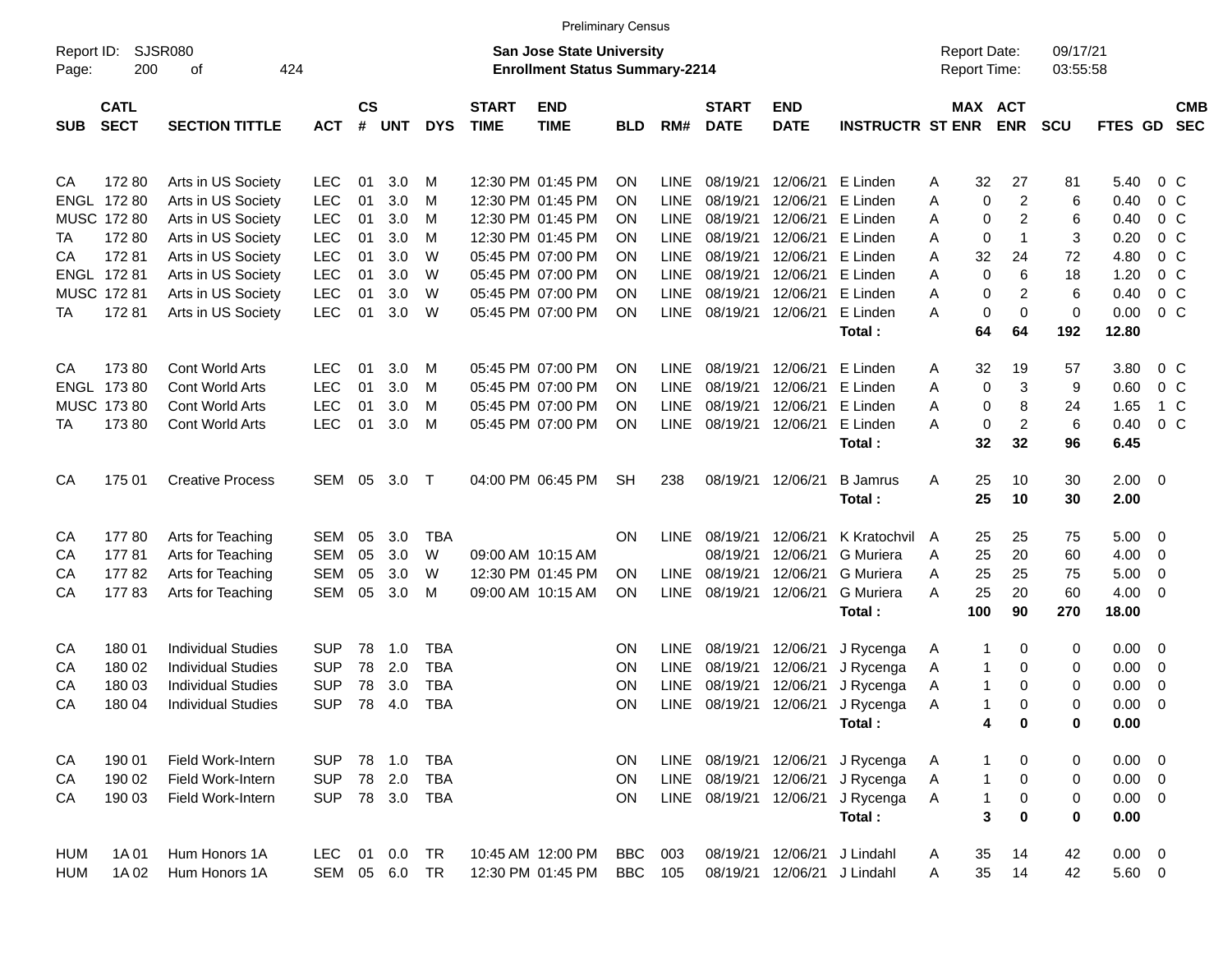|                      |                                                       |                                                                                                                  |                                                                    |                            |                                 |                                                      |                             | <b>Preliminary Census</b>                                                                             |                            |                                                                  |                                                          |                                                          |                                                                             |                       |                                     |                                                 |                             |                                                   |                                                                                                            |                                                                             |
|----------------------|-------------------------------------------------------|------------------------------------------------------------------------------------------------------------------|--------------------------------------------------------------------|----------------------------|---------------------------------|------------------------------------------------------|-----------------------------|-------------------------------------------------------------------------------------------------------|----------------------------|------------------------------------------------------------------|----------------------------------------------------------|----------------------------------------------------------|-----------------------------------------------------------------------------|-----------------------|-------------------------------------|-------------------------------------------------|-----------------------------|---------------------------------------------------|------------------------------------------------------------------------------------------------------------|-----------------------------------------------------------------------------|
| Report ID:<br>Page:  | 200                                                   | <b>SJSR080</b><br>424<br>оf                                                                                      |                                                                    |                            |                                 |                                                      |                             | <b>San Jose State University</b><br><b>Enrollment Status Summary-2214</b>                             |                            |                                                                  |                                                          |                                                          |                                                                             |                       | <b>Report Date:</b><br>Report Time: |                                                 | 09/17/21<br>03:55:58        |                                                   |                                                                                                            |                                                                             |
| <b>SUB</b>           | <b>CATL</b><br><b>SECT</b>                            | <b>SECTION TITTLE</b>                                                                                            | <b>ACT</b>                                                         | $\mathsf{cs}$<br>$\#$      | <b>UNT</b>                      | <b>DYS</b>                                           | <b>START</b><br><b>TIME</b> | <b>END</b><br><b>TIME</b>                                                                             | <b>BLD</b>                 | RM#                                                              | <b>START</b><br><b>DATE</b>                              | <b>END</b><br><b>DATE</b>                                | <b>INSTRUCTR ST ENR</b>                                                     |                       | MAX ACT                             | <b>ENR</b>                                      | <b>SCU</b>                  | FTES GD                                           |                                                                                                            | <b>CMB</b><br><b>SEC</b>                                                    |
| CA<br>TA<br>СA       | 17280<br>ENGL 172 80<br>MUSC 172 80<br>17280<br>17281 | Arts in US Society<br>Arts in US Society<br>Arts in US Society<br>Arts in US Society<br>Arts in US Society       | <b>LEC</b><br><b>LEC</b><br><b>LEC</b><br><b>LEC</b><br><b>LEC</b> | 01<br>01<br>01<br>01<br>01 | 3.0<br>3.0<br>3.0<br>3.0<br>3.0 | M<br>M<br>M<br>м<br>W                                |                             | 12:30 PM 01:45 PM<br>12:30 PM 01:45 PM<br>12:30 PM 01:45 PM<br>12:30 PM 01:45 PM<br>05:45 PM 07:00 PM | ΟN<br>ΟN<br>ΟN<br>ΟN<br>ΟN | LINE<br><b>LINE</b><br><b>LINE</b><br><b>LINE</b><br><b>LINE</b> | 08/19/21<br>08/19/21<br>08/19/21<br>08/19/21<br>08/19/21 | 12/06/21<br>12/06/21<br>12/06/21<br>12/06/21<br>12/06/21 | E Linden<br>E Linden<br>E Linden<br>E Linden<br>E Linden                    | Α<br>Α<br>Α<br>Α<br>Α | 32<br>0<br>0<br>0<br>32             | 27<br>$\overline{c}$<br>2<br>$\mathbf{1}$<br>24 | 81<br>6<br>6<br>3<br>72     | 5.40<br>0.40<br>0.40<br>0.20<br>4.80              |                                                                                                            | 0 C<br>0 <sup>o</sup><br>0 <sup>o</sup><br>0 <sup>o</sup><br>0 <sup>o</sup> |
| TA                   | ENGL 172 81<br>MUSC 172 81<br>17281                   | Arts in US Society<br>Arts in US Society<br>Arts in US Society                                                   | <b>LEC</b><br><b>LEC</b><br><b>LEC</b>                             | 01<br>01<br>01             | 3.0<br>3.0<br>3.0               | W<br>W<br>W                                          |                             | 05:45 PM 07:00 PM<br>05:45 PM 07:00 PM<br>05:45 PM 07:00 PM                                           | ΟN<br>ΟN<br>ON             | <b>LINE</b><br><b>LINE</b><br><b>LINE</b>                        | 08/19/21<br>08/19/21<br>08/19/21                         | 12/06/21<br>12/06/21<br>12/06/21                         | E Linden<br>E Linden<br>E Linden<br>Total:                                  | Α<br>Α<br>А           | 0<br>0<br>0<br>64                   | 6<br>2<br>$\mathbf 0$<br>64                     | 18<br>6<br>0<br>192         | 1.20<br>0.40<br>0.00<br>12.80                     | 0 <sup>o</sup>                                                                                             | 0 <sup>o</sup><br>0 <sup>o</sup>                                            |
| CA<br>TA             | 17380<br>ENGL 173 80<br>MUSC 173 80<br>17380          | Cont World Arts<br>Cont World Arts<br>Cont World Arts<br>Cont World Arts                                         | <b>LEC</b><br><b>LEC</b><br><b>LEC</b><br><b>LEC</b>               | 01<br>01<br>01<br>01       | 3.0<br>3.0<br>3.0<br>3.0        | M<br>м<br>м<br>M                                     |                             | 05:45 PM 07:00 PM<br>05:45 PM 07:00 PM<br>05:45 PM 07:00 PM<br>05:45 PM 07:00 PM                      | ΟN<br>ΟN<br>ΟN<br>ON       | LINE<br><b>LINE</b><br><b>LINE</b><br><b>LINE</b>                | 08/19/21<br>08/19/21<br>08/19/21<br>08/19/21             | 12/06/21<br>12/06/21<br>12/06/21<br>12/06/21             | E Linden<br>E Linden<br>E Linden<br>E Linden<br>Total:                      | Α<br>Α<br>Α<br>Α      | 32<br>0<br>0<br>0<br>32             | 19<br>3<br>8<br>2<br>32                         | 57<br>9<br>24<br>6<br>96    | 3.80<br>0.60<br>1.65<br>0.40<br>6.45              | $0\,$ C<br>0 <sup>o</sup>                                                                                  | 0 <sup>o</sup><br>1 C                                                       |
| CA                   | 175 01                                                | <b>Creative Process</b>                                                                                          | SEM                                                                | 05                         | 3.0                             | $\top$                                               |                             | 04:00 PM 06:45 PM                                                                                     | SН                         | 238                                                              | 08/19/21                                                 | 12/06/21                                                 | <b>B</b> Jamrus<br>Total:                                                   | A                     | 25<br>25                            | 10<br>10                                        | 30<br>30                    | $2.00 \t 0$<br>2.00                               |                                                                                                            |                                                                             |
| CA<br>CA<br>CА<br>СA | 17780<br>17781<br>17782<br>17783                      | Arts for Teaching<br>Arts for Teaching<br>Arts for Teaching<br>Arts for Teaching                                 | <b>SEM</b><br><b>SEM</b><br><b>SEM</b><br><b>SEM</b>               | 05<br>05<br>05<br>05       | 3.0<br>3.0<br>3.0<br>3.0        | <b>TBA</b><br>W<br>W<br>M                            |                             | 09:00 AM 10:15 AM<br>12:30 PM 01:45 PM<br>09:00 AM 10:15 AM                                           | <b>ON</b><br>ON<br>ON      | <b>LINE</b><br>LINE<br><b>LINE</b>                               | 08/19/21<br>08/19/21<br>08/19/21<br>08/19/21             | 12/06/21<br>12/06/21<br>12/06/21<br>12/06/21             | K Kratochvil<br><b>G</b> Muriera<br><b>G</b> Muriera<br>G Muriera<br>Total: | A<br>Α<br>Α<br>Α      | 25<br>25<br>25<br>25<br>100         | 25<br>20<br>25<br>20<br>90                      | 75<br>60<br>75<br>60<br>270 | 5.00<br>4.00<br>5.00<br>4.00<br>18.00             | $\overline{\phantom{0}}$<br>$\overline{\mathbf{0}}$<br>$\overline{\mathbf{0}}$<br>$\overline{\phantom{0}}$ |                                                                             |
| CA<br>CA<br>CA<br>CA | 180 01<br>180 02<br>180 03<br>180 04                  | <b>Individual Studies</b><br><b>Individual Studies</b><br><b>Individual Studies</b><br><b>Individual Studies</b> | <b>SUP</b><br><b>SUP</b><br><b>SUP</b><br><b>SUP</b>               | 78<br>78<br>78<br>78       | 1.0<br>2.0<br>3.0<br>4.0        | <b>TBA</b><br><b>TBA</b><br><b>TBA</b><br><b>TBA</b> |                             |                                                                                                       | ON<br>ON<br>ON<br>ΟN       | <b>LINE</b><br><b>LINE</b><br>LINE<br><b>LINE</b>                | 08/19/21<br>08/19/21<br>08/19/21<br>08/19/21             | 12/06/21<br>12/06/21<br>12/06/21<br>12/06/21             | J Rycenga<br>J Rycenga<br>J Rycenga<br>J Rycenga<br>Total:                  | Α<br>Α<br>Α<br>Α      | 1<br>1<br>$\mathbf 1$<br>1<br>4     | 0<br>0<br>0<br>$\Omega$<br>0                    | 0<br>0<br>0<br>0<br>0       | 0.00<br>0.00<br>0.00<br>0.00<br>0.00              | $\overline{\phantom{0}}$<br>$\overline{\mathbf{0}}$<br>$\mathbf 0$<br>- 0                                  |                                                                             |
| CA<br>CA<br>CA       | 190 01<br>190 02<br>190 03                            | Field Work-Intern<br>Field Work-Intern<br>Field Work-Intern                                                      | <b>SUP</b><br><b>SUP</b><br><b>SUP</b>                             | 78                         | 78 1.0<br>2.0<br>78 3.0         | <b>TBA</b><br><b>TBA</b><br>TBA                      |                             |                                                                                                       | ON<br>ON<br><b>ON</b>      | LINE<br>LINE<br>LINE                                             | 08/19/21<br>08/19/21<br>08/19/21                         | 12/06/21<br>12/06/21<br>12/06/21                         | J Rycenga<br>J Rycenga<br>J Rycenga<br>Total:                               | A<br>A<br>Α           | 1<br>1<br>1<br>3                    | 0<br>0<br>0<br>0                                | 0<br>0<br>0<br>$\pmb{0}$    | $0.00 \t 0$<br>$0.00 \t 0$<br>$0.00 \t 0$<br>0.00 |                                                                                                            |                                                                             |
| HUM<br><b>HUM</b>    | 1A 01<br>1A 02                                        | Hum Honors 1A<br>Hum Honors 1A                                                                                   | <b>LEC</b><br>SEM 05 6.0                                           | 01                         | 0.0                             | TR<br><b>TR</b>                                      |                             | 10:45 AM 12:00 PM<br>12:30 PM 01:45 PM                                                                | <b>BBC</b><br><b>BBC</b>   | 003<br>105                                                       | 08/19/21<br>08/19/21                                     | 12/06/21                                                 | J Lindahl<br>12/06/21 J Lindahl                                             | Α<br>Α                | 35<br>35                            | 14<br>14                                        | 42<br>42                    | $0.00 \t 0$<br>5.60 0                             |                                                                                                            |                                                                             |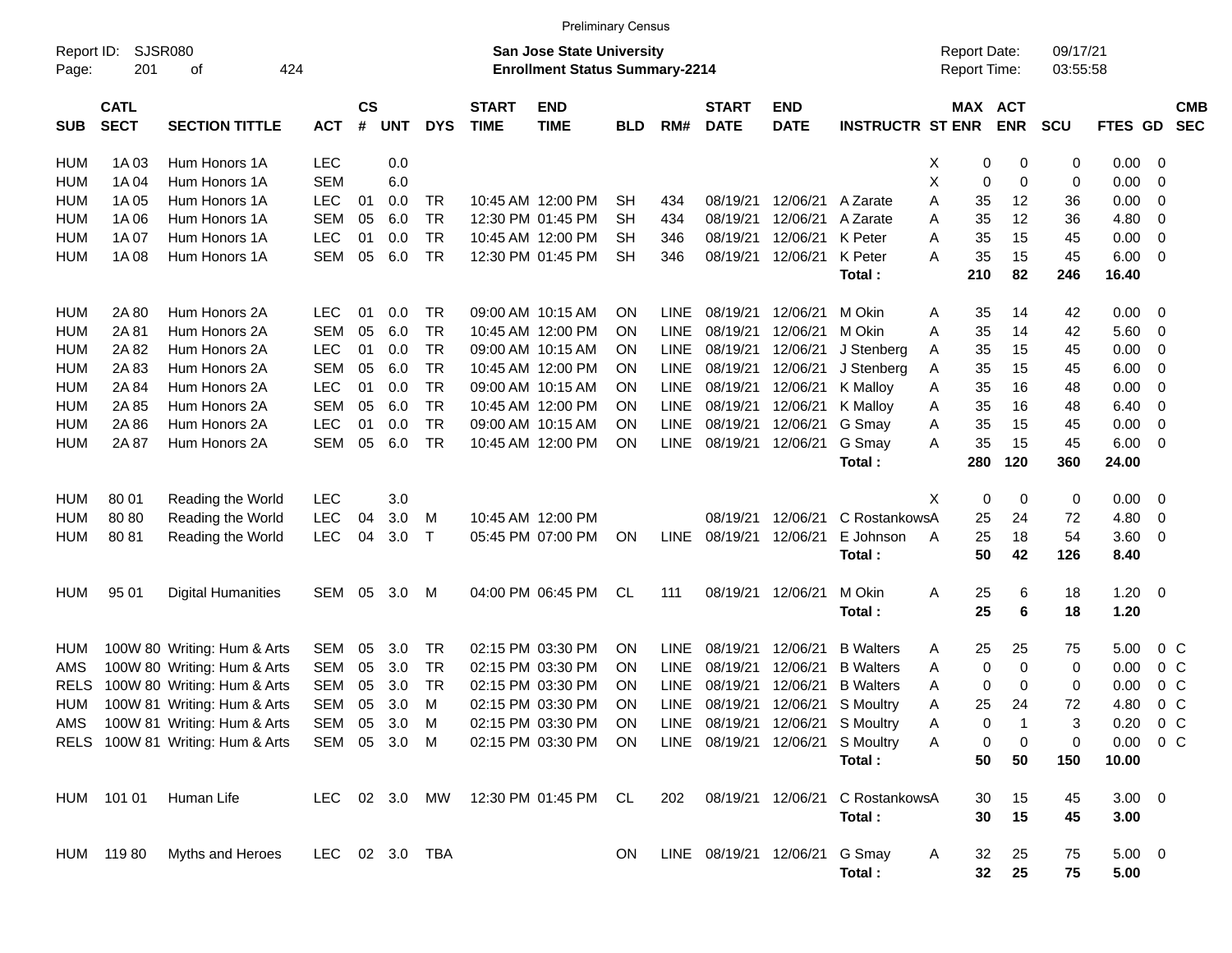|                     |                            |                                  |            |                |               |                |                             | <b>Preliminary Census</b>                                                 |            |             |                             |                               |                                  |                                     |          |            |                      |               |                          |                          |
|---------------------|----------------------------|----------------------------------|------------|----------------|---------------|----------------|-----------------------------|---------------------------------------------------------------------------|------------|-------------|-----------------------------|-------------------------------|----------------------------------|-------------------------------------|----------|------------|----------------------|---------------|--------------------------|--------------------------|
| Report ID:<br>Page: | 201                        | SJSR080<br>424<br>οf             |            |                |               |                |                             | <b>San Jose State University</b><br><b>Enrollment Status Summary-2214</b> |            |             |                             |                               |                                  | <b>Report Date:</b><br>Report Time: |          |            | 09/17/21<br>03:55:58 |               |                          |                          |
| <b>SUB</b>          | <b>CATL</b><br><b>SECT</b> | <b>SECTION TITTLE</b>            | <b>ACT</b> | <b>CS</b><br># | <b>UNT</b>    | <b>DYS</b>     | <b>START</b><br><b>TIME</b> | <b>END</b><br><b>TIME</b>                                                 | <b>BLD</b> | RM#         | <b>START</b><br><b>DATE</b> | <b>END</b><br><b>DATE</b>     | <b>INSTRUCTR ST ENR</b>          | MAX ACT                             |          | <b>ENR</b> | <b>SCU</b>           | FTES GD       |                          | <b>CMB</b><br><b>SEC</b> |
| HUM                 | 1A03                       | Hum Honors 1A                    | <b>LEC</b> |                | 0.0           |                |                             |                                                                           |            |             |                             |                               |                                  | X                                   | 0        | 0          | 0                    | 0.00          | - 0                      |                          |
| <b>HUM</b>          | 1A 04                      | Hum Honors 1A                    | <b>SEM</b> |                | 6.0           |                |                             |                                                                           |            |             |                             |                               |                                  | Χ                                   | 0        | 0          | 0                    | 0.00          | $\overline{0}$           |                          |
| <b>HUM</b>          | 1A 05                      | Hum Honors 1A                    | <b>LEC</b> | 01             | 0.0           | <b>TR</b>      |                             | 10:45 AM 12:00 PM                                                         | SН         | 434         | 08/19/21                    | 12/06/21                      | A Zarate                         | A                                   | 35       | 12         | 36                   | 0.00          | - 0                      |                          |
| <b>HUM</b>          | 1A 06                      | Hum Honors 1A                    | <b>SEM</b> | 05             | 6.0           | <b>TR</b>      |                             | 12:30 PM 01:45 PM                                                         | <b>SH</b>  | 434         | 08/19/21                    | 12/06/21                      | A Zarate                         | Α                                   | 35       | 12         | 36                   | 4.80          | $\overline{\mathbf{0}}$  |                          |
| <b>HUM</b>          | 1A 07                      | Hum Honors 1A                    | LEC        | 01             | 0.0           | <b>TR</b>      |                             | 10:45 AM 12:00 PM                                                         | <b>SH</b>  | 346         | 08/19/21                    | 12/06/21                      | K Peter                          | A                                   | 35       | 15         | 45                   | 0.00          | 0                        |                          |
| <b>HUM</b>          | 1A 08                      | Hum Honors 1A                    | SEM        | 05             | 6.0           | <b>TR</b>      |                             | 12:30 PM 01:45 PM                                                         | <b>SH</b>  | 346         | 08/19/21                    | 12/06/21                      | K Peter                          | A                                   | 35       | 15         | 45                   | 6.00          | - 0                      |                          |
|                     |                            |                                  |            |                |               |                |                             |                                                                           |            |             |                             |                               | Total:                           | 210                                 |          | 82         | 246                  | 16.40         |                          |                          |
| HUM                 | 2A 80                      | Hum Honors 2A                    | <b>LEC</b> | 01             | 0.0           | <b>TR</b>      |                             | 09:00 AM 10:15 AM                                                         | <b>ON</b>  | <b>LINE</b> | 08/19/21                    | 12/06/21                      | M Okin                           |                                     | 35       | 14         |                      | 0.00          | $\overline{\phantom{0}}$ |                          |
| <b>HUM</b>          | 2A 81                      | Hum Honors 2A                    | <b>SEM</b> | 05             | 6.0           | <b>TR</b>      |                             | 10:45 AM 12:00 PM                                                         | ON         | <b>LINE</b> | 08/19/21                    | 12/06/21                      | M Okin                           | Α<br>Α                              | 35       | 14         | 42<br>42             | 5.60          | $\overline{\mathbf{0}}$  |                          |
| <b>HUM</b>          | 2A 82                      | Hum Honors 2A                    | <b>LEC</b> | 01             | 0.0           | <b>TR</b>      |                             | 09:00 AM 10:15 AM                                                         | OΝ         | <b>LINE</b> | 08/19/21                    | 12/06/21                      | J Stenberg                       | Α                                   | 35       | 15         | 45                   | 0.00          | 0                        |                          |
| <b>HUM</b>          | 2A 83                      | Hum Honors 2A                    | <b>SEM</b> | 05             | 6.0           | <b>TR</b>      |                             | 10:45 AM 12:00 PM                                                         | ON         | <b>LINE</b> | 08/19/21                    | 12/06/21                      | J Stenberg                       | Α                                   | 35       | 15         | 45                   | 6.00          | $\overline{0}$           |                          |
| <b>HUM</b>          | 2A 84                      | Hum Honors 2A                    | <b>LEC</b> | 01             | 0.0           | <b>TR</b>      |                             | 09:00 AM 10:15 AM                                                         | OΝ         | <b>LINE</b> | 08/19/21                    | 12/06/21                      | K Malloy                         | Α                                   | 35       | 16         | 48                   | 0.00          | $\overline{0}$           |                          |
| <b>HUM</b>          | 2A 85                      | Hum Honors 2A                    | SEM        | 05             | 6.0           | <b>TR</b>      |                             | 10:45 AM 12:00 PM                                                         | <b>ON</b>  | <b>LINE</b> | 08/19/21                    | 12/06/21                      | K Malloy                         | Α                                   | 35       | 16         | 48                   | 6.40          | $\overline{\mathbf{0}}$  |                          |
| <b>HUM</b>          | 2A 86                      | Hum Honors 2A                    | LEC        | 01             | 0.0           | <b>TR</b>      |                             | 09:00 AM 10:15 AM                                                         | <b>ON</b>  | <b>LINE</b> | 08/19/21                    | 12/06/21                      | G Smay                           | Α                                   | 35       | 15         | 45                   | 0.00          | $\overline{0}$           |                          |
| <b>HUM</b>          | 2A 87                      | Hum Honors 2A                    | SEM        | 05             | 6.0           | <b>TR</b>      |                             | 10:45 AM 12:00 PM                                                         | <b>ON</b>  | <b>LINE</b> | 08/19/21                    | 12/06/21                      | G Smay                           | A                                   | 35       | 15         | 45                   | 6.00          | - 0                      |                          |
|                     |                            |                                  |            |                |               |                |                             |                                                                           |            |             |                             |                               | Total:                           | 280                                 |          | 120        | 360                  | 24.00         |                          |                          |
|                     |                            |                                  |            |                |               |                |                             |                                                                           |            |             |                             |                               |                                  |                                     |          |            |                      |               |                          |                          |
| HUM                 | 80 01                      | Reading the World                | <b>LEC</b> |                | 3.0           |                |                             |                                                                           |            |             |                             |                               |                                  | X                                   | 0        | 0          | 0                    | 0.00          | $\overline{\mathbf{0}}$  |                          |
| <b>HUM</b>          | 80 80                      | Reading the World                | <b>LEC</b> | 04             | 3.0           | M              |                             | 10:45 AM 12:00 PM                                                         |            |             | 08/19/21                    | 12/06/21                      | C RostankowsA                    |                                     | 25       | 24         | 72                   | 4.80          | 0                        |                          |
| <b>HUM</b>          | 80 81                      | Reading the World                | <b>LEC</b> | 04             | 3.0           | $\top$         |                             | 05:45 PM 07:00 PM                                                         | <b>ON</b>  | <b>LINE</b> | 08/19/21                    | 12/06/21                      | E Johnson                        | A                                   | 25       | 18         | 54                   | 3.60          | - 0                      |                          |
|                     |                            |                                  |            |                |               |                |                             |                                                                           |            |             |                             |                               | Total:                           |                                     | 50       | 42         | 126                  | 8.40          |                          |                          |
| <b>HUM</b>          | 95 01                      | <b>Digital Humanities</b>        | SEM        | 05             | 3.0           | M              |                             | 04:00 PM 06:45 PM                                                         | <b>CL</b>  | 111         | 08/19/21                    | 12/06/21                      | M Okin                           | Α                                   | 25       | 6          | 18                   | 1.20          | $\overline{\phantom{0}}$ |                          |
|                     |                            |                                  |            |                |               |                |                             |                                                                           |            |             |                             |                               | Total:                           |                                     | 25       | 6          | 18                   | 1.20          |                          |                          |
|                     |                            |                                  |            |                |               |                |                             |                                                                           |            |             |                             |                               |                                  |                                     |          |            |                      |               |                          |                          |
| HUM                 |                            | 100W 80 Writing: Hum & Arts      | SEM        | 05             | 3.0           | <b>TR</b>      |                             | 02:15 PM 03:30 PM                                                         | <b>ON</b>  | <b>LINE</b> | 08/19/21                    | 12/06/21                      | <b>B</b> Walters                 | Α                                   | 25       | 25         | 75                   | 5.00          | $0\,$ C                  |                          |
| AMS                 |                            | 100W 80 Writing: Hum & Arts      | SEM        | 05             | 3.0           | TR             |                             | 02:15 PM 03:30 PM                                                         | <b>ON</b>  | LINE        | 08/19/21                    | 12/06/21                      | <b>B</b> Walters                 | Α                                   | 0        | 0          | 0                    | 0.00          | 0 <sup>o</sup>           |                          |
| <b>RELS</b>         |                            | 100W 80 Writing: Hum & Arts      | <b>SEM</b> | 05             | 3.0           | TR             |                             | 02:15 PM 03:30 PM                                                         | ΟN         | <b>LINE</b> | 08/19/21                    | 12/06/21                      | <b>B</b> Walters                 | Α                                   | 0        | 0          | 0                    | 0.00          | $\mathbf{0}$             | C                        |
| <b>HUM</b>          |                            | 100W 81 Writing: Hum & Arts      | SEM        | 05             | 3.0           | M              |                             | 02:15 PM 03:30 PM                                                         | <b>ON</b>  | <b>LINE</b> | 08/19/21                    | 12/06/21                      | S Moultry                        | A                                   | 25       | 24         | 72                   | 4.80          | 0 <sup>o</sup>           |                          |
|                     |                            | AMS 100W 81 Writing: Hum & Arts  | SEM 05     |                | 3.0           | M              |                             | 02:15 PM 03:30 PM                                                         | ON         |             |                             |                               | LINE 08/19/21 12/06/21 S Moultry | Α                                   | 0        |            | 3                    | $0.20 \t 0 C$ |                          |                          |
|                     |                            | RELS 100W 81 Writing: Hum & Arts | SEM 05 3.0 |                |               | M              |                             | 02:15 PM 03:30 PM                                                         | ON.        |             | LINE 08/19/21               |                               | 12/06/21 S Moultry               | Α                                   | 0        | 0          | 0                    | $0.00 \t 0 C$ |                          |                          |
|                     |                            |                                  |            |                |               |                |                             |                                                                           |            |             |                             |                               | Total:                           |                                     | 50       | 50         | 150                  | 10.00         |                          |                          |
|                     | HUM 101 01                 | Human Life                       |            |                | LEC 02 3.0 MW |                |                             | 12:30 PM 01:45 PM                                                         | - CL       |             |                             |                               | 08/19/21 12/06/21 C RostankowsA  |                                     |          |            |                      | $3.00 \ 0$    |                          |                          |
|                     |                            |                                  |            |                |               |                |                             |                                                                           |            | 202         |                             |                               |                                  |                                     | 30<br>30 | 15         | 45<br>45             |               |                          |                          |
|                     |                            |                                  |            |                |               |                |                             |                                                                           |            |             |                             |                               | Total:                           |                                     |          | 15         |                      | 3.00          |                          |                          |
|                     | HUM 11980                  | Myths and Heroes                 |            |                |               | LEC 02 3.0 TBA |                             |                                                                           | ON         |             |                             | LINE 08/19/21 12/06/21 G Smay |                                  | $\mathsf{A}$                        | 32       | 25         | 75                   | $5.00 \t 0$   |                          |                          |

**Total : 32 25 75 5.00**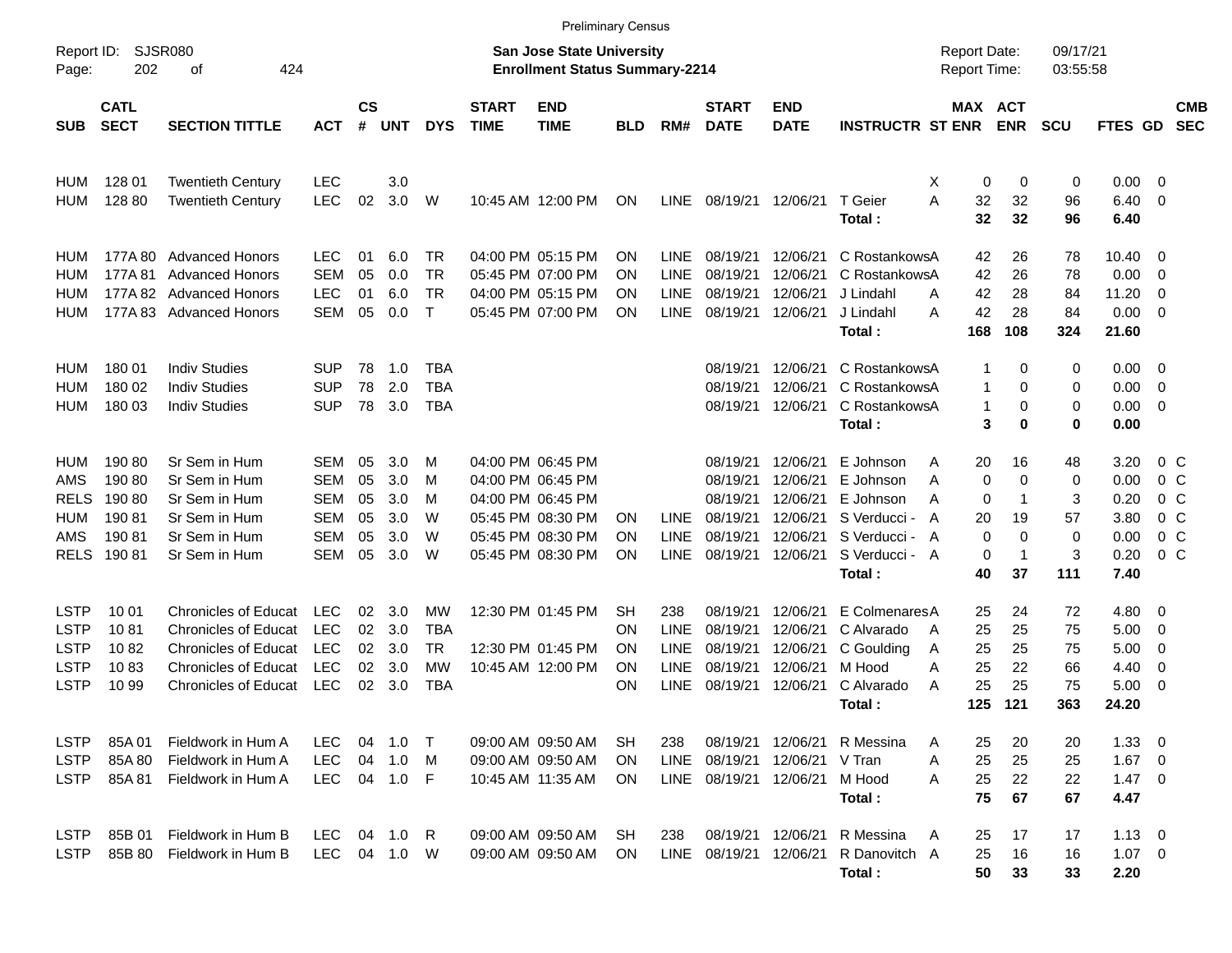|                     |                            |                             |            |               |          |              |                             | <b>Preliminary Census</b>                                                 |            |             |                             |                           |                         |   |                                     |                |                      |                |                          |                          |
|---------------------|----------------------------|-----------------------------|------------|---------------|----------|--------------|-----------------------------|---------------------------------------------------------------------------|------------|-------------|-----------------------------|---------------------------|-------------------------|---|-------------------------------------|----------------|----------------------|----------------|--------------------------|--------------------------|
| Report ID:<br>Page: | 202                        | <b>SJSR080</b><br>424<br>οf |            |               |          |              |                             | <b>San Jose State University</b><br><b>Enrollment Status Summary-2214</b> |            |             |                             |                           |                         |   | <b>Report Date:</b><br>Report Time: |                | 09/17/21<br>03:55:58 |                |                          |                          |
| <b>SUB</b>          | <b>CATL</b><br><b>SECT</b> | <b>SECTION TITTLE</b>       | <b>ACT</b> | $\mathsf{cs}$ | # UNT    | <b>DYS</b>   | <b>START</b><br><b>TIME</b> | <b>END</b><br><b>TIME</b>                                                 | <b>BLD</b> | RM#         | <b>START</b><br><b>DATE</b> | <b>END</b><br><b>DATE</b> | <b>INSTRUCTR ST ENR</b> |   | MAX ACT                             | <b>ENR</b>     | <b>SCU</b>           | <b>FTES GD</b> |                          | <b>CMB</b><br><b>SEC</b> |
| <b>HUM</b>          | 128 01                     | <b>Twentieth Century</b>    | <b>LEC</b> |               | 3.0      |              |                             |                                                                           |            |             |                             |                           |                         | X | 0                                   | 0              | 0                    | 0.00           | - 0                      |                          |
| HUM                 | 128 80                     | <b>Twentieth Century</b>    | <b>LEC</b> | 02            | 3.0      | W            |                             | 10:45 AM 12:00 PM                                                         | ON         |             | LINE 08/19/21               | 12/06/21                  | T Geier<br>Total:       | A | 32<br>32                            | 32<br>32       | 96<br>96             | 6.40<br>6.40   | - 0                      |                          |
| HUM                 | 177A 80                    | <b>Advanced Honors</b>      | <b>LEC</b> | 01            | 6.0      | TR           |                             | 04:00 PM 05:15 PM                                                         | <b>ON</b>  | LINE        | 08/19/21                    | 12/06/21                  | C RostankowsA           |   | 42                                  | 26             | 78                   | 10.40          | - 0                      |                          |
| HUM                 | 177A 81                    | <b>Advanced Honors</b>      | <b>SEM</b> | 05            | 0.0      | TR           |                             | 05:45 PM 07:00 PM                                                         | <b>ON</b>  | LINE        | 08/19/21                    | 12/06/21                  | C RostankowsA           |   | 42                                  | 26             | 78                   | 0.00           | 0                        |                          |
| HUM                 | 177A 82                    | <b>Advanced Honors</b>      | <b>LEC</b> | 01            | 6.0      | TR           |                             | 04:00 PM 05:15 PM                                                         | <b>ON</b>  | LINE        | 08/19/21                    | 12/06/21                  | J Lindahl               | A | 42                                  | 28             | 84                   | 11.20          | 0                        |                          |
| HUM                 | 177A 83                    | <b>Advanced Honors</b>      | <b>SEM</b> | 05            | 0.0      | $\mathsf{T}$ |                             | 05:45 PM 07:00 PM                                                         | ON         | <b>LINE</b> | 08/19/21                    | 12/06/21                  | J Lindahl<br>Total:     | A | 42<br>168                           | 28<br>108      | 84<br>324            | 0.00<br>21.60  | - 0                      |                          |
| HUM                 | 18001                      | <b>Indiv Studies</b>        | <b>SUP</b> | 78            | 1.0      | <b>TBA</b>   |                             |                                                                           |            |             | 08/19/21                    | 12/06/21                  | C RostankowsA           |   | 1                                   | 0              | 0                    | 0.00           | $\overline{\mathbf{0}}$  |                          |
| HUM                 | 180 02                     | <b>Indiv Studies</b>        | SUP        | 78            | 2.0      | <b>TBA</b>   |                             |                                                                           |            |             | 08/19/21                    | 12/06/21                  | C RostankowsA           |   | 1                                   | 0              | 0                    | 0.00           | - 0                      |                          |
| HUM                 | 180 03                     | <b>Indiv Studies</b>        | <b>SUP</b> | 78            | 3.0      | <b>TBA</b>   |                             |                                                                           |            |             | 08/19/21                    | 12/06/21                  | C RostankowsA           |   | 1                                   | 0              | 0                    | 0.00           | - 0                      |                          |
|                     |                            |                             |            |               |          |              |                             |                                                                           |            |             |                             |                           | Total:                  |   | 3                                   | 0              | 0                    | 0.00           |                          |                          |
| HUM                 | 190 80                     | Sr Sem in Hum               | SEM        | 05            | 3.0      | M            |                             | 04:00 PM 06:45 PM                                                         |            |             | 08/19/21                    | 12/06/21                  | E Johnson               | A | 20                                  | 16             | 48                   | 3.20           | $0\,$ C                  |                          |
| AMS                 | 190 80                     | Sr Sem in Hum               | SEM        | 05            | 3.0      | м            |                             | 04:00 PM 06:45 PM                                                         |            |             | 08/19/21                    | 12/06/21                  | E Johnson               | A | 0                                   | $\mathbf 0$    | 0                    | 0.00           | 0 <sup>C</sup>           |                          |
| <b>RELS</b>         | 19080                      | Sr Sem in Hum               | SEM        | 05            | 3.0      | м            |                             | 04:00 PM 06:45 PM                                                         |            |             | 08/19/21                    | 12/06/21                  | E Johnson               | A | 0                                   | $\mathbf 1$    | 3                    | 0.20           | 0 <sup>C</sup>           |                          |
| HUM                 | 19081                      | Sr Sem in Hum               | SEM        | 05            | 3.0      | W            |                             | 05:45 PM 08:30 PM                                                         | <b>ON</b>  | LINE.       | 08/19/21                    | 12/06/21                  | S Verducci - A          |   | 20                                  | 19             | 57                   | 3.80           | 0 <sup>C</sup>           |                          |
| AMS                 | 19081                      | Sr Sem in Hum               | SEM        | 05            | 3.0      | W            |                             | 05:45 PM 08:30 PM                                                         | <b>ON</b>  | LINE        | 08/19/21                    | 12/06/21                  | S Verducci - A          |   | $\mathbf 0$                         | $\mathbf 0$    | $\mathbf 0$          | 0.00           | 0 <sup>C</sup>           |                          |
| <b>RELS</b>         | 19081                      | Sr Sem in Hum               | <b>SEM</b> | 05            | 3.0      | W            |                             | 05:45 PM 08:30 PM                                                         | ON         | <b>LINE</b> | 08/19/21                    | 12/06/21                  | S Verducci - A          |   | 0                                   | $\overline{1}$ | 3                    | 0.20           | 0 <sup>C</sup>           |                          |
|                     |                            |                             |            |               |          |              |                             |                                                                           |            |             |                             |                           | Total:                  |   | 40                                  | 37             | 111                  | 7.40           |                          |                          |
| <b>LSTP</b>         | 10 01                      | <b>Chronicles of Educat</b> | <b>LEC</b> | 02            | 3.0      | МW           |                             | 12:30 PM 01:45 PM                                                         | <b>SH</b>  | 238         | 08/19/21                    | 12/06/21                  | E Colmenares A          |   | 25                                  | 24             | 72                   | 4.80           | - 0                      |                          |
| <b>LSTP</b>         | 1081                       | <b>Chronicles of Educat</b> | <b>LEC</b> | 02            | 3.0      | <b>TBA</b>   |                             |                                                                           | <b>ON</b>  | LINE        | 08/19/21                    | 12/06/21                  | C Alvarado              | A | 25                                  | 25             | 75                   | 5.00           | 0                        |                          |
| <b>LSTP</b>         | 1082                       | <b>Chronicles of Educat</b> | LEC        | 02            | 3.0      | TR           |                             | 12:30 PM 01:45 PM                                                         | <b>ON</b>  | <b>LINE</b> | 08/19/21                    | 12/06/21                  | C Goulding              | A | 25                                  | 25             | 75                   | 5.00           | 0                        |                          |
| <b>LSTP</b>         | 1083                       | <b>Chronicles of Educat</b> | <b>LEC</b> | 02            | 3.0      | <b>MW</b>    |                             | 10:45 AM 12:00 PM                                                         | ON         | <b>LINE</b> | 08/19/21                    | 12/06/21                  | M Hood                  | A | 25                                  | 22             | 66                   | 4.40           | 0                        |                          |
| <b>LSTP</b>         | 10 99                      | <b>Chronicles of Educat</b> | <b>LEC</b> | 02            | 3.0      | <b>TBA</b>   |                             |                                                                           | ON         | <b>LINE</b> | 08/19/21                    | 12/06/21                  | C Alvarado              | A | 25                                  | 25             | 75                   | 5.00           | - 0                      |                          |
|                     |                            |                             |            |               |          |              |                             |                                                                           |            |             |                             |                           | Total :                 |   | 125                                 | 121            | 363                  | 24.20          |                          |                          |
| <b>LSTP</b>         | 85A 01                     | Fieldwork in Hum A          | <b>LEC</b> | 04            | 1.0      | $\top$       |                             | 09:00 AM 09:50 AM                                                         | SH         | 238         |                             | 08/19/21 12/06/21         | R Messina               | A | 25                                  | 20             | 20                   | 1.33           | $\overline{\phantom{0}}$ |                          |
| <b>LSTP</b>         | 85A 80                     | Fieldwork in Hum A          | <b>LEC</b> | 04            | 1.0      | M            |                             | 09:00 AM 09:50 AM                                                         | <b>ON</b>  | <b>LINE</b> | 08/19/21                    | 12/06/21                  | V Tran                  | A | 25                                  | 25             | 25                   | $1.67$ 0       |                          |                          |
| <b>LSTP</b>         | 85A 81                     | Fieldwork in Hum A          | <b>LEC</b> |               | 04 1.0   | -F           |                             | 10:45 AM 11:35 AM                                                         | ON         |             | LINE 08/19/21               | 12/06/21                  | M Hood                  | A | 25                                  | 22             | 22                   | $1.47 \quad 0$ |                          |                          |
|                     |                            |                             |            |               |          |              |                             |                                                                           |            |             |                             |                           | Total:                  |   | 75                                  | 67             | 67                   | 4.47           |                          |                          |
| <b>LSTP</b>         | 85B 01                     | Fieldwork in Hum B          | LEC.       |               | 04 1.0   | R            |                             | 09:00 AM 09:50 AM                                                         | SH         | 238         |                             | 08/19/21 12/06/21         | R Messina               | A | 25                                  | 17             | 17                   | $1.13 \ 0$     |                          |                          |
| <b>LSTP</b>         | 85B 80                     | Fieldwork in Hum B          | LEC        |               | 04 1.0 W |              |                             | 09:00 AM 09:50 AM                                                         | ON         |             | LINE 08/19/21               | 12/06/21                  | R Danovitch A           |   | 25                                  | 16             | 16                   | $1.07 \t 0$    |                          |                          |
|                     |                            |                             |            |               |          |              |                             |                                                                           |            |             |                             |                           | Total:                  |   | 50                                  | 33             | 33                   | 2.20           |                          |                          |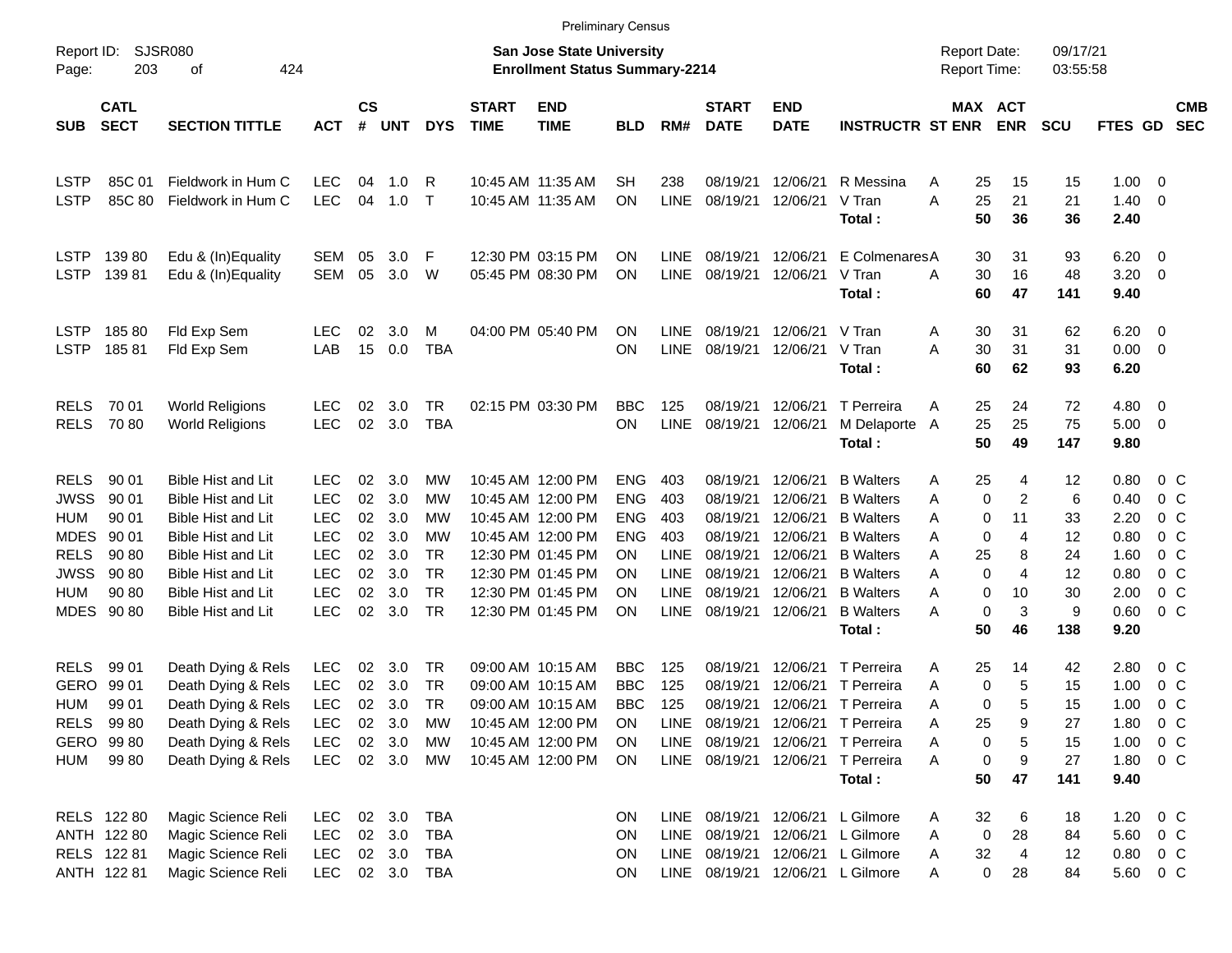|                                                                                       |                                                             |                                                                                                                                                                            |                                                                                  |                                  |                                                 |                                                |                             |                                                                                                                            | <b>Preliminary Census</b>                                              |                                                 |                                                                        |                                                                      |                                                                                                                      |                                                                      |                                        |                                         |                                                      |                                                                                                   |            |
|---------------------------------------------------------------------------------------|-------------------------------------------------------------|----------------------------------------------------------------------------------------------------------------------------------------------------------------------------|----------------------------------------------------------------------------------|----------------------------------|-------------------------------------------------|------------------------------------------------|-----------------------------|----------------------------------------------------------------------------------------------------------------------------|------------------------------------------------------------------------|-------------------------------------------------|------------------------------------------------------------------------|----------------------------------------------------------------------|----------------------------------------------------------------------------------------------------------------------|----------------------------------------------------------------------|----------------------------------------|-----------------------------------------|------------------------------------------------------|---------------------------------------------------------------------------------------------------|------------|
| Report ID:<br>Page:                                                                   | 203                                                         | <b>SJSR080</b><br>424<br>οf                                                                                                                                                |                                                                                  |                                  |                                                 |                                                |                             | <b>San Jose State University</b><br><b>Enrollment Status Summary-2214</b>                                                  |                                                                        |                                                 |                                                                        |                                                                      |                                                                                                                      | <b>Report Date:</b><br>Report Time:                                  |                                        | 09/17/21<br>03:55:58                    |                                                      |                                                                                                   |            |
| <b>SUB</b>                                                                            | <b>CATL</b><br><b>SECT</b>                                  | <b>SECTION TITTLE</b>                                                                                                                                                      | <b>ACT</b>                                                                       | <b>CS</b><br>#                   | <b>UNT</b>                                      | <b>DYS</b>                                     | <b>START</b><br><b>TIME</b> | <b>END</b><br><b>TIME</b>                                                                                                  | <b>BLD</b>                                                             | RM#                                             | <b>START</b><br><b>DATE</b>                                            | <b>END</b><br><b>DATE</b>                                            | <b>INSTRUCTR ST ENR</b>                                                                                              |                                                                      | MAX ACT<br><b>ENR</b>                  | <b>SCU</b>                              | FTES GD SEC                                          |                                                                                                   | <b>CMB</b> |
| <b>LSTP</b><br><b>LSTP</b>                                                            | 85C 01<br>85C 80                                            | Fieldwork in Hum C<br>Fieldwork in Hum C                                                                                                                                   | <b>LEC</b><br><b>LEC</b>                                                         | 04<br>04                         | 1.0<br>1.0                                      | R<br>$\top$                                    |                             | 10:45 AM 11:35 AM<br>10:45 AM 11:35 AM                                                                                     | SН<br>ΟN                                                               | 238<br><b>LINE</b>                              | 08/19/21<br>08/19/21                                                   | 12/06/21<br>12/06/21                                                 | R Messina<br>V Tran<br>Total:                                                                                        | 25<br>A<br>25<br>A<br>50                                             | 15<br>21<br>36                         | 15<br>21<br>36                          | 1.00<br>1.40<br>2.40                                 | $\overline{0}$<br>$\overline{0}$                                                                  |            |
| <b>LSTP</b><br><b>LSTP</b>                                                            | 13980<br>13981                                              | Edu & (In)Equality<br>Edu & (In)Equality                                                                                                                                   | SEM<br>SEM                                                                       | 05<br>05                         | 3.0<br>3.0                                      | -F<br>W                                        |                             | 12:30 PM 03:15 PM<br>05:45 PM 08:30 PM                                                                                     | ΟN<br>ΟN                                                               | LINE<br><b>LINE</b>                             | 08/19/21<br>08/19/21                                                   | 12/06/21<br>12/06/21                                                 | E ColmenaresA<br>V Tran<br>Total:                                                                                    | 30<br>A<br>30<br>60                                                  | 31<br>16<br>47                         | 93<br>48<br>141                         | 6.20<br>3.20<br>9.40                                 | $\overline{0}$<br>- 0                                                                             |            |
| <b>LSTP</b><br><b>LSTP</b>                                                            | 18580<br>18581                                              | Fld Exp Sem<br>Fld Exp Sem                                                                                                                                                 | <b>LEC</b><br>LAB                                                                | 02<br>15                         | 3.0<br>0.0                                      | м<br><b>TBA</b>                                |                             | 04:00 PM 05:40 PM                                                                                                          | ΟN<br>ON                                                               | <b>LINE</b><br><b>LINE</b>                      | 08/19/21<br>08/19/21                                                   | 12/06/21<br>12/06/21                                                 | V Tran<br>V Tran<br>Total:                                                                                           | 30<br>A<br>30<br>А<br>60                                             | 31<br>31<br>62                         | 62<br>31<br>93                          | 6.20<br>0.00<br>6.20                                 | $\overline{\mathbf{0}}$<br>$\overline{\mathbf{0}}$                                                |            |
| <b>RELS</b><br><b>RELS</b>                                                            | 70 01<br>7080                                               | <b>World Religions</b><br><b>World Religions</b>                                                                                                                           | <b>LEC</b><br><b>LEC</b>                                                         | 02<br>$02\,$                     | 3.0<br>3.0                                      | <b>TR</b><br><b>TBA</b>                        |                             | 02:15 PM 03:30 PM                                                                                                          | <b>BBC</b><br>ON                                                       | 125<br><b>LINE</b>                              | 08/19/21<br>08/19/21                                                   | 12/06/21<br>12/06/21                                                 | T Perreira<br>M Delaporte A<br>Total:                                                                                | 25<br>A<br>25<br>50                                                  | 24<br>25<br>49                         | 72<br>75<br>147                         | 4.80<br>5.00<br>9.80                                 | $\overline{0}$<br>$\overline{\mathbf{0}}$                                                         |            |
| <b>RELS</b><br><b>JWSS</b><br><b>HUM</b><br><b>MDES</b><br><b>RELS</b><br><b>JWSS</b> | 90 01<br>90 01<br>90 01<br>90 01<br>90 80<br>90 80          | <b>Bible Hist and Lit</b><br><b>Bible Hist and Lit</b><br><b>Bible Hist and Lit</b><br><b>Bible Hist and Lit</b><br><b>Bible Hist and Lit</b><br><b>Bible Hist and Lit</b> | <b>LEC</b><br><b>LEC</b><br><b>LEC</b><br><b>LEC</b><br><b>LEC</b><br><b>LEC</b> | 02<br>02<br>02<br>02<br>02<br>02 | 3.0<br>3.0<br>3.0<br>3.0<br>3.0<br>3.0          | MW<br>МW<br>МW<br>МW<br><b>TR</b><br><b>TR</b> |                             | 10:45 AM 12:00 PM<br>10:45 AM 12:00 PM<br>10:45 AM 12:00 PM<br>10:45 AM 12:00 PM<br>12:30 PM 01:45 PM<br>12:30 PM 01:45 PM | <b>ENG</b><br><b>ENG</b><br><b>ENG</b><br><b>ENG</b><br>OΝ<br>ΟN       | 403<br>403<br>403<br>403<br>LINE<br><b>LINE</b> | 08/19/21<br>08/19/21<br>08/19/21<br>08/19/21<br>08/19/21<br>08/19/21   | 12/06/21<br>12/06/21<br>12/06/21<br>12/06/21<br>12/06/21<br>12/06/21 | <b>B</b> Walters<br><b>B</b> Walters<br><b>B</b> Walters<br><b>B</b> Walters<br><b>B</b> Walters<br><b>B</b> Walters | 25<br>A<br>0<br>Α<br>0<br>Α<br>0<br>A<br>25<br>A<br>$\mathbf 0$<br>Α | 4<br>2<br>11<br>4<br>8<br>4            | 12<br>6<br>33<br>12<br>24<br>12         | 0.80<br>0.40<br>2.20<br>0.80<br>1.60<br>0.80         | $0\,$ C<br>0 <sup>C</sup><br>0 <sup>C</sup><br>0 <sup>C</sup><br>0 <sup>o</sup><br>0 <sup>C</sup> |            |
| <b>HUM</b><br><b>MDES</b>                                                             | 90 80<br>90 80                                              | <b>Bible Hist and Lit</b><br><b>Bible Hist and Lit</b>                                                                                                                     | <b>LEC</b><br><b>LEC</b>                                                         | 02<br>02                         | 3.0<br>3.0                                      | <b>TR</b><br><b>TR</b>                         |                             | 12:30 PM 01:45 PM<br>12:30 PM 01:45 PM                                                                                     | ΟN<br>ON                                                               | <b>LINE</b><br><b>LINE</b>                      | 08/19/21<br>08/19/21                                                   | 12/06/21<br>12/06/21                                                 | <b>B</b> Walters<br><b>B</b> Walters<br>Total:                                                                       | 0<br>Α<br>$\mathbf 0$<br>Α<br>50                                     | 10<br>3<br>46                          | 30<br>9<br>138                          | 2.00<br>0.60<br>9.20                                 | 0 <sup>C</sup><br>0 <sup>o</sup>                                                                  |            |
| <b>RELS</b><br><b>GERO</b><br>HUM<br>HUM                                              | 99 01<br>99 01<br>99 01<br>RELS 9980<br>GERO 99 80<br>99 80 | Death Dying & Rels<br>Death Dying & Rels<br>Death Dying & Rels<br>Death Dying & Rels<br>Death Dying & Rels<br>Death Dying & Rels                                           | <b>LEC</b><br><b>LEC</b><br><b>LEC</b><br>LEC<br><b>LEC</b><br><b>LEC</b>        | 02<br>02<br>02                   | 3.0<br>3.0<br>3.0<br>02 3.0<br>02 3.0<br>02 3.0 | TR<br><b>TR</b><br>TR<br>MW<br>МW<br>МW        |                             | 09:00 AM 10:15 AM<br>09:00 AM 10:15 AM<br>09:00 AM 10:15 AM<br>10:45 AM 12:00 PM<br>10:45 AM 12:00 PM<br>10:45 AM 12:00 PM | <b>BBC</b><br><b>BBC</b><br><b>BBC</b><br>ON<br><b>ON</b><br><b>ON</b> | 125<br>125<br>125<br>LINE<br>LINE               | 08/19/21<br>08/19/21<br>08/19/21<br>08/19/21<br>LINE 08/19/21 12/06/21 | 12/06/21<br>12/06/21<br>08/19/21 12/06/21<br>12/06/21                | T Perreira<br>T Perreira<br>12/06/21 T Perreira<br>T Perreira<br>T Perreira<br>T Perreira<br>Total:                  | 25<br>A<br>0<br>Α<br>0<br>A<br>25<br>Α<br>Α<br>0<br>Α<br>50          | 14<br>5<br>5<br>9<br>0<br>5<br>9<br>47 | 42<br>15<br>15<br>27<br>15<br>27<br>141 | 2.80<br>1.00<br>1.00<br>1.80<br>1.00<br>1.80<br>9.40 | $0\,$ C<br>0 <sup>C</sup><br>$0\,C$<br>$0\,$ C<br>$0\,$ C<br>$0\,C$                               |            |
|                                                                                       | RELS 122 80<br>ANTH 122 80<br>RELS 122 81<br>ANTH 122 81    | Magic Science Reli<br>Magic Science Reli<br>Magic Science Reli<br>Magic Science Reli                                                                                       | <b>LEC</b><br><b>LEC</b><br>LEC<br><b>LEC</b>                                    |                                  | 02 3.0<br>02 3.0<br>02 3.0                      | <b>TBA</b><br>TBA<br>TBA<br>02 3.0 TBA         |                             |                                                                                                                            | ON<br>ON<br>ON<br><b>ON</b>                                            |                                                 | LINE 08/19/21<br>LINE 08/19/21<br>LINE 08/19/21                        | 12/06/21                                                             | LINE 08/19/21 12/06/21 L Gilmore<br>L Gilmore<br>12/06/21 L Gilmore<br>12/06/21 L Gilmore                            | 32<br>A<br>0<br>Α<br>32<br>A<br>0<br>A                               | 6<br>28<br>4<br>28                     | 18<br>84<br>12<br>84                    | 1.20<br>5.60<br>0.80<br>5.60 0 C                     | $0\,$ C<br>$0\,$ C<br>$0\,$ C                                                                     |            |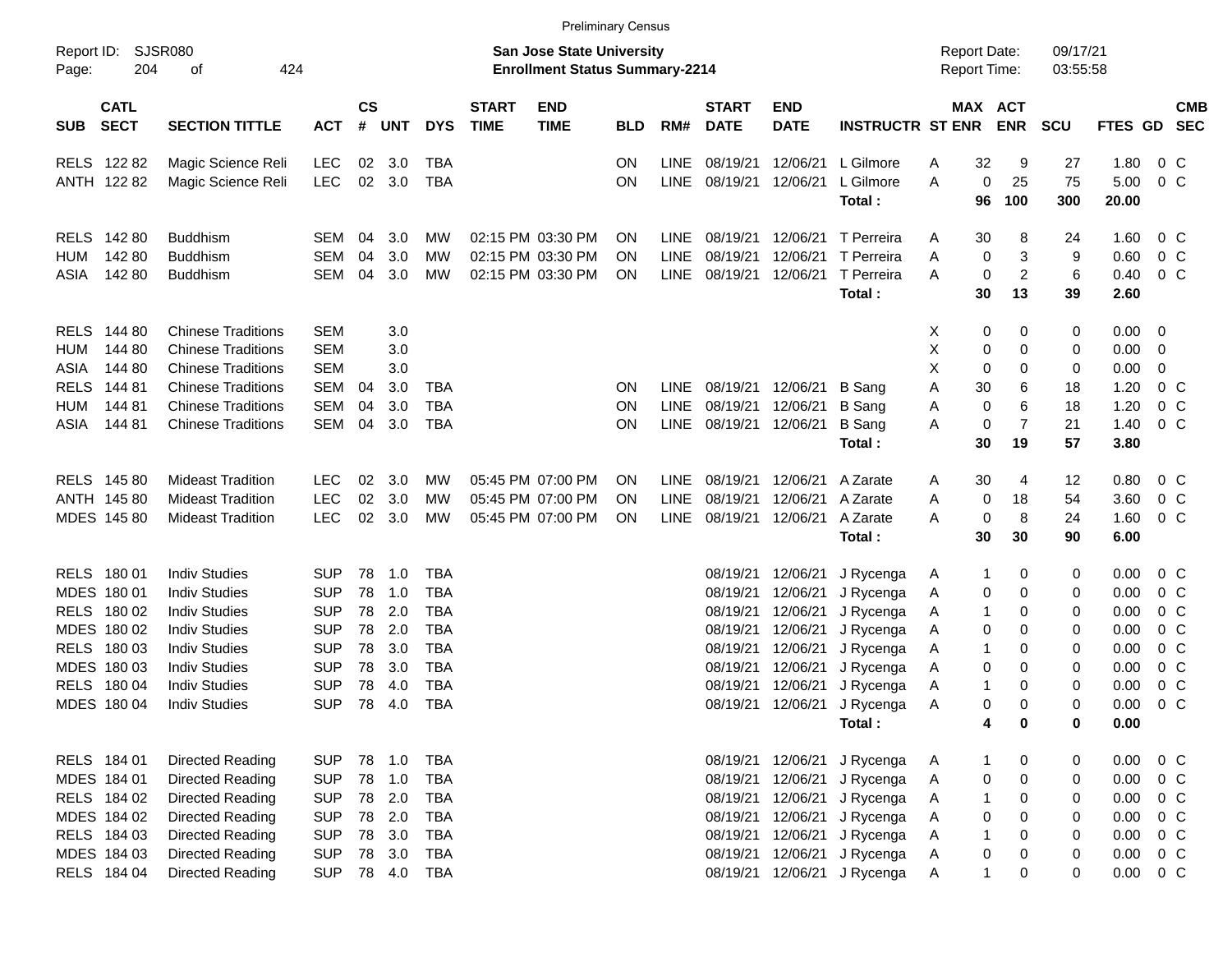|                                          |                                    |            |                |            |            |                             |                                                                           | <b>Preliminary Census</b> |             |                             |                           |                         |                                     |              |                       |                      |         |                         |                          |
|------------------------------------------|------------------------------------|------------|----------------|------------|------------|-----------------------------|---------------------------------------------------------------------------|---------------------------|-------------|-----------------------------|---------------------------|-------------------------|-------------------------------------|--------------|-----------------------|----------------------|---------|-------------------------|--------------------------|
| Report ID:<br>Page:                      | <b>SJSR080</b><br>204<br>424<br>οf |            |                |            |            |                             | <b>San Jose State University</b><br><b>Enrollment Status Summary-2214</b> |                           |             |                             |                           |                         | <b>Report Date:</b><br>Report Time: |              |                       | 09/17/21<br>03:55:58 |         |                         |                          |
| <b>CATL</b><br><b>SECT</b><br><b>SUB</b> | <b>SECTION TITTLE</b>              | <b>ACT</b> | <b>CS</b><br># | <b>UNT</b> | <b>DYS</b> | <b>START</b><br><b>TIME</b> | <b>END</b><br><b>TIME</b>                                                 | <b>BLD</b>                | RM#         | <b>START</b><br><b>DATE</b> | <b>END</b><br><b>DATE</b> | <b>INSTRUCTR ST ENR</b> |                                     |              | MAX ACT<br><b>ENR</b> | <b>SCU</b>           | FTES GD |                         | <b>CMB</b><br><b>SEC</b> |
| RELS 122 82                              | Magic Science Reli                 | LEC        | 02             | 3.0        | <b>TBA</b> |                             |                                                                           | <b>ON</b>                 | <b>LINE</b> | 08/19/21                    | 12/06/21                  | L Gilmore               | Α                                   | 32           | 9                     | 27                   | 1.80    |                         | $0\,$ C                  |
| ANTH 122 82                              | Magic Science Reli                 | <b>LEC</b> | 02             | 3.0        | <b>TBA</b> |                             |                                                                           | ON                        | <b>LINE</b> | 08/19/21                    | 12/06/21                  | L Gilmore               | A                                   | 0            | 25                    | 75                   | 5.00    |                         | $0\,C$                   |
|                                          |                                    |            |                |            |            |                             |                                                                           |                           |             |                             |                           | Total:                  |                                     | 96           | 100                   | 300                  | 20.00   |                         |                          |
| <b>RELS</b><br>142 80                    | <b>Buddhism</b>                    | SEM        | 04             | 3.0        | MW         |                             | 02:15 PM 03:30 PM                                                         | ON                        | <b>LINE</b> | 08/19/21                    | 12/06/21                  | T Perreira              | A                                   | 30           | 8                     | 24                   | 1.60    |                         | $0\,$ C                  |
| 142 80<br><b>HUM</b>                     | <b>Buddhism</b>                    | <b>SEM</b> | 04             | 3.0        | MW         |                             | 02:15 PM 03:30 PM                                                         | ΟN                        | <b>LINE</b> | 08/19/21                    | 12/06/21                  | T Perreira              | A                                   | 0            | 3                     | 9                    | 0.60    |                         | 0 <sup>o</sup>           |
| 142 80<br><b>ASIA</b>                    | <b>Buddhism</b>                    | <b>SEM</b> | 04             | 3.0        | <b>MW</b>  |                             | 02:15 PM 03:30 PM                                                         | ON                        | <b>LINE</b> | 08/19/21                    | 12/06/21                  | T Perreira              | A                                   | 0            | $\overline{c}$        | 6                    | 0.40    |                         | 0 <sup>o</sup>           |
|                                          |                                    |            |                |            |            |                             |                                                                           |                           |             |                             |                           | Total:                  |                                     | 30           | 13                    | 39                   | 2.60    |                         |                          |
| <b>RELS</b><br>144 80                    | <b>Chinese Traditions</b>          | <b>SEM</b> |                | 3.0        |            |                             |                                                                           |                           |             |                             |                           |                         | х                                   | 0            | 0                     | 0                    | 0.00    | $\overline{\mathbf{0}}$ |                          |
| <b>HUM</b><br>144 80                     | <b>Chinese Traditions</b>          | <b>SEM</b> |                | 3.0        |            |                             |                                                                           |                           |             |                             |                           |                         | Χ                                   | 0            | 0                     | 0                    | 0.00    | $\mathbf 0$             |                          |
| <b>ASIA</b><br>144 80                    | <b>Chinese Traditions</b>          | <b>SEM</b> |                | 3.0        |            |                             |                                                                           |                           |             |                             |                           |                         | X                                   | 0            | 0                     | 0                    | 0.00    | 0                       |                          |
| <b>RELS</b><br>144 81                    | <b>Chinese Traditions</b>          | <b>SEM</b> | 04             | 3.0        | <b>TBA</b> |                             |                                                                           | <b>ON</b>                 | <b>LINE</b> | 08/19/21                    | 12/06/21                  | <b>B</b> Sang           | Α                                   | 30           | 6                     | 18                   | 1.20    |                         | 0 <sup>o</sup>           |
| 14481<br><b>HUM</b>                      | <b>Chinese Traditions</b>          | <b>SEM</b> | 04             | 3.0        | <b>TBA</b> |                             |                                                                           | ON                        | <b>LINE</b> | 08/19/21                    | 12/06/21                  | <b>B</b> Sang           | Α                                   | 0            | 6                     | 18                   | 1.20    |                         | 0 <sup>C</sup>           |
| <b>ASIA</b><br>14481                     | <b>Chinese Traditions</b>          | <b>SEM</b> | 04             | 3.0        | <b>TBA</b> |                             |                                                                           | ON                        | <b>LINE</b> | 08/19/21                    | 12/06/21                  | <b>B</b> Sang           | Α                                   | 0            | $\overline{7}$        | 21                   | 1.40    |                         | 0 <sup>o</sup>           |
|                                          |                                    |            |                |            |            |                             |                                                                           |                           |             |                             |                           | Total:                  |                                     | 30           | 19                    | 57                   | 3.80    |                         |                          |
| RELS 145 80                              | <b>Mideast Tradition</b>           | <b>LEC</b> | 02             | 3.0        | MW         |                             | 05:45 PM 07:00 PM                                                         | ON                        | <b>LINE</b> | 08/19/21                    | 12/06/21                  | A Zarate                | Α                                   | 30           | 4                     | 12                   | 0.80    |                         | 0 <sup>o</sup>           |
| ANTH 145 80                              | <b>Mideast Tradition</b>           | <b>LEC</b> | 02             | 3.0        | <b>MW</b>  |                             | 05:45 PM 07:00 PM                                                         | ON                        | <b>LINE</b> | 08/19/21                    | 12/06/21                  | A Zarate                | Α                                   | 0            | 18                    | 54                   | 3.60    |                         | 0 <sup>o</sup>           |
| MDES 145 80                              | <b>Mideast Tradition</b>           | <b>LEC</b> | 02             | 3.0        | <b>MW</b>  |                             | 05:45 PM 07:00 PM                                                         | ON                        | <b>LINE</b> | 08/19/21                    | 12/06/21                  | A Zarate                | Α                                   | 0            | 8                     | 24                   | 1.60    |                         | 0 <sup>o</sup>           |
|                                          |                                    |            |                |            |            |                             |                                                                           |                           |             |                             |                           | Total:                  |                                     | 30           | 30                    | 90                   | 6.00    |                         |                          |
| <b>RELS</b><br>18001                     | <b>Indiv Studies</b>               | <b>SUP</b> | 78             | 1.0        | <b>TBA</b> |                             |                                                                           |                           |             | 08/19/21                    | 12/06/21                  | J Rycenga               | A                                   | $\mathbf{1}$ | 0                     | 0                    | 0.00    |                         | $0\,$ C                  |
| MDES 180 01                              | <b>Indiv Studies</b>               | <b>SUP</b> | 78             | 1.0        | <b>TBA</b> |                             |                                                                           |                           |             | 08/19/21                    | 12/06/21                  | J Rycenga               | Α                                   | 0            | 0                     | 0                    | 0.00    |                         | 0 <sup>o</sup>           |
| <b>RELS</b><br>180 02                    | <b>Indiv Studies</b>               | <b>SUP</b> | 78             | 2.0        | <b>TBA</b> |                             |                                                                           |                           |             | 08/19/21                    | 12/06/21                  | J Rycenga               | Α                                   | $\mathbf{1}$ | 0                     | 0                    | 0.00    |                         | 0 <sup>o</sup>           |
| MDES 180 02                              | <b>Indiv Studies</b>               | <b>SUP</b> | 78             | 2.0        | <b>TBA</b> |                             |                                                                           |                           |             | 08/19/21                    | 12/06/21                  | J Rycenga               | Α                                   | 0            | 0                     | 0                    | 0.00    |                         | 0 <sup>o</sup>           |
| <b>RELS</b><br>180 03                    | <b>Indiv Studies</b>               | <b>SUP</b> | 78             | 3.0        | <b>TBA</b> |                             |                                                                           |                           |             | 08/19/21                    | 12/06/21                  | J Rycenga               | Α                                   | $\mathbf{1}$ | 0                     | 0                    | 0.00    |                         | 0 <sup>o</sup>           |
| MDES 180 03                              | <b>Indiv Studies</b>               | <b>SUP</b> | 78             | 3.0        | <b>TBA</b> |                             |                                                                           |                           |             | 08/19/21                    | 12/06/21                  | J Rycenga               | Α                                   | 0            | 0                     | 0                    | 0.00    |                         | 0 <sup>o</sup>           |
| <b>RELS</b><br>18004                     | <b>Indiv Studies</b>               | <b>SUP</b> | 78             | 4.0        | <b>TBA</b> |                             |                                                                           |                           |             | 08/19/21                    | 12/06/21                  | J Rycenga               | Α                                   | 1            | 0                     | 0                    | 0.00    |                         | 0 <sup>o</sup>           |
| MDES 180 04                              | <b>Indiv Studies</b>               | <b>SUP</b> | 78             | 4.0        | <b>TBA</b> |                             |                                                                           |                           |             | 08/19/21                    | 12/06/21                  | J Rycenga               | Α                                   | 0            | 0                     | 0                    | 0.00    |                         | $0\,C$                   |
|                                          |                                    |            |                |            |            |                             |                                                                           |                           |             |                             |                           | Total:                  |                                     | 4            | 0                     | 0                    | 0.00    |                         |                          |
| RELS 184 01                              | Directed Reading                   | <b>SUP</b> | 78             | 1.0        | <b>TBA</b> |                             |                                                                           |                           |             | 08/19/21                    |                           | 12/06/21 J Rycenga      | A                                   | -1           | 0                     | 0                    | 0.00    |                         | 0 <sup>o</sup>           |
| MDES 184 01                              | <b>Directed Reading</b>            | <b>SUP</b> |                | 78 1.0     | <b>TBA</b> |                             |                                                                           |                           |             | 08/19/21                    | 12/06/21                  | J Rycenga               | Α                                   | 0            | 0                     | 0                    | 0.00    |                         | 0 <sup>o</sup>           |
| RELS 184 02                              | Directed Reading                   | <b>SUP</b> | 78             | 2.0        | <b>TBA</b> |                             |                                                                           |                           |             | 08/19/21                    | 12/06/21                  | J Rycenga               | Α                                   | 1            | 0                     | 0                    | 0.00    |                         | 0 <sup>o</sup>           |
| MDES 184 02                              | Directed Reading                   | <b>SUP</b> | 78             | 2.0        | <b>TBA</b> |                             |                                                                           |                           |             | 08/19/21                    | 12/06/21                  | J Rycenga               | Α                                   | 0            | 0                     | 0                    | 0.00    |                         | $0\,C$                   |
| RELS 184 03                              | Directed Reading                   | <b>SUP</b> | 78             | 3.0        | <b>TBA</b> |                             |                                                                           |                           |             | 08/19/21                    | 12/06/21                  | J Rycenga               | Α                                   | 1            | 0                     | 0                    | 0.00    |                         | 0 <sup>o</sup>           |
| MDES 184 03                              | <b>Directed Reading</b>            | <b>SUP</b> | 78             | 3.0        | <b>TBA</b> |                             |                                                                           |                           |             | 08/19/21                    | 12/06/21                  | J Rycenga               | Α                                   | 0            | 0                     | 0                    | 0.00    |                         | $0\,C$                   |
| RELS 184 04                              | <b>Directed Reading</b>            | <b>SUP</b> |                | 78 4.0     | <b>TBA</b> |                             |                                                                           |                           |             | 08/19/21                    |                           | 12/06/21 J Rycenga      | Α                                   | 1            | 0                     | 0                    | 0.00    |                         | $0\,C$                   |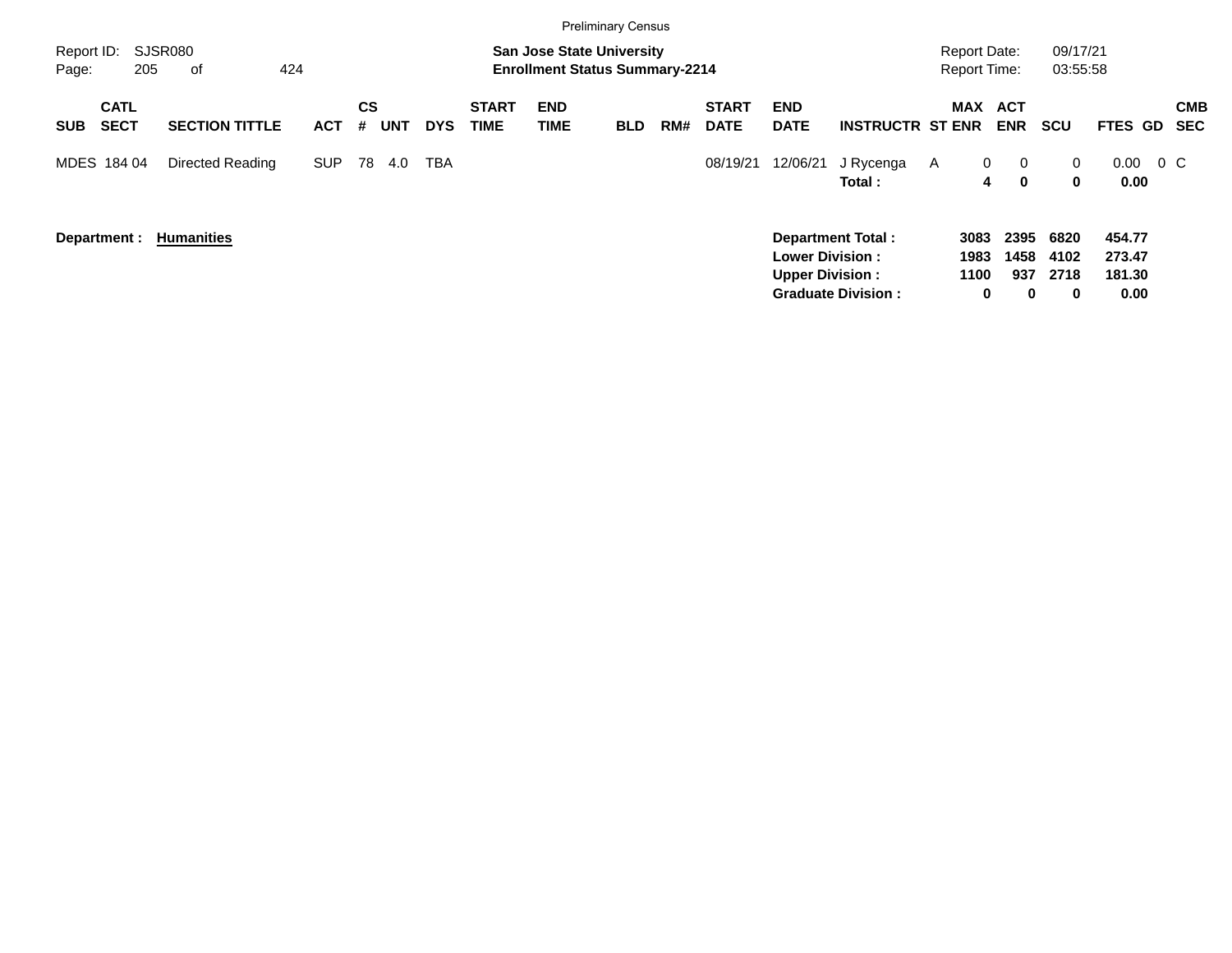|                                          |                       |            |                              |            |                             |                                                                           | <b>Preliminary Census</b> |     |                             |                                                  |                                                       |                      |                                                |                           |                                    |         |                          |
|------------------------------------------|-----------------------|------------|------------------------------|------------|-----------------------------|---------------------------------------------------------------------------|---------------------------|-----|-----------------------------|--------------------------------------------------|-------------------------------------------------------|----------------------|------------------------------------------------|---------------------------|------------------------------------|---------|--------------------------|
| Report ID:<br>Page:                      | SJSR080<br>205<br>0f  | 424        |                              |            |                             | <b>San Jose State University</b><br><b>Enrollment Status Summary-2214</b> |                           |     |                             |                                                  |                                                       |                      | <b>Report Date:</b><br><b>Report Time:</b>     | 09/17/21<br>03:55:58      |                                    |         |                          |
| <b>CATL</b><br><b>SECT</b><br><b>SUB</b> | <b>SECTION TITTLE</b> | <b>ACT</b> | <b>CS</b><br><b>UNT</b><br># | <b>DYS</b> | <b>START</b><br><b>TIME</b> | <b>END</b><br>TIME                                                        | <b>BLD</b>                | RM# | <b>START</b><br><b>DATE</b> | <b>END</b><br><b>DATE</b>                        | <b>INSTRUCTR ST ENR</b>                               |                      | MAX ACT<br><b>ENR</b>                          | <b>SCU</b>                | FTES GD                            |         | <b>CMB</b><br><b>SEC</b> |
| MDES 184 04                              | Directed Reading      | <b>SUP</b> | 78<br>4.0                    | TBA        |                             |                                                                           |                           |     | 08/19/21                    | 12/06/21                                         | J Rycenga<br>Total:                                   | A                    | $\mathbf 0$<br>$\mathbf 0$<br>$\mathbf 0$<br>4 | 0<br>0                    | 0.00<br>0.00                       | $0\,$ C |                          |
| Department :                             | <b>Humanities</b>     |            |                              |            |                             |                                                                           |                           |     |                             | <b>Lower Division:</b><br><b>Upper Division:</b> | <b>Department Total:</b><br><b>Graduate Division:</b> | 3083<br>1983<br>1100 | 2395<br>1458<br>937<br>0<br>0                  | 6820<br>4102<br>2718<br>0 | 454.77<br>273.47<br>181.30<br>0.00 |         |                          |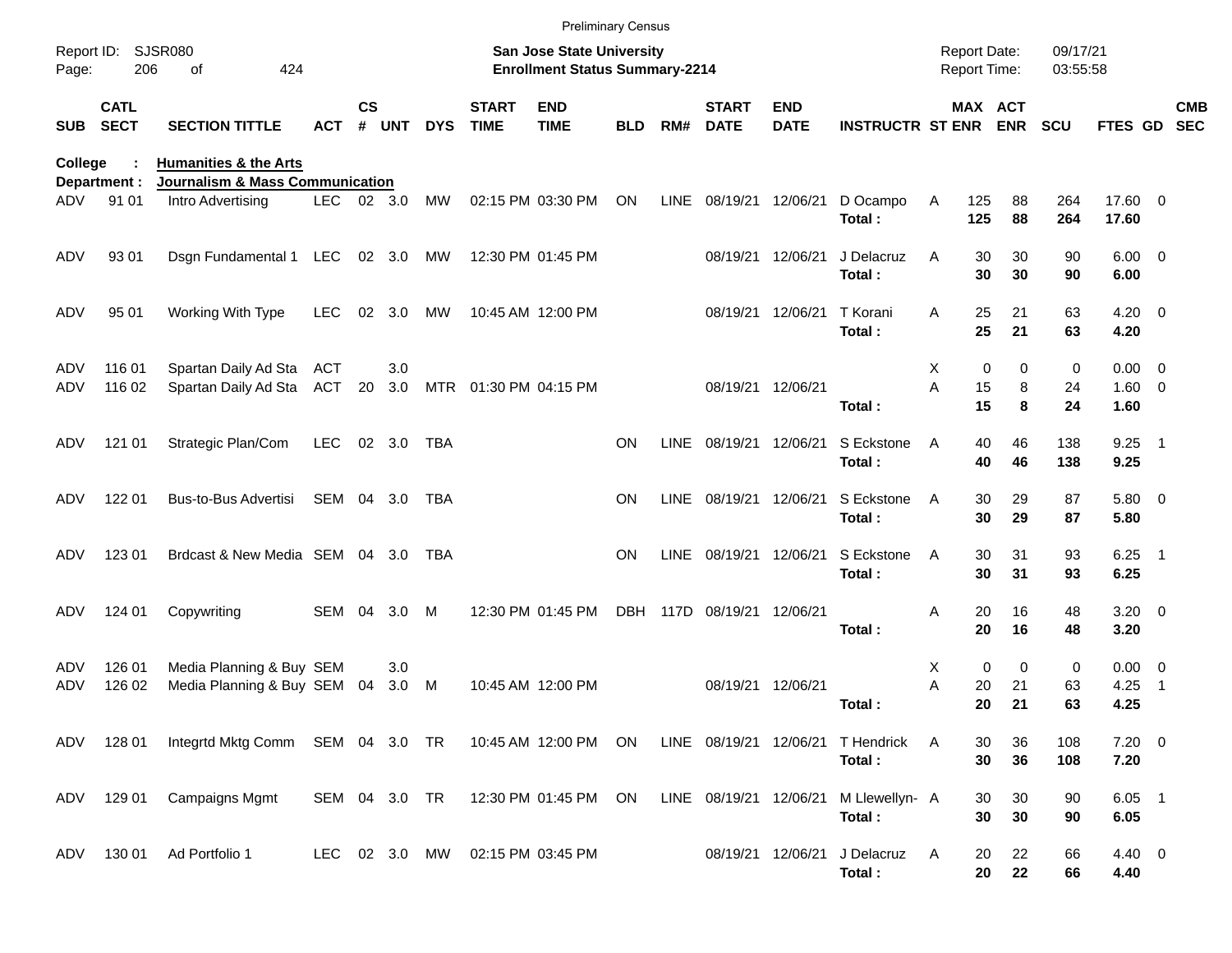|                     |                            |                                                                 |            |               |                |            |                             | <b>Preliminary Census</b>                                                 |            |             |                             |                           |                          |        |                                     |               |                      |                      |                                                      |                          |
|---------------------|----------------------------|-----------------------------------------------------------------|------------|---------------|----------------|------------|-----------------------------|---------------------------------------------------------------------------|------------|-------------|-----------------------------|---------------------------|--------------------------|--------|-------------------------------------|---------------|----------------------|----------------------|------------------------------------------------------|--------------------------|
| Report ID:<br>Page: | 206                        | SJSR080<br>424<br>οf                                            |            |               |                |            |                             | <b>San Jose State University</b><br><b>Enrollment Status Summary-2214</b> |            |             |                             |                           |                          |        | <b>Report Date:</b><br>Report Time: |               | 09/17/21<br>03:55:58 |                      |                                                      |                          |
| <b>SUB</b>          | <b>CATL</b><br><b>SECT</b> | <b>SECTION TITTLE</b>                                           | <b>ACT</b> | $\mathsf{cs}$ | # UNT          | <b>DYS</b> | <b>START</b><br><b>TIME</b> | <b>END</b><br><b>TIME</b>                                                 | <b>BLD</b> | RM#         | <b>START</b><br><b>DATE</b> | <b>END</b><br><b>DATE</b> | <b>INSTRUCTR ST ENR</b>  |        | MAX ACT                             | <b>ENR</b>    | <b>SCU</b>           | FTES GD              |                                                      | <b>CMB</b><br><b>SEC</b> |
| College             |                            | <b>Humanities &amp; the Arts</b>                                |            |               |                |            |                             |                                                                           |            |             |                             |                           |                          |        |                                     |               |                      |                      |                                                      |                          |
| ADV                 | Department :<br>91 01      | <b>Journalism &amp; Mass Communication</b><br>Intro Advertising | LEC 02 3.0 |               |                | MW         |                             | 02:15 PM 03:30 PM                                                         | ON         | LINE        | 08/19/21                    | 12/06/21                  | D Ocampo<br>Total:       | Α      | 125<br>125                          | 88<br>88      | 264<br>264           | 17.60 0<br>17.60     |                                                      |                          |
| ADV                 | 93 01                      | Dsgn Fundamental 1                                              | LEC        |               | 02 3.0         | MW         |                             | 12:30 PM 01:45 PM                                                         |            |             | 08/19/21                    | 12/06/21                  | J Delacruz<br>Total:     | Α      | 30<br>30                            | 30<br>30      | 90<br>90             | $6.00 \t 0$<br>6.00  |                                                      |                          |
| ADV                 | 95 01                      | Working With Type                                               | <b>LEC</b> | 02            | 3.0            | MW         |                             | 10:45 AM 12:00 PM                                                         |            |             | 08/19/21                    | 12/06/21                  | T Korani<br>Total:       | Α      | 25<br>25                            | 21<br>21      | 63<br>63             | 4.20<br>4.20         | $\overline{\phantom{0}}$                             |                          |
| ADV<br>ADV          | 116 01<br>116 02           | Spartan Daily Ad Sta<br>Spartan Daily Ad Sta                    | ACT<br>ACT | 20            | 3.0<br>3.0     |            | MTR  01:30 PM  04:15 PM     |                                                                           |            |             |                             | 08/19/21 12/06/21         | Total:                   | Х<br>A | 0<br>15<br>15                       | 0<br>8<br>8   | 0<br>24<br>24        | 0.00<br>1.60<br>1.60 | $\overline{\phantom{0}}$<br>$\overline{\phantom{0}}$ |                          |
| ADV                 | 121 01                     | Strategic Plan/Com                                              | <b>LEC</b> |               | $02 \quad 3.0$ | TBA        |                             |                                                                           | <b>ON</b>  | <b>LINE</b> | 08/19/21                    | 12/06/21                  | S Eckstone<br>Total:     | Α      | 40<br>40                            | 46<br>46      | 138<br>138           | 9.25<br>9.25         | $\overline{\phantom{1}}$                             |                          |
| ADV                 | 122 01                     | Bus-to-Bus Advertisi                                            | SEM 04 3.0 |               |                | TBA        |                             |                                                                           | <b>ON</b>  | <b>LINE</b> | 08/19/21                    | 12/06/21                  | S Eckstone<br>Total:     | A      | 30<br>30                            | 29<br>29      | 87<br>87             | 5.80 0<br>5.80       |                                                      |                          |
| ADV                 | 123 01                     | Brdcast & New Media SEM 04 3.0                                  |            |               |                | TBA        |                             |                                                                           | <b>ON</b>  | <b>LINE</b> | 08/19/21                    | 12/06/21                  | S Eckstone<br>Total:     | A      | 30<br>30                            | 31<br>31      | 93<br>93             | 6.25<br>6.25         | - 1                                                  |                          |
| ADV                 | 124 01                     | Copywriting                                                     | SEM        | - 04          | 3.0            | м          |                             | 12:30 PM 01:45 PM                                                         | <b>DBH</b> |             | 117D 08/19/21 12/06/21      |                           | Total:                   | Α      | 20<br>20                            | 16<br>16      | 48<br>48             | $3.20 \ 0$<br>3.20   |                                                      |                          |
| ADV<br>ADV          | 126 01<br>126 02           | Media Planning & Buy SEM<br>Media Planning & Buy SEM            |            | 04            | 3.0<br>3.0     | М          |                             | 10:45 AM 12:00 PM                                                         |            |             | 08/19/21                    | 12/06/21                  | Total:                   | Х<br>A | 0<br>20<br>20                       | 0<br>21<br>21 | 0<br>63<br>63        | 0.00<br>4.25<br>4.25 | $\overline{\phantom{0}}$<br>-1                       |                          |
| ADV                 | 128 01                     | Integrtd Mktg Comm SEM 04 3.0 TR                                |            |               |                |            |                             | 10:45 AM 12:00 PM                                                         | ON         |             | LINE 08/19/21 12/06/21      |                           | T Hendrick<br>Total:     | Α      | 30<br>30                            | 36<br>36      | 108<br>108           | $7.20 \t 0$<br>7.20  |                                                      |                          |
| ADV                 | 129 01                     | Campaigns Mgmt                                                  | SEM 04 3.0 |               |                | TR         |                             | 12:30 PM 01:45 PM                                                         | ON         |             | LINE 08/19/21 12/06/21      |                           | M Llewellyn- A<br>Total: |        | 30<br>30                            | 30<br>30      | 90<br>90             | $6.05$ 1<br>6.05     |                                                      |                          |
| ADV                 | 130 01                     | Ad Portfolio 1                                                  | LEC 02 3.0 |               |                | MW         |                             | 02:15 PM 03:45 PM                                                         |            |             |                             | 08/19/21 12/06/21         | J Delacruz<br>Total:     | A      | 20<br>20                            | 22<br>22      | 66<br>66             | 4.40 0<br>4.40       |                                                      |                          |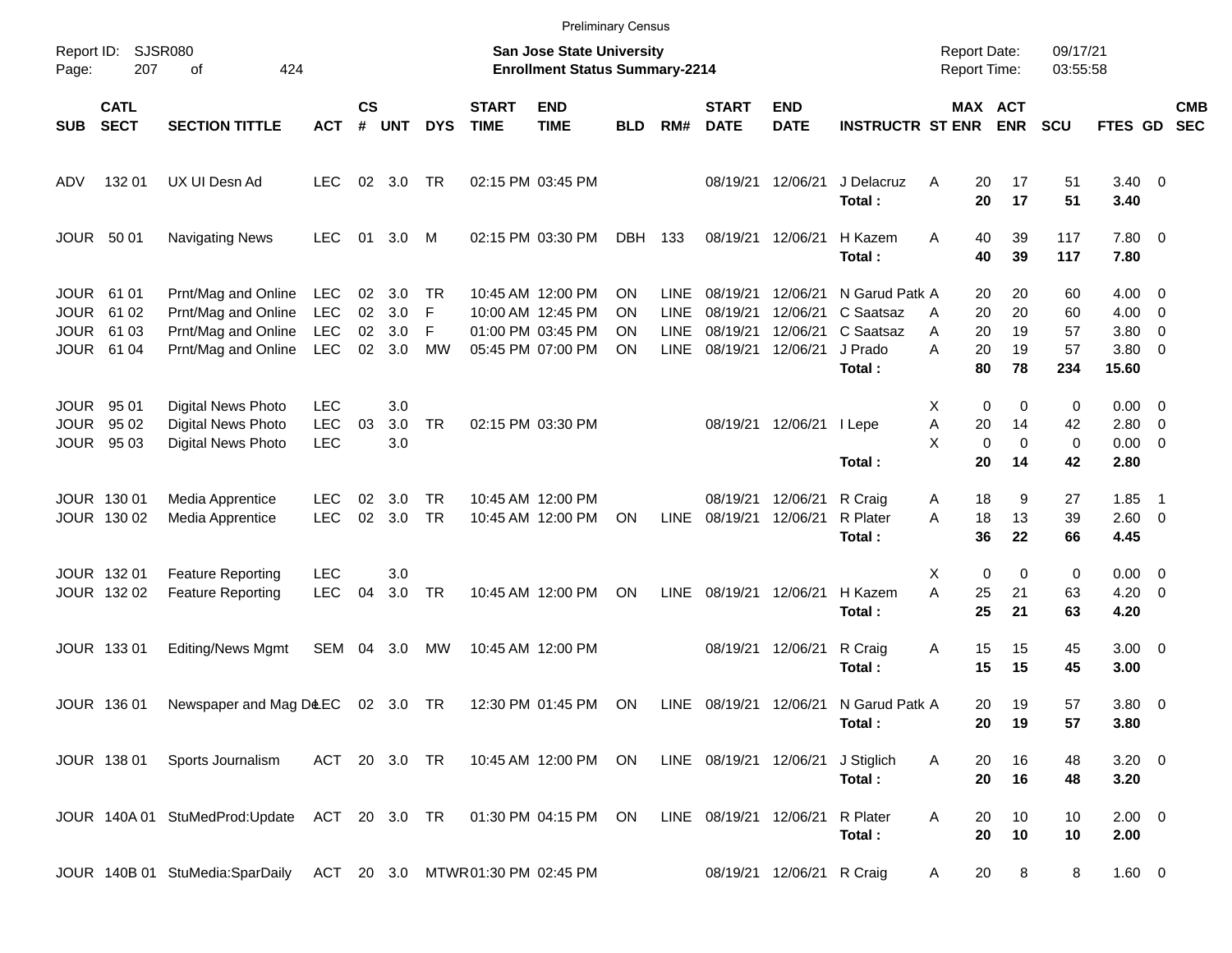|                                                          |                                  |                                                                                          |                                                      |                      |                          |                           |                                  |                                                                                  | <b>Preliminary Census</b> |                                                          |                                              |                                              |                                                               |                                           |                            |                             |                                       |                                                             |                          |
|----------------------------------------------------------|----------------------------------|------------------------------------------------------------------------------------------|------------------------------------------------------|----------------------|--------------------------|---------------------------|----------------------------------|----------------------------------------------------------------------------------|---------------------------|----------------------------------------------------------|----------------------------------------------|----------------------------------------------|---------------------------------------------------------------|-------------------------------------------|----------------------------|-----------------------------|---------------------------------------|-------------------------------------------------------------|--------------------------|
| Report ID:<br>Page:                                      | 207                              | <b>SJSR080</b><br>424<br>οf                                                              |                                                      |                      |                          |                           |                                  | <b>San Jose State University</b><br><b>Enrollment Status Summary-2214</b>        |                           |                                                          |                                              |                                              |                                                               | <b>Report Date:</b><br>Report Time:       |                            | 09/17/21<br>03:55:58        |                                       |                                                             |                          |
| <b>SUB</b>                                               | <b>CATL</b><br><b>SECT</b>       | <b>SECTION TITTLE</b>                                                                    | <b>ACT</b>                                           | $\mathsf{cs}$<br>#   | <b>UNT</b>               | <b>DYS</b>                | <b>START</b><br><b>TIME</b>      | <b>END</b><br><b>TIME</b>                                                        | <b>BLD</b>                | RM#                                                      | <b>START</b><br><b>DATE</b>                  | <b>END</b><br><b>DATE</b>                    | <b>INSTRUCTR ST ENR</b>                                       |                                           | MAX ACT<br><b>ENR</b>      | <b>SCU</b>                  | FTES GD                               |                                                             | <b>CMB</b><br><b>SEC</b> |
| ADV                                                      | 132 01                           | UX UI Desn Ad                                                                            | <b>LEC</b>                                           | 02                   | 3.0                      | TR                        |                                  | 02:15 PM 03:45 PM                                                                |                           |                                                          | 08/19/21                                     | 12/06/21                                     | J Delacruz<br>Total:                                          | Α<br>20<br>20                             | 17<br>17                   | 51<br>51                    | $3.40 \quad 0$<br>3.40                |                                                             |                          |
| <b>JOUR</b>                                              | 50 01                            | <b>Navigating News</b>                                                                   | <b>LEC</b>                                           | 01                   | 3.0                      | M                         |                                  | 02:15 PM 03:30 PM                                                                | <b>DBH</b>                | 133                                                      | 08/19/21                                     | 12/06/21                                     | H Kazem<br>Total:                                             | Α<br>40<br>40                             | 39<br>39                   | 117<br>117                  | 7.80 0<br>7.80                        |                                                             |                          |
| <b>JOUR</b><br><b>JOUR</b><br><b>JOUR</b><br><b>JOUR</b> | 61 01<br>61 02<br>61 03<br>61 04 | Prnt/Mag and Online<br>Prnt/Mag and Online<br>Prnt/Mag and Online<br>Prnt/Mag and Online | <b>LEC</b><br><b>LEC</b><br><b>LEC</b><br><b>LEC</b> | 02<br>02<br>02<br>02 | 3.0<br>3.0<br>3.0<br>3.0 | TR<br>F<br>F<br><b>MW</b> |                                  | 10:45 AM 12:00 PM<br>10:00 AM 12:45 PM<br>01:00 PM 03:45 PM<br>05:45 PM 07:00 PM | ΟN<br>ΟN<br>ΟN<br>ON      | <b>LINE</b><br><b>LINE</b><br><b>LINE</b><br><b>LINE</b> | 08/19/21<br>08/19/21<br>08/19/21<br>08/19/21 | 12/06/21<br>12/06/21<br>12/06/21<br>12/06/21 | N Garud Patk A<br>C Saatsaz<br>C Saatsaz<br>J Prado<br>Total: | 20<br>20<br>A<br>20<br>Α<br>A<br>20<br>80 | 20<br>20<br>19<br>19<br>78 | 60<br>60<br>57<br>57<br>234 | 4.00<br>4.00<br>3.80<br>3.80<br>15.60 | $\overline{\mathbf{0}}$<br>0<br>0<br>$\overline{0}$         |                          |
| <b>JOUR</b><br><b>JOUR</b><br><b>JOUR</b>                | 95 01<br>95 02<br>95 03          | Digital News Photo<br><b>Digital News Photo</b><br>Digital News Photo                    | <b>LEC</b><br><b>LEC</b><br><b>LEC</b>               | 03                   | 3.0<br>3.0<br>3.0        | <b>TR</b>                 |                                  | 02:15 PM 03:30 PM                                                                |                           |                                                          | 08/19/21                                     | 12/06/21                                     | I Lepe<br>Total:                                              | Х<br>0<br>A<br>20<br>X<br>0<br>20         | 0<br>14<br>0<br>14         | 0<br>42<br>0<br>42          | 0.00<br>2.80<br>0.00<br>2.80          | $\overline{\mathbf{0}}$<br>$\overline{0}$<br>$\overline{0}$ |                          |
|                                                          | JOUR 130 01<br>JOUR 130 02       | Media Apprentice<br>Media Apprentice                                                     | <b>LEC</b><br><b>LEC</b>                             | 02<br>02             | 3.0<br>3.0               | <b>TR</b><br><b>TR</b>    |                                  | 10:45 AM 12:00 PM<br>10:45 AM 12:00 PM                                           | ON                        | <b>LINE</b>                                              | 08/19/21<br>08/19/21                         | 12/06/21<br>12/06/21                         | R Craig<br>R Plater<br>Total:                                 | Α<br>18<br>18<br>A<br>36                  | 9<br>13<br>22              | 27<br>39<br>66              | 1.85<br>2.60<br>4.45                  | - 1<br>$\overline{0}$                                       |                          |
|                                                          | JOUR 132 01<br>JOUR 132 02       | <b>Feature Reporting</b><br><b>Feature Reporting</b>                                     | <b>LEC</b><br><b>LEC</b>                             | 04                   | 3.0<br>3.0               | <b>TR</b>                 |                                  | 10:45 AM 12:00 PM                                                                | ON                        | <b>LINE</b>                                              | 08/19/21                                     | 12/06/21                                     | H Kazem<br>Total:                                             | X<br>0<br>Α<br>25<br>25                   | 0<br>21<br>21              | 0<br>63<br>63               | 0.00<br>4.20<br>4.20                  | $\overline{\phantom{0}}$<br>$\overline{0}$                  |                          |
|                                                          | JOUR 133 01                      | Editing/News Mgmt                                                                        | <b>SEM</b>                                           | 04                   | 3.0                      | MW                        |                                  | 10:45 AM 12:00 PM                                                                |                           |                                                          | 08/19/21                                     | 12/06/21                                     | R Craig<br>Total:                                             | Α<br>15<br>15                             | 15<br>15                   | 45<br>45                    | $3.00 \ 0$<br>3.00                    |                                                             |                          |
|                                                          | <b>JOUR 13601</b>                | Newspaper and Mag D&EC                                                                   |                                                      |                      | 02 3.0                   | TR                        |                                  | 12:30 PM 01:45 PM                                                                | ON                        | LINE                                                     | 08/19/21                                     | 12/06/21                                     | N Garud Patk A<br>Total:                                      | 20<br>20                                  | 19<br>19                   | 57<br>57                    | 3.80 0<br>3.80                        |                                                             |                          |
|                                                          | JOUR 138 01                      | Sports Journalism                                                                        | ACT 20 3.0 TR                                        |                      |                          |                           |                                  | 10:45 AM 12:00 PM                                                                | ON                        |                                                          | LINE 08/19/21 12/06/21                       |                                              | J Stiglich<br>Total:                                          | Α<br>20<br>20                             | 16<br>16                   | 48<br>48                    | $3.20 \ 0$<br>3.20                    |                                                             |                          |
|                                                          |                                  | JOUR 140A 01 StuMedProd:Update                                                           | ACT 20 3.0 TR                                        |                      |                          |                           |                                  | 01:30 PM 04:15 PM                                                                | ON                        |                                                          | LINE 08/19/21                                | 12/06/21                                     | R Plater<br>Total:                                            | Α<br>20<br>20                             | 10<br>10                   | 10<br>10                    | $2.00 \t 0$<br>2.00                   |                                                             |                          |
|                                                          |                                  | JOUR 140B 01 StuMedia:SparDaily                                                          |                                                      |                      |                          |                           | ACT 20 3.0 MTWR01:30 PM 02:45 PM |                                                                                  |                           |                                                          |                                              | 08/19/21 12/06/21                            | R Craig                                                       | 20<br>A                                   | 8                          | 8                           | 1.60 0                                |                                                             |                          |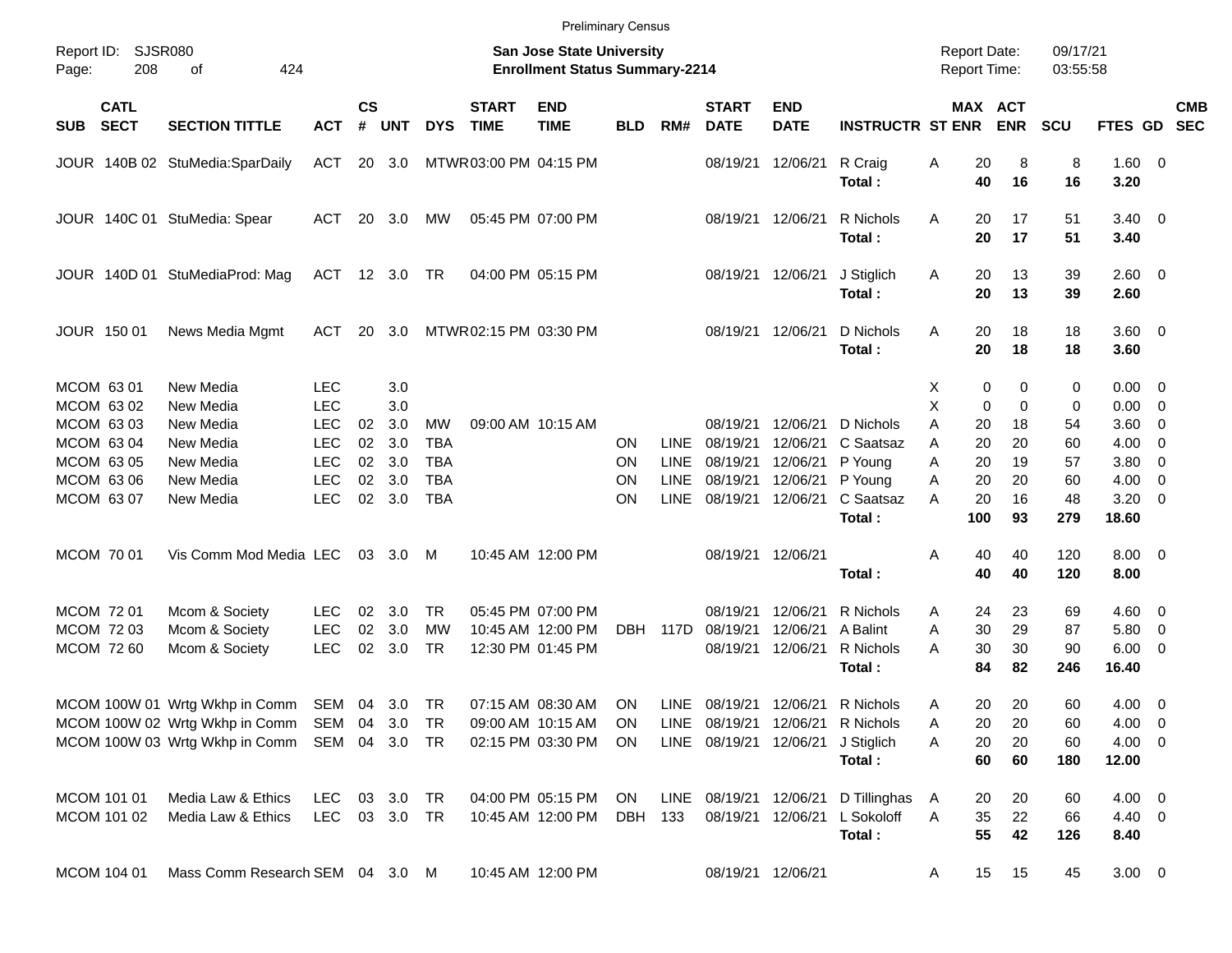|                                        |                            |                                                                                                                                              |                                        |                |                      |                                        |                             | <b>Preliminary Census</b>                                                 |                       |                                           |                                         |                                  |                                                                |                                            |                |                |                      |                              |                                                                               |            |
|----------------------------------------|----------------------------|----------------------------------------------------------------------------------------------------------------------------------------------|----------------------------------------|----------------|----------------------|----------------------------------------|-----------------------------|---------------------------------------------------------------------------|-----------------------|-------------------------------------------|-----------------------------------------|----------------------------------|----------------------------------------------------------------|--------------------------------------------|----------------|----------------|----------------------|------------------------------|-------------------------------------------------------------------------------|------------|
| Report ID:<br>Page:                    | SJSR080<br>208             | 424<br>οf                                                                                                                                    |                                        |                |                      |                                        |                             | <b>San Jose State University</b><br><b>Enrollment Status Summary-2214</b> |                       |                                           |                                         |                                  |                                                                | <b>Report Date:</b><br><b>Report Time:</b> |                |                | 09/17/21<br>03:55:58 |                              |                                                                               |            |
| <b>SUB</b>                             | <b>CATL</b><br><b>SECT</b> | <b>SECTION TITTLE</b>                                                                                                                        | <b>ACT</b>                             | <b>CS</b><br># | <b>UNT</b>           | <b>DYS</b>                             | <b>START</b><br><b>TIME</b> | <b>END</b><br><b>TIME</b>                                                 | <b>BLD</b>            | RM#                                       | <b>START</b><br><b>DATE</b>             | <b>END</b><br><b>DATE</b>        | <b>INSTRUCTR ST ENR</b>                                        | MAX ACT                                    |                | <b>ENR</b>     | <b>SCU</b>           | FTES GD SEC                  |                                                                               | <b>CMB</b> |
|                                        |                            | JOUR 140B 02 StuMedia:SparDaily                                                                                                              | ACT                                    |                | 20 3.0               |                                        | MTWR 03:00 PM 04:15 PM      |                                                                           |                       |                                           | 08/19/21                                | 12/06/21                         | R Craig<br>Total:                                              | Α                                          | 20<br>40       | 8<br>16        | 8<br>16              | 1.60 0<br>3.20               |                                                                               |            |
|                                        |                            | JOUR 140C 01 StuMedia: Spear                                                                                                                 | ACT                                    |                | 20 3.0               | MW                                     |                             | 05:45 PM 07:00 PM                                                         |                       |                                           | 08/19/21                                | 12/06/21                         | R Nichols<br>Total:                                            | A                                          | 20<br>20       | 17<br>17       | 51<br>51             | $3.40 \quad 0$<br>3.40       |                                                                               |            |
|                                        |                            | JOUR 140D 01 StuMediaProd: Mag                                                                                                               | ACT                                    |                | 12 3.0               | TR                                     |                             | 04:00 PM 05:15 PM                                                         |                       |                                           | 08/19/21                                | 12/06/21                         | J Stiglich<br>Total:                                           | A                                          | 20<br>20       | 13<br>13       | 39<br>39             | $2.60 \ 0$<br>2.60           |                                                                               |            |
| JOUR 150 01                            |                            | News Media Mgmt                                                                                                                              | ACT                                    |                | 20 3.0               |                                        | MTWR 02:15 PM 03:30 PM      |                                                                           |                       |                                           | 08/19/21                                | 12/06/21                         | D Nichols<br>Total:                                            | A                                          | 20<br>20       | 18<br>18       | 18<br>18             | 3.60 0<br>3.60               |                                                                               |            |
| MCOM 6301<br>MCOM 63 02                |                            | New Media<br>New Media                                                                                                                       | <b>LEC</b><br><b>LEC</b>               |                | 3.0<br>3.0           |                                        |                             |                                                                           |                       |                                           |                                         |                                  |                                                                | Х<br>Χ                                     | 0<br>0         | 0<br>0         | 0<br>0               | 0.00<br>0.00                 | $\overline{\phantom{0}}$<br>$\overline{\mathbf{0}}$                           |            |
| MCOM 63 03<br>MCOM 63 04               |                            | New Media<br>New Media                                                                                                                       | <b>LEC</b><br><b>LEC</b>               | 02<br>02       | 3.0<br>3.0           | MW<br><b>TBA</b>                       |                             | 09:00 AM 10:15 AM                                                         | ON                    | <b>LINE</b>                               | 08/19/21<br>08/19/21                    | 12/06/21<br>12/06/21             | D Nichols<br>C Saatsaz                                         | Α<br>Α                                     | 20<br>20       | 18<br>20       | 54<br>60             | 3.60<br>4.00                 | 0<br>0                                                                        |            |
| MCOM 63 05<br>MCOM 63 06<br>MCOM 63 07 |                            | New Media<br>New Media<br>New Media                                                                                                          | <b>LEC</b><br><b>LEC</b><br><b>LEC</b> | 02<br>02       | 3.0<br>3.0<br>02 3.0 | <b>TBA</b><br><b>TBA</b><br><b>TBA</b> |                             |                                                                           | ON<br>ON<br><b>ON</b> | <b>LINE</b><br><b>LINE</b><br><b>LINE</b> | 08/19/21<br>08/19/21<br>08/19/21        | 12/06/21<br>12/06/21<br>12/06/21 | P Young<br>P Young<br>C Saatsaz                                | Α<br>Α<br>A                                | 20<br>20<br>20 | 19<br>20<br>16 | 57<br>60<br>48       | 3.80<br>4.00<br>3.20         | $\overline{\mathbf{0}}$<br>$\overline{\mathbf{0}}$<br>$\overline{\mathbf{0}}$ |            |
|                                        |                            |                                                                                                                                              |                                        |                |                      |                                        |                             |                                                                           |                       |                                           |                                         |                                  | Total:                                                         |                                            | 100            | 93             | 279                  | 18.60                        |                                                                               |            |
| MCOM 70 01                             |                            | Vis Comm Mod Media LEC                                                                                                                       |                                        |                | 03 3.0 M             |                                        |                             | 10:45 AM 12:00 PM                                                         |                       |                                           | 08/19/21 12/06/21                       |                                  | Total:                                                         | A                                          | 40<br>40       | 40<br>40       | 120<br>120           | $8.00 \t 0$<br>8.00          |                                                                               |            |
| MCOM 72 01<br>MCOM 72 03<br>MCOM 72 60 |                            | Mcom & Society<br>Mcom & Society                                                                                                             | <b>LEC</b><br><b>LEC</b><br><b>LEC</b> | 02<br>02       | 3.0<br>3.0<br>02 3.0 | TR<br>MW<br><b>TR</b>                  |                             | 05:45 PM 07:00 PM<br>10:45 AM 12:00 PM<br>12:30 PM 01:45 PM               | DBH                   |                                           | 08/19/21<br>117D 08/19/21<br>08/19/21   | 12/06/21<br>12/06/21<br>12/06/21 | R Nichols<br>A Balint<br>R Nichols                             | A<br>Α<br>A                                | 24<br>30<br>30 | 23<br>29<br>30 | 69<br>87<br>90       | $4.60 \ 0$<br>5.80<br>6.00   | $\overline{\mathbf{0}}$                                                       |            |
|                                        |                            | Mcom & Society                                                                                                                               |                                        |                |                      |                                        |                             |                                                                           |                       |                                           |                                         |                                  | Total:                                                         |                                            | 84             | 82             | 246                  | 16.40                        | $\overline{\mathbf{0}}$                                                       |            |
|                                        |                            | MCOM 100W 01 Wrtg Wkhp in Comm SEM 04 3.0 TR<br>MCOM 100W 02 Wrtg Wkhp in Comm SEM 04 3.0 TR<br>MCOM 100W 03 Wrtg Wkhp in Comm SEM 04 3.0 TR |                                        |                |                      |                                        |                             | 07:15 AM 08:30 AM<br>09:00 AM 10:15 AM<br>02:15 PM 03:30 PM               | ON.<br>ON.            |                                           | LINE 08/19/21<br>LINE 08/19/21 12/06/21 | 12/06/21                         | R Nichols<br>ON LINE 08/19/21 12/06/21 R Nichols<br>J Stiglich | A<br>Α<br>A                                | 20<br>20<br>20 | 20<br>20<br>20 | 60<br>60<br>60       | 4.00<br>4.00<br>$4.00 \ 0$   | $\overline{\mathbf{0}}$<br>$\overline{\phantom{0}}$                           |            |
|                                        |                            |                                                                                                                                              |                                        |                |                      |                                        |                             |                                                                           |                       |                                           |                                         |                                  | Total:                                                         |                                            | 60             | 60             | 180                  | 12.00                        |                                                                               |            |
| MCOM 101 01<br>MCOM 101 02             |                            | Media Law & Ethics<br>Media Law & Ethics                                                                                                     | LEC<br>LEC 03 3.0 TR                   |                | 03 3.0 TR            |                                        |                             | 04:00 PM 05:15 PM<br>10:45 AM 12:00 PM                                    | ON.<br>DBH 133        |                                           | LINE 08/19/21 12/06/21                  | 08/19/21 12/06/21                | D Tillinghas A<br>L Sokoloff<br>Total:                         | A                                          | 20<br>35<br>55 | 20<br>22<br>42 | 60<br>66<br>126      | $4.00 \ 0$<br>4.40 0<br>8.40 |                                                                               |            |
| MCOM 104 01                            |                            | Mass Comm Research SEM 04 3.0 M                                                                                                              |                                        |                |                      |                                        |                             | 10:45 AM 12:00 PM                                                         |                       |                                           | 08/19/21 12/06/21                       |                                  |                                                                | A                                          | 15             | 15             | 45                   | $3.00 \t 0$                  |                                                                               |            |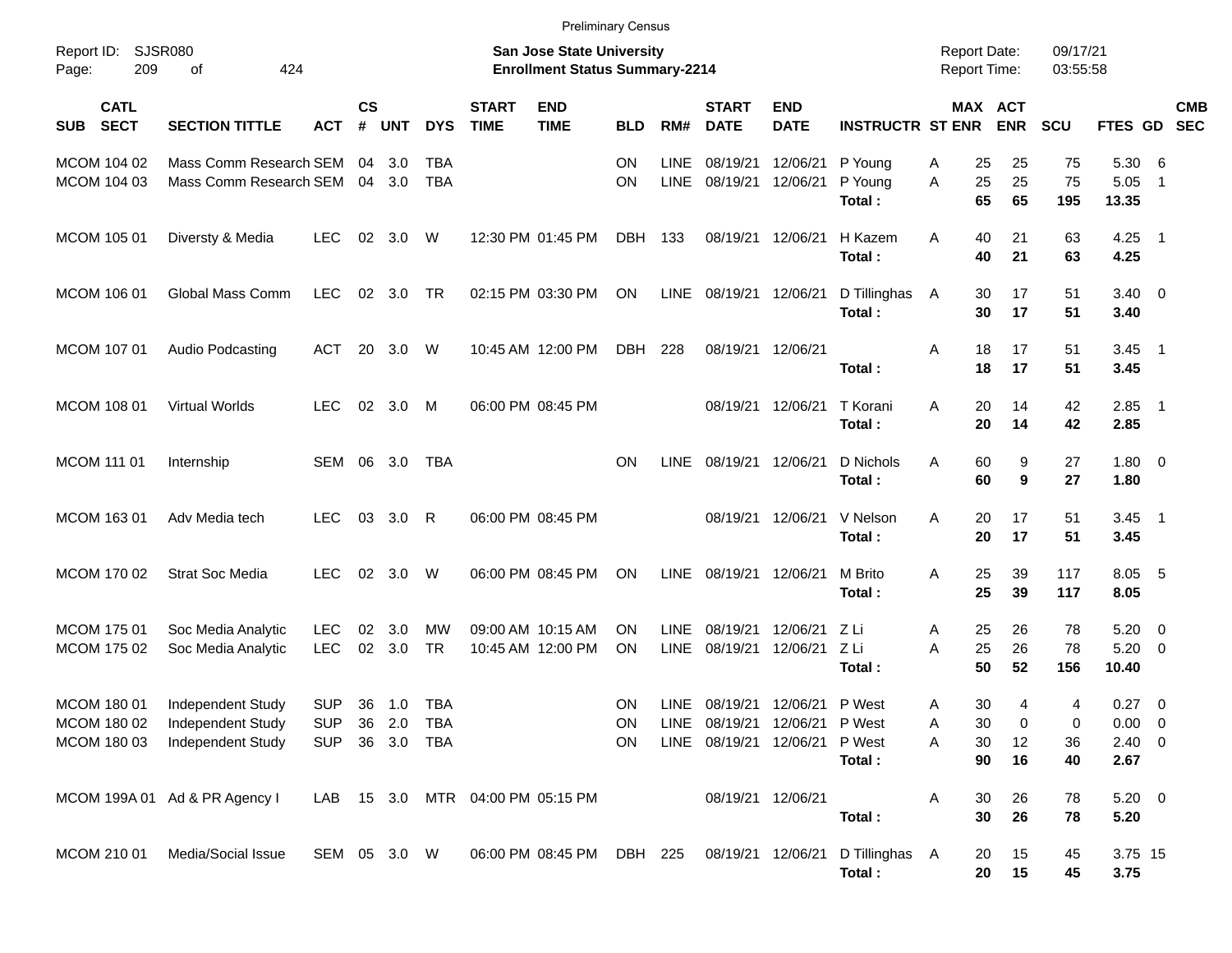|                                           | <b>Preliminary Census</b><br><b>SJSR080</b><br><b>San Jose State University</b><br>Report Date: |                                        |                             |                       |                          |                              |                                        |                              |                            |                                    |                                    |                                      |             |                       |                    |                      |                                           |                                           |                          |
|-------------------------------------------|-------------------------------------------------------------------------------------------------|----------------------------------------|-----------------------------|-----------------------|--------------------------|------------------------------|----------------------------------------|------------------------------|----------------------------|------------------------------------|------------------------------------|--------------------------------------|-------------|-----------------------|--------------------|----------------------|-------------------------------------------|-------------------------------------------|--------------------------|
| Report ID:<br>209<br>Page:                | 424<br>οf                                                                                       |                                        |                             |                       |                          |                              | <b>Enrollment Status Summary-2214</b>  |                              |                            |                                    |                                    |                                      |             | Report Time:          |                    | 09/17/21<br>03:55:58 |                                           |                                           |                          |
| <b>CATL</b><br><b>SECT</b><br><b>SUB</b>  | <b>SECTION TITTLE</b>                                                                           | <b>ACT</b>                             | $\mathsf{cs}$<br>$\pmb{\#}$ | <b>UNT</b>            | <b>DYS</b>               | <b>START</b><br><b>TIME</b>  | <b>END</b><br><b>TIME</b>              | <b>BLD</b>                   | RM#                        | <b>START</b><br><b>DATE</b>        | <b>END</b><br><b>DATE</b>          | <b>INSTRUCTR ST ENR</b>              |             | MAX ACT<br><b>ENR</b> |                    | SCU                  | FTES GD                                   |                                           | <b>CMB</b><br><b>SEC</b> |
| MCOM 104 02<br>MCOM 104 03                | Mass Comm Research SEM<br>Mass Comm Research SEM                                                |                                        | 04                          | 3.0<br>$04 \quad 3.0$ | <b>TBA</b><br><b>TBA</b> |                              |                                        | <b>ON</b><br><b>ON</b>       | LINE<br><b>LINE</b>        | 08/19/21<br>08/19/21               | 12/06/21<br>12/06/21               | P Young<br>P Young<br>Total:         | Α<br>A      | 25<br>25<br>65        | 25<br>25<br>65     | 75<br>75<br>195      | 5.30<br>5.05<br>13.35                     | - 6<br>$\overline{1}$                     |                          |
| MCOM 105 01                               | Diversty & Media                                                                                | <b>LEC</b>                             | 02                          | 3.0                   | W                        |                              | 12:30 PM 01:45 PM                      | <b>DBH</b>                   | 133                        | 08/19/21 12/06/21                  |                                    | H Kazem<br>Total:                    | A           | 40<br>40              | 21<br>21           | 63<br>63             | 4.25<br>4.25                              | $\overline{\phantom{1}}$                  |                          |
| MCOM 106 01                               | Global Mass Comm                                                                                | <b>LEC</b>                             | 02                          | 3.0                   | TR                       |                              | 02:15 PM 03:30 PM                      | <b>ON</b>                    | <b>LINE</b>                | 08/19/21 12/06/21                  |                                    | D Tillinghas<br>Total:               | A           | 30<br>30              | 17<br>17           | 51<br>51             | $3.40 \ 0$<br>3.40                        |                                           |                          |
| MCOM 107 01                               | Audio Podcasting                                                                                | <b>ACT</b>                             | 20                          | 3.0                   | W                        |                              | 10:45 AM 12:00 PM                      | <b>DBH</b>                   | 228                        | 08/19/21 12/06/21                  |                                    | Total:                               | A           | 18<br>18              | 17<br>17           | 51<br>51             | 3.45<br>3.45                              | $\overline{\phantom{1}}$                  |                          |
| MCOM 108 01                               | <b>Virtual Worlds</b>                                                                           | <b>LEC</b>                             | 02                          | 3.0                   | M                        |                              | 06:00 PM 08:45 PM                      |                              |                            |                                    | 08/19/21 12/06/21                  | T Korani<br>Total:                   | A           | 20<br>20              | 14<br>14           | 42<br>42             | 2.85<br>2.85                              | $\overline{\phantom{1}}$                  |                          |
| <b>MCOM 111 01</b>                        | Internship                                                                                      | <b>SEM</b>                             | 06                          | 3.0                   | TBA                      |                              |                                        | <b>ON</b>                    | LINE                       | 08/19/21 12/06/21                  |                                    | D Nichols<br>Total:                  | A           | 60<br>60              | 9<br>9             | 27<br>27             | $1.80 \ 0$<br>1.80                        |                                           |                          |
| MCOM 163 01                               | Adv Media tech                                                                                  | <b>LEC</b>                             | 03                          | 3.0                   | R                        |                              | 06:00 PM 08:45 PM                      |                              |                            |                                    | 08/19/21 12/06/21                  | V Nelson<br>Total:                   | A           | 20<br>20              | 17<br>17           | 51<br>51             | 3.45<br>3.45                              | $\overline{\phantom{1}}$                  |                          |
| MCOM 170 02                               | <b>Strat Soc Media</b>                                                                          | <b>LEC</b>                             | 02                          | 3.0                   | W                        |                              | 06:00 PM 08:45 PM                      | <b>ON</b>                    | <b>LINE</b>                | 08/19/21 12/06/21                  |                                    | M Brito<br>Total:                    | A           | 25<br>25              | 39<br>39           | 117<br>117           | 8.05 5<br>8.05                            |                                           |                          |
| <b>MCOM 17501</b><br>MCOM 175 02          | Soc Media Analytic<br>Soc Media Analytic                                                        | <b>LEC</b><br><b>LEC</b>               | 02<br>02                    | 3.0<br>3.0            | MW<br><b>TR</b>          |                              | 09:00 AM 10:15 AM<br>10:45 AM 12:00 PM | <b>ON</b><br><b>ON</b>       | <b>LINE</b><br><b>LINE</b> | 08/19/21<br>08/19/21               | 12/06/21<br>12/06/21               | Z Li<br>Z Li<br>Total:               | Α<br>A      | 25<br>25<br>50        | 26<br>26<br>52     | 78<br>78<br>156      | 5.20<br>5.20<br>10.40                     | $\overline{\mathbf{0}}$<br>$\overline{0}$ |                          |
| MCOM 180 01<br>MCOM 180 02<br>MCOM 180 03 | Independent Study<br>Independent Study<br>Independent Study                                     | <b>SUP</b><br><b>SUP</b><br><b>SUP</b> | 36<br>36                    | 1.0<br>2.0<br>36 3.0  | TBA<br>TBA<br><b>TBA</b> |                              |                                        | <b>ON</b><br>ON<br><b>ON</b> | LINE                       | 08/19/21 12/06/21<br>LINE 08/19/21 | LINE 08/19/21 12/06/21<br>12/06/21 | P West<br>P West<br>P West<br>Total: | Α<br>Α<br>Α | 30<br>30<br>30<br>90  | 4<br>0<br>12<br>16 | 4<br>0<br>36<br>40   | 0.27<br>$0.00 \t 0$<br>$2.40 \ 0$<br>2.67 | $\overline{\mathbf{0}}$                   |                          |
|                                           | MCOM 199A 01 Ad & PR Agency I                                                                   | LAB                                    |                             |                       |                          | 15 3.0 MTR 04:00 PM 05:15 PM |                                        |                              |                            | 08/19/21 12/06/21                  |                                    | Total:                               | Α           | 30<br>30              | 26<br>26           | 78<br>78             | $5.20 \t 0$<br>5.20                       |                                           |                          |
| MCOM 210 01                               | Media/Social Issue                                                                              | SEM 05 3.0 W                           |                             |                       |                          |                              | 06:00 PM 08:45 PM                      | DBH 225                      |                            | 08/19/21 12/06/21                  |                                    | D Tillinghas A<br>Total:             |             | 20<br>20              | 15<br>15           | 45<br>45             | 3.75 15<br>3.75                           |                                           |                          |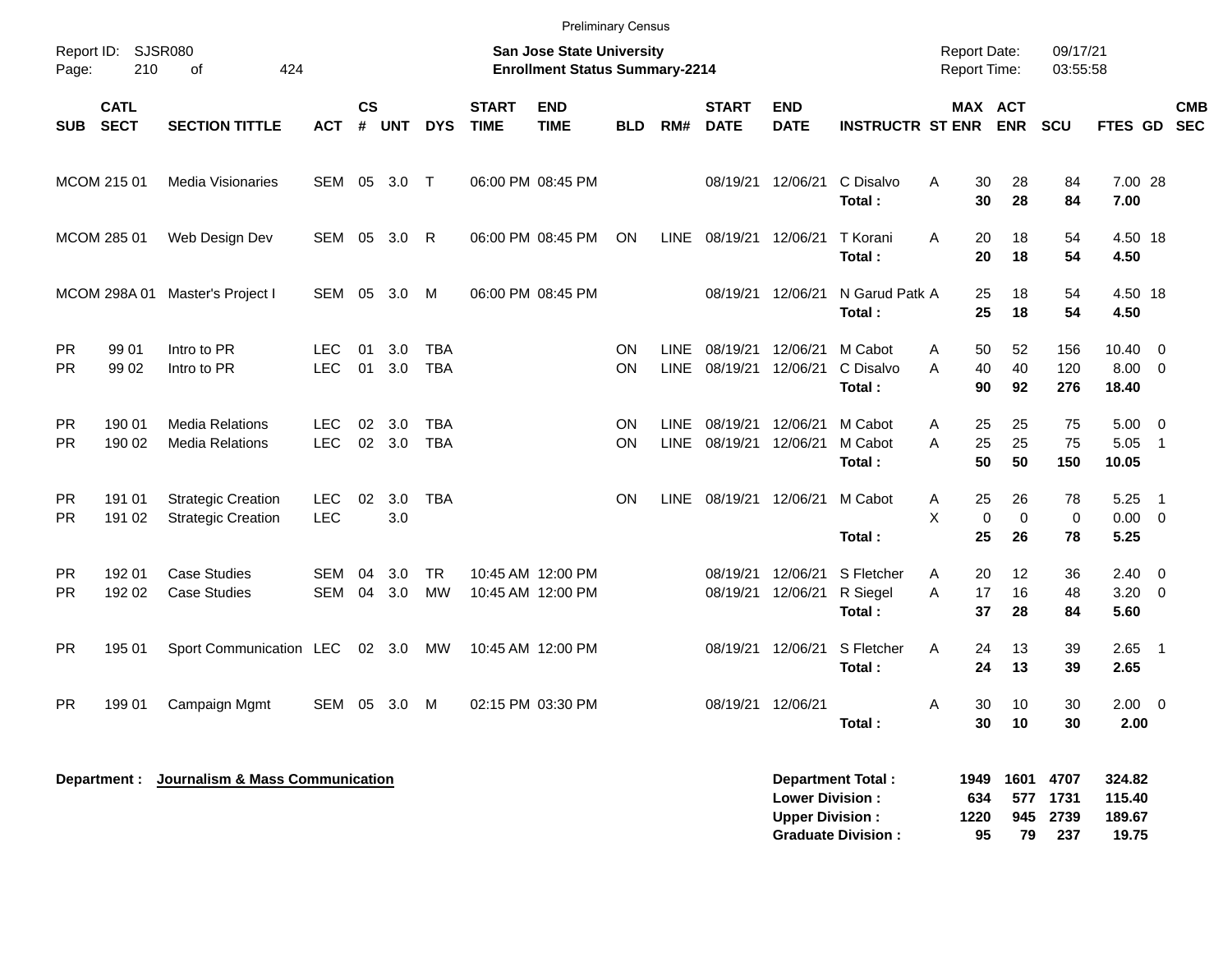|                        |                            |                                                        |                          |                             |            |                          |                             | <b>Preliminary Census</b>                                                 |            |                            |                             |                                                  |                                  |                                            |                               |                       |                            |                                            |                          |
|------------------------|----------------------------|--------------------------------------------------------|--------------------------|-----------------------------|------------|--------------------------|-----------------------------|---------------------------------------------------------------------------|------------|----------------------------|-----------------------------|--------------------------------------------------|----------------------------------|--------------------------------------------|-------------------------------|-----------------------|----------------------------|--------------------------------------------|--------------------------|
| Report ID:<br>Page:    | <b>SJSR080</b><br>210      | 424<br>of                                              |                          |                             |            |                          |                             | <b>San Jose State University</b><br><b>Enrollment Status Summary-2214</b> |            |                            |                             |                                                  |                                  | <b>Report Date:</b><br><b>Report Time:</b> |                               | 09/17/21<br>03:55:58  |                            |                                            |                          |
| <b>SUB</b>             | <b>CATL</b><br><b>SECT</b> | <b>SECTION TITTLE</b>                                  | <b>ACT</b>               | $\mathsf{cs}$<br>$\pmb{\#}$ | <b>UNT</b> | <b>DYS</b>               | <b>START</b><br><b>TIME</b> | <b>END</b><br><b>TIME</b>                                                 | <b>BLD</b> | RM#                        | <b>START</b><br><b>DATE</b> | <b>END</b><br><b>DATE</b>                        | <b>INSTRUCTR ST ENR</b>          |                                            | MAX ACT<br><b>ENR</b>         | <b>SCU</b>            | FTES GD                    |                                            | <b>CMB</b><br><b>SEC</b> |
|                        | MCOM 215 01                | Media Visionaries                                      | SEM                      | 05                          | 3.0        | $\top$                   |                             | 06:00 PM 08:45 PM                                                         |            |                            | 08/19/21                    | 12/06/21                                         | C Disalvo<br>Total:              | A<br>30<br>30                              | 28<br>28                      | 84<br>84              | 7.00 28<br>7.00            |                                            |                          |
|                        | MCOM 285 01                | Web Design Dev                                         | SEM                      | 05                          | 3.0        | R                        |                             | 06:00 PM 08:45 PM                                                         | ON         | <b>LINE</b>                | 08/19/21                    | 12/06/21                                         | T Korani<br>Total:               | Α<br>20<br>20                              | 18<br>18                      | 54<br>54              | 4.50 18<br>4.50            |                                            |                          |
|                        | MCOM 298A 01               | Master's Project I                                     | <b>SEM</b>               | 05                          | 3.0        | М                        |                             | 06:00 PM 08:45 PM                                                         |            |                            | 08/19/21                    | 12/06/21                                         | N Garud Patk A<br>Total:         | 25<br>25                                   | 18<br>18                      | 54<br>54              | 4.50 18<br>4.50            |                                            |                          |
| <b>PR</b><br><b>PR</b> | 99 01<br>99 02             | Intro to PR<br>Intro to PR                             | <b>LEC</b><br><b>LEC</b> | 01<br>01                    | 3.0<br>3.0 | <b>TBA</b><br><b>TBA</b> |                             |                                                                           | ON<br>ON   | <b>LINE</b><br><b>LINE</b> | 08/19/21<br>08/19/21        | 12/06/21<br>12/06/21                             | M Cabot<br>C Disalvo<br>Total:   | 50<br>A<br>A<br>40<br>90                   | 52<br>40<br>92                | 156<br>120<br>276     | 10.40<br>8.00<br>18.40     | $\overline{0}$<br>$\overline{0}$           |                          |
| <b>PR</b><br><b>PR</b> | 190 01<br>190 02           | <b>Media Relations</b><br><b>Media Relations</b>       | LEC.<br><b>LEC</b>       | 02<br>02                    | 3.0<br>3.0 | <b>TBA</b><br><b>TBA</b> |                             |                                                                           | ON<br>ON   | <b>LINE</b><br><b>LINE</b> | 08/19/21<br>08/19/21        | 12/06/21<br>12/06/21                             | M Cabot<br>M Cabot<br>Total:     | 25<br>Α<br>A<br>25<br>50                   | 25<br>25<br>50                | 75<br>75<br>150       | 5.00<br>5.05<br>10.05      | $\overline{0}$<br>$\overline{1}$           |                          |
| <b>PR</b><br><b>PR</b> | 191 01<br>191 02           | <b>Strategic Creation</b><br><b>Strategic Creation</b> | LEC.<br><b>LEC</b>       | 02                          | 3.0<br>3.0 | <b>TBA</b>               |                             |                                                                           | ON         | <b>LINE</b>                | 08/19/21                    | 12/06/21                                         | M Cabot<br>Total:                | 25<br>Α<br>X<br>$\pmb{0}$<br>25            | 26<br>$\mathbf 0$<br>26       | 78<br>$\pmb{0}$<br>78 | 5.25<br>0.00<br>5.25       | $\overline{1}$<br>$\overline{\phantom{0}}$ |                          |
| <b>PR</b><br><b>PR</b> | 192 01<br>192 02           | <b>Case Studies</b><br><b>Case Studies</b>             | <b>SEM</b><br><b>SEM</b> | 04<br>04                    | 3.0<br>3.0 | TR<br><b>MW</b>          |                             | 10:45 AM 12:00 PM<br>10:45 AM 12:00 PM                                    |            |                            | 08/19/21<br>08/19/21        | 12/06/21<br>12/06/21                             | S Fletcher<br>R Siegel<br>Total: | Α<br>20<br>A<br>17<br>37                   | $12 \overline{ }$<br>16<br>28 | 36<br>48<br>84        | 2.40<br>3.20<br>5.60       | $\overline{\mathbf{0}}$<br>$\overline{0}$  |                          |
| <b>PR</b>              | 195 01                     | Sport Communication LEC                                |                          |                             | 02 3.0     | МW                       |                             | 10:45 AM 12:00 PM                                                         |            |                            | 08/19/21                    | 12/06/21                                         | S Fletcher<br>Total:             | A<br>24<br>24                              | 13<br>13                      | 39<br>39              | 2.65<br>2.65               | $\overline{\phantom{1}}$                   |                          |
| <b>PR</b>              | 199 01                     | Campaign Mgmt                                          | SEM                      | 05                          | 3.0        | M                        |                             | 02:15 PM 03:30 PM                                                         |            |                            | 08/19/21                    | 12/06/21                                         | Total:                           | 30<br>A<br>30                              | 10<br>10                      | 30<br>30              | $2.00 \t 0$<br>2.00        |                                            |                          |
|                        | Department :               | Journalism & Mass Communication                        |                          |                             |            |                          |                             |                                                                           |            |                            |                             | <b>Lower Division:</b><br><b>Upper Division:</b> | <b>Department Total:</b>         | 1949<br>634<br>1220                        | 1601<br>577<br>945            | 4707<br>1731<br>2739  | 324.82<br>115.40<br>189.67 |                                            |                          |

**Graduate Division : 95 79 237 19.75**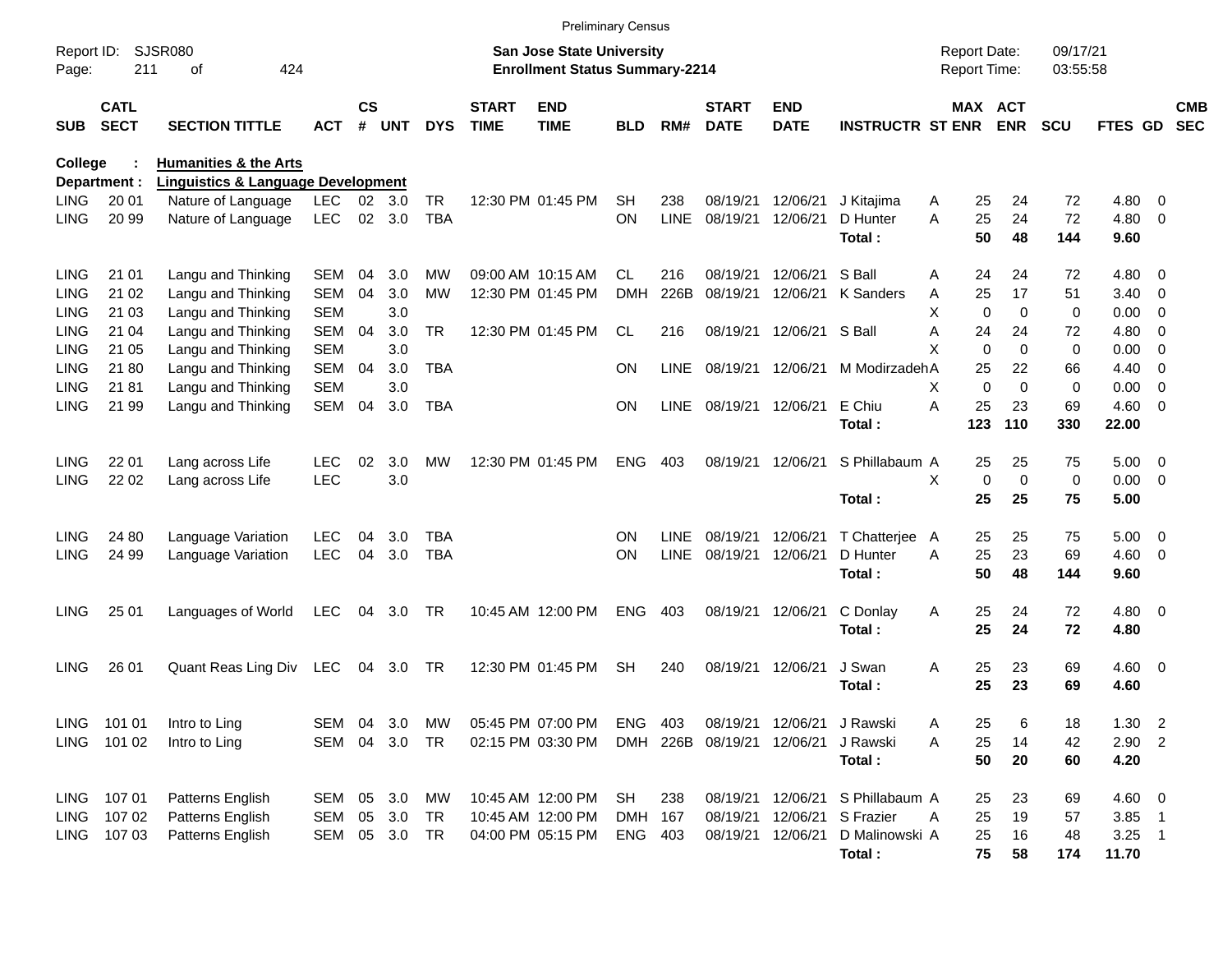|                     |                            |                                               |            |                    |                |            |                             | <b>Preliminary Census</b>                                                 |            |             |                             |                           |                         |                                     |             |                       |                      |              |                          |                          |
|---------------------|----------------------------|-----------------------------------------------|------------|--------------------|----------------|------------|-----------------------------|---------------------------------------------------------------------------|------------|-------------|-----------------------------|---------------------------|-------------------------|-------------------------------------|-------------|-----------------------|----------------------|--------------|--------------------------|--------------------------|
| Report ID:<br>Page: | 211                        | <b>SJSR080</b><br>424<br>οf                   |            |                    |                |            |                             | <b>San Jose State University</b><br><b>Enrollment Status Summary-2214</b> |            |             |                             |                           |                         | <b>Report Date:</b><br>Report Time: |             |                       | 09/17/21<br>03:55:58 |              |                          |                          |
| <b>SUB</b>          | <b>CATL</b><br><b>SECT</b> | <b>SECTION TITTLE</b>                         | ACT        | $\mathsf{cs}$<br># | <b>UNT</b>     | <b>DYS</b> | <b>START</b><br><b>TIME</b> | <b>END</b><br><b>TIME</b>                                                 | BLD        | RM#         | <b>START</b><br><b>DATE</b> | <b>END</b><br><b>DATE</b> | <b>INSTRUCTR ST ENR</b> |                                     |             | MAX ACT<br><b>ENR</b> | <b>SCU</b>           | FTES GD      |                          | <b>CMB</b><br><b>SEC</b> |
| College             |                            | <b>Humanities &amp; the Arts</b>              |            |                    |                |            |                             |                                                                           |            |             |                             |                           |                         |                                     |             |                       |                      |              |                          |                          |
|                     | Department :               | <b>Linguistics &amp; Language Development</b> |            |                    |                |            |                             |                                                                           |            |             |                             |                           |                         |                                     |             |                       |                      |              |                          |                          |
| <b>LING</b>         | 20 01                      | Nature of Language                            | <b>LEC</b> |                    | $02 \quad 3.0$ | <b>TR</b>  |                             | 12:30 PM 01:45 PM                                                         | <b>SH</b>  | 238         | 08/19/21                    | 12/06/21                  | J Kitaiima              | A                                   | 25          | 24                    | 72                   | 4.80         | - 0                      |                          |
| <b>LING</b>         | 20 99                      | Nature of Language                            | <b>LEC</b> |                    | 02 3.0         | <b>TBA</b> |                             |                                                                           | ON         | <b>LINE</b> | 08/19/21                    | 12/06/21                  | D Hunter<br>Total:      | A                                   | 25<br>50    | 24<br>48              | 72<br>144            | 4.80<br>9.60 | $\overline{\phantom{0}}$ |                          |
| <b>LING</b>         | 21 01                      | Langu and Thinking                            | SEM        | 04                 | 3.0            | MW         |                             | 09:00 AM 10:15 AM                                                         | CL.        | 216         | 08/19/21                    | 12/06/21                  | S Ball                  | A                                   | 24          | 24                    | 72                   | 4.80         | $\overline{\phantom{0}}$ |                          |
| <b>LING</b>         | 21 02                      | Langu and Thinking                            | <b>SEM</b> | 04                 | 3.0            | МW         |                             | 12:30 PM 01:45 PM                                                         | <b>DMH</b> | 226B        | 08/19/21                    | 12/06/21                  | K Sanders               | A                                   | 25          | 17                    | 51                   | 3.40         | $\overline{\phantom{0}}$ |                          |
| <b>LING</b>         | 21 03                      | Langu and Thinking                            | <b>SEM</b> |                    | 3.0            |            |                             |                                                                           |            |             |                             |                           |                         | X                                   | $\Omega$    | $\Omega$              | 0                    | 0.00         | - 0                      |                          |
| LING                | 21 04                      | Langu and Thinking                            | <b>SEM</b> | 04                 | 3.0            | <b>TR</b>  |                             | 12:30 PM 01:45 PM                                                         | CL         | 216         |                             | 08/19/21 12/06/21         | S Ball                  | A                                   | 24          | 24                    | 72                   | 4.80         | $\overline{0}$           |                          |
| <b>LING</b>         | 21 05                      | Langu and Thinking                            | <b>SEM</b> |                    | 3.0            |            |                             |                                                                           |            |             |                             |                           |                         | X                                   | $\Omega$    | $\Omega$              | 0                    | 0.00         | $\overline{0}$           |                          |
| <b>LING</b>         | 21 80                      | Langu and Thinking                            | <b>SEM</b> | 04                 | 3.0            | <b>TBA</b> |                             |                                                                           | <b>ON</b>  | <b>LINE</b> | 08/19/21 12/06/21           |                           | M Modirzadeh A          |                                     | 25          | 22                    | 66                   | 4.40         | $\overline{\phantom{0}}$ |                          |
| LING                | 21 81                      | Langu and Thinking                            | <b>SEM</b> |                    | 3.0            |            |                             |                                                                           |            |             |                             |                           |                         | X                                   | $\Omega$    | $\Omega$              | 0                    | 0.00         | - 0                      |                          |
| <b>LING</b>         | 21 99                      | Langu and Thinking                            | <b>SEM</b> | 04                 | 3.0            | <b>TBA</b> |                             |                                                                           | <b>ON</b>  | <b>LINE</b> | 08/19/21 12/06/21           |                           | E Chiu                  | A                                   | 25          | 23                    | 69                   | $4.60 \ 0$   |                          |                          |
|                     |                            |                                               |            |                    |                |            |                             |                                                                           |            |             |                             |                           | Total:                  |                                     | 123         | 110                   | 330                  | 22.00        |                          |                          |
| <b>LING</b>         | 22 01                      | Lang across Life                              | <b>LEC</b> | 02                 | 3.0            | MW         |                             | 12:30 PM 01:45 PM                                                         | <b>ENG</b> | 403         |                             | 08/19/21 12/06/21         | S Phillabaum A          |                                     | 25          | 25                    | 75                   | $5.00 \t 0$  |                          |                          |
| <b>LING</b>         | 22 02                      | Lang across Life                              | <b>LEC</b> |                    | 3.0            |            |                             |                                                                           |            |             |                             |                           |                         | X                                   | $\mathbf 0$ | $\Omega$              | 0                    | $0.00 \t 0$  |                          |                          |
|                     |                            |                                               |            |                    |                |            |                             |                                                                           |            |             |                             |                           | Total:                  |                                     | 25          | 25                    | 75                   | 5.00         |                          |                          |
| <b>LING</b>         | 24 80                      | Language Variation                            | <b>LEC</b> | 04                 | 3.0            | TBA        |                             |                                                                           | ON         | LINE        | 08/19/21                    | 12/06/21                  | T Chatterjee            | A                                   | 25          | 25                    | 75                   | $5.00 \t 0$  |                          |                          |
| <b>LING</b>         | 24 99                      | Language Variation                            | <b>LEC</b> | 04                 | 3.0            | <b>TBA</b> |                             |                                                                           | <b>ON</b>  | <b>LINE</b> | 08/19/21                    | 12/06/21                  | D Hunter                | A                                   | 25          | 23                    | 69                   | $4.60$ 0     |                          |                          |
|                     |                            |                                               |            |                    |                |            |                             |                                                                           |            |             |                             |                           | Total:                  |                                     | 50          | 48                    | 144                  | 9.60         |                          |                          |
| <b>LING</b>         | 25 01                      | Languages of World                            | <b>LEC</b> | 04                 | 3.0            | TR         |                             | 10:45 AM 12:00 PM                                                         | ENG        | 403         | 08/19/21                    | 12/06/21                  | C Donlay                | Α                                   | 25          | 24                    | 72                   | $4.80\ 0$    |                          |                          |
|                     |                            |                                               |            |                    |                |            |                             |                                                                           |            |             |                             |                           | Total:                  |                                     | 25          | 24                    | 72                   | 4.80         |                          |                          |
| <b>LING</b>         | 26 01                      | Quant Reas Ling Div LEC                       |            |                    | 04 3.0         | TR         |                             | 12:30 PM 01:45 PM                                                         | <b>SH</b>  | 240         |                             | 08/19/21 12/06/21         | J Swan                  | Α                                   | 25          | 23                    | 69                   | $4.60 \ 0$   |                          |                          |
|                     |                            |                                               |            |                    |                |            |                             |                                                                           |            |             |                             |                           | Total:                  |                                     | 25          | 23                    | 69                   | 4.60         |                          |                          |
|                     |                            |                                               |            |                    |                |            |                             |                                                                           |            |             |                             |                           |                         |                                     |             |                       |                      |              |                          |                          |
|                     | LING 101 01                | Intro to Ling                                 | SEM 04 3.0 |                    |                | MW         |                             | 05:45 PM 07:00 PM                                                         | ENG 403    |             |                             | 08/19/21 12/06/21         | J Rawski                | Α                                   | 25          | 6                     | 18                   | 1.30         | $\overline{c}$           |                          |
|                     | LING 101 02                | Intro to Ling                                 | SEM 04 3.0 |                    |                | TR         |                             | 02:15 PM 03:30 PM                                                         |            |             | DMH 226B 08/19/21 12/06/21  |                           | J Rawski                | A                                   | 25          | 14                    | 42                   | $2.90$ 2     |                          |                          |
|                     |                            |                                               |            |                    |                |            |                             |                                                                           |            |             |                             |                           | Total:                  |                                     | 50          | 20                    | 60                   | 4.20         |                          |                          |
|                     | LING 107 01                | Patterns English                              | SEM 05 3.0 |                    |                | МW         |                             | 10:45 AM 12:00 PM                                                         | SH         | 238         |                             | 08/19/21 12/06/21         | S Phillabaum A          |                                     | 25          | 23                    | 69                   | $4.60$ 0     |                          |                          |
| LING                | 107 02                     | Patterns English                              | SEM 05 3.0 |                    |                | TR         |                             | 10:45 AM 12:00 PM                                                         | DMH 167    |             |                             | 08/19/21 12/06/21         | S Frazier               | A                                   | 25          | 19                    | 57                   | $3.85$ 1     |                          |                          |
|                     | LING 107 03                | Patterns English                              | SEM 05 3.0 |                    |                | TR         |                             | 04:00 PM 05:15 PM                                                         | ENG 403    |             |                             | 08/19/21 12/06/21         | D Malinowski A          |                                     | 25          | 16                    | 48                   | $3.25$ 1     |                          |                          |
|                     |                            |                                               |            |                    |                |            |                             |                                                                           |            |             |                             |                           | Total:                  |                                     | 75          | 58                    | 174                  | 11.70        |                          |                          |
|                     |                            |                                               |            |                    |                |            |                             |                                                                           |            |             |                             |                           |                         |                                     |             |                       |                      |              |                          |                          |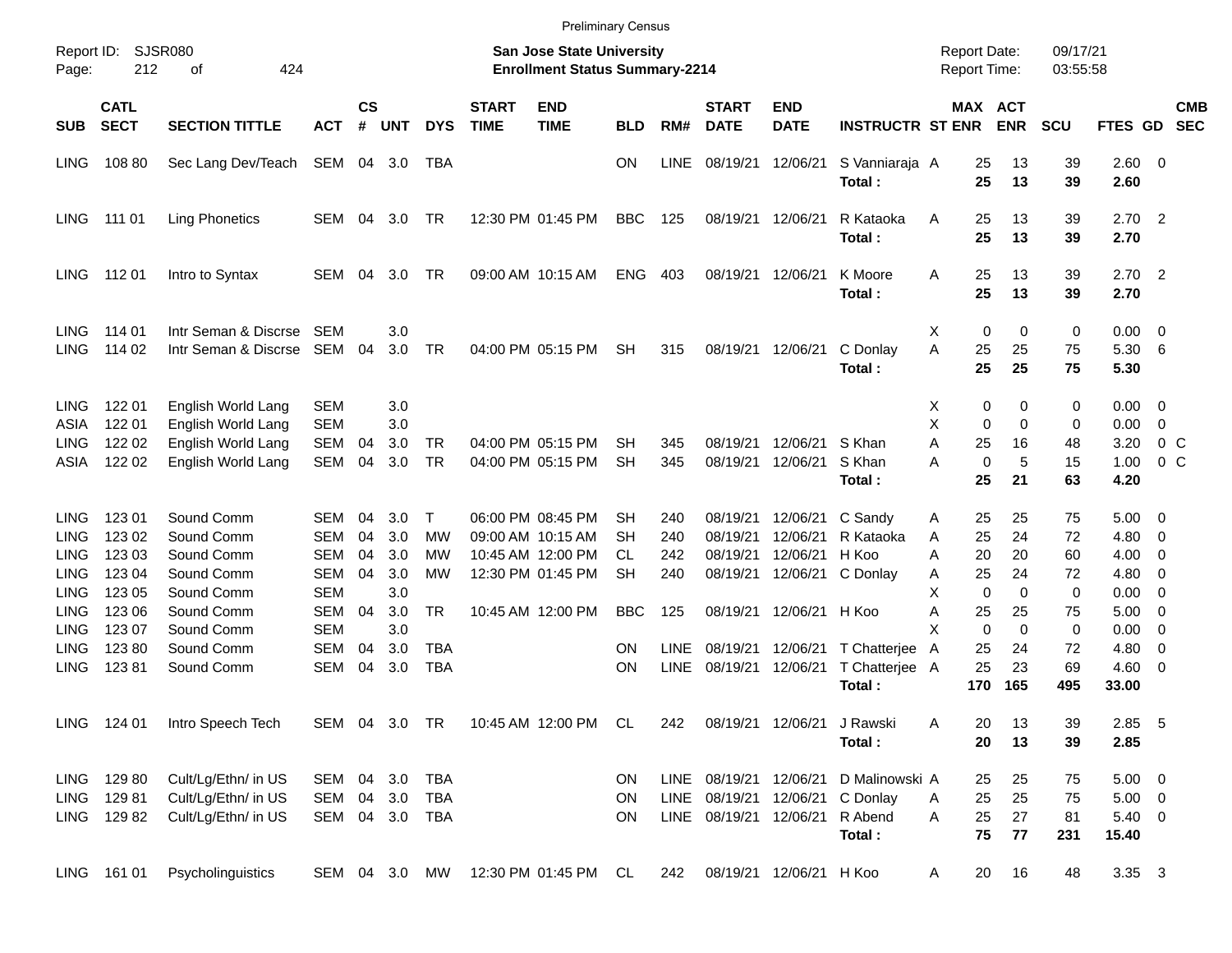|                                            |                                           |                                                                                      |                                                      |                |                          |                                         |                             | <b>Preliminary Census</b>                                                 |                        |                     |                                  |                                  |                                                                                    |                                                 |                              |                        |                                                   |                                                         |
|--------------------------------------------|-------------------------------------------|--------------------------------------------------------------------------------------|------------------------------------------------------|----------------|--------------------------|-----------------------------------------|-----------------------------|---------------------------------------------------------------------------|------------------------|---------------------|----------------------------------|----------------------------------|------------------------------------------------------------------------------------|-------------------------------------------------|------------------------------|------------------------|---------------------------------------------------|---------------------------------------------------------|
| Report ID:<br>Page:                        | 212                                       | SJSR080<br>424<br>οf                                                                 |                                                      |                |                          |                                         |                             | <b>San Jose State University</b><br><b>Enrollment Status Summary-2214</b> |                        |                     |                                  |                                  |                                                                                    | <b>Report Date:</b><br><b>Report Time:</b>      |                              | 09/17/21<br>03:55:58   |                                                   |                                                         |
| <b>SUB</b>                                 | <b>CATL</b><br><b>SECT</b>                | <b>SECTION TITTLE</b>                                                                | <b>ACT</b>                                           | <b>CS</b><br># | <b>UNT</b>               | <b>DYS</b>                              | <b>START</b><br><b>TIME</b> | <b>END</b><br><b>TIME</b>                                                 | <b>BLD</b>             | RM#                 | <b>START</b><br><b>DATE</b>      | <b>END</b><br><b>DATE</b>        | <b>INSTRUCTR ST ENR</b>                                                            |                                                 | <b>MAX ACT</b><br><b>ENR</b> | <b>SCU</b>             | FTES GD                                           | <b>CMB</b><br><b>SEC</b>                                |
| <b>LING</b>                                | 108 80                                    | Sec Lang Dev/Teach                                                                   | SEM 04 3.0                                           |                |                          | TBA                                     |                             |                                                                           | <b>ON</b>              | LINE                | 08/19/21                         | 12/06/21                         | S Vanniaraja A<br>Total:                                                           | 25<br>25                                        | 13<br>13                     | 39<br>39               | 2.60 0<br>2.60                                    |                                                         |
| <b>LING</b>                                | 111 01                                    | <b>Ling Phonetics</b>                                                                | SEM                                                  | 04             | 3.0                      | TR                                      |                             | 12:30 PM 01:45 PM                                                         | <b>BBC</b>             | 125                 | 08/19/21                         | 12/06/21                         | R Kataoka<br>Total:                                                                | 25<br>A<br>25                                   | 13<br>13                     | 39<br>39               | $2.70$ 2<br>2.70                                  |                                                         |
| <b>LING</b>                                | 112 01                                    | Intro to Syntax                                                                      | SEM                                                  | 04             | 3.0                      | TR                                      |                             | 09:00 AM 10:15 AM                                                         | <b>ENG</b>             | 403                 | 08/19/21                         | 12/06/21                         | K Moore<br>Total:                                                                  | 25<br>A<br>25                                   | 13<br>13                     | 39<br>39               | $2.70$ 2<br>2.70                                  |                                                         |
| <b>LING</b><br><b>LING</b>                 | 114 01<br>114 02                          | Intr Seman & Discrse<br>Intr Seman & Discrse                                         | SEM<br>SEM                                           | 04             | 3.0<br>3.0               | TR                                      |                             | 04:00 PM 05:15 PM                                                         | <b>SH</b>              | 315                 | 08/19/21                         | 12/06/21                         | C Donlay<br>Total:                                                                 | 0<br>Х<br>A<br>25<br>25                         | 0<br>25<br>25                | 0<br>75<br>75          | 0.00<br>5.30<br>5.30                              | $\overline{\phantom{0}}$<br>$6\overline{6}$             |
| <b>LING</b><br>ASIA<br><b>LING</b><br>ASIA | 122 01<br>122 01<br>122 02<br>122 02      | English World Lang<br>English World Lang<br>English World Lang<br>English World Lang | <b>SEM</b><br><b>SEM</b><br><b>SEM</b><br><b>SEM</b> | 04<br>04       | 3.0<br>3.0<br>3.0<br>3.0 | TR<br><b>TR</b>                         |                             | 04:00 PM 05:15 PM<br>04:00 PM 05:15 PM                                    | SН<br><b>SH</b>        | 345<br>345          | 08/19/21<br>08/19/21             | 12/06/21<br>12/06/21             | S Khan<br>S Khan                                                                   | х<br>X<br>0<br>A<br>25<br>$\mathbf 0$<br>Α      | 0<br>0<br>0<br>16<br>5       | 0<br>0<br>48<br>15     | $0.00 \t 0$<br>0.00<br>3.20<br>1.00               | $\overline{0}$<br>0 <sup>o</sup><br>$0\,$ C             |
| <b>LING</b>                                | 123 01                                    | Sound Comm                                                                           | SEM                                                  | 04             | 3.0 <sub>2</sub>         | Т                                       |                             | 06:00 PM 08:45 PM                                                         | SН                     | 240                 | 08/19/21                         | 12/06/21                         | Total:<br>C Sandy                                                                  | 25<br>25<br>Α                                   | 21<br>25                     | 63<br>75               | 4.20<br>5.00                                      | $\overline{\mathbf{0}}$                                 |
| <b>LING</b><br>LING<br>LING                | 123 02<br>123 03<br>123 04                | Sound Comm<br>Sound Comm<br>Sound Comm                                               | <b>SEM</b><br><b>SEM</b><br><b>SEM</b>               | 04<br>04<br>04 | 3.0<br>3.0<br>3.0        | МW<br>МW<br>MW                          |                             | 09:00 AM 10:15 AM<br>10:45 AM 12:00 PM<br>12:30 PM 01:45 PM               | SН<br>CL.<br><b>SH</b> | 240<br>242<br>240   | 08/19/21<br>08/19/21<br>08/19/21 | 12/06/21<br>12/06/21<br>12/06/21 | R Kataoka<br>H Koo<br>C Donlay                                                     | 25<br>A<br>20<br>Α<br>25<br>Α                   | 24<br>20<br>24               | 72<br>60<br>72         | 4.80<br>4.00<br>4.80                              | $\overline{\mathbf{0}}$<br>0<br>0                       |
| LING<br>LING<br>LING                       | 123 05<br>123 06<br>123 07                | Sound Comm<br>Sound Comm<br>Sound Comm                                               | <b>SEM</b><br><b>SEM</b><br><b>SEM</b>               | 04             | 3.0<br>3.0<br>3.0        | <b>TR</b>                               |                             | 10:45 AM 12:00 PM                                                         | <b>BBC</b>             | 125                 | 08/19/21                         | 12/06/21 H Koo                   |                                                                                    | X<br>$\mathbf 0$<br>Α<br>25<br>X<br>$\mathbf 0$ | $\Omega$<br>25<br>0          | $\mathbf 0$<br>75<br>0 | 0.00<br>5.00<br>0.00                              | 0<br>$\overline{\mathbf{0}}$<br>$\overline{\mathbf{0}}$ |
| <b>LING</b><br><b>LING</b>                 | 12380<br>12381                            | Sound Comm<br>Sound Comm                                                             | <b>SEM</b><br><b>SEM</b>                             | 04<br>04       | 3.0<br>3.0               | <b>TBA</b><br><b>TBA</b>                |                             |                                                                           | ΟN<br>ON               | <b>LINE</b><br>LINE | 08/19/21<br>08/19/21             | 12/06/21<br>12/06/21             | T Chatterjee<br>T Chatterjee A<br>Total:                                           | 25<br>A<br>25<br>170                            | 24<br>23<br>165              | 72<br>69<br>495        | 4.80<br>4.60<br>33.00                             | 0<br>$\overline{\phantom{0}}$                           |
|                                            | LING 124 01                               | Intro Speech Tech                                                                    | SEM 04 3.0 TR                                        |                |                          |                                         |                             | 10:45 AM 12:00 PM CL                                                      |                        | 242                 |                                  | 08/19/21 12/06/21                | J Rawski<br>Total:                                                                 | Α<br>20<br>20                                   | 13<br>13                     | 39<br>39               | 2.85 5<br>2.85                                    |                                                         |
|                                            | LING 129 80<br>LING 129 81<br>LING 129 82 | Cult/Lg/Ethn/ in US<br>Cult/Lg/Ethn/ in US<br>Cult/Lg/Ethn/ in US                    | SEM 04 3.0                                           |                |                          | SEM 04 3.0 TBA<br>TBA<br>SEM 04 3.0 TBA |                             |                                                                           | ON.<br>ON<br>ON        |                     |                                  | LINE 08/19/21 12/06/21 R Abend   | LINE 08/19/21 12/06/21 D Malinowski A<br>LINE 08/19/21 12/06/21 C Donlay<br>Total: | 25<br>25<br>A<br>25<br>A<br>75                  | 25<br>25<br>27<br>77         | 75<br>75<br>81<br>231  | $5.00 \t 0$<br>$5.00 \t 0$<br>$5.40 \ 0$<br>15.40 |                                                         |
|                                            | LING 161 01                               | Psycholinguistics                                                                    |                                                      |                |                          | SEM 04 3.0 MW                           |                             | 12:30 PM 01:45 PM CL                                                      |                        | 242                 |                                  | 08/19/21 12/06/21 H Koo          |                                                                                    | 20<br>A                                         | 16                           | 48                     | 3.35 3                                            |                                                         |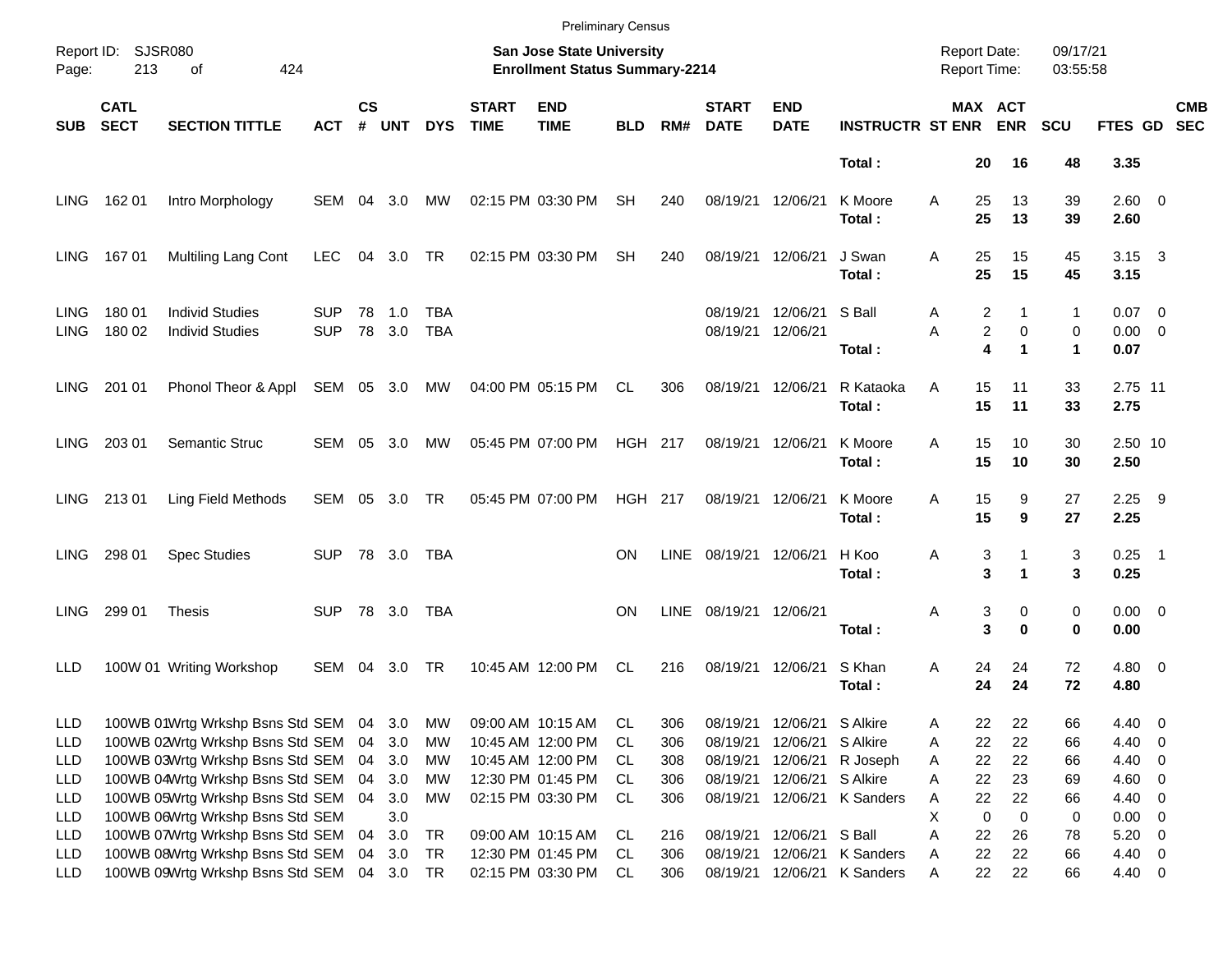|                     |                            |                                                  |                          |                    |               |                   |                             | <b>Preliminary Census</b>                                                 |                |             |                             |                            |                         |                                     |                               |                                |                                       |                         |                          |
|---------------------|----------------------------|--------------------------------------------------|--------------------------|--------------------|---------------|-------------------|-----------------------------|---------------------------------------------------------------------------|----------------|-------------|-----------------------------|----------------------------|-------------------------|-------------------------------------|-------------------------------|--------------------------------|---------------------------------------|-------------------------|--------------------------|
| Page:               | Report ID: SJSR080<br>213  | 424<br>оf                                        |                          |                    |               |                   |                             | <b>San Jose State University</b><br><b>Enrollment Status Summary-2214</b> |                |             |                             |                            |                         | <b>Report Date:</b><br>Report Time: |                               | 09/17/21<br>03:55:58           |                                       |                         |                          |
| <b>SUB</b>          | <b>CATL</b><br><b>SECT</b> | <b>SECTION TITTLE</b>                            | ACT                      | $\mathsf{cs}$<br># | <b>UNT</b>    | <b>DYS</b>        | <b>START</b><br><b>TIME</b> | <b>END</b><br><b>TIME</b>                                                 | <b>BLD</b>     | RM#         | <b>START</b><br><b>DATE</b> | <b>END</b><br><b>DATE</b>  | <b>INSTRUCTR ST ENR</b> |                                     | MAX ACT<br><b>ENR</b>         | <b>SCU</b>                     | FTES GD                               |                         | <b>CMB</b><br><b>SEC</b> |
|                     |                            |                                                  |                          |                    |               |                   |                             |                                                                           |                |             |                             |                            | Total:                  | 20                                  | 16                            | 48                             | 3.35                                  |                         |                          |
| LING.               | 162 01                     | Intro Morphology                                 | SEM                      | 04                 | 3.0           | МW                |                             | 02:15 PM 03:30 PM                                                         | <b>SH</b>      | 240         | 08/19/21                    | 12/06/21                   | K Moore<br>Total:       | A<br>25<br>25                       | 13<br>13                      | 39<br>39                       | $2.60 \t 0$<br>2.60                   |                         |                          |
| LING.               | 16701                      | Multiling Lang Cont                              | <b>LEC</b>               | 04                 | 3.0           | TR                |                             | 02:15 PM 03:30 PM                                                         | <b>SH</b>      | 240         | 08/19/21                    | 12/06/21                   | J Swan<br>Total:        | Α<br>25<br>25                       | 15<br>15                      | 45<br>45                       | $3.15 \quad 3$<br>3.15                |                         |                          |
| <b>LING</b><br>LING | 180 01<br>180 02           | <b>Individ Studies</b><br><b>Individ Studies</b> | <b>SUP</b><br><b>SUP</b> | 78                 | 1.0<br>78 3.0 | TBA<br><b>TBA</b> |                             |                                                                           |                |             | 08/19/21<br>08/19/21        | 12/06/21<br>12/06/21       | S Ball<br>Total:        | 2<br>Α<br>Α                         | $\overline{c}$<br>0<br>4<br>1 | 1<br>0<br>$\blacktriangleleft$ | $0.07 \quad 0$<br>$0.00 \t 0$<br>0.07 |                         |                          |
| LING.               | 201 01                     | Phonol Theor & Appl                              | SEM 05 3.0               |                    |               | MW                |                             | 04:00 PM 05:15 PM                                                         | CL             | 306         | 08/19/21                    | 12/06/21                   | R Kataoka<br>Total:     | 15<br>A<br>15                       | 11<br>11                      | 33<br>33                       | 2.75 11<br>2.75                       |                         |                          |
| <b>LING</b>         | 203 01                     | Semantic Struc                                   | SEM                      | 05                 | 3.0           | МW                |                             | 05:45 PM 07:00 PM                                                         | <b>HGH 217</b> |             | 08/19/21 12/06/21           |                            | K Moore<br>Total:       | 15<br>A<br>15                       | 10<br>10                      | 30<br>30                       | 2.50 10<br>2.50                       |                         |                          |
| LING .              | 21301                      | Ling Field Methods                               | SEM 05 3.0               |                    |               | TR                |                             | 05:45 PM 07:00 PM                                                         | <b>HGH 217</b> |             | 08/19/21 12/06/21           |                            | K Moore<br>Total:       | 15<br>Α<br>15                       | 9<br>9                        | 27<br>27                       | $2.25$ 9<br>2.25                      |                         |                          |
| LING.               | 298 01                     | <b>Spec Studies</b>                              | SUP.                     |                    | 78 3.0        | TBA               |                             |                                                                           | ON             | <b>LINE</b> | 08/19/21                    | 12/06/21                   | H Koo<br>Total:         | 3<br>Α<br>3                         |                               | 3<br>3                         | $0.25$ 1<br>0.25                      |                         |                          |
| <b>LING</b>         | 299 01                     | <b>Thesis</b>                                    | SUP.                     |                    | 78 3.0        | TBA               |                             |                                                                           | ON             | <b>LINE</b> | 08/19/21 12/06/21           |                            | Total:                  | 3<br>Α<br>3                         | 0<br>$\bf{0}$                 | 0<br>0                         | $0.00 \t 0$<br>0.00                   |                         |                          |
| LLD                 |                            | 100W 01 Writing Workshop                         | SEM                      | 04                 | 3.0           | TR                |                             | 10:45 AM 12:00 PM                                                         | CL             | 216         | 08/19/21                    | 12/06/21                   | S Khan<br>Total:        | 24<br>Α<br>24                       | 24<br>24                      | 72<br>72                       | $4.80\ 0$<br>4.80                     |                         |                          |
| <b>LLD</b>          |                            | 100WB 01Wrtg Wrkshp Bsns Std SEM                 |                          | 04                 | 3.0           | MW                |                             | 09:00 AM 10:15 AM                                                         | CL             | 306         |                             | 08/19/21 12/06/21 S Alkire |                         | 22<br>Α                             | 22                            | 66                             | 4.40                                  | $\overline{\mathbf{0}}$ |                          |
| <b>LLD</b>          |                            | 100WB 02Wrtg Wrkshp Bsns Std SEM                 |                          | 04                 | 3.0           | МW                |                             | 10:45 AM 12:00 PM                                                         | CL             | 306         | 08/19/21                    | 12/06/21 S Alkire          |                         | 22<br>Α                             | 22                            | 66                             | 4.40 0                                |                         |                          |
| LLD                 |                            | 100WB 03Wrtg Wrkshp Bsns Std SEM                 |                          | 04                 | 3.0           | МW                |                             | 10:45 AM 12:00 PM                                                         | CL             | 308         | 08/19/21                    |                            | 12/06/21 R Joseph       | 22<br>Α                             | 22                            | 66                             | 4.40 0                                |                         |                          |
| LLD                 |                            | 100WB 04Wrtg Wrkshp Bsns Std SEM                 |                          | 04                 | 3.0           | МW                |                             | 12:30 PM 01:45 PM                                                         | CL.            | 306         | 08/19/21                    | 12/06/21 S Alkire          |                         | 22<br>Α                             | 23                            | 69                             | $4.60$ 0                              |                         |                          |
| LLD                 |                            | 100WB 05Wrtg Wrkshp Bsns Std SEM                 |                          | 04                 | 3.0           | МW                |                             | 02:15 PM 03:30 PM                                                         | CL.            | 306         | 08/19/21                    |                            | 12/06/21 K Sanders      | 22<br>Α                             | 22                            | 66                             | 4.40 0                                |                         |                          |
| LLD                 |                            | 100WB 06Wrtg Wrkshp Bsns Std SEM                 |                          |                    | 3.0           |                   |                             |                                                                           |                |             |                             |                            |                         | Χ<br>0                              | 0                             | 0                              | $0.00 \t 0$                           |                         |                          |
| LLD                 |                            | 100WB 07Wrtg Wrkshp Bsns Std SEM                 |                          | 04                 | 3.0           | <b>TR</b>         |                             | 09:00 AM 10:15 AM                                                         | CL             | 216         |                             | 08/19/21 12/06/21 S Ball   |                         | Α<br>22                             | 26                            | 78                             | $5.20 \t 0$                           |                         |                          |
| LLD                 |                            | 100WB 08Wrtg Wrkshp Bsns Std SEM                 |                          | 04                 | 3.0           | TR                |                             | 12:30 PM 01:45 PM                                                         | CL.            | 306         | 08/19/21                    |                            | 12/06/21 K Sanders      | 22<br>Α                             | 22                            | 66                             | 4.40 0                                |                         |                          |
| <b>LLD</b>          |                            | 100WB 09Wrtg Wrkshp Bsns Std SEM                 |                          |                    | 04 3.0 TR     |                   |                             | 02:15 PM 03:30 PM                                                         | CL             | 306         | 08/19/21                    |                            | 12/06/21 K Sanders      | 22<br>Α                             | 22                            | 66                             | 4.40 0                                |                         |                          |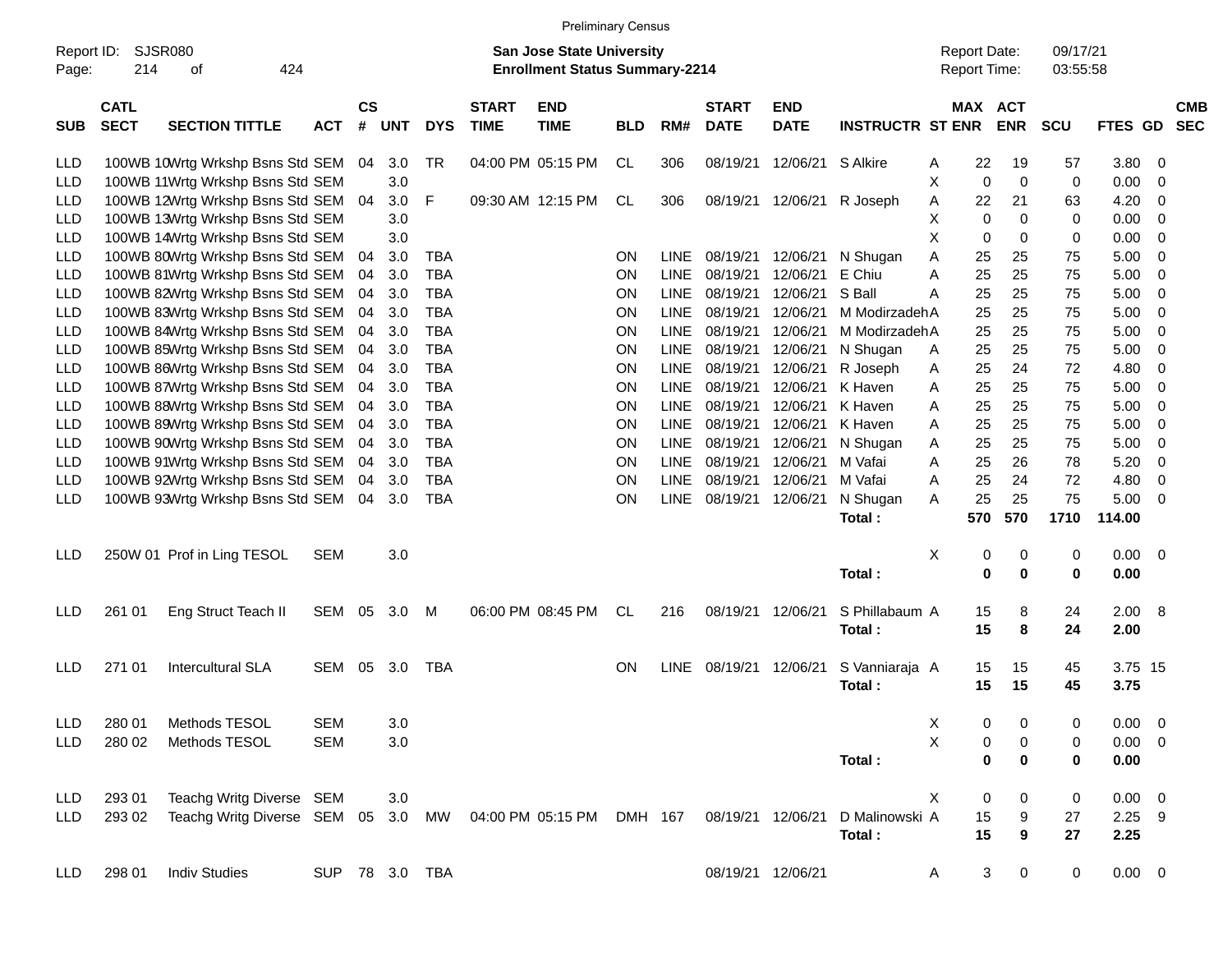|                     |                            |                                                              |                |                    |     |            |                             |                                                                           | <b>Preliminary Census</b> |             |                             |                           |                         |                                            |                       |             |                      |                |     |                          |
|---------------------|----------------------------|--------------------------------------------------------------|----------------|--------------------|-----|------------|-----------------------------|---------------------------------------------------------------------------|---------------------------|-------------|-----------------------------|---------------------------|-------------------------|--------------------------------------------|-----------------------|-------------|----------------------|----------------|-----|--------------------------|
| Report ID:<br>Page: | 214                        | <b>SJSR080</b><br>424<br>οf                                  |                |                    |     |            |                             | <b>San Jose State University</b><br><b>Enrollment Status Summary-2214</b> |                           |             |                             |                           |                         | <b>Report Date:</b><br><b>Report Time:</b> |                       |             | 09/17/21<br>03:55:58 |                |     |                          |
| <b>SUB</b>          | <b>CATL</b><br><b>SECT</b> | <b>SECTION TITTLE</b>                                        | <b>ACT</b>     | $\mathsf{cs}$<br># | UNT | <b>DYS</b> | <b>START</b><br><b>TIME</b> | <b>END</b><br><b>TIME</b>                                                 | <b>BLD</b>                | RM#         | <b>START</b><br><b>DATE</b> | <b>END</b><br><b>DATE</b> | <b>INSTRUCTR ST ENR</b> |                                            | MAX ACT<br><b>ENR</b> | <b>SCU</b>  |                      | FTES GD        |     | <b>CMB</b><br><b>SEC</b> |
| <b>LLD</b>          |                            | 100WB 10Wrtg Wrkshp Bsns Std SEM                             |                | 04                 | 3.0 | TR         |                             | 04:00 PM 05:15 PM                                                         | CL                        | 306         | 08/19/21                    | 12/06/21                  | S Alkire                | A                                          | 22                    | 19          | 57                   | 3.80           | -0  |                          |
| LLD                 |                            | 100WB 11Wrtg Wrkshp Bsns Std SEM                             |                |                    | 3.0 |            |                             |                                                                           |                           |             |                             |                           |                         | X                                          | 0                     | $\mathbf 0$ | 0                    | 0.00           | -0  |                          |
| LLD                 |                            | 100WB 12Wrtg Wrkshp Bsns Std SEM                             |                | 04                 | 3.0 | F          |                             | 09:30 AM 12:15 PM                                                         | CL                        | 306         | 08/19/21                    | 12/06/21                  | R Joseph                | Α                                          | 22                    | 21          | 63                   | 4.20           | -0  |                          |
| LLD                 |                            | 100WB 13Wrtg Wrkshp Bsns Std SEM                             |                |                    | 3.0 |            |                             |                                                                           |                           |             |                             |                           |                         | х                                          | 0                     | $\Omega$    | 0                    | 0.00           | -0  |                          |
| LLD                 |                            | 100WB 14Wrtg Wrkshp Bsns Std SEM                             |                |                    | 3.0 |            |                             |                                                                           |                           |             |                             |                           |                         | X                                          | 0                     | $\Omega$    | 0                    | 0.00           | -0  |                          |
| LLD                 |                            | 100WB 80Wrtg Wrkshp Bsns Std SEM                             |                | 04                 | 3.0 | <b>TBA</b> |                             |                                                                           | ON.                       | LINE        | 08/19/21                    | 12/06/21                  | N Shugan                | Α                                          | 25                    | 25          | 75                   | 5.00           | -0  |                          |
| LLD                 |                            | 100WB 81Wrtg Wrkshp Bsns Std SEM                             |                | 04                 | 3.0 | TBA        |                             |                                                                           | ΟN                        | LINE        | 08/19/21                    | 12/06/21                  | E Chiu                  | A                                          | 25                    | 25          | 75                   | 5.00           | -0  |                          |
| LLD                 |                            | 100WB 82Wrtg Wrkshp Bsns Std SEM                             |                | 04                 | 3.0 | TBA        |                             |                                                                           | ON                        | LINE        | 08/19/21                    | 12/06/21                  | S Ball                  | A                                          | 25                    | 25          | 75                   | 5.00           | -0  |                          |
| LLD                 |                            | 100WB 83Wrtg Wrkshp Bsns Std SEM                             |                | 04                 | 3.0 | TBA        |                             |                                                                           | ON                        | LINE        | 08/19/21                    | 12/06/21                  | M ModirzadehA           |                                            | 25                    | 25          | 75                   | 5.00           | -0  |                          |
| LLD                 |                            | 100WB 84Wrtg Wrkshp Bsns Std SEM                             |                | 04                 | 3.0 | TBA        |                             |                                                                           | ON                        | LINE        | 08/19/21                    | 12/06/21                  | M ModirzadehA           |                                            | 25                    | 25          | 75                   | 5.00           | -0  |                          |
| LLD                 |                            | 100WB 85Wrtg Wrkshp Bsns Std SEM                             |                | 04                 | 3.0 | TBA        |                             |                                                                           | ON                        | LINE        | 08/19/21                    | 12/06/21                  | N Shugan                | A                                          | 25                    | 25          | 75                   | 5.00           | -0  |                          |
| LLD                 |                            | 100WB 86Wrtg Wrkshp Bsns Std SEM                             |                | 04                 | 3.0 | TBA        |                             |                                                                           | ON                        | LINE        | 08/19/21                    | 12/06/21                  | R Joseph                | A                                          | 25                    | 24          | 72                   | 4.80           | 0   |                          |
| LLD                 |                            | 100WB 87Wrtg Wrkshp Bsns Std SEM                             |                | 04                 | 3.0 | TBA        |                             |                                                                           | ON                        | LINE        | 08/19/21                    | 12/06/21                  | K Haven                 | A                                          | 25                    | 25          | 75                   | 5.00           | -0  |                          |
|                     |                            |                                                              |                |                    | 3.0 | TBA        |                             |                                                                           | ON                        | LINE        | 08/19/21                    | 12/06/21                  | K Haven                 |                                            | 25                    | 25          | 75                   |                | -0  |                          |
| LLD                 |                            | 100WB 88Wrtg Wrkshp Bsns Std SEM                             |                | 04                 |     |            |                             |                                                                           |                           |             | 08/19/21                    |                           |                         | A                                          |                       |             |                      | 5.00           |     |                          |
| LLD                 |                            | 100WB 89Wrtg Wrkshp Bsns Std SEM                             |                | 04                 | 3.0 | TBA        |                             |                                                                           | ON                        | LINE        |                             | 12/06/21                  | K Haven                 | A                                          | 25                    | 25          | 75                   | 5.00           | -0  |                          |
| LLD                 |                            | 100WB 90Wrtg Wrkshp Bsns Std SEM                             |                | 04                 | 3.0 | TBA        |                             |                                                                           | ON                        | LINE        | 08/19/21                    | 12/06/21                  | N Shugan                | A                                          | 25                    | 25          | 75                   | 5.00           | -0  |                          |
| LLD                 |                            | 100WB 91Wrtg Wrkshp Bsns Std SEM                             |                | 04                 | 3.0 | TBA        |                             |                                                                           | ΟN                        | LINE        | 08/19/21                    | 12/06/21                  | M Vafai                 | A                                          | 25                    | 26          | 78                   | 5.20           | -0  |                          |
| LLD                 |                            | 100WB 92Wrtg Wrkshp Bsns Std SEM                             |                | 04                 | 3.0 | TBA        |                             |                                                                           | ΟN                        | <b>LINE</b> | 08/19/21                    | 12/06/21                  | M Vafai                 | A                                          | 25                    | 24          | 72                   | 4.80           | 0   |                          |
| LLD                 |                            | 100WB 93Wrtg Wrkshp Bsns Std SEM                             |                | 04                 | 3.0 | TBA        |                             |                                                                           | ON                        | <b>LINE</b> | 08/19/21                    | 12/06/21                  | N Shugan                | A                                          | 25                    | 25          | 75                   | 5.00           | -0  |                          |
|                     |                            |                                                              |                |                    |     |            |                             |                                                                           |                           |             |                             |                           | Total:                  |                                            | 570                   | 570         | 1710                 | 114.00         |     |                          |
| <b>LLD</b>          |                            | 250W 01 Prof in Ling TESOL                                   | <b>SEM</b>     |                    | 3.0 |            |                             |                                                                           |                           |             |                             |                           |                         | X                                          | 0                     | 0           | 0                    | 0.00           | - 0 |                          |
|                     |                            |                                                              |                |                    |     |            |                             |                                                                           |                           |             |                             |                           | Total:                  |                                            | 0                     | $\bf{0}$    | 0                    | 0.00           |     |                          |
| <b>LLD</b>          | 261 01                     | Eng Struct Teach II                                          | SEM            | 05                 | 3.0 | M          |                             | 06:00 PM 08:45 PM                                                         | CL                        | 216         | 08/19/21                    | 12/06/21                  | S Phillabaum A          |                                            | 15                    | 8           | 24                   | $2.00\quad 8$  |     |                          |
|                     |                            |                                                              |                |                    |     |            |                             |                                                                           |                           |             |                             |                           | Total:                  |                                            | 15                    | 8           | 24                   | 2.00           |     |                          |
|                     |                            |                                                              |                |                    |     |            |                             |                                                                           |                           |             |                             |                           |                         |                                            |                       |             |                      |                |     |                          |
| <b>LLD</b>          | 271 01                     | <b>Intercultural SLA</b>                                     | SEM            | 05                 | 3.0 | TBA        |                             |                                                                           | ON.                       |             | LINE 08/19/21 12/06/21      |                           | S Vanniaraja A          |                                            | 15                    | 15          | 45                   | 3.75 15        |     |                          |
|                     |                            |                                                              |                |                    |     |            |                             |                                                                           |                           |             |                             |                           | Total:                  |                                            | 15                    | 15          | 45                   | 3.75           |     |                          |
| LLD                 | 280 01                     | Methods TESOL                                                | SEM            |                    | 3.0 |            |                             |                                                                           |                           |             |                             |                           |                         | X                                          | 0                     | 0           | 0                    | $0.00 \quad 0$ |     |                          |
| <b>LLD</b>          | 280 02                     | Methods TESOL                                                | <b>SEM</b>     |                    | 3.0 |            |                             |                                                                           |                           |             |                             |                           |                         | X                                          | 0                     | 0           | 0                    | $0.00 \t 0$    |     |                          |
|                     |                            |                                                              |                |                    |     |            |                             |                                                                           |                           |             |                             |                           | Total:                  |                                            | 0                     | 0           | 0                    | 0.00           |     |                          |
| <b>LLD</b>          | 293 01                     | Teachg Writg Diverse SEM                                     |                |                    | 3.0 |            |                             |                                                                           |                           |             |                             |                           |                         | Χ                                          | 0                     | 0           | 0                    | $0.00 \ 0$     |     |                          |
| LLD                 | 293 02                     | Teachg Writg Diverse SEM 05 3.0 MW 04:00 PM 05:15 PM DMH 167 |                |                    |     |            |                             |                                                                           |                           |             | 08/19/21 12/06/21           |                           | D Malinowski A          |                                            | 15                    | 9           | 27                   | $2.25$ 9       |     |                          |
|                     |                            |                                                              |                |                    |     |            |                             |                                                                           |                           |             |                             |                           | Total:                  |                                            | 15                    | 9           | 27                   | 2.25           |     |                          |
|                     |                            |                                                              |                |                    |     |            |                             |                                                                           |                           |             |                             |                           |                         |                                            |                       |             |                      |                |     |                          |
| <b>LLD</b>          | 298 01                     | <b>Indiv Studies</b>                                         | SUP 78 3.0 TBA |                    |     |            |                             |                                                                           |                           |             |                             | 08/19/21 12/06/21         |                         | A                                          | 3 <sup>1</sup>        | $\pmb{0}$   | 0                    | $0.00 \t 0$    |     |                          |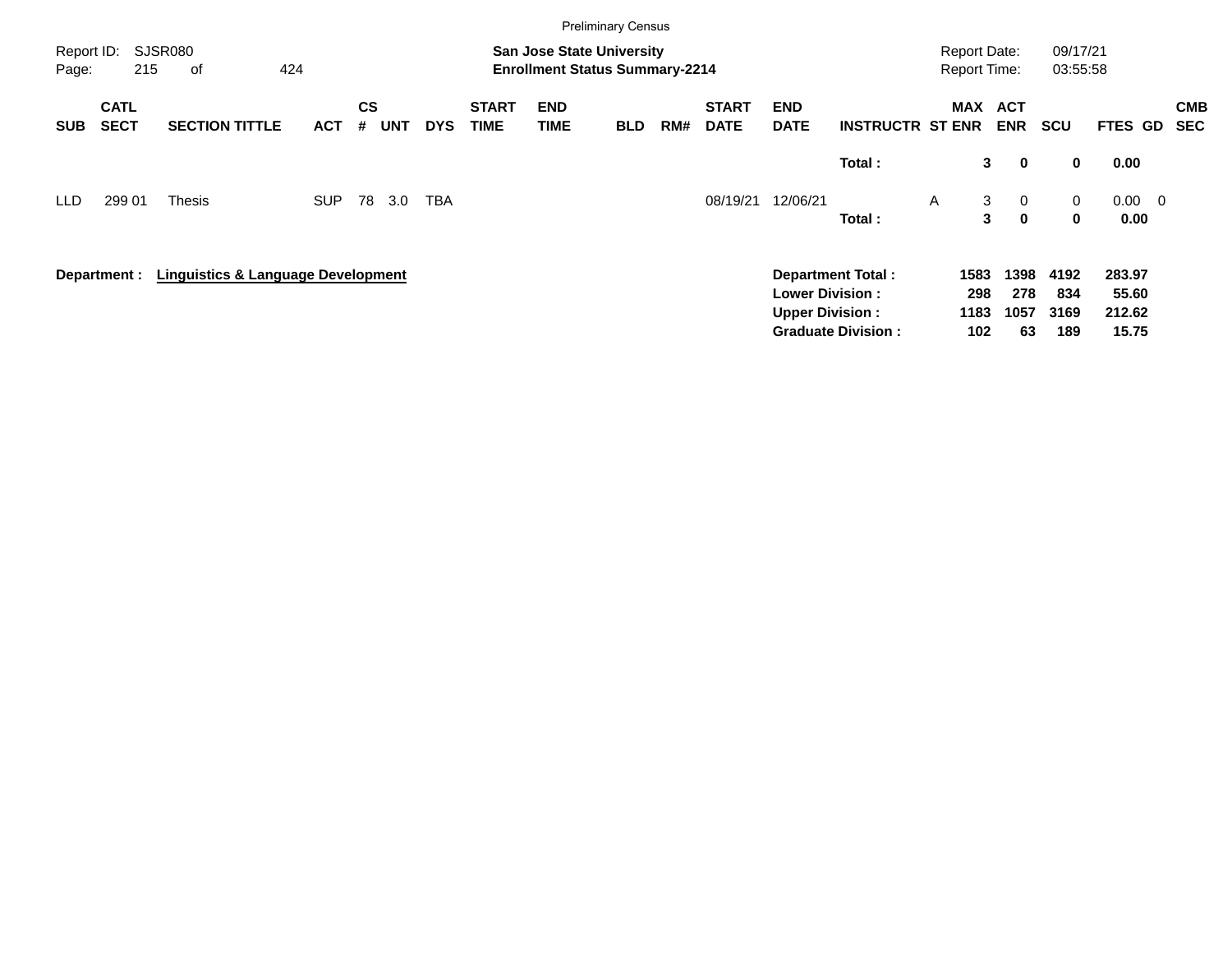|                     |                            |                                               |            |                |            |            |                             |                                                                           | <b>Preliminary Census</b> |     |                             |                                                  |                           |                                     |                               |                      |                           |                          |
|---------------------|----------------------------|-----------------------------------------------|------------|----------------|------------|------------|-----------------------------|---------------------------------------------------------------------------|---------------------------|-----|-----------------------------|--------------------------------------------------|---------------------------|-------------------------------------|-------------------------------|----------------------|---------------------------|--------------------------|
| Report ID:<br>Page: | 215                        | <b>SJSR080</b><br>424<br>оf                   |            |                |            |            |                             | <b>San Jose State University</b><br><b>Enrollment Status Summary-2214</b> |                           |     |                             |                                                  |                           | <b>Report Date:</b><br>Report Time: |                               | 09/17/21<br>03:55:58 |                           |                          |
| <b>SUB</b>          | <b>CATL</b><br><b>SECT</b> | <b>SECTION TITTLE</b>                         | <b>ACT</b> | <b>CS</b><br># | <b>UNT</b> | <b>DYS</b> | <b>START</b><br><b>TIME</b> | <b>END</b><br>TIME                                                        | <b>BLD</b>                | RM# | <b>START</b><br><b>DATE</b> | <b>END</b><br><b>DATE</b>                        | <b>INSTRUCTR ST ENR</b>   | <b>MAX</b>                          | <b>ACT</b><br><b>ENR</b>      | <b>SCU</b>           | <b>FTES GD</b>            | <b>CMB</b><br><b>SEC</b> |
|                     |                            |                                               |            |                |            |            |                             |                                                                           |                           |     |                             |                                                  | Total:                    | 3                                   | $\mathbf 0$                   | $\bf{0}$             | 0.00                      |                          |
| LLD.                | 299 01                     | <b>Thesis</b>                                 | <b>SUP</b> | 78             | 3.0        | TBA        |                             |                                                                           |                           |     | 08/19/21                    | 12/06/21                                         | Total:                    | 3<br>A<br>3                         | $\overline{0}$<br>$\mathbf 0$ | 0<br>$\mathbf 0$     | $0.00 \t 0$<br>0.00       |                          |
|                     | Department :               | <b>Linguistics &amp; Language Development</b> |            |                |            |            |                             |                                                                           |                           |     |                             | <b>Lower Division:</b><br><b>Upper Division:</b> | <b>Department Total:</b>  | 1583<br>298<br>1183                 | 1398<br>278<br>1057           | 4192<br>834<br>3169  | 283.97<br>55.60<br>212.62 |                          |
|                     |                            |                                               |            |                |            |            |                             |                                                                           |                           |     |                             |                                                  | <b>Graduate Division:</b> | 102                                 | 63                            | 189                  | 15.75                     |                          |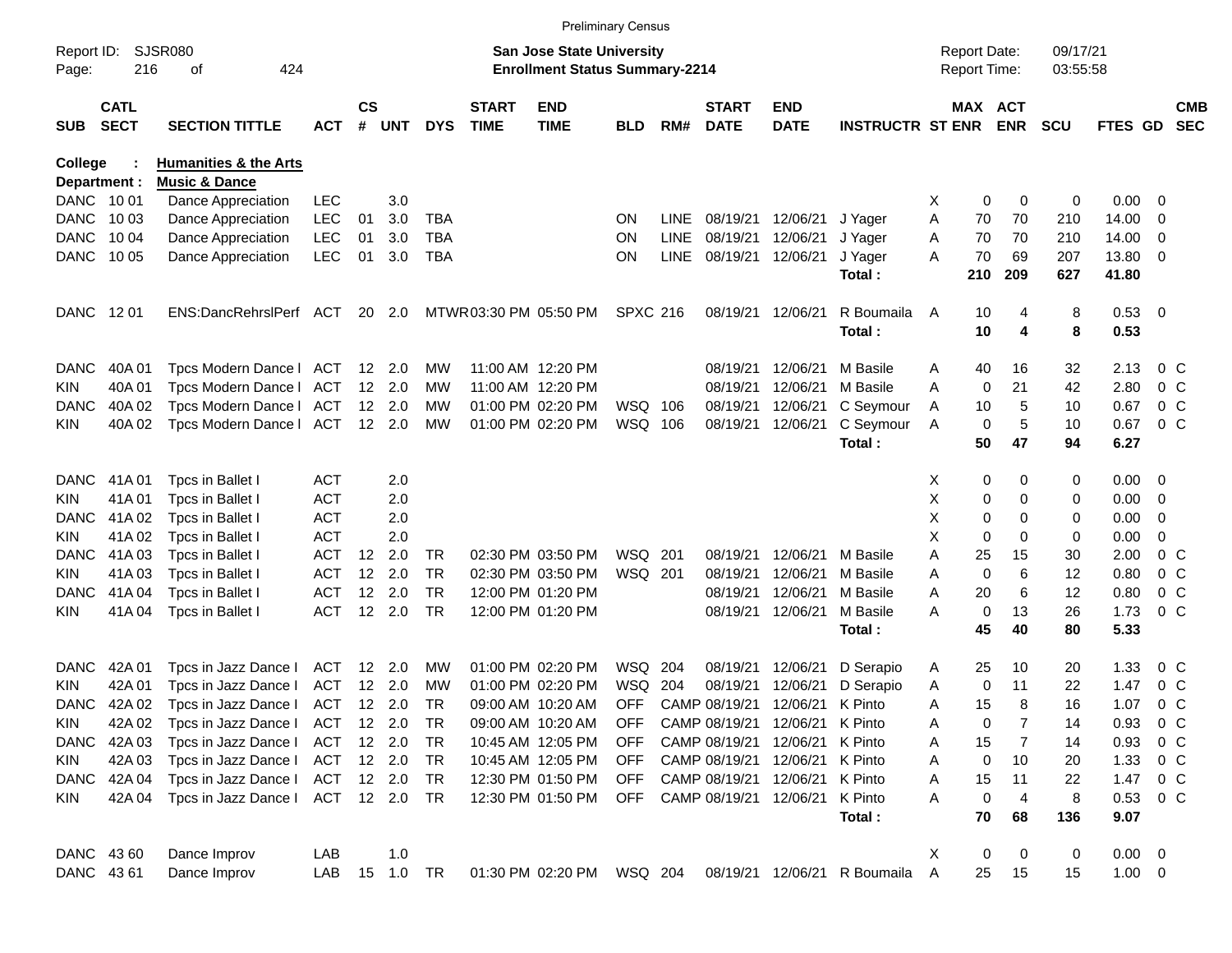|                     |                            |                                  |               |                   |                |            |                             |                                                                           | <b>Preliminary Census</b> |             |                             |                           |                              |   |                                     |            |                      |                |                          |                          |
|---------------------|----------------------------|----------------------------------|---------------|-------------------|----------------|------------|-----------------------------|---------------------------------------------------------------------------|---------------------------|-------------|-----------------------------|---------------------------|------------------------------|---|-------------------------------------|------------|----------------------|----------------|--------------------------|--------------------------|
| Report ID:<br>Page: | 216                        | <b>SJSR080</b><br>424<br>οf      |               |                   |                |            |                             | <b>San Jose State University</b><br><b>Enrollment Status Summary-2214</b> |                           |             |                             |                           |                              |   | <b>Report Date:</b><br>Report Time: |            | 09/17/21<br>03:55:58 |                |                          |                          |
| <b>SUB</b>          | <b>CATL</b><br><b>SECT</b> | <b>SECTION TITTLE</b>            | <b>ACT</b>    | $\mathsf{cs}$     | # UNT          | <b>DYS</b> | <b>START</b><br><b>TIME</b> | <b>END</b><br><b>TIME</b>                                                 | <b>BLD</b>                | RM#         | <b>START</b><br><b>DATE</b> | <b>END</b><br><b>DATE</b> | <b>INSTRUCTR ST ENR</b>      |   | MAX ACT                             | <b>ENR</b> | <b>SCU</b>           | <b>FTES GD</b> |                          | <b>CMB</b><br><b>SEC</b> |
| College             |                            | <b>Humanities &amp; the Arts</b> |               |                   |                |            |                             |                                                                           |                           |             |                             |                           |                              |   |                                     |            |                      |                |                          |                          |
| Department :        |                            | <b>Music &amp; Dance</b>         |               |                   |                |            |                             |                                                                           |                           |             |                             |                           |                              |   |                                     |            |                      |                |                          |                          |
| DANC 1001           |                            | Dance Appreciation               | <b>LEC</b>    |                   | 3.0            |            |                             |                                                                           |                           |             |                             |                           |                              | X | 0                                   | 0          | 0                    | 0.00           | - 0                      |                          |
| <b>DANC</b>         | 10 03                      | Dance Appreciation               | <b>LEC</b>    | 01                | 3.0            | <b>TBA</b> |                             |                                                                           | ON                        | <b>LINE</b> |                             | 08/19/21 12/06/21         | J Yager                      | Α | 70                                  | 70         | 210                  | 14.00          | 0                        |                          |
| <b>DANC</b>         | 10 04                      | Dance Appreciation               | <b>LEC</b>    | 01                | 3.0            | <b>TBA</b> |                             |                                                                           | <b>ON</b>                 | <b>LINE</b> | 08/19/21                    | 12/06/21                  | J Yager                      | A | 70                                  | 70         | 210                  | 14.00          | 0                        |                          |
| DANC                | 10 05                      | Dance Appreciation               | <b>LEC</b>    | 01                | 3.0            | <b>TBA</b> |                             |                                                                           | ON                        | LINE        | 08/19/21                    | 12/06/21                  | J Yager<br>Total:            | A | 70<br>210                           | 69<br>209  | 207<br>627           | 13.80<br>41.80 | - 0                      |                          |
| DANC                | 12 01                      | ENS:DancRehrslPerf ACT           |               |                   | 20 2.0         |            |                             | MTWR03:30 PM 05:50 PM                                                     | <b>SPXC 216</b>           |             | 08/19/21 12/06/21           |                           | R Boumaila                   | A | 10                                  | 4          | 8                    | 0.53 0         |                          |                          |
|                     |                            |                                  |               |                   |                |            |                             |                                                                           |                           |             |                             |                           | Total:                       |   | 10                                  | 4          | 8                    | 0.53           |                          |                          |
| <b>DANC</b>         | 40A 01                     | Tpcs Modern Dance I              | ACT           |                   | 12 2.0         | МW         |                             | 11:00 AM 12:20 PM                                                         |                           |             | 08/19/21                    | 12/06/21                  | M Basile                     | A | 40                                  | 16         | 32                   | 2.13           | $0\,$ C                  |                          |
| KIN                 | 40A 01                     | Tpcs Modern Dance I              | ACT           |                   | 12 2.0         | МW         |                             | 11:00 AM 12:20 PM                                                         |                           |             | 08/19/21                    | 12/06/21                  | M Basile                     | A | 0                                   | 21         | 42                   | 2.80           | $0\,$ C                  |                          |
| <b>DANC</b>         | 40A 02                     | Tpcs Modern Dance I              | ACT           |                   | 12 2.0         | МW         |                             | 01:00 PM 02:20 PM                                                         | WSQ 106                   |             | 08/19/21                    | 12/06/21                  | C Seymour                    | A | 10                                  | 5          | 10                   | 0.67           | $0\,$ C                  |                          |
| KIN                 | 40A 02                     | Tpcs Modern Dance I              | ACT 12 2.0    |                   |                | МW         |                             | 01:00 PM 02:20 PM                                                         | WSQ 106                   |             | 08/19/21                    | 12/06/21                  | C Seymour                    | A | 0                                   | 5          | 10                   | 0.67           | 0 <sup>o</sup>           |                          |
|                     |                            |                                  |               |                   |                |            |                             |                                                                           |                           |             |                             |                           | Total:                       |   | 50                                  | 47         | 94                   | 6.27           |                          |                          |
| <b>DANC</b>         | 41A 01                     | Tpcs in Ballet I                 | <b>ACT</b>    |                   | 2.0            |            |                             |                                                                           |                           |             |                             |                           |                              | X | 0                                   | 0          | 0                    | 0.00           | $\overline{\phantom{0}}$ |                          |
| KIN                 | 41A01                      | Tpcs in Ballet I                 | <b>ACT</b>    |                   | 2.0            |            |                             |                                                                           |                           |             |                             |                           |                              | X | 0                                   | 0          | 0                    | 0.00           | $\overline{0}$           |                          |
| <b>DANC</b>         | 41A 02                     | Tpcs in Ballet I                 | <b>ACT</b>    |                   | 2.0            |            |                             |                                                                           |                           |             |                             |                           |                              | X | 0                                   | 0          | 0                    | 0.00           | 0                        |                          |
| KIN                 | 41A 02                     | Tpcs in Ballet I                 | <b>ACT</b>    |                   | 2.0            |            |                             |                                                                           |                           |             |                             |                           |                              | X | 0                                   | 0          | 0                    | 0.00           | 0                        |                          |
| <b>DANC</b>         | 41A03                      | Tpcs in Ballet I                 | <b>ACT</b>    | $12 \overline{ }$ | 2.0            | TR         |                             | 02:30 PM 03:50 PM                                                         | WSQ 201                   |             | 08/19/21                    | 12/06/21                  | M Basile                     | Α | 25                                  | 15         | 30                   | 2.00           | 0 <sup>o</sup>           |                          |
| KIN                 | 41A03                      | Tpcs in Ballet I                 | <b>ACT</b>    | 12                | 2.0            | <b>TR</b>  |                             | 02:30 PM 03:50 PM                                                         | WSQ 201                   |             | 08/19/21                    | 12/06/21                  | M Basile                     | A | $\mathbf 0$                         | 6          | 12                   | 0.80           | $0\,$ C                  |                          |
| <b>DANC</b>         | 41A 04                     | Tpcs in Ballet I                 | <b>ACT</b>    | 12                | 2.0            | <b>TR</b>  |                             | 12:00 PM 01:20 PM                                                         |                           |             | 08/19/21                    | 12/06/21                  | M Basile                     | A | 20                                  | 6          | 12                   | 0.80           | $0\,$ C                  |                          |
| <b>KIN</b>          | 41A04                      | Tpcs in Ballet I                 | <b>ACT</b>    |                   | 12 2.0         | <b>TR</b>  |                             | 12:00 PM 01:20 PM                                                         |                           |             | 08/19/21                    | 12/06/21                  | M Basile                     | A | $\mathbf 0$                         | 13         | 26                   | 1.73           | $0\,C$                   |                          |
|                     |                            |                                  |               |                   |                |            |                             |                                                                           |                           |             |                             |                           | Total:                       |   | 45                                  | 40         | 80                   | 5.33           |                          |                          |
| <b>DANC</b>         | 42A 01                     | Tpcs in Jazz Dance I             | ACT           |                   | 12 2.0         | МW         |                             | 01:00 PM 02:20 PM                                                         | WSQ 204                   |             | 08/19/21                    | 12/06/21                  | D Serapio                    | A | 25                                  | 10         | 20                   | 1.33           | $0\,$ C                  |                          |
| KIN                 | 42A 01                     | Tpcs in Jazz Dance I             | ACT           |                   | $12 \quad 2.0$ | МW         |                             | 01:00 PM 02:20 PM                                                         | WSQ                       | 204         | 08/19/21                    | 12/06/21                  | D Serapio                    | A | 0                                   | 11         | 22                   | 1.47           | $0\,$ C                  |                          |
| <b>DANC</b>         | 42A 02                     | Tpcs in Jazz Dance I             | ACT 12 2.0    |                   |                | TR         |                             | 09:00 AM 10:20 AM                                                         | <b>OFF</b>                |             | CAMP 08/19/21               | 12/06/21                  | K Pinto                      | A | 15                                  | 8          | 16                   | 1.07           | 0 <sup>o</sup>           |                          |
| <b>KIN</b>          | 42A 02                     | Tpcs in Jazz Dance I             | ACT           |                   | 12 2.0         | TR         |                             | 09:00 AM 10:20 AM                                                         | OFF                       |             | CAMP 08/19/21 12/06/21      |                           | K Pinto                      | Α | 0                                   |            | 14                   | 0.93           | $0\,$ C                  |                          |
| DANC                | 42A 03                     | Tpcs in Jazz Dance I             | ACT           |                   | 12 2.0         | TR         |                             | 10:45 AM 12:05 PM                                                         | <b>OFF</b>                |             | CAMP 08/19/21               | 12/06/21                  | K Pinto                      | A | 15                                  | 7          | 14                   | 0.93           | $0\,$ C                  |                          |
| KIN                 | 42A 03                     | Tpcs in Jazz Dance I             | ACT 12 2.0    |                   |                | TR         |                             | 10:45 AM 12:05 PM                                                         | <b>OFF</b>                |             | CAMP 08/19/21 12/06/21      |                           | K Pinto                      | A | 0                                   | 10         | 20                   | 1.33           | $0\,$ C                  |                          |
| DANC                | 42A 04                     | Tpcs in Jazz Dance I             | ACT 12 2.0    |                   |                | TR         |                             | 12:30 PM 01:50 PM                                                         | <b>OFF</b>                |             | CAMP 08/19/21 12/06/21      |                           | K Pinto                      | Α | 15                                  | 11         | 22                   | 1.47           | $0\,$ C                  |                          |
| KIN                 | 42A 04                     | Tpcs in Jazz Dance I             | ACT 12 2.0 TR |                   |                |            |                             | 12:30 PM 01:50 PM                                                         | OFF                       |             | CAMP 08/19/21               | 12/06/21                  | K Pinto                      | A | $\mathbf 0$                         | 4          | 8                    | 0.53           | $0\,$ C                  |                          |
|                     |                            |                                  |               |                   |                |            |                             |                                                                           |                           |             |                             |                           | Total:                       |   | 70                                  | 68         | 136                  | 9.07           |                          |                          |
| DANC 4360           |                            | Dance Improv                     | LAB           |                   | 1.0            |            |                             |                                                                           |                           |             |                             |                           |                              | X | 0                                   | 0          | 0                    | $0.00 \t 0$    |                          |                          |
| DANC 4361           |                            | Dance Improv                     | LAB           |                   | 15  1.0  TR    |            |                             | 01:30 PM 02:20 PM WSQ 204                                                 |                           |             |                             |                           | 08/19/21 12/06/21 R Boumaila | Α | 25                                  | 15         | 15                   | $1.00 \t 0$    |                          |                          |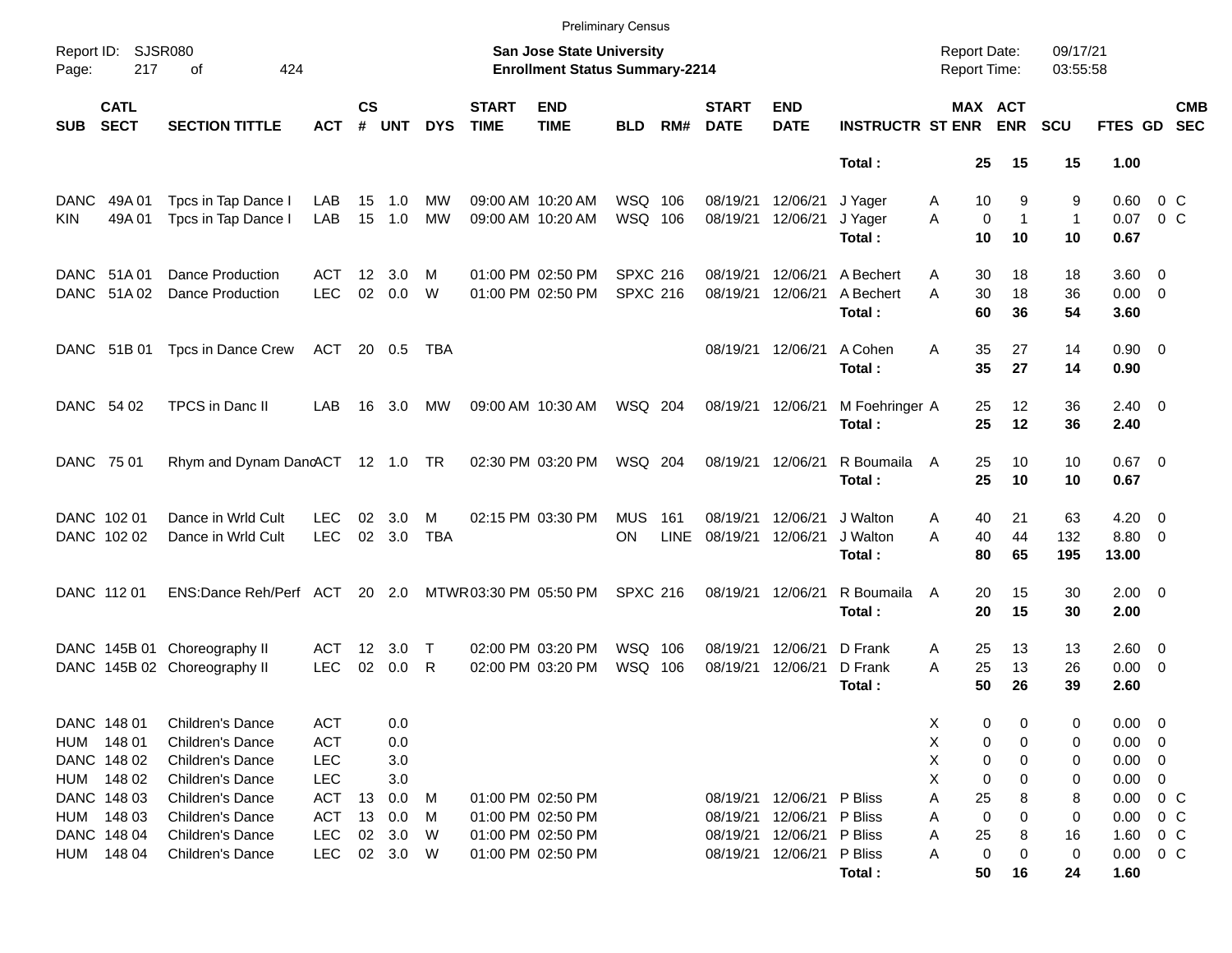|             |                            |                                  |            |                    |            |            |                             |                                                                           | <b>Preliminary Census</b> |             |                             |                           |                         |                                            |                                   |                      |                       |                          |                          |
|-------------|----------------------------|----------------------------------|------------|--------------------|------------|------------|-----------------------------|---------------------------------------------------------------------------|---------------------------|-------------|-----------------------------|---------------------------|-------------------------|--------------------------------------------|-----------------------------------|----------------------|-----------------------|--------------------------|--------------------------|
| Page:       | Report ID: SJSR080<br>217  | 424<br>οf                        |            |                    |            |            |                             | <b>San Jose State University</b><br><b>Enrollment Status Summary-2214</b> |                           |             |                             |                           |                         | <b>Report Date:</b><br><b>Report Time:</b> |                                   | 09/17/21<br>03:55:58 |                       |                          |                          |
| <b>SUB</b>  | <b>CATL</b><br><b>SECT</b> | <b>SECTION TITTLE</b>            | <b>ACT</b> | $\mathsf{cs}$<br># | <b>UNT</b> | <b>DYS</b> | <b>START</b><br><b>TIME</b> | <b>END</b><br><b>TIME</b>                                                 | <b>BLD</b>                | RM#         | <b>START</b><br><b>DATE</b> | <b>END</b><br><b>DATE</b> | <b>INSTRUCTR ST ENR</b> |                                            | MAX ACT<br><b>ENR</b>             | <b>SCU</b>           | <b>FTES GD</b>        |                          | <b>CMB</b><br><b>SEC</b> |
|             |                            |                                  |            |                    |            |            |                             |                                                                           |                           |             |                             |                           | Total:                  | 25                                         | 15                                | 15                   | 1.00                  |                          |                          |
| <b>DANC</b> | 49A 01                     | Tpcs in Tap Dance I              | LAB        |                    | 15 1.0     | МW         |                             | 09:00 AM 10:20 AM                                                         | WSQ 106                   |             | 08/19/21                    | 12/06/21                  | J Yager                 | 10<br>Α                                    | 9                                 | 9                    | 0.60                  | $0\,$ C                  |                          |
| <b>KIN</b>  | 49A 01                     | Tpcs in Tap Dance I              | LAB        |                    | 15 1.0     | МW         |                             | 09:00 AM 10:20 AM                                                         | WSQ 106                   |             | 08/19/21                    | 12/06/21                  | J Yager<br>Total:       | A<br>10                                    | $\mathbf 0$<br>$\mathbf{1}$<br>10 | $\mathbf{1}$<br>10   | 0.07<br>0.67          | $0\,$ C                  |                          |
|             | DANC 51A 01                | <b>Dance Production</b>          | ACT        | 12                 | 3.0        | M          |                             | 01:00 PM 02:50 PM                                                         | <b>SPXC 216</b>           |             | 08/19/21                    | 12/06/21                  | A Bechert               | 30<br>Α                                    | 18                                | 18                   | $3.60 \quad 0$        |                          |                          |
|             | DANC 51A02                 | Dance Production                 | <b>LEC</b> | 02                 | 0.0        | W          |                             | 01:00 PM 02:50 PM                                                         | <b>SPXC 216</b>           |             | 08/19/21                    | 12/06/21                  | A Bechert<br>Total:     | A<br>30<br>60                              | 18<br>36                          | 36<br>54             | $0.00 \t 0$<br>3.60   |                          |                          |
|             | DANC 51B 01                | Tpcs in Dance Crew               | ACT        |                    | 20 0.5     | TBA        |                             |                                                                           |                           |             | 08/19/21                    | 12/06/21                  | A Cohen                 | A<br>35                                    | 27                                | 14                   | $0.90\ 0$             |                          |                          |
|             |                            |                                  |            |                    |            |            |                             |                                                                           |                           |             |                             |                           | Total:                  | 35                                         | 27                                | 14                   | 0.90                  |                          |                          |
|             | DANC 54 02                 | TPCS in Danc II                  | LAB        |                    | 16 3.0     | MW         |                             | 09:00 AM 10:30 AM                                                         | WSQ 204                   |             | 08/19/21 12/06/21           |                           | M Foehringer A          | 25                                         | 12                                | 36                   | $2.40 \ 0$            |                          |                          |
|             |                            |                                  |            |                    |            |            |                             |                                                                           |                           |             |                             |                           | Total:                  | 25                                         | 12                                | 36                   | 2.40                  |                          |                          |
| DANC 75 01  |                            | Rhym and Dynam DanoACT 12 1.0 TR |            |                    |            |            |                             | 02:30 PM 03:20 PM                                                         | WSQ 204                   |             | 08/19/21                    | 12/06/21                  | R Boumaila<br>Total:    | 25<br>A<br>25                              | 10<br>10                          | 10<br>10             | $0.67$ 0<br>0.67      |                          |                          |
|             | DANC 102 01                | Dance in Wrld Cult               | LEC        | 02                 | 3.0        | м          |                             | 02:15 PM 03:30 PM                                                         | MUS                       | 161         | 08/19/21                    | 12/06/21                  | J Walton                | 40<br>A                                    | 21                                | 63                   | 4.20                  | $\overline{\phantom{0}}$ |                          |
|             | DANC 102 02                | Dance in Wrld Cult               | <b>LEC</b> | 02                 | 3.0        | <b>TBA</b> |                             |                                                                           | ON                        | <b>LINE</b> | 08/19/21                    | 12/06/21                  | J Walton                | 40<br>А                                    | 44                                | 132                  | 8.80 0                |                          |                          |
|             |                            |                                  |            |                    |            |            |                             |                                                                           |                           |             |                             |                           | Total:                  | 80                                         | 65                                | 195                  | 13.00                 |                          |                          |
|             | DANC 112 01                | ENS:Dance Reh/Perf ACT           |            |                    | 20 2.0     |            | MTWR03:30 PM 05:50 PM       |                                                                           | <b>SPXC 216</b>           |             | 08/19/21                    | 12/06/21                  | R Boumaila<br>Total:    | 20<br>A<br>20                              | 15<br>15                          | 30<br>30             | $2.00 \t 0$<br>2.00   |                          |                          |
|             |                            |                                  |            |                    |            |            |                             |                                                                           |                           |             |                             |                           |                         |                                            |                                   |                      |                       |                          |                          |
|             |                            | DANC 145B 01 Choreography II     | ACT        | 12 <sup>°</sup>    | 3.0<br>0.0 | $\top$     |                             | 02:00 PM 03:20 PM                                                         | WSQ 106                   |             | 08/19/21                    | 12/06/21                  | D Frank                 | 25<br>Α                                    | 13                                | 13                   | $2.60 \quad 0$        |                          |                          |
|             |                            | DANC 145B 02 Choreography II     | <b>LEC</b> | 02                 |            | R          |                             | 02:00 PM 03:20 PM                                                         | WSQ 106                   |             | 08/19/21                    | 12/06/21                  | D Frank<br>Total:       | 25<br>A<br>50                              | 13<br>26                          | 26<br>39             | $0.00 \t 0$<br>2.60   |                          |                          |
|             | DANC 148 01                | Children's Dance                 | <b>ACT</b> |                    | 0.0        |            |                             |                                                                           |                           |             |                             |                           |                         | х                                          | 0<br>0                            | 0                    | 0.00                  | $\overline{\mathbf{0}}$  |                          |
|             | HUM 148 01                 | Children's Dance                 | <b>ACT</b> |                    | 0.0        |            |                             |                                                                           |                           |             |                             |                           |                         | Χ                                          | 0<br>0                            | 0                    | 0.00                  | $\overline{\phantom{0}}$ |                          |
|             | DANC 148 02                | Children's Dance                 | LEC        |                    | 3.0        |            |                             |                                                                           |                           |             |                             |                           |                         | х                                          | 0<br>0                            | 0                    | 0.00                  | $\overline{\phantom{0}}$ |                          |
|             | HUM 148 02                 | Children's Dance                 | LEC        |                    | 3.0        |            |                             |                                                                           |                           |             |                             |                           |                         | х                                          | 0<br>0                            | 0                    | 0.00                  | $\mathbf 0$              |                          |
|             | DANC 148 03                | Children's Dance                 | <b>ACT</b> | 13                 | 0.0        | M          |                             | 01:00 PM 02:50 PM                                                         |                           |             | 08/19/21                    | 12/06/21 P Bliss          |                         | Α<br>25                                    | 8                                 | 8                    | 0.00                  | $0\,$ C                  |                          |
|             | HUM 148 03                 | Children's Dance                 | <b>ACT</b> | 13                 | 0.0        | M          |                             | 01:00 PM 02:50 PM                                                         |                           |             | 08/19/21                    | 12/06/21 P Bliss          |                         | Α                                          | 0<br>0                            | 0                    | 0.00                  | $0\,$ C                  |                          |
|             | DANC 148 04                | Children's Dance                 | <b>LEC</b> | 02                 | 3.0        | W          |                             | 01:00 PM 02:50 PM                                                         |                           |             | 08/19/21                    | 12/06/21 P Bliss          |                         | 25<br>Α                                    | 8                                 | 16                   | 1.60                  | $0\,$ C                  |                          |
| HUM         | 148 04                     | Children's Dance                 | <b>LEC</b> |                    | 02 3.0 W   |            |                             | 01:00 PM 02:50 PM                                                         |                           |             | 08/19/21                    | 12/06/21 P Bliss          | Total:                  | Α<br>50                                    | 0<br>0<br>16                      | 0<br>24              | $0.00 \t 0 C$<br>1.60 |                          |                          |
|             |                            |                                  |            |                    |            |            |                             |                                                                           |                           |             |                             |                           |                         |                                            |                                   |                      |                       |                          |                          |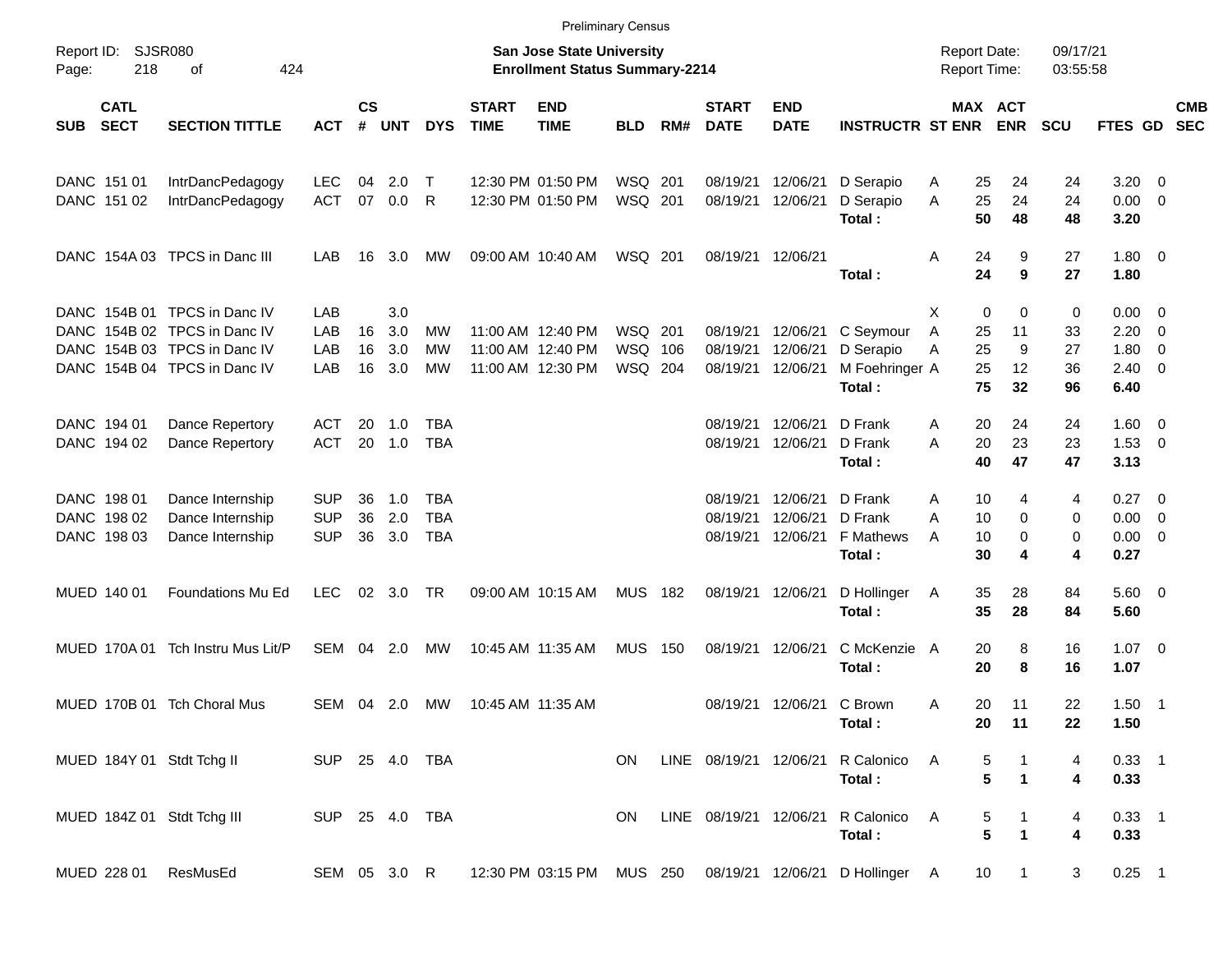|                     |                            |                                   |            |                    |              |                |                             |                                                                           | <b>Preliminary Census</b> |     |                             |                           |                                 |                                     |                       |                      |                      |                     |                          |                          |
|---------------------|----------------------------|-----------------------------------|------------|--------------------|--------------|----------------|-----------------------------|---------------------------------------------------------------------------|---------------------------|-----|-----------------------------|---------------------------|---------------------------------|-------------------------------------|-----------------------|----------------------|----------------------|---------------------|--------------------------|--------------------------|
| Report ID:<br>Page: | SJSR080<br>218             | 424<br>оf                         |            |                    |              |                |                             | <b>San Jose State University</b><br><b>Enrollment Status Summary-2214</b> |                           |     |                             |                           |                                 | <b>Report Date:</b><br>Report Time: |                       |                      | 09/17/21<br>03:55:58 |                     |                          |                          |
| <b>SUB</b>          | <b>CATL</b><br><b>SECT</b> | <b>SECTION TITTLE</b>             | <b>ACT</b> | $\mathsf{cs}$<br># | <b>UNT</b>   | <b>DYS</b>     | <b>START</b><br><b>TIME</b> | <b>END</b><br><b>TIME</b>                                                 | <b>BLD</b>                | RM# | <b>START</b><br><b>DATE</b> | <b>END</b><br><b>DATE</b> | <b>INSTRUCTR ST ENR</b>         |                                     | MAX ACT<br><b>ENR</b> |                      | <b>SCU</b>           | FTES GD             |                          | <b>CMB</b><br><b>SEC</b> |
|                     | DANC 151 01                | IntrDancPedagogy                  | <b>LEC</b> | 04                 | 2.0          | $\top$         |                             | 12:30 PM 01:50 PM                                                         | WSQ 201                   |     | 08/19/21                    | 12/06/21                  | D Serapio                       | A                                   | 25                    | 24                   | 24                   | $3.20 \ 0$          |                          |                          |
|                     | DANC 151 02                | IntrDancPedagogy                  | <b>ACT</b> | 07                 | 0.0          | R              |                             | 12:30 PM 01:50 PM                                                         | WSQ 201                   |     | 08/19/21                    | 12/06/21                  | D Serapio<br>Total:             | A                                   | 25<br>50              | 24<br>48             | 24<br>48             | $0.00 \t 0$<br>3.20 |                          |                          |
|                     |                            | DANC 154A 03 TPCS in Danc III     | LAB        | 16                 | 3.0          | MW             |                             | 09:00 AM 10:40 AM                                                         | WSQ 201                   |     |                             | 08/19/21 12/06/21         | Total:                          | A                                   | 24<br>24              | 9<br>9               | 27<br>27             | $1.80 \ 0$<br>1.80  |                          |                          |
|                     |                            | DANC 154B 01 TPCS in Danc IV      | LAB        |                    | 3.0          |                |                             |                                                                           |                           |     |                             |                           |                                 | X                                   | 0                     | 0                    | 0                    | $0.00 \t 0$         |                          |                          |
|                     |                            | DANC 154B 02 TPCS in Danc IV      | LAB        | 16                 | 3.0          | МW             |                             | 11:00 AM 12:40 PM                                                         | WSQ                       | 201 | 08/19/21                    | 12/06/21                  | C Seymour                       | Α                                   | 25                    | 11                   | 33                   | 2.20                | $\overline{\mathbf{0}}$  |                          |
|                     |                            | DANC 154B 03 TPCS in Danc IV      | LAB        | 16                 | 3.0          | <b>MW</b>      |                             | 11:00 AM 12:40 PM                                                         | WSQ                       | 106 | 08/19/21                    | 12/06/21                  | D Serapio                       | Α                                   | 25                    | 9                    | 27                   | 1.80                | $\overline{0}$           |                          |
|                     |                            | DANC 154B 04 TPCS in Danc IV      | LAB        | 16                 | 3.0          | <b>MW</b>      |                             | 11:00 AM 12:30 PM                                                         | WSQ 204                   |     | 08/19/21                    | 12/06/21                  | M Foehringer A<br>Total:        |                                     | 25<br>75              | 12<br>32             | 36<br>96             | $2.40 \ 0$<br>6.40  |                          |                          |
|                     | DANC 194 01                | Dance Repertory                   | ACT        | 20                 | 1.0          | TBA            |                             |                                                                           |                           |     | 08/19/21                    | 12/06/21                  | D Frank                         | A                                   | 20                    | 24                   | 24                   | $1.60 \t 0$         |                          |                          |
|                     | DANC 194 02                | Dance Repertory                   | <b>ACT</b> | 20                 | 1.0          | <b>TBA</b>     |                             |                                                                           |                           |     | 08/19/21                    | 12/06/21                  | D Frank                         | A                                   | 20                    | 23                   | 23                   | $1.53 \t 0$         |                          |                          |
|                     |                            |                                   |            |                    |              |                |                             |                                                                           |                           |     |                             |                           | Total:                          |                                     | 40                    | 47                   | 47                   | 3.13                |                          |                          |
|                     | DANC 198 01                | Dance Internship                  | <b>SUP</b> | 36                 | 1.0          | TBA            |                             |                                                                           |                           |     | 08/19/21                    | 12/06/21                  | D Frank                         | A                                   | 10                    | 4                    | 4                    | 0.27                | $\overline{\phantom{0}}$ |                          |
|                     | DANC 198 02                | Dance Internship                  | <b>SUP</b> | 36                 | 2.0          | <b>TBA</b>     |                             |                                                                           |                           |     | 08/19/21                    | 12/06/21                  | D Frank                         | Α                                   | 10                    | 0                    | 0                    | 0.00                | $\overline{\mathbf{0}}$  |                          |
|                     | DANC 198 03                | Dance Internship                  | <b>SUP</b> | 36                 | 3.0          | <b>TBA</b>     |                             |                                                                           |                           |     | 08/19/21                    | 12/06/21                  | F Mathews                       | A                                   | 10                    | 0                    | 0                    | $0.00 \t 0$         |                          |                          |
|                     |                            |                                   |            |                    |              |                |                             |                                                                           |                           |     |                             |                           | Total:                          |                                     | 30                    | 4                    | 4                    | 0.27                |                          |                          |
|                     | MUED 140 01                | Foundations Mu Ed                 | <b>LEC</b> | 02                 | 3.0          | TR             |                             | 09:00 AM 10:15 AM                                                         | MUS                       | 182 |                             | 08/19/21 12/06/21         | D Hollinger                     | A                                   | 35                    | 28                   | 84                   | 5.60 0              |                          |                          |
|                     |                            |                                   |            |                    |              |                |                             |                                                                           |                           |     |                             |                           | Total:                          |                                     | 35                    | 28                   | 84                   | 5.60                |                          |                          |
|                     |                            | MUED 170A 01 Tch Instru Mus Lit/P | SEM        | 04                 | 2.0          | MW             |                             | 10:45 AM 11:35 AM                                                         | MUS                       | 150 |                             | 08/19/21 12/06/21         | C McKenzie                      | A                                   | 20                    | 8                    | 16                   | $1.07 \t 0$         |                          |                          |
|                     |                            |                                   |            |                    |              |                |                             |                                                                           |                           |     |                             |                           | Total:                          |                                     | 20                    | 8                    | 16                   | 1.07                |                          |                          |
|                     |                            | MUED 170B 01 Tch Choral Mus       | SEM        |                    | 04 2.0       | МW             |                             | 10:45 AM 11:35 AM                                                         |                           |     |                             | 08/19/21 12/06/21 C Brown |                                 | A                                   | 20                    | 11                   | 22                   | $1.50$ 1            |                          |                          |
|                     |                            |                                   |            |                    |              |                |                             |                                                                           |                           |     |                             |                           | Total:                          |                                     | 20                    | 11                   | 22                   | 1.50                |                          |                          |
|                     |                            | MUED 184Y 01 Stdt Tchg II         |            |                    |              | SUP 25 4.0 TBA |                             |                                                                           | ON.                       |     | LINE 08/19/21 12/06/21      |                           | R Calonico                      | A                                   | 5                     | $\mathbf{1}$         | 4                    | $0.33 - 1$          |                          |                          |
|                     |                            |                                   |            |                    |              |                |                             |                                                                           |                           |     |                             |                           | Total:                          |                                     | 5                     | $\blacktriangleleft$ | 4                    | 0.33                |                          |                          |
|                     |                            | MUED 184Z 01 Stdt Tchg III        |            |                    |              | SUP 25 4.0 TBA |                             |                                                                           | ON                        |     | LINE 08/19/21 12/06/21      |                           | R Calonico                      | $\overline{A}$                      | 5                     | $\mathbf{1}$         | 4                    | $0.33$ 1            |                          |                          |
|                     |                            |                                   |            |                    |              |                |                             |                                                                           |                           |     |                             |                           | Total:                          |                                     | 5                     | $\blacktriangleleft$ | 4                    | 0.33                |                          |                          |
|                     | MUED 228 01                | ResMusEd                          |            |                    | SEM 05 3.0 R |                |                             | 12:30 PM 03:15 PM MUS 250                                                 |                           |     |                             |                           | 08/19/21 12/06/21 D Hollinger A |                                     | 10 <sup>°</sup>       | $\overline{1}$       | 3                    | $0.25$ 1            |                          |                          |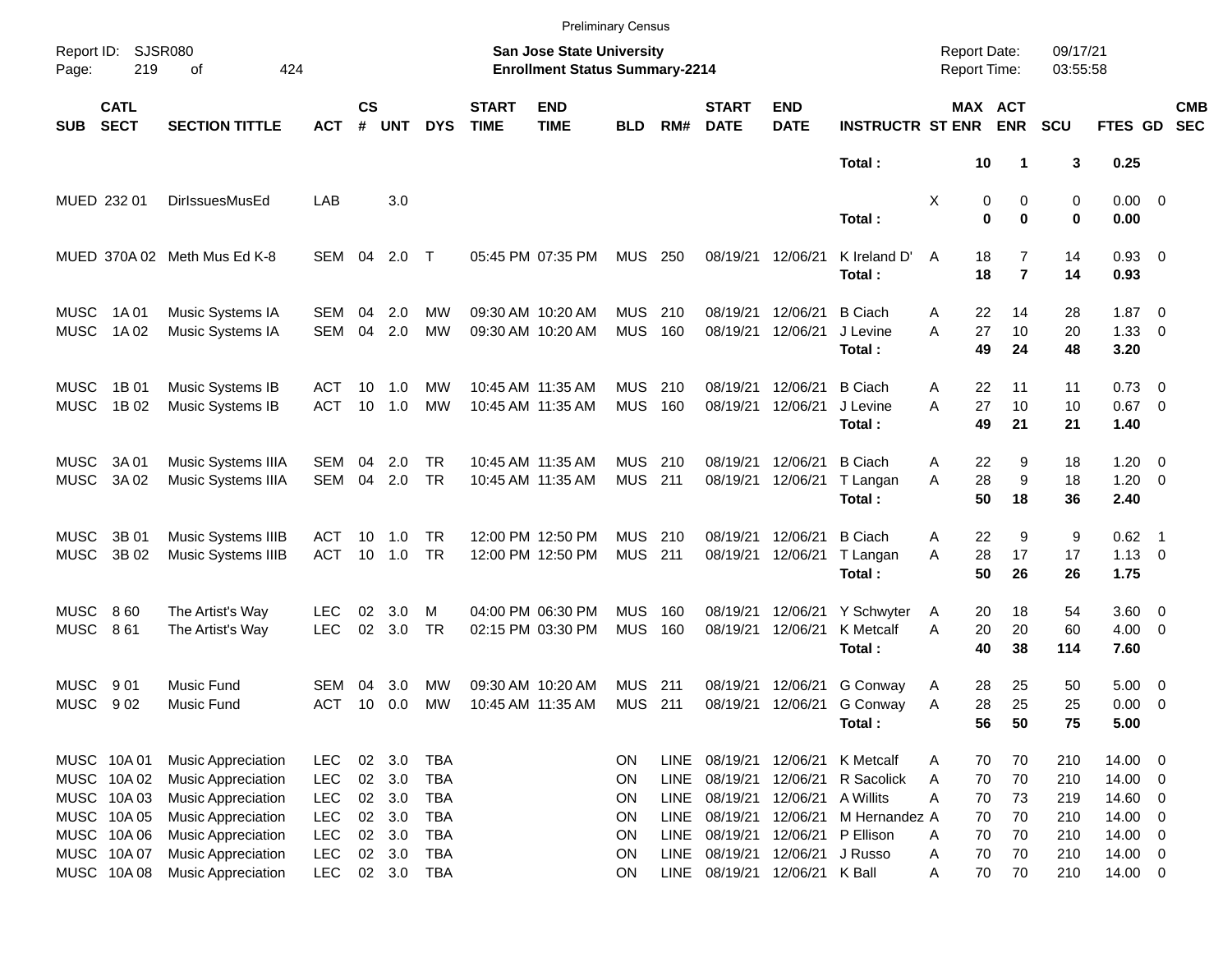|                            |                                          |                                                                       |                                        |                    |                   |                                        |                             |                                                                    | <b>Preliminary Census</b> |                                           |                                  |                                     |                                            |                                     |                     |                      |                                    |                          |                          |
|----------------------------|------------------------------------------|-----------------------------------------------------------------------|----------------------------------------|--------------------|-------------------|----------------------------------------|-----------------------------|--------------------------------------------------------------------|---------------------------|-------------------------------------------|----------------------------------|-------------------------------------|--------------------------------------------|-------------------------------------|---------------------|----------------------|------------------------------------|--------------------------|--------------------------|
| Report ID:<br>Page:        | 219                                      | <b>SJSR080</b><br>424<br>of                                           |                                        |                    |                   |                                        |                             | San Jose State University<br><b>Enrollment Status Summary-2214</b> |                           |                                           |                                  |                                     |                                            | <b>Report Date:</b><br>Report Time: |                     | 09/17/21<br>03:55:58 |                                    |                          |                          |
| <b>SUB</b>                 | <b>CATL</b><br><b>SECT</b>               | <b>SECTION TITTLE</b>                                                 | <b>ACT</b>                             | $\mathsf{cs}$<br># | <b>UNT</b>        | <b>DYS</b>                             | <b>START</b><br><b>TIME</b> | <b>END</b><br><b>TIME</b>                                          | <b>BLD</b>                | RM#                                       | <b>START</b><br><b>DATE</b>      | <b>END</b><br><b>DATE</b>           | <b>INSTRUCTR ST ENR</b>                    | <b>MAX ACT</b>                      | <b>ENR</b>          | <b>SCU</b>           | FTES GD                            |                          | <b>CMB</b><br><b>SEC</b> |
|                            |                                          |                                                                       |                                        |                    |                   |                                        |                             |                                                                    |                           |                                           |                                  |                                     | Total:                                     | 10                                  |                     | 3                    | 0.25                               |                          |                          |
|                            | MUED 232 01                              | <b>DirlssuesMusEd</b>                                                 | LAB                                    |                    | 3.0               |                                        |                             |                                                                    |                           |                                           |                                  |                                     | Total:                                     | Χ<br>0<br>$\bf{0}$                  | 0<br>$\bf{0}$       | 0<br>0               | $0.00 \t 0$<br>0.00                |                          |                          |
|                            |                                          | MUED 370A 02 Meth Mus Ed K-8                                          | SEM                                    | 04                 | 2.0               | $\top$                                 |                             | 05:45 PM 07:35 PM                                                  | <b>MUS</b>                | 250                                       | 08/19/21                         | 12/06/21                            | K Ireland D'<br>Total:                     | 18<br>A<br>18                       | 7<br>$\overline{7}$ | 14<br>14             | $0.93$ 0<br>0.93                   |                          |                          |
| <b>MUSC</b><br><b>MUSC</b> | 1A 01<br>1A 02                           | Music Systems IA<br>Music Systems IA                                  | SEM<br><b>SEM</b>                      | 04<br>04           | 2.0<br>2.0        | MW<br><b>MW</b>                        |                             | 09:30 AM 10:20 AM<br>09:30 AM 10:20 AM                             | <b>MUS</b><br><b>MUS</b>  | 210<br>160                                | 08/19/21<br>08/19/21             | 12/06/21<br>12/06/21                | <b>B</b> Ciach<br>J Levine<br>Total:       | 22<br>Α<br>27<br>A<br>49            | 14<br>10<br>24      | 28<br>20<br>48       | $1.87 \t 0$<br>1.33<br>3.20        | $\overline{\phantom{0}}$ |                          |
| <b>MUSC</b><br><b>MUSC</b> | 1B 01<br>1B 02                           | Music Systems IB<br>Music Systems IB                                  | ACT<br><b>ACT</b>                      | 10<br>10           | 1.0<br>1.0        | MW<br>MW                               |                             | 10:45 AM 11:35 AM<br>10:45 AM 11:35 AM                             | <b>MUS</b><br><b>MUS</b>  | 210<br>160                                | 08/19/21<br>08/19/21             | 12/06/21<br>12/06/21                | <b>B</b> Ciach<br>J Levine<br>Total:       | 22<br>Α<br>27<br>A<br>49            | 11<br>10<br>21      | 11<br>10<br>21       | $0.73 \quad 0$<br>$0.67$ 0<br>1.40 |                          |                          |
| <b>MUSC</b><br><b>MUSC</b> | 3A 01<br>3A 02                           | <b>Music Systems IIIA</b><br>Music Systems IIIA                       | SEM<br><b>SEM</b>                      | 04<br>04           | 2.0<br>2.0        | TR.<br><b>TR</b>                       |                             | 10:45 AM 11:35 AM<br>10:45 AM 11:35 AM                             | <b>MUS</b><br><b>MUS</b>  | -210<br>211                               | 08/19/21<br>08/19/21             | 12/06/21<br>12/06/21                | <b>B</b> Ciach<br>T Langan<br>Total:       | 22<br>Α<br>28<br>A<br>50            | 9<br>9<br>18        | 18<br>18<br>36       | $1.20 \t 0$<br>$1.20 \t 0$<br>2.40 |                          |                          |
| <b>MUSC</b><br><b>MUSC</b> | 3B 01<br>3B 02                           | Music Systems IIIB<br>Music Systems IIIB                              | ACT<br><b>ACT</b>                      | 10<br>10           | 1.0<br>1.0        | TR.<br><b>TR</b>                       |                             | 12:00 PM 12:50 PM<br>12:00 PM 12:50 PM                             | <b>MUS</b><br><b>MUS</b>  | -210<br>211                               | 08/19/21<br>08/19/21             | 12/06/21<br>12/06/21                | <b>B</b> Ciach<br>T Langan                 | 22<br>Α<br>28<br>A<br>50            | 9<br>17<br>26       | 9<br>17              | $0.62$ 1<br>$1.13 \ 0$             |                          |                          |
| <b>MUSC</b><br><b>MUSC</b> | 860<br>861                               | The Artist's Way<br>The Artist's Way                                  | LEC<br><b>LEC</b>                      | 02<br>02           | 3.0<br>3.0        | м<br><b>TR</b>                         |                             | 04:00 PM 06:30 PM<br>02:15 PM 03:30 PM                             | <b>MUS</b><br><b>MUS</b>  | 160<br>160                                | 08/19/21<br>08/19/21             | 12/06/21<br>12/06/21                | Total:<br>Y Schwyter<br>K Metcalf          | 20<br>A<br>A<br>20                  | 18<br>20            | 26<br>54<br>60       | 1.75<br>3.60 0<br>$4.00 \ 0$       |                          |                          |
| <b>MUSC</b><br><b>MUSC</b> | 9 0 1<br>902                             | <b>Music Fund</b><br>Music Fund                                       | SEM<br><b>ACT</b>                      | 04<br>10           | 3.0<br>0.0        | MW<br>MW                               |                             | 09:30 AM 10:20 AM<br>10:45 AM 11:35 AM                             | <b>MUS</b><br><b>MUS</b>  | 211<br>211                                | 08/19/21<br>08/19/21             | 12/06/21<br>12/06/21                | Total:<br>G Conway<br>G Conway             | 40<br>28<br>Α<br>28<br>Α            | 38<br>25<br>25      | 114<br>50<br>25      | 7.60<br>$5.00 \t 0$<br>0.00        | $\overline{\phantom{0}}$ |                          |
|                            | MUSC 10A 01<br>MUSC 10A02                | <b>Music Appreciation</b><br><b>Music Appreciation</b>                | <b>LEC</b><br><b>LEC</b>               | $02\,$<br>$02\,$   | 3.0<br>3.0        | <b>TBA</b><br><b>TBA</b>               |                             |                                                                    | ON<br>ON                  | <b>LINE</b><br><b>LINE</b>                | 08/19/21<br>08/19/21             | 12/06/21                            | Total:<br>12/06/21 K Metcalf<br>R Sacolick | 56<br>70<br>A<br>70<br>Α            | 50<br>70<br>70      | 75<br>210<br>210     | 5.00<br>14.00 0<br>14.00 0         |                          |                          |
|                            | MUSC 10A03<br>MUSC 10A 05<br>MUSC 10A 06 | <b>Music Appreciation</b><br>Music Appreciation<br>Music Appreciation | <b>LEC</b><br><b>LEC</b><br><b>LEC</b> | 02<br>$02\,$<br>02 | 3.0<br>3.0<br>3.0 | <b>TBA</b><br><b>TBA</b><br><b>TBA</b> |                             |                                                                    | ON<br>ON<br>ON            | <b>LINE</b><br><b>LINE</b><br><b>LINE</b> | 08/19/21<br>08/19/21<br>08/19/21 | 12/06/21 A Willits<br>12/06/21      | M Hernandez A<br>12/06/21 P Ellison        | Α<br>70<br>70<br>70<br>Α            | 73<br>70<br>70      | 219<br>210<br>210    | 14.60 0<br>14.00 0<br>14.00 0      |                          |                          |
|                            | MUSC 10A07<br>MUSC 10A08                 | Music Appreciation<br>Music Appreciation                              | <b>LEC</b><br><b>LEC</b>               |                    | 02 3.0<br>02 3.0  | <b>TBA</b><br><b>TBA</b>               |                             |                                                                    | ON<br>ON                  | <b>LINE</b><br>LINE                       | 08/19/21<br>08/19/21             | 12/06/21 J Russo<br>12/06/21 K Ball |                                            | 70<br>Α<br>70<br>Α                  | 70<br>70            | 210<br>210           | 14.00 0<br>14.00 0                 |                          |                          |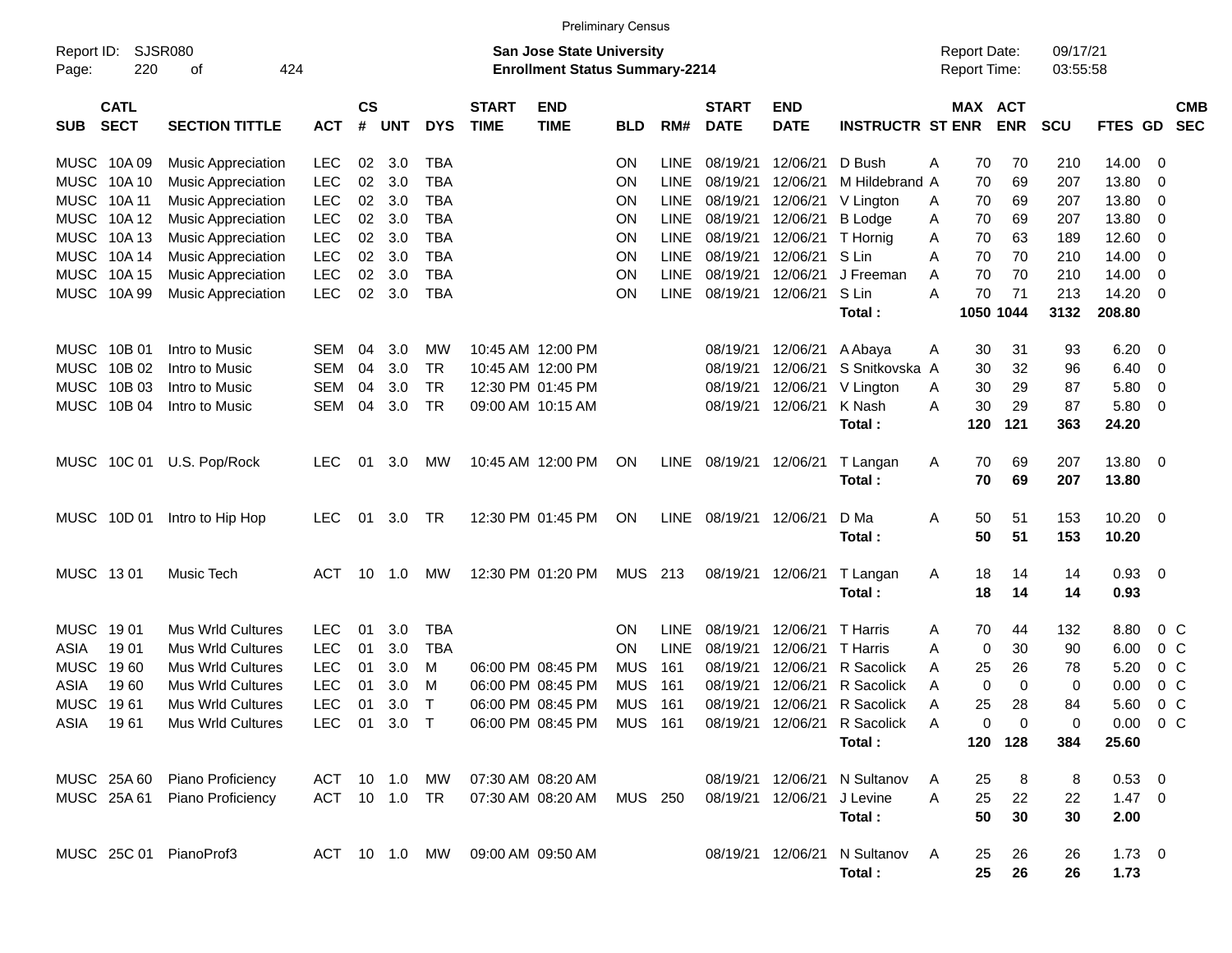|                     |                            |                               |               |                    |            |             |                             | <b>Preliminary Census</b>                                          |            |             |                             |                           |                              |                                     |                       |     |                      |               |                |                          |
|---------------------|----------------------------|-------------------------------|---------------|--------------------|------------|-------------|-----------------------------|--------------------------------------------------------------------|------------|-------------|-----------------------------|---------------------------|------------------------------|-------------------------------------|-----------------------|-----|----------------------|---------------|----------------|--------------------------|
| Report ID:<br>Page: | 220                        | <b>SJSR080</b><br>424<br>οf   |               |                    |            |             |                             | San Jose State University<br><b>Enrollment Status Summary-2214</b> |            |             |                             |                           |                              | <b>Report Date:</b><br>Report Time: |                       |     | 09/17/21<br>03:55:58 |               |                |                          |
| <b>SUB</b>          | <b>CATL</b><br><b>SECT</b> | <b>SECTION TITTLE</b>         | <b>ACT</b>    | $\mathsf{cs}$<br># | <b>UNT</b> | <b>DYS</b>  | <b>START</b><br><b>TIME</b> | <b>END</b><br><b>TIME</b>                                          | <b>BLD</b> | RM#         | <b>START</b><br><b>DATE</b> | <b>END</b><br><b>DATE</b> | <b>INSTRUCTR ST ENR</b>      |                                     | MAX ACT<br><b>ENR</b> |     | <b>SCU</b>           | FTES GD       |                | <b>CMB</b><br><b>SEC</b> |
| MUSC                | 10A 09                     | <b>Music Appreciation</b>     | LEC           | 02                 | 3.0        | <b>TBA</b>  |                             |                                                                    | OΝ         | <b>LINE</b> | 08/19/21                    | 12/06/21                  | D Bush                       | A                                   | 70                    | 70  | 210                  | 14.00         | 0              |                          |
| <b>MUSC</b>         | 10A 10                     | <b>Music Appreciation</b>     | <b>LEC</b>    | 02                 | 3.0        | <b>TBA</b>  |                             |                                                                    | ON         | <b>LINE</b> | 08/19/21                    | 12/06/21                  | M Hildebrand A               |                                     | 70                    | 69  | 207                  | 13.80         | 0              |                          |
| <b>MUSC</b>         | 10A 11                     | <b>Music Appreciation</b>     | <b>LEC</b>    | 02                 | 3.0        | <b>TBA</b>  |                             |                                                                    | ON         | <b>LINE</b> | 08/19/21                    | 12/06/21                  | V Lington                    | A                                   | 70                    | 69  | 207                  | 13.80         | 0              |                          |
| <b>MUSC</b>         | 10A 12                     | <b>Music Appreciation</b>     | <b>LEC</b>    | 02                 | 3.0        | <b>TBA</b>  |                             |                                                                    | ON         | <b>LINE</b> | 08/19/21                    | 12/06/21                  | <b>B</b> Lodge               | A                                   | 70                    | 69  | 207                  | 13.80         | 0              |                          |
| <b>MUSC</b>         | 10A 13                     | <b>Music Appreciation</b>     | <b>LEC</b>    | 02                 | 3.0        | <b>TBA</b>  |                             |                                                                    | ON         | <b>LINE</b> | 08/19/21                    | 12/06/21                  | T Hornig                     | A                                   | 70                    | 63  | 189                  | 12.60         | 0              |                          |
| <b>MUSC</b>         | 10A 14                     | <b>Music Appreciation</b>     | <b>LEC</b>    | 02                 | 3.0        | <b>TBA</b>  |                             |                                                                    | ON         | <b>LINE</b> | 08/19/21                    | 12/06/21                  | S Lin                        | Α                                   | 70                    | 70  | 210                  | 14.00         | 0              |                          |
| <b>MUSC</b>         | 10A 15                     | <b>Music Appreciation</b>     | <b>LEC</b>    | 02                 | 3.0        | <b>TBA</b>  |                             |                                                                    | ON         | <b>LINE</b> | 08/19/21                    | 12/06/21                  | J Freeman                    | A                                   | 70                    | 70  | 210                  | 14.00         | 0              |                          |
| <b>MUSC</b>         | 10A 99                     | <b>Music Appreciation</b>     | <b>LEC</b>    | 02                 | 3.0        | <b>TBA</b>  |                             |                                                                    | ΟN         | <b>LINE</b> | 08/19/21                    | 12/06/21                  | S Lin                        | A                                   | 70                    | 71  | 213                  | 14.20         | 0              |                          |
|                     |                            |                               |               |                    |            |             |                             |                                                                    |            |             |                             |                           | Total:                       |                                     | 1050 1044             |     | 3132                 | 208.80        |                |                          |
| MUSC                | 10B 01                     | Intro to Music                | SEM           | 04                 | 3.0        | МW          |                             | 10:45 AM 12:00 PM                                                  |            |             | 08/19/21                    | 12/06/21                  | A Abaya                      | A                                   | 30                    | 31  | 93                   | 6.20          | 0              |                          |
| <b>MUSC</b>         | 10B 02                     | Intro to Music                | SEM           | 04                 | 3.0        | TR          |                             | 10:45 AM 12:00 PM                                                  |            |             | 08/19/21                    | 12/06/21                  | S Snitkovska A               |                                     | 30                    | 32  | 96                   | 6.40          | 0              |                          |
| <b>MUSC</b>         | 10B 03                     | Intro to Music                | SEM           | 04                 | 3.0        | TR          |                             | 12:30 PM 01:45 PM                                                  |            |             | 08/19/21                    | 12/06/21                  | V Lington                    | A                                   | 30                    | 29  | 87                   | 5.80          | 0              |                          |
| <b>MUSC</b>         | 10B 04                     | Intro to Music                | SEM           | 04                 | 3.0        | TR          |                             | 09:00 AM 10:15 AM                                                  |            |             | 08/19/21                    | 12/06/21                  | K Nash                       | A                                   | 30                    | 29  | 87                   | 5.80          | 0              |                          |
|                     |                            |                               |               |                    |            |             |                             |                                                                    |            |             |                             |                           | Total:                       |                                     | 120                   | 121 | 363                  | 24.20         |                |                          |
|                     | MUSC 10C 01                | U.S. Pop/Rock                 | <b>LEC</b>    | 01                 | 3.0        | МW          |                             | 10:45 AM 12:00 PM                                                  | ON         | <b>LINE</b> | 08/19/21                    | 12/06/21                  | T Langan                     | A                                   | 70                    | 69  | 207                  | 13.80         | 0              |                          |
|                     |                            |                               |               |                    |            |             |                             |                                                                    |            |             |                             |                           | Total:                       |                                     | 70                    | 69  | 207                  | 13.80         |                |                          |
| MUSC                | 10D 01                     | Intro to Hip Hop              | <b>LEC</b>    | 01                 | 3.0        | TR          |                             | 12:30 PM 01:45 PM                                                  | ON         | <b>LINE</b> | 08/19/21                    | 12/06/21                  | D Ma                         | Α                                   | 50                    | 51  | 153                  | 10.20         | 0              |                          |
|                     |                            |                               |               |                    |            |             |                             |                                                                    |            |             |                             |                           | Total:                       |                                     | 50                    | 51  | 153                  | 10.20         |                |                          |
| MUSC 1301           |                            | Music Tech                    | <b>ACT</b>    | 10                 | 1.0        | МW          |                             | 12:30 PM 01:20 PM                                                  | MUS 213    |             | 08/19/21                    | 12/06/21                  | T Langan                     | A                                   | 18                    | 14  | 14                   | 0.93          | 0              |                          |
|                     |                            |                               |               |                    |            |             |                             |                                                                    |            |             |                             |                           | Total:                       |                                     | 18                    | 14  | 14                   | 0.93          |                |                          |
| MUSC                | 19 01                      | <b>Mus Wrld Cultures</b>      | <b>LEC</b>    | 01                 | 3.0        | TBA         |                             |                                                                    | OΝ         | <b>LINE</b> | 08/19/21                    | 12/06/21                  | T Harris                     | A                                   | 70                    | 44  | 132                  | 8.80          | 0 <sup>o</sup> |                          |
| ASIA                | 1901                       | <b>Mus Wrld Cultures</b>      | <b>LEC</b>    | 01                 | 3.0        | <b>TBA</b>  |                             |                                                                    | OΝ         | LINE        | 08/19/21                    | 12/06/21                  | <b>T</b> Harris              | Α                                   | 0                     | 30  | 90                   | 6.00          | $0\,C$         |                          |
| <b>MUSC</b>         | 1960                       | <b>Mus Wrld Cultures</b>      | <b>LEC</b>    | 01                 | 3.0        | м           |                             | 06:00 PM 08:45 PM                                                  | <b>MUS</b> | 161         | 08/19/21                    | 12/06/21                  | R Sacolick                   | A                                   | 25                    | 26  | 78                   | 5.20          | 0 <sub>C</sub> |                          |
| ASIA                | 1960                       | <b>Mus Wrld Cultures</b>      | <b>LEC</b>    | 01                 | 3.0        | м           |                             | 06:00 PM 08:45 PM                                                  | <b>MUS</b> | 161         | 08/19/21                    | 12/06/21                  | R Sacolick                   | A                                   | 0                     | 0   | 0                    | 0.00          | $0\,C$         |                          |
| MUSC                | 1961                       | <b>Mus Wrld Cultures</b>      | <b>LEC</b>    | 01                 | 3.0        | $\mathsf T$ |                             | 06:00 PM 08:45 PM                                                  | <b>MUS</b> | 161         | 08/19/21                    | 12/06/21                  | R Sacolick                   | A                                   | 25                    | 28  | 84                   | 5.60          | 0 <sub>C</sub> |                          |
| ASIA 1961           |                            | <b>Mus Wrld Cultures</b>      | LEC 01 3.0 T  |                    |            |             |                             | 06:00 PM 08:45 PM MUS 161                                          |            |             |                             |                           | 08/19/21 12/06/21 R Sacolick | A                                   | 0                     | 0   | 0                    | $0.00 \t 0 C$ |                |                          |
|                     |                            |                               |               |                    |            |             |                             |                                                                    |            |             |                             |                           | Total:                       |                                     | 120 128               |     | 384                  | 25.60         |                |                          |
|                     | MUSC 25A 60                | Piano Proficiency             | ACT 10 1.0    |                    |            | MW          |                             | 07:30 AM 08:20 AM                                                  |            |             | 08/19/21                    | 12/06/21                  | N Sultanov                   | A                                   | 25                    | 8   | 8                    | $0.53$ 0      |                |                          |
|                     |                            | MUSC 25A 61 Piano Proficiency | ACT 10 1.0 TR |                    |            |             |                             | 07:30 AM 08:20 AM                                                  | MUS 250    |             | 08/19/21                    | 12/06/21                  | J Levine                     | Α                                   | 25                    | 22  | 22                   | $1.47 \ 0$    |                |                          |
|                     |                            |                               |               |                    |            |             |                             |                                                                    |            |             |                             |                           | Total:                       |                                     | 50                    | 30  | 30                   | 2.00          |                |                          |
|                     |                            | MUSC 25C 01 PianoProf3        | ACT 10 1.0 MW |                    |            |             |                             | 09:00 AM 09:50 AM                                                  |            |             |                             | 08/19/21 12/06/21         | N Sultanov                   | A                                   | 25                    | 26  | 26                   | $1.73 \t 0$   |                |                          |
|                     |                            |                               |               |                    |            |             |                             |                                                                    |            |             |                             |                           | Total:                       |                                     | 25                    | 26  | 26                   | 1.73          |                |                          |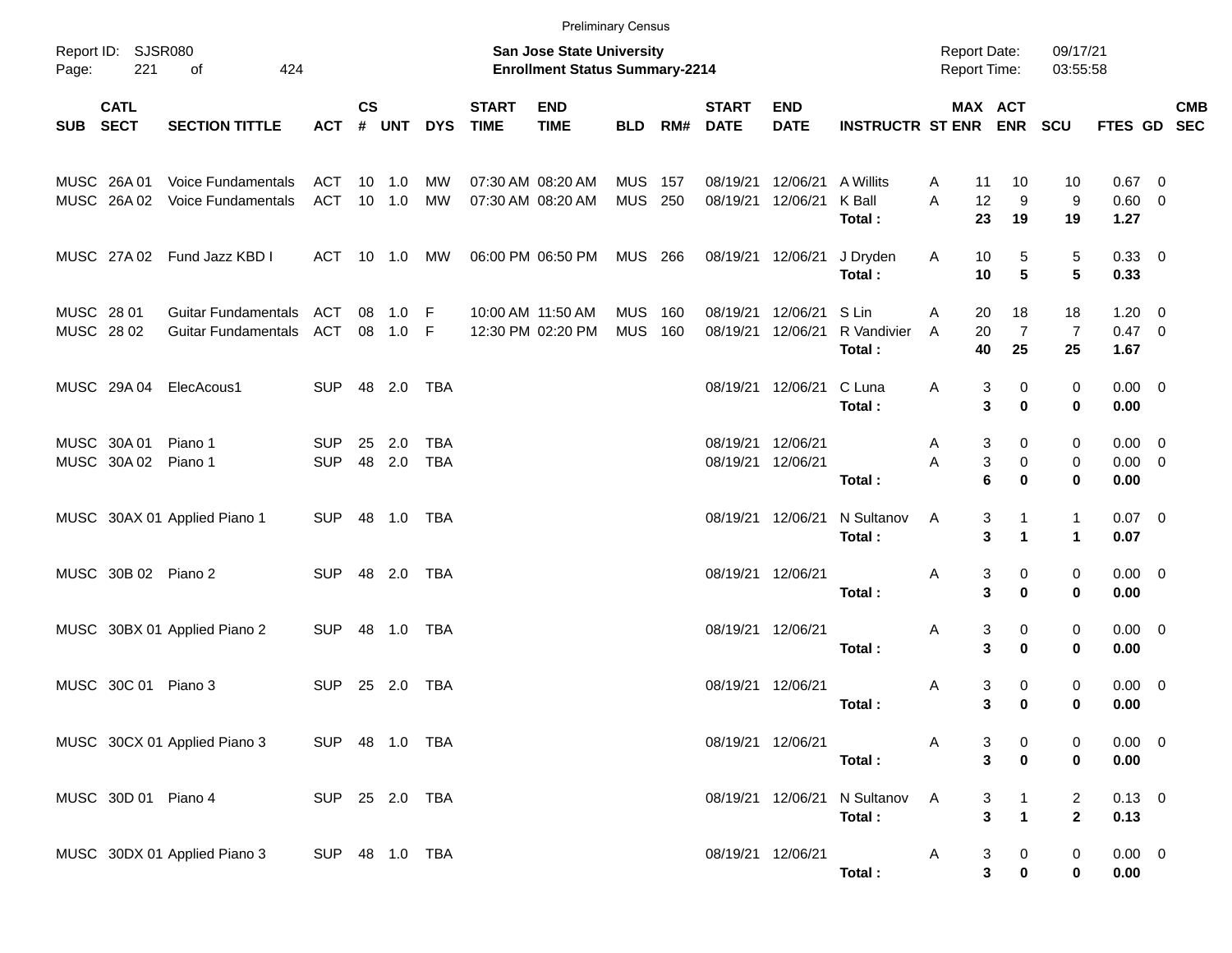|                          |                            |                                                   |                          |                |                            |                          |                             |                                                                           | <b>Preliminary Census</b> |            |                             |                                        |                                |                                     |                                                                        |                                      |                             |                          |            |
|--------------------------|----------------------------|---------------------------------------------------|--------------------------|----------------|----------------------------|--------------------------|-----------------------------|---------------------------------------------------------------------------|---------------------------|------------|-----------------------------|----------------------------------------|--------------------------------|-------------------------------------|------------------------------------------------------------------------|--------------------------------------|-----------------------------|--------------------------|------------|
| Page:                    | Report ID: SJSR080<br>221  | 424<br>οf                                         |                          |                |                            |                          |                             | <b>San Jose State University</b><br><b>Enrollment Status Summary-2214</b> |                           |            |                             |                                        |                                | <b>Report Date:</b><br>Report Time: |                                                                        | 09/17/21<br>03:55:58                 |                             |                          |            |
| <b>SUB</b>               | <b>CATL</b><br><b>SECT</b> | <b>SECTION TITTLE</b>                             | <b>ACT</b>               | <b>CS</b><br># | <b>UNT</b>                 | <b>DYS</b>               | <b>START</b><br><b>TIME</b> | <b>END</b><br><b>TIME</b>                                                 | <b>BLD</b>                | RM#        | <b>START</b><br><b>DATE</b> | <b>END</b><br><b>DATE</b>              | <b>INSTRUCTR ST ENR</b>        |                                     | MAX ACT<br><b>ENR</b>                                                  | <b>SCU</b>                           | FTES GD SEC                 |                          | <b>CMB</b> |
|                          | MUSC 26A 01<br>MUSC 26A02  | Voice Fundamentals<br>Voice Fundamentals          | ACT<br><b>ACT</b>        |                | $10 \quad 1.0$<br>$10$ 1.0 | <b>MW</b><br><b>MW</b>   |                             | 07:30 AM 08:20 AM<br>07:30 AM 08:20 AM                                    | <b>MUS</b><br><b>MUS</b>  | 157<br>250 | 08/19/21<br>08/19/21        | 12/06/21<br>12/06/21                   | A Willits<br>K Ball<br>Total:  | A<br>11<br>A<br>12<br>23            | 10<br>9<br>19                                                          | 10<br>9<br>19                        | $0.67$ 0<br>0.60 0<br>1.27  |                          |            |
|                          |                            | MUSC 27A 02 Fund Jazz KBD I                       | ACT                      |                | 10 1.0                     | MW                       |                             | 06:00 PM 06:50 PM                                                         | MUS 266                   |            |                             | 08/19/21 12/06/21                      | J Dryden<br>Total:             | Α<br>10<br>10                       | 5<br>5                                                                 | 5<br>5                               | 0.33 0<br>0.33              |                          |            |
| MUSC 28 01<br>MUSC 28 02 |                            | Guitar Fundamentals<br><b>Guitar Fundamentals</b> | <b>ACT</b><br>ACT        | 08<br>08       | 1.0<br>1.0                 | -F<br>-F                 |                             | 10:00 AM 11:50 AM<br>12:30 PM 02:20 PM                                    | <b>MUS</b><br><b>MUS</b>  | 160<br>160 | 08/19/21<br>08/19/21        | 12/06/21<br>12/06/21                   | S Lin<br>R Vandivier<br>Total: | A<br>20<br>20<br>A<br>40            | 18<br>$\overline{7}$<br>25                                             | 18<br>$\overline{7}$<br>25           | 1.20<br>0.47 0<br>1.67      | $\overline{\phantom{0}}$ |            |
|                          | MUSC 29A 04                | ElecAcous1                                        | <b>SUP</b>               | 48             | 2.0                        | <b>TBA</b>               |                             |                                                                           |                           |            |                             | 08/19/21 12/06/21                      | C Luna<br>Total:               | Α                                   | 3<br>0<br>3<br>$\bf{0}$                                                | 0<br>$\bf{0}$                        | $0.00 \quad 0$<br>0.00      |                          |            |
|                          | MUSC 30A 01<br>MUSC 30A 02 | Piano 1<br>Piano 1                                | <b>SUP</b><br><b>SUP</b> | 25<br>48       | 2.0<br>2.0                 | <b>TBA</b><br><b>TBA</b> |                             |                                                                           |                           |            |                             | 08/19/21 12/06/21<br>08/19/21 12/06/21 | Total:                         | Α<br>Α                              | 0<br>3<br>3<br>0<br>6<br>$\bf{0}$                                      | 0<br>0<br>$\bf{0}$                   | 0.00<br>$0.00 \t 0$<br>0.00 | $\overline{\phantom{0}}$ |            |
|                          |                            | MUSC 30AX 01 Applied Piano 1                      | <b>SUP</b>               |                | 48 1.0                     | TBA                      |                             |                                                                           |                           |            |                             | 08/19/21 12/06/21                      | N Sultanov<br>Total:           | A                                   | 3<br>$\mathbf{1}$<br>3<br>$\blacktriangleleft$                         | $\mathbf{1}$<br>$\blacktriangleleft$ | $0.07$ 0<br>0.07            |                          |            |
|                          | MUSC 30B 02 Piano 2        |                                                   | <b>SUP</b>               | 48             | 2.0                        | <b>TBA</b>               |                             |                                                                           |                           |            |                             | 08/19/21 12/06/21                      | Total:                         | Α                                   | 3<br>0<br>3<br>$\bf{0}$                                                | 0<br>0                               | $0.00 \t 0$<br>0.00         |                          |            |
|                          |                            | MUSC 30BX 01 Applied Piano 2                      | <b>SUP</b>               | 48             | 1.0                        | TBA                      |                             |                                                                           |                           |            |                             | 08/19/21 12/06/21                      | Total:                         | Α                                   | 3<br>0<br>3<br>0                                                       | 0<br>$\bf{0}$                        | $0.00 \ 0$<br>0.00          |                          |            |
|                          | MUSC 30C 01                | Piano 3                                           | <b>SUP</b>               | 25             | 2.0                        | <b>TBA</b>               |                             |                                                                           |                           |            |                             | 08/19/21 12/06/21                      | Total:                         | Α                                   | 3<br>0<br>3<br>$\bf{0}$                                                | 0<br>$\bf{0}$                        | 0.00<br>0.00                | $\overline{\mathbf{0}}$  |            |
|                          |                            | MUSC 30CX 01 Applied Piano 3                      | SUP 48 1.0 TBA           |                |                            |                          |                             |                                                                           |                           |            |                             | 08/19/21 12/06/21                      | Total:                         | Α                                   | $\frac{3}{3}$<br>$\begin{matrix}0\\0\end{matrix}$                      | 0<br>0                               | $0.00 \t 0$<br>0.00         |                          |            |
|                          | MUSC 30D 01 Piano 4        |                                                   | SUP 25 2.0 TBA           |                |                            |                          |                             |                                                                           |                           |            |                             | 08/19/21 12/06/21                      | N Sultanov<br>Total:           | $\mathsf{A}$                        | $\begin{array}{c} 1 \\ 1 \end{array}$<br>$\frac{3}{3}$                 | $\overline{2}$<br>$\overline{2}$     | $0.13 \ 0$<br>0.13          |                          |            |
|                          |                            | MUSC 30DX 01 Applied Piano 3                      | SUP 48 1.0 TBA           |                |                            |                          |                             |                                                                           |                           |            |                             | 08/19/21 12/06/21                      | Total:                         | $\mathsf{A}$                        | $\mathbf{3}$<br>$\overline{0}$<br>$\overline{\mathbf{3}}$<br>$\pmb{0}$ | 0<br>0                               | $0.00 \t 0$<br>$0.00\,$     |                          |            |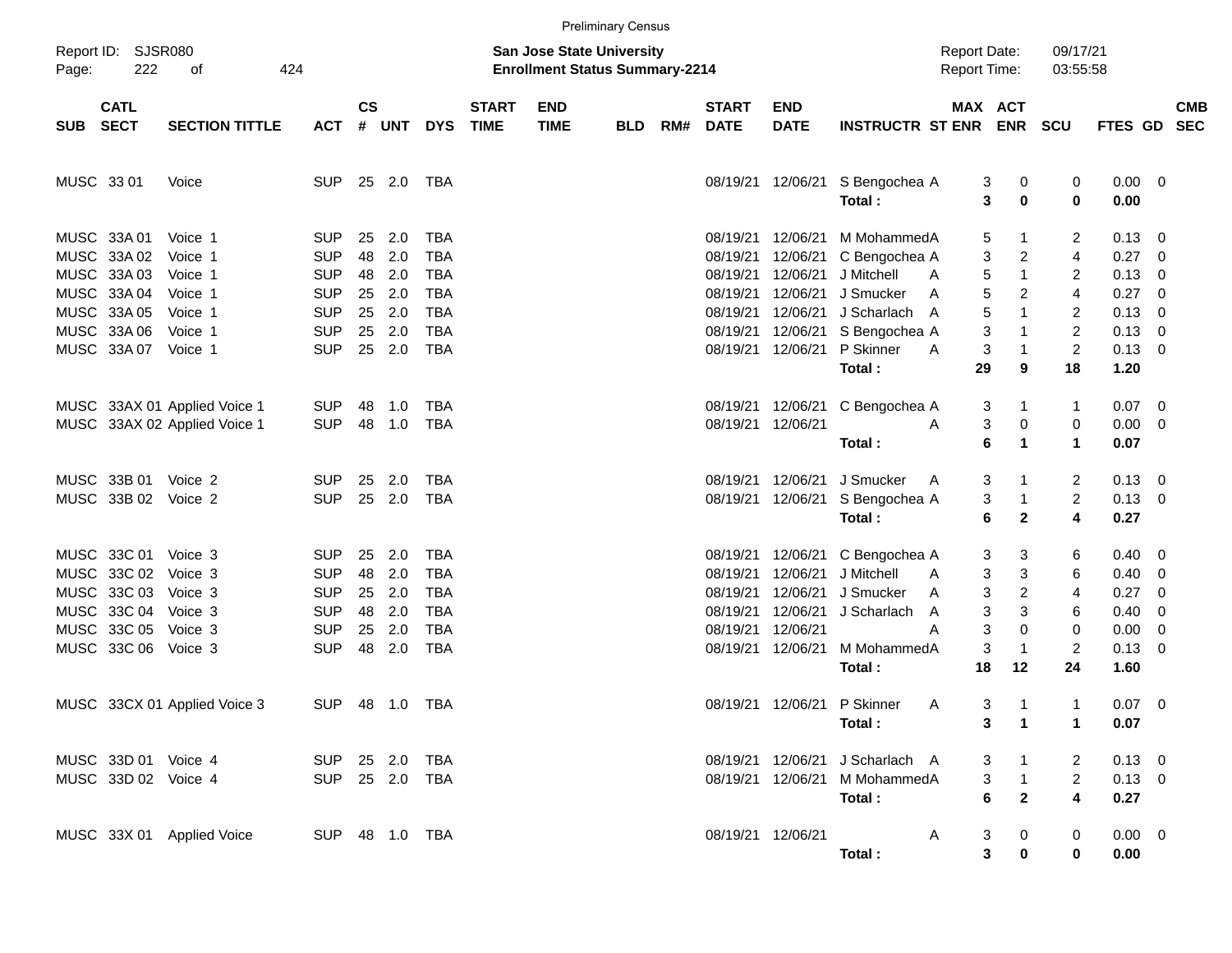|            |                            |                              |                |                    |              |            |                             |                                                                           | <b>Preliminary Census</b> |     |                             |                           |                                 |                                     |                         |                                           |                     |                          |            |
|------------|----------------------------|------------------------------|----------------|--------------------|--------------|------------|-----------------------------|---------------------------------------------------------------------------|---------------------------|-----|-----------------------------|---------------------------|---------------------------------|-------------------------------------|-------------------------|-------------------------------------------|---------------------|--------------------------|------------|
| Page:      | Report ID: SJSR080<br>222  | 424<br>οf                    |                |                    |              |            |                             | <b>San Jose State University</b><br><b>Enrollment Status Summary-2214</b> |                           |     |                             |                           |                                 | <b>Report Date:</b><br>Report Time: |                         | 09/17/21<br>03:55:58                      |                     |                          |            |
| SUB        | <b>CATL</b><br><b>SECT</b> | <b>SECTION TITTLE</b>        | <b>ACT</b>     | $\mathsf{cs}$<br># | UNT          | <b>DYS</b> | <b>START</b><br><b>TIME</b> | <b>END</b><br><b>TIME</b>                                                 | <b>BLD</b>                | RM# | <b>START</b><br><b>DATE</b> | <b>END</b><br><b>DATE</b> | <b>INSTRUCTR ST ENR</b>         | MAX ACT                             | <b>ENR</b>              | <b>SCU</b>                                | FTES GD SEC         |                          | <b>CMB</b> |
| MUSC 33 01 |                            | Voice                        | <b>SUP</b>     |                    | 25 2.0       | TBA        |                             |                                                                           |                           |     |                             | 08/19/21 12/06/21         | S Bengochea A<br>Total:         | 3<br>3                              | 0<br>0                  | 0<br>$\mathbf 0$                          | $0.00 \t 0$<br>0.00 |                          |            |
|            | MUSC 33A 01                | Voice 1                      | <b>SUP</b>     | 25                 | 2.0          | <b>TBA</b> |                             |                                                                           |                           |     | 08/19/21                    | 12/06/21                  | M MohammedA                     | 5                                   |                         | 2                                         | $0.13 \quad 0$      |                          |            |
|            | MUSC 33A 02                | Voice 1                      | <b>SUP</b>     | 48                 | 2.0          | <b>TBA</b> |                             |                                                                           |                           |     | 08/19/21                    | 12/06/21                  | C Bengochea A                   | 3                                   | 2                       | 4                                         | 0.27                | $\overline{\mathbf{0}}$  |            |
|            | MUSC 33A 03                | Voice 1                      | <b>SUP</b>     | 48                 | 2.0          | <b>TBA</b> |                             |                                                                           |                           |     | 08/19/21                    | 12/06/21                  | J Mitchell<br>A                 | 5                                   | 1                       | 2                                         | 0.13                | 0                        |            |
|            | MUSC 33A 04                | Voice 1                      | <b>SUP</b>     | 25                 | 2.0          | <b>TBA</b> |                             |                                                                           |                           |     | 08/19/21                    | 12/06/21                  | J Smucker<br>A                  | 5                                   | 2                       | 4                                         | 0.27                | 0                        |            |
|            | MUSC 33A 05                | Voice 1                      | <b>SUP</b>     | 25                 | 2.0          | <b>TBA</b> |                             |                                                                           |                           |     | 08/19/21                    | 12/06/21                  | J Scharlach<br>A                | $\sqrt{5}$                          | 1                       | 2                                         | 0.13                | 0                        |            |
|            | MUSC 33A 06                | Voice 1                      | <b>SUP</b>     | 25                 | 2.0          | <b>TBA</b> |                             |                                                                           |                           |     | 08/19/21                    | 12/06/21                  | S Bengochea A                   | 3                                   |                         | $\overline{2}$                            | 0.13                | $\overline{\mathbf{0}}$  |            |
|            | MUSC 33A 07                | Voice 1                      | <b>SUP</b>     |                    | 25 2.0       | TBA        |                             |                                                                           |                           |     |                             | 08/19/21 12/06/21         | P Skinner<br>A                  | 3                                   |                         | $\overline{2}$                            | $0.13 \ 0$          |                          |            |
|            |                            |                              |                |                    |              |            |                             |                                                                           |                           |     |                             |                           | Total:                          | 29                                  | 9                       | 18                                        | 1.20                |                          |            |
|            |                            | MUSC 33AX 01 Applied Voice 1 | <b>SUP</b>     | 48                 | 1.0          | TBA        |                             |                                                                           |                           |     |                             | 08/19/21 12/06/21         | C Bengochea A                   | 3                                   |                         | $\mathbf{1}$                              | $0.07 \quad 0$      |                          |            |
|            |                            | MUSC 33AX 02 Applied Voice 1 | <b>SUP</b>     | 48                 | 1.0          | TBA        |                             |                                                                           |                           |     | 08/19/21 12/06/21           |                           | A                               | 3                                   | 0                       | 0                                         | $0.00 \t 0$         |                          |            |
|            |                            |                              |                |                    |              |            |                             |                                                                           |                           |     |                             |                           | Total:                          | 6                                   | 1                       | $\mathbf{1}$                              | 0.07                |                          |            |
|            |                            |                              |                |                    |              |            |                             |                                                                           |                           |     |                             |                           |                                 |                                     |                         |                                           |                     |                          |            |
|            | MUSC 33B 01                | Voice 2                      | <b>SUP</b>     | 25                 | 2.0          | TBA        |                             |                                                                           |                           |     | 08/19/21 12/06/21           |                           | J Smucker<br>A                  | 3                                   |                         | $\overline{c}$                            | $0.13 \ 0$          |                          |            |
|            | MUSC 33B 02 Voice 2        |                              | <b>SUP</b>     |                    | 25 2.0       | TBA        |                             |                                                                           |                           |     |                             | 08/19/21 12/06/21         | S Bengochea A                   | 3                                   | $\mathbf 1$             | $\overline{2}$                            | $0.13 \ 0$          |                          |            |
|            |                            |                              |                |                    |              |            |                             |                                                                           |                           |     |                             |                           | Total:                          | 6                                   | $\mathbf{2}$            | 4                                         | 0.27                |                          |            |
|            | MUSC 33C 01                | Voice 3                      | <b>SUP</b>     | 25                 | 2.0          | <b>TBA</b> |                             |                                                                           |                           |     |                             | 08/19/21 12/06/21         | C Bengochea A                   | 3                                   | 3                       | 6                                         | $0.40 \quad 0$      |                          |            |
|            | MUSC 33C 02                | Voice 3                      | <b>SUP</b>     | 48                 | 2.0          | <b>TBA</b> |                             |                                                                           |                           |     | 08/19/21                    | 12/06/21                  | J Mitchell<br>A                 | 3                                   | 3                       | 6                                         | 0.40                | $\overline{\mathbf{0}}$  |            |
|            | MUSC 33C 03                | Voice 3                      | <b>SUP</b>     | 25                 | 2.0          | <b>TBA</b> |                             |                                                                           |                           |     | 08/19/21                    | 12/06/21                  | J Smucker<br>Α                  | 3                                   | $\overline{\mathbf{c}}$ | 4                                         | 0.27                | 0                        |            |
|            | MUSC 33C 04 Voice 3        |                              | <b>SUP</b>     | 48                 | 2.0          | <b>TBA</b> |                             |                                                                           |                           |     | 08/19/21                    | 12/06/21                  | J Scharlach<br>A                | 3                                   | 3                       | 6                                         | 0.40                | 0                        |            |
|            | MUSC 33C 05 Voice 3        |                              | <b>SUP</b>     | 25                 | 2.0          | <b>TBA</b> |                             |                                                                           |                           |     | 08/19/21                    | 12/06/21                  | A                               | 3                                   | 0                       | 0                                         | 0.00                | - 0                      |            |
|            | MUSC 33C 06 Voice 3        |                              | <b>SUP</b>     |                    | 48 2.0       | TBA        |                             |                                                                           |                           |     |                             | 08/19/21 12/06/21         | M MohammedA                     | 3                                   | -1                      | $\overline{c}$                            | 0.13                | $\overline{\phantom{0}}$ |            |
|            |                            |                              |                |                    |              |            |                             |                                                                           |                           |     |                             |                           | Total:                          | 18                                  | 12                      | 24                                        | 1.60                |                          |            |
|            |                            |                              |                |                    |              |            |                             |                                                                           |                           |     |                             |                           |                                 |                                     |                         |                                           |                     |                          |            |
|            |                            | MUSC 33CX 01 Applied Voice 3 | SUP            |                    | 48  1.0  TBA |            |                             |                                                                           |                           |     |                             | 08/19/21 12/06/21         | P Skinner<br>A                  | 3                                   | -1                      | $\mathbf{1}$                              | $0.07 \ 0$          |                          |            |
|            |                            |                              |                |                    |              |            |                             |                                                                           |                           |     |                             |                           | Total:                          |                                     | $3 \quad 1$             | $\mathbf 1$                               | 0.07                |                          |            |
|            |                            |                              |                |                    |              |            |                             |                                                                           |                           |     |                             |                           |                                 |                                     |                         |                                           |                     |                          |            |
|            | MUSC 33D 01 Voice 4        |                              | SUP 25 2.0 TBA |                    |              |            |                             |                                                                           |                           |     |                             |                           | 08/19/21 12/06/21 J Scharlach A | 3                                   | $\overline{1}$          | 2                                         | $0.13 \ 0$          |                          |            |
|            | MUSC 33D 02 Voice 4        |                              | SUP 25 2.0 TBA |                    |              |            |                             |                                                                           |                           |     |                             | 08/19/21 12/06/21         | M MohammedA                     | 3                                   | $\overline{1}$          | $\overline{2}$<br>$\overline{\mathbf{4}}$ | $0.13 \ 0$          |                          |            |
|            |                            |                              |                |                    |              |            |                             |                                                                           |                           |     |                             |                           | Total:                          | 6                                   | $\mathbf{2}$            |                                           | 0.27                |                          |            |
|            |                            | MUSC 33X 01 Applied Voice    | SUP 48 1.0 TBA |                    |              |            |                             |                                                                           |                           |     |                             | 08/19/21 12/06/21         | A                               | 3                                   | $\mathbf 0$             | 0                                         | $0.00 \t 0$         |                          |            |
|            |                            |                              |                |                    |              |            |                             |                                                                           |                           |     |                             |                           | Total:                          | $\overline{\mathbf{3}}$             | 0                       | 0                                         | 0.00                |                          |            |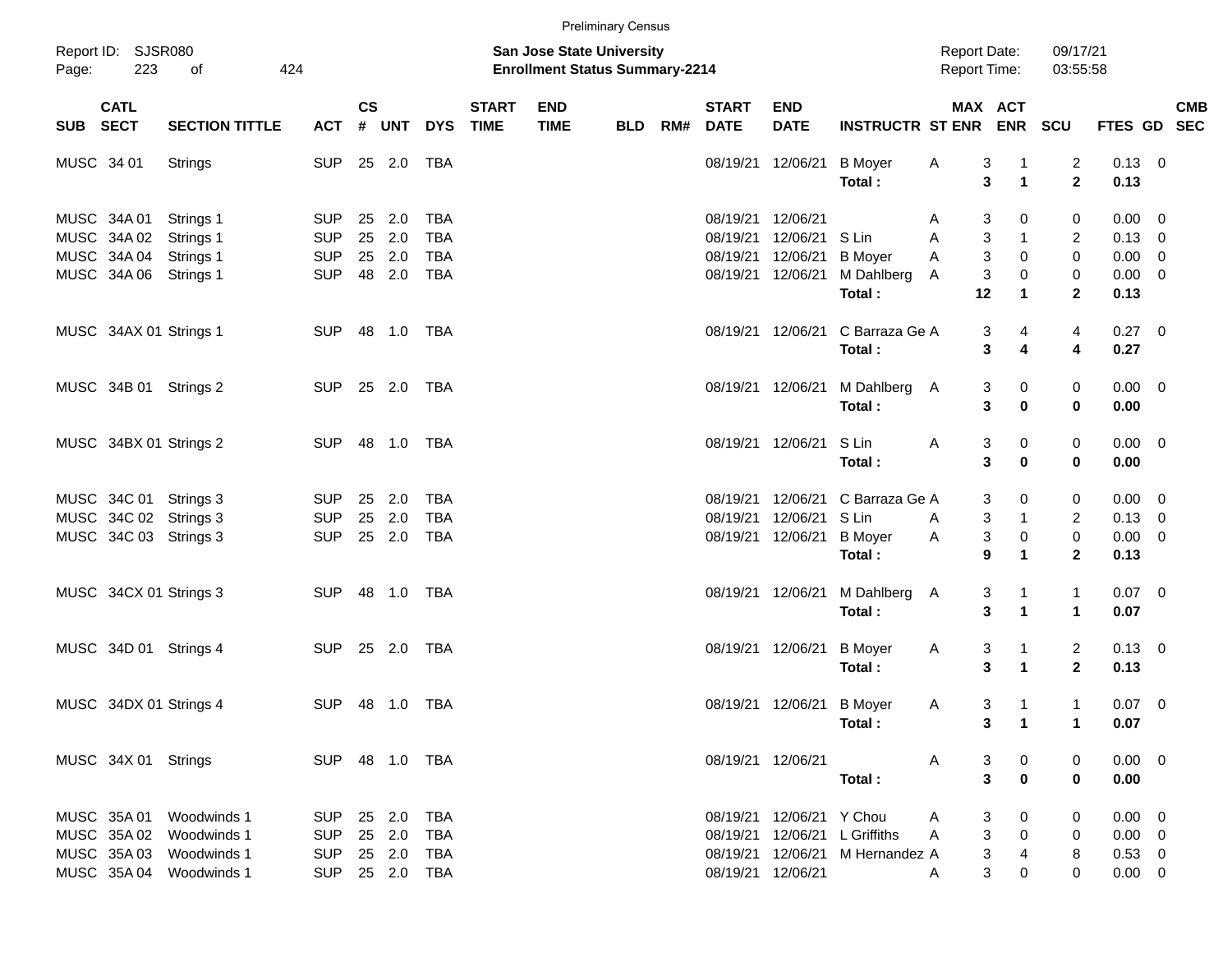|            |                                           |                                                                                                          |                                                       |           |                                |                                               |                             |                                                                    | <b>Preliminary Census</b> |     |                                  |                                                       |                                                                                                                                                                                                                                                       |                                            |                                                                                                           |                                     |                                                       |                                                                                |
|------------|-------------------------------------------|----------------------------------------------------------------------------------------------------------|-------------------------------------------------------|-----------|--------------------------------|-----------------------------------------------|-----------------------------|--------------------------------------------------------------------|---------------------------|-----|----------------------------------|-------------------------------------------------------|-------------------------------------------------------------------------------------------------------------------------------------------------------------------------------------------------------------------------------------------------------|--------------------------------------------|-----------------------------------------------------------------------------------------------------------|-------------------------------------|-------------------------------------------------------|--------------------------------------------------------------------------------|
| Page:      | Report ID: SJSR080<br>223                 | 424<br>of                                                                                                |                                                       |           |                                |                                               |                             | San Jose State University<br><b>Enrollment Status Summary-2214</b> |                           |     |                                  |                                                       |                                                                                                                                                                                                                                                       | <b>Report Date:</b><br><b>Report Time:</b> |                                                                                                           | 09/17/21<br>03:55:58                |                                                       |                                                                                |
| SUB SECT   | <b>CATL</b>                               | <b>SECTION TITTLE</b>                                                                                    | <b>ACT</b>                                            | <b>CS</b> | # UNT                          | <b>DYS</b>                                    | <b>START</b><br><b>TIME</b> | <b>END</b><br><b>TIME</b>                                          | <b>BLD</b>                | RM# | <b>START</b><br><b>DATE</b>      | <b>END</b><br><b>DATE</b>                             | <b>INSTRUCTR ST ENR</b>                                                                                                                                                                                                                               |                                            | MAX ACT                                                                                                   | ENR SCU                             | FTES GD                                               | <b>CMB</b><br><b>SEC</b>                                                       |
| MUSC 34 01 |                                           | Strings                                                                                                  | <b>SUP</b>                                            |           | 25 2.0                         | TBA                                           |                             |                                                                    |                           |     | 08/19/21                         | 12/06/21                                              | <b>B</b> Moyer<br>Total:                                                                                                                                                                                                                              | A                                          | 3<br>$\overline{1}$<br>$\mathbf{1}$<br>3                                                                  | $\overline{c}$<br>$\mathbf{2}$      | $0.13 \ 0$<br>0.13                                    |                                                                                |
|            | MUSC 34A 01<br>MUSC 34A 02<br>MUSC 34A 04 | Strings 1<br>Strings 1<br>Strings 1<br>MUSC 34A 06 Strings 1                                             | <b>SUP</b><br><b>SUP</b><br><b>SUP</b><br><b>SUP</b>  | 25<br>25  | 2.0<br>2.0<br>25 2.0<br>48 2.0 | <b>TBA</b><br><b>TBA</b><br><b>TBA</b><br>TBA |                             |                                                                    |                           |     | 08/19/21<br>08/19/21<br>08/19/21 | 12/06/21<br>12/06/21<br>12/06/21<br>08/19/21 12/06/21 | S Lin<br><b>B</b> Moyer<br>M Dahlberg                                                                                                                                                                                                                 | A<br>A<br>Α<br>A                           | 3<br>0<br>3<br>$\overline{1}$<br>3<br>0<br>3<br>$\pmb{0}$                                                 | 0<br>2<br>0<br>0                    | 0.00<br>0.13<br>0.00<br>$0.00 \t 0$                   | $\overline{\phantom{0}}$<br>$\overline{\mathbf{0}}$<br>$\overline{\mathbf{0}}$ |
|            |                                           | MUSC 34AX 01 Strings 1                                                                                   | <b>SUP</b>                                            |           | 48 1.0                         | TBA                                           |                             |                                                                    |                           |     |                                  | 08/19/21 12/06/21                                     | Total:<br>C Barraza Ge A<br>Total:                                                                                                                                                                                                                    | 12                                         | $\mathbf{1}$<br>3<br>4<br>3<br>4                                                                          | $\mathbf{2}$<br>4<br>4              | 0.13<br>$0.27$ 0<br>0.27                              |                                                                                |
|            |                                           | MUSC 34B 01 Strings 2                                                                                    | <b>SUP</b>                                            |           | 25 2.0                         | TBA                                           |                             |                                                                    |                           |     |                                  | 08/19/21 12/06/21                                     | M Dahlberg A<br>Total:                                                                                                                                                                                                                                |                                            | 3<br>0<br>3<br>$\mathbf 0$                                                                                | $\pmb{0}$<br>$\bf{0}$               | $0.00 \t 0$<br>0.00                                   |                                                                                |
|            |                                           | MUSC 34BX 01 Strings 2                                                                                   | <b>SUP</b>                                            |           | 48 1.0                         | TBA                                           |                             |                                                                    |                           |     |                                  | 08/19/21 12/06/21                                     | S Lin<br>Total:                                                                                                                                                                                                                                       | Α                                          | 3<br>0<br>3<br>$\bf{0}$                                                                                   | 0<br>$\bf{0}$                       | $0.00 \t 0$<br>0.00                                   |                                                                                |
|            |                                           | MUSC 34C 01 Strings 3<br>MUSC 34C 02 Strings 3<br>MUSC 34C 03 Strings 3                                  | <b>SUP</b><br><b>SUP</b><br><b>SUP</b>                | 25        | 2.0<br>25 2.0<br>25 2.0        | <b>TBA</b><br><b>TBA</b><br>TBA               |                             |                                                                    |                           |     | 08/19/21<br>08/19/21<br>08/19/21 | 12/06/21<br>12/06/21<br>12/06/21                      | C Barraza Ge A<br>S Lin<br><b>B</b> Moyer<br>Total:                                                                                                                                                                                                   | A<br>A                                     | 3<br>0<br>3<br>$\overline{1}$<br>3<br>$\mathbf 0$<br>9<br>$\mathbf{1}$                                    | 0<br>2<br>$\pmb{0}$<br>$\mathbf{2}$ | 0.00<br>0.13<br>$0.00 \t 0$<br>0.13                   | $\overline{\phantom{0}}$<br>$\overline{\mathbf{0}}$                            |
|            |                                           | MUSC 34CX 01 Strings 3                                                                                   | <b>SUP</b>                                            |           | 48 1.0                         | TBA                                           |                             |                                                                    |                           |     |                                  | 08/19/21 12/06/21                                     | M Dahlberg A<br>Total:                                                                                                                                                                                                                                |                                            | 3<br>$\mathbf{1}$<br>3<br>$\mathbf{1}$                                                                    | $\mathbf{1}$<br>$\mathbf{1}$        | $0.07$ 0<br>0.07                                      |                                                                                |
|            |                                           | MUSC 34D 01 Strings 4                                                                                    | <b>SUP</b>                                            |           | 25 2.0                         | TBA                                           |                             |                                                                    |                           |     |                                  | 08/19/21 12/06/21                                     | <b>B</b> Moyer<br>Total:                                                                                                                                                                                                                              | A                                          | 3<br>$\mathbf{1}$<br>3<br>$\mathbf{1}$                                                                    | $\overline{2}$<br>$\overline{2}$    | $0.13 \ 0$<br>0.13                                    |                                                                                |
|            |                                           | MUSC 34DX 01 Strings 4                                                                                   | <b>SUP</b>                                            |           |                                | <b>TBA</b>                                    |                             |                                                                    |                           |     |                                  | 08/19/21 12/06/21                                     | <b>B</b> Moyer<br>Total :                                                                                                                                                                                                                             | A                                          | 3<br>$\overline{1}$<br>3 <sup>1</sup><br>$\blacksquare$                                                   | 1<br>$\mathbf{1}$                   | $0.07$ 0<br>0.07                                      |                                                                                |
|            |                                           | SUP 48 1.0 TBA<br>MUSC 34X 01 Strings                                                                    |                                                       |           |                                |                                               |                             |                                                                    |                           |     |                                  |                                                       | 08/19/21 12/06/21 A<br>Total : The Total of The Total State of The Total State of The Total State of The Total State of The Total State of The Total State of The Total State of The Total State of Total State of Total State of Total State of Tota |                                            | $\overline{\mathbf{0}}$<br>3<br>$\mathbf{3}$<br>$\mathbf 0$                                               | 0<br>0                              | $0.00 \t 0$<br>0.00                                   |                                                                                |
|            |                                           | MUSC 35A 01 Woodwinds 1<br>MUSC 35A 02 Woodwinds 1<br>MUSC 35A 03 Woodwinds 1<br>MUSC 35A 04 Woodwinds 1 | SUP 25 2.0 TBA<br>SUP<br>SUP 25 2.0<br>SUP 25 2.0 TBA |           | 25 2.0                         | TBA<br>TBA                                    |                             |                                                                    |                           |     |                                  | 08/19/21 12/06/21                                     | 08/19/21 12/06/21 Y Chou A<br>08/19/21 12/06/21 L Griffiths<br>08/19/21 12/06/21 M Hernandez A                                                                                                                                                        | A<br>A                                     | $\overline{\mathbf{0}}$<br>3<br>$\overline{\mathbf{0}}$<br>3<br>$3 \quad 4$<br>$3^{\circ}$<br>$\mathbf 0$ | 0<br>0<br>8<br>$\mathbf 0$          | $0.00 \t 0$<br>$0.00 \t 0$<br>$0.53$ 0<br>$0.00 \t 0$ |                                                                                |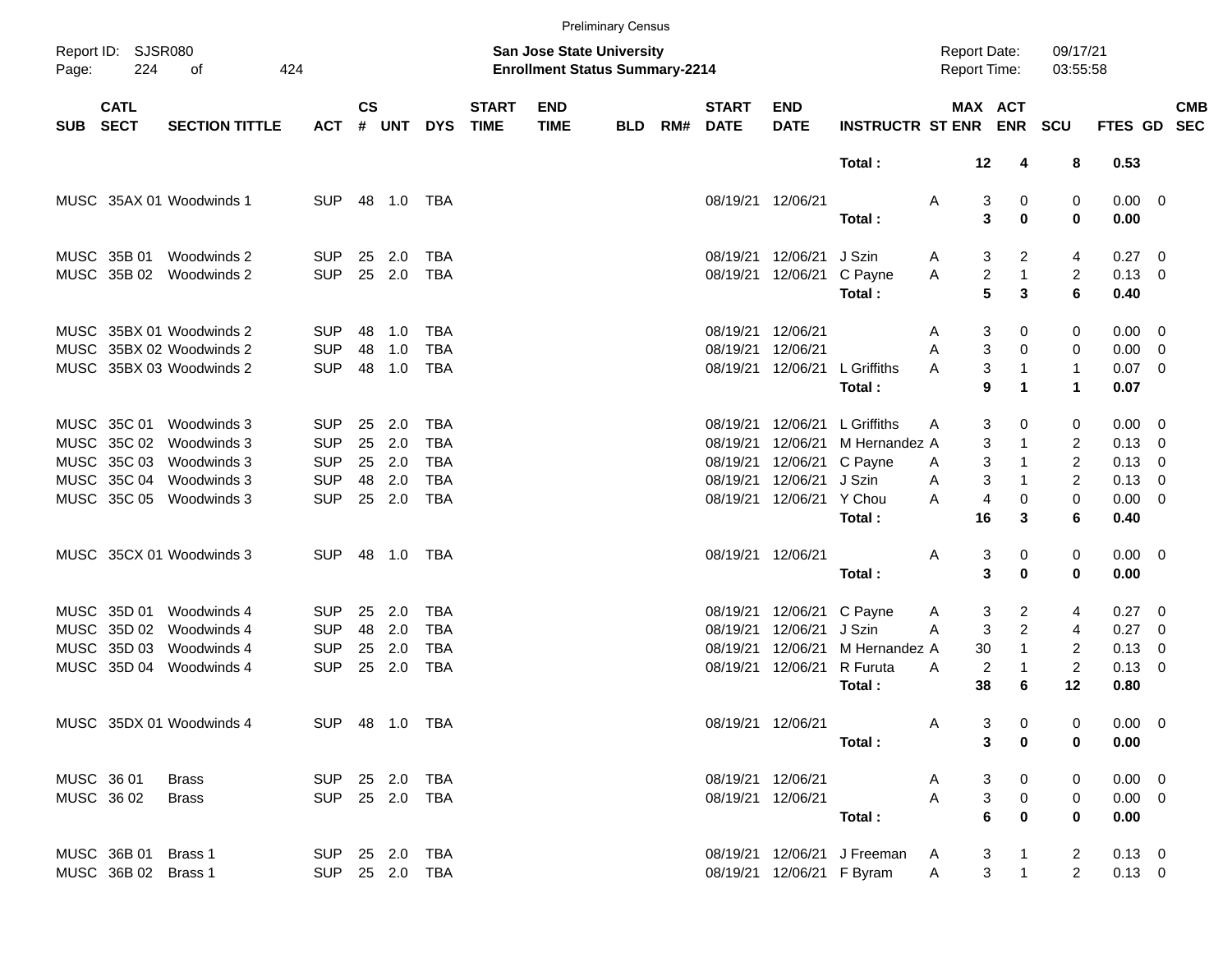|            |                            |                          |                |               |        |                |                             |                                                                           | <b>Preliminary Census</b> |     |                             |                           |                               |                                            |                                |                      |                |     |                          |
|------------|----------------------------|--------------------------|----------------|---------------|--------|----------------|-----------------------------|---------------------------------------------------------------------------|---------------------------|-----|-----------------------------|---------------------------|-------------------------------|--------------------------------------------|--------------------------------|----------------------|----------------|-----|--------------------------|
| Page:      | Report ID: SJSR080<br>224  | 424<br>οf                |                |               |        |                |                             | <b>San Jose State University</b><br><b>Enrollment Status Summary-2214</b> |                           |     |                             |                           |                               | <b>Report Date:</b><br><b>Report Time:</b> |                                | 09/17/21<br>03:55:58 |                |     |                          |
| <b>SUB</b> | <b>CATL</b><br><b>SECT</b> | <b>SECTION TITTLE</b>    | <b>ACT</b>     | $\mathsf{cs}$ | # UNT  | <b>DYS</b>     | <b>START</b><br><b>TIME</b> | <b>END</b><br><b>TIME</b>                                                 | <b>BLD</b>                | RM# | <b>START</b><br><b>DATE</b> | <b>END</b><br><b>DATE</b> | <b>INSTRUCTR ST ENR</b>       |                                            | MAX ACT                        | <b>ENR SCU</b>       | <b>FTES GD</b> |     | <b>CMB</b><br><b>SEC</b> |
|            |                            |                          |                |               |        |                |                             |                                                                           |                           |     |                             |                           | Total:                        |                                            | $12 \,$<br>4                   | 8                    | 0.53           |     |                          |
|            |                            | MUSC 35AX 01 Woodwinds 1 | <b>SUP</b>     |               | 48 1.0 | TBA            |                             |                                                                           |                           |     | 08/19/21 12/06/21           |                           |                               | Α                                          | 3<br>0                         | 0                    | $0.00 \t 0$    |     |                          |
|            |                            |                          |                |               |        |                |                             |                                                                           |                           |     |                             |                           | Total:                        |                                            | 3<br>$\bf{0}$                  | 0                    | 0.00           |     |                          |
|            | MUSC 35B 01                | Woodwinds 2              | SUP.           | 25            | 2.0    | <b>TBA</b>     |                             |                                                                           |                           |     | 08/19/21                    | 12/06/21                  | J Szin                        | A                                          | 3<br>2                         | 4                    | $0.27 \quad 0$ |     |                          |
|            | MUSC 35B 02                | Woodwinds 2              | <b>SUP</b>     | 25            | 2.0    | <b>TBA</b>     |                             |                                                                           |                           |     |                             | 08/19/21 12/06/21         | C Payne                       | Α                                          | $\overline{c}$<br>$\mathbf{1}$ | $\overline{2}$       | 0.13           | - 0 |                          |
|            |                            |                          |                |               |        |                |                             |                                                                           |                           |     |                             |                           | Total:                        |                                            | 5<br>3                         | 6                    | 0.40           |     |                          |
|            |                            | MUSC 35BX 01 Woodwinds 2 | SUP.           | 48            | 1.0    | <b>TBA</b>     |                             |                                                                           |                           |     | 08/19/21 12/06/21           |                           |                               | A                                          | 3<br>0                         | 0                    | 0.00           | - 0 |                          |
|            |                            | MUSC 35BX 02 Woodwinds 2 | <b>SUP</b>     | 48            | 1.0    | <b>TBA</b>     |                             |                                                                           |                           |     | 08/19/21                    | 12/06/21                  |                               | A                                          | 3<br>$\Omega$                  | 0                    | 0.00           | - 0 |                          |
|            |                            | MUSC 35BX 03 Woodwinds 2 | <b>SUP</b>     | 48            | 1.0    | <b>TBA</b>     |                             |                                                                           |                           |     |                             | 08/19/21 12/06/21         | L Griffiths                   | A                                          | 3<br>$\mathbf 1$               | $\mathbf{1}$         | 0.07           | - 0 |                          |
|            |                            |                          |                |               |        |                |                             |                                                                           |                           |     |                             |                           | Total:                        |                                            | 9<br>$\blacktriangleleft$      | 1                    | 0.07           |     |                          |
|            | MUSC 35C 01                | Woodwinds 3              | <b>SUP</b>     | 25            | 2.0    | TBA            |                             |                                                                           |                           |     | 08/19/21                    | 12/06/21                  | L Griffiths                   | A                                          | 3<br>0                         | 0                    | 0.00           | - 0 |                          |
|            | MUSC 35C 02                | Woodwinds 3              | <b>SUP</b>     | 25            | 2.0    | <b>TBA</b>     |                             |                                                                           |                           |     | 08/19/21                    | 12/06/21                  | M Hernandez A                 |                                            | 3<br>1                         | 2                    | 0.13           | 0   |                          |
|            | MUSC 35C 03                | Woodwinds 3              | <b>SUP</b>     | 25            | 2.0    | <b>TBA</b>     |                             |                                                                           |                           |     | 08/19/21                    | 12/06/21                  | C Payne                       | A                                          | 3<br>$\mathbf 1$               | $\overline{c}$       | 0.13           | 0   |                          |
|            | MUSC 35C 04                | Woodwinds 3              | <b>SUP</b>     | 48            | 2.0    | <b>TBA</b>     |                             |                                                                           |                           |     | 08/19/21                    | 12/06/21                  | J Szin                        | A                                          | 3<br>$\mathbf 1$               | 2                    | 0.13           | 0   |                          |
|            | MUSC 35C 05                | Woodwinds 3              | <b>SUP</b>     | 25            | 2.0    | <b>TBA</b>     |                             |                                                                           |                           |     |                             | 08/19/21 12/06/21         | Y Chou                        | A                                          | 4<br>0                         | 0                    | 0.00           | - 0 |                          |
|            |                            |                          |                |               |        |                |                             |                                                                           |                           |     |                             |                           | Total:                        |                                            | 16<br>3                        | 6                    | 0.40           |     |                          |
|            |                            | MUSC 35CX 01 Woodwinds 3 | <b>SUP</b>     |               | 48 1.0 | TBA            |                             |                                                                           |                           |     | 08/19/21 12/06/21           |                           |                               | Α                                          | 3<br>0                         | 0                    | $0.00 \quad 0$ |     |                          |
|            |                            |                          |                |               |        |                |                             |                                                                           |                           |     |                             |                           | Total:                        |                                            | 3<br>$\mathbf 0$               | 0                    | 0.00           |     |                          |
|            | MUSC 35D 01                | Woodwinds 4              | <b>SUP</b>     | 25            | 2.0    | <b>TBA</b>     |                             |                                                                           |                           |     | 08/19/21                    | 12/06/21                  | C Payne                       | A                                          | 3<br>$\overline{c}$            | 4                    | $0.27 \quad 0$ |     |                          |
|            | MUSC 35D 02                | Woodwinds 4              | <b>SUP</b>     | 48            | 2.0    | <b>TBA</b>     |                             |                                                                           |                           |     | 08/19/21                    | 12/06/21                  | J Szin                        | A                                          | $\overline{c}$<br>3            | 4                    | 0.27           | - 0 |                          |
|            | MUSC 35D 03                | Woodwinds 4              | <b>SUP</b>     | 25            | 2.0    | <b>TBA</b>     |                             |                                                                           |                           |     | 08/19/21                    | 12/06/21                  | M Hernandez A                 |                                            | 30<br>$\mathbf{1}$             | $\overline{c}$       | 0.13           | 0   |                          |
|            | MUSC 35D 04                | Woodwinds 4              | <b>SUP</b>     | 25            | 2.0    | <b>TBA</b>     |                             |                                                                           |                           |     |                             | 08/19/21 12/06/21         | R Furuta                      | A                                          | 2<br>$\mathbf{1}$              | $\overline{c}$       | 0.13           | - 0 |                          |
|            |                            |                          |                |               |        |                |                             |                                                                           |                           |     |                             |                           | Total:                        |                                            | 38<br>6                        | 12                   | 0.80           |     |                          |
|            |                            | MUSC 35DX 01 Woodwinds 4 | SUP 48 1.0 TBA |               |        |                |                             |                                                                           |                           |     |                             | 08/19/21 12/06/21         |                               | A                                          | 3<br>0                         | 0                    | $0.00 \t 0$    |     |                          |
|            |                            |                          |                |               |        |                |                             |                                                                           |                           |     |                             |                           | Total:                        |                                            | $\mathbf{3}$<br>$\mathbf 0$    | 0                    | 0.00           |     |                          |
|            | MUSC 36 01                 | Brass                    | SUP 25 2.0 TBA |               |        |                |                             |                                                                           |                           |     |                             | 08/19/21 12/06/21         |                               | A                                          | 3<br>$\mathbf{0}$              | 0                    | $0.00 \t 0$    |     |                          |
|            | MUSC 36 02                 | Brass                    | SUP 25 2.0 TBA |               |        |                |                             |                                                                           |                           |     |                             | 08/19/21 12/06/21         |                               | $\mathsf{A}$                               | $\mathbf{3}$<br>$\overline{0}$ | 0                    | $0.00 \t 0$    |     |                          |
|            |                            |                          |                |               |        |                |                             |                                                                           |                           |     |                             |                           | Total:                        |                                            | 6<br>$\mathbf 0$               | $\mathbf 0$          | 0.00           |     |                          |
|            | MUSC 36B 01 Brass 1        |                          | SUP 25 2.0 TBA |               |        |                |                             |                                                                           |                           |     |                             |                           | 08/19/21 12/06/21 J Freeman A |                                            | 3<br>$\overline{1}$            | $\overline{2}$       | $0.13 \ 0$     |     |                          |
|            | MUSC 36B 02 Brass 1        |                          |                |               |        | SUP 25 2.0 TBA |                             |                                                                           |                           |     |                             | 08/19/21 12/06/21 F Byram |                               | $\mathsf{A}$                               | $\mathbf{1}$<br>3 <sup>7</sup> | $\overline{2}$       | $0.13 \ 0$     |     |                          |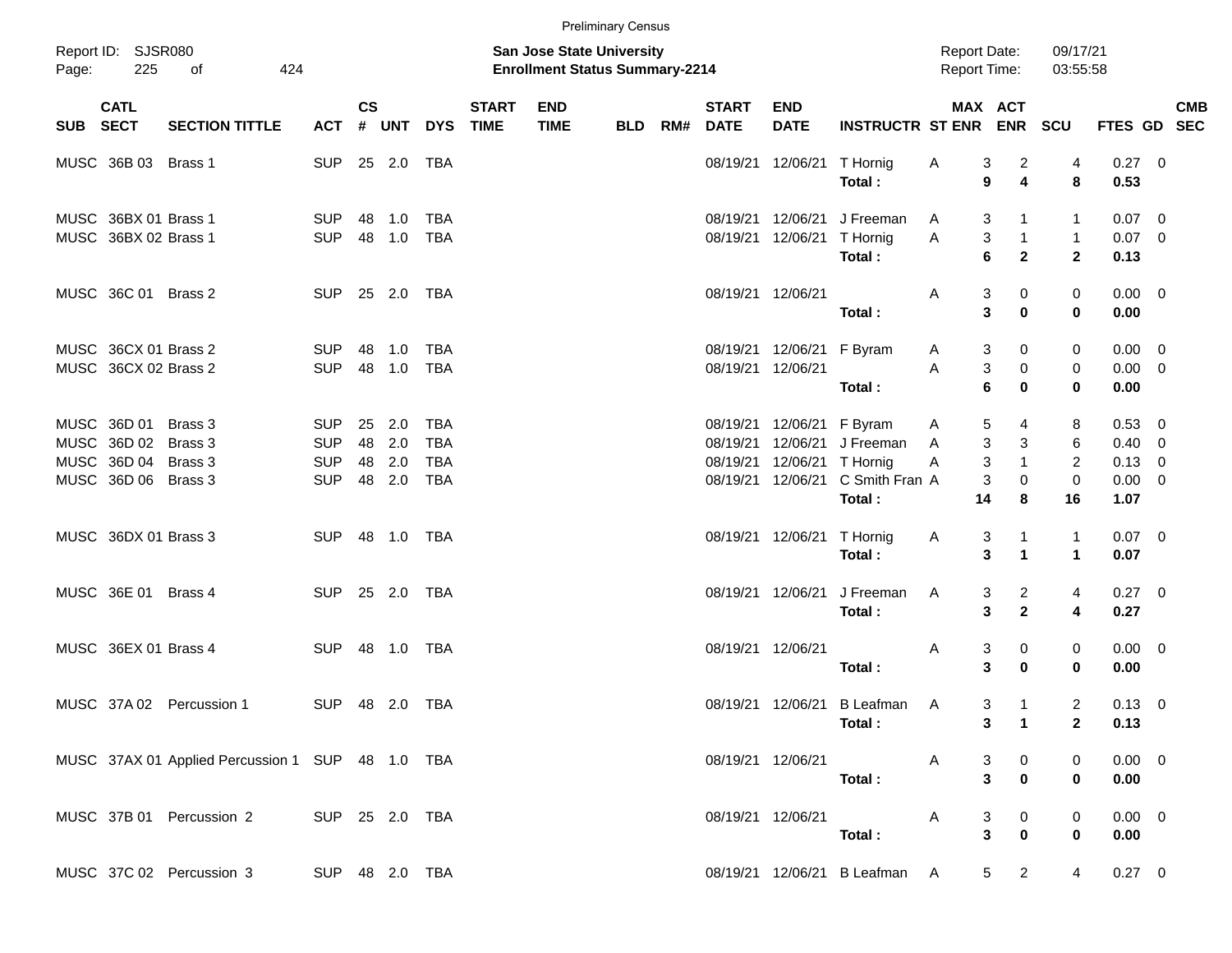|       |                                                                          |                                                  |                                                      |                      |                          |                                                      |                             |                                                                    | <b>Preliminary Census</b> |     |                             |                                                                |                                                    |              |                     |                                              |                                    |                                                       |                         |            |
|-------|--------------------------------------------------------------------------|--------------------------------------------------|------------------------------------------------------|----------------------|--------------------------|------------------------------------------------------|-----------------------------|--------------------------------------------------------------------|---------------------------|-----|-----------------------------|----------------------------------------------------------------|----------------------------------------------------|--------------|---------------------|----------------------------------------------|------------------------------------|-------------------------------------------------------|-------------------------|------------|
| Page: | Report ID: SJSR080<br>225                                                | 424<br>οf                                        |                                                      |                      |                          |                                                      |                             | San Jose State University<br><b>Enrollment Status Summary-2214</b> |                           |     |                             |                                                                |                                                    |              |                     | <b>Report Date:</b><br><b>Report Time:</b>   | 09/17/21<br>03:55:58               |                                                       |                         |            |
| SUB   | <b>CATL</b><br><b>SECT</b>                                               | <b>SECTION TITTLE</b>                            | <b>ACT</b>                                           | $\mathsf{cs}$        | # UNT                    | <b>DYS</b>                                           | <b>START</b><br><b>TIME</b> | <b>END</b><br><b>TIME</b>                                          | <b>BLD</b>                | RM# | <b>START</b><br><b>DATE</b> | <b>END</b><br><b>DATE</b>                                      | <b>INSTRUCTR ST ENR</b>                            |              |                     | MAX ACT<br><b>ENR</b>                        | <b>SCU</b>                         | FTES GD SEC                                           |                         | <b>CMB</b> |
|       | MUSC 36B 03 Brass 1                                                      |                                                  | <b>SUP</b>                                           |                      | 25 2.0                   | TBA                                                  |                             |                                                                    |                           |     |                             | 08/19/21 12/06/21                                              | T Hornig<br>Total:                                 | A            | 3<br>9              | 2<br>4                                       | 4<br>8                             | $0.27$ 0<br>0.53                                      |                         |            |
|       | MUSC 36BX 01 Brass 1<br>MUSC 36BX 02 Brass 1                             |                                                  | <b>SUP</b><br><b>SUP</b>                             | 48<br>48             | 1.0<br>1.0               | <b>TBA</b><br><b>TBA</b>                             |                             |                                                                    |                           |     | 08/19/21                    | 12/06/21<br>08/19/21 12/06/21                                  | J Freeman<br>T Hornig<br>Total:                    | A<br>Α       | 3<br>3<br>6         | $\mathbf{1}$<br>$\mathbf{1}$<br>$\mathbf{2}$ | 1<br>$\mathbf{1}$<br>$\mathbf{2}$  | 0.07<br>$0.07$ 0<br>0.13                              | $\overline{\mathbf{0}}$ |            |
|       | MUSC 36C 01 Brass 2                                                      |                                                  | <b>SUP</b>                                           |                      | 25 2.0                   | TBA                                                  |                             |                                                                    |                           |     | 08/19/21 12/06/21           |                                                                | Total:                                             | A            | 3<br>3              | 0<br>$\mathbf 0$                             | 0<br>$\bf{0}$                      | $0.00 \quad 0$<br>0.00                                |                         |            |
|       | MUSC 36CX 01 Brass 2<br>MUSC 36CX 02 Brass 2                             |                                                  | <b>SUP</b><br><b>SUP</b>                             | 48<br>48             | 1.0<br>1.0               | TBA<br><b>TBA</b>                                    |                             |                                                                    |                           |     | 08/19/21 12/06/21           | 08/19/21 12/06/21                                              | F Byram<br>Total:                                  | A<br>A       | 3<br>3<br>6         | 0<br>0<br>$\mathbf 0$                        | 0<br>0<br>0                        | $0.00 \t 0$<br>$0.00 \t 0$<br>0.00                    |                         |            |
|       | MUSC 36D 01<br>MUSC 36D 02<br>MUSC 36D 04 Brass 3<br>MUSC 36D 06 Brass 3 | Brass 3<br>Brass 3                               | <b>SUP</b><br><b>SUP</b><br><b>SUP</b><br><b>SUP</b> | 25<br>48<br>48<br>48 | 2.0<br>2.0<br>2.0<br>2.0 | <b>TBA</b><br><b>TBA</b><br><b>TBA</b><br><b>TBA</b> |                             |                                                                    |                           |     | 08/19/21<br>08/19/21        | 08/19/21 12/06/21<br>12/06/21<br>12/06/21<br>08/19/21 12/06/21 | F Byram<br>J Freeman<br>T Hornig<br>C Smith Fran A | A<br>A<br>Α  | 5<br>3<br>3<br>3    | 4<br>3<br>$\mathbf{1}$<br>0                  | 8<br>6<br>2<br>$\mathbf 0$         | 0.53 0<br>$0.40 \quad 0$<br>$0.13 \ 0$<br>$0.00 \t 0$ |                         |            |
|       | MUSC 36DX 01 Brass 3                                                     |                                                  | <b>SUP</b>                                           |                      | 48 1.0                   | TBA                                                  |                             |                                                                    |                           |     |                             | 08/19/21 12/06/21 T Hornig                                     | Total:<br>Total:                                   | A            | 14<br>3<br>3        | 8<br>$\mathbf 1$<br>$\mathbf{1}$             | 16<br>$\mathbf{1}$<br>$\mathbf{1}$ | 1.07<br>$0.07 \quad 0$<br>0.07                        |                         |            |
|       | MUSC 36E 01 Brass 4                                                      |                                                  | <b>SUP</b>                                           |                      | 25 2.0                   | TBA                                                  |                             |                                                                    |                           |     |                             | 08/19/21 12/06/21                                              | J Freeman<br>Total:                                | A            | 3<br>3              | $\overline{a}$<br>$\mathbf{2}$               | 4<br>4                             | $0.27 \ 0$<br>0.27                                    |                         |            |
|       | MUSC 36EX 01 Brass 4                                                     |                                                  | <b>SUP</b>                                           | 48                   | 1.0                      | TBA                                                  |                             |                                                                    |                           |     | 08/19/21 12/06/21           |                                                                | Total:                                             | A            | 3<br>3              | 0<br>$\bf{0}$                                | 0<br>0                             | $0.00 \quad 0$<br>0.00                                |                         |            |
|       | MUSC 37A 02                                                              | Percussion 1                                     | <b>SUP</b>                                           |                      | 48 2.0                   | <b>TBA</b>                                           |                             |                                                                    |                           |     |                             |                                                                | 08/19/21 12/06/21 B Leafman<br>Total:              | A            | 3<br>3 <sup>1</sup> | $\overline{1}$<br>$\overline{\phantom{0}}$ 1 | $\overline{2}$<br>$\mathbf{2}$     | $0.13 \ 0$<br>0.13                                    |                         |            |
|       |                                                                          | MUSC 37AX 01 Applied Percussion 1 SUP 48 1.0 TBA |                                                      |                      |                          |                                                      |                             |                                                                    |                           |     |                             |                                                                | 08/19/21 12/06/21<br>Total:                        | $\mathsf{A}$ | 3<br>$\mathbf{3}$   | $\overline{\mathbf{0}}$<br>$\mathbf 0$       | 0<br>0                             | $0.00 \t 0$<br>0.00                                   |                         |            |
|       |                                                                          | MUSC 37B 01 Percussion 2 SUP 25 2.0 TBA          |                                                      |                      |                          |                                                      |                             |                                                                    |                           |     |                             |                                                                | 08/19/21 12/06/21<br>Total:                        | $\mathsf{A}$ | 3<br>$\mathbf{3}$   | $\overline{\mathbf{0}}$<br>$\mathbf 0$       | 0<br>0                             | $0.00 \t 0$<br>0.00                                   |                         |            |
|       |                                                                          | MUSC 37C 02 Percussion 3<br>SUP 48 2.0 TBA       |                                                      |                      |                          |                                                      |                             |                                                                    |                           |     |                             |                                                                | 08/19/21 12/06/21 B Leafman A                      |              |                     | $\overline{2}$<br>$5 -$                      | $\overline{4}$                     | $0.27 \t 0$                                           |                         |            |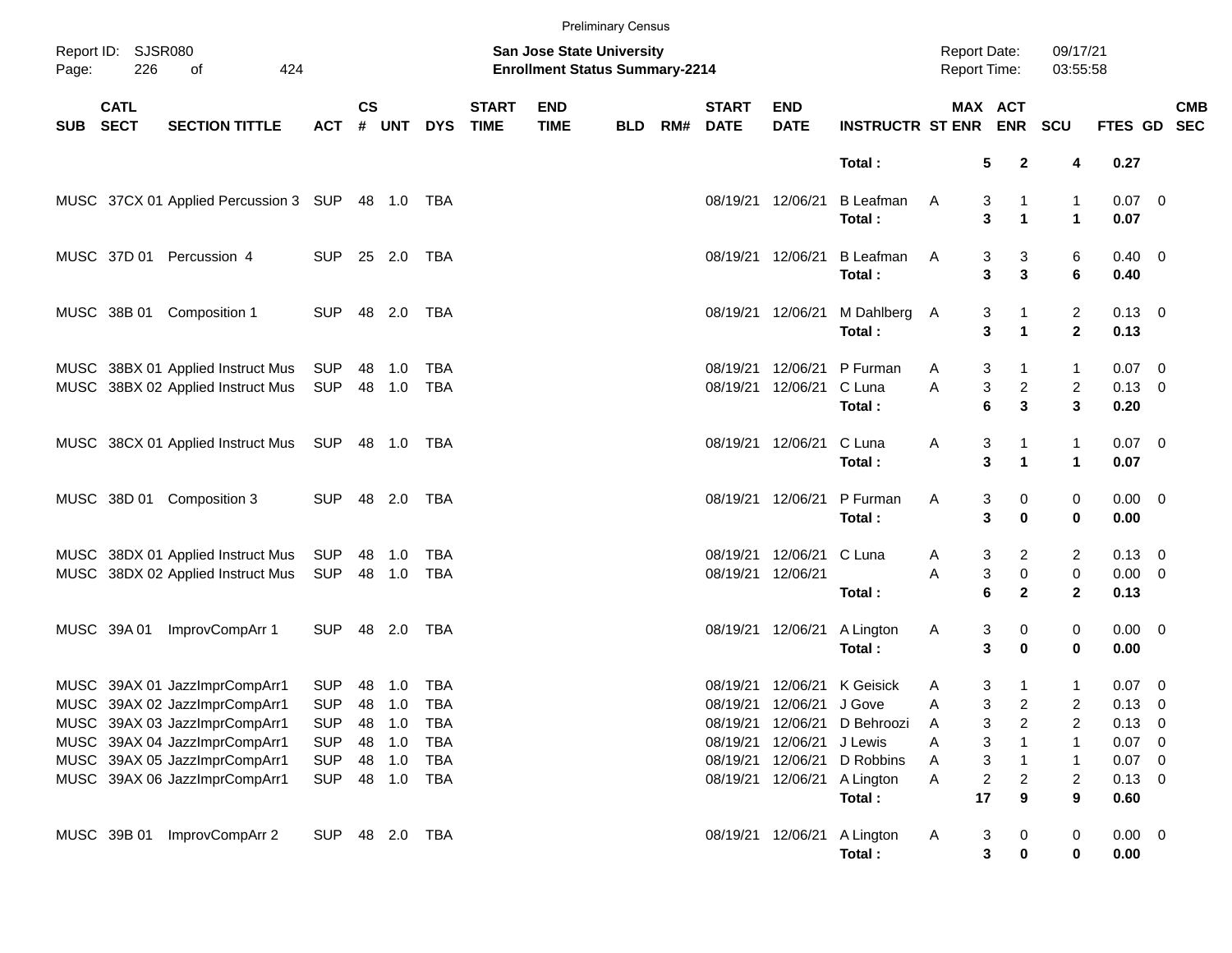| <b>Preliminary Census</b>          |                            |                                                                        |                          |               |                                                                           |            |                             |                           |            |     |                               |                                      |                                                    |              |                                                 |                     |                                       |  |            |
|------------------------------------|----------------------------|------------------------------------------------------------------------|--------------------------|---------------|---------------------------------------------------------------------------|------------|-----------------------------|---------------------------|------------|-----|-------------------------------|--------------------------------------|----------------------------------------------------|--------------|-------------------------------------------------|---------------------|---------------------------------------|--|------------|
| Report ID: SJSR080<br>226<br>Page: |                            | of<br>424                                                              |                          |               | <b>San Jose State University</b><br><b>Enrollment Status Summary-2214</b> |            |                             |                           |            |     |                               |                                      | <b>Report Date:</b><br>Report Time:                |              | 09/17/21<br>03:55:58                            |                     |                                       |  |            |
| SUB                                | <b>CATL</b><br><b>SECT</b> | <b>SECTION TITTLE</b>                                                  | <b>ACT</b>               | $\mathsf{cs}$ | # UNT                                                                     | <b>DYS</b> | <b>START</b><br><b>TIME</b> | <b>END</b><br><b>TIME</b> | <b>BLD</b> | RM# | <b>START</b><br><b>DATE</b>   | <b>END</b><br><b>DATE</b>            | <b>INSTRUCTR ST ENR ENR</b>                        |              | MAX ACT                                         | SCU                 | FTES GD SEC                           |  | <b>CMB</b> |
|                                    |                            |                                                                        |                          |               |                                                                           |            |                             |                           |            |     |                               |                                      | Total:                                             |              | 5<br>$\mathbf{2}$                               | 4                   | 0.27                                  |  |            |
|                                    |                            | MUSC 37CX 01 Applied Percussion 3 SUP 48 1.0 TBA                       |                          |               |                                                                           |            |                             |                           |            |     |                               | 08/19/21 12/06/21                    | <b>B</b> Leafman<br>Total:                         | A            | 3<br>1<br>3<br>$\blacktriangleleft$             | 1<br>$\mathbf{1}$   | $0.07$ 0<br>0.07                      |  |            |
|                                    |                            | MUSC 37D 01 Percussion 4                                               | <b>SUP</b>               |               | 25 2.0                                                                    | TBA        |                             |                           |            |     |                               | 08/19/21 12/06/21                    | <b>B</b> Leafman<br>Total:                         | A            | 3<br>3<br>$\overline{\mathbf{3}}$<br>3          | 6<br>6              | $0.40 \quad 0$<br>0.40                |  |            |
|                                    | MUSC 38B 01                | Composition 1                                                          | <b>SUP</b>               |               | 48 2.0                                                                    | TBA        |                             |                           |            |     |                               | 08/19/21 12/06/21                    | M Dahlberg<br>Total:                               | A            | 3<br>3<br>$\blacktriangleleft$                  | 2<br>$\mathbf 2$    | $0.13 \ 0$<br>0.13                    |  |            |
|                                    |                            | MUSC 38BX 01 Applied Instruct Mus<br>MUSC 38BX 02 Applied Instruct Mus | SUP<br>SUP               |               | 48 1.0<br>48 1.0                                                          | TBA<br>TBA |                             |                           |            |     | 08/19/21<br>08/19/21          | 12/06/21<br>12/06/21                 | P Furman<br>C Luna<br>Total:                       | Α<br>Α       | 3<br>1<br>3<br>$\overline{a}$<br>3<br>6         | 1<br>2<br>3         | $0.07$ 0<br>$0.13 \ 0$<br>0.20        |  |            |
|                                    |                            | MUSC 38CX 01 Applied Instruct Mus SUP 48 1.0 TBA                       |                          |               |                                                                           |            |                             |                           |            |     |                               | 08/19/21 12/06/21                    | C Luna<br>Total:                                   | Α            | 3<br>1<br>3<br>$\blacktriangleleft$             | 1<br>$\mathbf{1}$   | $0.07$ 0<br>0.07                      |  |            |
|                                    |                            | MUSC 38D 01 Composition 3                                              | <b>SUP</b>               |               | 48 2.0 TBA                                                                |            |                             |                           |            |     |                               | 08/19/21 12/06/21                    | P Furman<br>Total:                                 | Α            | 3<br>0<br>3<br>0                                | 0<br>0              | $0.00 \t 0$<br>0.00                   |  |            |
|                                    |                            | MUSC 38DX 01 Applied Instruct Mus<br>MUSC 38DX 02 Applied Instruct Mus | SUP<br>SUP               |               | 48 1.0<br>48 1.0                                                          | TBA<br>TBA |                             |                           |            |     | 08/19/21<br>08/19/21 12/06/21 | 12/06/21                             | C Luna<br>Total:                                   | A<br>Α       | 2<br>3<br>3<br>$\mathbf 0$<br>6<br>$\mathbf{2}$ | 2<br>0<br>2         | $0.13 \quad 0$<br>$0.00 \t 0$<br>0.13 |  |            |
|                                    | MUSC 39A 01                | ImprovCompArr 1                                                        | <b>SUP</b>               |               | 48  2.0  TBA                                                              |            |                             |                           |            |     |                               | 08/19/21 12/06/21                    | A Lington<br>Total:                                | Α            | 3<br>0<br>3<br>$\bf{0}$                         | 0<br>0              | $0.00 \t 0$<br>0.00                   |  |            |
|                                    |                            | MUSC 39AX 01 JazzImprCompArr1<br>MUSC 39AX 02 JazzImprCompArr1         | <b>SUP</b><br><b>SUP</b> | 48            | 1.0<br>48 1.0                                                             | TBA<br>TBA |                             |                           |            |     | 08/19/21                      | 12/06/21<br>08/19/21 12/06/21 J Gove | K Geisick                                          | A<br>Α       | 3<br>1<br>3<br>$\overline{c}$                   | 1<br>$\overline{c}$ | $0.07 \quad 0$<br>$0.13 \ 0$          |  |            |
|                                    |                            | MUSC 39AX 03 JazzImprCompArr1<br>MUSC 39AX 04 JazzImprCompArr1         | <b>SUP</b><br><b>SUP</b> | 48            | 1.0<br>48 1.0                                                             | TBA<br>TBA |                             |                           |            |     | 08/19/21                      | 08/19/21 12/06/21<br>12/06/21        | D Behroozi<br>J Lewis                              | A<br>Α       | 3<br>2<br>3                                     | 2<br>1              | $0.13 \ 0$<br>$0.07$ 0                |  |            |
|                                    |                            | MUSC 39AX 05 JazzImprCompArr1<br>MUSC 39AX 06 JazzImprCompArr1         | <b>SUP</b><br><b>SUP</b> |               | 48 1.0<br>48 1.0                                                          | TBA<br>TBA |                             |                           |            |     | 08/19/21                      | 12/06/21                             | D Robbins<br>08/19/21 12/06/21 A Lington<br>Total: | A<br>Α<br>17 | 3<br>1<br>2<br>2<br>9                           | 1<br>2<br>9         | $0.07$ 0<br>$0.13 \ 0$<br>0.60        |  |            |
|                                    | MUSC 39B 01                | ImprovCompArr 2                                                        | <b>SUP</b>               |               | 48 2.0 TBA                                                                |            |                             |                           |            |     |                               |                                      | 08/19/21 12/06/21 A Lington<br>Total:              | A            | 3<br>0<br>3<br>0                                | $\pmb{0}$<br>0      | $0.00 \t 0$<br>0.00                   |  |            |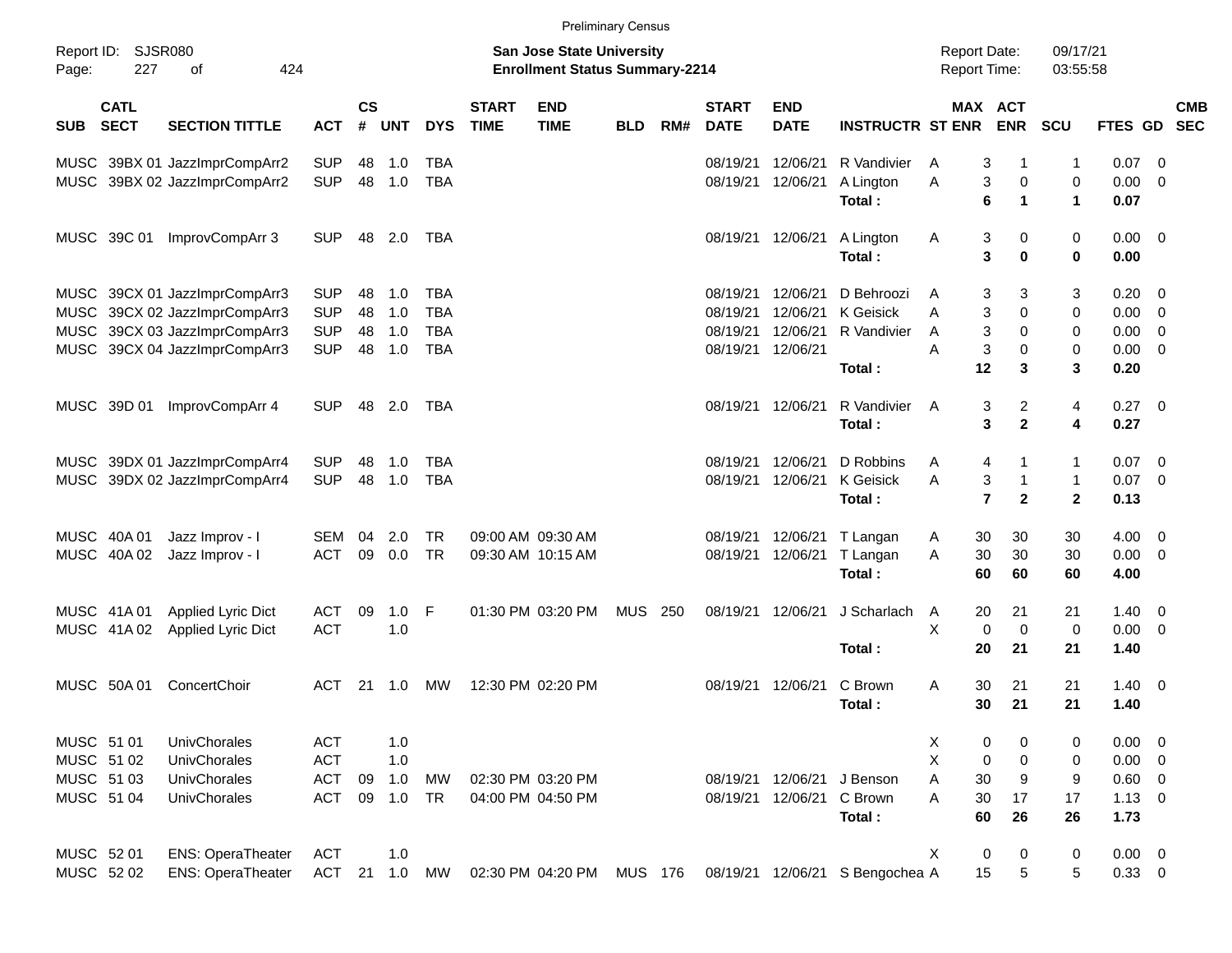|                     |                            |                               |            |                |            |            |                             | <b>Preliminary Census</b>                                                 |            |     |                             |                           |                                 |   |                |                                     |                      |                |                          |                          |
|---------------------|----------------------------|-------------------------------|------------|----------------|------------|------------|-----------------------------|---------------------------------------------------------------------------|------------|-----|-----------------------------|---------------------------|---------------------------------|---|----------------|-------------------------------------|----------------------|----------------|--------------------------|--------------------------|
| Report ID:<br>Page: | SJSR080<br>227             | 424<br>οf                     |            |                |            |            |                             | <b>San Jose State University</b><br><b>Enrollment Status Summary-2214</b> |            |     |                             |                           |                                 |   |                | <b>Report Date:</b><br>Report Time: | 09/17/21<br>03:55:58 |                |                          |                          |
| <b>SUB</b>          | <b>CATL</b><br><b>SECT</b> | <b>SECTION TITTLE</b>         | <b>ACT</b> | <b>CS</b><br># | <b>UNT</b> | <b>DYS</b> | <b>START</b><br><b>TIME</b> | <b>END</b><br><b>TIME</b>                                                 | <b>BLD</b> | RM# | <b>START</b><br><b>DATE</b> | <b>END</b><br><b>DATE</b> | <b>INSTRUCTR ST ENR</b>         |   |                | MAX ACT<br><b>ENR</b>               | SCU                  | <b>FTES GD</b> |                          | <b>CMB</b><br><b>SEC</b> |
|                     |                            | MUSC 39BX 01 JazzImprCompArr2 | <b>SUP</b> | 48             | 1.0        | <b>TBA</b> |                             |                                                                           |            |     | 08/19/21                    | 12/06/21                  | R Vandivier                     | A | 3              | -1                                  | $\mathbf 1$          | 0.07           | - 0                      |                          |
|                     |                            | MUSC 39BX 02 JazzImprCompArr2 | <b>SUP</b> | 48             | 1.0        | <b>TBA</b> |                             |                                                                           |            |     | 08/19/21                    | 12/06/21                  | A Lington                       | Α | 3              | $\pmb{0}$                           | $\mathbf 0$          | 0.00           | $\overline{0}$           |                          |
|                     |                            |                               |            |                |            |            |                             |                                                                           |            |     |                             |                           | Total:                          |   | 6              | $\blacktriangleleft$                | $\mathbf{1}$         | 0.07           |                          |                          |
|                     | MUSC 39C 01                | ImprovCompArr 3               | <b>SUP</b> | 48             | 2.0        | TBA        |                             |                                                                           |            |     |                             | 08/19/21 12/06/21         | A Lington                       | A | 3              | 0                                   | 0                    | 0.00           | $\overline{\phantom{0}}$ |                          |
|                     |                            |                               |            |                |            |            |                             |                                                                           |            |     |                             |                           | Total:                          |   | 3              | $\mathbf 0$                         | $\bf{0}$             | 0.00           |                          |                          |
|                     |                            | MUSC 39CX 01 JazzImprCompArr3 | <b>SUP</b> | 48             | 1.0        | <b>TBA</b> |                             |                                                                           |            |     | 08/19/21                    | 12/06/21                  | D Behroozi                      | A | 3              | 3                                   | 3                    | 0.20           | - 0                      |                          |
|                     |                            | MUSC 39CX 02 JazzImprCompArr3 | <b>SUP</b> | 48             | 1.0        | <b>TBA</b> |                             |                                                                           |            |     | 08/19/21                    | 12/06/21                  | <b>K</b> Geisick                | A | 3              | 0                                   | 0                    | 0.00           | $\overline{0}$           |                          |
|                     |                            | MUSC 39CX 03 JazzImprCompArr3 | <b>SUP</b> | 48             | 1.0        | <b>TBA</b> |                             |                                                                           |            |     | 08/19/21                    | 12/06/21                  | R Vandivier                     | A | 3              | 0                                   | 0                    | 0.00           | $\overline{0}$           |                          |
|                     |                            | MUSC 39CX 04 JazzImprCompArr3 | <b>SUP</b> | 48             | 1.0        | <b>TBA</b> |                             |                                                                           |            |     |                             | 08/19/21 12/06/21         |                                 | A | 3              | 0                                   | 0                    | 0.00           | $\overline{\mathbf{0}}$  |                          |
|                     |                            |                               |            |                |            |            |                             |                                                                           |            |     |                             |                           | Total:                          |   | 12             | 3                                   | 3                    | 0.20           |                          |                          |
|                     | MUSC 39D 01                | ImprovCompArr 4               | <b>SUP</b> | 48             | 2.0        | TBA        |                             |                                                                           |            |     |                             | 08/19/21 12/06/21         | R Vandivier                     | A | 3              | $\overline{c}$                      | 4                    | 0.27           | $\overline{\mathbf{0}}$  |                          |
|                     |                            |                               |            |                |            |            |                             |                                                                           |            |     |                             |                           | Total:                          |   | 3              | $\mathbf{2}$                        | 4                    | 0.27           |                          |                          |
|                     |                            |                               |            |                |            |            |                             |                                                                           |            |     |                             |                           |                                 |   |                |                                     |                      |                |                          |                          |
|                     |                            | MUSC 39DX 01 JazzImprCompArr4 | <b>SUP</b> | 48             | 1.0        | <b>TBA</b> |                             |                                                                           |            |     | 08/19/21                    | 12/06/21                  | D Robbins                       | A | 4              | $\mathbf 1$                         | $\mathbf{1}$         | 0.07           | - 0                      |                          |
|                     |                            | MUSC 39DX 02 JazzImprCompArr4 | <b>SUP</b> | 48             | 1.0        | <b>TBA</b> |                             |                                                                           |            |     |                             | 08/19/21 12/06/21         | <b>K</b> Geisick                | A | 3              | $\mathbf{1}$                        | $\mathbf{1}$         | 0.07           | $\overline{0}$           |                          |
|                     |                            |                               |            |                |            |            |                             |                                                                           |            |     |                             |                           | Total:                          |   | $\overline{7}$ | $\mathbf{2}$                        | $\mathbf{2}$         | 0.13           |                          |                          |
|                     | MUSC 40A 01                | Jazz Improv - I               | SEM        | 04             | 2.0        | <b>TR</b>  |                             | 09:00 AM 09:30 AM                                                         |            |     | 08/19/21                    | 12/06/21                  | T Langan                        | A | 30             | 30                                  | 30                   | 4.00           | $\overline{\mathbf{0}}$  |                          |
|                     | MUSC 40A 02                | Jazz Improv - I               | <b>ACT</b> | 09             | 0.0        | <b>TR</b>  |                             | 09:30 AM 10:15 AM                                                         |            |     | 08/19/21                    | 12/06/21                  | T Langan                        | A | 30             | 30                                  | 30                   | 0.00           | $\overline{\mathbf{0}}$  |                          |
|                     |                            |                               |            |                |            |            |                             |                                                                           |            |     |                             |                           | Total:                          |   | 60             | 60                                  | 60                   | 4.00           |                          |                          |
|                     | MUSC 41A 01                | Applied Lyric Dict            | <b>ACT</b> | 09             | 1.0        | F          |                             | 01:30 PM 03:20 PM                                                         | <b>MUS</b> | 250 |                             | 08/19/21 12/06/21         | J Scharlach                     | A | 20             | 21                                  | 21                   | 1.40           | $\overline{\mathbf{0}}$  |                          |
|                     | MUSC 41A 02                | Applied Lyric Dict            | <b>ACT</b> |                | 1.0        |            |                             |                                                                           |            |     |                             |                           |                                 | X | 0              | $\mathbf 0$                         | $\mathbf 0$          | 0.00           | $\overline{\mathbf{0}}$  |                          |
|                     |                            |                               |            |                |            |            |                             |                                                                           |            |     |                             |                           | Total:                          |   | 20             | 21                                  | 21                   | 1.40           |                          |                          |
|                     | MUSC 50A 01                | ConcertChoir                  | <b>ACT</b> | 21             | 1.0        | MW         |                             | 12:30 PM 02:20 PM                                                         |            |     | 08/19/21 12/06/21           |                           | C Brown                         | A | 30             | 21                                  | 21                   | 1.40           | $\overline{\mathbf{0}}$  |                          |
|                     |                            |                               |            |                |            |            |                             |                                                                           |            |     |                             |                           | Total:                          |   | 30             | 21                                  | 21                   | 1.40           |                          |                          |
| MUSC 51 01          |                            | UnivChorales                  | <b>ACT</b> |                | 1.0        |            |                             |                                                                           |            |     |                             |                           |                                 | X | 0              | 0                                   | 0                    | 0.00           | $\overline{\mathbf{0}}$  |                          |
| MUSC 51 02          |                            | UnivChorales                  | <b>ACT</b> |                | 1.0        |            |                             |                                                                           |            |     |                             |                           |                                 | X | 0              | 0                                   | 0                    | $0.00 \t 0$    |                          |                          |
| MUSC 51 03          |                            | UnivChorales                  | <b>ACT</b> | 09             | 1.0        | <b>MW</b>  |                             | 02:30 PM 03:20 PM                                                         |            |     |                             | 08/19/21 12/06/21         | J Benson                        | A | 30             | 9                                   | 9                    | $0.60 \t 0$    |                          |                          |
| MUSC 51 04          |                            | UnivChorales                  | <b>ACT</b> | 09             | 1.0        | <b>TR</b>  |                             | 04:00 PM 04:50 PM                                                         |            |     |                             | 08/19/21 12/06/21         | C Brown                         | A | 30             | 17                                  | 17                   | $1.13 \ 0$     |                          |                          |
|                     |                            |                               |            |                |            |            |                             |                                                                           |            |     |                             |                           | Total:                          |   | 60             | 26                                  | 26                   | 1.73           |                          |                          |
| MUSC 52 01          |                            | <b>ENS: OperaTheater</b>      | <b>ACT</b> |                | 1.0        |            |                             |                                                                           |            |     |                             |                           |                                 | X | 0              | 0                                   | 0                    | $0.00 \t 0$    |                          |                          |
| MUSC 52 02          |                            | <b>ENS: OperaTheater</b>      | ACT        |                | 21 1.0     | <b>MW</b>  |                             | 02:30 PM 04:20 PM MUS 176                                                 |            |     |                             |                           | 08/19/21 12/06/21 S Bengochea A |   | 15             | 5                                   | 5                    | $0.33 \ 0$     |                          |                          |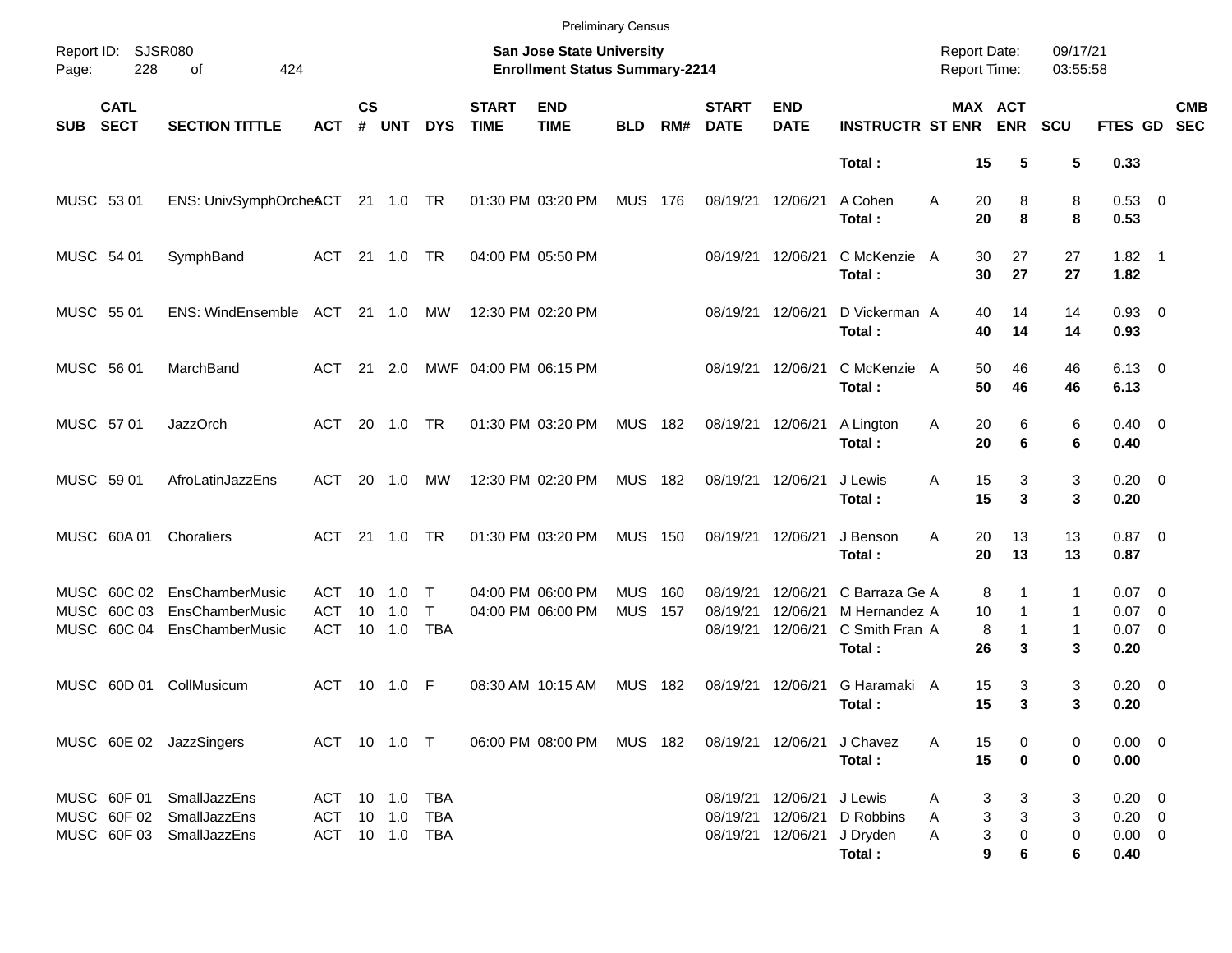|            |                                          |                                                                          |                                                |                    |                      |                                 |                             | <b>Preliminary Census</b>                                          |                          |            |                                  |                                  |                                                             |                                            |                                       |                             |                                                 |                          |
|------------|------------------------------------------|--------------------------------------------------------------------------|------------------------------------------------|--------------------|----------------------|---------------------------------|-----------------------------|--------------------------------------------------------------------|--------------------------|------------|----------------------------------|----------------------------------|-------------------------------------------------------------|--------------------------------------------|---------------------------------------|-----------------------------|-------------------------------------------------|--------------------------|
| Page:      | Report ID: SJSR080<br>228                | 424<br>οf                                                                |                                                |                    |                      |                                 |                             | San Jose State University<br><b>Enrollment Status Summary-2214</b> |                          |            |                                  |                                  |                                                             | <b>Report Date:</b><br><b>Report Time:</b> |                                       | 09/17/21<br>03:55:58        |                                                 |                          |
| <b>SUB</b> | <b>CATL</b><br><b>SECT</b>               | <b>SECTION TITTLE</b>                                                    | <b>ACT</b>                                     | $\mathsf{cs}$<br># | <b>UNT</b>           | <b>DYS</b>                      | <b>START</b><br><b>TIME</b> | <b>END</b><br><b>TIME</b>                                          | <b>BLD</b>               | RM#        | <b>START</b><br><b>DATE</b>      | <b>END</b><br><b>DATE</b>        | <b>INSTRUCTR ST ENR</b>                                     |                                            | MAX ACT<br><b>ENR</b>                 | <b>SCU</b>                  | <b>FTES GD</b>                                  | <b>CMB</b><br><b>SEC</b> |
|            |                                          |                                                                          |                                                |                    |                      |                                 |                             |                                                                    |                          |            |                                  |                                  | Total:                                                      | 15                                         | 5                                     | 5                           | 0.33                                            |                          |
| MUSC 53 01 |                                          | ENS: UnivSymphOrcheACT 21 1.0 TR                                         |                                                |                    |                      |                                 |                             | 01:30 PM 03:20 PM                                                  | <b>MUS</b>               | 176        | 08/19/21                         | 12/06/21                         | A Cohen<br>Total:                                           | A<br>20<br>20                              | 8<br>8                                | 8<br>8                      | 0.53 0<br>0.53                                  |                          |
| MUSC 54 01 |                                          | SymphBand                                                                | ACT 21 1.0 TR                                  |                    |                      |                                 |                             | 04:00 PM 05:50 PM                                                  |                          |            | 08/19/21                         | 12/06/21                         | C McKenzie A<br>Total:                                      | 30<br>30                                   | 27<br>27                              | 27<br>27                    | $1.82 \quad 1$<br>1.82                          |                          |
| MUSC 55 01 |                                          | <b>ENS: WindEnsemble</b>                                                 | ACT 21 1.0                                     |                    |                      | МW                              |                             | 12:30 PM 02:20 PM                                                  |                          |            | 08/19/21                         | 12/06/21                         | D Vickerman A<br>Total:                                     | 40<br>40                                   | 14<br>14                              | 14<br>14                    | $0.93$ 0<br>0.93                                |                          |
| MUSC 56 01 |                                          | MarchBand                                                                | ACT                                            | - 21               | 2.0                  |                                 | MWF 04:00 PM 06:15 PM       |                                                                    |                          |            | 08/19/21                         | 12/06/21                         | C McKenzie A<br>Total:                                      | 50<br>50                                   | 46<br>46                              | 46<br>46                    | $6.13 \quad 0$<br>6.13                          |                          |
| MUSC 57 01 |                                          | <b>JazzOrch</b>                                                          | ACT                                            |                    | 20 1.0               | <b>TR</b>                       |                             | 01:30 PM 03:20 PM                                                  | <b>MUS</b>               | 182        | 08/19/21                         | 12/06/21                         | A Lington<br>Total:                                         | 20<br>A<br>20                              | 6<br>6                                | 6<br>6                      | $0.40 \quad 0$<br>0.40                          |                          |
| MUSC 59 01 |                                          | AfroLatinJazzEns                                                         | ACT                                            | <b>20</b>          | 1.0                  | МW                              |                             | 12:30 PM 02:20 PM                                                  | <b>MUS</b>               | 182        | 08/19/21                         | 12/06/21                         | J Lewis<br>Total:                                           | 15<br>Α<br>15                              | 3<br>3                                | 3<br>3                      | $0.20 \ 0$<br>0.20                              |                          |
|            | MUSC 60A 01                              | Choraliers                                                               | ACT 21 1.0                                     |                    |                      | <b>TR</b>                       |                             | 01:30 PM 03:20 PM                                                  | <b>MUS</b>               | 150        | 08/19/21                         | 12/06/21                         | J Benson<br>Total:                                          | A<br>20<br>20                              | 13<br>13                              | 13<br>13                    | $0.87$ 0<br>0.87                                |                          |
|            | MUSC 60C 03<br>MUSC 60C 04               | MUSC 60C 02 EnsChamberMusic<br><b>EnsChamberMusic</b><br>EnsChamberMusic | ACT<br><b>ACT</b><br><b>ACT</b>                | 10<br>10           | 1.0<br>1.0<br>10 1.0 | Т<br>$\mathsf{T}$<br><b>TBA</b> |                             | 04:00 PM 06:00 PM<br>04:00 PM 06:00 PM                             | <b>MUS</b><br><b>MUS</b> | 160<br>157 | 08/19/21<br>08/19/21<br>08/19/21 | 12/06/21<br>12/06/21<br>12/06/21 | C Barraza Ge A<br>M Hernandez A<br>C Smith Fran A<br>Total: | 10<br>26                                   | 8<br>1<br>$\mathbf{1}$<br>8<br>1<br>3 | 1<br>1<br>$\mathbf{1}$<br>3 | $0.07 \quad 0$<br>$0.07$ 0<br>$0.07$ 0<br>0.20  |                          |
|            | MUSC 60D 01                              | CollMusicum                                                              | <b>ACT</b>                                     |                    | 10 1.0               | -F                              |                             | 08:30 AM 10:15 AM                                                  | <b>MUS</b>               | 182        | 08/19/21                         | 12/06/21                         | G Haramaki A<br>Total:                                      | 15<br>15                                   | 3<br>3                                | 3<br>3                      | $0.20 \ 0$<br>0.20                              |                          |
|            |                                          | MUSC 60E 02 JazzSingers                                                  | ACT 10 1.0 T                                   |                    |                      |                                 |                             | 06:00 PM 08:00 PM MUS 182                                          |                          |            |                                  | 08/19/21 12/06/21                | J Chavez<br>Total:                                          | 15<br>A<br>15                              | 0<br>$\bf{0}$                         | 0<br>0                      | $0.00 \t 0$<br>0.00                             |                          |
|            | MUSC 60F 01<br>MUSC 60F 02<br>MUSC 60F03 | SmallJazzEns<br>SmallJazzEns<br>SmallJazzEns                             | ACT 10 1.0 TBA<br>ACT 10 1.0<br>ACT 10 1.0 TBA |                    |                      | TBA                             |                             |                                                                    |                          |            | 08/19/21<br>08/19/21<br>08/19/21 | 12/06/21<br>12/06/21<br>12/06/21 | J Lewis<br>D Robbins<br>J Dryden<br>Total:                  | Α<br>A<br>A                                | 3<br>3<br>3<br>3<br>3<br>0<br>9<br>6  | 3<br>3<br>0<br>6            | $0.20 \ 0$<br>$0.20 \ 0$<br>$0.00 \t 0$<br>0.40 |                          |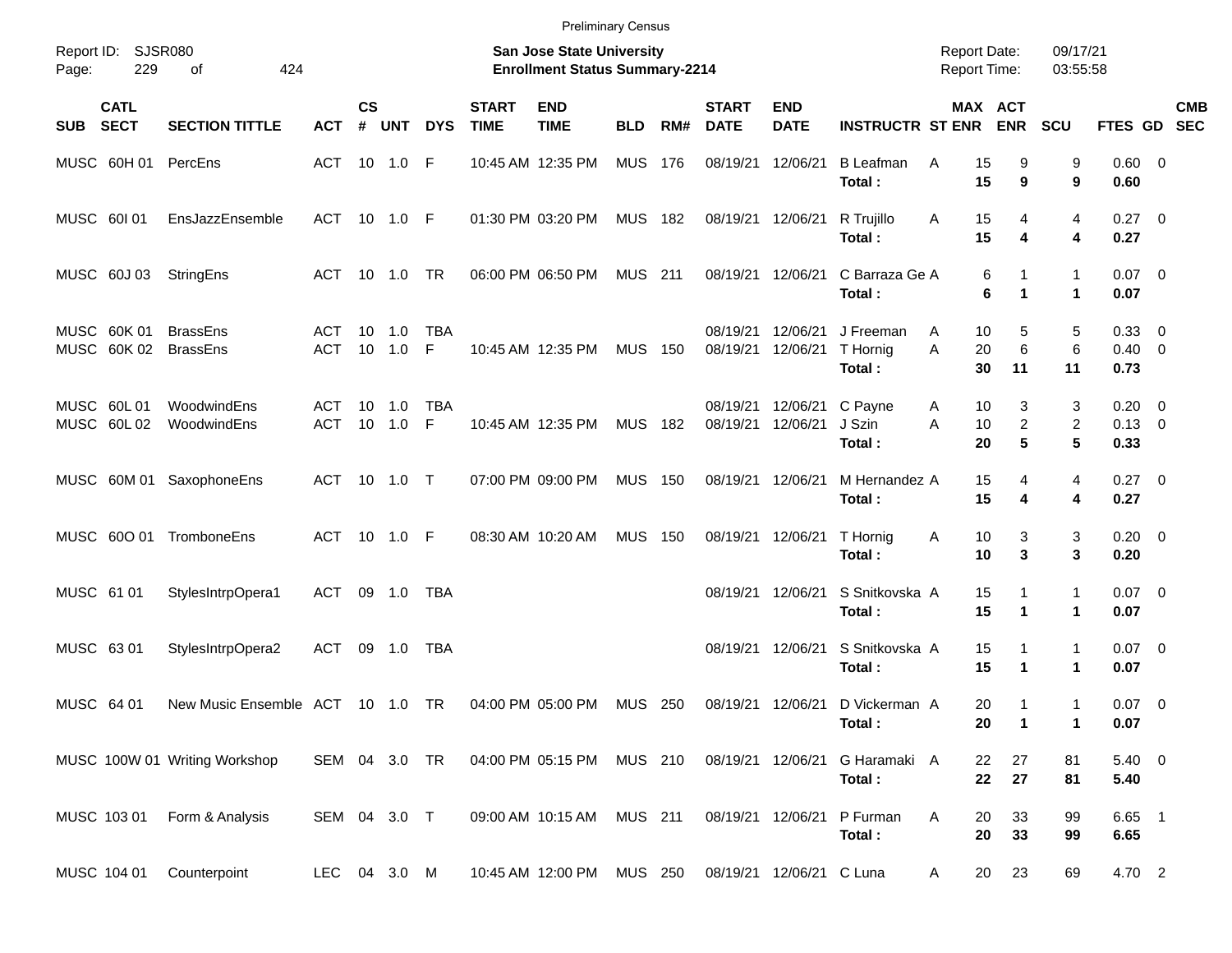|            |                            |                                    |                   |                    |               |                 |                             | <b>Preliminary Census</b>                                          |                |     |                             |                           |                                 |                                     |                                             |                      |                                      |            |
|------------|----------------------------|------------------------------------|-------------------|--------------------|---------------|-----------------|-----------------------------|--------------------------------------------------------------------|----------------|-----|-----------------------------|---------------------------|---------------------------------|-------------------------------------|---------------------------------------------|----------------------|--------------------------------------|------------|
| Page:      | Report ID: SJSR080<br>229  | 424<br>of                          |                   |                    |               |                 |                             | San Jose State University<br><b>Enrollment Status Summary-2214</b> |                |     |                             |                           |                                 | <b>Report Date:</b><br>Report Time: |                                             | 09/17/21<br>03:55:58 |                                      |            |
| SUB        | <b>CATL</b><br><b>SECT</b> | <b>SECTION TITTLE</b>              | <b>ACT</b>        | $\mathsf{cs}$<br># | <b>UNT</b>    | <b>DYS</b>      | <b>START</b><br><b>TIME</b> | <b>END</b><br><b>TIME</b>                                          | <b>BLD</b>     | RM# | <b>START</b><br><b>DATE</b> | <b>END</b><br><b>DATE</b> | <b>INSTRUCTR ST ENR</b>         |                                     | MAX ACT<br><b>ENR</b>                       | <b>SCU</b>           | FTES GD SEC                          | <b>CMB</b> |
|            |                            | MUSC 60H 01 PercEns                | ACT 10 1.0 F      |                    |               |                 |                             | 10:45 AM 12:35 PM                                                  | <b>MUS</b>     | 176 | 08/19/21                    | 12/06/21                  | <b>B</b> Leafman<br>Total:      | 15<br>A<br>15                       | 9<br>9                                      | 9<br>9               | $0.60 \quad 0$<br>0.60               |            |
|            | MUSC 60101                 | EnsJazzEnsemble                    | ACT 10 1.0 F      |                    |               |                 |                             | 01:30 PM 03:20 PM                                                  | <b>MUS 182</b> |     | 08/19/21                    | 12/06/21                  | R Trujillo<br>Total:            | 15<br>Α<br>15                       | 4<br>4                                      | 4<br>4               | $0.27$ 0<br>0.27                     |            |
|            | MUSC 60J 03                | StringEns                          | ACT 10 1.0        |                    |               | TR              |                             | 06:00 PM 06:50 PM                                                  | <b>MUS</b> 211 |     | 08/19/21                    | 12/06/21                  | C Barraza Ge A<br>Total:        |                                     | 6<br>1<br>6<br>$\mathbf{1}$                 | 1<br>1               | $0.07$ 0<br>0.07                     |            |
|            | MUSC 60K 01<br>MUSC 60K 02 | <b>BrassEns</b><br><b>BrassEns</b> | ACT<br><b>ACT</b> | 10                 | 1.0<br>10 1.0 | <b>TBA</b><br>F |                             | 10:45 AM 12:35 PM                                                  | <b>MUS 150</b> |     | 08/19/21<br>08/19/21        | 12/06/21<br>12/06/21      | J Freeman<br>T Hornig<br>Total: | A<br>A<br>20<br>30                  | 10<br>5<br>6<br>11                          | 5<br>6<br>11         | 0.33 0<br>$0.40 \quad 0$<br>0.73     |            |
|            | MUSC 60L01<br>MUSC 60L02   | WoodwindEns<br>WoodwindEns         | ACT<br><b>ACT</b> | 10                 | 1.0<br>10 1.0 | <b>TBA</b><br>F |                             | 10:45 AM 12:35 PM                                                  | <b>MUS</b>     | 182 | 08/19/21<br>08/19/21        | 12/06/21<br>12/06/21      | C Payne<br>J Szin<br>Total:     | A<br>A<br>10<br>20                  | 3<br>10<br>$\overline{c}$<br>$5\phantom{1}$ | 3<br>2<br>5          | $0.20 \ 0$<br>$0.13 \quad 0$<br>0.33 |            |
|            |                            | MUSC 60M 01 SaxophoneEns           | ACT 10 1.0 T      |                    |               |                 |                             | 07:00 PM 09:00 PM                                                  | <b>MUS</b>     | 150 | 08/19/21                    | 12/06/21                  | M Hernandez A<br>Total:         | 15<br>15                            | 4<br>4                                      | 4<br>4               | $0.27$ 0<br>0.27                     |            |
|            | MUSC 600 01                | TromboneEns                        | ACT 10 1.0 F      |                    |               |                 |                             | 08:30 AM 10:20 AM                                                  | <b>MUS</b>     | 150 | 08/19/21                    | 12/06/21                  | T Hornig<br>Total:              | 10<br>A<br>10                       | 3<br>3                                      | 3<br>3               | $0.20 \ 0$<br>0.20                   |            |
| MUSC 61 01 |                            | StylesIntrpOpera1                  | ACT 09 1.0        |                    |               | TBA             |                             |                                                                    |                |     | 08/19/21                    | 12/06/21                  | S Snitkovska A<br>Total:        | 15<br>15                            | 1<br>$\mathbf{1}$                           | $\mathbf{1}$<br>1    | $0.07$ 0<br>0.07                     |            |
| MUSC 63 01 |                            | StylesIntrpOpera2                  | ACT               |                    | 09 1.0        | TBA             |                             |                                                                    |                |     | 08/19/21                    | 12/06/21                  | S Snitkovska A<br>Total:        | 15<br>15                            | 1<br>$\mathbf 1$                            | $\mathbf{1}$<br>1    | $0.07$ 0<br>0.07                     |            |
| MUSC 64 01 |                            | New Music Ensemble ACT 10 1.0 TR   |                   |                    |               |                 |                             | 04:00 PM 05:00 PM                                                  | <b>MUS 250</b> |     | 08/19/21                    | 12/06/21                  | D Vickerman A<br>Total:         |                                     | 20<br>1<br>20<br>$\overline{1}$             | 1<br>1               | $0.07$ 0<br>0.07                     |            |
|            |                            | MUSC 100W 01 Writing Workshop      | SEM 04 3.0 TR     |                    |               |                 |                             | 04:00 PM 05:15 PM                                                  | MUS 210        |     | 08/19/21 12/06/21           |                           | G Haramaki A<br>Total:          |                                     | 22<br>27<br>22<br>27                        | 81<br>81             | 5.40 0<br>5.40                       |            |
|            | MUSC 103 01                | Form & Analysis                    | SEM 04 3.0 T      |                    |               |                 |                             | 09:00 AM 10:15 AM                                                  | <b>MUS 211</b> |     |                             | 08/19/21 12/06/21         | P Furman<br>Total:              | 20<br>Α                             | 33<br>20<br>33                              | 99<br>99             | $6.65$ 1<br>6.65                     |            |
|            | MUSC 104 01                | Counterpoint                       | LEC 04 3.0 M      |                    |               |                 |                             | 10:45 AM 12:00 PM MUS 250                                          |                |     |                             | 08/19/21 12/06/21 C Luna  |                                 | A                                   | 20<br>23                                    | 69                   | 4.70 2                               |            |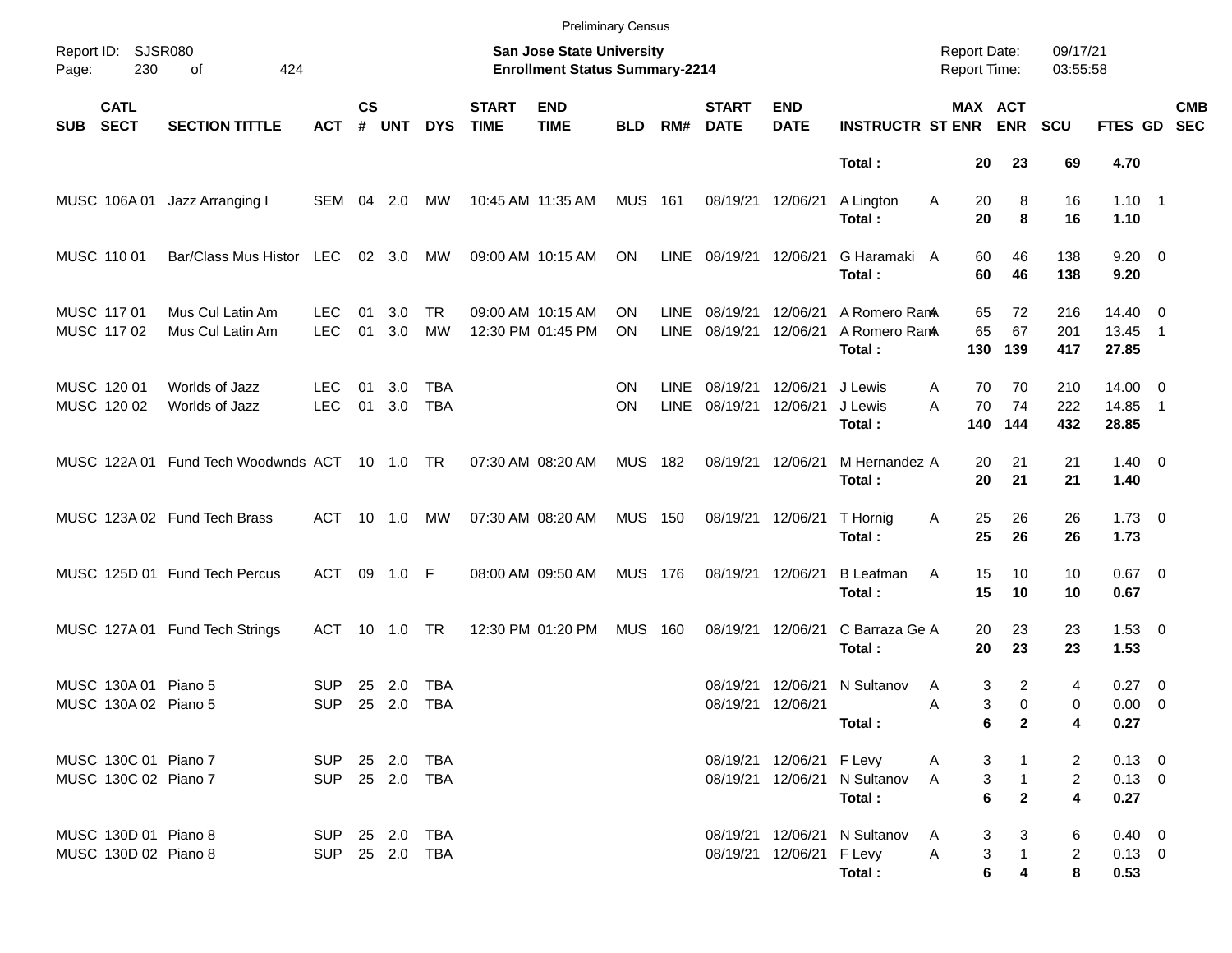|                                              |                                               |                                  |                    |               |                   |                             | <b>Preliminary Census</b>                                          |                        |                            |                             |                           |                                          |                                            |                                                           |                          |                                    |                          |                          |
|----------------------------------------------|-----------------------------------------------|----------------------------------|--------------------|---------------|-------------------|-----------------------------|--------------------------------------------------------------------|------------------------|----------------------------|-----------------------------|---------------------------|------------------------------------------|--------------------------------------------|-----------------------------------------------------------|--------------------------|------------------------------------|--------------------------|--------------------------|
| Report ID: SJSR080<br>230<br>Page:           | 424<br>of                                     |                                  |                    |               |                   |                             | San Jose State University<br><b>Enrollment Status Summary-2214</b> |                        |                            |                             |                           |                                          | <b>Report Date:</b><br><b>Report Time:</b> |                                                           | 09/17/21<br>03:55:58     |                                    |                          |                          |
| <b>CATL</b><br><b>SECT</b><br><b>SUB</b>     | <b>SECTION TITTLE</b>                         | <b>ACT</b>                       | $\mathsf{cs}$<br># | <b>UNT</b>    | <b>DYS</b>        | <b>START</b><br><b>TIME</b> | <b>END</b><br><b>TIME</b>                                          | <b>BLD</b>             | RM#                        | <b>START</b><br><b>DATE</b> | <b>END</b><br><b>DATE</b> | <b>INSTRUCTR ST ENR</b>                  |                                            | MAX ACT<br><b>ENR</b>                                     | <b>SCU</b>               | FTES GD                            |                          | <b>CMB</b><br><b>SEC</b> |
|                                              |                                               |                                  |                    |               |                   |                             |                                                                    |                        |                            |                             |                           | Total:                                   | 20                                         | 23                                                        | 69                       | 4.70                               |                          |                          |
| MUSC 106A01                                  | Jazz Arranging I                              | SEM 04 2.0                       |                    |               | МW                |                             | 10:45 AM 11:35 AM                                                  | MUS 161                |                            | 08/19/21                    | 12/06/21                  | A Lington<br>Total:                      | Α<br>20<br>20                              | 8<br>8                                                    | 16<br>16                 | $1.10 \quad 1$<br>1.10             |                          |                          |
| MUSC 110 01                                  | Bar/Class Mus Histor LEC                      |                                  |                    | 02 3.0        | MW                |                             | 09:00 AM 10:15 AM                                                  | ON                     | <b>LINE</b>                | 08/19/21                    | 12/06/21                  | G Haramaki A<br>Total:                   | 60<br>60                                   | 46<br>46                                                  | 138<br>138               | $9.20 \ 0$<br>9.20                 |                          |                          |
| MUSC 117 01<br>MUSC 117 02                   | Mus Cul Latin Am<br>Mus Cul Latin Am          | LEC.<br><b>LEC</b>               | 01<br>01           | 3.0<br>3.0    | TR.<br>MW         |                             | 09:00 AM 10:15 AM<br>12:30 PM 01:45 PM                             | OΝ<br><b>ON</b>        | LINE<br><b>LINE</b>        | 08/19/21<br>08/19/21        | 12/06/21<br>12/06/21      | A Romero RamA<br>A Romero RanA<br>Total: | 65<br>65<br>130                            | 72<br>67<br>139                                           | 216<br>201<br>417        | $14.40 \ 0$<br>13.45<br>27.85      | $\overline{\phantom{1}}$ |                          |
| MUSC 120 01<br>MUSC 120 02                   | Worlds of Jazz<br>Worlds of Jazz              | LEC.<br><b>LEC</b>               | 01<br>01           | 3.0<br>3.0    | TBA<br><b>TBA</b> |                             |                                                                    | <b>ON</b><br><b>ON</b> | <b>LINE</b><br><b>LINE</b> | 08/19/21<br>08/19/21        | 12/06/21<br>12/06/21      | J Lewis<br>J Lewis<br>Total:             | 70<br>Α<br>A<br>70<br>140                  | 70<br>74<br>144                                           | 210<br>222<br>432        | $14.00 \t 0$<br>14.85<br>28.85     | $\overline{\phantom{1}}$ |                          |
|                                              | MUSC 122A 01 Fund Tech Woodwnds ACT 10 1.0 TR |                                  |                    |               |                   |                             | 07:30 AM 08:20 AM                                                  | MUS 182                |                            |                             | 08/19/21 12/06/21         | M Hernandez A<br>Total:                  | 20<br>20                                   | 21<br>21                                                  | 21<br>21                 | $1.40 \ 0$<br>1.40                 |                          |                          |
|                                              | MUSC 123A 02 Fund Tech Brass                  | ACT                              |                    | 10 1.0        | MW                |                             | 07:30 AM 08:20 AM                                                  | <b>MUS 150</b>         |                            |                             | 08/19/21 12/06/21         | T Hornig<br>Total:                       | 25<br>Α<br>25                              | 26<br>26                                                  | 26<br>26                 | $1.73 \t 0$<br>1.73                |                          |                          |
|                                              | MUSC 125D 01 Fund Tech Percus                 | ACT 09 1.0 F                     |                    |               |                   |                             | 08:00 AM 09:50 AM                                                  | <b>MUS 176</b>         |                            |                             | 08/19/21 12/06/21         | <b>B</b> Leafman<br>Total:               | 15<br>Α<br>15                              | 10<br>10                                                  | 10<br>10                 | $0.67$ 0<br>0.67                   |                          |                          |
|                                              | MUSC 127A 01 Fund Tech Strings                | ACT                              |                    | 10 1.0        | TR                |                             | 12:30 PM 01:20 PM                                                  | <b>MUS</b>             | 160                        | 08/19/21                    | 12/06/21                  | C Barraza Ge A<br>Total:                 | 20<br>20                                   | 23<br>23                                                  | 23<br>23                 | $1.53 \t 0$<br>1.53                |                          |                          |
| MUSC 130A 01 Piano 5<br>MUSC 130A 02 Piano 5 |                                               | <b>SUP</b><br><b>SUP</b>         | 25                 | 2.0<br>25 2.0 | TBA<br><b>TBA</b> |                             |                                                                    |                        |                            | 08/19/21<br>08/19/21        | 12/06/21<br>12/06/21      | N Sultanov<br>Total:                     | Α<br>Α                                     | $\overline{2}$<br>3<br>3<br>$\Omega$<br>6<br>$\mathbf{2}$ | 4<br>0<br>4              | $0.27 \t 0$<br>$0.00 \t 0$<br>0.27 |                          |                          |
| MUSC 130C 01 Piano 7<br>MUSC 130C 02 Piano 7 |                                               | SUP 25 2.0 TBA<br>SUP 25 2.0 TBA |                    |               |                   |                             |                                                                    |                        |                            |                             | 08/19/21 12/06/21 F Levy  | 08/19/21 12/06/21 N Sultanov<br>Total:   | A<br>A                                     | 3<br>$\mathbf{1}$<br>3<br>$6\phantom{a}$<br>$\mathbf{2}$  | 2<br>$\overline{2}$<br>4 | $0.13 \ 0$<br>$0.13 \ 0$<br>0.27   |                          |                          |
| MUSC 130D 01 Piano 8<br>MUSC 130D 02 Piano 8 |                                               | SUP 25 2.0 TBA<br>SUP 25 2.0 TBA |                    |               |                   |                             |                                                                    |                        |                            |                             | 08/19/21 12/06/21 F Levy  | 08/19/21 12/06/21 N Sultanov<br>Total:   | A<br>A                                     | 3<br>3<br>3<br>$\mathbf{1}$<br>6<br>4                     | 6<br>$\overline{2}$<br>8 | $0.40 \ 0$<br>$0.13 \ 0$<br>0.53   |                          |                          |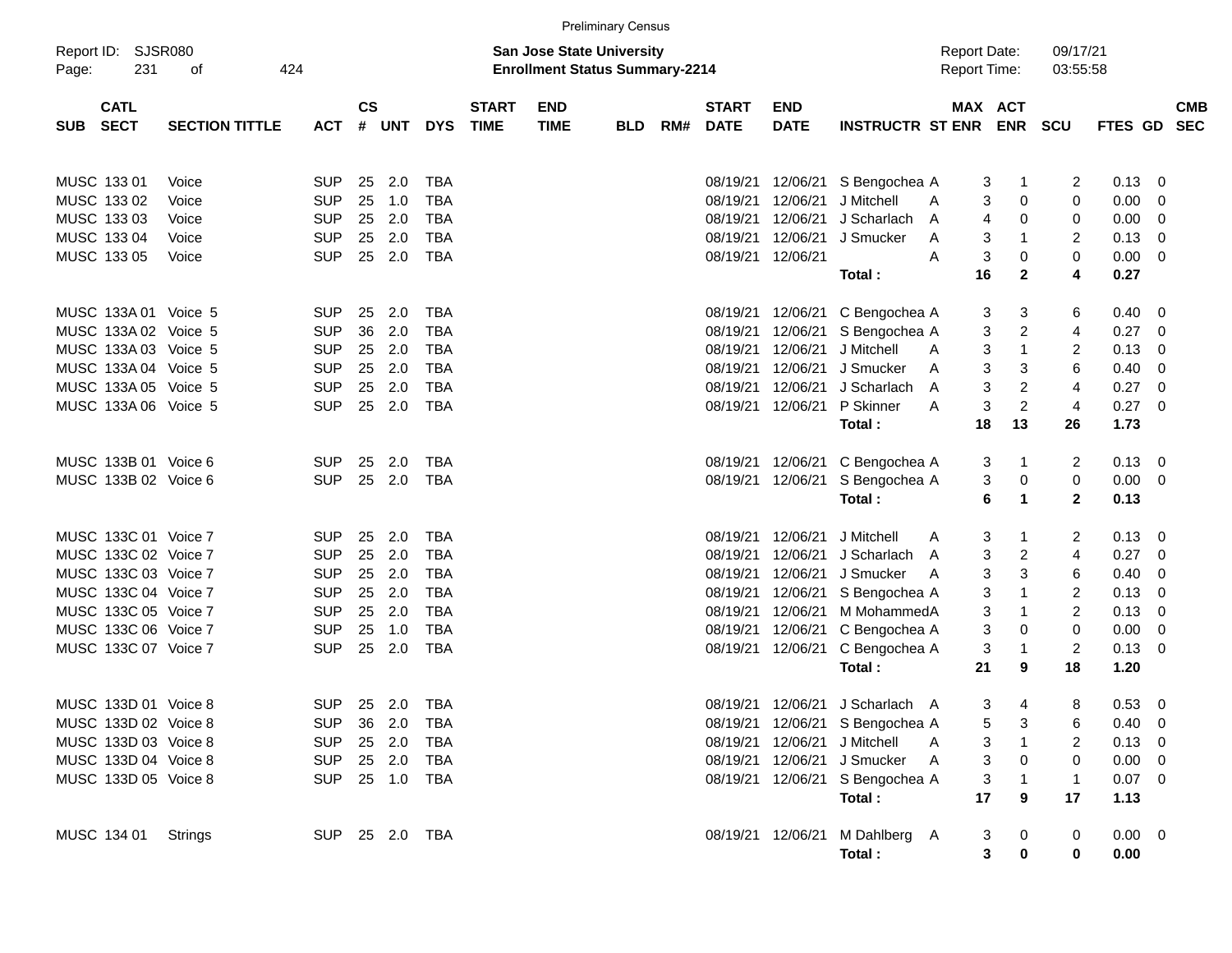|                                    |                       |                |                    |            |            |                             |                                                                           | <b>Preliminary Census</b> |     |                             |                    |                                 |                                            |                       |                      |             |   |                          |
|------------------------------------|-----------------------|----------------|--------------------|------------|------------|-----------------------------|---------------------------------------------------------------------------|---------------------------|-----|-----------------------------|--------------------|---------------------------------|--------------------------------------------|-----------------------|----------------------|-------------|---|--------------------------|
| Report ID: SJSR080<br>231<br>Page: | 424<br>оf             |                |                    |            |            |                             | <b>San Jose State University</b><br><b>Enrollment Status Summary-2214</b> |                           |     |                             |                    |                                 | <b>Report Date:</b><br><b>Report Time:</b> |                       | 09/17/21<br>03:55:58 |             |   |                          |
| <b>CATL</b><br><b>SECT</b><br>SUB  | <b>SECTION TITTLE</b> | <b>ACT</b>     | $\mathsf{cs}$<br># | <b>UNT</b> | <b>DYS</b> | <b>START</b><br><b>TIME</b> | <b>END</b><br><b>TIME</b>                                                 | <b>BLD</b>                | RM# | <b>START</b><br><b>DATE</b> | END<br><b>DATE</b> | <b>INSTRUCTR ST ENR</b>         |                                            | MAX ACT<br><b>ENR</b> | <b>SCU</b>           | FTES GD     |   | <b>CMB</b><br><b>SEC</b> |
| MUSC 133 01                        | Voice                 | <b>SUP</b>     | 25                 | 2.0        | <b>TBA</b> |                             |                                                                           |                           |     | 08/19/21                    | 12/06/21           | S Bengochea A                   |                                            | 3<br>1                | 2                    | 0.13        | 0 |                          |
| MUSC 133 02                        | Voice                 | <b>SUP</b>     | 25                 | 1.0        | <b>TBA</b> |                             |                                                                           |                           |     | 08/19/21                    | 12/06/21           | J Mitchell                      | A                                          | 0<br>3                | 0                    | 0.00        | 0 |                          |
| MUSC 133 03                        | Voice                 | <b>SUP</b>     | 25                 | 2.0        | <b>TBA</b> |                             |                                                                           |                           |     | 08/19/21                    | 12/06/21           | J Scharlach                     | A                                          | 4<br>0                | 0                    | 0.00        | 0 |                          |
| MUSC 133 04                        | Voice                 | <b>SUP</b>     | 25                 | 2.0        | <b>TBA</b> |                             |                                                                           |                           |     | 08/19/21                    | 12/06/21           | J Smucker                       | A                                          | 3<br>-1               | 2                    | 0.13        | 0 |                          |
| MUSC 133 05                        | Voice                 | <b>SUP</b>     | 25                 | 2.0        | <b>TBA</b> |                             |                                                                           |                           |     | 08/19/21                    | 12/06/21           |                                 | A                                          | 3<br>0                | 0                    | 0.00        | 0 |                          |
|                                    |                       |                |                    |            |            |                             |                                                                           |                           |     |                             |                    | Total :                         | 16                                         | $\mathbf{2}$          | 4                    | 0.27        |   |                          |
| MUSC 133A 01 Voice 5               |                       | <b>SUP</b>     | 25                 | 2.0        | <b>TBA</b> |                             |                                                                           |                           |     | 08/19/21                    | 12/06/21           | C Bengochea A                   |                                            | 3<br>3                | 6                    | 0.40        | 0 |                          |
| MUSC 133A 02 Voice 5               |                       | <b>SUP</b>     | 36                 | 2.0        | <b>TBA</b> |                             |                                                                           |                           |     | 08/19/21                    | 12/06/21           | S Bengochea A                   |                                            | 3<br>2                | 4                    | 0.27        | 0 |                          |
| MUSC 133A 03 Voice 5               |                       | <b>SUP</b>     | 25                 | 2.0        | TBA        |                             |                                                                           |                           |     | 08/19/21                    | 12/06/21           | J Mitchell                      | A                                          | 3<br>1                | 2                    | 0.13        | 0 |                          |
| MUSC 133A 04 Voice 5               |                       | <b>SUP</b>     | 25                 | 2.0        | <b>TBA</b> |                             |                                                                           |                           |     | 08/19/21                    | 12/06/21           | J Smucker                       | A                                          | 3<br>3                | 6                    | 0.40        | 0 |                          |
| MUSC 133A 05 Voice 5               |                       | <b>SUP</b>     | 25                 | 2.0        | <b>TBA</b> |                             |                                                                           |                           |     | 08/19/21                    | 12/06/21           | J Scharlach                     | A                                          | 3<br>2                | 4                    | 0.27        | 0 |                          |
| MUSC 133A 06 Voice 5               |                       | <b>SUP</b>     | 25                 | 2.0        | <b>TBA</b> |                             |                                                                           |                           |     | 08/19/21                    | 12/06/21           | P Skinner                       | A                                          | 3<br>$\overline{c}$   | $\overline{4}$       | 0.27        | 0 |                          |
|                                    |                       |                |                    |            |            |                             |                                                                           |                           |     |                             |                    | Total:                          | 18                                         | 13                    | 26                   | 1.73        |   |                          |
| MUSC 133B 01 Voice 6               |                       | <b>SUP</b>     | 25                 | 2.0        | <b>TBA</b> |                             |                                                                           |                           |     |                             | 08/19/21 12/06/21  | C Bengochea A                   |                                            | 3<br>1                | 2                    | 0.13        | 0 |                          |
| MUSC 133B 02 Voice 6               |                       | <b>SUP</b>     | 25                 | 2.0        | <b>TBA</b> |                             |                                                                           |                           |     |                             | 08/19/21 12/06/21  | S Bengochea A                   |                                            | 3<br>$\pmb{0}$        | 0                    | 0.00        | 0 |                          |
|                                    |                       |                |                    |            |            |                             |                                                                           |                           |     |                             |                    | Total:                          |                                            | 6<br>1                | $\mathbf 2$          | 0.13        |   |                          |
| MUSC 133C 01 Voice 7               |                       | <b>SUP</b>     | 25                 | 2.0        | <b>TBA</b> |                             |                                                                           |                           |     | 08/19/21                    | 12/06/21           | J Mitchell                      | A                                          | 3<br>1                | 2                    | 0.13        | 0 |                          |
| MUSC 133C 02 Voice 7               |                       | <b>SUP</b>     | 25                 | 2.0        | <b>TBA</b> |                             |                                                                           |                           |     | 08/19/21                    | 12/06/21           | J Scharlach                     | A                                          | 3<br>2                | 4                    | 0.27        | 0 |                          |
| MUSC 133C 03 Voice 7               |                       | <b>SUP</b>     | 25                 | 2.0        | TBA        |                             |                                                                           |                           |     | 08/19/21                    | 12/06/21           | J Smucker                       | $\overline{A}$                             | 3<br>3                | 6                    | 0.40        | 0 |                          |
| MUSC 133C 04 Voice 7               |                       | <b>SUP</b>     | 25                 | 2.0        | <b>TBA</b> |                             |                                                                           |                           |     | 08/19/21                    | 12/06/21           | S Bengochea A                   |                                            | 3<br>$\mathbf 1$      | 2                    | 0.13        | 0 |                          |
| MUSC 133C 05 Voice 7               |                       | <b>SUP</b>     | 25                 | 2.0        | <b>TBA</b> |                             |                                                                           |                           |     | 08/19/21                    | 12/06/21           | M MohammedA                     |                                            | 3<br>$\mathbf 1$      | 2                    | 0.13        | 0 |                          |
| MUSC 133C 06 Voice 7               |                       | <b>SUP</b>     | 25                 | 1.0        | <b>TBA</b> |                             |                                                                           |                           |     | 08/19/21                    | 12/06/21           | C Bengochea A                   |                                            | 3<br>0                | 0                    | 0.00        | 0 |                          |
| MUSC 133C 07 Voice 7               |                       | <b>SUP</b>     | 25                 | 2.0        | <b>TBA</b> |                             |                                                                           |                           |     |                             | 08/19/21 12/06/21  | C Bengochea A                   |                                            | 3<br>$\mathbf{1}$     | 2                    | 0.13        | 0 |                          |
|                                    |                       |                |                    |            |            |                             |                                                                           |                           |     |                             |                    | Total:                          | 21                                         | 9                     | 18                   | 1.20        |   |                          |
| MUSC 133D 01 Voice 8               |                       | <b>SUP</b>     |                    | 25 2.0     | TBA        |                             |                                                                           |                           |     |                             | 08/19/21 12/06/21  | J Scharlach A                   |                                            | 3<br>4                | 8                    | 0.53        | 0 |                          |
| MUSC 133D 02 Voice 8               |                       | <b>SUP</b>     |                    | 36 2.0     | TBA        |                             |                                                                           |                           |     |                             |                    | 08/19/21 12/06/21 S Bengochea A |                                            | 3<br>5                | 6                    | $0.40 \ 0$  |   |                          |
| MUSC 133D 03 Voice 8               |                       | <b>SUP</b>     |                    | 25 2.0     | TBA        |                             |                                                                           |                           |     |                             |                    | 08/19/21 12/06/21 J Mitchell    | A                                          | 3<br>1                | 2                    | $0.13 \ 0$  |   |                          |
| MUSC 133D 04 Voice 8               |                       | <b>SUP</b>     |                    | 25 2.0     | TBA        |                             |                                                                           |                           |     |                             |                    | 08/19/21 12/06/21 J Smucker     | A                                          | 3<br>0                | 0                    | $0.00 \t 0$ |   |                          |
| MUSC 133D 05 Voice 8               |                       | SUP 25 1.0 TBA |                    |            |            |                             |                                                                           |                           |     |                             |                    | 08/19/21 12/06/21 S Bengochea A |                                            | 3<br>$\mathbf 1$      | 1                    | $0.07$ 0    |   |                          |
|                                    |                       |                |                    |            |            |                             |                                                                           |                           |     |                             |                    | Total:                          | 17                                         | 9                     | 17                   | 1.13        |   |                          |
| MUSC 134 01                        | Strings               | SUP 25 2.0 TBA |                    |            |            |                             |                                                                           |                           |     |                             |                    | 08/19/21 12/06/21 M Dahlberg A  |                                            | 3<br>$\boldsymbol{0}$ | 0                    | $0.00 \t 0$ |   |                          |
|                                    |                       |                |                    |            |            |                             |                                                                           |                           |     |                             |                    | Total:                          |                                            | 3<br>$\mathbf 0$      | 0                    | 0.00        |   |                          |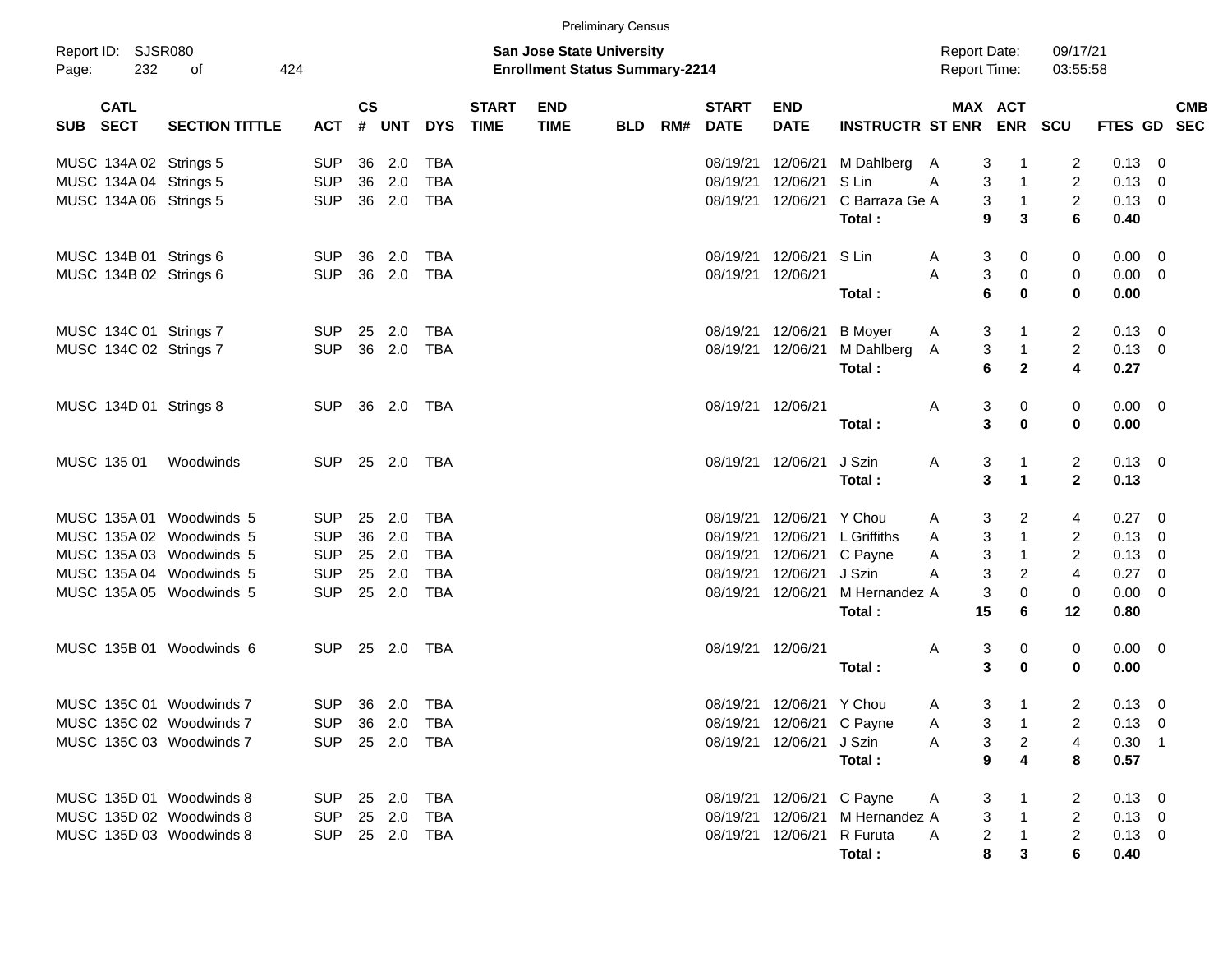|          |                                                  |                                                      |                          |               |                |                          |                             |                                                                           | <b>Preliminary Census</b> |     |                             |                                        |                                        |                                            |                                                     |                                       |                        |                                  |
|----------|--------------------------------------------------|------------------------------------------------------|--------------------------|---------------|----------------|--------------------------|-----------------------------|---------------------------------------------------------------------------|---------------------------|-----|-----------------------------|----------------------------------------|----------------------------------------|--------------------------------------------|-----------------------------------------------------|---------------------------------------|------------------------|----------------------------------|
| Page:    | Report ID: SJSR080<br>232                        | 424<br>οf                                            |                          |               |                |                          |                             | <b>San Jose State University</b><br><b>Enrollment Status Summary-2214</b> |                           |     |                             |                                        |                                        | <b>Report Date:</b><br><b>Report Time:</b> |                                                     | 09/17/21<br>03:55:58                  |                        |                                  |
| SUB SECT | <b>CATL</b>                                      | <b>SECTION TITTLE</b>                                | <b>ACT</b>               | $\mathsf{cs}$ | # UNT          | <b>DYS</b>               | <b>START</b><br><b>TIME</b> | <b>END</b><br><b>TIME</b>                                                 | <b>BLD</b>                | RM# | <b>START</b><br><b>DATE</b> | <b>END</b><br><b>DATE</b>              | INSTRUCTR ST ENR ENR SCU               |                                            | MAX ACT                                             |                                       | <b>FTES GD</b>         | <b>CMB</b><br><b>SEC</b>         |
|          | MUSC 134A 02 Strings 5<br>MUSC 134A 04 Strings 5 |                                                      | <b>SUP</b><br><b>SUP</b> | 36<br>36      | 2.0<br>2.0     | TBA<br><b>TBA</b>        |                             |                                                                           |                           |     | 08/19/21<br>08/19/21        | 12/06/21<br>12/06/21                   | M Dahlberg<br>S Lin                    | 3<br>A<br>3<br>A                           | 1<br>$\mathbf{1}$                                   | 2<br>$\overline{c}$                   | 0.13<br>0.13           | $\overline{0}$<br>0              |
|          | MUSC 134A 06 Strings 5                           |                                                      | <b>SUP</b>               | 36            | 2.0            | <b>TBA</b>               |                             |                                                                           |                           |     |                             | 08/19/21 12/06/21                      | C Barraza Ge A<br>Total:               | 9                                          | 3<br>$\mathbf{1}$<br>3                              | $\overline{2}$<br>6                   | 0.13<br>0.40           | $\overline{0}$                   |
|          | MUSC 134B 01 Strings 6<br>MUSC 134B 02 Strings 6 |                                                      | <b>SUP</b><br><b>SUP</b> | 36<br>36      | 2.0<br>2.0     | TBA<br><b>TBA</b>        |                             |                                                                           |                           |     |                             | 08/19/21 12/06/21<br>08/19/21 12/06/21 | S Lin                                  | A<br>3<br>A                                | 3<br>0                                              | 0                                     | 0.00<br>0.00           | $\overline{0}$<br>$\overline{0}$ |
|          |                                                  |                                                      |                          |               |                |                          |                             |                                                                           |                           |     |                             |                                        | Total:                                 | $6\phantom{1}6$                            | 0<br>$\mathbf 0$                                    | 0<br>0                                | 0.00                   |                                  |
|          | MUSC 134C 01 Strings 7<br>MUSC 134C 02 Strings 7 |                                                      | <b>SUP</b><br><b>SUP</b> | 25<br>36      | 2.0<br>2.0     | TBA<br><b>TBA</b>        |                             |                                                                           |                           |     |                             | 08/19/21 12/06/21<br>08/19/21 12/06/21 | <b>B</b> Moyer<br>M Dahlberg<br>Total: | A<br>3<br>A<br>6                           | 3<br>1<br>$\mathbf{1}$<br>$\mathbf 2$               | $\overline{2}$<br>$\overline{2}$<br>4 | 0.13<br>0.13<br>0.27   | $\overline{0}$<br>$\overline{0}$ |
|          | MUSC 134D 01 Strings 8                           |                                                      | <b>SUP</b>               | 36            | 2.0            | TBA                      |                             |                                                                           |                           |     |                             | 08/19/21 12/06/21                      | Total:                                 | Α<br>3                                     | 3<br>0<br>0                                         | 0<br>0                                | $0.00 \t 0$<br>0.00    |                                  |
|          | MUSC 135 01                                      | Woodwinds                                            | <b>SUP</b>               | 25            | 2.0            | TBA                      |                             |                                                                           |                           |     |                             | 08/19/21 12/06/21                      | J Szin<br>Total:                       | A                                          | 3<br>1<br>3<br>1                                    | $\overline{c}$<br>$\mathbf{2}$        | $0.13 \quad 0$<br>0.13 |                                  |
|          |                                                  | MUSC 135A 01 Woodwinds 5                             | <b>SUP</b>               | 25            | 2.0            | <b>TBA</b>               |                             |                                                                           |                           |     | 08/19/21                    | 12/06/21                               | Y Chou                                 | A                                          | 2<br>3                                              | 4                                     | 0.27                   | $\overline{0}$                   |
|          |                                                  | MUSC 135A 02 Woodwinds 5                             | <b>SUP</b>               | 36            | 2.0            | <b>TBA</b>               |                             |                                                                           |                           |     | 08/19/21                    | 12/06/21                               | L Griffiths                            | 3<br>Α                                     | $\mathbf{1}$                                        | $\overline{c}$                        | 0.13                   | 0                                |
|          |                                                  | MUSC 135A 03 Woodwinds 5                             | <b>SUP</b>               | 25            | 2.0            | <b>TBA</b>               |                             |                                                                           |                           |     |                             | 08/19/21 12/06/21                      | C Payne                                | 3<br>Α                                     | $\mathbf{1}$                                        | $\overline{c}$                        | 0.13                   | 0                                |
|          |                                                  | MUSC 135A 04 Woodwinds 5<br>MUSC 135A 05 Woodwinds 5 | <b>SUP</b><br><b>SUP</b> | 25<br>25      | 2.0<br>2.0     | <b>TBA</b><br><b>TBA</b> |                             |                                                                           |                           |     | 08/19/21                    | 12/06/21<br>08/19/21 12/06/21          | J Szin<br>M Hernandez A                | 3<br>A<br>3                                | $\overline{c}$<br>0                                 | $\overline{4}$<br>0                   | 0.27<br>0.00           | 0<br>0                           |
|          |                                                  |                                                      |                          |               |                |                          |                             |                                                                           |                           |     |                             |                                        | Total:                                 | 15                                         | 6                                                   | 12                                    | 0.80                   |                                  |
|          |                                                  | MUSC 135B 01 Woodwinds 6                             | <b>SUP</b>               | 25            | 2.0            | TBA                      |                             |                                                                           |                           |     |                             | 08/19/21 12/06/21                      | Total:                                 | 3<br>Α                                     | 0<br>3<br>$\mathbf 0$                               | 0<br>0                                | 0.00<br>0.00           | $\overline{\mathbf{0}}$          |
|          |                                                  | MUSC 135C 01 Woodwinds 7                             | <b>SUP</b>               |               | 36 2.0         | TBA                      |                             |                                                                           |                           |     |                             | 08/19/21 12/06/21 Y Chou               |                                        | A                                          | 3<br>$\mathbf{1}$                                   | $\overline{2}$                        | 0.13                   | $\overline{0}$                   |
|          |                                                  | MUSC 135C 02 Woodwinds 7                             |                          |               | SUP 36 2.0 TBA |                          |                             |                                                                           |                           |     |                             | 08/19/21 12/06/21 C Payne              |                                        | A                                          | 3<br>$\mathbf{1}$                                   | $\overline{2}$                        | $0.13 \quad 0$         |                                  |
|          |                                                  | MUSC 135C 03 Woodwinds 7                             |                          |               | SUP 25 2.0 TBA |                          |                             |                                                                           |                           |     |                             | 08/19/21 12/06/21 J Szin               |                                        | A                                          | 3<br>$\overline{a}$                                 | 4                                     | $0.30$ 1               |                                  |
|          |                                                  |                                                      |                          |               |                |                          |                             |                                                                           |                           |     |                             |                                        | Total:                                 | 9                                          | 4                                                   | 8                                     | 0.57                   |                                  |
|          |                                                  | MUSC 135D 01 Woodwinds 8                             | SUP 25 2.0               |               |                | TBA                      |                             |                                                                           |                           |     |                             | 08/19/21 12/06/21 C Payne              |                                        | A                                          | 3                                                   | 2                                     | $0.13 \quad 0$         |                                  |
|          |                                                  | MUSC 135D 02 Woodwinds 8                             | <b>SUP</b>               |               | 25 2.0         | TBA                      |                             |                                                                           |                           |     |                             |                                        | 08/19/21 12/06/21 M Hernandez A        |                                            | 3<br>$\mathbf{1}$                                   | 2                                     | $0.13 \quad 0$         |                                  |
|          |                                                  | MUSC 135D 03 Woodwinds 8                             |                          |               | SUP 25 2.0 TBA |                          |                             |                                                                           |                           |     |                             | 08/19/21 12/06/21 R Furuta             | Total:                                 | A                                          | $\overline{c}$<br>$\mathbf{1}$<br>8<br>$\mathbf{3}$ | $\overline{2}$<br>6                   | $0.13 \quad 0$<br>0.40 |                                  |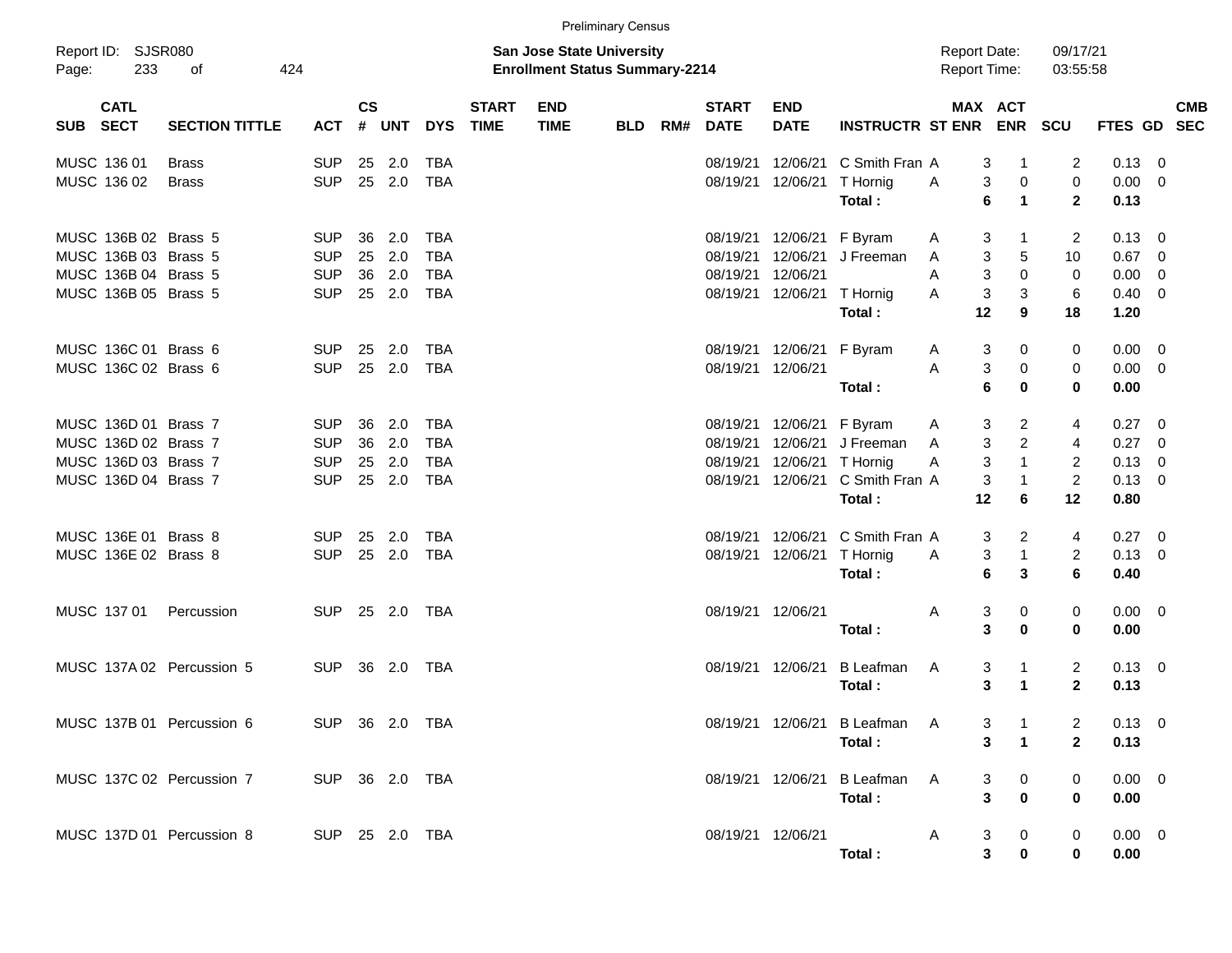|       |                           |                           |                |               |                |            |                             |                                                                           | <b>Preliminary Census</b> |     |                             |                           |                               |                                            |                                 |                         |                |                          |
|-------|---------------------------|---------------------------|----------------|---------------|----------------|------------|-----------------------------|---------------------------------------------------------------------------|---------------------------|-----|-----------------------------|---------------------------|-------------------------------|--------------------------------------------|---------------------------------|-------------------------|----------------|--------------------------|
| Page: | Report ID: SJSR080<br>233 | οf<br>424                 |                |               |                |            |                             | <b>San Jose State University</b><br><b>Enrollment Status Summary-2214</b> |                           |     |                             |                           |                               | <b>Report Date:</b><br><b>Report Time:</b> |                                 | 09/17/21<br>03:55:58    |                |                          |
|       | <b>CATL</b><br>SUB SECT   | <b>SECTION TITTLE</b>     | <b>ACT</b>     | $\mathsf{cs}$ | # UNT          | <b>DYS</b> | <b>START</b><br><b>TIME</b> | <b>END</b><br><b>TIME</b>                                                 | BLD                       | RM# | <b>START</b><br><b>DATE</b> | <b>END</b><br><b>DATE</b> | <b>INSTRUCTR ST ENR</b>       |                                            | MAX ACT                         | ENR SCU                 | <b>FTES GD</b> | <b>CMB</b><br><b>SEC</b> |
|       | MUSC 136 01               | <b>Brass</b>              | <b>SUP</b>     | 25            | 2.0            | <b>TBA</b> |                             |                                                                           |                           |     | 08/19/21                    | 12/06/21                  | C Smith Fran A                |                                            | 3<br>-1                         | 2                       | $0.13 \ 0$     |                          |
|       | MUSC 136 02               | <b>Brass</b>              | <b>SUP</b>     |               | 25 2.0         | TBA        |                             |                                                                           |                           |     | 08/19/21                    | 12/06/21                  | T Hornig                      | A                                          | 0<br>3                          | $\mathbf 0$             | $0.00 \t 0$    |                          |
|       |                           |                           |                |               |                |            |                             |                                                                           |                           |     |                             |                           | Total:                        |                                            | 6<br>$\blacktriangleleft$       | $\mathbf{2}$            | 0.13           |                          |
|       | MUSC 136B 02 Brass 5      |                           | <b>SUP</b>     | 36            | 2.0            | <b>TBA</b> |                             |                                                                           |                           |     | 08/19/21                    | 12/06/21                  | F Byram                       | A                                          | 3<br>-1                         | 2                       | $0.13 \quad 0$ |                          |
|       | MUSC 136B 03 Brass 5      |                           | <b>SUP</b>     | 25            | 2.0            | <b>TBA</b> |                             |                                                                           |                           |     | 08/19/21                    | 12/06/21                  | J Freeman                     | A                                          | 3<br>5                          | 10                      | 0.67           | $\overline{\phantom{0}}$ |
|       | MUSC 136B 04 Brass 5      |                           | <b>SUP</b>     | 36            | 2.0            | TBA        |                             |                                                                           |                           |     | 08/19/21                    | 12/06/21                  |                               | A                                          | 3<br>$\Omega$                   | $\mathbf 0$             | $0.00 \t 0$    |                          |
|       | MUSC 136B 05 Brass 5      |                           | <b>SUP</b>     |               | 25 2.0         | <b>TBA</b> |                             |                                                                           |                           |     | 08/19/21                    | 12/06/21                  | T Hornig                      | A                                          | $\ensuremath{\mathsf{3}}$<br>3  | 6                       | $0.40 \ 0$     |                          |
|       |                           |                           |                |               |                |            |                             |                                                                           |                           |     |                             |                           | Total:                        | 12                                         | 9                               | 18                      | 1.20           |                          |
|       | MUSC 136C 01 Brass 6      |                           | SUP.           | 25            | 2.0            | <b>TBA</b> |                             |                                                                           |                           |     | 08/19/21                    | 12/06/21                  | F Byram                       | A                                          | 3<br>0                          | 0                       | $0.00 \t 0$    |                          |
|       | MUSC 136C 02 Brass 6      |                           | <b>SUP</b>     |               | 25 2.0         | <b>TBA</b> |                             |                                                                           |                           |     |                             | 08/19/21 12/06/21         |                               | A                                          | 3<br>$\pmb{0}$                  | 0                       | $0.00 \t 0$    |                          |
|       |                           |                           |                |               |                |            |                             |                                                                           |                           |     |                             |                           | Total:                        |                                            | 6<br>$\bf{0}$                   | 0                       | 0.00           |                          |
|       | MUSC 136D 01 Brass 7      |                           | <b>SUP</b>     | 36            | 2.0            | <b>TBA</b> |                             |                                                                           |                           |     | 08/19/21                    | 12/06/21                  | F Byram                       | A                                          | 3<br>$\overline{2}$             | 4                       | 0.27           | - 0                      |
|       | MUSC 136D 02 Brass 7      |                           | <b>SUP</b>     | 36            | 2.0            | <b>TBA</b> |                             |                                                                           |                           |     | 08/19/21                    | 12/06/21                  | J Freeman                     | A                                          | $\overline{c}$<br>3             | 4                       | 0.27           | - 0                      |
|       | MUSC 136D 03 Brass 7      |                           | <b>SUP</b>     | 25            | 2.0            | <b>TBA</b> |                             |                                                                           |                           |     | 08/19/21                    | 12/06/21                  | T Hornig                      | A                                          | 3<br>$\mathbf{1}$               | 2                       | $0.13 \ 0$     |                          |
|       | MUSC 136D 04 Brass 7      |                           | <b>SUP</b>     | 25            | 2.0            | <b>TBA</b> |                             |                                                                           |                           |     | 08/19/21                    | 12/06/21                  | C Smith Fran A                |                                            | 3<br>$\mathbf 1$                | $\boldsymbol{2}$        | $0.13 \ 0$     |                          |
|       |                           |                           |                |               |                |            |                             |                                                                           |                           |     |                             |                           | Total:                        | 12                                         | 6                               | 12                      | 0.80           |                          |
|       | MUSC 136E 01 Brass 8      |                           | SUP.           | 25            | 2.0            | TBA        |                             |                                                                           |                           |     | 08/19/21                    | 12/06/21                  | C Smith Fran A                |                                            | 3<br>2                          | 4                       | $0.27 \quad 0$ |                          |
|       | MUSC 136E 02 Brass 8      |                           | <b>SUP</b>     |               | 25 2.0         | TBA        |                             |                                                                           |                           |     | 08/19/21                    | 12/06/21                  | T Hornig                      | A                                          | $\mathbf{1}$<br>3               | $\overline{\mathbf{c}}$ | $0.13 \ 0$     |                          |
|       |                           |                           |                |               |                |            |                             |                                                                           |                           |     |                             |                           | Total:                        |                                            | 6<br>3                          | 6                       | 0.40           |                          |
|       | MUSC 137 01               | Percussion                | <b>SUP</b>     |               | 25 2.0         | TBA        |                             |                                                                           |                           |     |                             | 08/19/21 12/06/21         |                               | A                                          | 3<br>0                          | 0                       | $0.00 \t 0$    |                          |
|       |                           |                           |                |               |                |            |                             |                                                                           |                           |     |                             |                           | Total:                        |                                            | 3<br>$\bf{0}$                   | 0                       | 0.00           |                          |
|       |                           | MUSC 137A 02 Percussion 5 | <b>SUP</b>     |               | 36 2.0         | TBA        |                             |                                                                           |                           |     |                             | 08/19/21 12/06/21         | B Leafman                     | A                                          | 3<br>1                          | 2                       | $0.13 \quad 0$ |                          |
|       |                           |                           |                |               |                |            |                             |                                                                           |                           |     |                             |                           | Total:                        |                                            | 3<br>$\mathbf 1$                | $\mathbf{2}$            | 0.13           |                          |
|       |                           | MUSC 137B 01 Percussion 6 |                |               | SUP 36 2.0 TBA |            |                             |                                                                           |                           |     |                             |                           | 08/19/21 12/06/21 B Leafman A |                                            | 3<br>$\overline{\phantom{0}}$ 1 |                         | $0.13 \ 0$     |                          |
|       |                           |                           |                |               |                |            |                             |                                                                           |                           |     |                             |                           | Total:                        |                                            | 3<br>$\mathbf 1$                | $\mathbf{2}$            | 0.13           |                          |
|       |                           |                           |                |               |                |            |                             |                                                                           |                           |     |                             |                           |                               |                                            |                                 |                         |                |                          |
|       |                           | MUSC 137C 02 Percussion 7 | SUP 36 2.0 TBA |               |                |            |                             |                                                                           |                           |     |                             |                           | 08/19/21 12/06/21 B Leafman A |                                            | $\mathbf{0}$<br>3               | 0                       | $0.00 \t 0$    |                          |
|       |                           |                           |                |               |                |            |                             |                                                                           |                           |     |                             |                           | Total:                        |                                            | 3<br>$\bf{0}$                   | 0                       | 0.00           |                          |
|       |                           | MUSC 137D 01 Percussion 8 | SUP 25 2.0 TBA |               |                |            |                             |                                                                           |                           |     |                             | 08/19/21 12/06/21         |                               | A                                          | 0<br>3                          | 0                       | $0.00 \t 0$    |                          |
|       |                           |                           |                |               |                |            |                             |                                                                           |                           |     |                             |                           | Total:                        |                                            | $\mathbf{3}$<br>0               | 0                       | 0.00           |                          |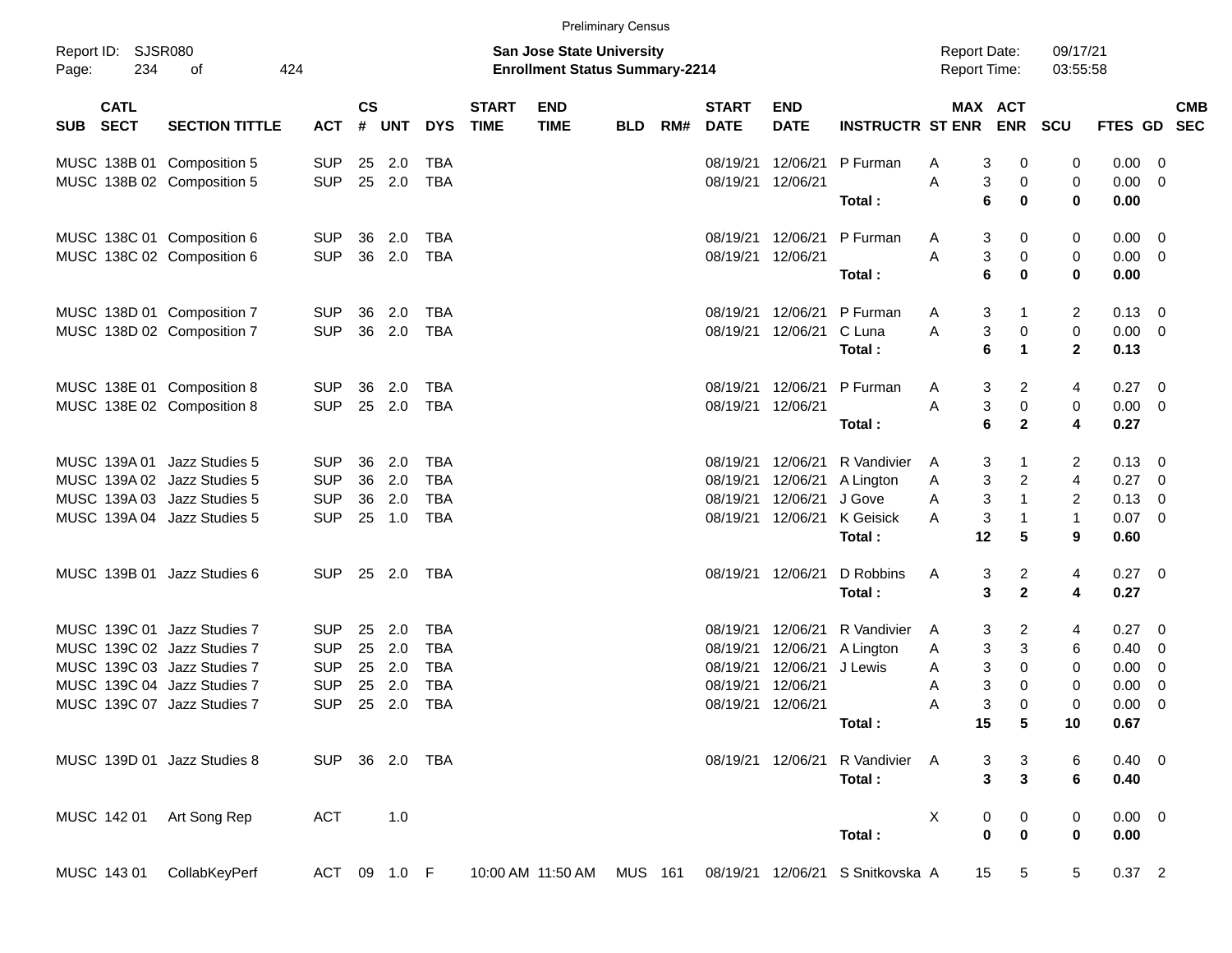|                     |                            |                             |            |                    |              |                |                             |                                                                           | <b>Preliminary Census</b> |     |                             |                           |                         |                                            |                       |                      |                |                           |
|---------------------|----------------------------|-----------------------------|------------|--------------------|--------------|----------------|-----------------------------|---------------------------------------------------------------------------|---------------------------|-----|-----------------------------|---------------------------|-------------------------|--------------------------------------------|-----------------------|----------------------|----------------|---------------------------|
| Report ID:<br>Page: | 234                        | SJSR080<br>οf               | 424        |                    |              |                |                             | <b>San Jose State University</b><br><b>Enrollment Status Summary-2214</b> |                           |     |                             |                           |                         | <b>Report Date:</b><br><b>Report Time:</b> |                       | 09/17/21<br>03:55:58 |                |                           |
| <b>SUB</b>          | <b>CATL</b><br><b>SECT</b> | <b>SECTION TITTLE</b>       | <b>ACT</b> | $\mathsf{cs}$<br># | <b>UNT</b>   | <b>DYS</b>     | <b>START</b><br><b>TIME</b> | <b>END</b><br><b>TIME</b>                                                 | <b>BLD</b>                | RM# | <b>START</b><br><b>DATE</b> | <b>END</b><br><b>DATE</b> | <b>INSTRUCTR ST ENR</b> |                                            | MAX ACT<br><b>ENR</b> | <b>SCU</b>           |                | <b>CMB</b><br>FTES GD SEC |
|                     |                            | MUSC 138B 01 Composition 5  | <b>SUP</b> | 25                 | 2.0          | <b>TBA</b>     |                             |                                                                           |                           |     | 08/19/21                    | 12/06/21                  | P Furman                | Α                                          | 0<br>3                | 0                    | 0.00           | - 0                       |
|                     |                            | MUSC 138B 02 Composition 5  | <b>SUP</b> | 25                 | 2.0          | <b>TBA</b>     |                             |                                                                           |                           |     | 08/19/21                    | 12/06/21                  |                         | A                                          | 3<br>0                | 0                    | 0.00           | $\overline{0}$            |
|                     |                            |                             |            |                    |              |                |                             |                                                                           |                           |     |                             |                           | Total:                  | 6                                          | $\bf{0}$              | $\bf{0}$             | 0.00           |                           |
|                     |                            | MUSC 138C 01 Composition 6  | <b>SUP</b> | 36                 | 2.0          | <b>TBA</b>     |                             |                                                                           |                           |     | 08/19/21                    | 12/06/21                  | P Furman                | A                                          | 3<br>0                | 0                    | 0.00           | $\overline{\mathbf{0}}$   |
|                     |                            | MUSC 138C 02 Composition 6  | <b>SUP</b> | 36                 | 2.0          | <b>TBA</b>     |                             |                                                                           |                           |     | 08/19/21                    | 12/06/21                  |                         | A                                          | 3<br>0                | 0                    | $0.00 \t 0$    |                           |
|                     |                            |                             |            |                    |              |                |                             |                                                                           |                           |     |                             |                           | Total:                  | 6                                          | $\bf{0}$              | $\bf{0}$             | 0.00           |                           |
|                     |                            | MUSC 138D 01 Composition 7  | <b>SUP</b> | 36                 | 2.0          | <b>TBA</b>     |                             |                                                                           |                           |     | 08/19/21                    | 12/06/21                  | P Furman                | A                                          | 3<br>-1               | 2                    | 0.13           | $\overline{0}$            |
|                     |                            | MUSC 138D 02 Composition 7  | <b>SUP</b> | 36                 | 2.0          | <b>TBA</b>     |                             |                                                                           |                           |     | 08/19/21                    | 12/06/21                  | C Luna                  | A                                          | 3<br>0                | $\pmb{0}$            | 0.00           | $\overline{0}$            |
|                     |                            |                             |            |                    |              |                |                             |                                                                           |                           |     |                             |                           | Total:                  | 6                                          | $\mathbf 1$           | $\mathbf{2}$         | 0.13           |                           |
|                     |                            | MUSC 138E 01 Composition 8  | <b>SUP</b> | 36                 | 2.0          | <b>TBA</b>     |                             |                                                                           |                           |     | 08/19/21                    | 12/06/21                  | P Furman                | A                                          | 2<br>3                | 4                    | 0.27           | $\overline{0}$            |
|                     |                            | MUSC 138E 02 Composition 8  | <b>SUP</b> | 25                 | 2.0          | <b>TBA</b>     |                             |                                                                           |                           |     | 08/19/21                    | 12/06/21                  |                         | A                                          | 3<br>0                | $\pmb{0}$            | 0.00           | $\overline{0}$            |
|                     |                            |                             |            |                    |              |                |                             |                                                                           |                           |     |                             |                           | Total:                  | 6                                          | $\mathbf{2}$          | 4                    | 0.27           |                           |
|                     | MUSC 139A 01               | Jazz Studies 5              | <b>SUP</b> | 36                 | 2.0          | <b>TBA</b>     |                             |                                                                           |                           |     | 08/19/21                    | 12/06/21                  | R Vandivier             | A                                          | 3<br>-1               | 2                    | 0.13           | - 0                       |
|                     | MUSC 139A 02               | Jazz Studies 5              | <b>SUP</b> | 36                 | 2.0          | <b>TBA</b>     |                             |                                                                           |                           |     | 08/19/21                    | 12/06/21                  | A Lington               | A                                          | 3<br>$\overline{c}$   | $\overline{4}$       | 0.27           | $\overline{0}$            |
|                     | MUSC 139A03                | Jazz Studies 5              | <b>SUP</b> | 36                 | 2.0          | <b>TBA</b>     |                             |                                                                           |                           |     | 08/19/21                    | 12/06/21                  | J Gove                  | Α                                          | 3<br>$\mathbf{1}$     | 2                    | 0.13           | $\overline{0}$            |
|                     | MUSC 139A 04               | Jazz Studies 5              | <b>SUP</b> | 25                 | 1.0          | <b>TBA</b>     |                             |                                                                           |                           |     | 08/19/21                    | 12/06/21                  | K Geisick               | A                                          | 3<br>-1               | $\mathbf{1}$         | 0.07           | $\overline{0}$            |
|                     |                            |                             |            |                    |              |                |                             |                                                                           |                           |     |                             |                           | Total:                  | 12                                         | $5\phantom{1}$        | 9                    | 0.60           |                           |
|                     |                            | MUSC 139B 01 Jazz Studies 6 | <b>SUP</b> |                    | 25 2.0       | TBA            |                             |                                                                           |                           |     | 08/19/21                    | 12/06/21                  | D Robbins               | A                                          | $\overline{c}$<br>3   | 4                    | 0.27           | $\overline{\phantom{0}}$  |
|                     |                            |                             |            |                    |              |                |                             |                                                                           |                           |     |                             |                           | Total:                  |                                            | $\mathbf 2$<br>3      | 4                    | 0.27           |                           |
|                     |                            | MUSC 139C 01 Jazz Studies 7 | <b>SUP</b> | 25                 | 2.0          | <b>TBA</b>     |                             |                                                                           |                           |     | 08/19/21                    | 12/06/21                  | R Vandivier             | A                                          | 2<br>3                | 4                    | 0.27           | $\overline{\mathbf{0}}$   |
|                     |                            | MUSC 139C 02 Jazz Studies 7 | <b>SUP</b> | 25                 | 2.0          | <b>TBA</b>     |                             |                                                                           |                           |     | 08/19/21                    | 12/06/21                  | A Lington               | A                                          | 3<br>3                | 6                    | 0.40           | $\overline{0}$            |
|                     |                            | MUSC 139C 03 Jazz Studies 7 | <b>SUP</b> | 25                 | 2.0          | <b>TBA</b>     |                             |                                                                           |                           |     | 08/19/21                    | 12/06/21                  | J Lewis                 | A                                          | 3<br>0                | 0                    | 0.00           | $\overline{0}$            |
|                     |                            | MUSC 139C 04 Jazz Studies 7 | <b>SUP</b> | 25                 | 2.0          | <b>TBA</b>     |                             |                                                                           |                           |     | 08/19/21                    | 12/06/21                  |                         | 3<br>Α                                     | 0                     | 0                    | 0.00           | 0                         |
|                     |                            | MUSC 139C 07 Jazz Studies 7 | <b>SUP</b> | 25                 | 2.0          | <b>TBA</b>     |                             |                                                                           |                           |     | 08/19/21                    | 12/06/21                  |                         | A                                          | 3<br>$\Omega$         | 0                    | 0.00           | 0                         |
|                     |                            |                             |            |                    |              |                |                             |                                                                           |                           |     |                             |                           | Total:                  | 15                                         | ${\bf 5}$             | 10                   | 0.67           |                           |
|                     |                            | MUSC 139D 01 Jazz Studies 8 |            |                    |              | SUP 36 2.0 TBA |                             |                                                                           |                           |     |                             | 08/19/21 12/06/21         | R Vandivier A           |                                            | 3<br>3                | 6                    | $0.40 \quad 0$ |                           |
|                     |                            |                             |            |                    |              |                |                             |                                                                           |                           |     |                             |                           | Total:                  |                                            | $\mathbf{3}$<br>3     | $\bf 6$              | 0.40           |                           |
|                     | MUSC 142 01                | Art Song Rep                | <b>ACT</b> |                    | 1.0          |                |                             |                                                                           |                           |     |                             |                           |                         | X                                          | 0<br>0                | 0                    | $0.00 \t 0$    |                           |
|                     |                            |                             |            |                    |              |                |                             |                                                                           |                           |     |                             |                           | Total:                  |                                            | $\pmb{0}$<br>0        | 0                    | 0.00           |                           |
|                     | MUSC 143 01                | CollabKeyPerf               |            |                    | ACT 09 1.0 F |                |                             | 10:00 AM 11:50 AM                                                         | <b>MUS 161</b>            |     |                             | 08/19/21 12/06/21         | S Snitkovska A          | 15                                         | 5                     | 5                    | $0.37$ 2       |                           |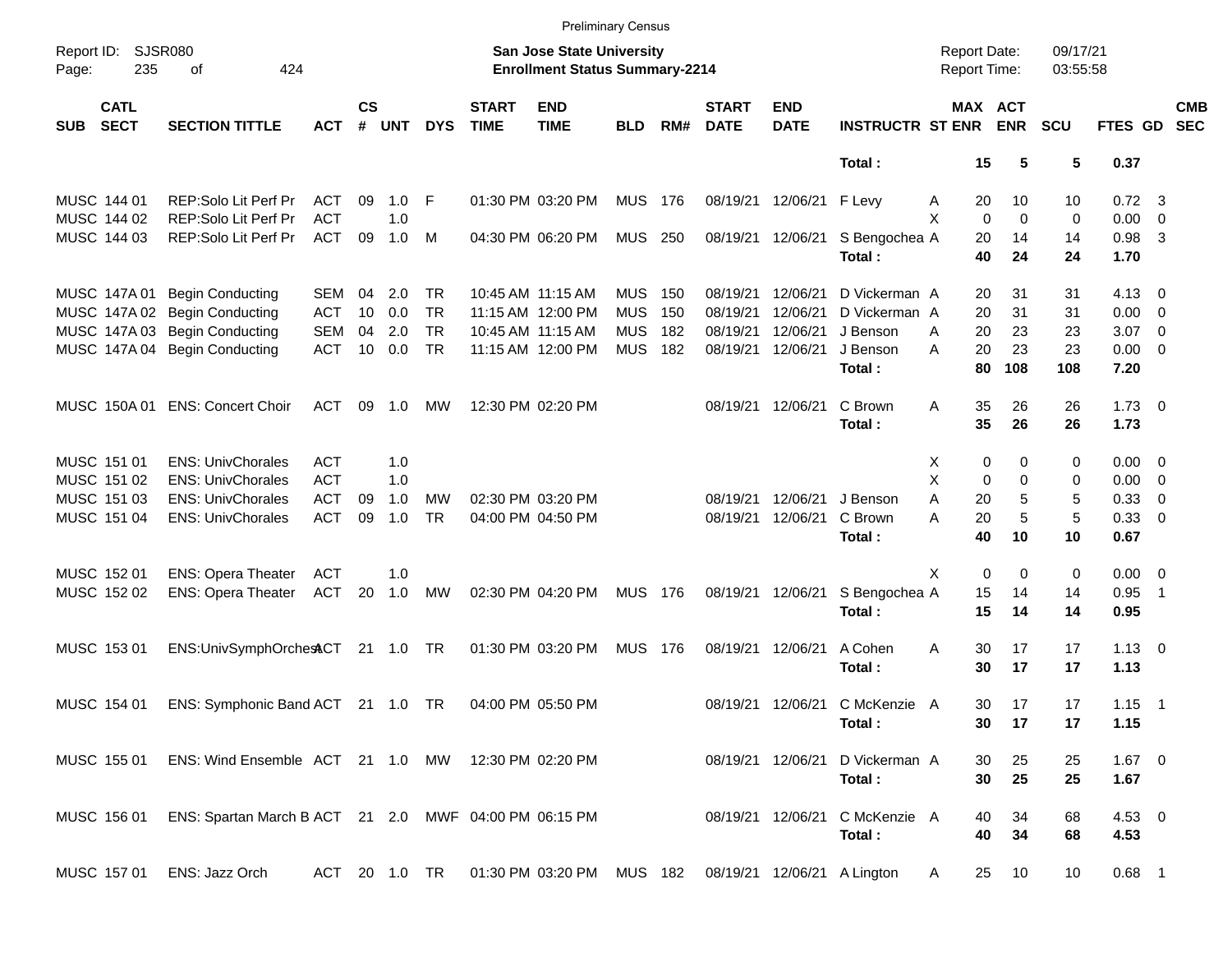|            |                            |                                                       |               |                    |            |            |                             |                                                                    | <b>Preliminary Census</b> |     |                             |                           |                             |                                     |                       |                      |                |                            |                          |
|------------|----------------------------|-------------------------------------------------------|---------------|--------------------|------------|------------|-----------------------------|--------------------------------------------------------------------|---------------------------|-----|-----------------------------|---------------------------|-----------------------------|-------------------------------------|-----------------------|----------------------|----------------|----------------------------|--------------------------|
| Page:      | Report ID: SJSR080<br>235  | of<br>424                                             |               |                    |            |            |                             | San Jose State University<br><b>Enrollment Status Summary-2214</b> |                           |     |                             |                           |                             | <b>Report Date:</b><br>Report Time: |                       | 09/17/21<br>03:55:58 |                |                            |                          |
| <b>SUB</b> | <b>CATL</b><br><b>SECT</b> | <b>SECTION TITTLE</b>                                 | <b>ACT</b>    | $\mathsf{cs}$<br># | <b>UNT</b> | <b>DYS</b> | <b>START</b><br><b>TIME</b> | <b>END</b><br><b>TIME</b>                                          | <b>BLD</b>                | RM# | <b>START</b><br><b>DATE</b> | <b>END</b><br><b>DATE</b> | <b>INSTRUCTR ST ENR</b>     |                                     | MAX ACT<br><b>ENR</b> | <b>SCU</b>           | FTES GD        |                            | <b>CMB</b><br><b>SEC</b> |
|            |                            |                                                       |               |                    |            |            |                             |                                                                    |                           |     |                             |                           | Total:                      | 15                                  | 5                     | 5                    | 0.37           |                            |                          |
|            | MUSC 144 01                | REP:Solo Lit Perf Pr                                  | ACT           | 09                 | $1.0$ F    |            |                             | 01:30 PM 03:20 PM                                                  | <b>MUS</b>                | 176 | 08/19/21                    | 12/06/21 F Levy           |                             | 20<br>A                             | 10                    | 10                   | $0.72 \quad 3$ |                            |                          |
|            | MUSC 144 02                | REP:Solo Lit Perf Pr                                  | <b>ACT</b>    |                    | 1.0        |            |                             |                                                                    |                           |     |                             |                           |                             | X<br>$\mathbf 0$                    | $\mathbf 0$           | 0                    | $0.00 \t 0$    |                            |                          |
|            | MUSC 144 03                | REP:Solo Lit Perf Pr                                  | <b>ACT</b>    | 09                 | 1.0        | M          |                             | 04:30 PM 06:20 PM                                                  | MUS 250                   |     | 08/19/21                    | 12/06/21                  | S Bengochea A               | 20                                  | 14                    | 14                   | $0.98$ 3       |                            |                          |
|            |                            |                                                       |               |                    |            |            |                             |                                                                    |                           |     |                             |                           | Total:                      | 40                                  | 24                    | 24                   | 1.70           |                            |                          |
|            | MUSC 147A 01               | <b>Begin Conducting</b>                               | <b>SEM</b>    | 04                 | 2.0        | TR.        |                             | 10:45 AM 11:15 AM                                                  | <b>MUS</b>                | 150 | 08/19/21                    | 12/06/21                  | D Vickerman A               | 20                                  | 31                    | 31                   | $4.13 \quad 0$ |                            |                          |
|            |                            | MUSC 147A 02 Begin Conducting                         | <b>ACT</b>    | 10                 | 0.0        | <b>TR</b>  |                             | 11:15 AM 12:00 PM                                                  | <b>MUS</b>                | 150 | 08/19/21                    | 12/06/21                  | D Vickerman A               | 20                                  | 31                    | 31                   | $0.00 \t 0$    |                            |                          |
|            |                            | MUSC 147A 03 Begin Conducting                         | <b>SEM</b>    | 04                 | 2.0        | <b>TR</b>  |                             | 10:45 AM 11:15 AM                                                  | <b>MUS</b>                | 182 | 08/19/21                    | 12/06/21                  | J Benson                    | 20<br>A                             | 23                    | 23                   | 3.07           | $\overline{\phantom{0}}$   |                          |
|            |                            | MUSC 147A 04 Begin Conducting                         | <b>ACT</b>    | 10                 | 0.0        | <b>TR</b>  |                             | 11:15 AM 12:00 PM                                                  | <b>MUS</b>                | 182 | 08/19/21                    | 12/06/21                  | J Benson                    | 20<br>А                             | 23                    | 23                   | $0.00 \t 0$    |                            |                          |
|            |                            |                                                       |               |                    |            |            |                             |                                                                    |                           |     |                             |                           | Total:                      | 80                                  | 108                   | 108                  | 7.20           |                            |                          |
|            |                            | MUSC 150A 01 ENS: Concert Choir                       | ACT           | 09                 | 1.0        | МW         |                             | 12:30 PM 02:20 PM                                                  |                           |     | 08/19/21                    | 12/06/21                  | C Brown                     | 35<br>Α                             | 26                    | 26                   | $1.73 \t 0$    |                            |                          |
|            |                            |                                                       |               |                    |            |            |                             |                                                                    |                           |     |                             |                           | Total:                      | 35                                  | 26                    | 26                   | 1.73           |                            |                          |
|            | MUSC 151 01                | <b>ENS: UnivChorales</b>                              | <b>ACT</b>    |                    | 1.0        |            |                             |                                                                    |                           |     |                             |                           |                             | X                                   | 0<br>0                | 0                    | $0.00 \t 0$    |                            |                          |
|            | MUSC 151 02                | <b>ENS: UnivChorales</b>                              | <b>ACT</b>    |                    | 1.0        |            |                             |                                                                    |                           |     |                             |                           |                             | Χ<br>0                              | 0                     | 0                    | $0.00 \t 0$    |                            |                          |
|            | MUSC 151 03                | <b>ENS: UnivChorales</b>                              | <b>ACT</b>    | 09                 | 1.0        | MW         |                             | 02:30 PM 03:20 PM                                                  |                           |     | 08/19/21                    | 12/06/21                  | J Benson                    | A<br>20                             | 5                     | 5                    | 0.33 0         |                            |                          |
|            | MUSC 151 04                | <b>ENS: UnivChorales</b>                              | <b>ACT</b>    | 09                 | 1.0        | <b>TR</b>  |                             | 04:00 PM 04:50 PM                                                  |                           |     | 08/19/21                    | 12/06/21                  | C Brown                     | A<br>20                             | 5                     | 5                    | 0.33 0         |                            |                          |
|            |                            |                                                       |               |                    |            |            |                             |                                                                    |                           |     |                             |                           | Total:                      | 40                                  | 10                    | 10                   | 0.67           |                            |                          |
|            | MUSC 152 01                | <b>ENS: Opera Theater</b>                             | <b>ACT</b>    |                    | 1.0        |            |                             |                                                                    |                           |     |                             |                           |                             | $\mathbf 0$<br>X                    | $\mathbf 0$           | 0                    | $0.00 \t 0$    |                            |                          |
|            | MUSC 152 02                | <b>ENS: Opera Theater</b>                             | ACT           | 20                 | 1.0        | MW         |                             | 02:30 PM 04:20 PM                                                  | <b>MUS 176</b>            |     | 08/19/21                    | 12/06/21                  | S Bengochea A               | 15                                  | 14                    | 14                   | 0.95           | $\overline{\phantom{0}}$ 1 |                          |
|            |                            |                                                       |               |                    |            |            |                             |                                                                    |                           |     |                             |                           | Total:                      | 15                                  | 14                    | 14                   | 0.95           |                            |                          |
|            | MUSC 153 01                | ENS:UnivSymphOrchesACT 21 1.0 TR                      |               |                    |            |            |                             | 01:30 PM 03:20 PM                                                  | <b>MUS</b>                | 176 | 08/19/21                    | 12/06/21                  | A Cohen                     | Α<br>30                             | 17                    | 17                   | $1.13 \ 0$     |                            |                          |
|            |                            |                                                       |               |                    |            |            |                             |                                                                    |                           |     |                             |                           | Total:                      | 30                                  | 17                    | 17                   | 1.13           |                            |                          |
|            | MUSC 154 01                | ENS: Symphonic Band ACT 21 1.0 TR                     |               |                    |            |            |                             | 04:00 PM 05:50 PM                                                  |                           |     | 08/19/21                    |                           | 12/06/21 C McKenzie A       | 30                                  | 17                    | 17                   | $1.15$ 1       |                            |                          |
|            |                            |                                                       |               |                    |            |            |                             |                                                                    |                           |     |                             |                           | Total:                      |                                     | 30 17                 | 17                   | 1.15           |                            |                          |
|            | MUSC 155 01                | ENS: Wind Ensemble ACT 21 1.0 MW 12:30 PM 02:20 PM    |               |                    |            |            |                             |                                                                    |                           |     |                             | 08/19/21 12/06/21         | D Vickerman A               | 30                                  | 25                    | 25                   | $1.67$ 0       |                            |                          |
|            |                            |                                                       |               |                    |            |            |                             |                                                                    |                           |     |                             |                           | Total:                      | 30                                  | 25                    | 25                   | 1.67           |                            |                          |
|            | MUSC 156 01                | ENS: Spartan March B ACT 21 2.0 MWF 04:00 PM 06:15 PM |               |                    |            |            |                             |                                                                    |                           |     |                             | 08/19/21 12/06/21         | C McKenzie A                | 40                                  | 34                    | 68                   | $4.53$ 0       |                            |                          |
|            |                            |                                                       |               |                    |            |            |                             |                                                                    |                           |     |                             |                           | Total:                      | 40                                  | 34                    | 68                   | 4.53           |                            |                          |
|            | MUSC 157 01                | ENS: Jazz Orch                                        | ACT 20 1.0 TR |                    |            |            |                             | 01:30 PM 03:20 PM MUS 182                                          |                           |     |                             |                           | 08/19/21 12/06/21 A Lington | 25<br>A                             | 10                    | 10                   | $0.68$ 1       |                            |                          |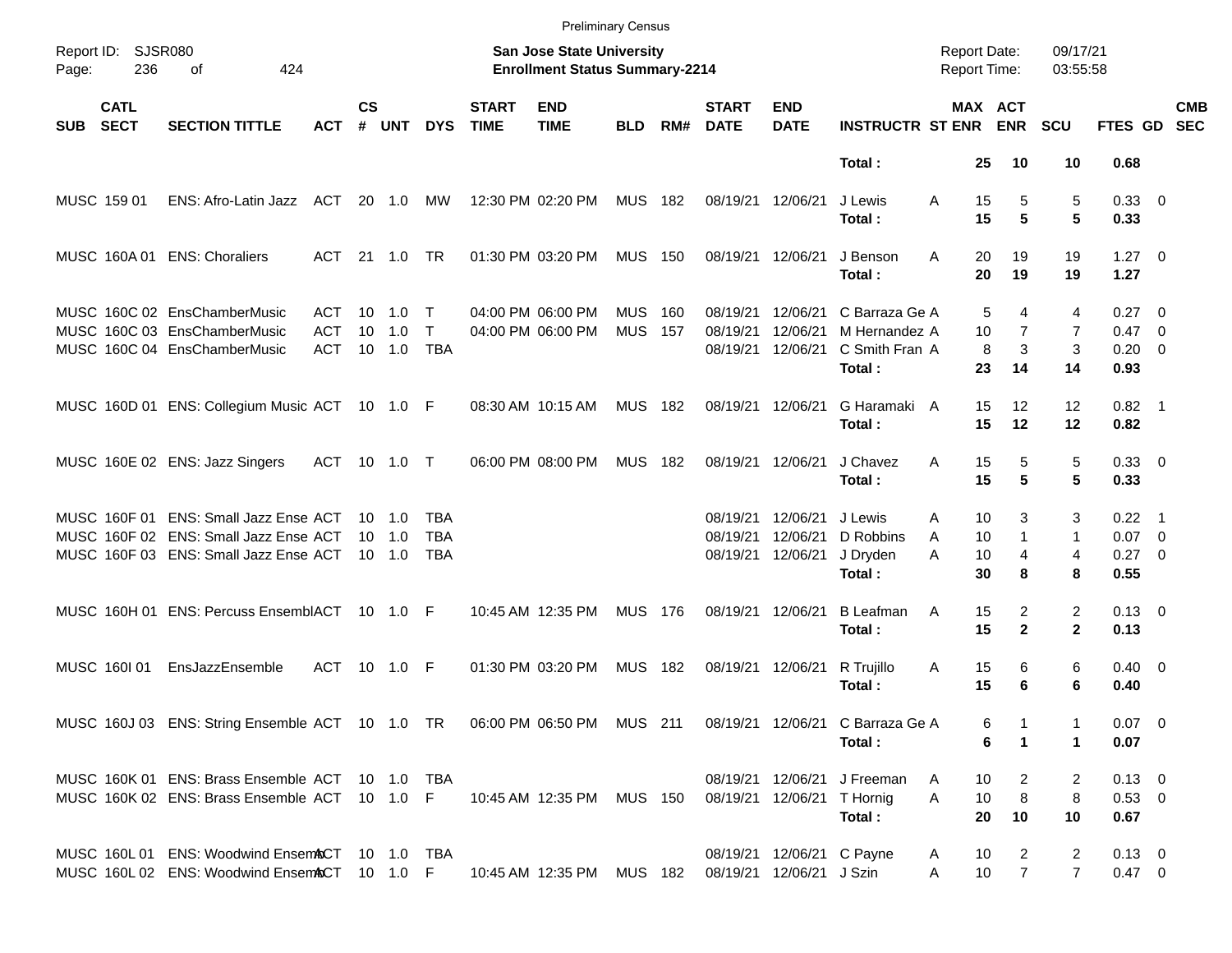|            |                            |                                                                                                                         |                                 |               |                                                    |                                 |                             |                                                                           | <b>Preliminary Census</b> |                |                                  |                                                       |                                                   |                                     |                                |                                  |                                                |                          |
|------------|----------------------------|-------------------------------------------------------------------------------------------------------------------------|---------------------------------|---------------|----------------------------------------------------|---------------------------------|-----------------------------|---------------------------------------------------------------------------|---------------------------|----------------|----------------------------------|-------------------------------------------------------|---------------------------------------------------|-------------------------------------|--------------------------------|----------------------------------|------------------------------------------------|--------------------------|
| Page:      | Report ID: SJSR080<br>236  | 424<br>οf                                                                                                               |                                 |               |                                                    |                                 |                             | <b>San Jose State University</b><br><b>Enrollment Status Summary-2214</b> |                           |                |                                  |                                                       |                                                   | <b>Report Date:</b><br>Report Time: |                                | 09/17/21<br>03:55:58             |                                                |                          |
| <b>SUB</b> | <b>CATL</b><br><b>SECT</b> | <b>SECTION TITTLE</b>                                                                                                   | <b>ACT</b>                      | $\mathsf{cs}$ | # UNT                                              | <b>DYS</b>                      | <b>START</b><br><b>TIME</b> | <b>END</b><br><b>TIME</b>                                                 | <b>BLD</b>                | RM#            | <b>START</b><br><b>DATE</b>      | <b>END</b><br><b>DATE</b>                             | <b>INSTRUCTR ST ENR ENR</b>                       | MAX ACT                             |                                | <b>SCU</b>                       | FTES GD                                        | <b>CMB</b><br><b>SEC</b> |
|            |                            |                                                                                                                         |                                 |               |                                                    |                                 |                             |                                                                           |                           |                |                                  |                                                       | Total:                                            | 25                                  | 10                             | 10                               | 0.68                                           |                          |
|            | MUSC 159 01                | ENS: Afro-Latin Jazz                                                                                                    | ACT                             |               | 20 1.0                                             | МW                              |                             | 12:30 PM 02:20 PM                                                         | MUS 182                   |                | 08/19/21 12/06/21                |                                                       | J Lewis<br>Total:                                 | 15<br>A<br>15                       | 5<br>5                         | 5<br>5                           | 0.33 0<br>0.33                                 |                          |
|            |                            | MUSC 160A 01 ENS: Choraliers                                                                                            | ACT                             |               | 21 1.0                                             | TR.                             |                             | 01:30 PM 03:20 PM                                                         | <b>MUS 150</b>            |                | 08/19/21 12/06/21                |                                                       | J Benson<br>Total:                                | A<br>20<br>20                       | 19<br>19                       | 19<br>19                         | $1.27 \t 0$<br>1.27                            |                          |
|            |                            | MUSC 160C 02 EnsChamberMusic<br>MUSC 160C 03 EnsChamberMusic<br>MUSC 160C 04 EnsChamberMusic                            | ACT<br><b>ACT</b><br><b>ACT</b> | 10            | $10 \quad 1.0$<br>1.0<br>10 1.0                    | Т<br>$\mathsf{T}$<br><b>TBA</b> |                             | 04:00 PM 06:00 PM<br>04:00 PM 06:00 PM                                    | <b>MUS</b><br><b>MUS</b>  | - 160<br>- 157 | 08/19/21<br>08/19/21<br>08/19/21 | 12/06/21<br>12/06/21<br>12/06/21                      | C Barraza Ge A<br>M Hernandez A<br>C Smith Fran A | 5<br>10<br>8                        | 4<br>$\overline{7}$<br>3       | 4<br>7<br>3                      | $0.27 \quad 0$<br>$0.47 \quad 0$<br>$0.20 \ 0$ |                          |
|            |                            | MUSC 160D 01 ENS: Collegium Music ACT 10 1.0 F                                                                          |                                 |               |                                                    |                                 |                             | 08:30 AM 10:15 AM                                                         | <b>MUS 182</b>            |                | 08/19/21 12/06/21                |                                                       | Total:<br>G Haramaki A<br>Total:                  | 23<br>15<br>15                      | 14<br>$12 \overline{ }$<br>12  | 14<br>12<br>12                   | 0.93<br>$0.82$ 1<br>0.82                       |                          |
|            |                            | MUSC 160E 02 ENS: Jazz Singers                                                                                          | <b>ACT</b>                      |               |                                                    |                                 |                             | 06:00 PM 08:00 PM                                                         | <b>MUS 182</b>            |                | 08/19/21 12/06/21                |                                                       | J Chavez<br>Total:                                | A<br>15<br>15                       | 5<br>5                         | 5<br>5                           | 0.33 0<br>0.33                                 |                          |
|            |                            | MUSC 160F 01 ENS: Small Jazz Ense ACT<br>MUSC 160F 02 ENS: Small Jazz Ense ACT<br>MUSC 160F 03 ENS: Small Jazz Ense ACT |                                 |               | $10 \quad 1.0$<br>$10 \quad 1.0$<br>$10 \quad 1.0$ | TBA<br><b>TBA</b><br>TBA        |                             |                                                                           |                           |                | 08/19/21<br>08/19/21<br>08/19/21 | 12/06/21<br>12/06/21<br>12/06/21                      | J Lewis<br>D Robbins<br>J Dryden<br>Total:        | 10<br>Α<br>A<br>10<br>10<br>A<br>30 | 3<br>$\mathbf{1}$<br>4<br>8    | 3<br>$\mathbf{1}$<br>4<br>8      | $0.22$ 1<br>$0.07$ 0<br>$0.27$ 0<br>0.55       |                          |
|            |                            | MUSC 160H 01 ENS: Percuss EnsemblACT                                                                                    |                                 |               |                                                    | F                               |                             | 10:45 AM 12:35 PM                                                         | MUS 176                   |                | 08/19/21 12/06/21                |                                                       | <b>B</b> Leafman<br>Total:                        | 15<br>Α<br>15                       | $\overline{2}$<br>$\mathbf{2}$ | $\overline{2}$<br>$\mathbf{2}$   | $0.13 \quad 0$<br>0.13                         |                          |
|            | MUSC 160101                | EnsJazzEnsemble                                                                                                         | ACT                             |               |                                                    |                                 |                             | 01:30 PM 03:20 PM                                                         | MUS 182                   |                |                                  | 08/19/21 12/06/21                                     | R Trujillo<br>Total:                              | 15<br>Α<br>15                       | 6<br>6                         | 6<br>6                           | $0.40 \quad 0$<br>0.40                         |                          |
|            |                            | MUSC 160J 03 ENS: String Ensemble ACT 10 1.0 TR 06:00 PM 06:50 PM MUS 211 08/19/21 12/06/21 C Barraza Ge A              |                                 |               |                                                    |                                 |                             |                                                                           |                           |                |                                  |                                                       | Total:                                            | 6<br>6                              | 1                              | 1                                | $0.07$ 0<br>0.07                               |                          |
|            |                            | MUSC 160K 01 ENS: Brass Ensemble ACT 10 1.0 TBA<br>MUSC 160K 02 ENS: Brass Ensemble ACT 10 1.0 F                        |                                 |               |                                                    |                                 |                             | 10:45 AM 12:35 PM MUS 150                                                 |                           |                |                                  | 08/19/21 12/06/21 T Hornig                            | 08/19/21 12/06/21 J Freeman<br>Total:             | 10<br>A<br>A<br>10<br>20            | 2<br>8<br>10                   | 2<br>8<br>10                     | $0.13 \ 0$<br>$0.53 \ 0$<br>0.67               |                          |
|            |                            | MUSC 160L 01 ENS: Woodwind EnsemACT 10 1.0 TBA<br>MUSC 160L 02 ENS: Woodwind EnsemACT 10 1.0 F                          |                                 |               |                                                    |                                 |                             | 10:45 AM 12:35 PM MUS 182                                                 |                           |                |                                  | 08/19/21 12/06/21 C Payne<br>08/19/21 12/06/21 J Szin |                                                   | 10<br>A<br>10 <sub>1</sub><br>A     | 2<br>$\overline{7}$            | $\overline{2}$<br>$\overline{7}$ | $0.13 \ 0$<br>$0.47 \ 0$                       |                          |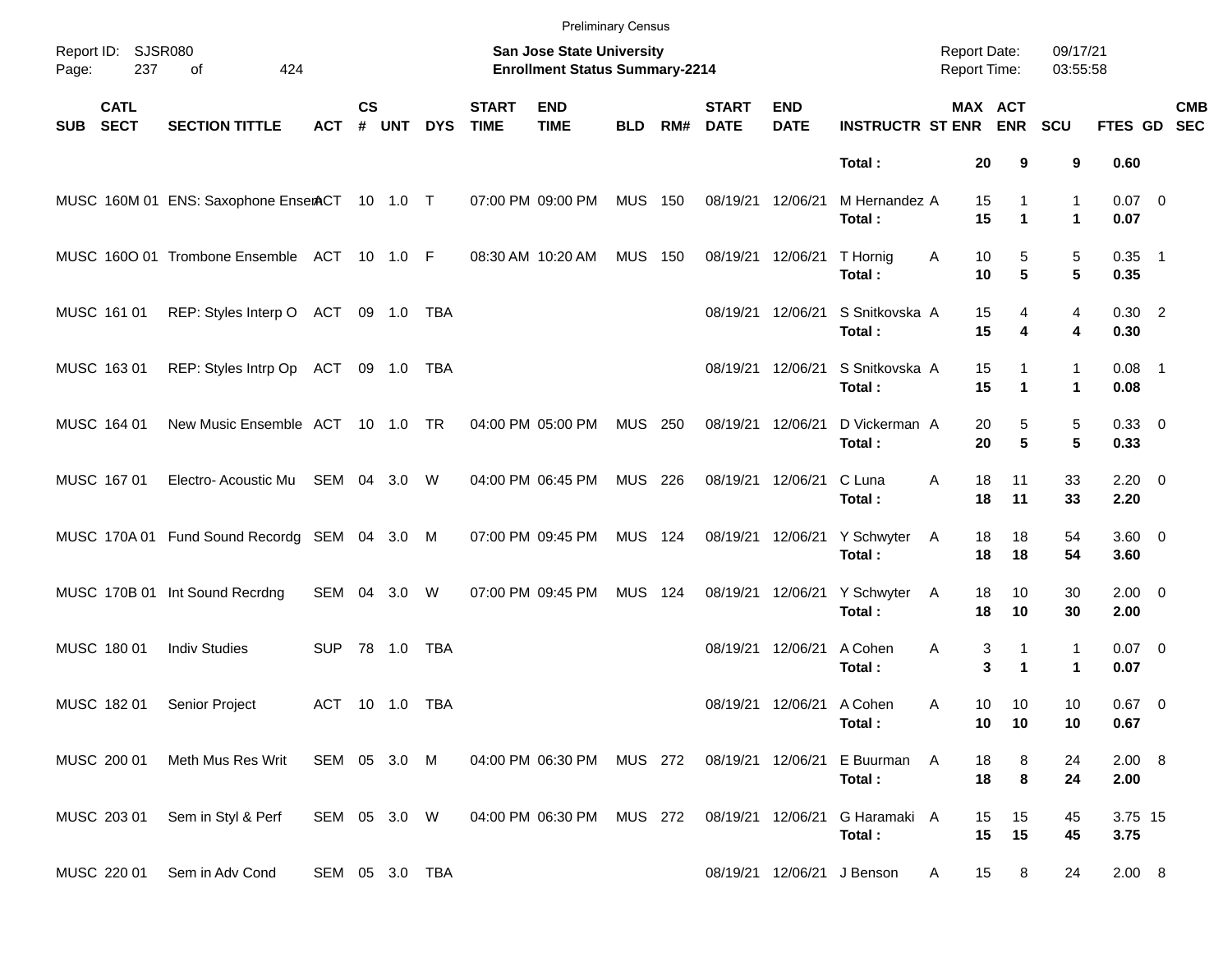|            |                            |                                               |                |               |        |            |                             | <b>Preliminary Census</b>                                          |                |     |                             |                           |                             |                                     |                           |                           |                     |            |
|------------|----------------------------|-----------------------------------------------|----------------|---------------|--------|------------|-----------------------------|--------------------------------------------------------------------|----------------|-----|-----------------------------|---------------------------|-----------------------------|-------------------------------------|---------------------------|---------------------------|---------------------|------------|
| Page:      | Report ID: SJSR080<br>237  | 424<br>of                                     |                |               |        |            |                             | San Jose State University<br><b>Enrollment Status Summary-2214</b> |                |     |                             |                           |                             | <b>Report Date:</b><br>Report Time: |                           | 09/17/21<br>03:55:58      |                     |            |
| <b>SUB</b> | <b>CATL</b><br><b>SECT</b> | <b>SECTION TITTLE</b>                         | ACT            | $\mathsf{cs}$ | # UNT  | <b>DYS</b> | <b>START</b><br><b>TIME</b> | <b>END</b><br><b>TIME</b>                                          | <b>BLD</b>     | RM# | <b>START</b><br><b>DATE</b> | <b>END</b><br><b>DATE</b> | <b>INSTRUCTR ST ENR ENR</b> |                                     | MAX ACT                   | <b>SCU</b>                | FTES GD SEC         | <b>CMB</b> |
|            |                            |                                               |                |               |        |            |                             |                                                                    |                |     |                             |                           | Total:                      | 20                                  | 9                         | 9                         | 0.60                |            |
|            |                            | MUSC 160M 01 ENS: Saxophone EnserACT 10 1.0 T |                |               |        |            |                             | 07:00 PM 09:00 PM                                                  | <b>MUS 150</b> |     | 08/19/21 12/06/21           |                           | M Hernandez A<br>Total:     | 15<br>15                            | 1<br>$\blacktriangleleft$ | 1<br>$\mathbf 1$          | $0.07$ 0<br>0.07    |            |
|            |                            | MUSC 1600 01 Trombone Ensemble ACT 10 1.0 F   |                |               |        |            |                             | 08:30 AM 10:20 AM                                                  | <b>MUS 150</b> |     |                             | 08/19/21 12/06/21         | T Hornig<br>Total:          | Α<br>10<br>10                       | 5<br>5                    | $\mathbf 5$<br>5          | $0.35$ 1<br>0.35    |            |
|            | MUSC 161 01                | REP: Styles Interp O ACT                      |                |               | 09 1.0 | TBA        |                             |                                                                    |                |     |                             | 08/19/21 12/06/21         | S Snitkovska A<br>Total:    | 15<br>15                            | 4<br>4                    | 4<br>4                    | $0.30$ 2<br>0.30    |            |
|            | MUSC 163 01                | REP: Styles Intrp Op ACT                      |                |               | 09 1.0 | TBA        |                             |                                                                    |                |     |                             | 08/19/21 12/06/21         | S Snitkovska A<br>Total:    | 15<br>15                            | 1<br>$\blacktriangleleft$ | 1<br>$\mathbf 1$          | $0.08$ 1<br>0.08    |            |
|            | MUSC 164 01                | New Music Ensemble ACT 10 1.0 TR              |                |               |        |            |                             | 04:00 PM 05:00 PM                                                  | <b>MUS 250</b> |     | 08/19/21 12/06/21           |                           | D Vickerman A<br>Total:     | 20<br>20                            | 5<br>5                    | 5<br>5                    | 0.33 0<br>0.33      |            |
|            | MUSC 167 01                | Electro-Acoustic Mu SEM 04 3.0                |                |               |        | W          |                             | 04:00 PM 06:45 PM                                                  | MUS 226        |     |                             | 08/19/21 12/06/21         | C Luna<br>Total:            | 18<br>Α<br>18                       | 11<br>11                  | 33<br>33                  | $2.20 \t 0$<br>2.20 |            |
|            |                            | MUSC 170A 01 Fund Sound Recordg SEM 04 3.0 M  |                |               |        |            |                             | 07:00 PM 09:45 PM                                                  | <b>MUS 124</b> |     |                             | 08/19/21 12/06/21         | Y Schwyter<br>Total:        | 18<br>A<br>18                       | 18<br>18                  | 54<br>54                  | $3.60 \ 0$<br>3.60  |            |
|            |                            | MUSC 170B 01 Int Sound Recrdng                | SEM 04 3.0     |               |        | W          |                             | 07:00 PM 09:45 PM                                                  | <b>MUS 124</b> |     |                             | 08/19/21 12/06/21         | Y Schwyter<br>Total:        | 18<br>A<br>18                       | 10<br>10                  | 30<br>30                  | $2.00 \t 0$<br>2.00 |            |
|            | MUSC 180 01                | <b>Indiv Studies</b>                          | <b>SUP</b>     |               | 78 1.0 | <b>TBA</b> |                             |                                                                    |                |     |                             | 08/19/21 12/06/21         | A Cohen<br>Total:           | Α                                   | 3<br>1<br>3<br>1          | 1<br>$\blacktriangleleft$ | $0.07$ 0<br>0.07    |            |
|            | MUSC 182 01                | Senior Project                                | ACT 10 1.0 TBA |               |        |            |                             |                                                                    |                |     |                             | 08/19/21 12/06/21 A Cohen | Total:                      | 10<br>Α<br>10                       | 10<br>10                  | 10<br>10                  | $0.67$ 0<br>0.67    |            |
|            | MUSC 200 01                | Meth Mus Res Writ                             | SEM 05 3.0 M   |               |        |            |                             | 04:00 PM 06:30 PM MUS 272                                          |                |     | 08/19/21 12/06/21           |                           | E Buurman A<br>Total:       | 18<br>18                            | 8<br>8                    | 24<br>24                  | 2.00 8<br>2.00      |            |
|            | MUSC 203 01                | Sem in Styl & Perf                            | SEM 05 3.0 W   |               |        |            |                             | 04:00 PM 06:30 PM                                                  | MUS 272        |     | 08/19/21 12/06/21           |                           | G Haramaki A<br>Total:      | 15<br>15                            | 15<br>15                  | 45<br>45                  | 3.75 15<br>3.75     |            |
|            | MUSC 220 01                | Sem in Adv Cond                               | SEM 05 3.0 TBA |               |        |            |                             |                                                                    |                |     |                             |                           | 08/19/21 12/06/21 J Benson  | 15<br>A                             | 8                         | 24                        | 2.00 8              |            |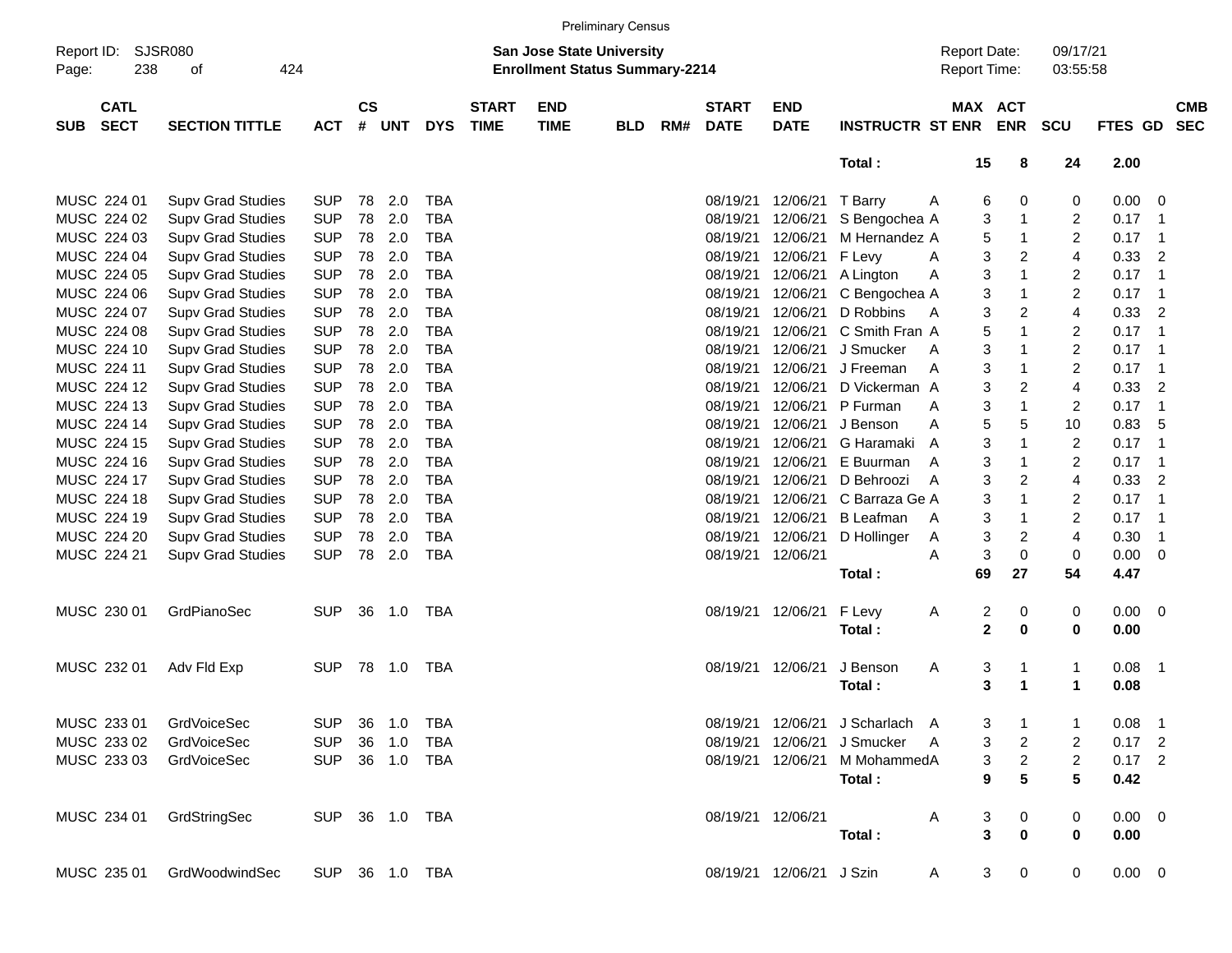|                     |                            |                             |                |                    |                |            |                             |                                                                           | <b>Preliminary Census</b> |     |                             |                           |                                 |                                     |                |                |                      |             |                |                          |
|---------------------|----------------------------|-----------------------------|----------------|--------------------|----------------|------------|-----------------------------|---------------------------------------------------------------------------|---------------------------|-----|-----------------------------|---------------------------|---------------------------------|-------------------------------------|----------------|----------------|----------------------|-------------|----------------|--------------------------|
| Report ID:<br>Page: | 238                        | <b>SJSR080</b><br>424<br>οf |                |                    |                |            |                             | <b>San Jose State University</b><br><b>Enrollment Status Summary-2214</b> |                           |     |                             |                           |                                 | <b>Report Date:</b><br>Report Time: |                |                | 09/17/21<br>03:55:58 |             |                |                          |
| <b>SUB</b>          | <b>CATL</b><br><b>SECT</b> | <b>SECTION TITTLE</b>       | <b>ACT</b>     | $\mathsf{cs}$<br># | <b>UNT</b>     | <b>DYS</b> | <b>START</b><br><b>TIME</b> | <b>END</b><br><b>TIME</b>                                                 | <b>BLD</b>                | RM# | <b>START</b><br><b>DATE</b> | <b>END</b><br><b>DATE</b> | <b>INSTRUCTR ST ENR</b>         | MAX ACT                             |                | <b>ENR</b>     | <b>SCU</b>           | <b>FTES</b> | <b>GD</b>      | <b>CMB</b><br><b>SEC</b> |
|                     |                            |                             |                |                    |                |            |                             |                                                                           |                           |     |                             |                           | Total:                          |                                     | 15             | 8              | 24                   | 2.00        |                |                          |
|                     | MUSC 224 01                | <b>Supv Grad Studies</b>    | <b>SUP</b>     | 78                 | 2.0            | <b>TBA</b> |                             |                                                                           |                           |     | 08/19/21                    | 12/06/21                  | T Barry                         | A                                   | 6              | 0              | 0                    | 0.00        | - 0            |                          |
|                     | MUSC 224 02                | <b>Supv Grad Studies</b>    | <b>SUP</b>     | 78                 | 2.0            | <b>TBA</b> |                             |                                                                           |                           |     | 08/19/21                    | 12/06/21                  | S Bengochea A                   |                                     | 3              | $\mathbf{1}$   | $\overline{c}$       | 0.17        | $\overline{1}$ |                          |
|                     | MUSC 224 03                | <b>Supv Grad Studies</b>    | <b>SUP</b>     | 78                 | 2.0            | <b>TBA</b> |                             |                                                                           |                           |     | 08/19/21                    | 12/06/21                  | M Hernandez A                   |                                     | 5              | $\mathbf{1}$   | $\overline{c}$       | 0.17        | $\overline{1}$ |                          |
|                     | MUSC 224 04                | <b>Supv Grad Studies</b>    | <b>SUP</b>     | 78                 | 2.0            | <b>TBA</b> |                             |                                                                           |                           |     | 08/19/21                    | 12/06/21                  | F Levy                          | A                                   | 3              | $\overline{2}$ | 4                    | 0.33        | $\overline{2}$ |                          |
|                     | MUSC 224 05                | <b>Supv Grad Studies</b>    | <b>SUP</b>     | 78                 | 2.0            | <b>TBA</b> |                             |                                                                           |                           |     | 08/19/21                    | 12/06/21                  | A Lington                       | Α                                   | 3              | $\mathbf{1}$   | $\overline{c}$       | 0.17        | $\overline{1}$ |                          |
|                     | MUSC 224 06                | <b>Supv Grad Studies</b>    | <b>SUP</b>     | 78                 | 2.0            | <b>TBA</b> |                             |                                                                           |                           |     | 08/19/21                    | 12/06/21                  | C Bengochea A                   |                                     | 3              | $\mathbf{1}$   | $\overline{c}$       | 0.17        | $\overline{1}$ |                          |
|                     | MUSC 224 07                | <b>Supv Grad Studies</b>    | <b>SUP</b>     | 78                 | 2.0            | <b>TBA</b> |                             |                                                                           |                           |     | 08/19/21                    | 12/06/21                  | D Robbins                       | $\overline{A}$                      | 3              | 2              | 4                    | 0.33        | $\overline{2}$ |                          |
|                     | MUSC 224 08                | <b>Supv Grad Studies</b>    | <b>SUP</b>     | 78                 | 2.0            | <b>TBA</b> |                             |                                                                           |                           |     | 08/19/21                    | 12/06/21                  | C Smith Fran A                  |                                     | 5              | $\mathbf{1}$   | $\overline{c}$       | 0.17        | $\overline{1}$ |                          |
|                     | MUSC 224 10                | <b>Supv Grad Studies</b>    | <b>SUP</b>     | 78                 | 2.0            | <b>TBA</b> |                             |                                                                           |                           |     | 08/19/21                    | 12/06/21                  | J Smucker                       | A                                   | 3              | $\mathbf{1}$   | $\overline{c}$       | 0.17        | $\overline{1}$ |                          |
|                     | MUSC 224 11                | <b>Supv Grad Studies</b>    | <b>SUP</b>     | 78                 | 2.0            | <b>TBA</b> |                             |                                                                           |                           |     | 08/19/21                    | 12/06/21                  | J Freeman                       | A                                   | 3              | $\mathbf{1}$   | $\overline{c}$       | 0.17        | $\overline{1}$ |                          |
|                     | MUSC 224 12                | <b>Supv Grad Studies</b>    | <b>SUP</b>     | 78                 | 2.0            | <b>TBA</b> |                             |                                                                           |                           |     | 08/19/21                    | 12/06/21                  | D Vickerman A                   |                                     | 3              | 2              | 4                    | 0.33        | $\overline{2}$ |                          |
|                     | MUSC 224 13                | <b>Supv Grad Studies</b>    | <b>SUP</b>     | 78                 | 2.0            | <b>TBA</b> |                             |                                                                           |                           |     | 08/19/21                    | 12/06/21                  | P Furman                        | A                                   | 3              | $\mathbf{1}$   | $\overline{c}$       | 0.17        | $\overline{1}$ |                          |
|                     | MUSC 224 14                | <b>Supv Grad Studies</b>    | <b>SUP</b>     | 78                 | 2.0            | <b>TBA</b> |                             |                                                                           |                           |     | 08/19/21                    | 12/06/21                  | J Benson                        | A                                   | 5              | 5              | 10                   | 0.83        | -5             |                          |
|                     | MUSC 224 15                | <b>Supv Grad Studies</b>    | <b>SUP</b>     | 78                 | 2.0            | <b>TBA</b> |                             |                                                                           |                           |     | 08/19/21                    | 12/06/21                  | G Haramaki                      | A                                   | 3              | $\mathbf{1}$   | $\overline{2}$       | 0.17        | $\overline{1}$ |                          |
|                     | MUSC 224 16                | <b>Supv Grad Studies</b>    | <b>SUP</b>     | 78                 | 2.0            | <b>TBA</b> |                             |                                                                           |                           |     | 08/19/21                    | 12/06/21                  | E Buurman                       | A                                   | 3              | $\mathbf{1}$   | $\overline{c}$       | 0.17        | $\overline{1}$ |                          |
|                     | MUSC 224 17                | <b>Supv Grad Studies</b>    | <b>SUP</b>     | 78                 | 2.0            | <b>TBA</b> |                             |                                                                           |                           |     | 08/19/21                    | 12/06/21                  | D Behroozi                      | A                                   | 3              | $\overline{2}$ | 4                    | 0.33        | $\overline{2}$ |                          |
|                     | MUSC 224 18                | <b>Supv Grad Studies</b>    | <b>SUP</b>     | 78                 | 2.0            | <b>TBA</b> |                             |                                                                           |                           |     | 08/19/21                    | 12/06/21                  | C Barraza Ge A                  |                                     | 3              | $\mathbf{1}$   | $\overline{c}$       | 0.17        | $\overline{1}$ |                          |
|                     | MUSC 224 19                | <b>Supv Grad Studies</b>    | <b>SUP</b>     | 78                 | 2.0            | <b>TBA</b> |                             |                                                                           |                           |     | 08/19/21                    | 12/06/21                  | <b>B</b> Leafman                | A                                   | 3              | $\mathbf{1}$   | $\overline{c}$       | 0.17        | $\overline{1}$ |                          |
|                     | MUSC 224 20                | <b>Supv Grad Studies</b>    | <b>SUP</b>     | 78                 | 2.0            | <b>TBA</b> |                             |                                                                           |                           |     | 08/19/21                    | 12/06/21                  | D Hollinger                     | $\mathsf{A}$                        | 3              | $\overline{c}$ | 4                    | 0.30        | $\overline{1}$ |                          |
|                     | MUSC 224 21                | <b>Supv Grad Studies</b>    | <b>SUP</b>     | 78                 | 2.0            | <b>TBA</b> |                             |                                                                           |                           |     | 08/19/21                    | 12/06/21                  |                                 | A                                   | 3              | $\mathbf 0$    | $\mathbf 0$          | 0.00        | $\overline{0}$ |                          |
|                     |                            |                             |                |                    |                |            |                             |                                                                           |                           |     |                             |                           | Total:                          |                                     | 69             | 27             | 54                   | 4.47        |                |                          |
|                     | MUSC 230 01                | GrdPianoSec                 | <b>SUP</b>     | 36                 | 1.0            | TBA        |                             |                                                                           |                           |     | 08/19/21                    | 12/06/21                  | F Levy                          | A                                   | 2              | 0              | 0                    | 0.00        | - 0            |                          |
|                     |                            |                             |                |                    |                |            |                             |                                                                           |                           |     |                             |                           | Total:                          |                                     | $\mathbf{2}$   | $\mathbf 0$    | $\mathbf 0$          | 0.00        |                |                          |
|                     | MUSC 232 01                | Adv Fld Exp                 | <b>SUP</b>     | 78                 | 1.0            | TBA        |                             |                                                                           |                           |     | 08/19/21                    | 12/06/21                  | J Benson                        | Α                                   | 3              | $\mathbf 1$    | 1                    | 0.08        | $\overline{1}$ |                          |
|                     |                            |                             |                |                    |                |            |                             |                                                                           |                           |     |                             |                           | Total:                          |                                     | 3              | 1              | 1                    | 0.08        |                |                          |
|                     | MUSC 233 01                | GrdVoiceSec                 |                |                    | SUP 36 1.0 TBA |            |                             |                                                                           |                           |     |                             |                           | 08/19/21 12/06/21 J Scharlach A |                                     | 3              | $\overline{1}$ | 1                    | $0.08$ 1    |                |                          |
|                     | MUSC 233 02                | <b>GrdVoiceSec</b>          | <b>SUP</b>     |                    | 36 1.0         | TBA        |                             |                                                                           |                           |     |                             | 08/19/21 12/06/21         | J Smucker A                     |                                     | 3              | $\overline{2}$ | 2                    | $0.17$ 2    |                |                          |
|                     |                            | MUSC 233 03 GrdVoiceSec     | <b>SUP</b>     |                    | 36 1.0 TBA     |            |                             |                                                                           |                           |     |                             |                           | 08/19/21 12/06/21 M MohammedA   |                                     | 3              | $\overline{2}$ | $\overline{2}$       | $0.17$ 2    |                |                          |
|                     |                            |                             |                |                    |                |            |                             |                                                                           |                           |     |                             |                           | Total:                          |                                     | 9              | 5              | 5                    | 0.42        |                |                          |
|                     | MUSC 234 01                | GrdStringSec                | SUP 36 1.0 TBA |                    |                |            |                             |                                                                           |                           |     |                             | 08/19/21 12/06/21         |                                 | Α                                   | 3              | $\mathbf 0$    | 0                    | $0.00 \ 0$  |                |                          |
|                     |                            |                             |                |                    |                |            |                             |                                                                           |                           |     |                             |                           | Total:                          |                                     | 3              | $\mathbf 0$    | 0                    | 0.00        |                |                          |
|                     |                            | MUSC 235 01 GrdWoodwindSec  | SUP 36 1.0 TBA |                    |                |            |                             |                                                                           |                           |     |                             | 08/19/21 12/06/21 J Szin  |                                 | $\mathsf{A}$                        | 3 <sup>7</sup> | $\mathbf 0$    | 0                    | $0.00 \t 0$ |                |                          |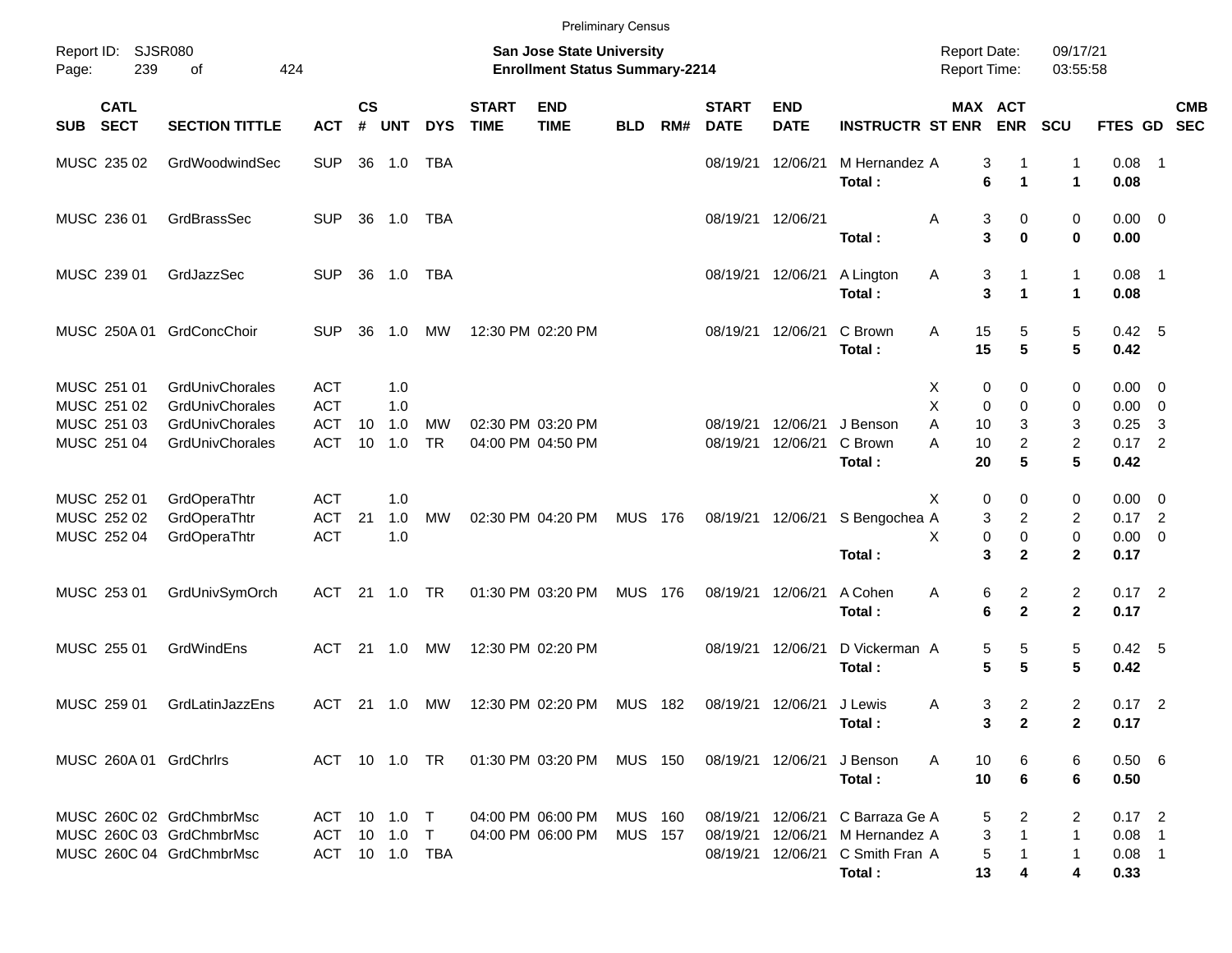|                                                      |                                    |                          |                    |                      |                        |                             | <b>Preliminary Census</b>                                                 |                                  |       |                             |                               |                                 |        |                                     |                                             |                                                                |                                                    |                          |
|------------------------------------------------------|------------------------------------|--------------------------|--------------------|----------------------|------------------------|-----------------------------|---------------------------------------------------------------------------|----------------------------------|-------|-----------------------------|-------------------------------|---------------------------------|--------|-------------------------------------|---------------------------------------------|----------------------------------------------------------------|----------------------------------------------------|--------------------------|
| Report ID:<br>239<br>Page:                           | <b>SJSR080</b><br>424<br>οf        |                          |                    |                      |                        |                             | <b>San Jose State University</b><br><b>Enrollment Status Summary-2214</b> |                                  |       |                             |                               |                                 |        | <b>Report Date:</b><br>Report Time: |                                             | 09/17/21<br>03:55:58                                           |                                                    |                          |
| <b>CATL</b><br><b>SECT</b><br><b>SUB</b>             | <b>SECTION TITTLE</b>              | <b>ACT</b>               | $\mathsf{cs}$<br># | <b>UNT</b>           | <b>DYS</b>             | <b>START</b><br><b>TIME</b> | <b>END</b><br><b>TIME</b>                                                 | <b>BLD</b>                       | RM#   | <b>START</b><br><b>DATE</b> | <b>END</b><br><b>DATE</b>     | <b>INSTRUCTR ST ENR</b>         |        | MAX ACT<br><b>ENR</b>               | <b>SCU</b>                                  | FTES GD                                                        |                                                    | <b>CMB</b><br><b>SEC</b> |
| MUSC 235 02                                          | GrdWoodwindSec                     | <b>SUP</b>               | 36                 | 1.0                  | TBA                    |                             |                                                                           |                                  |       | 08/19/21                    | 12/06/21                      | M Hernandez A<br>Total:         |        | 3<br>6                              | $\mathbf{1}$<br>-1<br>$\mathbf{1}$          | 0.08<br>$\mathbf{1}$<br>0.08                                   | - 1                                                |                          |
| MUSC 236 01                                          | GrdBrassSec                        | <b>SUP</b>               | 36                 | 1.0                  | TBA                    |                             |                                                                           |                                  |       |                             | 08/19/21 12/06/21             | Total:                          | A      | 3<br>3                              | 0<br>$\mathbf 0$                            | 0<br>$\mathbf 0$<br>0.00                                       | $0.00 \quad 0$                                     |                          |
| MUSC 239 01                                          | GrdJazzSec                         | <b>SUP</b>               | 36                 | 1.0                  | TBA                    |                             |                                                                           |                                  |       |                             | 08/19/21 12/06/21             | A Lington<br>Total:             | A      | 3<br>$\mathbf{3}$                   | 1<br>1                                      | $\mathbf{1}$<br>0.08<br>$\mathbf{1}$<br>0.08                   | - 1                                                |                          |
| MUSC 250A 01                                         | GrdConcChoir                       | <b>SUP</b>               | 36                 | 1.0                  | MW                     |                             | 12:30 PM 02:20 PM                                                         |                                  |       |                             | 08/19/21 12/06/21             | C Brown<br>Total:               | A      | 15<br>15                            | 5<br>5                                      | 5<br>$5\phantom{.0}$<br>0.42                                   | 0.42 5                                             |                          |
| MUSC 251 01<br>MUSC 251 02                           | GrdUnivChorales<br>GrdUnivChorales | <b>ACT</b><br><b>ACT</b> |                    | 1.0<br>1.0           |                        |                             |                                                                           |                                  |       |                             |                               |                                 | Х<br>X | 0<br>$\mathbf 0$                    | 0<br>$\mathbf 0$                            | 0<br>0.00<br>0<br>0.00                                         | $\overline{\mathbf{0}}$<br>$\overline{\mathbf{0}}$ |                          |
| MUSC 251 03<br>MUSC 251 04                           | GrdUnivChorales<br>GrdUnivChorales | <b>ACT</b><br><b>ACT</b> | 10<br>10           | 1.0<br>1.0           | <b>MW</b><br><b>TR</b> |                             | 02:30 PM 03:20 PM<br>04:00 PM 04:50 PM                                    |                                  |       | 08/19/21<br>08/19/21        | 12/06/21<br>12/06/21          | J Benson<br>C Brown<br>Total:   | A<br>A | 10<br>10<br>20                      | 3<br>$\overline{\mathbf{c}}$<br>5           | 3<br>0.25<br>$\overline{2}$<br>0.17<br>$5\phantom{.0}$<br>0.42 | -3<br>$\overline{2}$                               |                          |
| MUSC 252 01                                          | GrdOperaThtr                       | <b>ACT</b>               |                    | 1.0                  |                        |                             |                                                                           |                                  |       |                             |                               |                                 | X      | 0                                   | 0                                           | 0<br>0.00                                                      | $\overline{\phantom{0}}$                           |                          |
| MUSC 252 02<br>MUSC 252 04                           | GrdOperaThtr<br>GrdOperaThtr       | <b>ACT</b><br><b>ACT</b> | 21                 | 1.0<br>1.0           | <b>MW</b>              |                             | 02:30 PM 04:20 PM                                                         | <b>MUS 176</b>                   |       |                             | 08/19/21 12/06/21             | S Bengochea A<br>Total:         | X      | 3<br>0<br>3                         | $\overline{\mathbf{c}}$<br>0<br>$\mathbf 2$ | $\overline{2}$<br>0.17<br>0<br>0.00<br>$\mathbf{2}$<br>0.17    | $\overline{2}$<br>$\overline{\mathbf{0}}$          |                          |
| MUSC 253 01                                          | GrdUnivSymOrch                     | <b>ACT</b>               | 21                 | 1.0                  | TR                     |                             | 01:30 PM 03:20 PM                                                         | MUS                              | - 176 |                             | 08/19/21 12/06/21             | A Cohen<br>Total:               | A      | 6<br>6                              | $\overline{c}$<br>$\mathbf 2$               | $\overline{2}$<br>$0.17$ 2<br>$\mathbf{2}$<br>0.17             |                                                    |                          |
| MUSC 255 01                                          | GrdWindEns                         | <b>ACT</b>               | 21                 | 1.0                  | MW                     |                             | 12:30 PM 02:20 PM                                                         |                                  |       |                             | 08/19/21 12/06/21             | D Vickerman A<br>Total:         |        | 5<br>5                              | 5<br>5                                      | 5<br>5<br>0.42                                                 | 0.42 5                                             |                          |
| MUSC 259 01                                          | GrdLatinJazzEns                    | <b>ACT</b>               |                    | $21 \t 1.0$          | MW                     |                             | 12:30 PM 02:20 PM                                                         | MUS 182                          |       |                             | 08/19/21 12/06/21             | J Lewis<br>Total:               | Α      | 3<br>3                              | $\overline{c}$<br>$\mathbf{2}$              | $\overline{2}$<br>$0.17$ 2<br>$\mathbf 2$<br>0.17              |                                                    |                          |
| MUSC 260A 01 GrdChrlrs                               |                                    |                          |                    | ACT 10 1.0 TR        |                        |                             | 01:30 PM 03:20 PM                                                         | MUS 150                          |       |                             | 08/19/21 12/06/21             | J Benson<br>Total:              | A      | 10<br>10                            | 6<br>6                                      | 0.506<br>6<br>6<br>0.50                                        |                                                    |                          |
| MUSC 260C 02 GrdChmbrMsc<br>MUSC 260C 03 GrdChmbrMsc |                                    | ACT<br>ACT               |                    | $10$ $1.0$<br>10 1.0 | $\top$<br>$\top$       |                             | 04:00 PM 06:00 PM<br>04:00 PM 06:00 PM                                    | <b>MUS 160</b><br><b>MUS 157</b> |       | 08/19/21                    | 08/19/21 12/06/21<br>12/06/21 | C Barraza Ge A<br>M Hernandez A |        | 5<br>3                              | 2<br>1                                      | 2<br>$0.17$ 2<br>$\mathbf{1}$<br>$0.08$ 1                      |                                                    |                          |
| MUSC 260C 04 GrdChmbrMsc                             |                                    |                          |                    | ACT 10 1.0 TBA       |                        |                             |                                                                           |                                  |       |                             | 08/19/21 12/06/21             | C Smith Fran A<br>Total:        |        | 5<br>13                             | 4                                           | $\mathbf{1}$<br>$0.08$ 1<br>4<br>0.33                          |                                                    |                          |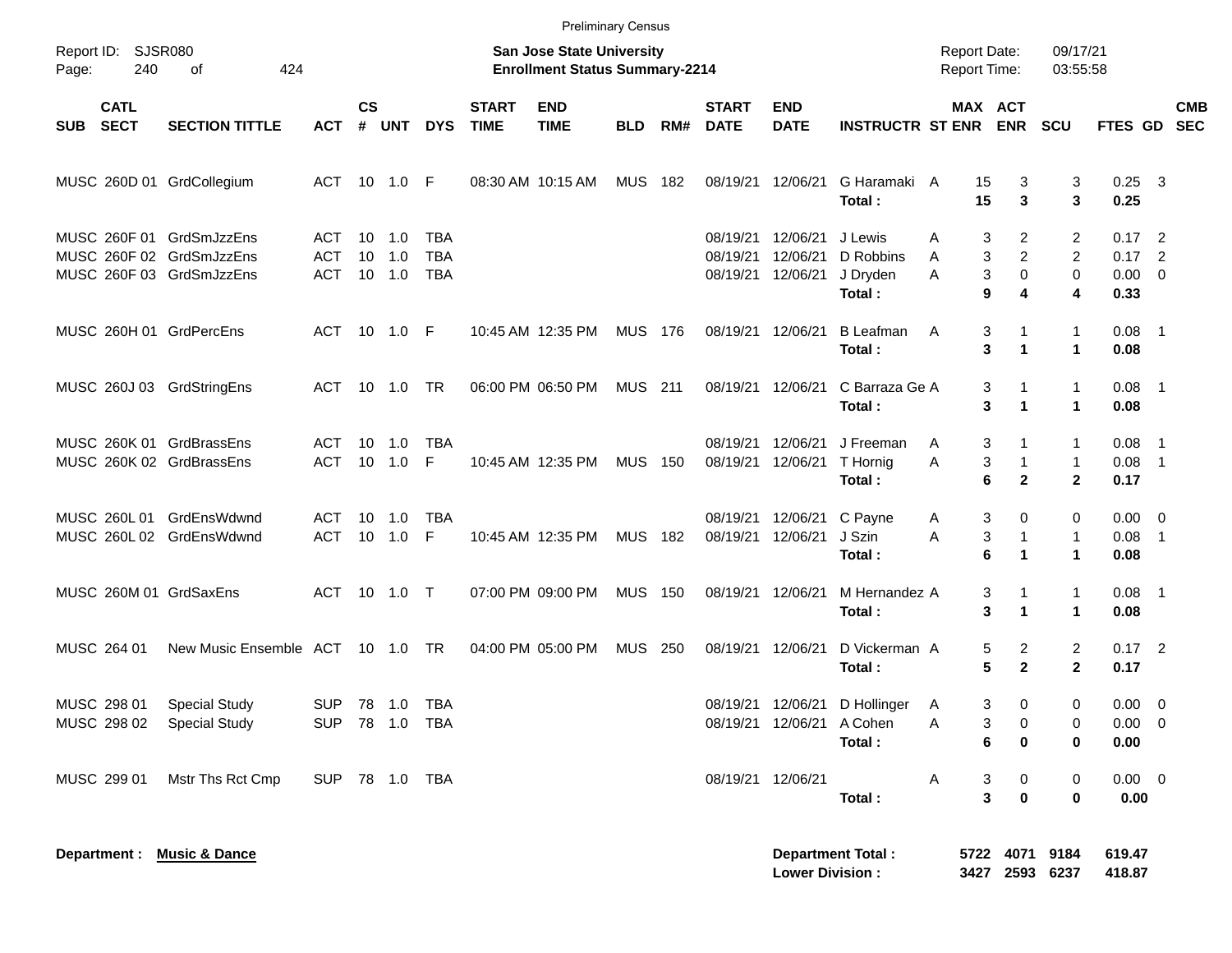|            |                                        |                                                                                  |                          |                    |                          |                                 |                             | <b>Preliminary Census</b>                                          |                |     |                                  |                                                |                                            |                   |                                                   |                                   |                                             |            |
|------------|----------------------------------------|----------------------------------------------------------------------------------|--------------------------|--------------------|--------------------------|---------------------------------|-----------------------------|--------------------------------------------------------------------|----------------|-----|----------------------------------|------------------------------------------------|--------------------------------------------|-------------------|---------------------------------------------------|-----------------------------------|---------------------------------------------|------------|
| Page:      | Report ID: SJSR080<br>240<br>of<br>424 |                                                                                  |                          |                    |                          |                                 |                             | San Jose State University<br><b>Enrollment Status Summary-2214</b> |                |     |                                  |                                                |                                            |                   | <b>Report Date:</b><br><b>Report Time:</b>        | 09/17/21<br>03:55:58              |                                             |            |
| <b>SUB</b> | <b>CATL</b><br><b>SECT</b>             | <b>SECTION TITTLE</b>                                                            | <b>ACT</b>               | $\mathsf{cs}$<br># | <b>UNT</b>               | <b>DYS</b>                      | <b>START</b><br><b>TIME</b> | <b>END</b><br><b>TIME</b>                                          | <b>BLD</b>     | RM# | <b>START</b><br><b>DATE</b>      | <b>END</b><br><b>DATE</b>                      | <b>INSTRUCTR ST ENR</b>                    |                   | MAX ACT<br><b>ENR</b>                             | <b>SCU</b>                        | FTES GD SEC                                 | <b>CMB</b> |
|            |                                        | MUSC 260D 01 GrdCollegium                                                        | ACT 10 1.0 F             |                    |                          |                                 |                             | 08:30 AM 10:15 AM                                                  | <b>MUS</b>     | 182 | 08/19/21                         | 12/06/21                                       | G Haramaki A<br>Total:                     |                   | 15<br>3<br>15<br>3                                | 3<br>3                            | $0.25$ 3<br>0.25                            |            |
|            |                                        | MUSC 260F 01 GrdSmJzzEns<br>MUSC 260F 02 GrdSmJzzEns<br>MUSC 260F 03 GrdSmJzzEns | ACT<br><b>ACT</b><br>ACT | 10                 | 10 1.0<br>1.0<br>10  1.0 | TBA<br><b>TBA</b><br><b>TBA</b> |                             |                                                                    |                |     | 08/19/21<br>08/19/21<br>08/19/21 | 12/06/21<br>12/06/21<br>12/06/21               | J Lewis<br>D Robbins<br>J Dryden<br>Total: | A<br>A<br>A       | 3<br>2<br>$\overline{c}$<br>3<br>3<br>0<br>9<br>4 | 2<br>2<br>0<br>4                  | $0.17$ 2<br>$0.17$ 2<br>$0.00 \t 0$<br>0.33 |            |
|            |                                        | MUSC 260H 01 GrdPercEns                                                          | ACT 10 1.0 F             |                    |                          |                                 |                             | 10:45 AM 12:35 PM                                                  | <b>MUS 176</b> |     | 08/19/21                         | 12/06/21                                       | <b>B</b> Leafman<br>Total:                 | Α                 | 3<br>1<br>3<br>$\blacktriangleleft$               | $\mathbf{1}$<br>$\mathbf 1$       | $0.08$ 1<br>0.08                            |            |
|            |                                        | MUSC 260J 03 GrdStringEns                                                        | ACT 10 1.0 TR            |                    |                          |                                 |                             | 06:00 PM 06:50 PM                                                  | <b>MUS</b> 211 |     |                                  | 08/19/21 12/06/21                              | C Barraza Ge A<br>Total:                   |                   | 3<br>1<br>3<br>$\blacktriangleleft$               | $\mathbf{1}$<br>1                 | $0.08$ 1<br>0.08                            |            |
|            |                                        | MUSC 260K 01 GrdBrassEns<br>MUSC 260K 02 GrdBrassEns                             | ACT<br>ACT 10 1.0        |                    | 10 1.0                   | <b>TBA</b><br>F                 |                             | 10:45 AM 12:35 PM                                                  | <b>MUS 150</b> |     | 08/19/21<br>08/19/21             | 12/06/21<br>12/06/21                           | J Freeman<br>T Hornig<br>Total:            | A<br>Α            | 3<br>1<br>3<br>$\mathbf{1}$<br>6<br>$\mathbf{2}$  | 1<br>$\mathbf{1}$<br>$\mathbf{2}$ | $0.08$ 1<br>$0.08$ 1<br>0.17                |            |
|            |                                        | MUSC 260L 01 GrdEnsWdwnd<br>MUSC 260L 02 GrdEnsWdwnd                             | ACT<br>ACT 10 1.0        |                    | 10 1.0                   | <b>TBA</b><br>F                 |                             | 10:45 AM 12:35 PM                                                  | <b>MUS 182</b> |     | 08/19/21<br>08/19/21             | 12/06/21<br>12/06/21                           | C Payne<br>J Szin<br>Total:                | A<br>A            | 3<br>0<br>3<br>1<br>6<br>1                        | 0<br>$\mathbf{1}$<br>$\mathbf{1}$ | $0.00 \t 0$<br>$0.08$ 1<br>0.08             |            |
|            |                                        | MUSC 260M 01 GrdSaxEns                                                           | ACT 10 1.0 T             |                    |                          |                                 |                             | 07:00 PM 09:00 PM                                                  | <b>MUS 150</b> |     |                                  | 08/19/21 12/06/21                              | M Hernandez A<br>Total:                    |                   | 3<br>1<br>3<br>$\mathbf{1}$                       | $\mathbf{1}$<br>1                 | $0.08$ 1<br>0.08                            |            |
|            | MUSC 264 01                            | New Music Ensemble ACT 10 1.0 TR                                                 |                          |                    |                          |                                 |                             | 04:00 PM 05:00 PM                                                  | <b>MUS</b>     | 250 | 08/19/21                         | 12/06/21                                       | D Vickerman A<br>Total:                    |                   | 5<br>2<br>5<br>$\mathbf{2}$                       | 2<br>$\mathbf{2}$                 | $0.17$ 2<br>0.17                            |            |
|            | MUSC 298 01                            | <b>Special Study</b><br>MUSC 298 02 Special Study                                | SUP 78 1.0 TBA           |                    |                          | SUP 78 1.0 TBA                  |                             |                                                                    |                |     |                                  | 08/19/21 12/06/21<br>08/19/21 12/06/21 A Cohen | D Hollinger<br>Total:                      | $\mathsf{A}$<br>Α | 3<br>0<br>3<br>0<br>6<br>0                        | 0<br>0<br>0                       | $0.00 \t 0$<br>$0.00 \t 0$<br>0.00          |            |
|            | MUSC 299 01                            | Mstr Ths Rct Cmp                                                                 | SUP 78 1.0 TBA           |                    |                          |                                 |                             |                                                                    |                |     |                                  | 08/19/21 12/06/21                              | Total:                                     | A                 | 3<br>0<br>3<br>$\mathbf 0$                        | 0<br>0                            | $0.00 \t 0$<br>0.00                         |            |
|            |                                        | Department : Music & Dance                                                       |                          |                    |                          |                                 |                             |                                                                    |                |     |                                  | <b>Lower Division:</b>                         | <b>Department Total:</b>                   | 3427              | 5722 4071 9184                                    | 2593 6237                         | 619.47<br>418.87                            |            |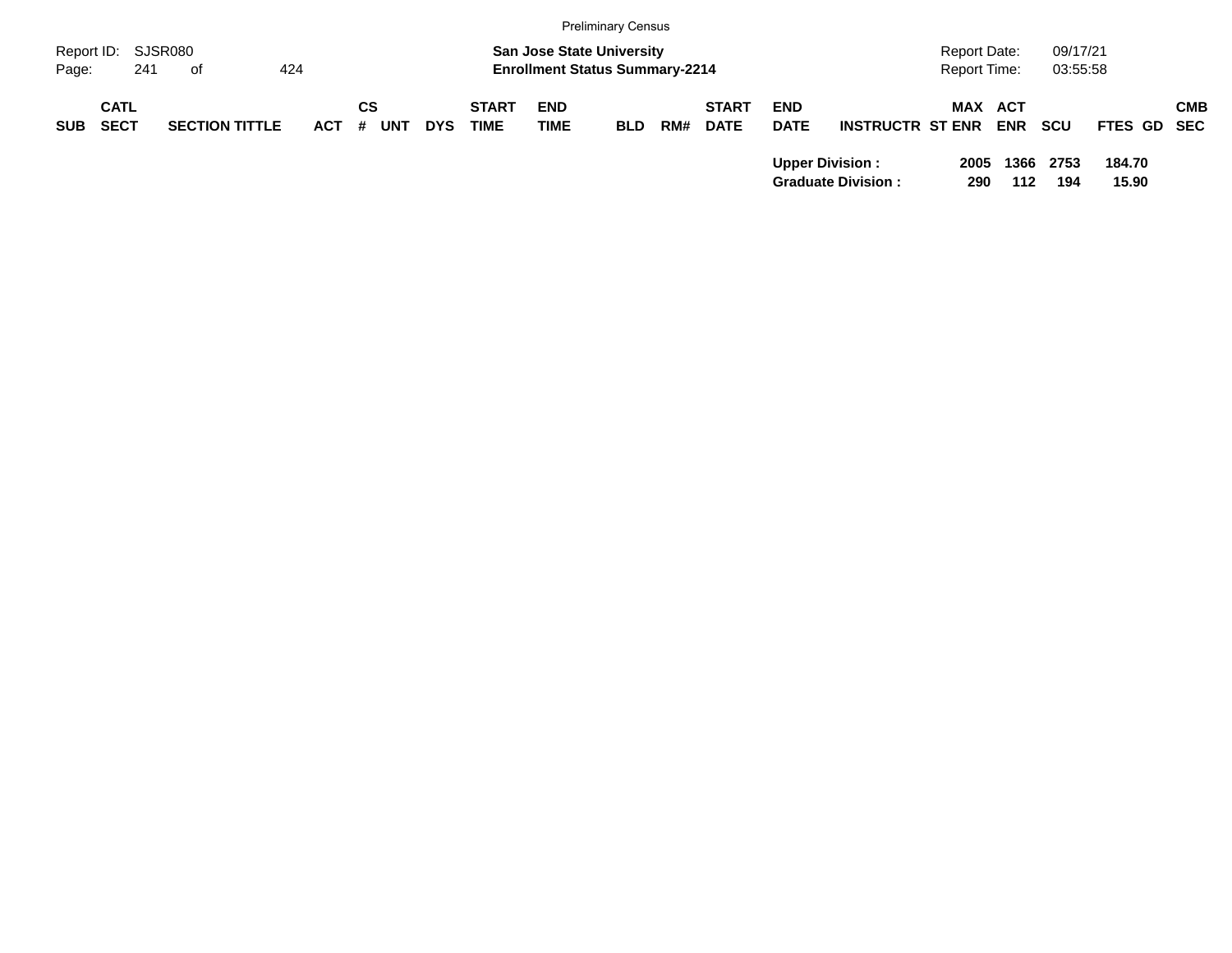|            |                            |                       |         |                  |            |                             |                                                                           | <b>Preliminary Census</b> |     |                             |                           |                           |                                            |             |                      |                 |            |
|------------|----------------------------|-----------------------|---------|------------------|------------|-----------------------------|---------------------------------------------------------------------------|---------------------------|-----|-----------------------------|---------------------------|---------------------------|--------------------------------------------|-------------|----------------------|-----------------|------------|
| Page:      | Report ID: SJSR080<br>241  | of                    | 424     |                  |            |                             | <b>San Jose State University</b><br><b>Enrollment Status Summary-2214</b> |                           |     |                             |                           |                           | <b>Report Date:</b><br><b>Report Time:</b> |             | 09/17/21<br>03:55:58 |                 |            |
| <b>SUB</b> | <b>CATL</b><br><b>SECT</b> | <b>SECTION TITTLE</b> | $ACT$ # | СS<br><b>UNT</b> | <b>DYS</b> | <b>START</b><br><b>TIME</b> | <b>END</b><br><b>TIME</b>                                                 | <b>BLD</b>                | RM# | <b>START</b><br><b>DATE</b> | <b>END</b><br><b>DATE</b> | <b>INSTRUCTR ST ENR</b>   | <b>MAX ACT</b>                             | <b>ENR</b>  | <b>SCU</b>           | FTES GD SEC     | <b>CMB</b> |
|            |                            |                       |         |                  |            |                             |                                                                           |                           |     |                             | <b>Upper Division:</b>    | <b>Graduate Division:</b> | 2005<br>290                                | 1366<br>112 | 2753<br>194          | 184.70<br>15.90 |            |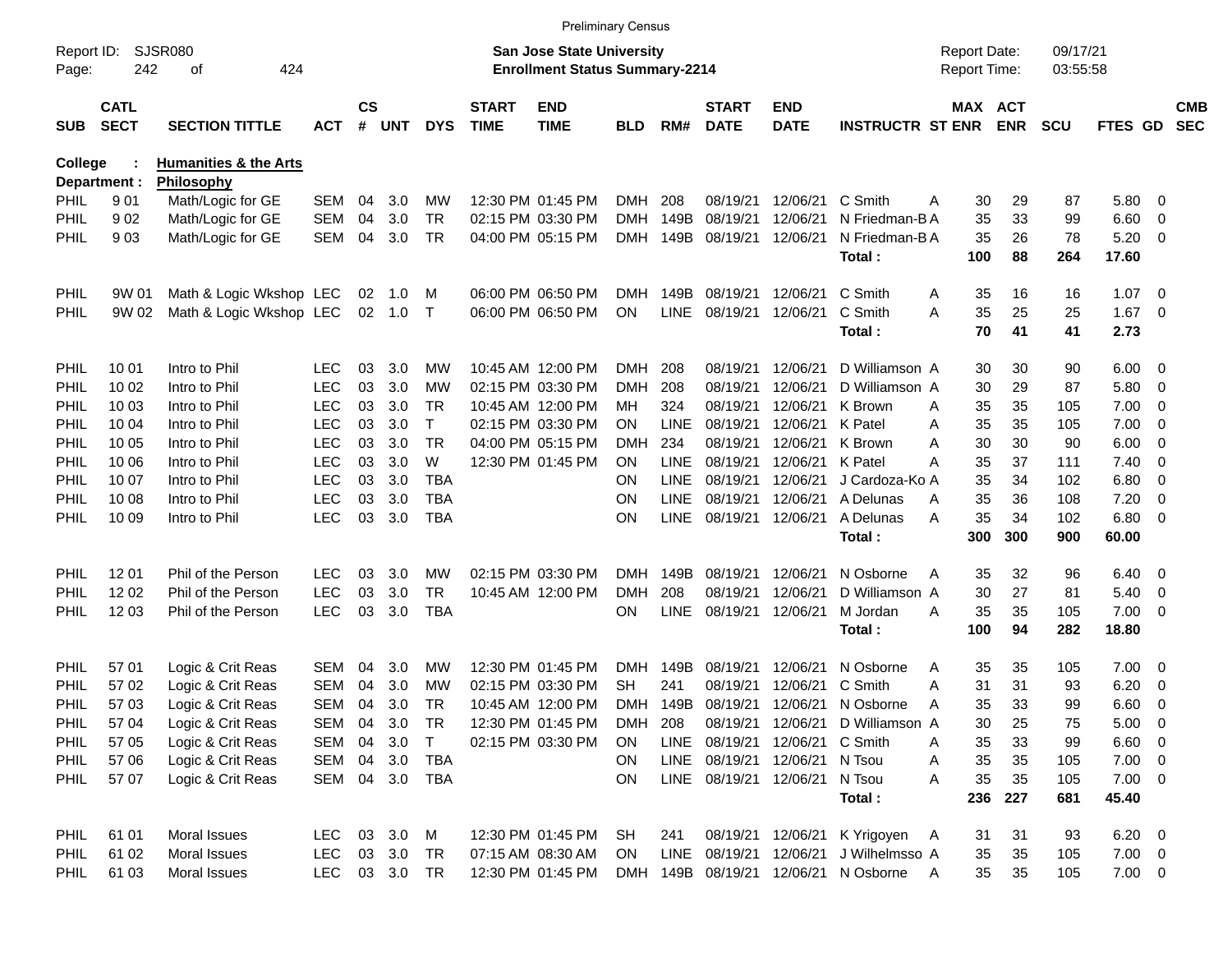| SJSR080<br><b>San Jose State University</b><br>09/17/21<br>Report ID:<br><b>Report Date:</b><br>242<br>424<br><b>Enrollment Status Summary-2214</b><br>Report Time:<br>03:55:58<br>Page:<br>οf<br>$\mathsf{cs}$<br><b>CATL</b><br><b>START</b><br><b>END</b><br><b>START</b><br><b>END</b><br>MAX ACT<br><b>SECT</b><br><b>TIME</b><br><b>TIME</b><br><b>ENR</b><br><b>SECTION TITTLE</b><br>#<br><b>UNT</b><br><b>DYS</b><br><b>DATE</b><br><b>DATE</b><br><b>INSTRUCTR ST ENR</b><br><b>SCU</b><br>FTES GD<br><b>SUB</b><br><b>ACT</b><br><b>BLD</b><br>RM#<br><b>College</b><br><b>Humanities &amp; the Arts</b> | <b>CMB</b><br><b>SEC</b><br>$\overline{\mathbf{0}}$<br>$\overline{0}$<br>$\overline{\mathbf{0}}$ |
|---------------------------------------------------------------------------------------------------------------------------------------------------------------------------------------------------------------------------------------------------------------------------------------------------------------------------------------------------------------------------------------------------------------------------------------------------------------------------------------------------------------------------------------------------------------------------------------------------------------------|--------------------------------------------------------------------------------------------------|
|                                                                                                                                                                                                                                                                                                                                                                                                                                                                                                                                                                                                                     |                                                                                                  |
|                                                                                                                                                                                                                                                                                                                                                                                                                                                                                                                                                                                                                     |                                                                                                  |
|                                                                                                                                                                                                                                                                                                                                                                                                                                                                                                                                                                                                                     |                                                                                                  |
| Philosophy<br>Department :                                                                                                                                                                                                                                                                                                                                                                                                                                                                                                                                                                                          |                                                                                                  |
| <b>SEM</b><br>29<br><b>PHIL</b><br>901<br>Math/Logic for GE<br>04<br>3.0<br>МW<br>12:30 PM 01:45 PM<br><b>DMH</b><br>208<br>08/19/21<br>12/06/21<br>C Smith<br>30<br>87<br>5.80<br>A                                                                                                                                                                                                                                                                                                                                                                                                                                |                                                                                                  |
| 33<br>902<br><b>SEM</b><br>04<br>3.0<br><b>TR</b><br>02:15 PM 03:30 PM<br>149B<br>08/19/21<br>12/06/21<br>35<br>99<br>6.60<br>PHIL<br>Math/Logic for GE<br><b>DMH</b><br>N Friedman-B A                                                                                                                                                                                                                                                                                                                                                                                                                             |                                                                                                  |
| 903<br>Math/Logic for GE<br><b>SEM</b><br>04<br>3.0<br><b>TR</b><br>149B<br>08/19/21<br>12/06/21<br>35<br>26<br>78<br>5.20<br>PHIL<br>04:00 PM 05:15 PM<br><b>DMH</b><br>N Friedman-B A                                                                                                                                                                                                                                                                                                                                                                                                                             |                                                                                                  |
| 88<br>264<br>17.60<br>Total:<br>100                                                                                                                                                                                                                                                                                                                                                                                                                                                                                                                                                                                 |                                                                                                  |
| 149B<br>08/19/21<br>C Smith<br><b>PHIL</b><br>Math & Logic Wkshop LEC<br>02<br>06:00 PM 06:50 PM<br><b>DMH</b><br>12/06/21<br>35<br>16<br>16<br>1.07<br>9W 01<br>1.0<br>M<br>A                                                                                                                                                                                                                                                                                                                                                                                                                                      | $\overline{\mathbf{0}}$                                                                          |
| <b>LINE</b><br>02<br>08/19/21<br>C Smith<br>A<br>35<br>25<br>25<br>1.67<br>PHIL<br>9W 02<br>Math & Logic Wkshop LEC<br>1.0<br>$\top$<br>06:00 PM 06:50 PM<br>ON<br>12/06/21                                                                                                                                                                                                                                                                                                                                                                                                                                         | $\overline{\mathbf{0}}$                                                                          |
| 70<br>41<br>2.73<br>Total:<br>41                                                                                                                                                                                                                                                                                                                                                                                                                                                                                                                                                                                    |                                                                                                  |
| Intro to Phil<br><b>LEC</b><br>03<br>3.0<br>10:45 AM 12:00 PM<br><b>DMH</b><br>08/19/21<br>D Williamson A<br>30<br>6.00<br>PHIL<br>10 01<br>МW<br>208<br>12/06/21<br>30<br>90                                                                                                                                                                                                                                                                                                                                                                                                                                       | $\overline{\mathbf{0}}$                                                                          |
| <b>LEC</b><br>Intro to Phil<br>03<br>3.0<br><b>MW</b><br>02:15 PM 03:30 PM<br><b>DMH</b><br>208<br>08/19/21<br>30<br>29<br>87<br>5.80<br>PHIL<br>10 02<br>12/06/21<br>D Williamson A                                                                                                                                                                                                                                                                                                                                                                                                                                | $\overline{0}$                                                                                   |
| Intro to Phil<br><b>LEC</b><br>03<br>3.0<br><b>TR</b><br>324<br>08/19/21<br>12/06/21<br>35<br>35<br>7.00<br>PHIL<br>10 03<br>10:45 AM 12:00 PM<br>K Brown<br>105<br>MН<br>A                                                                                                                                                                                                                                                                                                                                                                                                                                         | $\overline{0}$                                                                                   |
| <b>LEC</b><br>03<br>PHIL<br>Intro to Phil<br>3.0<br>$\mathsf{T}$<br>02:15 PM 03:30 PM<br>LINE<br>08/19/21<br>12/06/21<br>K Patel<br>35<br>35<br>7.00<br>10 04<br><b>ON</b><br>105<br>A                                                                                                                                                                                                                                                                                                                                                                                                                              | 0                                                                                                |
| <b>LEC</b><br>PHIL<br>Intro to Phil<br>03<br>3.0<br><b>TR</b><br>04:00 PM 05:15 PM<br>234<br>08/19/21<br>12/06/21<br>30<br>30<br>90<br>6.00<br>10 05<br><b>DMH</b><br>K Brown<br>A                                                                                                                                                                                                                                                                                                                                                                                                                                  | $\overline{0}$                                                                                   |
| <b>LEC</b><br>03<br>W<br>Intro to Phil<br>3.0<br>12:30 PM 01:45 PM<br><b>LINE</b><br>08/19/21<br>12/06/21<br>K Patel<br>35<br>37<br>7.40<br>PHIL<br>10 06<br><b>ON</b><br>Α<br>111                                                                                                                                                                                                                                                                                                                                                                                                                                  | $\overline{0}$                                                                                   |
| <b>LEC</b><br>Intro to Phil<br>03<br>3.0<br><b>TBA</b><br><b>LINE</b><br>08/19/21<br>12/06/21<br>J Cardoza-Ko A<br>35<br>34<br>102<br>6.80<br>PHIL<br>10 07<br><b>ON</b>                                                                                                                                                                                                                                                                                                                                                                                                                                            | $\overline{\mathbf{0}}$                                                                          |
| 03<br>Intro to Phil<br><b>LEC</b><br>3.0<br><b>TBA</b><br><b>LINE</b><br>08/19/21<br>12/06/21<br>35<br>36<br>7.20<br>PHIL<br>10 08<br><b>ON</b><br>A Delunas<br>108<br>A                                                                                                                                                                                                                                                                                                                                                                                                                                            | $\overline{0}$                                                                                   |
| <b>LEC</b><br>03<br>35<br>10 09<br>3.0<br><b>TBA</b><br><b>LINE</b><br>08/19/21<br>12/06/21<br>34<br>102<br>6.80<br>PHIL<br>Intro to Phil<br><b>ON</b><br>A Delunas<br>A                                                                                                                                                                                                                                                                                                                                                                                                                                            | $\overline{0}$                                                                                   |
| 300<br>300<br>60.00<br>Total:<br>900                                                                                                                                                                                                                                                                                                                                                                                                                                                                                                                                                                                |                                                                                                  |
| 12 01<br>Phil of the Person<br><b>LEC</b><br>3.0<br>02:15 PM 03:30 PM<br>149B<br>08/19/21<br>12/06/21<br>32<br>96<br>PHIL<br>03<br>МW<br><b>DMH</b><br>N Osborne<br>35<br>6.40<br>A                                                                                                                                                                                                                                                                                                                                                                                                                                 | $\overline{\mathbf{0}}$                                                                          |
| 12 02<br>Phil of the Person<br><b>LEC</b><br>03<br>3.0<br><b>TR</b><br>208<br>08/19/21<br>12/06/21<br>30<br>27<br>5.40<br>PHIL<br>10:45 AM 12:00 PM<br><b>DMH</b><br>D Williamson A<br>81                                                                                                                                                                                                                                                                                                                                                                                                                           | $\overline{\mathbf{0}}$                                                                          |
| LEC<br>12 03<br>03<br>3.0<br><b>TBA</b><br><b>LINE</b><br>08/19/21<br>35<br>35<br>105<br>7.00<br><b>PHIL</b><br>Phil of the Person<br><b>ON</b><br>12/06/21<br>M Jordan<br>A                                                                                                                                                                                                                                                                                                                                                                                                                                        | $\overline{\mathbf{0}}$                                                                          |
| 282<br>18.80<br>Total:<br>100<br>94                                                                                                                                                                                                                                                                                                                                                                                                                                                                                                                                                                                 |                                                                                                  |
| 149B<br>08/19/21<br>35<br>PHIL<br>57 01<br>Logic & Crit Reas<br>SEM<br>04<br>3.0<br>МW<br>12:30 PM 01:45 PM<br><b>DMH</b><br>12/06/21<br>N Osborne<br>35<br>105<br>7.00<br>A                                                                                                                                                                                                                                                                                                                                                                                                                                        | $\overline{\mathbf{0}}$                                                                          |
| 57 02<br><b>SEM</b><br>3.0<br><b>SH</b><br>241<br>08/19/21<br>12/06/21<br>C Smith<br>31<br>31<br>6.20<br>PHIL<br>Logic & Crit Reas<br>04<br>MW<br>02:15 PM 03:30 PM<br>Α<br>93                                                                                                                                                                                                                                                                                                                                                                                                                                      | $\overline{0}$                                                                                   |
| 57 03<br><b>SEM</b><br><b>TR</b><br>149B<br>08/19/21<br>12/06/21<br>35<br>33<br><b>PHIL</b><br>Logic & Crit Reas<br>04<br>3.0<br>10:45 AM 12:00 PM<br><b>DMH</b><br>N Osborne<br>99<br>6.60<br>A                                                                                                                                                                                                                                                                                                                                                                                                                    | 0                                                                                                |
| 57 04<br>Logic & Crit Reas<br>12:30 PM 01:45 PM<br>25<br>5.00<br>PHIL<br>SEM 04<br>3.0<br>TR<br>DMH<br>208<br>08/19/21 12/06/21<br>D Williamson A<br>30<br>75                                                                                                                                                                                                                                                                                                                                                                                                                                                       | $\overline{\phantom{0}}$                                                                         |
| 57 05<br>3.0<br>Logic & Crit Reas<br>SEM<br>04<br>T<br>02:15 PM 03:30 PM<br>LINE 08/19/21<br>12/06/21<br>C Smith<br>33<br>99<br>$6.60$ 0<br><b>PHIL</b><br>35<br><b>ON</b><br>A                                                                                                                                                                                                                                                                                                                                                                                                                                     |                                                                                                  |
| LINE 08/19/21 12/06/21<br>57 06<br>Logic & Crit Reas<br>SEM 04 3.0<br><b>TBA</b><br>N Tsou<br>35<br>$7.00 \t 0$<br><b>PHIL</b><br>35<br>105<br>ON.<br>A                                                                                                                                                                                                                                                                                                                                                                                                                                                             |                                                                                                  |
| 57 07<br>SEM 04 3.0<br>LINE 08/19/21 12/06/21<br>N Tsou<br>35<br>35<br>105<br>$7.00 \t 0$<br><b>PHIL</b><br>Logic & Crit Reas<br>TBA<br>ON<br>Α                                                                                                                                                                                                                                                                                                                                                                                                                                                                     |                                                                                                  |
| Total:<br>236<br>227<br>45.40<br>681                                                                                                                                                                                                                                                                                                                                                                                                                                                                                                                                                                                |                                                                                                  |
| Moral Issues<br><b>LEC</b><br>03<br>3.0<br>M<br>12:30 PM 01:45 PM<br>$6.20 \t 0$<br><b>PHIL</b><br>61 01<br>SH<br>08/19/21 12/06/21<br>K Yrigoyen<br>31<br>31<br>93<br>241<br>A                                                                                                                                                                                                                                                                                                                                                                                                                                     |                                                                                                  |
| 03 3.0<br>61 02<br><b>LEC</b><br><b>TR</b><br>07:15 AM 08:30 AM<br>LINE 08/19/21 12/06/21<br>J Wilhelmsso A<br>35<br>$7.00 \t 0$<br><b>PHIL</b><br>Moral Issues<br>ON<br>35<br>105                                                                                                                                                                                                                                                                                                                                                                                                                                  |                                                                                                  |
| LEC 03 3.0<br>DMH 149B 08/19/21 12/06/21<br>61 03<br>Moral Issues<br>TR<br>12:30 PM 01:45 PM<br>N Osborne<br>35<br>35<br>$7.00 \t 0$<br><b>PHIL</b><br>105<br>A                                                                                                                                                                                                                                                                                                                                                                                                                                                     |                                                                                                  |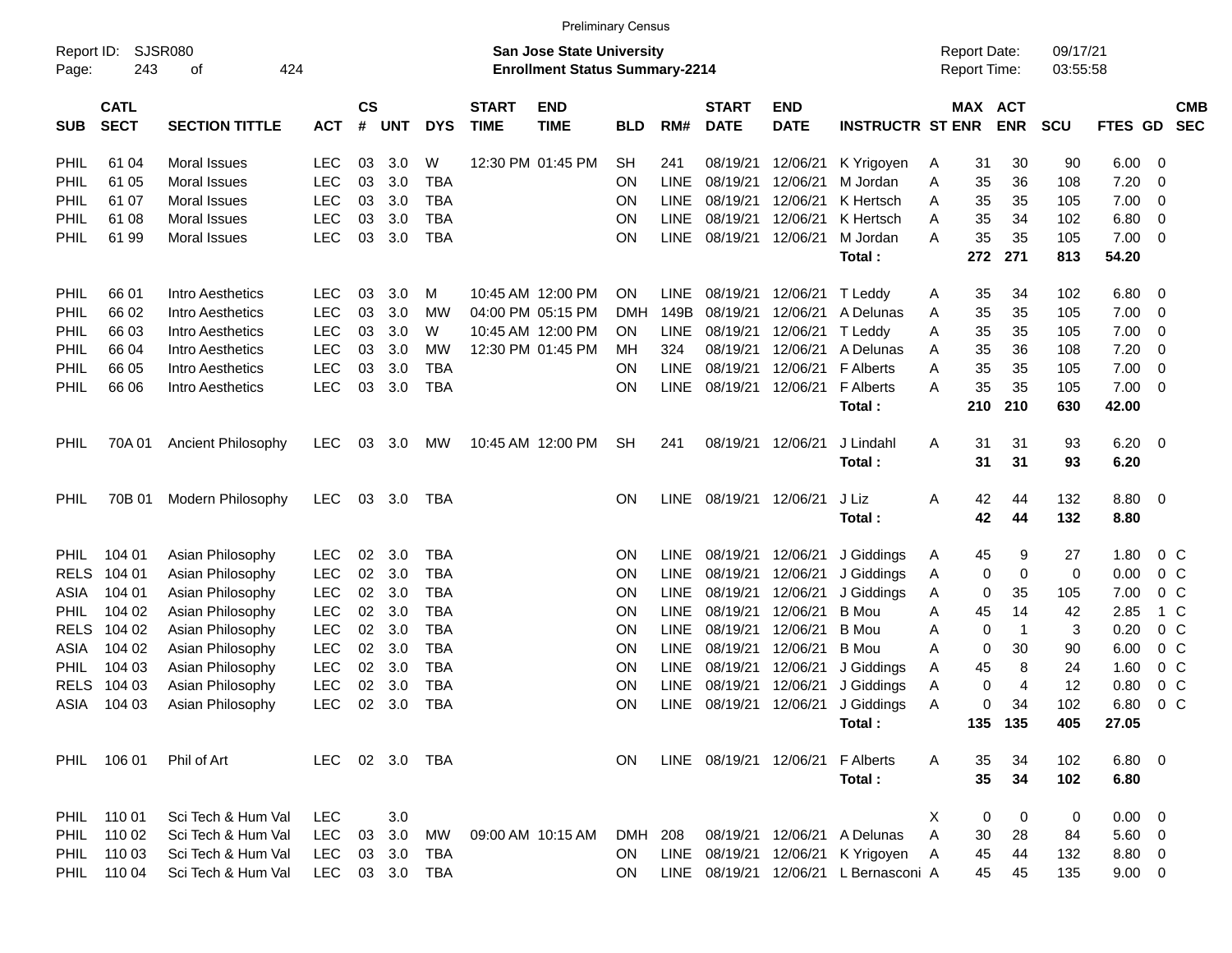|                     |                            |                             |            |                    |            |            |                             | <b>Preliminary Census</b>                                                 |            |             |                             |                                  |                         |   |                                            |                         |                      |               |                         |                          |
|---------------------|----------------------------|-----------------------------|------------|--------------------|------------|------------|-----------------------------|---------------------------------------------------------------------------|------------|-------------|-----------------------------|----------------------------------|-------------------------|---|--------------------------------------------|-------------------------|----------------------|---------------|-------------------------|--------------------------|
| Report ID:<br>Page: | 243                        | <b>SJSR080</b><br>424<br>οf |            |                    |            |            |                             | <b>San Jose State University</b><br><b>Enrollment Status Summary-2214</b> |            |             |                             |                                  |                         |   | <b>Report Date:</b><br><b>Report Time:</b> |                         | 09/17/21<br>03:55:58 |               |                         |                          |
| <b>SUB</b>          | <b>CATL</b><br><b>SECT</b> | <b>SECTION TITTLE</b>       | <b>ACT</b> | $\mathsf{cs}$<br># | <b>UNT</b> | <b>DYS</b> | <b>START</b><br><b>TIME</b> | <b>END</b><br><b>TIME</b>                                                 | <b>BLD</b> | RM#         | <b>START</b><br><b>DATE</b> | <b>END</b><br><b>DATE</b>        | <b>INSTRUCTR ST ENR</b> |   | MAX ACT                                    | <b>ENR</b>              | <b>SCU</b>           | FTES GD       |                         | <b>CMB</b><br><b>SEC</b> |
| PHIL                | 61 04                      | Moral Issues                | <b>LEC</b> | 03                 | 3.0        | W          |                             | 12:30 PM 01:45 PM                                                         | <b>SH</b>  | 241         | 08/19/21                    | 12/06/21                         | K Yrigoyen              | A | 31                                         | 30                      | 90                   | 6.00          | - 0                     |                          |
| PHIL                | 61 05                      | <b>Moral Issues</b>         | LEC        | 03                 | 3.0        | <b>TBA</b> |                             |                                                                           | <b>ON</b>  | <b>LINE</b> | 08/19/21                    | 12/06/21                         | M Jordan                | Α | 35                                         | 36                      | 108                  | 7.20          | 0                       |                          |
| PHIL                | 61 07                      | <b>Moral Issues</b>         | <b>LEC</b> | 03                 | 3.0        | <b>TBA</b> |                             |                                                                           | <b>ON</b>  | <b>LINE</b> | 08/19/21                    | 12/06/21                         | K Hertsch               | A | 35                                         | 35                      | 105                  | 7.00          | 0                       |                          |
| PHIL                | 61 08                      | <b>Moral Issues</b>         | <b>LEC</b> | 03                 | 3.0        | <b>TBA</b> |                             |                                                                           | <b>ON</b>  | <b>LINE</b> | 08/19/21                    | 12/06/21                         | K Hertsch               | A | 35                                         | 34                      | 102                  | 6.80          | 0                       |                          |
| <b>PHIL</b>         | 61 99                      | Moral Issues                | <b>LEC</b> | 03                 | 3.0        | <b>TBA</b> |                             |                                                                           | <b>ON</b>  | <b>LINE</b> | 08/19/21                    | 12/06/21                         | M Jordan                | A | 35                                         | 35                      | 105                  | 7.00          | $\overline{0}$          |                          |
|                     |                            |                             |            |                    |            |            |                             |                                                                           |            |             |                             |                                  | Total:                  |   | 272                                        | 271                     | 813                  | 54.20         |                         |                          |
| PHIL                | 66 01                      | Intro Aesthetics            | <b>LEC</b> | 03                 | 3.0        | M          |                             | 10:45 AM 12:00 PM                                                         | ON         | <b>LINE</b> | 08/19/21                    | 12/06/21                         | T Leddy                 | A | 35                                         | 34                      | 102                  | 6.80          | 0                       |                          |
| PHIL                | 66 02                      | <b>Intro Aesthetics</b>     | LEC        | 03                 | 3.0        | МW         |                             | 04:00 PM 05:15 PM                                                         | <b>DMH</b> | 149B        | 08/19/21                    | 12/06/21                         | A Delunas               | A | 35                                         | 35                      | 105                  | 7.00          | $\overline{0}$          |                          |
| PHIL                | 66 03                      | Intro Aesthetics            | LEC        | 03                 | 3.0        | W          |                             | 10:45 AM 12:00 PM                                                         | <b>ON</b>  | <b>LINE</b> | 08/19/21                    | 12/06/21                         | T Leddy                 | A | 35                                         | 35                      | 105                  | 7.00          | 0                       |                          |
| PHIL                | 66 04                      | Intro Aesthetics            | <b>LEC</b> | 03                 | 3.0        | МW         |                             | 12:30 PM 01:45 PM                                                         | MН         | 324         | 08/19/21                    | 12/06/21                         | A Delunas               | A | 35                                         | 36                      | 108                  | 7.20          | $\overline{0}$          |                          |
| PHIL                | 66 05                      | Intro Aesthetics            | LEC        | 03                 | 3.0        | <b>TBA</b> |                             |                                                                           | <b>ON</b>  | <b>LINE</b> | 08/19/21                    | 12/06/21                         | <b>F</b> Alberts        | A | 35                                         | 35                      | 105                  | 7.00          | $\overline{0}$          |                          |
| PHIL                | 66 06                      | Intro Aesthetics            | <b>LEC</b> | 03                 | 3.0        | <b>TBA</b> |                             |                                                                           | <b>ON</b>  | <b>LINE</b> | 08/19/21                    | 12/06/21                         | <b>F</b> Alberts        | A | 35                                         | 35                      | 105                  | 7.00          | 0                       |                          |
|                     |                            |                             |            |                    |            |            |                             |                                                                           |            |             |                             |                                  | Total:                  |   | 210                                        | 210                     | 630                  | 42.00         |                         |                          |
| PHIL                | 70A 01                     | Ancient Philosophy          | <b>LEC</b> | 03                 | 3.0        | MW         |                             | 10:45 AM 12:00 PM                                                         | <b>SH</b>  | 241         | 08/19/21                    | 12/06/21                         | J Lindahl               | A | 31                                         | 31                      | 93                   | 6.20          | $\overline{\mathbf{0}}$ |                          |
|                     |                            |                             |            |                    |            |            |                             |                                                                           |            |             |                             |                                  | Total:                  |   | 31                                         | 31                      | 93                   | 6.20          |                         |                          |
| PHIL                | 70B 01                     | Modern Philosophy           | <b>LEC</b> | 03                 | 3.0        | TBA        |                             |                                                                           | <b>ON</b>  | LINE        | 08/19/21                    | 12/06/21                         | J Liz                   | Α | 42                                         | 44                      | 132                  | 8.80          | $\overline{\mathbf{0}}$ |                          |
|                     |                            |                             |            |                    |            |            |                             |                                                                           |            |             |                             |                                  | Total:                  |   | 42                                         | 44                      | 132                  | 8.80          |                         |                          |
| PHIL.               | 104 01                     | Asian Philosophy            | <b>LEC</b> | 02                 | 3.0        | <b>TBA</b> |                             |                                                                           | <b>ON</b>  | <b>LINE</b> | 08/19/21                    | 12/06/21                         | J Giddings              | A | 45                                         | 9                       | 27                   | 1.80          | $0\,C$                  |                          |
| <b>RELS</b>         | 104 01                     | Asian Philosophy            | <b>LEC</b> | 02                 | 3.0        | <b>TBA</b> |                             |                                                                           | <b>ON</b>  | <b>LINE</b> | 08/19/21                    | 12/06/21                         | J Giddings              | Α | 0                                          | 0                       | 0                    | 0.00          | 0 <sup>C</sup>          |                          |
| ASIA                | 104 01                     | Asian Philosophy            | <b>LEC</b> | 02                 | 3.0        | <b>TBA</b> |                             |                                                                           | <b>ON</b>  | <b>LINE</b> | 08/19/21                    | 12/06/21                         | J Giddings              | A | 0                                          | 35                      | 105                  | 7.00          | 0 <sup>o</sup>          |                          |
| PHIL                | 104 02                     | Asian Philosophy            | LEC        | 02                 | 3.0        | <b>TBA</b> |                             |                                                                           | <b>ON</b>  | <b>LINE</b> | 08/19/21                    | 12/06/21                         | <b>B</b> Mou            | A | 45                                         | 14                      | 42                   | 2.85          | 1 C                     |                          |
| <b>RELS</b>         | 104 02                     | Asian Philosophy            | LEC        | 02                 | 3.0        | <b>TBA</b> |                             |                                                                           | <b>ON</b>  | <b>LINE</b> | 08/19/21                    | 12/06/21                         | <b>B</b> Mou            | A | 0                                          | $\overline{\mathbf{1}}$ | 3                    | 0.20          | 0 <sup>o</sup>          |                          |
| ASIA                | 104 02                     | Asian Philosophy            | <b>LEC</b> | 02                 | 3.0        | <b>TBA</b> |                             |                                                                           | <b>ON</b>  | <b>LINE</b> | 08/19/21                    | 12/06/21                         | <b>B</b> Mou            | A | 0                                          | 30                      | 90                   | 6.00          | 0 <sup>o</sup>          |                          |
| PHIL                | 104 03                     | Asian Philosophy            | LEC        | 02                 | 3.0        | <b>TBA</b> |                             |                                                                           | ON         | <b>LINE</b> | 08/19/21                    | 12/06/21                         | J Giddings              | A | 45                                         | 8                       | 24                   | 1.60          | $0\,C$                  |                          |
| <b>RELS</b>         | 104 03                     | Asian Philosophy            | <b>LEC</b> | 02                 | 3.0        | <b>TBA</b> |                             |                                                                           | <b>ON</b>  | <b>LINE</b> | 08/19/21                    | 12/06/21                         | J Giddings              | A | 0                                          | $\overline{4}$          | 12                   | 0.80          | 0 <sup>o</sup>          |                          |
| ASIA                | 104 03                     | Asian Philosophy            | <b>LEC</b> | 02                 | 3.0        | <b>TBA</b> |                             |                                                                           | <b>ON</b>  | LINE        | 08/19/21                    | 12/06/21                         | J Giddings              | A | 0                                          | 34                      | 102                  | 6.80          | 0 <sup>o</sup>          |                          |
|                     |                            |                             |            |                    |            |            |                             |                                                                           |            |             |                             |                                  | Total:                  |   |                                            | 135 135                 | 405                  | 27.05         |                         |                          |
|                     | PHIL 106 01                | Phil of Art                 | <b>LEC</b> |                    | 02 3.0 TBA |            |                             |                                                                           | ON         |             |                             | LINE 08/19/21 12/06/21 F Alberts |                         | A | 35                                         | 34                      | 102                  | $6.80\quad 0$ |                         |                          |
|                     |                            |                             |            |                    |            |            |                             |                                                                           |            |             |                             |                                  | Total:                  |   | 35                                         | 34                      | 102                  | 6.80          |                         |                          |
| PHIL                | 110 01                     | Sci Tech & Hum Val          | <b>LEC</b> |                    | 3.0        |            |                             |                                                                           |            |             |                             |                                  |                         | Χ | 0                                          | 0                       | 0                    | $0.00 \t 0$   |                         |                          |
|                     | PHIL 110 02                | Sci Tech & Hum Val          | <b>LEC</b> | 03                 | 3.0        | MW         |                             | 09:00 AM 10:15 AM                                                         | DMH        | 208         | 08/19/21                    | 12/06/21                         | A Delunas               | A | 30                                         | 28                      | 84                   | $5.60$ 0      |                         |                          |
|                     | PHIL 110 03                | Sci Tech & Hum Val          | <b>LEC</b> |                    | 03 3.0     | TBA        |                             |                                                                           | ON         |             | LINE 08/19/21               | 12/06/21                         | K Yrigoyen              | A | 45                                         | 44                      | 132                  | 8.80 0        |                         |                          |
|                     | PHIL 110 04                | Sci Tech & Hum Val          | <b>LEC</b> |                    | 03 3.0     | TBA        |                             |                                                                           | <b>ON</b>  |             | LINE 08/19/21               | 12/06/21                         | L Bernasconi A          |   | 45                                         | 45                      | 135                  | $9.00 \t 0$   |                         |                          |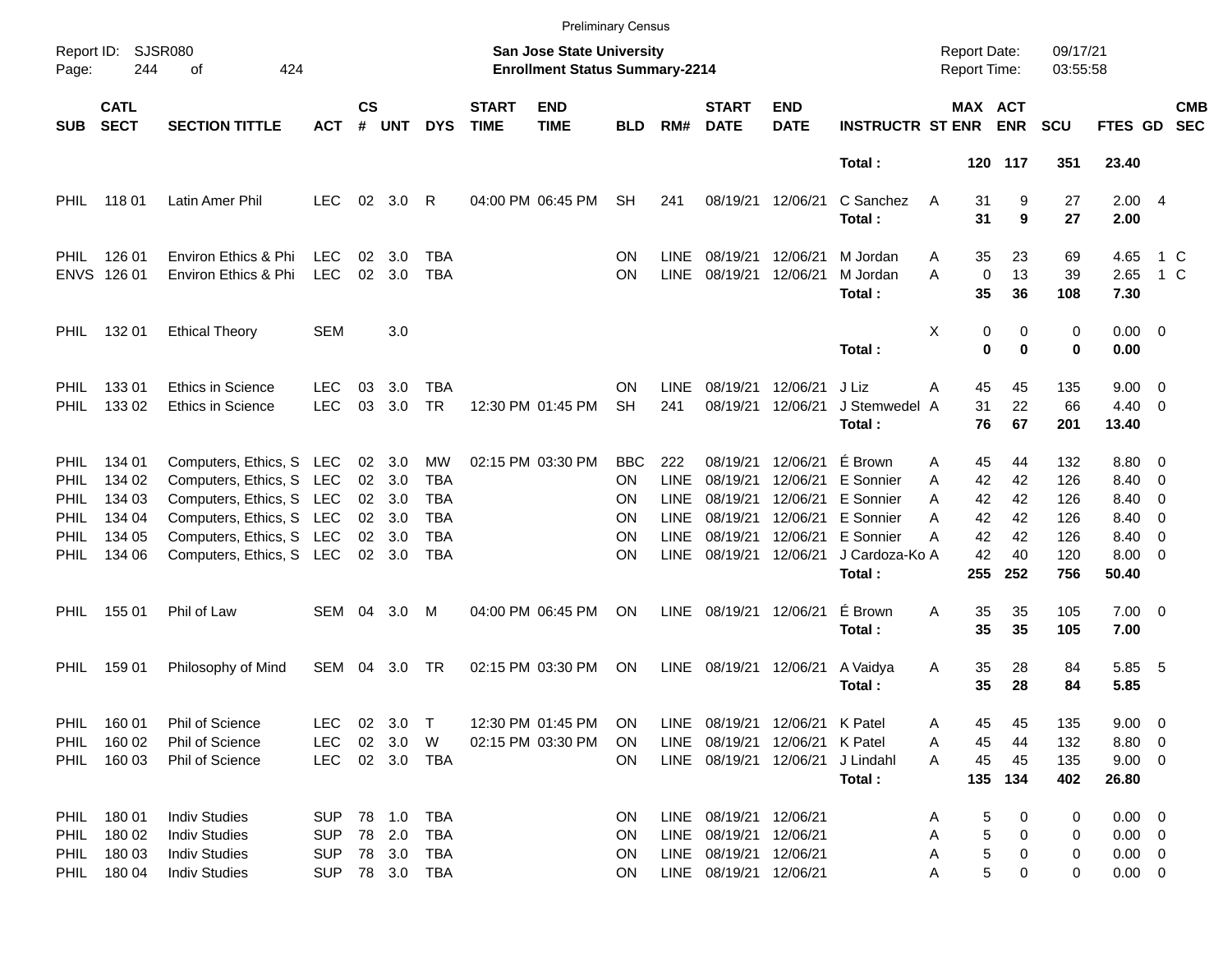|                     |                            |                                                      |            |                       |            |            |                             |                                                                           | <b>Preliminary Census</b> |                            |                             |                           |                         |                                     |                   |                              |                      |                         |                                                      |                          |
|---------------------|----------------------------|------------------------------------------------------|------------|-----------------------|------------|------------|-----------------------------|---------------------------------------------------------------------------|---------------------------|----------------------------|-----------------------------|---------------------------|-------------------------|-------------------------------------|-------------------|------------------------------|----------------------|-------------------------|------------------------------------------------------|--------------------------|
| Report ID:<br>Page: | 244                        | <b>SJSR080</b><br>424<br>оf                          |            |                       |            |            |                             | <b>San Jose State University</b><br><b>Enrollment Status Summary-2214</b> |                           |                            |                             |                           |                         | <b>Report Date:</b><br>Report Time: |                   |                              | 09/17/21<br>03:55:58 |                         |                                                      |                          |
| <b>SUB</b>          | <b>CATL</b><br><b>SECT</b> | <b>SECTION TITTLE</b>                                | <b>ACT</b> | $\mathsf{cs}$<br>#    | <b>UNT</b> | <b>DYS</b> | <b>START</b><br><b>TIME</b> | <b>END</b><br><b>TIME</b>                                                 | <b>BLD</b>                | RM#                        | <b>START</b><br><b>DATE</b> | <b>END</b><br><b>DATE</b> | <b>INSTRUCTR ST ENR</b> |                                     |                   | <b>MAX ACT</b><br><b>ENR</b> | <b>SCU</b>           | <b>FTES GD</b>          |                                                      | <b>CMB</b><br><b>SEC</b> |
|                     |                            |                                                      |            |                       |            |            |                             |                                                                           |                           |                            |                             |                           | Total:                  |                                     |                   | 120 117                      | 351                  | 23.40                   |                                                      |                          |
| PHIL                | 11801                      | Latin Amer Phil                                      | <b>LEC</b> | 02                    | 3.0        | R          |                             | 04:00 PM 06:45 PM                                                         | <b>SH</b>                 | 241                        | 08/19/21                    | 12/06/21                  | C Sanchez<br>Total:     | A                                   | 31<br>31          | 9<br>9                       | 27<br>27             | 2.004<br>2.00           |                                                      |                          |
| PHIL                | 126 01                     | Environ Ethics & Phi                                 | <b>LEC</b> | 02                    | 3.0        | TBA        |                             |                                                                           | ON                        | <b>LINE</b>                | 08/19/21                    | 12/06/21                  | M Jordan                | A                                   | 35                | 23                           | 69                   | 4.65                    | 1 C                                                  |                          |
|                     | ENVS 126 01                | Environ Ethics & Phi                                 | <b>LEC</b> | 02                    | 3.0        | <b>TBA</b> |                             |                                                                           | ΟN                        | <b>LINE</b>                | 08/19/21                    | 12/06/21                  | M Jordan<br>Total:      | A                                   | $\mathbf 0$<br>35 | 13<br>36                     | 39<br>108            | 2.65<br>7.30            | 1 C                                                  |                          |
| PHIL                | 132 01                     | <b>Ethical Theory</b>                                | <b>SEM</b> |                       | 3.0        |            |                             |                                                                           |                           |                            |                             |                           | Total:                  | Χ                                   | 0<br>$\bf{0}$     | 0<br>$\bf{0}$                | 0<br>0               | $0.00 \t 0$<br>0.00     |                                                      |                          |
| PHIL.               | 13301                      | <b>Ethics in Science</b>                             | LEC        | 03                    | 3.0        | <b>TBA</b> |                             |                                                                           | ON                        | <b>LINE</b>                | 08/19/21                    | 12/06/21                  | J Liz                   | Α                                   | 45                | 45                           | 135                  | $9.00 \t 0$             |                                                      |                          |
| PHIL                | 133 02                     | <b>Ethics in Science</b>                             | <b>LEC</b> | 03                    | 3.0        | <b>TR</b>  |                             | 12:30 PM 01:45 PM                                                         | <b>SH</b>                 | 241                        | 08/19/21                    | 12/06/21                  | J Stemwedel A<br>Total: |                                     | 31<br>76          | 22<br>67                     | 66<br>201            | $4.40 \quad 0$<br>13.40 |                                                      |                          |
| PHIL                | 134 01                     | Computers, Ethics, S LEC                             |            |                       | 02 3.0     | МW         |                             | 02:15 PM 03:30 PM                                                         | BBC                       | 222                        | 08/19/21                    | 12/06/21                  | É Brown                 | A                                   | 45                | 44                           | 132                  | 8.80 0                  |                                                      |                          |
| PHIL                | 134 02                     | Computers, Ethics, S LEC                             |            | 02                    | 3.0        | TBA        |                             |                                                                           | ON                        | <b>LINE</b>                | 08/19/21                    | 12/06/21                  | E Sonnier               | A                                   | 42                | 42                           | 126                  | 8.40                    | $\overline{\phantom{0}}$                             |                          |
| PHIL                | 134 03<br>134 04           | Computers, Ethics, S LEC                             |            | 02<br>02 <sub>o</sub> | 3.0<br>3.0 | TBA<br>TBA |                             |                                                                           | ON<br>ON                  | <b>LINE</b><br><b>LINE</b> | 08/19/21<br>08/19/21        | 12/06/21<br>12/06/21      | E Sonnier<br>E Sonnier  | A<br>A                              | 42<br>42          | 42<br>42                     | 126<br>126           | 8.40<br>8.40            | $\overline{\phantom{0}}$<br>$\overline{\phantom{0}}$ |                          |
| PHIL<br>PHIL        | 134 05                     | Computers, Ethics, S LEC<br>Computers, Ethics, S LEC |            | 02                    | 3.0        | TBA        |                             |                                                                           | ΟN                        | <b>LINE</b>                | 08/19/21                    | 12/06/21                  | E Sonnier               | А                                   | 42                | 42                           | 126                  | 8.40                    | $\overline{\phantom{0}}$                             |                          |
| PHIL                | 134 06                     | Computers, Ethics, S LEC                             |            |                       | 02 3.0     | <b>TBA</b> |                             |                                                                           | ΟN                        | <b>LINE</b>                | 08/19/21                    | 12/06/21                  | J Cardoza-Ko A          |                                     | 42                | 40                           | 120                  | $8.00 \t 0$             |                                                      |                          |
|                     |                            |                                                      |            |                       |            |            |                             |                                                                           |                           |                            |                             |                           | Total:                  |                                     | 255               | 252                          | 756                  | 50.40                   |                                                      |                          |
| PHIL                | 155 01                     | Phil of Law                                          | SEM        | 04                    | 3.0        | M          |                             | 04:00 PM 06:45 PM                                                         | <b>ON</b>                 | <b>LINE</b>                | 08/19/21                    | 12/06/21                  | É Brown                 | A                                   | 35                | 35                           | 105                  | $7.00 \t 0$             |                                                      |                          |
|                     |                            |                                                      |            |                       |            |            |                             |                                                                           |                           |                            |                             |                           | Total:                  |                                     | 35                | 35                           | 105                  | 7.00                    |                                                      |                          |
| PHIL                | 159 01                     | Philosophy of Mind                                   | SEM        | 04                    | 3.0        | TR         |                             | 02:15 PM 03:30 PM                                                         | ON                        | LINE                       | 08/19/21                    | 12/06/21                  | A Vaidya<br>Total:      | A                                   | 35<br>35          | 28<br>28                     | 84<br>84             | 5.85 5<br>5.85          |                                                      |                          |
| PHIL.               | 160 01                     | Phil of Science                                      | LEC        |                       | 02 3.0     | $\top$     |                             | 12:30 PM 01:45 PM                                                         | <b>ON</b>                 | LINE                       | 08/19/21 12/06/21 K Patel   |                           |                         | A                                   | 45                | 45                           | 135                  | $9.00 \quad 0$          |                                                      |                          |
| PHIL                | 160 02                     | Phil of Science                                      | <b>LEC</b> |                       | 02 3.0     | W          |                             | 02:15 PM 03:30 PM                                                         | ΟN                        | LINE                       | 08/19/21 12/06/21 K Patel   |                           |                         | Α                                   | 45                | 44                           | 132                  | 8.80 0                  |                                                      |                          |
| PHIL                | 160 03                     | Phil of Science                                      | <b>LEC</b> |                       | 02 3.0 TBA |            |                             |                                                                           | ON.                       |                            | LINE 08/19/21 12/06/21      |                           | J Lindahl               | A                                   | 45                | 45                           | 135                  | $9.00 \t 0$             |                                                      |                          |
|                     |                            |                                                      |            |                       |            |            |                             |                                                                           |                           |                            |                             |                           | Total:                  |                                     | 135               | 134                          | 402                  | 26.80                   |                                                      |                          |
| PHIL                | 180 01                     | <b>Indiv Studies</b>                                 | <b>SUP</b> |                       | 78 1.0     | TBA        |                             |                                                                           | <b>ON</b>                 |                            | LINE 08/19/21 12/06/21      |                           |                         | Α                                   | 5                 | 0                            | 0                    | $0.00 \t 0$             |                                                      |                          |
| <b>PHIL</b>         | 180 02                     | <b>Indiv Studies</b>                                 | <b>SUP</b> |                       | 78 2.0     | TBA        |                             |                                                                           | <b>ON</b>                 | LINE                       | 08/19/21 12/06/21           |                           |                         | А                                   | 5                 | 0                            | 0                    | $0.00 \t 0$             |                                                      |                          |
| PHIL.               | 180 03                     | <b>Indiv Studies</b>                                 | <b>SUP</b> |                       | 78 3.0     | TBA        |                             |                                                                           | <b>ON</b>                 |                            | LINE 08/19/21 12/06/21      |                           |                         | Α                                   | 5                 | 0                            | 0                    | $0.00 \t 0$             |                                                      |                          |
| PHIL                | 180 04                     | <b>Indiv Studies</b>                                 | <b>SUP</b> |                       |            | 78 3.0 TBA |                             |                                                                           | ON.                       |                            | LINE 08/19/21 12/06/21      |                           |                         | Α                                   | 5                 | 0                            | 0                    | $0.00 \t 0$             |                                                      |                          |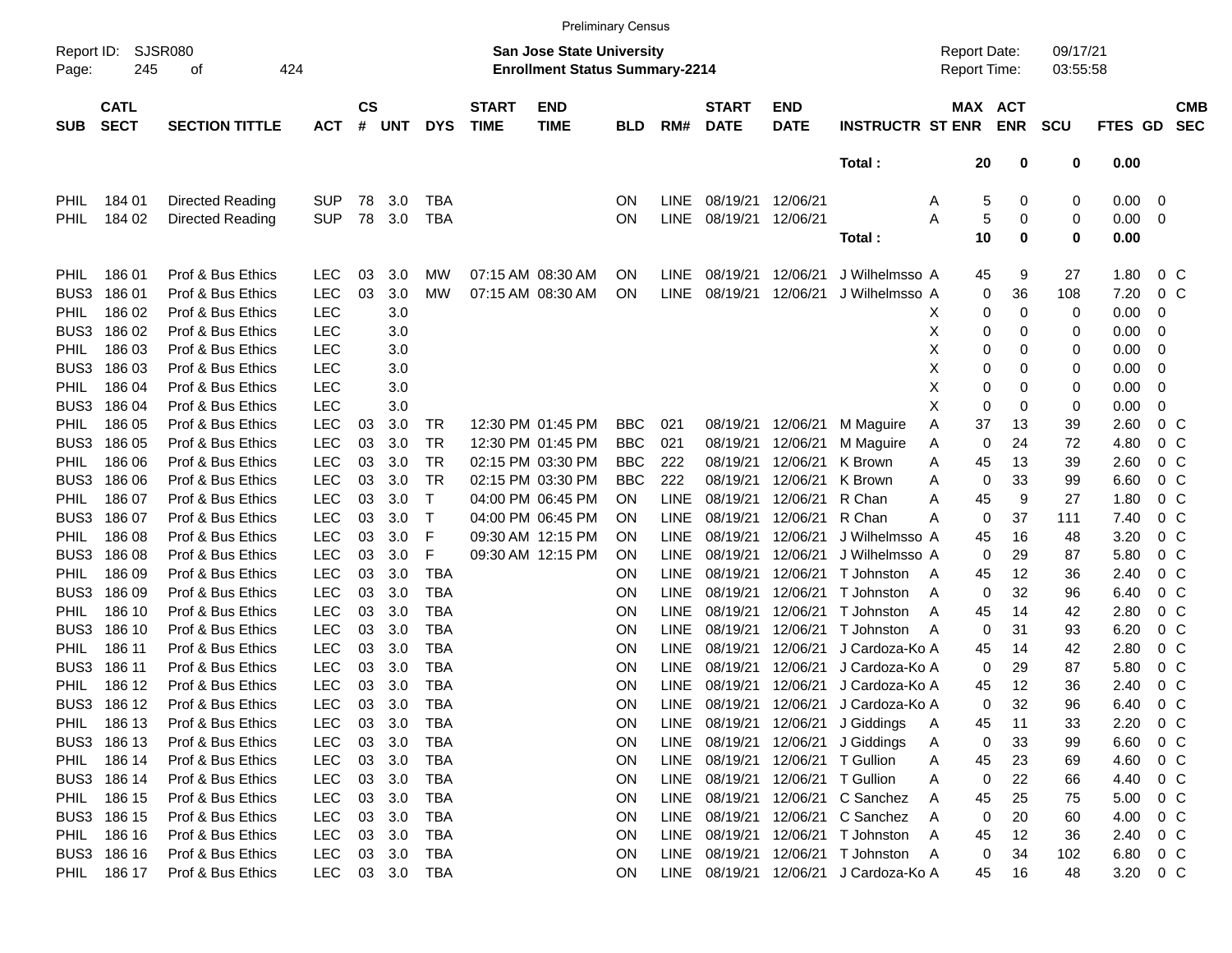|                     |                            |                       |            |                |            |            |                                                                           | <b>Preliminary Census</b> |            |             |                             |                           |                                     |         |                              |            |         |                |                          |
|---------------------|----------------------------|-----------------------|------------|----------------|------------|------------|---------------------------------------------------------------------------|---------------------------|------------|-------------|-----------------------------|---------------------------|-------------------------------------|---------|------------------------------|------------|---------|----------------|--------------------------|
| Report ID:<br>Page: | SJSR080<br>245             | 424                   |            |                |            |            | <b>San Jose State University</b><br><b>Enrollment Status Summary-2214</b> |                           |            |             |                             |                           | <b>Report Date:</b><br>Report Time: |         | 09/17/21<br>03:55:58         |            |         |                |                          |
| <b>SUB</b>          | <b>CATL</b><br><b>SECT</b> | <b>SECTION TITTLE</b> | <b>ACT</b> | <b>CS</b><br># | <b>UNT</b> | <b>DYS</b> | <b>START</b><br><b>TIME</b>                                               | <b>END</b><br><b>TIME</b> | <b>BLD</b> | RM#         | <b>START</b><br><b>DATE</b> | <b>END</b><br><b>DATE</b> | <b>INSTRUCTR ST ENR</b>             |         | <b>MAX ACT</b><br><b>ENR</b> | <b>SCU</b> | FTES GD |                | <b>CMB</b><br><b>SEC</b> |
|                     |                            |                       |            |                |            |            |                                                                           |                           |            |             |                             |                           | Total:                              | 20      | 0                            | 0          | 0.00    |                |                          |
| <b>PHIL</b>         | 184 01                     | Directed Reading      | <b>SUP</b> | 78             | 3.0        | <b>TBA</b> |                                                                           |                           | ON         | <b>LINE</b> | 08/19/21                    | 12/06/21                  |                                     | Α       | 0<br>5                       | 0          | 0.00    | 0              |                          |
| <b>PHIL</b>         | 184 02                     | Directed Reading      | <b>SUP</b> | 78             | 3.0        | <b>TBA</b> |                                                                           |                           | ON         | LINE        | 08/19/21                    | 12/06/21                  |                                     | Α       | 5<br>0                       | 0          | 0.00    | 0              |                          |
|                     |                            |                       |            |                |            |            |                                                                           |                           |            |             |                             |                           | Total:                              | 10      | $\mathbf 0$                  | 0          | 0.00    |                |                          |
| <b>PHIL</b>         | 18601                      | Prof & Bus Ethics     | <b>LEC</b> | 03             | 3.0        | МW         |                                                                           | 07:15 AM 08:30 AM         | ON         | LINE        | 08/19/21                    | 12/06/21                  | J Wilhelmsso A                      | 45      | 9                            | 27         | 1.80    | 0 <sup>o</sup> |                          |
| BUS3                | 18601                      | Prof & Bus Ethics     | <b>LEC</b> | 03             | 3.0        | МW         |                                                                           | 07:15 AM 08:30 AM         | <b>ON</b>  | LINE        | 08/19/21                    | 12/06/21                  | J Wilhelmsso A                      |         | 0<br>36                      | 108        | 7.20    | 0 <sup>o</sup> |                          |
| <b>PHIL</b>         | 186 02                     | Prof & Bus Ethics     | <b>LEC</b> |                | 3.0        |            |                                                                           |                           |            |             |                             |                           |                                     | X       | 0<br>0                       | 0          | 0.00    | 0              |                          |
| BUS3                | 186 02                     | Prof & Bus Ethics     | <b>LEC</b> |                | 3.0        |            |                                                                           |                           |            |             |                             |                           |                                     | х       | 0<br>0                       | 0          | 0.00    | 0              |                          |
| <b>PHIL</b>         | 186 03                     | Prof & Bus Ethics     | <b>LEC</b> |                | 3.0        |            |                                                                           |                           |            |             |                             |                           |                                     | х       | 0<br>0                       | 0          | 0.00    | 0              |                          |
| BUS3                | 186 03                     | Prof & Bus Ethics     | <b>LEC</b> |                | 3.0        |            |                                                                           |                           |            |             |                             |                           |                                     | х       | 0<br>0                       | 0          | 0.00    | 0              |                          |
| <b>PHIL</b>         | 186 04                     | Prof & Bus Ethics     | <b>LEC</b> |                | 3.0        |            |                                                                           |                           |            |             |                             |                           |                                     | х       | 0<br>0                       | 0          | 0.00    | 0              |                          |
| BUS3                | 186 04                     | Prof & Bus Ethics     | <b>LEC</b> |                | 3.0        |            |                                                                           |                           |            |             |                             |                           |                                     | Χ       | 0<br>0                       | 0          | 0.00    | 0              |                          |
| <b>PHIL</b>         | 186 05                     | Prof & Bus Ethics     | <b>LEC</b> | 03             | 3.0        | TR         |                                                                           | 12:30 PM 01:45 PM         | <b>BBC</b> | 021         | 08/19/21                    | 12/06/21                  | M Maguire                           | 37<br>Α | 13                           | 39         | 2.60    | 0 <sup>o</sup> |                          |
| BUS3                | 186 05                     | Prof & Bus Ethics     | <b>LEC</b> | 03             | 3.0        | <b>TR</b>  |                                                                           | 12:30 PM 01:45 PM         | <b>BBC</b> | 021         | 08/19/21                    | 12/06/21                  | M Maguire                           | Α       | 0<br>24                      | 72         | 4.80    | 0 <sup>o</sup> |                          |
| <b>PHIL</b>         | 186 06                     | Prof & Bus Ethics     | <b>LEC</b> | 03             | 3.0        | TR         |                                                                           | 02:15 PM 03:30 PM         | <b>BBC</b> | 222         | 08/19/21                    | 12/06/21                  | K Brown                             | 45<br>Α | 13                           | 39         | 2.60    | 0 <sup>o</sup> |                          |
| BUS3                | 186 06                     | Prof & Bus Ethics     | <b>LEC</b> | 03             | 3.0        | TR         |                                                                           | 02:15 PM 03:30 PM         | <b>BBC</b> | 222         | 08/19/21                    | 12/06/21                  | K Brown                             | Α       | 33<br>0                      | 99         | 6.60    | 0 <sup>o</sup> |                          |
| <b>PHIL</b>         | 186 07                     | Prof & Bus Ethics     | <b>LEC</b> | 03             | 3.0        | Т          |                                                                           | 04:00 PM 06:45 PM         | ON.        | <b>LINE</b> | 08/19/21                    | 12/06/21                  | R Chan                              | 45<br>A | 9                            | 27         | 1.80    | 0 <sup>o</sup> |                          |
| BUS3                | 186 07                     | Prof & Bus Ethics     | <b>LEC</b> | 03             | 3.0        | $\top$     |                                                                           | 04:00 PM 06:45 PM         | ON         | <b>LINE</b> | 08/19/21                    | 12/06/21                  | R Chan                              | Α       | 0<br>37                      | 111        | 7.40    | 0 <sup>o</sup> |                          |
| <b>PHIL</b>         | 186 08                     | Prof & Bus Ethics     | <b>LEC</b> | 03             | 3.0        | F          |                                                                           | 09:30 AM 12:15 PM         | ON         | <b>LINE</b> | 08/19/21                    | 12/06/21                  | J Wilhelmsso A                      | 45      | 16                           | 48         | 3.20    | 0 <sup>o</sup> |                          |
| BUS3                | 186 08                     | Prof & Bus Ethics     | <b>LEC</b> | 03             | 3.0        | F          |                                                                           | 09:30 AM 12:15 PM         | 0N         | <b>LINE</b> | 08/19/21                    | 12/06/21                  | J Wilhelmsso A                      |         | 0<br>29                      | 87         | 5.80    | 0 <sup>o</sup> |                          |
| <b>PHIL</b>         | 186 09                     | Prof & Bus Ethics     | <b>LEC</b> | 03             | 3.0        | <b>TBA</b> |                                                                           |                           | ΟN         | <b>LINE</b> | 08/19/21                    | 12/06/21                  | T Johnston                          | 45<br>A | 12                           | 36         | 2.40    | 0 <sup>o</sup> |                          |
| BUS3                | 186 09                     | Prof & Bus Ethics     | <b>LEC</b> | 03             | 3.0        | TBA        |                                                                           |                           | ON         | <b>LINE</b> | 08/19/21                    | 12/06/21                  | T Johnston                          | A       | 32<br>0                      | 96         | 6.40    | 0 <sup>o</sup> |                          |
| <b>PHIL</b>         | 186 10                     | Prof & Bus Ethics     | <b>LEC</b> | 03             | 3.0        | TBA        |                                                                           |                           | ON         | <b>LINE</b> | 08/19/21                    | 12/06/21                  | T Johnston                          | 45<br>A | 14                           | 42         | 2.80    | 0 <sup>o</sup> |                          |
| BUS3                | 186 10                     | Prof & Bus Ethics     | <b>LEC</b> | 03             | 3.0        | TBA        |                                                                           |                           | ON         | <b>LINE</b> | 08/19/21                    | 12/06/21                  | T Johnston                          | A       | 0<br>31                      | 93         | 6.20    | 0 <sup>o</sup> |                          |
| <b>PHIL</b>         | 186 11                     | Prof & Bus Ethics     | <b>LEC</b> | 03             | 3.0        | TBA        |                                                                           |                           | ON         | <b>LINE</b> | 08/19/21                    | 12/06/21                  | J Cardoza-Ko A                      | 45      | 14                           | 42         | 2.80    | 0 <sup>o</sup> |                          |
| BUS3                | 186 11                     | Prof & Bus Ethics     | <b>LEC</b> | 03             | 3.0        | TBA        |                                                                           |                           | ON         | <b>LINE</b> | 08/19/21                    | 12/06/21                  | J Cardoza-Ko A                      |         | 0<br>29                      | 87         | 5.80    | 0 <sup>o</sup> |                          |
| <b>PHIL</b>         | 186 12                     | Prof & Bus Ethics     | <b>LEC</b> | 03             | 3.0        | TBA        |                                                                           |                           | ON         | <b>LINE</b> | 08/19/21                    | 12/06/21                  | J Cardoza-Ko A                      | 45      | 12                           | 36         | 2.40    | 0 <sub>c</sub> |                          |
| BUS3                | 186 12                     | Prof & Bus Ethics     | <b>LEC</b> | 03             | 3.0        | <b>TBA</b> |                                                                           |                           | ΟN         | LINE        | 08/19/21                    | 12/06/21                  | J Cardoza-Ko A                      |         | 32<br>0                      | 96         | 6.40    | 0 <sup>o</sup> |                          |
|                     | PHIL 186 13                | Prof & Bus Ethics     | <b>LEC</b> | 03             | 3.0        | <b>TBA</b> |                                                                           |                           | <b>ON</b>  |             |                             | LINE 08/19/21 12/06/21    | J Giddings                          | A<br>45 | 11                           | 33         | 2.20    | 0 <sub>c</sub> |                          |
|                     | BUS3 186 13                | Prof & Bus Ethics     | LEC        | 03             | 3.0        | <b>TBA</b> |                                                                           |                           | 0N         |             | LINE 08/19/21               | 12/06/21                  | J Giddings                          | Α       | 33<br>0                      | 99         | 6.60    | 0 <sup>o</sup> |                          |
|                     | PHIL 186 14                | Prof & Bus Ethics     | LEC        |                | 03 3.0     | TBA        |                                                                           |                           | ON.        |             | LINE 08/19/21               | 12/06/21                  | T Gullion                           | Α<br>45 | 23                           | 69         | 4.60    | 0 <sup>o</sup> |                          |
|                     | BUS3 186 14                | Prof & Bus Ethics     | LEC        |                | 03 3.0     | TBA        |                                                                           |                           | 0N         |             | LINE 08/19/21               | 12/06/21                  | T Gullion                           | Α       | 0<br>22                      | 66         | 4.40    | 0 <sub>c</sub> |                          |
| PHIL                | 186 15                     | Prof & Bus Ethics     | LEC        |                | 03 3.0     | TBA        |                                                                           |                           | 0N         |             | LINE 08/19/21               | 12/06/21                  | C Sanchez                           | Α<br>45 | 25                           | 75         | 5.00    | 0 <sub>c</sub> |                          |
|                     | BUS3 186 15                | Prof & Bus Ethics     | LEC        |                | 03 3.0     | TBA        |                                                                           |                           | 0N         |             | LINE 08/19/21               | 12/06/21                  | C Sanchez                           | Α       | 0<br>20                      | 60         | 4.00    | 0 <sub>c</sub> |                          |
| PHIL                | 186 16                     | Prof & Bus Ethics     | <b>LEC</b> |                | 03 3.0     | TBA        |                                                                           |                           | 0N         |             | LINE 08/19/21               | 12/06/21                  | T Johnston                          | Α<br>45 | 12                           | 36         | 2.40    | 0 <sub>c</sub> |                          |
|                     | BUS3 186 16                | Prof & Bus Ethics     | LEC        |                | 03 3.0     | TBA        |                                                                           |                           | ON         |             | LINE 08/19/21               | 12/06/21                  | T Johnston                          | A       | 34<br>0                      | 102        | 6.80    | 0 <sup>o</sup> |                          |
| PHIL                | 186 17                     | Prof & Bus Ethics     | LEC        |                | 03 3.0     | TBA        |                                                                           |                           | ON         |             | LINE 08/19/21               | 12/06/21                  | J Cardoza-Ko A                      | 45      | 16                           | 48         | 3.20    | $0\,C$         |                          |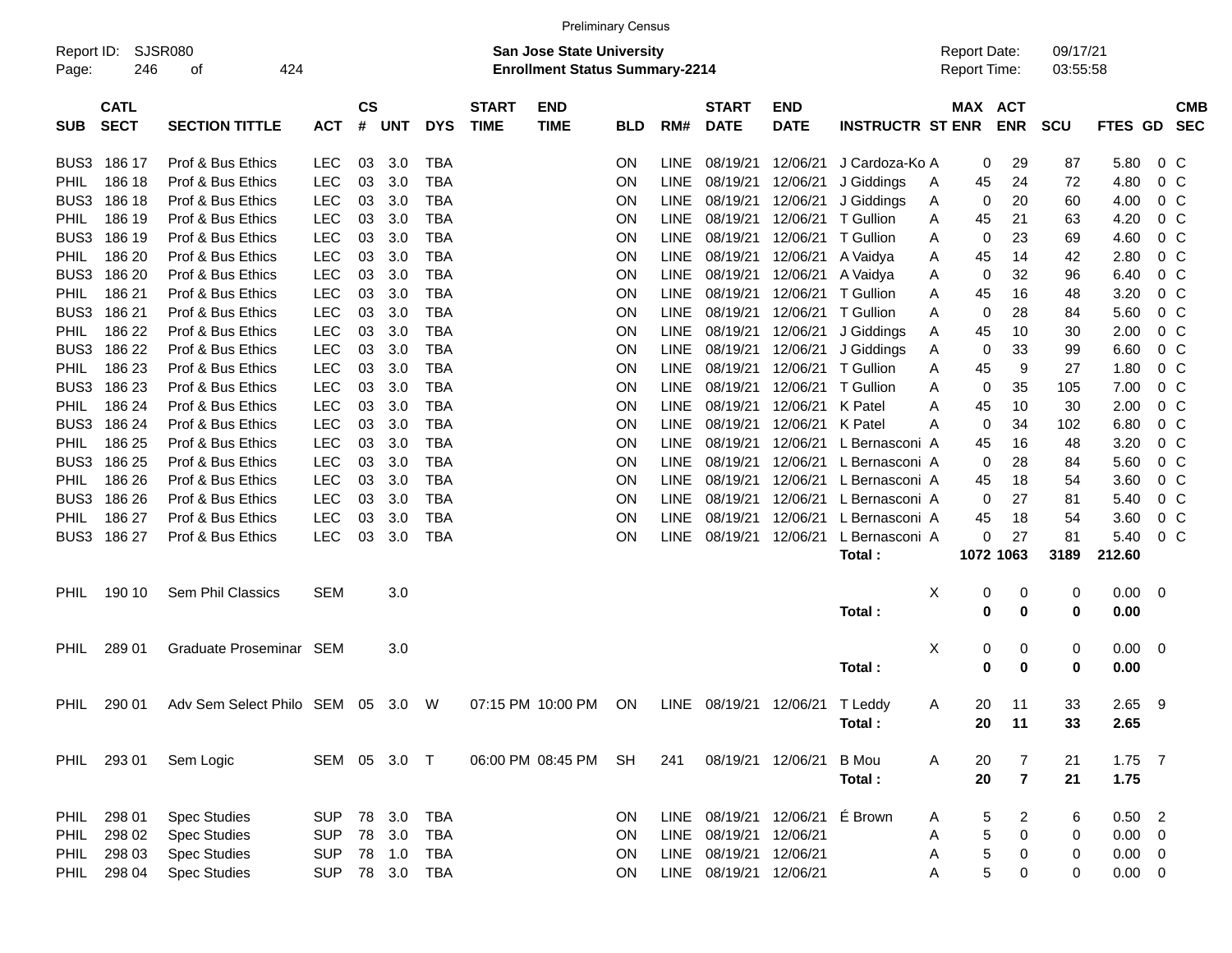|                     |                            |                                 |              |                    |            |            |                             |                                                                           | <b>Preliminary Census</b> |             |                             |                           |                         |   |                                     |                          |                      |              |                          |  |
|---------------------|----------------------------|---------------------------------|--------------|--------------------|------------|------------|-----------------------------|---------------------------------------------------------------------------|---------------------------|-------------|-----------------------------|---------------------------|-------------------------|---|-------------------------------------|--------------------------|----------------------|--------------|--------------------------|--|
| Report ID:<br>Page: | 246                        | SJSR080<br>424<br>οf            |              |                    |            |            |                             | <b>San Jose State University</b><br><b>Enrollment Status Summary-2214</b> |                           |             |                             |                           |                         |   | <b>Report Date:</b><br>Report Time: |                          | 09/17/21<br>03:55:58 |              |                          |  |
| <b>SUB</b>          | <b>CATL</b><br><b>SECT</b> | <b>SECTION TITTLE</b>           | <b>ACT</b>   | $\mathsf{cs}$<br># | <b>UNT</b> | <b>DYS</b> | <b>START</b><br><b>TIME</b> | <b>END</b><br><b>TIME</b>                                                 | <b>BLD</b>                | RM#         | <b>START</b><br><b>DATE</b> | <b>END</b><br><b>DATE</b> | <b>INSTRUCTR ST ENR</b> |   | MAX                                 | <b>ACT</b><br><b>ENR</b> | <b>SCU</b>           | FTES GD SEC  | <b>CMB</b>               |  |
| BUS3                | 186 17                     | Prof & Bus Ethics               | LEC          | 03                 | 3.0        | TBA        |                             |                                                                           | <b>ON</b>                 | <b>LINE</b> | 08/19/21                    | 12/06/21                  | J Cardoza-Ko A          |   | 0                                   | 29                       | 87                   | 5.80         | $0\,C$                   |  |
| <b>PHIL</b>         | 186 18                     | Prof & Bus Ethics               | <b>LEC</b>   | 03                 | 3.0        | <b>TBA</b> |                             |                                                                           | ON                        | LINE        | 08/19/21                    | 12/06/21                  | J Giddings              | A | 45                                  | 24                       | 72                   | 4.80         | $0\,C$                   |  |
| BUS3                | 186 18                     | Prof & Bus Ethics               | <b>LEC</b>   | 03                 | 3.0        | <b>TBA</b> |                             |                                                                           | ON                        | <b>LINE</b> | 08/19/21                    | 12/06/21                  | J Giddings              | A | 0                                   | 20                       | 60                   | 4.00         | $0\,C$                   |  |
| <b>PHIL</b>         | 186 19                     | Prof & Bus Ethics               | <b>LEC</b>   | 03                 | 3.0        | <b>TBA</b> |                             |                                                                           | ON                        | <b>LINE</b> | 08/19/21                    | 12/06/21                  | T Gullion               | A | 45                                  | 21                       | 63                   | 4.20         | $0\,C$                   |  |
| BUS3                | 186 19                     | Prof & Bus Ethics               | <b>LEC</b>   | 03                 | 3.0        | <b>TBA</b> |                             |                                                                           | ON                        | <b>LINE</b> | 08/19/21                    | 12/06/21                  | T Gullion               | A | 0                                   | 23                       | 69                   | 4.60         | 0 <sup>C</sup>           |  |
| <b>PHIL</b>         | 186 20                     | Prof & Bus Ethics               | LEC          | 03                 | 3.0        | <b>TBA</b> |                             |                                                                           | ON                        | <b>LINE</b> | 08/19/21                    | 12/06/21                  | A Vaidya                | A | 45                                  | 14                       | 42                   | 2.80         | 0 <sup>o</sup>           |  |
| BUS3                | 186 20                     | Prof & Bus Ethics               | <b>LEC</b>   | 03                 | 3.0        | <b>TBA</b> |                             |                                                                           | ON                        | <b>LINE</b> | 08/19/21                    | 12/06/21                  | A Vaidya                | A | 0                                   | 32                       | 96                   | 6.40         | 0 <sup>o</sup>           |  |
| <b>PHIL</b>         | 186 21                     | Prof & Bus Ethics               | <b>LEC</b>   | 03                 | 3.0        | <b>TBA</b> |                             |                                                                           | ON                        | <b>LINE</b> | 08/19/21                    | 12/06/21                  | T Gullion               | Α | 45                                  | 16                       | 48                   | 3.20         | 0 <sup>C</sup>           |  |
| BUS3                | 186 21                     | Prof & Bus Ethics               | <b>LEC</b>   | 03                 | 3.0        | <b>TBA</b> |                             |                                                                           | ON                        | <b>LINE</b> | 08/19/21                    | 12/06/21                  | T Gullion               | A | 0                                   | 28                       | 84                   | 5.60         | 0 <sup>C</sup>           |  |
| <b>PHIL</b>         | 186 22                     | Prof & Bus Ethics               | LEC          | 03                 | 3.0        | <b>TBA</b> |                             |                                                                           | ON                        | <b>LINE</b> | 08/19/21                    | 12/06/21                  | J Giddings              | Α | 45                                  | 10                       | 30                   | 2.00         | 0 <sup>o</sup>           |  |
| BUS3                | 186 22                     | Prof & Bus Ethics               | LEC          | 03                 | 3.0        | <b>TBA</b> |                             |                                                                           | ON                        | <b>LINE</b> | 08/19/21                    | 12/06/21                  | J Giddings              | A | 0                                   | 33                       | 99                   | 6.60         | 0 <sup>o</sup>           |  |
| <b>PHIL</b>         | 186 23                     | Prof & Bus Ethics               | <b>LEC</b>   | 03                 | 3.0        | <b>TBA</b> |                             |                                                                           | ON                        | <b>LINE</b> | 08/19/21                    | 12/06/21                  | T Gullion               | Α | 45                                  | 9                        | 27                   | 1.80         | 0 <sup>o</sup>           |  |
| BUS3                | 186 23                     | Prof & Bus Ethics               | <b>LEC</b>   | 03                 | 3.0        | <b>TBA</b> |                             |                                                                           | ON                        | <b>LINE</b> | 08/19/21                    | 12/06/21                  | T Gullion               | A | 0                                   | 35                       | 105                  | 7.00         | 0 <sup>C</sup>           |  |
| <b>PHIL</b>         | 186 24                     | Prof & Bus Ethics               | LEC          | 03                 | 3.0        | <b>TBA</b> |                             |                                                                           | ON                        | <b>LINE</b> | 08/19/21                    | 12/06/21                  | K Patel                 | A | 45                                  | 10                       | 30                   | 2.00         | 0 <sup>C</sup>           |  |
| BUS3                | 186 24                     | Prof & Bus Ethics               | LEC          | 03                 | 3.0        | <b>TBA</b> |                             |                                                                           | ON                        | <b>LINE</b> | 08/19/21                    | 12/06/21                  | K Patel                 | Α | 0                                   | 34                       | 102                  | 6.80         | 0 <sup>o</sup>           |  |
| <b>PHIL</b>         | 186 25                     | Prof & Bus Ethics               | <b>LEC</b>   | 03                 | 3.0        | <b>TBA</b> |                             |                                                                           | ON                        | <b>LINE</b> | 08/19/21                    | 12/06/21                  | L Bernasconi A          |   | 45                                  | 16                       | 48                   | 3.20         | 0 <sup>o</sup>           |  |
| BUS3                | 186 25                     | Prof & Bus Ethics               | <b>LEC</b>   | 03                 | 3.0        | <b>TBA</b> |                             |                                                                           | ON                        | <b>LINE</b> | 08/19/21                    | 12/06/21                  | L Bernasconi A          |   | 0                                   | 28                       | 84                   | 5.60         | 0 <sup>C</sup>           |  |
| <b>PHIL</b>         | 186 26                     | Prof & Bus Ethics               | <b>LEC</b>   | 03                 | 3.0        | <b>TBA</b> |                             |                                                                           | ON                        | <b>LINE</b> | 08/19/21                    | 12/06/21                  | L Bernasconi A          |   | 45                                  | 18                       | 54                   | 3.60         | 0 <sup>C</sup>           |  |
| BUS3                | 186 26                     | Prof & Bus Ethics               | <b>LEC</b>   | 03                 | 3.0        | <b>TBA</b> |                             |                                                                           | ON                        | <b>LINE</b> | 08/19/21                    | 12/06/21                  | L Bernasconi A          |   | 0                                   | 27                       | 81                   | 5.40         | 0 <sup>o</sup>           |  |
| <b>PHIL</b>         | 186 27                     | Prof & Bus Ethics               | <b>LEC</b>   | 03                 | 3.0        | <b>TBA</b> |                             |                                                                           | ON                        | <b>LINE</b> | 08/19/21                    | 12/06/21                  | L Bernasconi A          |   | 45                                  | 18                       | 54                   | 3.60         | 0 <sup>o</sup>           |  |
| BUS3                | 186 27                     | Prof & Bus Ethics               | <b>LEC</b>   | 03                 | 3.0        | <b>TBA</b> |                             |                                                                           | ON                        | <b>LINE</b> | 08/19/21                    | 12/06/21                  | L Bernasconi A          |   | 0                                   | 27                       | 81                   | 5.40         | 0 <sup>o</sup>           |  |
|                     |                            |                                 |              |                    |            |            |                             |                                                                           |                           |             |                             |                           | Total:                  |   |                                     | 1072 1063                | 3189                 | 212.60       |                          |  |
|                     |                            |                                 |              |                    |            |            |                             |                                                                           |                           |             |                             |                           |                         |   |                                     |                          |                      |              |                          |  |
| <b>PHIL</b>         | 190 10                     | Sem Phil Classics               | SEM          |                    | 3.0        |            |                             |                                                                           |                           |             |                             |                           | Total:                  | Χ | 0<br>$\mathbf 0$                    | 0<br>$\bf{0}$            | 0<br>0               | 0.00<br>0.00 | 0                        |  |
|                     |                            |                                 |              |                    |            |            |                             |                                                                           |                           |             |                             |                           |                         |   |                                     |                          |                      |              |                          |  |
| <b>PHIL</b>         | 289 01                     | Graduate Proseminar             | SEM          |                    | 3.0        |            |                             |                                                                           |                           |             |                             |                           |                         | Χ | 0                                   | 0                        | 0                    | 0.00         | 0                        |  |
|                     |                            |                                 |              |                    |            |            |                             |                                                                           |                           |             |                             |                           | Total:                  |   | 0                                   | $\bf{0}$                 | $\bf{0}$             | 0.00         |                          |  |
|                     |                            |                                 |              |                    |            |            |                             |                                                                           |                           |             |                             |                           |                         |   |                                     |                          |                      |              |                          |  |
| <b>PHIL</b>         | 290 01                     | Adv Sem Select Philo SEM 05 3.0 |              |                    |            | W          |                             | 07:15 PM 10:00 PM                                                         | ON                        |             | LINE 08/19/21               | 12/06/21                  | T Leddy                 | A | 20                                  | 11                       | 33                   | 2.65         | 9                        |  |
|                     |                            |                                 |              |                    |            |            |                             |                                                                           |                           |             |                             |                           | Total:                  |   | 20                                  | 11                       | 33                   | 2.65         |                          |  |
|                     |                            |                                 |              |                    |            |            |                             |                                                                           |                           |             |                             |                           |                         |   |                                     |                          |                      |              |                          |  |
|                     | PHIL 293 01                | Sem Logic                       | SEM 05 3.0 T |                    |            |            |                             | 06:00 PM 08:45 PM                                                         | SH                        | 241         |                             | 08/19/21 12/06/21         | B Mou                   | A | 20                                  | 7                        | 21                   | $1.75$ 7     |                          |  |
|                     |                            |                                 |              |                    |            |            |                             |                                                                           |                           |             |                             |                           | Total:                  |   | 20                                  | $\overline{\mathbf{r}}$  | 21                   | 1.75         |                          |  |
|                     |                            |                                 |              |                    |            |            |                             |                                                                           |                           |             |                             |                           |                         |   |                                     |                          |                      |              |                          |  |
| PHIL                | 298 01                     | <b>Spec Studies</b>             | <b>SUP</b>   |                    | 78 3.0     | TBA        |                             |                                                                           | <b>ON</b>                 |             |                             | LINE 08/19/21 12/06/21    | É Brown                 | A | 5                                   | 2                        | 6                    | 0.50         | $\overline{\phantom{0}}$ |  |
| PHIL                | 298 02                     | <b>Spec Studies</b>             | <b>SUP</b>   |                    | 78 3.0     | <b>TBA</b> |                             |                                                                           | ON                        |             | LINE 08/19/21               | 12/06/21                  |                         | Α | 5                                   | $\pmb{0}$                | 0                    | 0.00         | 0                        |  |
| PHIL                | 298 03                     | <b>Spec Studies</b>             | <b>SUP</b>   |                    | 78 1.0     | TBA        |                             |                                                                           | ON                        |             | LINE 08/19/21 12/06/21      |                           |                         | Α | 5                                   | $\boldsymbol{0}$         | 0                    | 0.00         | 0                        |  |
| PHIL                | 298 04                     | <b>Spec Studies</b>             | <b>SUP</b>   |                    |            | 78 3.0 TBA |                             |                                                                           | ON                        |             | LINE 08/19/21 12/06/21      |                           |                         | Α | $\overline{5}$                      | $\boldsymbol{0}$         | 0                    | $0.00 \t 0$  |                          |  |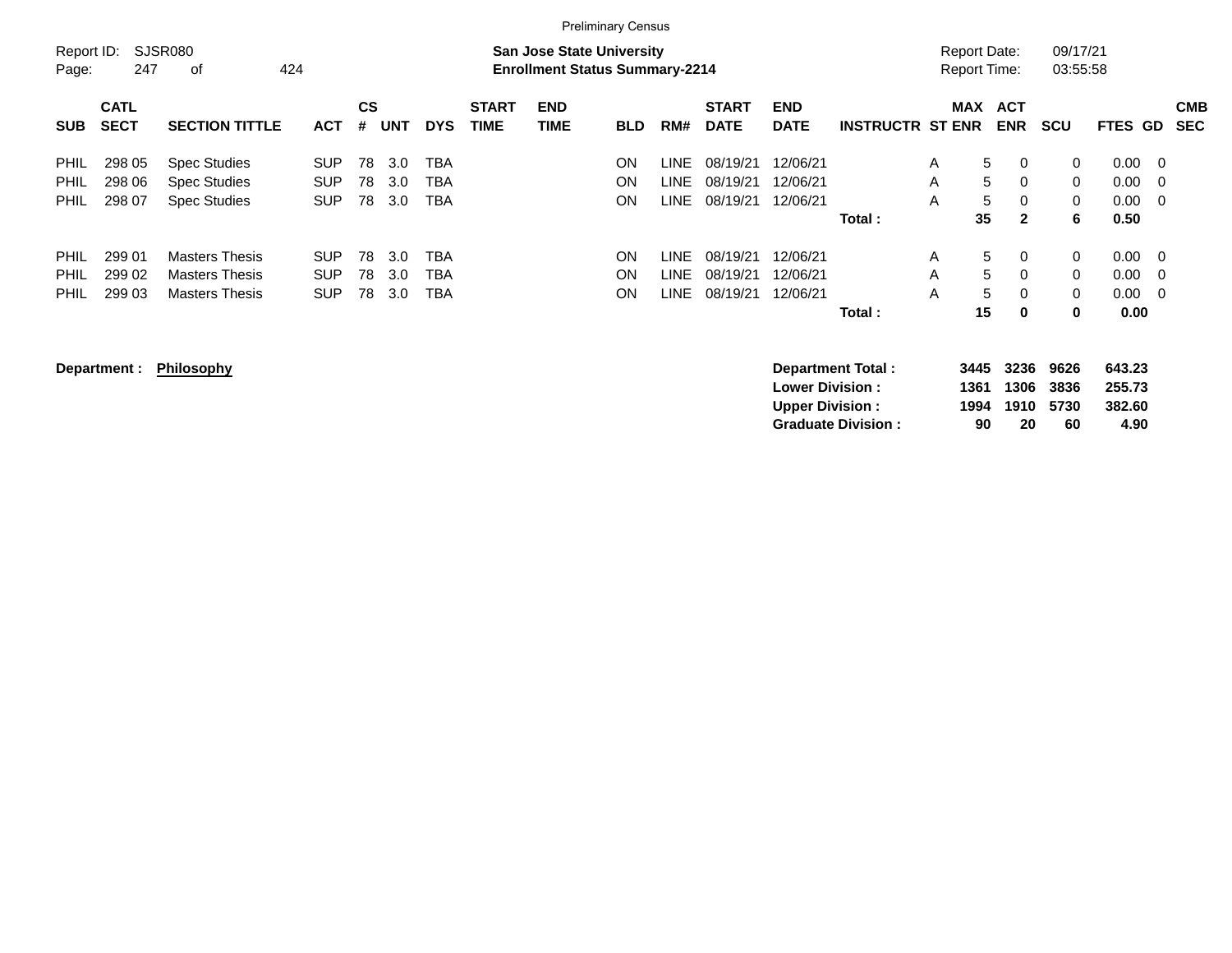|             |             |                       |            |    |            |            |              |                                       | <b>Preliminary Census</b> |       |              |             |                         |                     |                     |              |                |     |            |
|-------------|-------------|-----------------------|------------|----|------------|------------|--------------|---------------------------------------|---------------------------|-------|--------------|-------------|-------------------------|---------------------|---------------------|--------------|----------------|-----|------------|
| Report ID:  |             | SJSR080               |            |    |            |            |              | <b>San Jose State University</b>      |                           |       |              |             |                         |                     | <b>Report Date:</b> | 09/17/21     |                |     |            |
| Page:       | 247         | οf<br>424             |            |    |            |            |              | <b>Enrollment Status Summary-2214</b> |                           |       |              |             |                         | <b>Report Time:</b> |                     | 03:55:58     |                |     |            |
|             | <b>CATL</b> |                       |            | CS |            |            | <b>START</b> | <b>END</b>                            |                           |       | <b>START</b> | <b>END</b>  |                         | MAX                 | <b>ACT</b>          |              |                |     | <b>CMB</b> |
| <b>SUB</b>  | <b>SECT</b> | <b>SECTION TITTLE</b> | <b>ACT</b> | #  | <b>UNT</b> | <b>DYS</b> | <b>TIME</b>  | <b>TIME</b>                           | <b>BLD</b>                | RM#   | <b>DATE</b>  | <b>DATE</b> | <b>INSTRUCTR ST ENR</b> |                     | <b>ENR</b>          | <b>SCU</b>   | <b>FTES GD</b> |     | <b>SEC</b> |
| <b>PHIL</b> | 298 05      | <b>Spec Studies</b>   | <b>SUP</b> | 78 | 3.0        | <b>TBA</b> |              |                                       | ON                        | LINE  | 08/19/21     | 12/06/21    |                         | A                   | 5<br>$\Omega$       | 0            | 0.00           | - 0 |            |
| <b>PHIL</b> | 298 06      | <b>Spec Studies</b>   | <b>SUP</b> | 78 | 3.0        | TBA        |              |                                       | ΟN                        | LINE. | 08/19/21     | 12/06/21    |                         | A                   | 5<br>$\Omega$       | $\Omega$     | 0.00           | -0  |            |
| PHIL        | 298 07      | <b>Spec Studies</b>   | <b>SUP</b> | 78 | 3.0        | <b>TBA</b> |              |                                       | ΟN                        | LINE  | 08/19/21     | 12/06/21    |                         | A                   | 5<br>$\Omega$       | $\mathbf{0}$ | 0.00           | - 0 |            |
|             |             |                       |            |    |            |            |              |                                       |                           |       |              |             | Total:                  |                     | 35<br>$\mathbf{2}$  | 6            | 0.50           |     |            |
| <b>PHIL</b> | 299 01      | <b>Masters Thesis</b> | <b>SUP</b> | 78 | 3.0        | TBA        |              |                                       | ON                        | LINE. | 08/19/21     | 12/06/21    |                         | A                   | 5<br>$\Omega$       | 0            | 0.00           | - 0 |            |
| <b>PHIL</b> | 299 02      | Masters Thesis        | <b>SUP</b> | 78 | 3.0        | <b>TBA</b> |              |                                       | ΟN                        | LINE. | 08/19/21     | 12/06/21    |                         | A                   | 5<br>$\Omega$       | $\mathbf{0}$ | 0.00           | - 0 |            |
| <b>PHIL</b> | 299 03      | <b>Masters Thesis</b> | <b>SUP</b> | 78 | 3.0        | <b>TBA</b> |              |                                       | ΟN                        | LINE  | 08/19/21     | 12/06/21    |                         | A                   | 5<br>$\Omega$       | 0            | 0.00           | - 0 |            |
|             |             |                       |            |    |            |            |              |                                       |                           |       |              |             | Total:                  |                     | 15<br>0             | 0            | 0.00           |     |            |
|             |             |                       |            |    |            |            |              |                                       |                           |       |              |             |                         |                     |                     |              |                |     |            |

**Department : Philosophy Department Total : 3445 3236 9626 643.23 Lower Division : 1361 1306 3836 255.73 Upper Division : 1994 1910 5730 382.60 Graduate Division : 90 20 60 4.90**